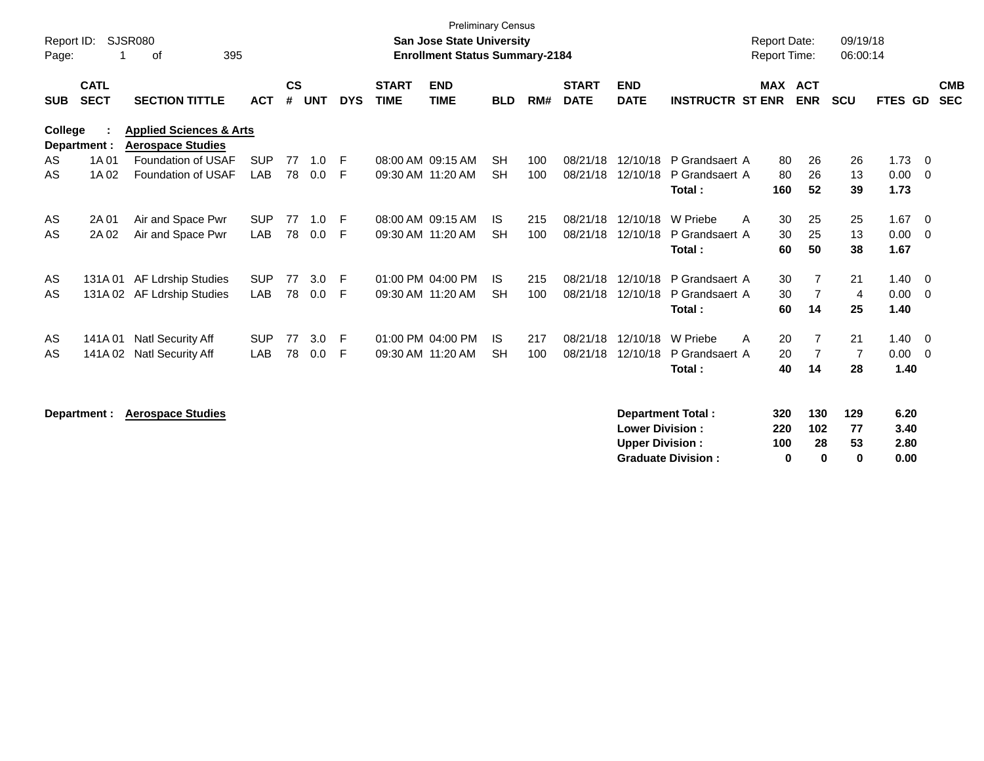| Report ID: |                            | SJSR080                                                        |            |                    |            |            |                             | <b>Preliminary Census</b><br><b>San Jose State University</b> |            |     |                             |                           |                          | <b>Report Date:</b> |                          | 09/19/18       |         |     |                          |
|------------|----------------------------|----------------------------------------------------------------|------------|--------------------|------------|------------|-----------------------------|---------------------------------------------------------------|------------|-----|-----------------------------|---------------------------|--------------------------|---------------------|--------------------------|----------------|---------|-----|--------------------------|
| Page:      |                            | 395<br>оf                                                      |            |                    |            |            |                             | <b>Enrollment Status Summary-2184</b>                         |            |     |                             |                           |                          | <b>Report Time:</b> |                          | 06:00:14       |         |     |                          |
| <b>SUB</b> | <b>CATL</b><br><b>SECT</b> | <b>SECTION TITTLE</b>                                          | <b>ACT</b> | $\mathsf{cs}$<br># | <b>UNT</b> | <b>DYS</b> | <b>START</b><br><b>TIME</b> | <b>END</b><br><b>TIME</b>                                     | <b>BLD</b> | RM# | <b>START</b><br><b>DATE</b> | <b>END</b><br><b>DATE</b> | <b>INSTRUCTR ST ENR</b>  | MAX                 | <b>ACT</b><br><b>ENR</b> | <b>SCU</b>     | FTES GD |     | <b>CMB</b><br><b>SEC</b> |
| College    | Department :               | <b>Applied Sciences &amp; Arts</b><br><b>Aerospace Studies</b> |            |                    |            |            |                             |                                                               |            |     |                             |                           |                          |                     |                          |                |         |     |                          |
| AS         | 1A 01                      | Foundation of USAF                                             | <b>SUP</b> | 77                 | 1.0        | -F         |                             | 08:00 AM 09:15 AM                                             | <b>SH</b>  | 100 | 08/21/18                    | 12/10/18                  | P Grandsaert A           | 80                  | 26                       | 26             | 1.73    | - 0 |                          |
| AS         | 1A 02                      | Foundation of USAF                                             | LAB        | 78                 | 0.0        | F          |                             | 09:30 AM 11:20 AM                                             | <b>SH</b>  | 100 | 08/21/18                    | 12/10/18                  | P Grandsaert A           | 80                  | 26                       | 13             | 0.00    | - 0 |                          |
|            |                            |                                                                |            |                    |            |            |                             |                                                               |            |     |                             |                           | Total:                   | 160                 | 52                       | 39             | 1.73    |     |                          |
| AS         | 2A 01                      | Air and Space Pwr                                              | <b>SUP</b> | 77                 | 1.0        | -F         |                             | 08:00 AM 09:15 AM                                             | IS.        | 215 | 08/21/18                    | 12/10/18                  | W Priebe<br>A            | 30                  | 25                       | 25             | 1.67    | - 0 |                          |
| AS         | 2A 02                      | Air and Space Pwr                                              | <b>LAB</b> | 78                 | 0.0        | F          |                             | 09:30 AM 11:20 AM                                             | <b>SH</b>  | 100 | 08/21/18                    | 12/10/18                  | P Grandsaert A           | 30                  | 25                       | 13             | 0.00    | - 0 |                          |
|            |                            |                                                                |            |                    |            |            |                             |                                                               |            |     |                             |                           | Total:                   | 60                  | 50                       | 38             | 1.67    |     |                          |
| AS         | 131A01                     | <b>AF Ldrship Studies</b>                                      | <b>SUP</b> | 77                 | 3.0        | -F         |                             | 01:00 PM 04:00 PM                                             | IS.        | 215 | 08/21/18                    | 12/10/18                  | P Grandsaert A           | 30                  | 7                        | 21             | 1.40    | - 0 |                          |
| AS         |                            | 131A 02 AF Ldrship Studies                                     | <b>LAB</b> | 78                 | 0.0        | F          |                             | 09:30 AM 11:20 AM                                             | <b>SH</b>  | 100 | 08/21/18                    | 12/10/18                  | P Grandsaert A           | 30                  | $\overline{7}$           | 4              | 0.00    | - 0 |                          |
|            |                            |                                                                |            |                    |            |            |                             |                                                               |            |     |                             |                           | Total:                   | 60                  | 14                       | 25             | 1.40    |     |                          |
| AS         | 141A 01                    | Natl Security Aff                                              | <b>SUP</b> | 77                 | 3.0        | -F         |                             | 01:00 PM 04:00 PM                                             | IS.        | 217 | 08/21/18                    | 12/10/18                  | W Priebe<br>A            | 20                  | $\overline{7}$           | 21             | 1.40    | - 0 |                          |
| AS         | 141A 02                    | Natl Security Aff                                              | <b>LAB</b> | 78                 | 0.0        | F          |                             | 09:30 AM 11:20 AM                                             | <b>SH</b>  | 100 | 08/21/18                    | 12/10/18                  | P Grandsaert A           | 20                  | $\overline{7}$           | $\overline{7}$ | 0.00    | - 0 |                          |
|            |                            |                                                                |            |                    |            |            |                             |                                                               |            |     |                             |                           | Total:                   | 40                  | 14                       | 28             | 1.40    |     |                          |
|            | Department :               | <b>Aerospace Studies</b>                                       |            |                    |            |            |                             |                                                               |            |     |                             |                           | <b>Department Total:</b> | 320                 | 130                      | 129            | 6.20    |     |                          |

| <b>Lower Division :</b>   | 220 | 102 | 77 | 3.40 |
|---------------------------|-----|-----|----|------|
| Upper Division:           | 100 | 28  | 53 | 2.80 |
| <b>Graduate Division:</b> |     | o   | o  | 0.00 |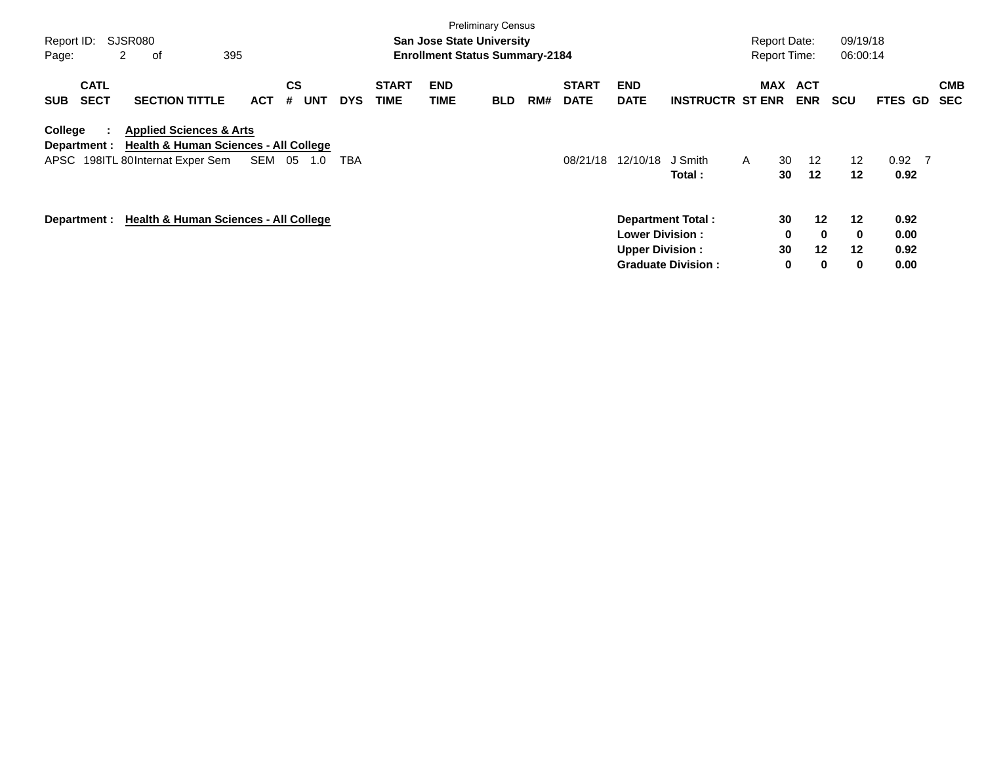| Report ID: |                                | SJSR080                                                                                                                    |            |        |                       |            |                             |                           | <b>Preliminary Census</b><br><b>San Jose State University</b> |     |                             |                                                   |                                                       | <b>Report Date:</b> |                    |                                     | 09/19/18                     |                              |                          |
|------------|--------------------------------|----------------------------------------------------------------------------------------------------------------------------|------------|--------|-----------------------|------------|-----------------------------|---------------------------|---------------------------------------------------------------|-----|-----------------------------|---------------------------------------------------|-------------------------------------------------------|---------------------|--------------------|-------------------------------------|------------------------------|------------------------------|--------------------------|
| Page:      |                                | 2<br>0f                                                                                                                    | 395        |        |                       |            |                             |                           | <b>Enrollment Status Summary-2184</b>                         |     |                             |                                                   |                                                       | <b>Report Time:</b> |                    |                                     | 06:00:14                     |                              |                          |
| <b>SUB</b> | <b>CATL</b><br><b>SECT</b>     | <b>SECTION TITTLE</b>                                                                                                      | <b>ACT</b> |        | CS<br><b>UNT</b><br># | <b>DYS</b> | <b>START</b><br><b>TIME</b> | <b>END</b><br><b>TIME</b> | <b>BLD</b>                                                    | RM# | <b>START</b><br><b>DATE</b> | <b>END</b><br><b>DATE</b>                         | <b>INSTRUCTR ST ENR</b>                               | <b>MAX</b>          |                    | <b>ACT</b><br><b>ENR</b>            | <b>SCU</b>                   | <b>FTES GD</b>               | <b>CMB</b><br><b>SEC</b> |
| College    | $\mathbb{R}^n$<br>Department : | <b>Applied Sciences &amp; Arts</b><br><b>Health &amp; Human Sciences - All College</b><br>APSC 198ITL 80Internat Exper Sem |            | SEM 05 | 1.0                   | <b>TBA</b> |                             |                           |                                                               |     | 08/21/18                    | 12/10/18                                          | J Smith<br>Total:                                     | $\mathsf{A}$        | 30<br>30           | 12<br>$12 \,$                       | $12 \overline{ }$<br>$12 \,$ | $0.92$ 7<br>0.92             |                          |
|            |                                | Department : Health & Human Sciences - All College                                                                         |            |        |                       |            |                             |                           |                                                               |     |                             | <b>Lower Division :</b><br><b>Upper Division:</b> | <b>Department Total:</b><br><b>Graduate Division:</b> |                     | 30<br>0<br>30<br>0 | $12 \,$<br>$\bf{0}$<br>$12 \,$<br>0 | 12<br>0<br>$12 \,$<br>0      | 0.92<br>0.00<br>0.92<br>0.00 |                          |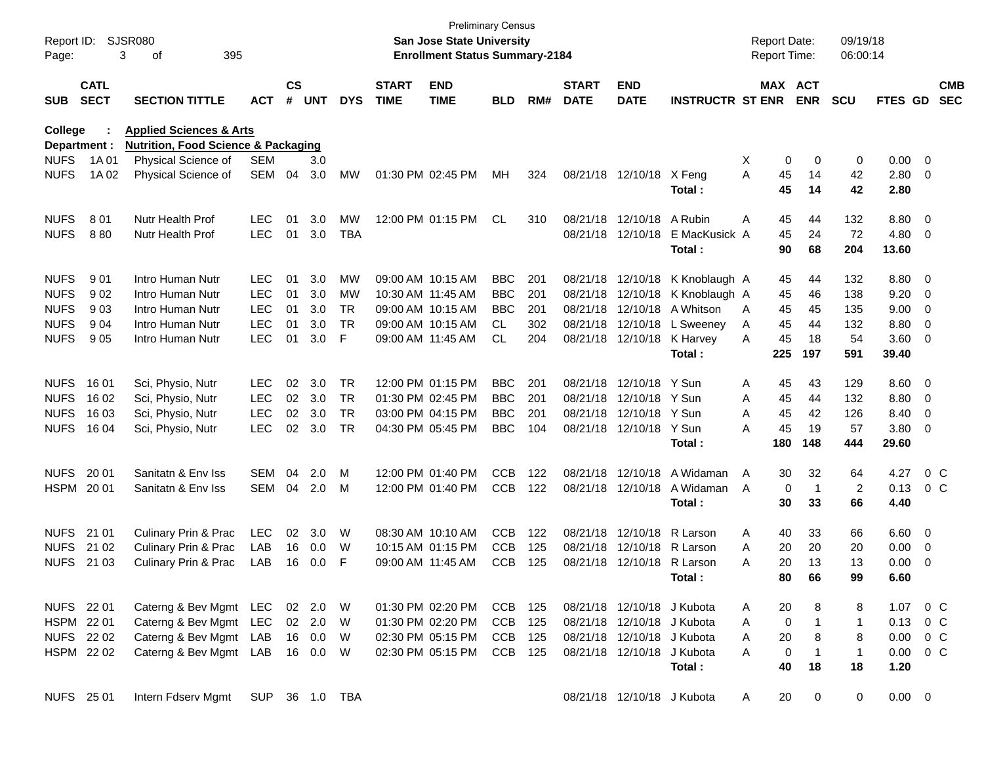| Report ID:<br>Page:        |                            | SJSR080<br>3<br>395<br>οf                      |                          |                    |            |            |                             | San Jose State University<br><b>Enrollment Status Summary-2184</b> | <b>Preliminary Census</b> |     |                             |                            |                         | <b>Report Date:</b><br>Report Time: |             |                       | 09/19/18<br>06:00:14 |               |                                                      |                          |
|----------------------------|----------------------------|------------------------------------------------|--------------------------|--------------------|------------|------------|-----------------------------|--------------------------------------------------------------------|---------------------------|-----|-----------------------------|----------------------------|-------------------------|-------------------------------------|-------------|-----------------------|----------------------|---------------|------------------------------------------------------|--------------------------|
| <b>SUB</b>                 | <b>CATL</b><br><b>SECT</b> | <b>SECTION TITTLE</b>                          | <b>ACT</b>               | $\mathsf{cs}$<br># | <b>UNT</b> | <b>DYS</b> | <b>START</b><br><b>TIME</b> | <b>END</b><br><b>TIME</b>                                          | <b>BLD</b>                | RM# | <b>START</b><br><b>DATE</b> | <b>END</b><br><b>DATE</b>  | <b>INSTRUCTR ST ENR</b> |                                     |             | MAX ACT<br><b>ENR</b> | <b>SCU</b>           | FTES GD       |                                                      | <b>CMB</b><br><b>SEC</b> |
| <b>College</b>             |                            | <b>Applied Sciences &amp; Arts</b>             |                          |                    |            |            |                             |                                                                    |                           |     |                             |                            |                         |                                     |             |                       |                      |               |                                                      |                          |
| Department :               |                            | <b>Nutrition, Food Science &amp; Packaging</b> |                          |                    |            |            |                             |                                                                    |                           |     |                             |                            |                         |                                     |             |                       |                      |               |                                                      |                          |
| <b>NUFS</b><br><b>NUFS</b> | 1A 01                      | Physical Science of                            | <b>SEM</b><br><b>SEM</b> | 04                 | 3.0        | MW         |                             | 01:30 PM 02:45 PM                                                  | MН                        | 324 |                             | 08/21/18 12/10/18          | X Feng                  | X<br>A                              | 0           | 0<br>14               | 0<br>42              | 0.00<br>2.80  | $\overline{\phantom{0}}$<br>$\overline{\phantom{0}}$ |                          |
|                            | 1A 02                      | Physical Science of                            |                          |                    | 3.0        |            |                             |                                                                    |                           |     |                             |                            | Total:                  |                                     | 45<br>45    | 14                    | 42                   | 2.80          |                                                      |                          |
| <b>NUFS</b>                | 801                        | Nutr Health Prof                               | <b>LEC</b>               | 01                 | 3.0        | MW         |                             | 12:00 PM 01:15 PM                                                  | CL                        | 310 |                             | 08/21/18 12/10/18          | A Rubin                 | Α                                   | 45          | 44                    | 132                  | 8.80          | $\overline{\mathbf{0}}$                              |                          |
| <b>NUFS</b>                | 880                        | <b>Nutr Health Prof</b>                        | <b>LEC</b>               | 01                 | 3.0        | <b>TBA</b> |                             |                                                                    |                           |     |                             | 08/21/18 12/10/18          | E MacKusick A           |                                     | 45          | 24                    | 72                   | 4.80          | $\overline{\mathbf{0}}$                              |                          |
|                            |                            |                                                |                          |                    |            |            |                             |                                                                    |                           |     |                             |                            | Total:                  |                                     | 90          | 68                    | 204                  | 13.60         |                                                      |                          |
| <b>NUFS</b>                | 901                        | Intro Human Nutr                               | <b>LEC</b>               | 01                 | 3.0        | <b>MW</b>  |                             | 09:00 AM 10:15 AM                                                  | <b>BBC</b>                | 201 |                             | 08/21/18 12/10/18          | K Knoblaugh A           |                                     | 45          | 44                    | 132                  | 8.80          | $\overline{\phantom{0}}$                             |                          |
| <b>NUFS</b>                | 902                        | Intro Human Nutr                               | <b>LEC</b>               | 01                 | 3.0        | MW         |                             | 10:30 AM 11:45 AM                                                  | <b>BBC</b>                | 201 |                             | 08/21/18 12/10/18          | K Knoblaugh A           |                                     | 45          | 46                    | 138                  | 9.20          | $\overline{\mathbf{0}}$                              |                          |
| <b>NUFS</b>                | 903                        | Intro Human Nutr                               | <b>LEC</b>               | 01                 | 3.0        | TR         |                             | 09:00 AM 10:15 AM                                                  | <b>BBC</b>                | 201 |                             | 08/21/18 12/10/18          | A Whitson               | A                                   | 45          | 45                    | 135                  | 9.00          | 0                                                    |                          |
| <b>NUFS</b>                | 904                        | Intro Human Nutr                               | <b>LEC</b>               | 01                 | 3.0        | <b>TR</b>  |                             | 09:00 AM 10:15 AM                                                  | CL.                       | 302 |                             | 08/21/18 12/10/18          | L Sweeney               | A                                   | 45          | 44                    | 132                  | 8.80          | 0                                                    |                          |
| <b>NUFS</b>                | 905                        | Intro Human Nutr                               | <b>LEC</b>               | 01                 | 3.0        | F          |                             | 09:00 AM 11:45 AM                                                  | CL                        | 204 |                             | 08/21/18 12/10/18 K Harvey |                         | A                                   | 45          | 18                    | 54                   | 3.60          | $\overline{\mathbf{0}}$                              |                          |
|                            |                            |                                                |                          |                    |            |            |                             |                                                                    |                           |     |                             |                            | Total:                  |                                     | 225         | 197                   | 591                  | 39.40         |                                                      |                          |
| <b>NUFS</b>                | 16 01                      | Sci, Physio, Nutr                              | <b>LEC</b>               | 02                 | 3.0        | <b>TR</b>  |                             | 12:00 PM 01:15 PM                                                  | <b>BBC</b>                | 201 |                             | 08/21/18 12/10/18          | Y Sun                   | A                                   | 45          | 43                    | 129                  | 8.60          | $\overline{\phantom{0}}$                             |                          |
| <b>NUFS</b>                | 16 02                      | Sci, Physio, Nutr                              | LEC                      | 02                 | 3.0        | <b>TR</b>  |                             | 01:30 PM 02:45 PM                                                  | <b>BBC</b>                | 201 |                             | 08/21/18 12/10/18          | Y Sun                   | A                                   | 45          | 44                    | 132                  | 8.80          | $\overline{\mathbf{0}}$                              |                          |
| <b>NUFS</b>                | 16 03                      | Sci, Physio, Nutr                              | <b>LEC</b>               | 02                 | 3.0        | <b>TR</b>  |                             | 03:00 PM 04:15 PM                                                  | <b>BBC</b>                | 201 |                             | 08/21/18 12/10/18          | Y Sun                   | A                                   | 45          | 42                    | 126                  | 8.40          | 0                                                    |                          |
| <b>NUFS</b>                | 16 04                      | Sci, Physio, Nutr                              | <b>LEC</b>               | 02                 | 3.0        | <b>TR</b>  |                             | 04:30 PM 05:45 PM                                                  | <b>BBC</b>                | 104 |                             | 08/21/18 12/10/18          | Y Sun                   | A                                   | 45          | 19                    | 57                   | 3.80          | $\overline{\mathbf{0}}$                              |                          |
|                            |                            |                                                |                          |                    |            |            |                             |                                                                    |                           |     |                             |                            | Total:                  |                                     | 180         | 148                   | 444                  | 29.60         |                                                      |                          |
| <b>NUFS</b>                | 20 01                      | Sanitatn & Env Iss                             | SEM                      | 04                 | 2.0        | м          |                             | 12:00 PM 01:40 PM                                                  | <b>CCB</b>                | 122 |                             | 08/21/18 12/10/18          | A Widaman               | A                                   | 30          | 32                    | 64                   | 4.27          |                                                      | $0\,$ C                  |
| HSPM 2001                  |                            | Sanitatn & Env Iss                             | SEM                      | 04                 | 2.0        | M          |                             | 12:00 PM 01:40 PM                                                  | <b>CCB</b>                | 122 |                             | 08/21/18 12/10/18          | A Widaman               | A                                   | 0           | -1                    | 2                    | 0.13          |                                                      | $0\,$ C                  |
|                            |                            |                                                |                          |                    |            |            |                             |                                                                    |                           |     |                             |                            | Total:                  |                                     | 30          | 33                    | 66                   | 4.40          |                                                      |                          |
| <b>NUFS</b>                | 21 01                      | Culinary Prin & Prac                           | LEC                      | 02                 | 3.0        | W          |                             | 08:30 AM 10:10 AM                                                  | <b>CCB</b>                | 122 |                             | 08/21/18 12/10/18          | R Larson                | A                                   | 40          | 33                    | 66                   | 6.60          | $\overline{\phantom{0}}$                             |                          |
| <b>NUFS</b>                | 21 02                      | <b>Culinary Prin &amp; Prac</b>                | LAB                      | 16                 | 0.0        | W          |                             | 10:15 AM 01:15 PM                                                  | <b>CCB</b>                | 125 |                             | 08/21/18 12/10/18          | R Larson                | A                                   | 20          | 20                    | 20                   | 0.00          | 0                                                    |                          |
| <b>NUFS</b>                | 21 03                      | Culinary Prin & Prac                           | LAB                      | 16                 | 0.0        | F          |                             | 09:00 AM 11:45 AM                                                  | <b>CCB</b>                | 125 |                             | 08/21/18 12/10/18          | R Larson                | A                                   | 20          | 13                    | 13                   | 0.00          | 0                                                    |                          |
|                            |                            |                                                |                          |                    |            |            |                             |                                                                    |                           |     |                             |                            | Total:                  |                                     | 80          | 66                    | 99                   | 6.60          |                                                      |                          |
| NUFS 22 01                 |                            | Caterng & Bev Mgmt LEC                         |                          |                    | 02 2.0     | W          |                             | 01:30 PM 02:20 PM                                                  | CCB 125                   |     |                             | 08/21/18 12/10/18 J Kubota |                         | A                                   | 20          | 8                     | 8                    | 1.07 0 C      |                                                      |                          |
| HSPM 22 01                 |                            | Caterng & Bev Mgmt                             | LEC                      |                    | 02 2.0     | W          |                             | 01:30 PM 02:20 PM                                                  | CCB                       | 125 |                             | 08/21/18 12/10/18 J Kubota |                         | A                                   | 0           | $\mathbf{1}$          | $\overline{1}$       | 0.13          | $0\,$ C                                              |                          |
| NUFS 22 02                 |                            | Caterng & Bev Mgmt                             | LAB                      |                    | 16 0.0     | W          |                             | 02:30 PM 05:15 PM                                                  | CCB 125                   |     |                             | 08/21/18 12/10/18 J Kubota |                         | A                                   | 20          | 8                     | 8                    | $0.00 \t 0 C$ |                                                      |                          |
| HSPM 22 02                 |                            | Caterng & Bev Mgmt LAB                         |                          |                    | 16  0.0    | W          |                             | 02:30 PM 05:15 PM                                                  | CCB 125                   |     |                             | 08/21/18 12/10/18 J Kubota |                         | A                                   | $\mathbf 0$ | $\mathbf{1}$          | $\mathbf{1}$         | $0.00 \t 0 C$ |                                                      |                          |
|                            |                            |                                                |                          |                    |            |            |                             |                                                                    |                           |     |                             |                            | Total:                  |                                     | 40          | 18                    | 18                   | 1.20          |                                                      |                          |
| NUFS 25 01                 |                            | Intern Fdserv Mgmt                             | SUP 36 1.0 TBA           |                    |            |            |                             |                                                                    |                           |     |                             | 08/21/18 12/10/18 J Kubota |                         | A                                   | 20          | 0                     | 0                    | $0.00 \t 0$   |                                                      |                          |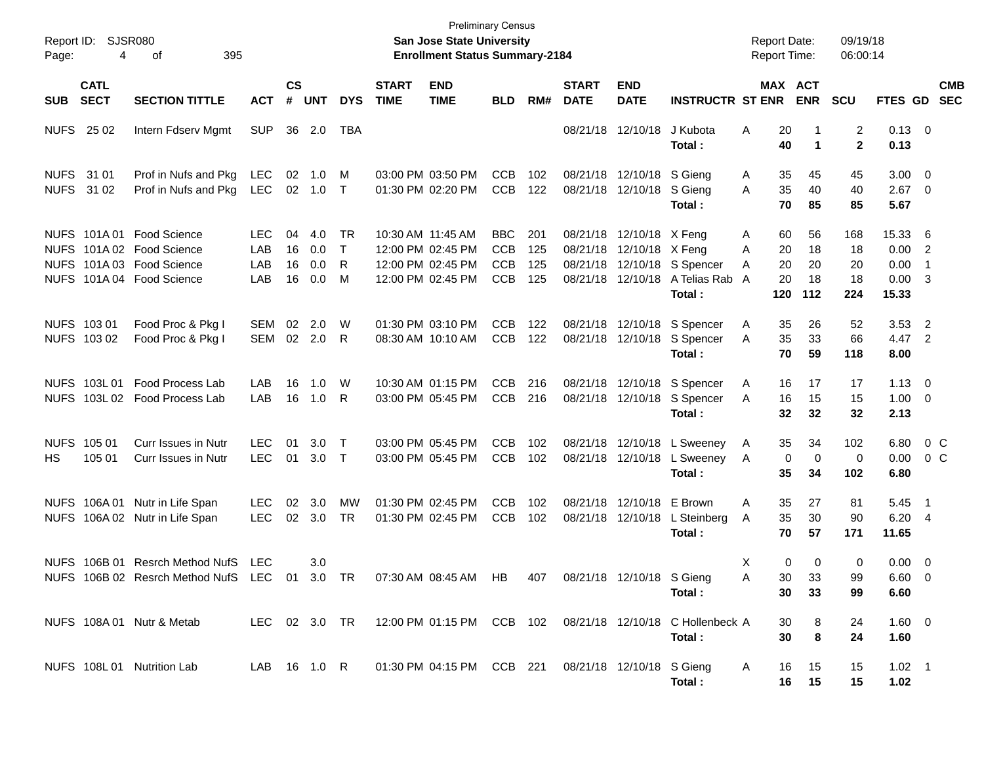| Page:      | Report ID: SJSR080<br>4    |                                                                                                                 |                           |                             |                          |                        | <b>Preliminary Census</b><br>San Jose State University<br><b>Enrollment Status Summary-2184</b> |                                                                                  |                                                      |                          |                             |                                                        | <b>Report Date:</b><br><b>Report Time:</b>                                                |                                                 | 09/19/18<br>06:00:14        |                                |                                                      |                           |  |
|------------|----------------------------|-----------------------------------------------------------------------------------------------------------------|---------------------------|-----------------------------|--------------------------|------------------------|-------------------------------------------------------------------------------------------------|----------------------------------------------------------------------------------|------------------------------------------------------|--------------------------|-----------------------------|--------------------------------------------------------|-------------------------------------------------------------------------------------------|-------------------------------------------------|-----------------------------|--------------------------------|------------------------------------------------------|---------------------------|--|
| <b>SUB</b> | <b>CATL</b><br><b>SECT</b> | <b>SECTION TITTLE</b>                                                                                           | <b>ACT</b>                | $\mathsf{cs}$<br>$\pmb{\#}$ | <b>UNT</b>               | <b>DYS</b>             | <b>START</b><br><b>TIME</b>                                                                     | <b>END</b><br><b>TIME</b>                                                        | <b>BLD</b>                                           | RM#                      | <b>START</b><br><b>DATE</b> | <b>END</b><br><b>DATE</b>                              | <b>INSTRUCTR ST ENR</b>                                                                   |                                                 | MAX ACT<br><b>ENR</b>       | <b>SCU</b>                     |                                                      | <b>CMB</b><br>FTES GD SEC |  |
| NUFS 25 02 |                            | Intern Fdserv Mgmt                                                                                              | <b>SUP</b>                | 36                          | 2.0                      | TBA                    |                                                                                                 |                                                                                  |                                                      |                          |                             | 08/21/18 12/10/18                                      | J Kubota<br>Total:                                                                        | A<br>20<br>40                                   | -1<br>$\mathbf 1$           | $\overline{2}$<br>$\mathbf{2}$ | $0.13 \quad 0$<br>0.13                               |                           |  |
| NUFS 31 01 | NUFS 31 02                 | Prof in Nufs and Pkg<br>Prof in Nufs and Pkg                                                                    | <b>LEC</b><br>LEC.        | 02                          | 1.0<br>02 1.0 T          | M                      |                                                                                                 | 03:00 PM 03:50 PM<br>01:30 PM 02:20 PM                                           | <b>CCB</b><br><b>CCB</b>                             | 102<br>122               |                             | 08/21/18 12/10/18 S Gieng<br>08/21/18 12/10/18 S Gieng | Total :                                                                                   | 35<br>A<br>35<br>A<br>70                        | 45<br>40<br>85              | 45<br>40<br>85                 | $3.00 \ 0$<br>$2.67$ 0<br>5.67                       |                           |  |
|            |                            | NUFS 101A 01 Food Science<br>NUFS 101A 02 Food Science<br>NUFS 101A03 Food Science<br>NUFS 101A 04 Food Science | LEC.<br>LAB<br>LAB<br>LAB | 04<br>16<br>16<br>16        | 4.0<br>0.0<br>0.0<br>0.0 | TR<br>$\top$<br>R<br>M |                                                                                                 | 10:30 AM 11:45 AM<br>12:00 PM 02:45 PM<br>12:00 PM 02:45 PM<br>12:00 PM 02:45 PM | <b>BBC</b><br><b>CCB</b><br><b>CCB</b><br><b>CCB</b> | 201<br>125<br>125<br>125 |                             | 08/21/18 12/10/18 X Feng<br>08/21/18 12/10/18 X Feng   | 08/21/18 12/10/18 S Spencer<br>08/21/18 12/10/18 A Telias Rab<br>Total :                  | 60<br>A<br>20<br>A<br>20<br>A<br>20<br>A<br>120 | 56<br>18<br>20<br>18<br>112 | 168<br>18<br>20<br>18<br>224   | 15.33 6<br>0.00 2<br>0.00<br>$0.00 \quad 3$<br>15.33 | $\overline{\phantom{1}}$  |  |
|            | NUFS 103 01<br>NUFS 103 02 | Food Proc & Pkg I<br>Food Proc & Pkg I                                                                          | <b>SEM</b><br>SEM         | 02                          | 2.0<br>02 2.0            | W<br>R.                |                                                                                                 | 01:30 PM 03:10 PM<br>08:30 AM 10:10 AM                                           | <b>CCB</b><br><b>CCB</b>                             | 122<br>122               |                             |                                                        | 08/21/18 12/10/18 S Spencer<br>08/21/18 12/10/18 S Spencer<br>Total :                     | A<br>35<br>35<br>A<br>70                        | 26<br>33<br>59              | 52<br>66<br>118                | $3.53$ 2<br>4.47 2<br>8.00                           |                           |  |
|            | NUFS 103L 01               | <b>Food Process Lab</b><br>NUFS 103L 02 Food Process Lab                                                        | LAB<br>LAB                | 16<br>16                    | 1.0<br>1.0               | W<br>R                 |                                                                                                 | 10:30 AM 01:15 PM<br>03:00 PM 05:45 PM                                           | <b>CCB</b><br><b>CCB</b>                             | 216<br>216               |                             |                                                        | 08/21/18 12/10/18 S Spencer<br>08/21/18 12/10/18 S Spencer<br>Total:                      | A<br>16<br>16<br>A<br>32                        | 17<br>15<br>32              | 17<br>15<br>32                 | $1.13 \ 0$<br>$1.00 \t 0$<br>2.13                    |                           |  |
| HS.        | NUFS 105 01<br>105 01      | <b>Curr Issues in Nutr</b><br>Curr Issues in Nutr                                                               | <b>LEC</b><br><b>LEC</b>  | 01<br>01                    | 3.0<br>$3.0$ T           | $\top$                 |                                                                                                 | 03:00 PM 05:45 PM<br>03:00 PM 05:45 PM                                           | <b>CCB</b><br><b>CCB</b>                             | 102<br>102               |                             | 08/21/18 12/10/18<br>08/21/18 12/10/18                 | L Sweeney<br>L Sweeney<br>Total:                                                          | 35<br>A<br>$\mathbf 0$<br>A<br>35               | 34<br>$\mathbf 0$<br>34     | 102<br>0<br>102                | 6.80<br>6.80                                         | $0\,$ C<br>$0.00 \t 0 C$  |  |
|            | NUFS 106A01                | Nutr in Life Span<br>NUFS 106A 02 Nutr in Life Span                                                             | <b>LEC</b><br><b>LEC</b>  | 02                          | 3.0<br>02 3.0            | <b>MW</b><br><b>TR</b> |                                                                                                 | 01:30 PM 02:45 PM<br>01:30 PM 02:45 PM                                           | <b>CCB</b><br><b>CCB</b>                             | 102<br>102               |                             | 08/21/18 12/10/18<br>08/21/18 12/10/18                 | E Brown<br>L Steinberg<br>Total:                                                          | 35<br>A<br>35<br>A<br>70                        | 27<br>30<br>57              | 81<br>90<br>171                | $5.45$ 1<br>6.20 4<br>11.65                          |                           |  |
|            |                            | NUFS 106B 01 Resrch Method NufS<br>NUFS 106B 02 Resrch Method NufS LEC 01                                       | LEC                       |                             | 3.0<br>3.0 TR            |                        |                                                                                                 | 07:30 AM 08:45 AM                                                                | HB                                                   | 407                      |                             | 08/21/18 12/10/18 S Gieng                              | Total :                                                                                   | 0<br>X<br>30<br>A<br>30                         | 0<br>33<br>33               | 0<br>99<br>99                  | $0.00 \t 0$<br>$6.60 \quad 0$<br>6.60                |                           |  |
|            |                            | NUFS 108A 01 Nutr & Metab                                                                                       |                           |                             |                          |                        |                                                                                                 |                                                                                  |                                                      |                          |                             |                                                        | LEC 02 3.0 TR  12:00 PM  01:15 PM  CCB  102  08/21/18  12/10/18  C Hollenbeck A<br>Total: | 30<br>30                                        | 8<br>8                      | 24<br>24                       | 1.60 0<br>1.60                                       |                           |  |
|            |                            | NUFS 108L 01 Nutrition Lab                                                                                      |                           |                             |                          |                        |                                                                                                 | 01:30 PM 04:15 PM CCB 221 08/21/18 12/10/18 S Gieng                              |                                                      |                          |                             |                                                        | Total:                                                                                    | A<br>16                                         | 15<br>16<br>15              | 15<br>15                       | $1.02$ 1<br>1.02                                     |                           |  |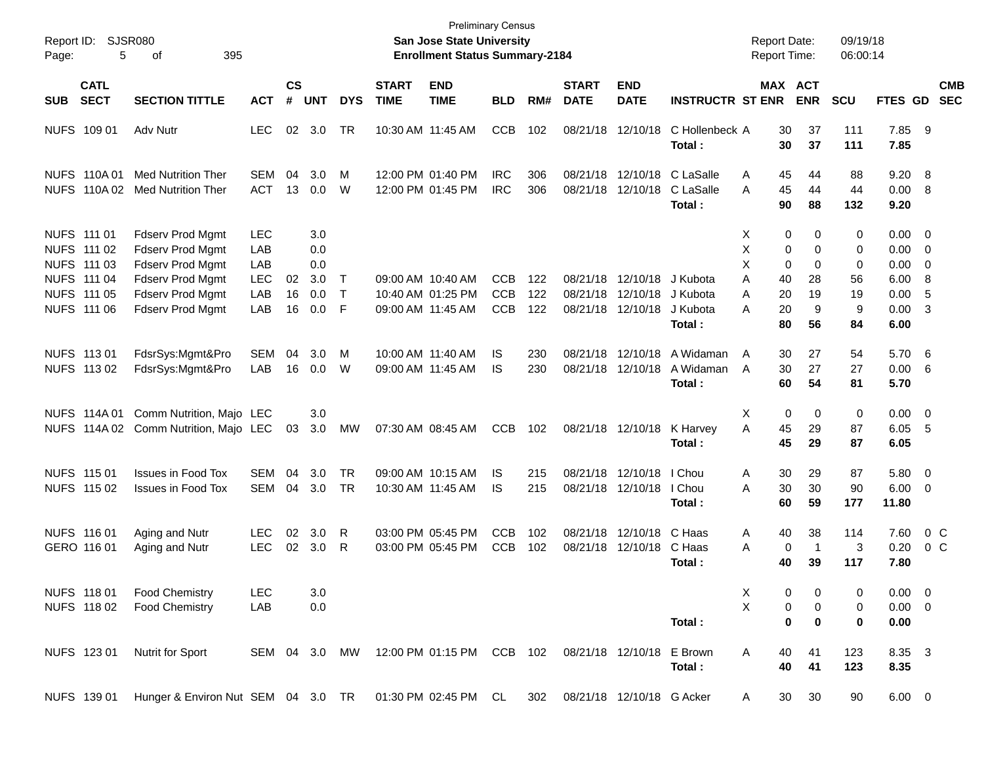| Report ID:<br>Page: | 5                                                                                      | SJSR080<br>395<br>οf                                                                                                                      |                                                      |                    |                                        |                       |                             | San Jose State University<br><b>Enrollment Status Summary-2184</b> | <b>Preliminary Census</b>              |                   |                             |                                                    |                                            | <b>Report Date:</b><br>Report Time:          |                                             | 09/19/18<br>06:00:14         |                                              |                                                                 |                          |
|---------------------|----------------------------------------------------------------------------------------|-------------------------------------------------------------------------------------------------------------------------------------------|------------------------------------------------------|--------------------|----------------------------------------|-----------------------|-----------------------------|--------------------------------------------------------------------|----------------------------------------|-------------------|-----------------------------|----------------------------------------------------|--------------------------------------------|----------------------------------------------|---------------------------------------------|------------------------------|----------------------------------------------|-----------------------------------------------------------------|--------------------------|
| <b>SUB</b>          | <b>CATL</b><br><b>SECT</b>                                                             | <b>SECTION TITTLE</b>                                                                                                                     | <b>ACT</b>                                           | $\mathsf{cs}$<br># | <b>UNT</b>                             | <b>DYS</b>            | <b>START</b><br><b>TIME</b> | <b>END</b><br><b>TIME</b>                                          | <b>BLD</b>                             | RM#               | <b>START</b><br><b>DATE</b> | <b>END</b><br><b>DATE</b>                          | <b>INSTRUCTR ST ENR</b>                    |                                              | MAX ACT<br><b>ENR</b>                       | <b>SCU</b>                   | FTES GD                                      |                                                                 | <b>CMB</b><br><b>SEC</b> |
|                     | NUFS 109 01                                                                            | Adv Nutr                                                                                                                                  | <b>LEC</b>                                           | 02                 | 3.0                                    | TR                    |                             | 10:30 AM 11:45 AM                                                  | <b>CCB</b>                             | 102               |                             | 08/21/18 12/10/18                                  | C Hollenbeck A<br>Total:                   | 30<br>30                                     | 37<br>37                                    | 111<br>111                   | 7.85 9<br>7.85                               |                                                                 |                          |
|                     | NUFS 110A 01<br>NUFS 110A 02                                                           | <b>Med Nutrition Ther</b><br><b>Med Nutrition Ther</b>                                                                                    | <b>SEM</b><br><b>ACT</b>                             | 04<br>13           | 3.0<br>0.0                             | M<br>W                |                             | 12:00 PM 01:40 PM<br>12:00 PM 01:45 PM                             | <b>IRC</b><br><b>IRC</b>               | 306<br>306        |                             | 08/21/18 12/10/18<br>08/21/18 12/10/18             | C LaSalle<br>C LaSalle<br>Total :          | 45<br>A<br>A<br>45<br>90                     | 44<br>44<br>88                              | 88<br>44<br>132              | 9.20<br>0.00<br>9.20                         | $_{8}$<br>- 8                                                   |                          |
|                     | NUFS 111 01<br>NUFS 111 02<br>NUFS 111 03<br>NUFS 111 04<br>NUFS 111 05<br>NUFS 111 06 | <b>Fdserv Prod Mgmt</b><br>Fdserv Prod Mgmt<br>Fdserv Prod Mgmt<br><b>Fdserv Prod Mgmt</b><br>Fdserv Prod Mgmt<br><b>Fdserv Prod Mgmt</b> | <b>LEC</b><br>LAB<br>LAB<br><b>LEC</b><br>LAB<br>LAB | 02<br>16<br>16     | 3.0<br>0.0<br>0.0<br>3.0<br>0.0<br>0.0 | $\top$<br>$\top$<br>F |                             | 09:00 AM 10:40 AM<br>10:40 AM 01:25 PM<br>09:00 AM 11:45 AM        | <b>CCB</b><br><b>CCB</b><br><b>CCB</b> | 122<br>122<br>122 | 08/21/18                    | 08/21/18 12/10/18<br>12/10/18<br>08/21/18 12/10/18 | J Kubota<br>J Kubota<br>J Kubota           | Χ<br>X<br>X<br>Α<br>40<br>Α<br>20<br>20<br>А | 0<br>0<br>0<br>0<br>0<br>0<br>28<br>19<br>9 | 0<br>0<br>0<br>56<br>19<br>9 | 0.00<br>0.00<br>0.00<br>6.00<br>0.00<br>0.00 | $\overline{\phantom{0}}$<br>$\overline{0}$<br>0<br>8<br>-5<br>3 |                          |
|                     | NUFS 113 01<br>NUFS 113 02                                                             | FdsrSys:Mgmt&Pro<br>FdsrSys:Mgmt&Pro                                                                                                      | SEM<br>LAB                                           | 04<br>16           | 3.0<br>0.0                             | M<br>W                |                             | 10:00 AM 11:40 AM<br>09:00 AM 11:45 AM                             | IS.<br>IS                              | 230<br>230        | 08/21/18                    | 08/21/18 12/10/18<br>12/10/18                      | Total:<br>A Widaman<br>A Widaman<br>Total: | 80<br>A<br>30<br>30<br>A<br>60               | 56<br>27<br>27<br>54                        | 84<br>54<br>27<br>81         | 6.00<br>5.70<br>0.00<br>5.70                 | $6\overline{6}$<br>- 6                                          |                          |
|                     | NUFS 114A 01                                                                           | Comm Nutrition, Majo LEC<br>NUFS 114A 02 Comm Nutrition, Majo LEC                                                                         |                                                      | 03                 | 3.0<br>3.0                             | MW                    |                             | 07:30 AM 08:45 AM                                                  | <b>CCB</b>                             | 102               |                             | 08/21/18 12/10/18                                  | K Harvey<br>Total:                         | X<br>45<br>A<br>45                           | 0<br>$\mathbf 0$<br>29<br>29                | 0<br>87<br>87                | 0.00<br>6.05<br>6.05                         | $\overline{\mathbf{0}}$<br>5                                    |                          |
|                     | NUFS 115 01<br>NUFS 115 02                                                             | <b>Issues in Food Tox</b><br><b>Issues in Food Tox</b>                                                                                    | <b>SEM</b><br>SEM                                    | 04<br>04           | 3.0<br>3.0                             | TR<br><b>TR</b>       |                             | 09:00 AM 10:15 AM<br>10:30 AM 11:45 AM                             | IS.<br>IS                              | 215<br>215        |                             | 08/21/18 12/10/18<br>08/21/18 12/10/18             | I Chou<br>I Chou<br>Total :                | Α<br>30<br>30<br>Α<br>60                     | 29<br>30<br>59                              | 87<br>90<br>177              | 5.80<br>6.00<br>11.80                        | $\overline{\mathbf{0}}$<br>$\overline{0}$                       |                          |
|                     | NUFS 116 01<br>GERO 116 01                                                             | Aging and Nutr<br>Aging and Nutr                                                                                                          | <b>LEC</b><br><b>LEC</b>                             | 02<br>02           | 3.0<br>3.0                             | R<br>R                |                             | 03:00 PM 05:45 PM<br>03:00 PM 05:45 PM                             | <b>CCB</b><br><b>CCB</b>               | 102<br>102        | 08/21/18                    | 12/10/18<br>08/21/18 12/10/18                      | C Haas<br>C Haas<br>Total :                | 40<br>Α<br>A<br>40                           | 38<br>0<br>-1<br>39                         | 114<br>3<br>117              | 7.60<br>0.20<br>7.80                         | 0 <sup>o</sup><br>0 <sup>o</sup>                                |                          |
|                     | NUFS 118 01<br>NUFS 11802                                                              | <b>Food Chemistry</b><br><b>Food Chemistry</b>                                                                                            | <b>LEC</b><br>LAB                                    |                    | 3.0<br>0.0                             |                       |                             |                                                                    |                                        |                   |                             |                                                    | Total:                                     | X<br>X                                       | 0<br>0<br>0<br>0<br>0<br>$\mathbf 0$        | 0<br>0<br>0                  | $0.00 \quad 0$<br>$0.00 \t 0$<br>0.00        |                                                                 |                          |
|                     | NUFS 123 01                                                                            | <b>Nutrit for Sport</b>                                                                                                                   | SEM 04 3.0 MW                                        |                    |                                        |                       |                             | 12:00 PM 01:15 PM CCB 102                                          |                                        |                   |                             | 08/21/18 12/10/18 E Brown                          | Total:                                     | A<br>40<br>40                                | 41<br>41                                    | 123<br>123                   | 8.35 3<br>8.35                               |                                                                 |                          |
|                     | NUFS 139 01                                                                            | Hunger & Environ Nut SEM 04 3.0 TR 01:30 PM 02:45 PM CL                                                                                   |                                                      |                    |                                        |                       |                             |                                                                    |                                        |                   |                             | 302 08/21/18 12/10/18 G Acker                      |                                            | 30<br>A                                      | 30                                          | 90                           | $6.00 \t 0$                                  |                                                                 |                          |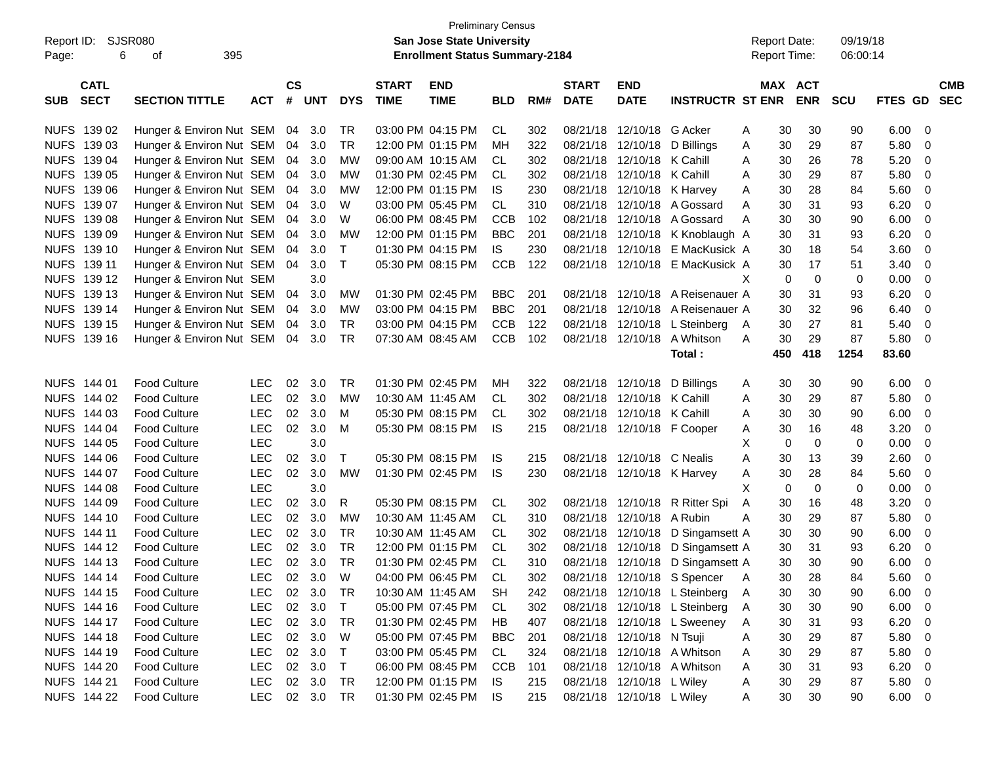|            |             |                          |            |               |            |            |                   | <b>Preliminary Census</b>             |            |     |              |                              |                                  |                     |                  |            |                |                          |
|------------|-------------|--------------------------|------------|---------------|------------|------------|-------------------|---------------------------------------|------------|-----|--------------|------------------------------|----------------------------------|---------------------|------------------|------------|----------------|--------------------------|
| Report ID: |             | SJSR080                  |            |               |            |            |                   | <b>San Jose State University</b>      |            |     |              |                              |                                  | <b>Report Date:</b> |                  | 09/19/18   |                |                          |
| Page:      | 6           | 395<br>οf                |            |               |            |            |                   | <b>Enrollment Status Summary-2184</b> |            |     |              |                              |                                  |                     | Report Time:     | 06:00:14   |                |                          |
|            |             |                          |            |               |            |            |                   |                                       |            |     |              |                              |                                  |                     |                  |            |                |                          |
|            | <b>CATL</b> |                          |            | $\mathsf{cs}$ |            |            | <b>START</b>      | <b>END</b>                            |            |     | <b>START</b> | <b>END</b>                   |                                  |                     | MAX ACT          |            |                | <b>CMB</b>               |
| <b>SUB</b> | <b>SECT</b> | <b>SECTION TITTLE</b>    | <b>ACT</b> | #             | <b>UNT</b> | <b>DYS</b> | <b>TIME</b>       | <b>TIME</b>                           | <b>BLD</b> | RM# | <b>DATE</b>  | <b>DATE</b>                  | <b>INSTRUCTR ST ENR</b>          |                     | <b>ENR</b>       | <b>SCU</b> | <b>FTES GD</b> | <b>SEC</b>               |
|            |             |                          |            |               |            |            |                   |                                       |            |     |              |                              |                                  |                     |                  |            |                |                          |
|            | NUFS 139 02 | Hunger & Environ Nut SEM |            | 04            | 3.0        | TR         |                   | 03:00 PM 04:15 PM                     | CL.        | 302 | 08/21/18     | 12/10/18 G Acker             |                                  | A                   | 30<br>30         | 90         | 6.00           | - 0                      |
|            | NUFS 139 03 | Hunger & Environ Nut SEM |            | 04            | 3.0        | TR         |                   | 12:00 PM 01:15 PM                     | мн         | 322 | 08/21/18     | 12/10/18 D Billings          |                                  | A                   | 30<br>29         | 87         | 5.80           | - 0                      |
|            | NUFS 139 04 | Hunger & Environ Nut SEM |            | 04            | 3.0        | MW         |                   | 09:00 AM 10:15 AM                     | CL.        | 302 | 08/21/18     | 12/10/18 K Cahill            |                                  | A                   | 30<br>26         | 78         | 5.20           | - 0                      |
|            | NUFS 139 05 | Hunger & Environ Nut SEM |            | 04            | 3.0        | MW         |                   | 01:30 PM 02:45 PM                     | CL         | 302 | 08/21/18     | 12/10/18 K Cahill            |                                  | A                   | 30<br>29         | 87         | 5.80           | 0                        |
|            | NUFS 139 06 | Hunger & Environ Nut SEM |            | 04            | 3.0        | MW         |                   | 12:00 PM 01:15 PM                     | IS.        | 230 | 08/21/18     | 12/10/18 K Harvey            |                                  | A                   | 30<br>28         | 84         | 5.60           | 0                        |
|            | NUFS 139 07 | Hunger & Environ Nut SEM |            | 04            | 3.0        | W          |                   | 03:00 PM 05:45 PM                     | CL         | 310 | 08/21/18     |                              | 12/10/18 A Gossard               | A                   | 30<br>31         | 93         | 6.20           | 0                        |
|            | NUFS 139 08 | Hunger & Environ Nut SEM |            | 04            | 3.0        | W          |                   | 06:00 PM 08:45 PM                     | <b>CCB</b> | 102 | 08/21/18     |                              | 12/10/18 A Gossard               | A                   | 30<br>30         | 90         | 6.00           | - 0                      |
|            | NUFS 139 09 | Hunger & Environ Nut SEM |            | 04            | 3.0        | МW         |                   | 12:00 PM 01:15 PM                     | <b>BBC</b> | 201 | 08/21/18     |                              | 12/10/18 K Knoblaugh A           |                     | 30<br>31         | 93         | 6.20           | 0                        |
|            | NUFS 139 10 | Hunger & Environ Nut SEM |            | 04            | 3.0        | Τ          |                   | 01:30 PM 04:15 PM                     | IS.        | 230 | 08/21/18     |                              | 12/10/18 E MacKusick A           |                     | 18<br>30         | 54         | 3.60           | 0                        |
|            | NUFS 139 11 | Hunger & Environ Nut SEM |            | 04            | 3.0        | Τ          |                   | 05:30 PM 08:15 PM                     | <b>CCB</b> | 122 |              |                              | 08/21/18 12/10/18 E MacKusick A  |                     | 30<br>17         | 51         | 3.40           | 0                        |
|            | NUFS 139 12 | Hunger & Environ Nut SEM |            |               | 3.0        |            |                   |                                       |            |     |              |                              |                                  | X                   | 0<br>0           | 0          | 0.00           | - 0                      |
|            | NUFS 139 13 | Hunger & Environ Nut SEM |            | 04            | 3.0        | MW         |                   | 01:30 PM 02:45 PM                     | <b>BBC</b> | 201 |              |                              | 08/21/18 12/10/18 A Reisenauer A |                     | 31<br>30         | 93         | 6.20           | - 0                      |
|            | NUFS 139 14 | Hunger & Environ Nut SEM |            | 04            | 3.0        | MW         |                   | 03:00 PM 04:15 PM                     | <b>BBC</b> | 201 | 08/21/18     |                              | 12/10/18 A Reisenauer A          |                     | 32<br>30         | 96         | 6.40           | 0                        |
|            | NUFS 139 15 | Hunger & Environ Nut SEM |            | 04            | 3.0        | <b>TR</b>  |                   | 03:00 PM 04:15 PM                     | <b>CCB</b> | 122 | 08/21/18     |                              | 12/10/18 L Steinberg             | A                   | 27<br>30         | 81         | 5.40           | 0                        |
|            | NUFS 139 16 | Hunger & Environ Nut SEM |            |               | 04 3.0     | <b>TR</b>  |                   | 07:30 AM 08:45 AM                     | <b>CCB</b> | 102 |              |                              | 08/21/18 12/10/18 A Whitson      | A                   | 29<br>30         | 87         | 5.80           | - 0                      |
|            |             |                          |            |               |            |            |                   |                                       |            |     |              |                              | Total:                           | 450                 | 418              | 1254       | 83.60          |                          |
|            |             |                          |            |               |            |            |                   |                                       |            |     |              |                              |                                  |                     |                  |            |                |                          |
|            | NUFS 144 01 | <b>Food Culture</b>      | <b>LEC</b> | 02            | 3.0        | <b>TR</b>  |                   | 01:30 PM 02:45 PM                     | MН         | 322 |              | 08/21/18 12/10/18 D Billings |                                  | A                   | 30<br>30         | 90         | 6.00           | - 0                      |
|            | NUFS 144 02 | <b>Food Culture</b>      | <b>LEC</b> | 02            | 3.0        | MW         | 10:30 AM 11:45 AM |                                       | CL.        | 302 |              | 08/21/18 12/10/18 K Cahill   |                                  | A                   | 30<br>29         | 87         | 5.80           | - 0                      |
|            | NUFS 144 03 | <b>Food Culture</b>      | <b>LEC</b> | 02            | 3.0        | M          |                   | 05:30 PM 08:15 PM                     | CL.        | 302 |              | 08/21/18 12/10/18 K Cahill   |                                  | A                   | 30<br>30         | 90         | 6.00           | 0                        |
|            | NUFS 144 04 | <b>Food Culture</b>      | <b>LEC</b> | 02            | 3.0        | м          |                   | 05:30 PM 08:15 PM                     | IS.        | 215 |              | 08/21/18 12/10/18 F Cooper   |                                  | A                   | 30<br>16         | 48         | 3.20           | 0                        |
|            | NUFS 144 05 | <b>Food Culture</b>      | <b>LEC</b> |               | 3.0        |            |                   |                                       |            |     |              |                              |                                  | Х                   | $\mathbf 0$<br>0 | 0          | 0.00           | 0                        |
|            | NUFS 144 06 | <b>Food Culture</b>      | <b>LEC</b> | 02            | 3.0        | Τ          |                   | 05:30 PM 08:15 PM                     | IS.        | 215 |              | 08/21/18 12/10/18 C Nealis   |                                  | Α                   | 30<br>13         | 39         | 2.60           | 0                        |
|            | NUFS 144 07 | <b>Food Culture</b>      | <b>LEC</b> | 02            | 3.0        | MW         |                   | 01:30 PM 02:45 PM                     | IS.        | 230 |              | 08/21/18 12/10/18 K Harvey   |                                  | A                   | 30<br>28         | 84         | 5.60           | 0                        |
|            | NUFS 144 08 | <b>Food Culture</b>      | <b>LEC</b> |               | 3.0        |            |                   |                                       |            |     |              |                              |                                  | X                   | $\mathbf 0$<br>0 | 0          | 0.00           | - 0                      |
|            | NUFS 144 09 | <b>Food Culture</b>      | <b>LEC</b> | 02            | 3.0        | R.         |                   | 05:30 PM 08:15 PM                     | CL.        | 302 |              |                              | 08/21/18 12/10/18 R Ritter Spi   | A                   | 30<br>16         | 48         | 3.20           | 0                        |
|            | NUFS 144 10 | <b>Food Culture</b>      | <b>LEC</b> | 02            | 3.0        | MW         | 10:30 AM 11:45 AM |                                       | CL.        | 310 |              | 08/21/18 12/10/18 A Rubin    |                                  | Α                   | 30<br>29         | 87         | 5.80           | 0                        |
|            | NUFS 144 11 | <b>Food Culture</b>      | <b>LEC</b> | 02            | 3.0        | <b>TR</b>  | 10:30 AM 11:45 AM |                                       | CL.        | 302 |              |                              | 08/21/18 12/10/18 D Singamsett A |                     | 30<br>30         | 90         | 6.00           | 0                        |
|            | NUFS 144 12 | <b>Food Culture</b>      | <b>LEC</b> | 02            | 3.0        | <b>TR</b>  |                   | 12:00 PM 01:15 PM                     | CL         | 302 |              |                              | 08/21/18 12/10/18 D Singamsett A |                     | 30<br>31         | 93         | 6.20           | 0                        |
|            | NUFS 144 13 | <b>Food Culture</b>      | <b>LEC</b> |               | 02 3.0     | <b>TR</b>  |                   | 01:30 PM 02:45 PM                     | CL         | 310 |              |                              | 08/21/18 12/10/18 D Singamsett A |                     | 30<br>30         | 90         | 6.00           | - 0                      |
|            | NUFS 144 14 | Food Culture             | LEC        |               | 02 3.0     | W          |                   | 04:00 PM 06:45 PM                     | <b>CL</b>  | 302 |              |                              | 08/21/18 12/10/18 S Spencer A    |                     | 30<br>28         | 84         | 5.60           | $\overline{\mathbf{0}}$  |
|            | NUFS 144 15 | Food Culture             | <b>LEC</b> |               | 02 3.0     | TR         | 10:30 AM 11:45 AM |                                       | SH         | 242 |              |                              | 08/21/18 12/10/18 L Steinberg    | A                   | 30<br>30         | 90         | 6.00           | - 0                      |
|            | NUFS 144 16 | <b>Food Culture</b>      | <b>LEC</b> |               | 02 3.0     | $\top$     |                   | 05:00 PM 07:45 PM                     | CL.        | 302 |              |                              | 08/21/18 12/10/18 L Steinberg    | A                   | 30<br>30         | 90         | 6.00           | - 0                      |
|            | NUFS 144 17 | <b>Food Culture</b>      | <b>LEC</b> |               | 02 3.0     | TR         |                   | 01:30 PM 02:45 PM                     | HB         | 407 |              |                              | 08/21/18 12/10/18 L Sweeney      | A                   | 30<br>31         | 93         | 6.20           | $\overline{\mathbf{0}}$  |
|            | NUFS 144 18 | <b>Food Culture</b>      | <b>LEC</b> |               | 02 3.0     | W          |                   | 05:00 PM 07:45 PM                     | <b>BBC</b> | 201 |              | 08/21/18 12/10/18 N Tsuji    |                                  | Α                   | 30<br>29         | 87         | 5.80           | $\overline{\mathbf{0}}$  |
|            | NUFS 144 19 | <b>Food Culture</b>      | <b>LEC</b> |               | 02 3.0     | Τ          |                   | 03:00 PM 05:45 PM                     | CL.        | 324 |              |                              | 08/21/18 12/10/18 A Whitson      | Α                   | 30<br>29         | 87         | 5.80           | $\overline{\mathbf{0}}$  |
|            | NUFS 144 20 | <b>Food Culture</b>      | <b>LEC</b> |               | 02 3.0     | $\top$     |                   | 06:00 PM 08:45 PM                     | CCB        | 101 |              |                              | 08/21/18 12/10/18 A Whitson      | Α                   | 30<br>31         | 93         | 6.20           | $\overline{\phantom{0}}$ |
|            | NUFS 144 21 | <b>Food Culture</b>      | LEC        |               | 02 3.0     | TR         |                   | 12:00 PM 01:15 PM                     | - IS       | 215 |              | 08/21/18 12/10/18 L Wiley    |                                  | A                   | 30<br>29         | 87         | 5.80 0         |                          |
|            | NUFS 144 22 | <b>Food Culture</b>      | <b>LEC</b> |               | 02 3.0     | TR         |                   | 01:30 PM 02:45 PM                     | IS.        | 215 |              | 08/21/18 12/10/18 L Wiley    |                                  |                     | 30<br>30         | 90         | $6.00 \t 0$    |                          |
|            |             |                          |            |               |            |            |                   |                                       |            |     |              |                              |                                  | A                   |                  |            |                |                          |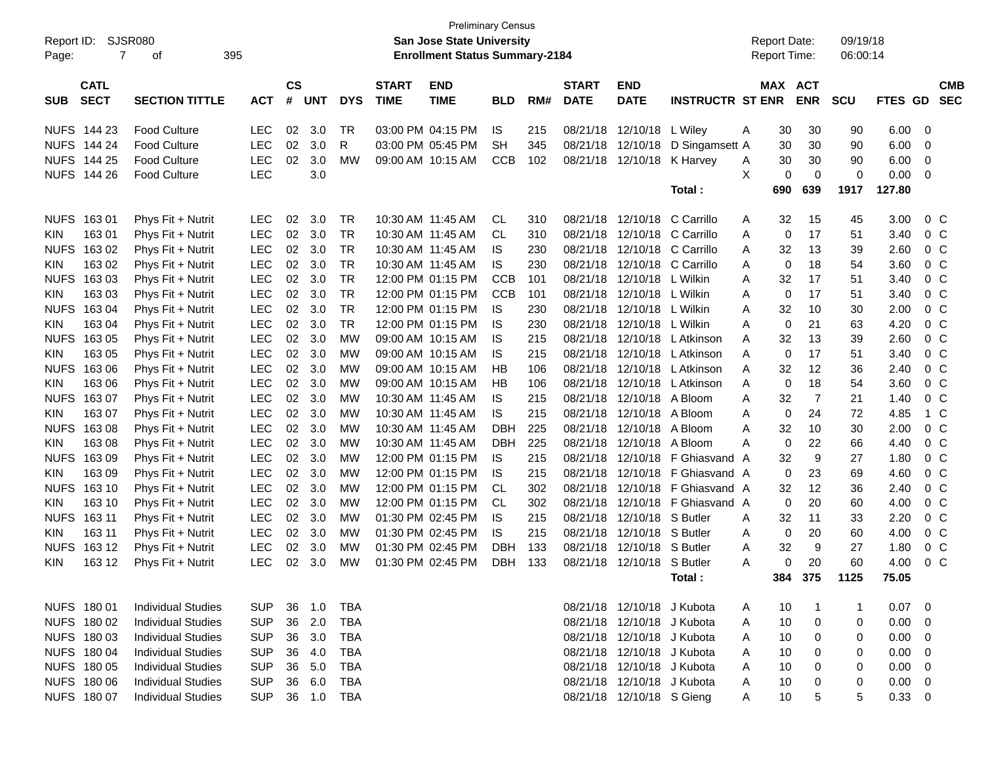|             |                                                |                           | <b>Preliminary Census</b><br><b>San Jose State University</b><br><b>Enrollment Status Summary-2184</b> |                    |            |            |                             |                           |            |     |                             |                            |                         |   |                                            |                |                      |         |                          |
|-------------|------------------------------------------------|---------------------------|--------------------------------------------------------------------------------------------------------|--------------------|------------|------------|-----------------------------|---------------------------|------------|-----|-----------------------------|----------------------------|-------------------------|---|--------------------------------------------|----------------|----------------------|---------|--------------------------|
| Page:       | <b>SJSR080</b><br>Report ID:<br>395<br>7<br>οf |                           |                                                                                                        |                    |            |            |                             |                           |            |     |                             |                            |                         |   | <b>Report Date:</b><br><b>Report Time:</b> |                | 09/19/18<br>06:00:14 |         |                          |
|             |                                                |                           |                                                                                                        |                    |            |            |                             |                           |            |     |                             |                            |                         |   |                                            |                |                      |         |                          |
| <b>SUB</b>  | <b>CATL</b><br><b>SECT</b>                     | <b>SECTION TITTLE</b>     | <b>ACT</b>                                                                                             | $\mathsf{cs}$<br># | <b>UNT</b> | <b>DYS</b> | <b>START</b><br><b>TIME</b> | <b>END</b><br><b>TIME</b> | <b>BLD</b> | RM# | <b>START</b><br><b>DATE</b> | <b>END</b><br><b>DATE</b>  | <b>INSTRUCTR ST ENR</b> |   | MAX ACT                                    | <b>ENR</b>     | <b>SCU</b>           | FTES GD | <b>CMB</b><br><b>SEC</b> |
| <b>NUFS</b> | 144 23                                         | <b>Food Culture</b>       | <b>LEC</b>                                                                                             | 02                 | 3.0        | <b>TR</b>  | 03:00 PM 04:15 PM           |                           | <b>IS</b>  | 215 | 08/21/18                    | 12/10/18                   | L Wiley                 | A | 30                                         | 30             | 90                   | 6.00    | 0                        |
| <b>NUFS</b> | 144 24                                         | <b>Food Culture</b>       | <b>LEC</b>                                                                                             | 02                 | 3.0        | R          | 03:00 PM 05:45 PM           |                           | <b>SH</b>  | 345 | 08/21/18                    | 12/10/18                   | D Singamsett A          |   | 30                                         | 30             | 90                   | 6.00    | 0                        |
| <b>NUFS</b> | 144 25                                         | <b>Food Culture</b>       | <b>LEC</b>                                                                                             | 02                 | 3.0        | <b>MW</b>  | 09:00 AM 10:15 AM           |                           | <b>CCB</b> | 102 | 08/21/18                    | 12/10/18                   | K Harvey                | A | 30                                         | 30             | 90                   | 6.00    | 0                        |
| <b>NUFS</b> | 144 26                                         | <b>Food Culture</b>       | LEC                                                                                                    |                    | 3.0        |            |                             |                           |            |     |                             |                            |                         | X | 0                                          | $\mathbf 0$    | 0                    | 0.00    | 0                        |
|             |                                                |                           |                                                                                                        |                    |            |            |                             |                           |            |     |                             |                            | Total:                  |   | 690                                        | 639            | 1917                 | 127.80  |                          |
| <b>NUFS</b> | 16301                                          | Phys Fit + Nutrit         | LEC                                                                                                    | 02                 | 3.0        | <b>TR</b>  | 10:30 AM 11:45 AM           |                           | <b>CL</b>  | 310 | 08/21/18                    | 12/10/18                   | C Carrillo              | Α | 32                                         | 15             | 45                   | 3.00    | 0 <sup>C</sup>           |
| <b>KIN</b>  | 163 01                                         | Phys Fit + Nutrit         | <b>LEC</b>                                                                                             | 02                 | 3.0        | <b>TR</b>  | 10:30 AM 11:45 AM           |                           | <b>CL</b>  | 310 | 08/21/18                    | 12/10/18                   | C Carrillo              | Α | 0                                          | 17             | 51                   | 3.40    | 0 <sup>C</sup>           |
| <b>NUFS</b> | 163 02                                         | Phys Fit + Nutrit         | <b>LEC</b>                                                                                             | 02                 | 3.0        | <b>TR</b>  | 10:30 AM 11:45 AM           |                           | <b>IS</b>  | 230 | 08/21/18                    | 12/10/18                   | C Carrillo              | Α | 32                                         | 13             | 39                   | 2.60    | 0 <sup>C</sup>           |
| <b>KIN</b>  | 163 02                                         | Phys Fit + Nutrit         | <b>LEC</b>                                                                                             | 02                 | 3.0        | <b>TR</b>  | 10:30 AM 11:45 AM           |                           | <b>IS</b>  | 230 | 08/21/18                    | 12/10/18                   | C Carrillo              | Α | 0                                          | 18             | 54                   | 3.60    | 0 <sup>C</sup>           |
| <b>NUFS</b> | 163 03                                         | Phys Fit + Nutrit         | <b>LEC</b>                                                                                             | 02                 | 3.0        | <b>TR</b>  | 12:00 PM 01:15 PM           |                           | <b>CCB</b> | 101 | 08/21/18                    | 12/10/18                   | L Wilkin                | Α | 32                                         | 17             | 51                   | 3.40    | 0 <sup>C</sup>           |
| <b>KIN</b>  | 16303                                          | Phys Fit + Nutrit         | <b>LEC</b>                                                                                             | 02                 | 3.0        | <b>TR</b>  | 12:00 PM 01:15 PM           |                           | <b>CCB</b> | 101 | 08/21/18                    | 12/10/18                   | L Wilkin                | A | 0                                          | 17             | 51                   | 3.40    | 0 <sup>C</sup>           |
| <b>NUFS</b> | 163 04                                         | Phys Fit + Nutrit         | <b>LEC</b>                                                                                             | 02                 | 3.0        | <b>TR</b>  | 12:00 PM 01:15 PM           |                           | <b>IS</b>  | 230 | 08/21/18                    | 12/10/18                   | L Wilkin                | Α | 32                                         | 10             | 30                   | 2.00    | 0 <sup>C</sup>           |
| <b>KIN</b>  | 163 04                                         | Phys Fit + Nutrit         | <b>LEC</b>                                                                                             | 02                 | 3.0        | <b>TR</b>  | 12:00 PM 01:15 PM           |                           | <b>IS</b>  | 230 | 08/21/18                    | 12/10/18                   | L Wilkin                | Α | 0                                          | 21             | 63                   | 4.20    | 0 <sup>C</sup>           |
| <b>NUFS</b> | 163 05                                         | Phys Fit + Nutrit         | <b>LEC</b>                                                                                             | 02                 | 3.0        | <b>MW</b>  | 09:00 AM 10:15 AM           |                           | <b>IS</b>  | 215 | 08/21/18                    | 12/10/18                   | L Atkinson              | Α | 32                                         | 13             | 39                   | 2.60    | 0 <sup>C</sup>           |
| <b>KIN</b>  | 163 05                                         | Phys Fit + Nutrit         | <b>LEC</b>                                                                                             | 02                 | 3.0        | <b>MW</b>  | 09:00 AM 10:15 AM           |                           | <b>IS</b>  | 215 | 08/21/18                    | 12/10/18                   | L Atkinson              | A | 0                                          | 17             | 51                   | 3.40    | 0 <sup>C</sup>           |
| <b>NUFS</b> | 163 06                                         | Phys Fit + Nutrit         | <b>LEC</b>                                                                                             | 02                 | 3.0        | <b>MW</b>  | 09:00 AM 10:15 AM           |                           | НB         | 106 | 08/21/18                    | 12/10/18                   | L Atkinson              | Α | 32                                         | 12             | 36                   | 2.40    | 0 <sup>C</sup>           |
| <b>KIN</b>  | 163 06                                         | Phys Fit + Nutrit         | <b>LEC</b>                                                                                             | 02                 | 3.0        | <b>MW</b>  | 09:00 AM 10:15 AM           |                           | HB         | 106 | 08/21/18                    | 12/10/18                   | L Atkinson              | Α | 0                                          | 18             | 54                   | 3.60    | 0 <sup>C</sup>           |
| <b>NUFS</b> | 163 07                                         | Phys Fit + Nutrit         | <b>LEC</b>                                                                                             | 02                 | 3.0        | <b>MW</b>  | 10:30 AM 11:45 AM           |                           | <b>IS</b>  | 215 | 08/21/18                    | 12/10/18                   | A Bloom                 | Α | 32                                         | $\overline{7}$ | 21                   | 1.40    | 0 <sup>C</sup>           |
| <b>KIN</b>  | 163 07                                         | Phys Fit + Nutrit         | <b>LEC</b>                                                                                             | 02                 | 3.0        | <b>MW</b>  | 10:30 AM 11:45 AM           |                           | <b>IS</b>  | 215 | 08/21/18                    | 12/10/18                   | A Bloom                 | A | 0                                          | 24             | 72                   | 4.85    | 1 C                      |
| <b>NUFS</b> | 16308                                          | Phys Fit + Nutrit         | <b>LEC</b>                                                                                             | 02                 | 3.0        | <b>MW</b>  | 10:30 AM 11:45 AM           |                           | <b>DBH</b> | 225 | 08/21/18                    | 12/10/18                   | A Bloom                 | A | 32                                         | 10             | 30                   | 2.00    | 0 <sup>C</sup>           |
| <b>KIN</b>  | 16308                                          | Phys Fit + Nutrit         | <b>LEC</b>                                                                                             | 02                 | 3.0        | <b>MW</b>  | 10:30 AM 11:45 AM           |                           | <b>DBH</b> | 225 | 08/21/18                    | 12/10/18                   | A Bloom                 | A | 0                                          | 22             | 66                   | 4.40    | 0 <sup>C</sup>           |
| <b>NUFS</b> | 163 09                                         | Phys Fit + Nutrit         | <b>LEC</b>                                                                                             | 02                 | 3.0        | <b>MW</b>  | 12:00 PM 01:15 PM           |                           | <b>IS</b>  | 215 | 08/21/18                    | 12/10/18                   | F Ghiasvand A           |   | 32                                         | 9              | 27                   | 1.80    | 0 <sup>C</sup>           |
| <b>KIN</b>  | 163 09                                         | Phys Fit + Nutrit         | <b>LEC</b>                                                                                             | 02                 | 3.0        | <b>MW</b>  | 12:00 PM 01:15 PM           |                           | <b>IS</b>  | 215 | 08/21/18                    | 12/10/18                   | F Ghiasvand A           |   | 0                                          | 23             | 69                   | 4.60    | 0 <sup>C</sup>           |
| <b>NUFS</b> | 163 10                                         | Phys Fit + Nutrit         | <b>LEC</b>                                                                                             | 02                 | 3.0        | <b>MW</b>  | 12:00 PM 01:15 PM           |                           | CL         | 302 | 08/21/18                    | 12/10/18                   | F Ghiasvand A           |   | 32                                         | 12             | 36                   | 2.40    | 0 <sup>C</sup>           |
| <b>KIN</b>  | 163 10                                         | Phys Fit + Nutrit         | <b>LEC</b>                                                                                             | 02                 | 3.0        | <b>MW</b>  | 12:00 PM 01:15 PM           |                           | <b>CL</b>  | 302 | 08/21/18                    | 12/10/18                   | F Ghiasvand A           |   | 0                                          | 20             | 60                   | 4.00    | 0 <sup>C</sup>           |
| <b>NUFS</b> | 163 11                                         | Phys Fit + Nutrit         | <b>LEC</b>                                                                                             | 02                 | 3.0        | <b>MW</b>  | 01:30 PM 02:45 PM           |                           | <b>IS</b>  | 215 | 08/21/18                    | 12/10/18                   | S Butler                | Α | 32                                         | 11             | 33                   | 2.20    | 0 <sup>C</sup>           |
| <b>KIN</b>  | 163 11                                         | Phys Fit + Nutrit         | <b>LEC</b>                                                                                             | 02                 | 3.0        | <b>MW</b>  | 01:30 PM 02:45 PM           |                           | <b>IS</b>  | 215 | 08/21/18                    | 12/10/18                   | S Butler                | Α | 0                                          | 20             | 60                   | 4.00    | 0 <sup>C</sup>           |
| <b>NUFS</b> | 163 12                                         | Phys Fit + Nutrit         | <b>LEC</b>                                                                                             | 02                 | 3.0        | МW         | 01:30 PM 02:45 PM           |                           | <b>DBH</b> | 133 | 08/21/18                    | 12/10/18                   | S Butler                | Α | 32                                         | 9              | 27                   | 1.80    | $0\,C$                   |
| KIN.        | 163 12                                         | Phys Fit + Nutrit         | <b>LEC</b>                                                                                             | 02                 | 3.0        | МW         | 01:30 PM 02:45 PM           |                           | <b>DBH</b> | 133 | 08/21/18                    | 12/10/18                   | S Butler                | A | 0                                          | 20             | 60                   | 4.00    | 0 <sup>C</sup>           |
|             |                                                |                           |                                                                                                        |                    |            |            |                             |                           |            |     |                             |                            | Total:                  |   | 384                                        | 375            | 1125                 | 75.05   |                          |
|             | NUFS 180 01                                    | <b>Individual Studies</b> | <b>SUP</b>                                                                                             | 36                 | 1.0        | <b>TBA</b> |                             |                           |            |     |                             | 08/21/18 12/10/18 J Kubota |                         | A | 10                                         | $\mathbf 1$    | -1                   | 0.07    | $\overline{\phantom{0}}$ |
|             | NUFS 180 02                                    | <b>Individual Studies</b> | <b>SUP</b>                                                                                             | 36                 | 2.0        | <b>TBA</b> |                             |                           |            |     | 08/21/18                    | 12/10/18 J Kubota          |                         | A | 10                                         | 0              | 0                    | 0.00    | 0                        |
|             | NUFS 180 03                                    | <b>Individual Studies</b> | <b>SUP</b>                                                                                             |                    | 36 3.0     | TBA        |                             |                           |            |     |                             | 08/21/18 12/10/18 J Kubota |                         | A | 10                                         | 0              | 0                    | 0.00    | 0                        |
|             | NUFS 180 04                                    | <b>Individual Studies</b> | <b>SUP</b>                                                                                             | 36                 | 4.0        | TBA        |                             |                           |            |     | 08/21/18                    | 12/10/18 J Kubota          |                         | A | 10                                         | 0              | 0                    | 0.00    | 0                        |
|             | NUFS 180 05                                    | <b>Individual Studies</b> | <b>SUP</b>                                                                                             | 36                 | 5.0        | TBA        |                             |                           |            |     | 08/21/18                    | 12/10/18 J Kubota          |                         | A | 10                                         | 0              | 0                    | 0.00    | 0                        |
|             | NUFS 180 06                                    | <b>Individual Studies</b> | <b>SUP</b>                                                                                             |                    | 36 6.0     | TBA        |                             |                           |            |     | 08/21/18                    | 12/10/18 J Kubota          |                         | A | 10                                         | 0              | 0                    | 0.00    | 0                        |
|             | NUFS 180 07                                    | <b>Individual Studies</b> | <b>SUP</b>                                                                                             |                    | 36 1.0     | TBA        |                             |                           |            |     |                             | 08/21/18 12/10/18 S Gieng  |                         | A | 10                                         | 5              | 5                    | 0.33    | $\mathbf 0$              |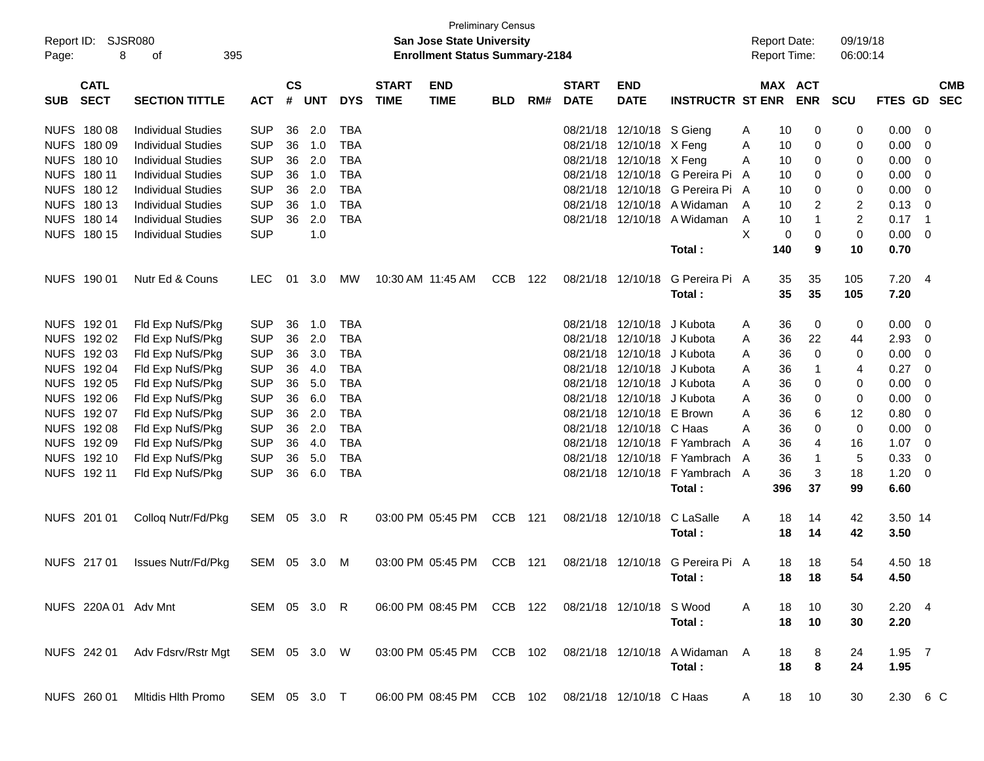| Page:      | Report ID: SJSR080<br>8    | 395<br>оf                      |              |                |            |            |                             | <b>San Jose State University</b><br><b>Enrollment Status Summary-2184</b> | <b>Preliminary Census</b> |     |                             |                            |                                  |   |             | <b>Report Date:</b><br><b>Report Time:</b> | 09/19/18<br>06:00:14 |                |                            |            |
|------------|----------------------------|--------------------------------|--------------|----------------|------------|------------|-----------------------------|---------------------------------------------------------------------------|---------------------------|-----|-----------------------------|----------------------------|----------------------------------|---|-------------|--------------------------------------------|----------------------|----------------|----------------------------|------------|
| <b>SUB</b> | <b>CATL</b><br><b>SECT</b> | <b>SECTION TITTLE</b>          | <b>ACT</b>   | <b>CS</b><br># | <b>UNT</b> | <b>DYS</b> | <b>START</b><br><b>TIME</b> | <b>END</b><br><b>TIME</b>                                                 | <b>BLD</b>                | RM# | <b>START</b><br><b>DATE</b> | <b>END</b><br><b>DATE</b>  | <b>INSTRUCTR ST ENR</b>          |   |             | MAX ACT<br><b>ENR</b>                      | <b>SCU</b>           | FTES GD SEC    |                            | <b>CMB</b> |
|            | NUFS 180 08                | <b>Individual Studies</b>      | <b>SUP</b>   | 36             | 2.0        | <b>TBA</b> |                             |                                                                           |                           |     |                             | 08/21/18 12/10/18 S Gieng  |                                  | Α | 10          | 0                                          | 0                    | 0.00           | - 0                        |            |
|            | NUFS 180 09                | <b>Individual Studies</b>      | <b>SUP</b>   | 36             | 1.0        | <b>TBA</b> |                             |                                                                           |                           |     |                             | 08/21/18 12/10/18 X Feng   |                                  | Α | 10          | 0                                          | 0                    | 0.00           | - 0                        |            |
|            | NUFS 180 10                | <b>Individual Studies</b>      | <b>SUP</b>   | 36             | 2.0        | <b>TBA</b> |                             |                                                                           |                           |     |                             | 08/21/18 12/10/18 X Feng   |                                  | Α | 10          | 0                                          | 0                    | 0.00           | $\overline{0}$             |            |
|            | NUFS 180 11                | <b>Individual Studies</b>      | <b>SUP</b>   | 36             | 1.0        | <b>TBA</b> |                             |                                                                           |                           |     |                             |                            | 08/21/18 12/10/18 G Pereira Pi   | A | 10          | 0                                          | 0                    | 0.00           | $\overline{0}$             |            |
|            | NUFS 180 12                | <b>Individual Studies</b>      | <b>SUP</b>   | 36             | 2.0        | <b>TBA</b> |                             |                                                                           |                           |     |                             |                            | 08/21/18 12/10/18 G Pereira Pi A |   | 10          | 0                                          | 0                    | 0.00           | $\overline{0}$             |            |
|            | NUFS 180 13                | <b>Individual Studies</b>      | <b>SUP</b>   | 36             | 1.0        | <b>TBA</b> |                             |                                                                           |                           |     |                             |                            | 08/21/18 12/10/18 A Widaman      | A | 10          | 2                                          | $\overline{c}$       | 0.13           | $\overline{0}$             |            |
|            | NUFS 180 14                | <b>Individual Studies</b>      | <b>SUP</b>   | 36             | 2.0        | <b>TBA</b> |                             |                                                                           |                           |     |                             |                            | 08/21/18 12/10/18 A Widaman      | Α | 10          |                                            | $\overline{c}$       | 0.17           | $\overline{\phantom{0}}$ 1 |            |
|            | NUFS 180 15                | <b>Individual Studies</b>      | <b>SUP</b>   |                | 1.0        |            |                             |                                                                           |                           |     |                             |                            |                                  | X | $\mathbf 0$ | $\mathbf 0$                                | $\mathbf 0$          | 0.00           | $\overline{\mathbf{0}}$    |            |
|            |                            |                                |              |                |            |            |                             |                                                                           |                           |     |                             |                            | Total:                           |   | 140         | 9                                          | 10                   | 0.70           |                            |            |
|            | NUFS 190 01                | Nutr Ed & Couns                | <b>LEC</b>   | 01             | 3.0        | МW         |                             | 10:30 AM 11:45 AM                                                         | <b>CCB</b>                | 122 |                             | 08/21/18 12/10/18          | G Pereira Pi A                   |   | 35          | 35                                         | 105                  | 7.20           | $\overline{4}$             |            |
|            |                            |                                |              |                |            |            |                             |                                                                           |                           |     |                             |                            | Total:                           |   | 35          | 35                                         | 105                  | 7.20           |                            |            |
|            | NUFS 192 01                | Fld Exp NufS/Pkg               | <b>SUP</b>   | 36             | 1.0        | <b>TBA</b> |                             |                                                                           |                           |     |                             | 08/21/18 12/10/18          | J Kubota                         | A | 36          | 0                                          | 0                    | 0.00           | $\overline{\mathbf{0}}$    |            |
|            | NUFS 192 02                | Fld Exp NufS/Pkg               | <b>SUP</b>   | 36             | 2.0        | <b>TBA</b> |                             |                                                                           |                           |     |                             | 08/21/18 12/10/18 J Kubota |                                  | A | 36          | 22                                         | 44                   | 2.93           | $\overline{0}$             |            |
|            | NUFS 192 03                | Fld Exp NufS/Pkg               | <b>SUP</b>   | 36             | 3.0        | <b>TBA</b> |                             |                                                                           |                           |     |                             | 08/21/18 12/10/18 J Kubota |                                  | A | 36          | $\mathbf 0$                                | 0                    | 0.00           | $\overline{0}$             |            |
|            | NUFS 192 04                | Fld Exp NufS/Pkg               | <b>SUP</b>   | 36             | 4.0        | <b>TBA</b> |                             |                                                                           |                           |     |                             | 08/21/18 12/10/18 J Kubota |                                  | A | 36          | -1                                         | 4                    | 0.27           | $\overline{0}$             |            |
|            | NUFS 192 05                | Fld Exp NufS/Pkg               | <b>SUP</b>   | 36             | 5.0        | <b>TBA</b> |                             |                                                                           |                           |     |                             | 08/21/18 12/10/18 J Kubota |                                  | A | 36          | 0                                          | 0                    | 0.00           | $\overline{0}$             |            |
|            | NUFS 192 06                | Fld Exp NufS/Pkg               | <b>SUP</b>   | 36             | 6.0        | <b>TBA</b> |                             |                                                                           |                           |     |                             | 08/21/18 12/10/18 J Kubota |                                  | A | 36          | 0                                          | 0                    | 0.00           | 0                          |            |
|            | NUFS 192 07                | Fld Exp NufS/Pkg               | <b>SUP</b>   | 36             | 2.0        | <b>TBA</b> |                             |                                                                           |                           |     |                             | 08/21/18 12/10/18 E Brown  |                                  | Α | 36          | 6                                          | 12                   | 0.80           | $\overline{0}$             |            |
|            | NUFS 192 08                | Fld Exp NufS/Pkg               | <b>SUP</b>   | 36             | 2.0        | <b>TBA</b> |                             |                                                                           |                           |     |                             | 08/21/18 12/10/18 C Haas   |                                  | A | 36          | 0                                          | 0                    | 0.00           | $\overline{0}$             |            |
|            | NUFS 192 09                | Fld Exp NufS/Pkg               | <b>SUP</b>   | 36             | 4.0        | <b>TBA</b> |                             |                                                                           |                           |     |                             |                            | 08/21/18 12/10/18 F Yambrach     | A | 36          | 4                                          | 16                   | 1.07           | $\overline{0}$             |            |
|            | NUFS 192 10                | Fld Exp NufS/Pkg               | <b>SUP</b>   | 36             | 5.0        | <b>TBA</b> |                             |                                                                           |                           |     |                             |                            | 08/21/18 12/10/18 F Yambrach     | A | 36          | -1                                         | 5                    | 0.33           | $\overline{0}$             |            |
|            | NUFS 192 11                | Fld Exp NufS/Pkg               | <b>SUP</b>   | 36             | 6.0        | <b>TBA</b> |                             |                                                                           |                           |     |                             |                            | 08/21/18 12/10/18 F Yambrach A   |   | 36          | 3                                          | 18                   | 1.20           | $\overline{\mathbf{0}}$    |            |
|            |                            |                                |              |                |            |            |                             |                                                                           |                           |     |                             |                            | Total:                           |   | 396         | 37                                         | 99                   | 6.60           |                            |            |
|            | NUFS 201 01                | Colloq Nutr/Fd/Pkg             | SEM 05 3.0   |                |            | -R         |                             | 03:00 PM 05:45 PM                                                         | CCB 121                   |     |                             | 08/21/18 12/10/18          | C LaSalle                        | A | 18          | 14                                         | 42                   | 3.50 14        |                            |            |
|            |                            |                                |              |                |            |            |                             |                                                                           |                           |     |                             |                            | Total:                           |   | 18          | 14                                         | 42                   | 3.50           |                            |            |
|            | NUFS 217 01                | <b>Issues Nutr/Fd/Pkg</b>      | SEM 05 3.0   |                |            | M          |                             | 03:00 PM 05:45 PM                                                         | CCB 121                   |     |                             |                            | 08/21/18 12/10/18 G Pereira Pi A |   | 18          | 18                                         | 54                   | 4.50 18        |                            |            |
|            |                            |                                |              |                |            |            |                             |                                                                           |                           |     |                             |                            | Total:                           |   |             | 18 18                                      | 54                   | 4.50           |                            |            |
|            |                            | NUFS 220A 01 Adv Mnt           | SEM 05 3.0 R |                |            |            |                             | 06:00 PM 08:45 PM CCB 122                                                 |                           |     |                             | 08/21/18 12/10/18 S Wood   |                                  | A | 18          | 10                                         | 30                   | $2.20 \quad 4$ |                            |            |
|            |                            |                                |              |                |            |            |                             |                                                                           |                           |     |                             |                            | Total:                           |   | 18          | 10                                         | 30                   | 2.20           |                            |            |
|            |                            | NUFS 242 01 Adv Fdsrv/Rstr Mgt | SEM 05 3.0 W |                |            |            |                             | 03:00 PM 05:45 PM CCB 102                                                 |                           |     |                             |                            | 08/21/18 12/10/18 A Widaman A    |   | 18          | 8                                          | 24                   | $1.95$ 7       |                            |            |
|            |                            |                                |              |                |            |            |                             |                                                                           |                           |     |                             |                            | Total:                           |   | 18          | 8                                          | 24                   | 1.95           |                            |            |
|            | NUFS 260 01                | <b>Mitidis Hith Promo</b>      | SEM 05 3.0 T |                |            |            |                             | 06:00 PM 08:45 PM CCB 102                                                 |                           |     |                             | 08/21/18 12/10/18 C Haas   |                                  | A |             | 18 10                                      | 30                   | 2.30 6 C       |                            |            |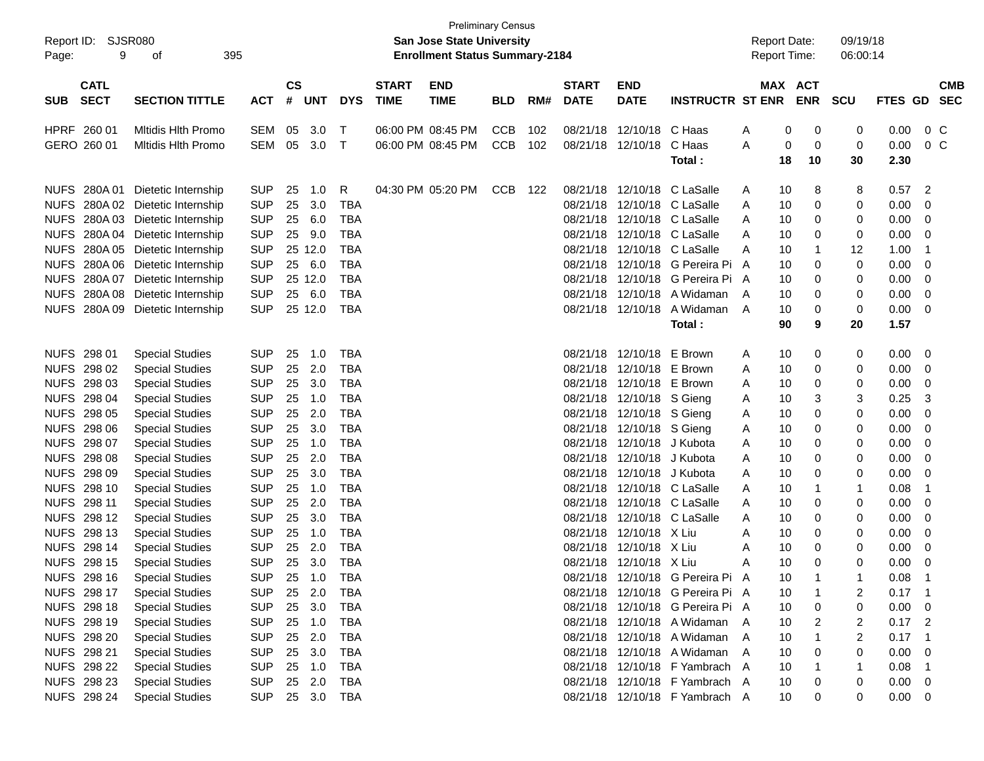| Report ID:<br>9<br>Page:                 | SJSR080<br>395<br>оf             |            |                |            |            |                             | <b>Preliminary Census</b><br>San Jose State University<br><b>Enrollment Status Summary-2184</b> |            |     |                             |                            |                                  | <b>Report Date:</b><br><b>Report Time:</b> |    |             | 09/19/18<br>06:00:14 |             |                |            |
|------------------------------------------|----------------------------------|------------|----------------|------------|------------|-----------------------------|-------------------------------------------------------------------------------------------------|------------|-----|-----------------------------|----------------------------|----------------------------------|--------------------------------------------|----|-------------|----------------------|-------------|----------------|------------|
| <b>CATL</b><br><b>SECT</b><br><b>SUB</b> | <b>SECTION TITTLE</b>            | <b>ACT</b> | <b>CS</b><br># | <b>UNT</b> | <b>DYS</b> | <b>START</b><br><b>TIME</b> | <b>END</b><br><b>TIME</b>                                                                       | <b>BLD</b> | RM# | <b>START</b><br><b>DATE</b> | <b>END</b><br><b>DATE</b>  | <b>INSTRUCTR ST ENR</b>          | MAX ACT                                    |    | <b>ENR</b>  | <b>SCU</b>           | FTES GD SEC |                | <b>CMB</b> |
| HPRF 260 01                              | <b>Mitidis Hith Promo</b>        | SEM        | 05             | 3.0        | $\top$     |                             | 06:00 PM 08:45 PM                                                                               | <b>CCB</b> | 102 | 08/21/18                    | 12/10/18                   | C Haas                           | A                                          | 0  | 0           | 0                    | 0.00        | 0 <sup>C</sup> |            |
| GERO 260 01                              | <b>Mitidis Hith Promo</b>        | <b>SEM</b> | 05             | 3.0        | $\top$     |                             | 06:00 PM 08:45 PM                                                                               | <b>CCB</b> | 102 |                             | 08/21/18 12/10/18          | C Haas                           | A                                          | 0  | $\mathbf 0$ | 0                    | 0.00        | 0 <sup>o</sup> |            |
|                                          |                                  |            |                |            |            |                             |                                                                                                 |            |     |                             |                            | Total:                           |                                            | 18 | 10          | 30                   | 2.30        |                |            |
| NUFS 280A 01                             | Dietetic Internship              | <b>SUP</b> | 25             | 1.0        | R          |                             | 04:30 PM 05:20 PM                                                                               | CCB 122    |     | 08/21/18                    | 12/10/18                   | C LaSalle                        | A                                          | 10 | 8           | 8                    | 0.57        | 2              |            |
| NUFS 280A02                              | Dietetic Internship              | <b>SUP</b> | 25             | 3.0        | <b>TBA</b> |                             |                                                                                                 |            |     | 08/21/18                    |                            | 12/10/18 C LaSalle               | A                                          | 10 | 0           | 0                    | 0.00        | 0              |            |
| NUFS 280A03                              | Dietetic Internship              | <b>SUP</b> | 25             | 6.0        | <b>TBA</b> |                             |                                                                                                 |            |     | 08/21/18                    |                            | 12/10/18 C LaSalle               | A                                          | 10 | 0           | 0                    | 0.00        | 0              |            |
|                                          | NUFS 280A 04 Dietetic Internship | <b>SUP</b> | 25             | 9.0        | <b>TBA</b> |                             |                                                                                                 |            |     | 08/21/18                    |                            | 12/10/18 C LaSalle               | A                                          | 10 | 0           | 0                    | 0.00        | 0              |            |
|                                          | NUFS 280A 05 Dietetic Internship | <b>SUP</b> | 25 12.0        |            | <b>TBA</b> |                             |                                                                                                 |            |     | 08/21/18                    |                            | 12/10/18 C LaSalle               | A                                          | 10 | 1           | 12                   | 1.00        | -1             |            |
|                                          | NUFS 280A 06 Dietetic Internship | <b>SUP</b> | 25 6.0         |            | <b>TBA</b> |                             |                                                                                                 |            |     | 08/21/18                    |                            | 12/10/18 G Pereira Pi A          |                                            | 10 | 0           | 0                    | 0.00        | 0              |            |
| NUFS 280A 07                             | Dietetic Internship              | <b>SUP</b> | 25 12.0        |            | <b>TBA</b> |                             |                                                                                                 |            |     | 08/21/18                    |                            | 12/10/18 G Pereira Pi A          |                                            | 10 | 0           | 0                    | 0.00        | 0              |            |
| <b>NUFS 280A08</b>                       | Dietetic Internship              | <b>SUP</b> | 25             | 6.0        | <b>TBA</b> |                             |                                                                                                 |            |     | 08/21/18                    | 12/10/18                   | A Widaman                        | A                                          | 10 | 0           | 0                    | 0.00        | 0              |            |
|                                          | NUFS 280A 09 Dietetic Internship | <b>SUP</b> | 25 12.0        |            | <b>TBA</b> |                             |                                                                                                 |            |     |                             | 08/21/18 12/10/18          | A Widaman                        | A                                          | 10 | 0           | 0                    | 0.00        | 0              |            |
|                                          |                                  |            |                |            |            |                             |                                                                                                 |            |     |                             |                            | Total:                           |                                            | 90 | 9           | 20                   | 1.57        |                |            |
| NUFS 298 01                              | <b>Special Studies</b>           | <b>SUP</b> | 25             | 1.0        | TBA        |                             |                                                                                                 |            |     | 08/21/18                    | 12/10/18                   | E Brown                          | A                                          | 10 | 0           | 0                    | 0.00        | 0              |            |
| NUFS 298 02                              | <b>Special Studies</b>           | <b>SUP</b> | 25             | 2.0        | <b>TBA</b> |                             |                                                                                                 |            |     | 08/21/18                    | 12/10/18                   | E Brown                          | A                                          | 10 | 0           | 0                    | 0.00        | 0              |            |
| NUFS 298 03                              | <b>Special Studies</b>           | <b>SUP</b> | 25             | 3.0        | <b>TBA</b> |                             |                                                                                                 |            |     | 08/21/18                    | 12/10/18                   | E Brown                          | A                                          | 10 | 0           | 0                    | 0.00        | 0              |            |
| NUFS 298 04                              | <b>Special Studies</b>           | <b>SUP</b> | 25             | 1.0        | <b>TBA</b> |                             |                                                                                                 |            |     | 08/21/18                    | 12/10/18 S Gieng           |                                  | A                                          | 10 | 3           | 3                    | 0.25        | 3              |            |
| NUFS 298 05                              | <b>Special Studies</b>           | <b>SUP</b> | 25             | 2.0        | <b>TBA</b> |                             |                                                                                                 |            |     |                             | 08/21/18 12/10/18 S Gieng  |                                  | A                                          | 10 | 0           | 0                    | 0.00        | 0              |            |
| NUFS 298 06                              | <b>Special Studies</b>           | <b>SUP</b> | 25             | 3.0        | <b>TBA</b> |                             |                                                                                                 |            |     |                             | 08/21/18 12/10/18 S Gieng  |                                  | A                                          | 10 | 0           | 0                    | 0.00        | 0              |            |
| NUFS 298 07                              | <b>Special Studies</b>           | <b>SUP</b> | 25             | 1.0        | <b>TBA</b> |                             |                                                                                                 |            |     |                             | 08/21/18 12/10/18 J Kubota |                                  | A                                          | 10 | 0           | 0                    | 0.00        | 0              |            |
| NUFS 298 08                              | <b>Special Studies</b>           | <b>SUP</b> | 25             | 2.0        | <b>TBA</b> |                             |                                                                                                 |            |     | 08/21/18                    | 12/10/18                   | J Kubota                         | A                                          | 10 | 0           | 0                    | 0.00        | 0              |            |
| NUFS 298 09                              | <b>Special Studies</b>           | <b>SUP</b> | 25             | 3.0        | <b>TBA</b> |                             |                                                                                                 |            |     | 08/21/18                    | 12/10/18 J Kubota          |                                  | Α                                          | 10 | 0           | 0                    | 0.00        | 0              |            |
| NUFS 298 10                              | <b>Special Studies</b>           | <b>SUP</b> | 25             | 1.0        | <b>TBA</b> |                             |                                                                                                 |            |     | 08/21/18                    |                            | 12/10/18 C LaSalle               | Α                                          | 10 | 1           | 1                    | 0.08        | -1             |            |
| NUFS 298 11                              | <b>Special Studies</b>           | <b>SUP</b> | 25             | 2.0        | <b>TBA</b> |                             |                                                                                                 |            |     | 08/21/18                    |                            | 12/10/18 C LaSalle               | Α                                          | 10 | 0           | 0                    | 0.00        | 0              |            |
| NUFS 298 12                              | <b>Special Studies</b>           | <b>SUP</b> | 25             | 3.0        | <b>TBA</b> |                             |                                                                                                 |            |     | 08/21/18                    |                            | 12/10/18 C LaSalle               | A                                          | 10 | 0           | 0                    | 0.00        | 0              |            |
| NUFS 298 13                              | <b>Special Studies</b>           | <b>SUP</b> | 25             | 1.0        | <b>TBA</b> |                             |                                                                                                 |            |     | 08/21/18                    | 12/10/18 X Liu             |                                  | A                                          | 10 | 0           | 0                    | 0.00        | 0              |            |
| NUFS 298 14                              | <b>Special Studies</b>           | <b>SUP</b> | 25             | 2.0        | <b>TBA</b> |                             |                                                                                                 |            |     | 08/21/18                    | 12/10/18                   | X Liu                            | A                                          | 10 | 0           | 0                    | 0.00        | 0              |            |
| NUFS 298 15                              | <b>Special Studies</b>           | <b>SUP</b> | 25             | 3.0        | <b>TBA</b> |                             |                                                                                                 |            |     |                             | 08/21/18 12/10/18 X Liu    |                                  | Α                                          | 10 | $\Omega$    | 0                    | 0.00        | 0              |            |
| NUFS 298 16                              | <b>Special Studies</b>           | SUP        | 25             | 1.0        | TBA        |                             |                                                                                                 |            |     |                             |                            | 08/21/18 12/10/18 G Pereira Pi A |                                            | 10 |             |                      | 0.08        | -1             |            |
| NUFS 298 17                              | <b>Special Studies</b>           | <b>SUP</b> | 25 2.0         |            | TBA        |                             |                                                                                                 |            |     |                             |                            | 08/21/18 12/10/18 G Pereira Pi A |                                            | 10 |             | 2                    | 0.17        | - 1            |            |
| NUFS 298 18                              | <b>Special Studies</b>           | <b>SUP</b> | 25 3.0         |            | TBA        |                             |                                                                                                 |            |     |                             |                            | 08/21/18 12/10/18 G Pereira Pi A |                                            | 10 | 0           | 0                    | 0.00        | 0              |            |
| NUFS 298 19                              | <b>Special Studies</b>           | <b>SUP</b> | 25 1.0         |            | TBA        |                             |                                                                                                 |            |     |                             |                            | 08/21/18 12/10/18 A Widaman A    |                                            | 10 | 2           | 2                    | 0.17        | 2              |            |
| <b>NUFS 298 20</b>                       | <b>Special Studies</b>           | <b>SUP</b> | 25 2.0         |            | TBA        |                             |                                                                                                 |            |     |                             |                            | 08/21/18 12/10/18 A Widaman A    |                                            | 10 |             | 2                    | 0.17        | -1             |            |
| NUFS 298 21                              | <b>Special Studies</b>           | <b>SUP</b> | 25             | 3.0        | TBA        |                             |                                                                                                 |            |     |                             |                            | 08/21/18 12/10/18 A Widaman      | A                                          | 10 | 0           | 0                    | 0.00        | 0              |            |
| <b>NUFS 298 22</b>                       | <b>Special Studies</b>           | <b>SUP</b> | 25 1.0         |            | TBA        |                             |                                                                                                 |            |     |                             |                            | 08/21/18 12/10/18 F Yambrach A   |                                            | 10 |             | 1                    | 0.08        | -1             |            |
| NUFS 298 23                              | <b>Special Studies</b>           | <b>SUP</b> | 25 2.0         |            | TBA        |                             |                                                                                                 |            |     |                             |                            | 08/21/18 12/10/18 F Yambrach A   |                                            | 10 | 0           | 0                    | 0.00        | 0              |            |
| <b>NUFS 298 24</b>                       | <b>Special Studies</b>           | <b>SUP</b> | 25 3.0 TBA     |            |            |                             |                                                                                                 |            |     |                             |                            | 08/21/18 12/10/18 F Yambrach A   |                                            | 10 | 0           | 0                    | $0.00 \t 0$ |                |            |
|                                          |                                  |            |                |            |            |                             |                                                                                                 |            |     |                             |                            |                                  |                                            |    |             |                      |             |                |            |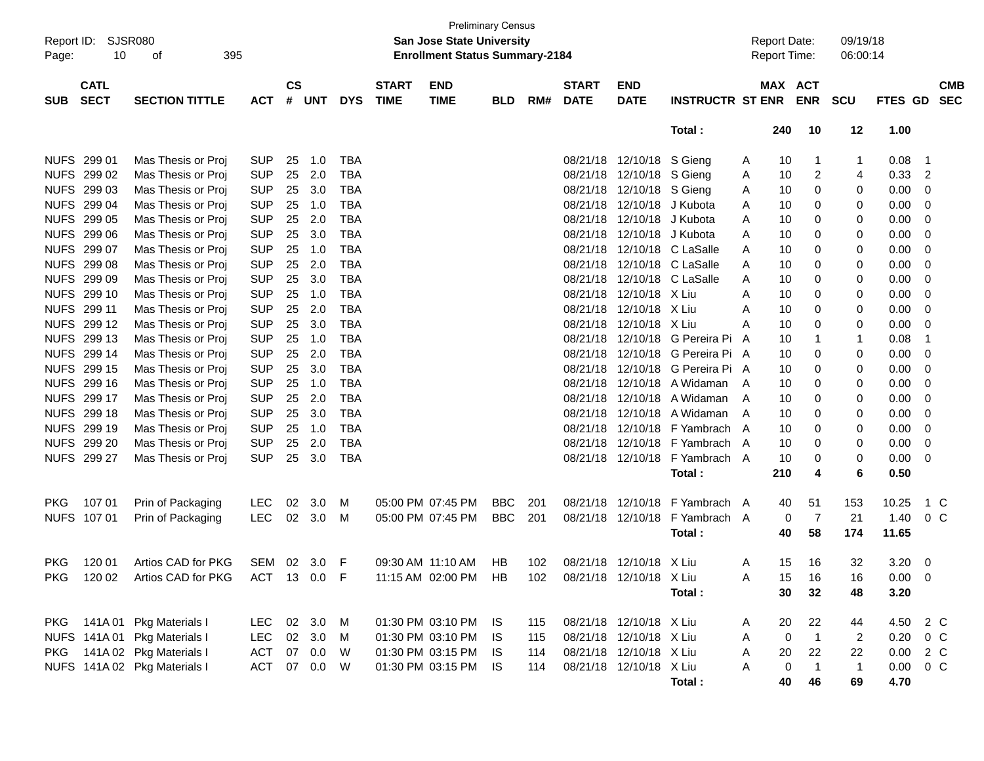| Page:       | Report ID:<br><b>SJSR080</b><br>10<br>395<br>οf<br><b>CATL</b> |                              |            |                    |            |            |                             | <b>Preliminary Census</b><br><b>San Jose State University</b><br><b>Enrollment Status Summary-2184</b> |            |     |                             |                           |                              |                | <b>Report Date:</b><br><b>Report Time:</b> |                | 09/19/18<br>06:00:14 |                |                          |
|-------------|----------------------------------------------------------------|------------------------------|------------|--------------------|------------|------------|-----------------------------|--------------------------------------------------------------------------------------------------------|------------|-----|-----------------------------|---------------------------|------------------------------|----------------|--------------------------------------------|----------------|----------------------|----------------|--------------------------|
| <b>SUB</b>  | <b>SECT</b>                                                    | <b>SECTION TITTLE</b>        | <b>ACT</b> | $\mathsf{cs}$<br># | <b>UNT</b> | <b>DYS</b> | <b>START</b><br><b>TIME</b> | <b>END</b><br><b>TIME</b>                                                                              | <b>BLD</b> | RM# | <b>START</b><br><b>DATE</b> | <b>END</b><br><b>DATE</b> | <b>INSTRUCTR ST ENR</b>      |                | MAX ACT                                    | <b>ENR</b>     | <b>SCU</b>           | <b>FTES GD</b> | <b>CMB</b><br><b>SEC</b> |
|             |                                                                |                              |            |                    |            |            |                             |                                                                                                        |            |     |                             |                           | Total:                       |                | 240                                        | 10             | 12                   | 1.00           |                          |
|             | NUFS 299 01                                                    | Mas Thesis or Proj           | <b>SUP</b> | 25                 | 1.0        | <b>TBA</b> |                             |                                                                                                        |            |     |                             | 08/21/18 12/10/18 S Gieng |                              | A              | 10                                         | -1             | 1                    | 0.08           | $\overline{1}$           |
|             | NUFS 299 02                                                    | Mas Thesis or Proj           | <b>SUP</b> | 25                 | 2.0        | <b>TBA</b> |                             |                                                                                                        |            |     | 08/21/18                    | 12/10/18 S Gieng          |                              | A              | 10                                         | 2              | 4                    | 0.33           | -2                       |
| <b>NUFS</b> | 299 03                                                         | Mas Thesis or Proj           | <b>SUP</b> | 25                 | 3.0        | <b>TBA</b> |                             |                                                                                                        |            |     |                             | 08/21/18 12/10/18 S Gieng |                              | A              | 10                                         | 0              | 0                    | 0.00           | 0                        |
| <b>NUFS</b> | 299 04                                                         | Mas Thesis or Proj           | <b>SUP</b> | 25                 | 1.0        | <b>TBA</b> |                             |                                                                                                        |            |     | 08/21/18                    | 12/10/18 J Kubota         |                              | A              | 10                                         | 0              | 0                    | 0.00           | 0                        |
| <b>NUFS</b> | 299 05                                                         | Mas Thesis or Proj           | <b>SUP</b> | 25                 | 2.0        | <b>TBA</b> |                             |                                                                                                        |            |     | 08/21/18                    | 12/10/18 J Kubota         |                              | A              | 10                                         | 0              | 0                    | 0.00           | 0                        |
| <b>NUFS</b> | 299 06                                                         | Mas Thesis or Proj           | <b>SUP</b> | 25                 | 3.0        | <b>TBA</b> |                             |                                                                                                        |            |     | 08/21/18                    | 12/10/18 J Kubota         |                              | A              | 10                                         | 0              | 0                    | 0.00           | 0                        |
| <b>NUFS</b> | 299 07                                                         | Mas Thesis or Proj           | <b>SUP</b> | 25                 | 1.0        | <b>TBA</b> |                             |                                                                                                        |            |     | 08/21/18                    |                           | 12/10/18 C LaSalle           | A              | 10                                         | 0              | 0                    | 0.00           | 0                        |
| <b>NUFS</b> | 299 08                                                         | Mas Thesis or Proj           | <b>SUP</b> | 25                 | 2.0        | <b>TBA</b> |                             |                                                                                                        |            |     | 08/21/18                    |                           | 12/10/18 C LaSalle           | A              | 10                                         | 0              | 0                    | 0.00           | 0                        |
| <b>NUFS</b> | 299 09                                                         | Mas Thesis or Proj           | <b>SUP</b> | 25                 | 3.0        | <b>TBA</b> |                             |                                                                                                        |            |     | 08/21/18                    |                           | 12/10/18 C LaSalle           | A              | 10                                         | 0              | 0                    | 0.00           | 0                        |
| <b>NUFS</b> | 299 10                                                         | Mas Thesis or Proj           | <b>SUP</b> | 25                 | 1.0        | <b>TBA</b> |                             |                                                                                                        |            |     | 08/21/18                    | 12/10/18 X Liu            |                              | A              | 10                                         | 0              | 0                    | 0.00           | 0                        |
| <b>NUFS</b> | 299 11                                                         | Mas Thesis or Proj           | <b>SUP</b> | 25                 | 2.0        | <b>TBA</b> |                             |                                                                                                        |            |     | 08/21/18                    | 12/10/18 X Liu            |                              | A              | 10                                         | 0              | 0                    | 0.00           | 0                        |
| <b>NUFS</b> | 299 12                                                         | Mas Thesis or Proj           | <b>SUP</b> | 25                 | 3.0        | <b>TBA</b> |                             |                                                                                                        |            |     | 08/21/18                    | 12/10/18 X Liu            |                              | A              | 10                                         | 0              | 0                    | 0.00           | 0                        |
|             | NUFS 299 13                                                    | Mas Thesis or Proj           | <b>SUP</b> | 25                 | 1.0        | <b>TBA</b> |                             |                                                                                                        |            |     | 08/21/18                    |                           | 12/10/18 G Pereira Pi        | A              | 10                                         | -1             | 1                    | 0.08           | -1                       |
|             | NUFS 299 14                                                    | Mas Thesis or Proj           | <b>SUP</b> | 25                 | 2.0        | <b>TBA</b> |                             |                                                                                                        |            |     | 08/21/18                    |                           | 12/10/18 G Pereira Pi A      |                | 10                                         | 0              | 0                    | 0.00           | 0                        |
| <b>NUFS</b> | 299 15                                                         | Mas Thesis or Proj           | <b>SUP</b> | 25                 | 3.0        | <b>TBA</b> |                             |                                                                                                        |            |     | 08/21/18                    |                           | 12/10/18 G Pereira Pi A      |                | 10                                         | 0              | 0                    | 0.00           | 0                        |
| <b>NUFS</b> | 299 16                                                         | Mas Thesis or Proj           | <b>SUP</b> | 25                 | 1.0        | <b>TBA</b> |                             |                                                                                                        |            |     | 08/21/18                    |                           | 12/10/18 A Widaman           | $\overline{A}$ | 10                                         | 0              | 0                    | 0.00           | 0                        |
|             | NUFS 299 17                                                    | Mas Thesis or Proj           | <b>SUP</b> | 25                 | 2.0        | <b>TBA</b> |                             |                                                                                                        |            |     | 08/21/18                    |                           | 12/10/18 A Widaman           | A              | 10                                         | 0              | 0                    | 0.00           | 0                        |
| <b>NUFS</b> | 299 18                                                         | Mas Thesis or Proj           | <b>SUP</b> | 25                 | 3.0        | <b>TBA</b> |                             |                                                                                                        |            |     | 08/21/18                    |                           | 12/10/18 A Widaman           | A              | 10                                         | 0              | 0                    | 0.00           | 0                        |
|             | NUFS 299 19                                                    | Mas Thesis or Proj           | <b>SUP</b> | 25                 | 1.0        | <b>TBA</b> |                             |                                                                                                        |            |     | 08/21/18                    |                           | 12/10/18 F Yambrach          | A              | 10                                         | 0              | 0                    | 0.00           | 0                        |
|             | <b>NUFS 299 20</b>                                             | Mas Thesis or Proj           | <b>SUP</b> | 25                 | 2.0        | <b>TBA</b> |                             |                                                                                                        |            |     | 08/21/18                    |                           | 12/10/18 F Yambrach          | A              | 10                                         | 0              | 0                    | 0.00           | 0                        |
|             | NUFS 299 27                                                    | Mas Thesis or Proj           | <b>SUP</b> | 25                 | 3.0        | <b>TBA</b> |                             |                                                                                                        |            |     |                             |                           | 08/21/18 12/10/18 F Yambrach | A              | 10                                         | 0              | 0                    | 0.00           | 0                        |
|             |                                                                |                              |            |                    |            |            |                             |                                                                                                        |            |     |                             |                           | Total:                       |                | 210                                        | 4              | 6                    | 0.50           |                          |
| <b>PKG</b>  | 107 01                                                         | Prin of Packaging            | <b>LEC</b> | 02                 | 3.0        | M          | 05:00 PM 07:45 PM           |                                                                                                        | <b>BBC</b> | 201 |                             | 08/21/18 12/10/18         | F Yambrach                   | A              | 40                                         | 51             | 153                  | 10.25          | 1 C                      |
| <b>NUFS</b> | 107 01                                                         | Prin of Packaging            | <b>LEC</b> | 02                 | 3.0        | M          | 05:00 PM 07:45 PM           |                                                                                                        | <b>BBC</b> | 201 | 08/21/18 12/10/18           |                           | F Yambrach                   | A              | 0                                          | 7              | 21                   | 1.40           | 0 <sup>C</sup>           |
|             |                                                                |                              |            |                    |            |            |                             |                                                                                                        |            |     |                             |                           | Total:                       |                | 40                                         | 58             | 174                  | 11.65          |                          |
| <b>PKG</b>  | 120 01                                                         | Artios CAD for PKG           | SEM        | 02                 | 3.0        | F          | 09:30 AM 11:10 AM           |                                                                                                        | HB         | 102 |                             | 08/21/18 12/10/18 X Liu   |                              | A              | 15                                         | 16             | 32                   | 3.20           | $\overline{0}$           |
| PKG         | 120 02                                                         | Artios CAD for PKG           | ACT 13 0.0 |                    |            | F          |                             | 11:15 AM 02:00 PM                                                                                      | HB         | 102 |                             | 08/21/18 12/10/18 X Liu   |                              | A              | 15                                         | 16             | 16                   | $0.00 \quad 0$ |                          |
|             |                                                                |                              |            |                    |            |            |                             |                                                                                                        |            |     |                             |                           | Total:                       |                | 30                                         | 32             | 48                   | 3.20           |                          |
|             |                                                                | PKG 141A 01 Pkg Materials I  | LEC.       |                    | 02 3.0     | M          |                             | 01:30 PM 03:10 PM IS                                                                                   |            | 115 |                             | 08/21/18 12/10/18 X Liu   |                              | A              | 20                                         | 22             | 44                   | 4.50           | 2 C                      |
|             | NUFS 141A 01                                                   | Pkg Materials I              | <b>LEC</b> | 02                 | 3.0        | M          |                             | 01:30 PM 03:10 PM                                                                                      | IS         | 115 |                             | 08/21/18 12/10/18 X Liu   |                              | Α              | $\mathbf 0$                                | $\overline{1}$ | 2                    | 0.20           | 0 C                      |
| PKG         |                                                                | 141A 02 Pkg Materials I      | <b>ACT</b> |                    | 07 0.0     | W          |                             | 01:30 PM 03:15 PM IS                                                                                   |            | 114 |                             | 08/21/18 12/10/18 X Liu   |                              | Α              | 20                                         | 22             | 22                   | 0.00           | 2 C                      |
|             |                                                                | NUFS 141A 02 Pkg Materials I | <b>ACT</b> |                    | 07 0.0     | W          |                             | 01:30 PM 03:15 PM IS                                                                                   |            | 114 |                             | 08/21/18 12/10/18 X Liu   |                              | Α              | 0                                          | $\overline{1}$ | $\overline{1}$       | 0.00           | $0\,C$                   |
|             |                                                                |                              |            |                    |            |            |                             |                                                                                                        |            |     |                             |                           | Total:                       |                | 40                                         | 46             | 69                   | 4.70           |                          |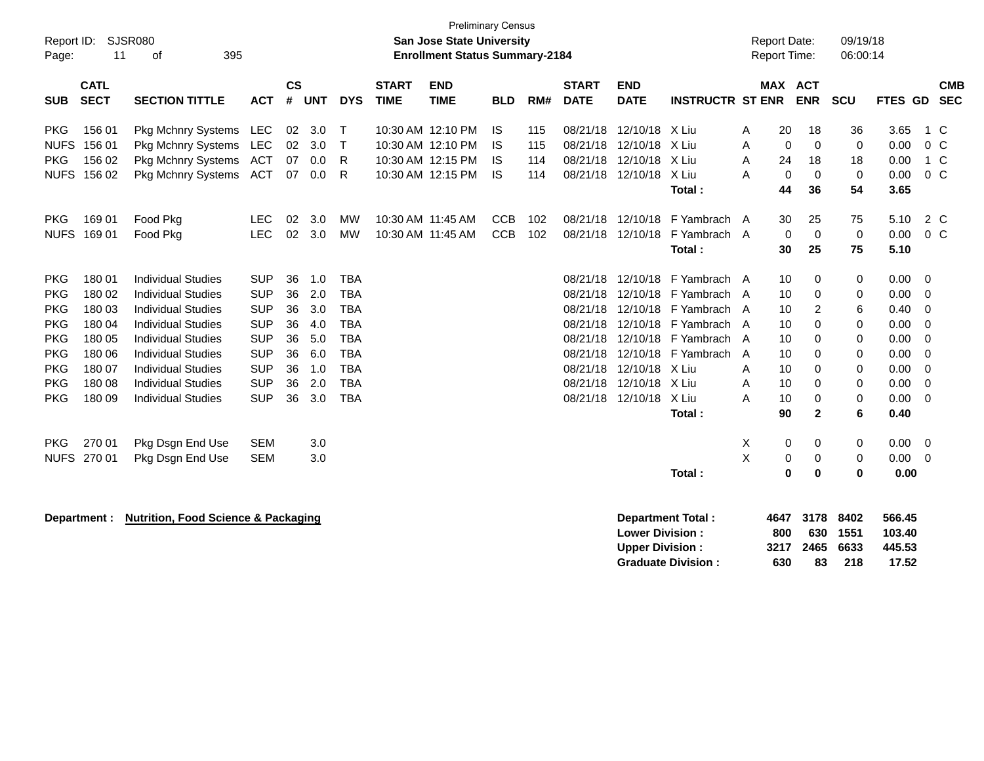| Report ID:<br>Page:       | 11                         | SJSR080<br>395<br>оf                                   |                          |                |            |                          |                             | <b>Preliminary Census</b><br><b>San Jose State University</b><br><b>Enrollment Status Summary-2184</b> |                          |            |                             |                                                  |                              |        | <b>Report Date:</b><br><b>Report Time:</b> |                     | 09/19/18<br>06:00:14 |                            |                       |                          |
|---------------------------|----------------------------|--------------------------------------------------------|--------------------------|----------------|------------|--------------------------|-----------------------------|--------------------------------------------------------------------------------------------------------|--------------------------|------------|-----------------------------|--------------------------------------------------|------------------------------|--------|--------------------------------------------|---------------------|----------------------|----------------------------|-----------------------|--------------------------|
| <b>SUB</b>                | <b>CATL</b><br><b>SECT</b> | <b>SECTION TITTLE</b>                                  | <b>ACT</b>               | <b>CS</b><br># | <b>UNT</b> | <b>DYS</b>               | <b>START</b><br><b>TIME</b> | <b>END</b><br><b>TIME</b>                                                                              | <b>BLD</b>               | RM#        | <b>START</b><br><b>DATE</b> | <b>END</b><br><b>DATE</b>                        | <b>INSTRUCTR ST ENR</b>      |        | <b>MAX ACT</b>                             | <b>ENR</b>          | <b>SCU</b>           | FTES GD                    |                       | <b>CMB</b><br><b>SEC</b> |
| <b>PKG</b><br><b>NUFS</b> | 156 01<br>156 01           | Pkg Mchnry Systems<br><b>Pkg Mchnry Systems</b>        | LEC<br>LEC               | 02<br>02       | 3.0<br>3.0 | Т<br>$\mathsf{T}$        |                             | 10:30 AM 12:10 PM<br>10:30 AM 12:10 PM                                                                 | IS<br>IS                 | 115<br>115 | 08/21/18<br>08/21/18        | 12/10/18 X Liu<br>12/10/18                       | X Liu                        | Α<br>A | 20<br>$\mathbf 0$                          | 18<br>0             | 36<br>0              | 3.65<br>0.00               | 1 C<br>0 <sup>o</sup> |                          |
| <b>PKG</b><br><b>NUFS</b> | 156 02<br>156 02           | Pkg Mchnry Systems<br>Pkg Mchnry Systems               | <b>ACT</b><br><b>ACT</b> | 07<br>07       | 0.0<br>0.0 | R<br>R                   |                             | 10:30 AM 12:15 PM<br>10:30 AM 12:15 PM                                                                 | IS<br><b>IS</b>          | 114<br>114 | 08/21/18<br>08/21/18        | 12/10/18<br>12/10/18                             | X Liu<br>X Liu               | A<br>A | 24<br>0                                    | 18<br>$\mathbf 0$   | 18<br>$\mathbf 0$    | 0.00<br>0.00               | 1 C<br>$0\,C$         |                          |
|                           |                            |                                                        |                          |                |            |                          |                             |                                                                                                        |                          |            |                             |                                                  | Total:                       |        | 44                                         | 36                  | 54                   | 3.65                       |                       |                          |
| <b>PKG</b><br><b>NUFS</b> | 169 01<br>169 01           | Food Pkg<br>Food Pkg                                   | <b>LEC</b><br><b>LEC</b> | 02<br>02       | 3.0<br>3.0 | МW<br><b>MW</b>          |                             | 10:30 AM 11:45 AM<br>10:30 AM 11:45 AM                                                                 | <b>CCB</b><br><b>CCB</b> | 102<br>102 | 08/21/18<br>08/21/18        | 12/10/18<br>12/10/18                             | F Yambrach A<br>F Yambrach A |        | 30<br>0                                    | 25<br>$\mathbf 0$   | 75<br>$\mathbf 0$    | 5.10<br>0.00               | 2 C<br>$0\,C$         |                          |
|                           |                            |                                                        |                          |                |            |                          |                             |                                                                                                        |                          |            |                             |                                                  | Total:                       |        | 30                                         | 25                  | 75                   | 5.10                       |                       |                          |
| <b>PKG</b><br><b>PKG</b>  | 180 01<br>180 02           | <b>Individual Studies</b><br><b>Individual Studies</b> | <b>SUP</b><br><b>SUP</b> | 36<br>36       | 1.0<br>2.0 | <b>TBA</b><br><b>TBA</b> |                             |                                                                                                        |                          |            | 08/21/18<br>08/21/18        | 12/10/18<br>12/10/18                             | F Yambrach A<br>F Yambrach A |        | 10<br>10                                   | 0                   | 0                    | 0.00                       | - 0                   |                          |
| <b>PKG</b>                | 180 03                     | <b>Individual Studies</b>                              | <b>SUP</b>               | 36             | 3.0        | <b>TBA</b>               |                             |                                                                                                        |                          |            | 08/21/18                    | 12/10/18                                         | F Yambrach A                 |        | 10                                         | 0<br>2              | 0<br>6               | 0.00<br>0.40               | $\mathbf 0$<br>0      |                          |
| <b>PKG</b>                | 180 04                     | <b>Individual Studies</b>                              | <b>SUP</b>               | 36             | 4.0        | <b>TBA</b>               |                             |                                                                                                        |                          |            | 08/21/18                    | 12/10/18                                         | F Yambrach A                 |        | 10                                         | 0                   | 0                    | 0.00                       | $\mathbf 0$           |                          |
| <b>PKG</b>                | 180 05                     | <b>Individual Studies</b>                              | <b>SUP</b>               | 36             | 5.0        | <b>TBA</b>               |                             |                                                                                                        |                          |            | 08/21/18                    | 12/10/18                                         | F Yambrach A                 |        | 10                                         | 0                   | 0                    | 0.00                       | $\mathbf 0$           |                          |
| <b>PKG</b><br><b>PKG</b>  | 180 06<br>180 07           | <b>Individual Studies</b>                              | <b>SUP</b><br><b>SUP</b> | 36<br>36       | 6.0        | <b>TBA</b><br><b>TBA</b> |                             |                                                                                                        |                          |            | 08/21/18<br>08/21/18        | 12/10/18<br>12/10/18                             | F Yambrach<br>X Liu          | A      | 10                                         | 0                   | 0                    | 0.00                       | $\mathbf 0$           |                          |
| <b>PKG</b>                | 180 08                     | <b>Individual Studies</b><br><b>Individual Studies</b> | <b>SUP</b>               | 36             | 1.0<br>2.0 | <b>TBA</b>               |                             |                                                                                                        |                          |            | 08/21/18                    | 12/10/18                                         | X Liu                        | A<br>A | 10<br>10                                   | 0<br>0              | 0<br>0               | 0.00<br>0.00               | 0<br>$\mathbf 0$      |                          |
| <b>PKG</b>                | 180 09                     | <b>Individual Studies</b>                              | <b>SUP</b>               | 36             | 3.0        | <b>TBA</b>               |                             |                                                                                                        |                          |            | 08/21/18                    | 12/10/18                                         | X Liu                        | A      | 10                                         | 0                   | 0                    | 0.00                       | $\overline{0}$        |                          |
|                           |                            |                                                        |                          |                |            |                          |                             |                                                                                                        |                          |            |                             |                                                  | Total:                       |        | 90                                         | $\mathbf{2}$        | 6                    | 0.40                       |                       |                          |
| <b>PKG</b>                | 270 01                     | Pkg Dsgn End Use                                       | <b>SEM</b>               |                | 3.0        |                          |                             |                                                                                                        |                          |            |                             |                                                  |                              | X      | 0                                          | 0                   | 0                    | 0.00                       | $\overline{0}$        |                          |
|                           | NUFS 270 01                | Pkg Dsgn End Use                                       | <b>SEM</b>               |                | 3.0        |                          |                             |                                                                                                        |                          |            |                             |                                                  |                              | Χ      | 0                                          | 0                   | 0                    | 0.00                       | $\overline{0}$        |                          |
|                           |                            |                                                        |                          |                |            |                          |                             |                                                                                                        |                          |            |                             |                                                  | Total:                       |        | $\bf{0}$                                   | $\mathbf 0$         | 0                    | 0.00                       |                       |                          |
|                           | Department :               | <b>Nutrition, Food Science &amp; Packaging</b>         |                          |                |            |                          |                             |                                                                                                        |                          |            |                             | <b>Lower Division:</b><br><b>Upper Division:</b> | <b>Department Total:</b>     |        | 4647<br>800<br>3217                        | 3178<br>630<br>2465 | 8402<br>1551<br>6633 | 566.45<br>103.40<br>445.53 |                       |                          |
|                           |                            |                                                        |                          |                |            |                          |                             |                                                                                                        |                          |            |                             |                                                  | <b>Graduate Division:</b>    |        | 630                                        | 83                  | 218                  | 17.52                      |                       |                          |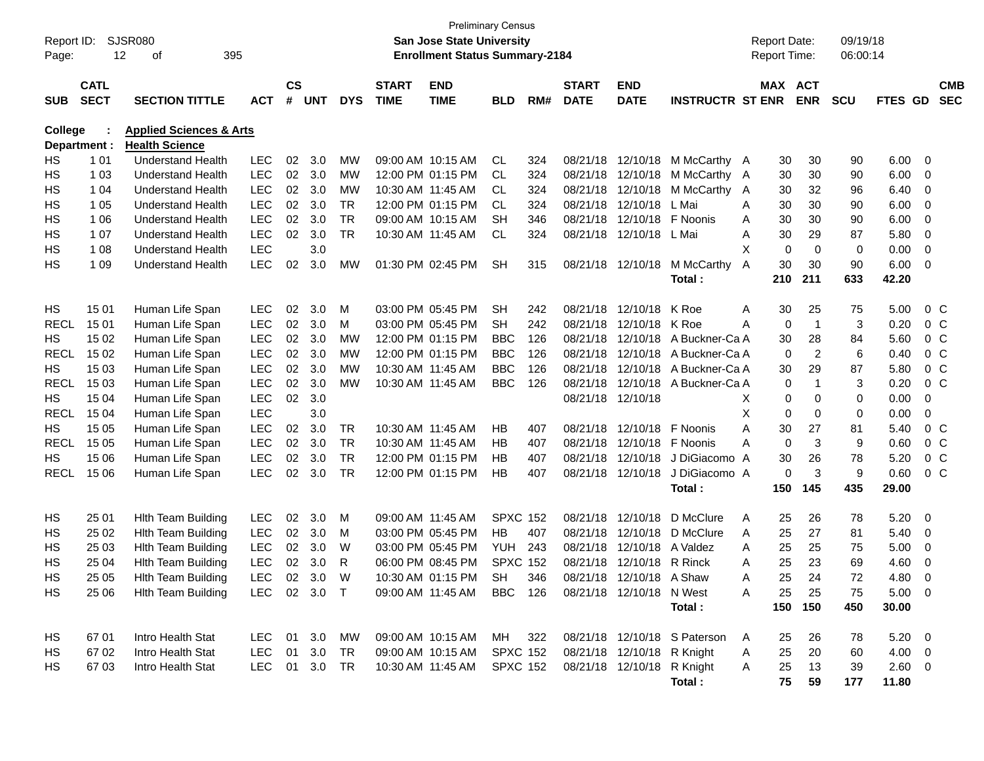| Report ID:<br>Page: | 12                         | <b>SJSR080</b><br>395<br>οf                                 |              |                    |            |            |                             | San Jose State University<br><b>Enrollment Status Summary-2184</b> | <b>Preliminary Census</b> |     |                             |                            |                              |   | <b>Report Date:</b><br>Report Time: |                | 09/19/18<br>06:00:14 |                |                |                          |
|---------------------|----------------------------|-------------------------------------------------------------|--------------|--------------------|------------|------------|-----------------------------|--------------------------------------------------------------------|---------------------------|-----|-----------------------------|----------------------------|------------------------------|---|-------------------------------------|----------------|----------------------|----------------|----------------|--------------------------|
| <b>SUB</b>          | <b>CATL</b><br><b>SECT</b> | <b>SECTION TITTLE</b>                                       | <b>ACT</b>   | $\mathsf{cs}$<br># | <b>UNT</b> | <b>DYS</b> | <b>START</b><br><b>TIME</b> | <b>END</b><br><b>TIME</b>                                          | <b>BLD</b>                | RM# | <b>START</b><br><b>DATE</b> | <b>END</b><br><b>DATE</b>  | <b>INSTRUCTR ST ENR</b>      |   | MAX ACT                             | <b>ENR</b>     | <b>SCU</b>           | FTES GD        |                | <b>CMB</b><br><b>SEC</b> |
| <b>College</b>      | Department :               | <b>Applied Sciences &amp; Arts</b><br><b>Health Science</b> |              |                    |            |            |                             |                                                                    |                           |     |                             |                            |                              |   |                                     |                |                      |                |                |                          |
| HS                  | 1 0 1                      | <b>Understand Health</b>                                    | <b>LEC</b>   | 02                 | 3.0        | MW         |                             | 09:00 AM 10:15 AM                                                  | CL.                       | 324 | 08/21/18                    | 12/10/18                   | M McCarthy A                 |   | 30                                  | 30             | 90                   | 6.00           | 0              |                          |
| HS                  | 1 0 3                      | <b>Understand Health</b>                                    | <b>LEC</b>   |                    | 02 3.0     | MW         |                             | 12:00 PM 01:15 PM                                                  | CL.                       | 324 | 08/21/18                    | 12/10/18                   | M McCarthy A                 |   | 30                                  | 30             | 90                   | 6.00           | 0              |                          |
| HS                  | 1 0 4                      | <b>Understand Health</b>                                    | <b>LEC</b>   | 02                 | 3.0        | MW         |                             | 10:30 AM 11:45 AM                                                  | CL.                       | 324 | 08/21/18                    | 12/10/18                   | M McCarthy                   | A | 30                                  | 32             | 96                   | 6.40           | 0              |                          |
| HS                  | 1 0 5                      | <b>Understand Health</b>                                    | <b>LEC</b>   |                    | 02 3.0     | TR         |                             | 12:00 PM 01:15 PM                                                  | CL.                       | 324 | 08/21/18                    | 12/10/18                   | L Mai                        | Α | 30                                  | 30             | 90                   | 6.00           | 0              |                          |
| HS                  | 1 0 6                      | <b>Understand Health</b>                                    | <b>LEC</b>   | 02                 | 3.0        | <b>TR</b>  |                             | 09:00 AM 10:15 AM                                                  | SН                        | 346 | 08/21/18                    | 12/10/18                   | F Noonis                     | Α | 30                                  | 30             | 90                   | 6.00           | 0              |                          |
| HS                  | 1 0 7                      | <b>Understand Health</b>                                    | <b>LEC</b>   | 02                 | 3.0        | <b>TR</b>  |                             | 10:30 AM 11:45 AM                                                  | <b>CL</b>                 | 324 | 08/21/18                    | 12/10/18                   | L Mai                        | Α | 30                                  | 29             | 87                   | 5.80           | 0              |                          |
| HS                  | 1 0 8                      | <b>Understand Health</b>                                    | <b>LEC</b>   |                    | 3.0        |            |                             |                                                                    |                           |     |                             |                            |                              | X | 0                                   | 0              | 0                    | 0.00           | 0              |                          |
| HS                  | 1 0 9                      | <b>Understand Health</b>                                    | <b>LEC</b>   | 02                 | 3.0        | <b>MW</b>  |                             | 01:30 PM 02:45 PM                                                  | <b>SH</b>                 | 315 |                             | 08/21/18 12/10/18          | M McCarthy                   | A | 30                                  | 30             | 90                   | 6.00           | 0              |                          |
|                     |                            |                                                             |              |                    |            |            |                             |                                                                    |                           |     |                             |                            | Total:                       |   | 210                                 | 211            | 633                  | 42.20          |                |                          |
|                     |                            |                                                             |              |                    |            |            |                             |                                                                    |                           |     |                             |                            |                              |   |                                     |                |                      |                |                |                          |
| HS                  | 15 01                      | Human Life Span                                             | <b>LEC</b>   | 02                 | 3.0        | М          |                             | 03:00 PM 05:45 PM                                                  | <b>SH</b>                 | 242 | 08/21/18                    | 12/10/18                   | K Roe                        | Α | 30                                  | 25             | 75                   | 5.00           |                | $0\,C$                   |
| <b>RECL</b>         | 15 01                      | Human Life Span                                             | LEC          | 02                 | 3.0        | м          |                             | 03:00 PM 05:45 PM                                                  | SН                        | 242 | 08/21/18                    | 12/10/18                   | K Roe                        | A | 0                                   | $\overline{1}$ | 3                    | 0.20           |                | $0\,C$                   |
| HS                  | 15 02                      | Human Life Span                                             | LEC          | 02                 | 3.0        | MW         |                             | 12:00 PM 01:15 PM                                                  | <b>BBC</b>                | 126 | 08/21/18                    |                            | 12/10/18 A Buckner-Ca A      |   | 30                                  | 28             | 84                   | 5.60           |                | $0\,C$                   |
| <b>RECL</b>         | 15 02                      | Human Life Span                                             | LEC          | 02                 | 3.0        | MW         |                             | 12:00 PM 01:15 PM                                                  | <b>BBC</b>                | 126 | 08/21/18                    |                            | 12/10/18 A Buckner-Ca A      |   | 0                                   | 2              | 6                    | 0.40           |                | 0 <sup>C</sup>           |
| HS                  | 15 03                      | Human Life Span                                             | LEC          | 02                 | 3.0        | MW         |                             | 10:30 AM 11:45 AM                                                  | <b>BBC</b>                | 126 | 08/21/18                    |                            | 12/10/18 A Buckner-Ca A      |   | 30                                  | 29             | 87                   | 5.80           |                | 0 <sup>C</sup>           |
| <b>RECL</b>         | 15 03                      | Human Life Span                                             | LEC          | 02                 | 3.0        | MW         |                             | 10:30 AM 11:45 AM                                                  | <b>BBC</b>                | 126 | 08/21/18                    |                            | 12/10/18 A Buckner-Ca A      |   | 0                                   | $\mathbf 1$    | 3                    | 0.20           |                | $0\,C$                   |
| HS                  | 15 04                      | Human Life Span                                             | LEC          | 02                 | 3.0        |            |                             |                                                                    |                           |     |                             | 08/21/18 12/10/18          |                              | Χ | 0                                   | 0              | 0                    | 0.00           | 0              |                          |
| <b>RECL</b>         | 15 04                      | Human Life Span                                             | <b>LEC</b>   |                    | 3.0        |            |                             |                                                                    |                           |     |                             |                            |                              | X | 0                                   | 0              | 0                    | 0.00           | 0              |                          |
| HS                  | 15 05                      | Human Life Span                                             | <b>LEC</b>   | $02\,$             | 3.0        | TR         |                             | 10:30 AM 11:45 AM                                                  | HB                        | 407 | 08/21/18                    | 12/10/18                   | F Noonis                     | A | 30                                  | 27             | 81                   | 5.40           | 0 <sup>o</sup> |                          |
| <b>RECL</b>         | 15 05                      | Human Life Span                                             | <b>LEC</b>   | 02                 | 3.0        | <b>TR</b>  |                             | 10:30 AM 11:45 AM                                                  | HВ                        | 407 |                             | 08/21/18 12/10/18          | F Noonis                     | A | 0                                   | 3              | 9                    | 0.60           | 0 <sup>o</sup> |                          |
| HS                  | 15 06                      | Human Life Span                                             | <b>LEC</b>   | 02                 | 3.0        | TR         |                             | 12:00 PM 01:15 PM                                                  | HB                        | 407 | 08/21/18                    | 12/10/18                   | J DiGiacomo A                |   | 30                                  | 26             | 78                   | 5.20           |                | 0 <sup>C</sup>           |
| <b>RECL</b>         | 15 06                      | Human Life Span                                             | <b>LEC</b>   | 02                 | 3.0        | TR         |                             | 12:00 PM 01:15 PM                                                  | HB                        | 407 |                             | 08/21/18 12/10/18          | J DiGiacomo A                |   | 0                                   | 3              | 9                    | 0.60           | 0 <sup>o</sup> |                          |
|                     |                            |                                                             |              |                    |            |            |                             |                                                                    |                           |     |                             |                            | Total:                       |   | 150                                 | 145            | 435                  | 29.00          |                |                          |
| HS                  | 25 01                      | <b>Hith Team Building</b>                                   | <b>LEC</b>   | 02                 | 3.0        | М          |                             | 09:00 AM 11:45 AM                                                  | <b>SPXC 152</b>           |     | 08/21/18                    | 12/10/18                   | D McClure                    | A | 25                                  | 26             | 78                   | 5.20           | 0              |                          |
| HS                  | 25 02                      | <b>Hith Team Building</b>                                   | <b>LEC</b>   | 02                 | 3.0        | M          |                             | 03:00 PM 05:45 PM                                                  | HB                        | 407 | 08/21/18                    | 12/10/18                   | D McClure                    | A | 25                                  | 27             | 81                   | 5.40           | 0              |                          |
| HS                  | 25 03                      | <b>Hith Team Building</b>                                   | <b>LEC</b>   | 02                 | 3.0        | W          |                             | 03:00 PM 05:45 PM                                                  | YUH                       | 243 | 08/21/18                    | 12/10/18 A Valdez          |                              | A | 25                                  | 25             | 75                   | 5.00           | 0              |                          |
| HS                  | 25 04                      | <b>Hith Team Building</b>                                   | <b>LEC</b>   | 02                 | 3.0        | R          |                             | 06:00 PM 08:45 PM                                                  | <b>SPXC 152</b>           |     |                             | 08/21/18 12/10/18 R Rinck  |                              | Α | 25                                  | 23             | 69                   | 4.60           | 0              |                          |
| HS                  | 25 05                      | Hith Team Building                                          | LEC          |                    | 02 3.0     | W          |                             | 10:30 AM 01:15 PM                                                  | <b>SH</b>                 | 346 |                             | 08/21/18 12/10/18 A Shaw   |                              | А | 25                                  | 24             | 72                   | 4.80           | $\Omega$       |                          |
| HS                  | 25 06                      | Hith Team Building                                          | LEC 02 3.0 T |                    |            |            |                             | 09:00 AM 11:45 AM BBC 126                                          |                           |     |                             | 08/21/18 12/10/18 N West   |                              | A | 25                                  | 25             | 75                   | $5.00 \t 0$    |                |                          |
|                     |                            |                                                             |              |                    |            |            |                             |                                                                    |                           |     |                             |                            | Total:                       |   | 150                                 | 150            | 450                  | 30.00          |                |                          |
| HS                  | 67 01                      | Intro Health Stat                                           | LEC 01 3.0   |                    |            | <b>MW</b>  |                             | 09:00 AM 10:15 AM                                                  | MH                        | 322 |                             |                            | 08/21/18 12/10/18 S Paterson | A | 25                                  | 26             | 78                   | $5.20 \ 0$     |                |                          |
| HS                  | 67 02                      | Intro Health Stat                                           | LEC          |                    | 01 3.0     | TR         |                             | 09:00 AM 10:15 AM                                                  | <b>SPXC 152</b>           |     |                             | 08/21/18 12/10/18 R Knight |                              | A | 25                                  | 20             | 60                   | $4.00 \ 0$     |                |                          |
| HS                  | 67 03                      | Intro Health Stat                                           | LEC 01 3.0   |                    |            | TR         |                             | 10:30 AM 11:45 AM SPXC 152                                         |                           |     |                             | 08/21/18 12/10/18 R Knight |                              | A | 25                                  | 13             | 39                   | $2.60 \quad 0$ |                |                          |
|                     |                            |                                                             |              |                    |            |            |                             |                                                                    |                           |     |                             |                            | Total:                       |   | 75                                  | 59             | 177                  | 11.80          |                |                          |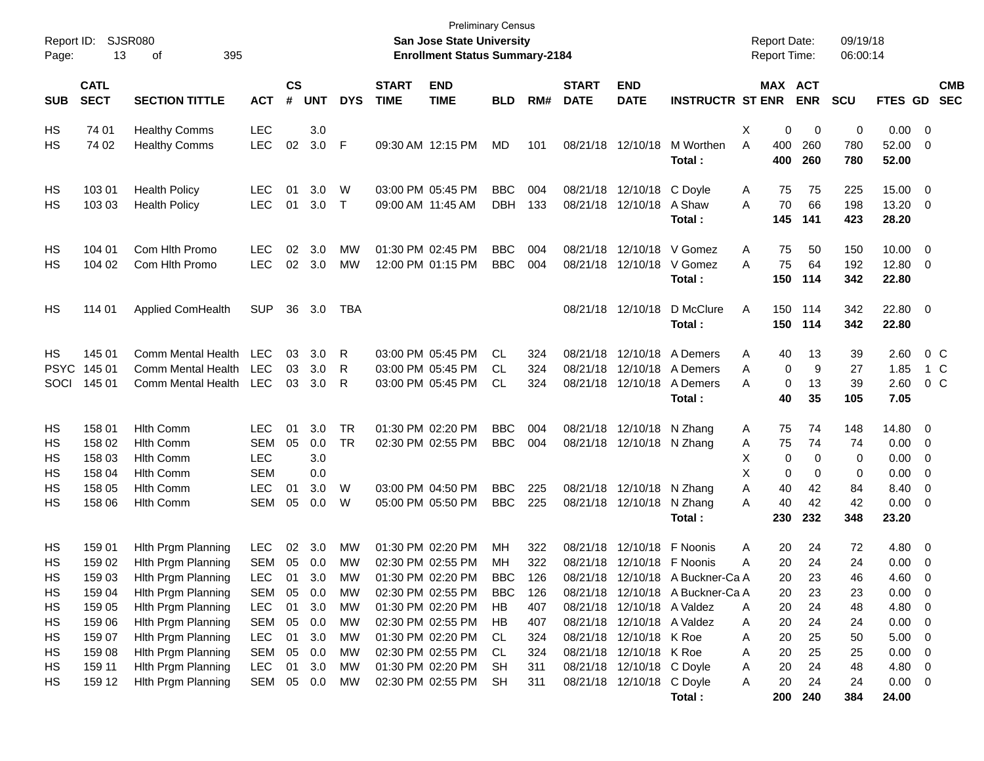| Report ID:<br>Page:                                       | 13                                                                                               | <b>SJSR080</b><br>395<br>οf                                                                                                                                                                                              |                                                                                                                                   |                                                           |                                                                    |                                                                        |                             | <b>Preliminary Census</b><br>San Jose State University<br><b>Enrollment Status Summary-2184</b>                                                                                           |                                                                                    |                                                                    |                             |                                                                                                                                                                                                                                      |                                                                      | <b>Report Date:</b><br><b>Report Time:</b> |                                                                                                                      | 09/19/18<br>06:00:14                                     |                                                                                     |                                                                                                                                               |                          |
|-----------------------------------------------------------|--------------------------------------------------------------------------------------------------|--------------------------------------------------------------------------------------------------------------------------------------------------------------------------------------------------------------------------|-----------------------------------------------------------------------------------------------------------------------------------|-----------------------------------------------------------|--------------------------------------------------------------------|------------------------------------------------------------------------|-----------------------------|-------------------------------------------------------------------------------------------------------------------------------------------------------------------------------------------|------------------------------------------------------------------------------------|--------------------------------------------------------------------|-----------------------------|--------------------------------------------------------------------------------------------------------------------------------------------------------------------------------------------------------------------------------------|----------------------------------------------------------------------|--------------------------------------------|----------------------------------------------------------------------------------------------------------------------|----------------------------------------------------------|-------------------------------------------------------------------------------------|-----------------------------------------------------------------------------------------------------------------------------------------------|--------------------------|
| <b>SUB</b>                                                | <b>CATL</b><br><b>SECT</b>                                                                       | <b>SECTION TITTLE</b>                                                                                                                                                                                                    | <b>ACT</b>                                                                                                                        | $\mathsf{cs}$<br>#                                        | <b>UNT</b>                                                         | <b>DYS</b>                                                             | <b>START</b><br><b>TIME</b> | <b>END</b><br><b>TIME</b>                                                                                                                                                                 | <b>BLD</b>                                                                         | RM#                                                                | <b>START</b><br><b>DATE</b> | <b>END</b><br><b>DATE</b>                                                                                                                                                                                                            | <b>INSTRUCTR ST ENR</b>                                              |                                            | MAX ACT<br><b>ENR</b>                                                                                                | <b>SCU</b>                                               | FTES GD                                                                             |                                                                                                                                               | <b>CMB</b><br><b>SEC</b> |
| HS<br>НS                                                  | 74 01<br>74 02                                                                                   | <b>Healthy Comms</b><br><b>Healthy Comms</b>                                                                                                                                                                             | LEC<br><b>LEC</b>                                                                                                                 | 02                                                        | 3.0<br>3.0 F                                                       |                                                                        |                             | 09:30 AM 12:15 PM                                                                                                                                                                         | <b>MD</b>                                                                          | 101                                                                |                             | 08/21/18 12/10/18                                                                                                                                                                                                                    | M Worthen<br>Total:                                                  | X<br>A<br>400<br>400                       | 0<br>0<br>260<br>260                                                                                                 | 0<br>780<br>780                                          | 0.00<br>52.00<br>52.00                                                              | $\overline{\mathbf{0}}$<br>0                                                                                                                  |                          |
| HS<br>НS                                                  | 103 01<br>103 03                                                                                 | <b>Health Policy</b><br><b>Health Policy</b>                                                                                                                                                                             | <b>LEC</b><br><b>LEC</b>                                                                                                          | 01<br>01                                                  | 3.0<br>3.0                                                         | W<br>$\top$                                                            | 09:00 AM 11:45 AM           | 03:00 PM 05:45 PM                                                                                                                                                                         | <b>BBC</b><br><b>DBH</b>                                                           | 004<br>133                                                         |                             | 08/21/18 12/10/18<br>08/21/18 12/10/18                                                                                                                                                                                               | C Doyle<br>A Shaw<br>Total :                                         | A<br>A<br>145                              | 75<br>75<br>70<br>66<br>141                                                                                          | 225<br>198<br>423                                        | 15.00<br>13.20<br>28.20                                                             | $\overline{0}$<br>$\overline{0}$                                                                                                              |                          |
| HS<br>НS                                                  | 104 01<br>104 02                                                                                 | Com Hlth Promo<br>Com Hith Promo                                                                                                                                                                                         | <b>LEC</b><br><b>LEC</b>                                                                                                          | 02                                                        | 3.0<br>02 3.0                                                      | МW<br>МW                                                               |                             | 01:30 PM 02:45 PM<br>12:00 PM 01:15 PM                                                                                                                                                    | <b>BBC</b><br><b>BBC</b>                                                           | 004<br>004                                                         |                             |                                                                                                                                                                                                                                      | 08/21/18 12/10/18 V Gomez<br>08/21/18 12/10/18 V Gomez<br>Total :    | Α<br>A<br>150                              | 75<br>50<br>75<br>64<br>114                                                                                          | 150<br>192<br>342                                        | 10.00<br>12.80<br>22.80                                                             | $\overline{0}$<br>$\overline{0}$                                                                                                              |                          |
| HS                                                        | 114 01                                                                                           | <b>Applied ComHealth</b>                                                                                                                                                                                                 | <b>SUP</b>                                                                                                                        | 36                                                        | 3.0                                                                | TBA                                                                    |                             |                                                                                                                                                                                           |                                                                                    |                                                                    |                             | 08/21/18 12/10/18                                                                                                                                                                                                                    | D McClure<br>Total:                                                  | A<br>150                                   | 150 114<br>114                                                                                                       | 342<br>342                                               | 22.80<br>22.80                                                                      | $\overline{\mathbf{0}}$                                                                                                                       |                          |
| HS<br><b>PSYC</b><br>SOCI                                 | 145 01<br>145 01<br>145 01                                                                       | Comm Mental Health<br>Comm Mental Health<br>Comm Mental Health                                                                                                                                                           | LEC<br><b>LEC</b><br>LEC                                                                                                          | 03<br>03<br>03                                            | 3.0<br>3.0<br>3.0                                                  | R<br>R<br>- R                                                          |                             | 03:00 PM 05:45 PM<br>03:00 PM 05:45 PM<br>03:00 PM 05:45 PM                                                                                                                               | CL.<br>CL.<br>CL.                                                                  | 324<br>324<br>324                                                  |                             | 08/21/18 12/10/18<br>08/21/18 12/10/18                                                                                                                                                                                               | A Demers<br>08/21/18 12/10/18 A Demers<br>A Demers<br>Total :        | Α<br>A<br>A                                | 13<br>40<br>9<br>0<br>13<br>0<br>40<br>35                                                                            | 39<br>27<br>39<br>105                                    | 2.60<br>1.85<br>2.60<br>7.05                                                        | $0\,$ C<br>1 C<br>$0\,C$                                                                                                                      |                          |
| HS<br>НS<br>HS<br>HS<br>НS<br>НS                          | 158 01<br>158 02<br>158 03<br>158 04<br>158 05<br>158 06                                         | <b>Hith Comm</b><br><b>Hith Comm</b><br><b>Hith Comm</b><br><b>Hlth Comm</b><br><b>Hlth Comm</b><br><b>Hith Comm</b>                                                                                                     | <b>LEC</b><br><b>SEM</b><br><b>LEC</b><br><b>SEM</b><br><b>LEC</b><br><b>SEM</b>                                                  | 01<br>05<br>01<br>05                                      | 3.0<br>0.0<br>3.0<br>0.0<br>3.0<br>0.0                             | <b>TR</b><br><b>TR</b><br>W<br>W                                       |                             | 01:30 PM 02:20 PM<br>02:30 PM 02:55 PM<br>03:00 PM 04:50 PM<br>05:00 PM 05:50 PM                                                                                                          | <b>BBC</b><br><b>BBC</b><br><b>BBC</b><br><b>BBC</b>                               | 004<br>004<br>225<br>225                                           |                             | 08/21/18 12/10/18<br>08/21/18 12/10/18<br>08/21/18 12/10/18<br>08/21/18 12/10/18                                                                                                                                                     | N Zhang<br>N Zhang<br>N Zhang<br>N Zhang<br>Total:                   | A<br>Α<br>X<br>х<br>Α<br>A<br>230          | 74<br>75<br>75<br>74<br>0<br>0<br>0<br>0<br>40<br>42<br>40<br>42<br>232                                              | 148<br>74<br>0<br>0<br>84<br>42<br>348                   | 14.80<br>0.00<br>0.00<br>0.00<br>8.40<br>0.00<br>23.20                              | - 0<br>$\overline{0}$<br>0<br>0<br>0<br>0                                                                                                     |                          |
| HS<br>HS<br>HS<br>HS<br>HS<br>HS.<br>HS<br>HS<br>HS<br>HS | 159 01<br>159 02<br>159 03<br>159 04<br>159 05<br>159 06<br>159 07<br>159 08<br>159 11<br>159 12 | Hith Prgm Planning<br>Hith Prgm Planning<br>Hith Prgm Planning<br>Hith Prgm Planning<br>Hith Prgm Planning<br>Hith Prgm Planning<br>Hith Prgm Planning<br>Hith Prgm Planning<br>Hith Prgm Planning<br>Hith Prgm Planning | <b>LEC</b><br><b>SEM</b><br>LEC<br><b>SEM</b><br><b>LEC</b><br><b>SEM</b><br><b>LEC</b><br><b>SEM</b><br><b>LEC</b><br><b>SEM</b> | 02<br>05<br>-01<br>05<br>01<br>05<br>01<br>05<br>01<br>05 | 3.0<br>0.0<br>3.0<br>0.0<br>3.0<br>0.0<br>3.0<br>0.0<br>3.0<br>0.0 | МW<br>MW<br>МW<br>MW<br><b>MW</b><br>МW<br>МW<br>МW<br>МW<br><b>MW</b> | 01:30 PM 02:20 PM           | 02:30 PM 02:55 PM<br>01:30 PM 02:20 PM<br>02:30 PM 02:55 PM<br>01:30 PM 02:20 PM<br>02:30 PM 02:55 PM<br>01:30 PM 02:20 PM<br>02:30 PM 02:55 PM<br>01:30 PM 02:20 PM<br>02:30 PM 02:55 PM | MН<br>MН<br>BBC.<br><b>BBC</b><br>HB<br>HB<br>CL.<br>CL.<br><b>SH</b><br><b>SH</b> | 322<br>322<br>126<br>126<br>407<br>407<br>324<br>324<br>311<br>311 |                             | 08/21/18 12/10/18 F Noonis<br>08/21/18 12/10/18 F Noonis<br>08/21/18 12/10/18 A Valdez<br>08/21/18 12/10/18 A Valdez<br>08/21/18 12/10/18 K Roe<br>08/21/18 12/10/18 K Roe<br>08/21/18 12/10/18 C Doyle<br>08/21/18 12/10/18 C Doyle | 08/21/18 12/10/18 A Buckner-Ca A<br>08/21/18 12/10/18 A Buckner-Ca A | Α<br>Α<br>Α<br>Α<br>Α<br>Α<br>Α<br>Α       | 20<br>24<br>20<br>24<br>20<br>23<br>23<br>20<br>20<br>24<br>20<br>24<br>20<br>25<br>20<br>25<br>20<br>24<br>20<br>24 | 72<br>24<br>46<br>23<br>48<br>24<br>50<br>25<br>48<br>24 | 4.80<br>0.00<br>4.60<br>0.00<br>4.80<br>0.00<br>5.00<br>0.00<br>4.80<br>$0.00 \t 0$ | $\overline{0}$<br>$\overline{0}$<br>0<br>$\overline{\mathbf{0}}$<br>0<br>$\overline{0}$<br>$\overline{0}$<br>$\overline{0}$<br>$\overline{0}$ |                          |
|                                                           |                                                                                                  |                                                                                                                                                                                                                          |                                                                                                                                   |                                                           |                                                                    |                                                                        |                             |                                                                                                                                                                                           |                                                                                    |                                                                    |                             |                                                                                                                                                                                                                                      | Total:                                                               | 200                                        | 240                                                                                                                  | 384                                                      | 24.00                                                                               |                                                                                                                                               |                          |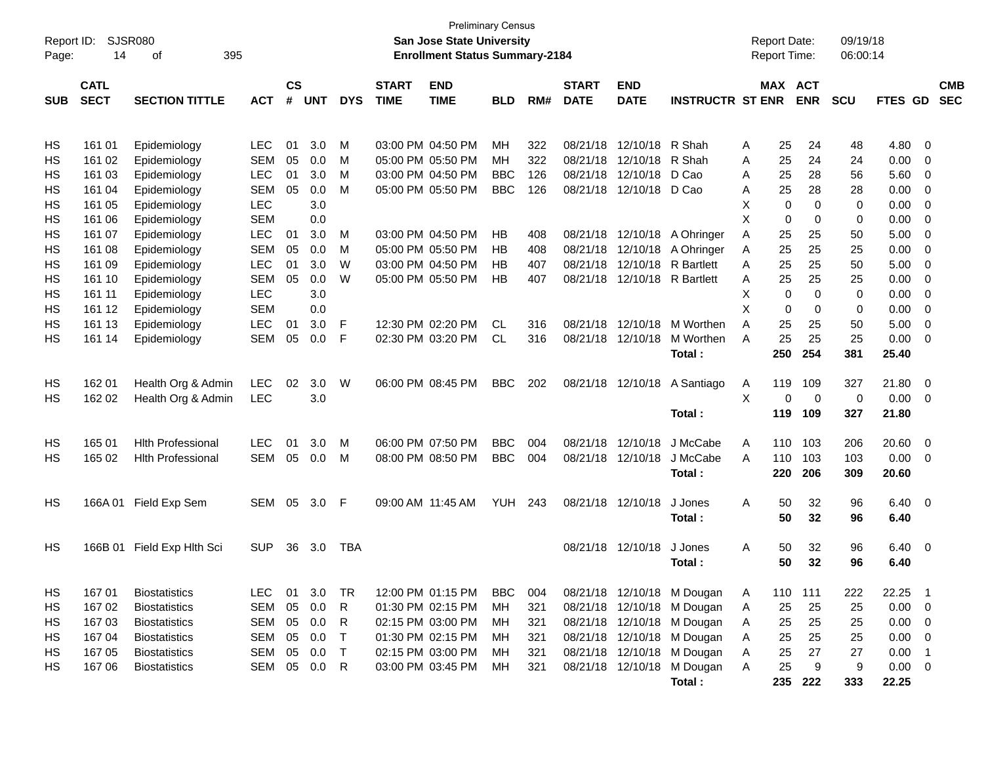| Report ID: |                 | <b>SJSR080</b>             |               |    |            |              |             | <b>Preliminary Census</b><br><b>San Jose State University</b> |            |              |             |                   |                            |         | <b>Report Date:</b> |             | 09/19/18   |             |                            |            |
|------------|-----------------|----------------------------|---------------|----|------------|--------------|-------------|---------------------------------------------------------------|------------|--------------|-------------|-------------------|----------------------------|---------|---------------------|-------------|------------|-------------|----------------------------|------------|
| Page:      | 14<br>395<br>οf |                            |               |    |            |              |             | <b>Enrollment Status Summary-2184</b>                         |            |              |             |                   |                            |         | Report Time:        |             | 06:00:14   |             |                            |            |
|            | <b>CATL</b>     |                            | $\mathsf{cs}$ |    |            | <b>START</b> | <b>END</b>  |                                                               |            | <b>START</b> | <b>END</b>  |                   |                            | MAX ACT |                     |             |            |             | <b>CMB</b>                 |            |
| <b>SUB</b> | <b>SECT</b>     | <b>SECTION TITTLE</b>      | <b>ACT</b>    | #  | <b>UNT</b> | <b>DYS</b>   | <b>TIME</b> | <b>TIME</b>                                                   | <b>BLD</b> | RM#          | <b>DATE</b> | <b>DATE</b>       | <b>INSTRUCTR ST ENR</b>    |         |                     | <b>ENR</b>  | <b>SCU</b> | FTES GD     |                            | <b>SEC</b> |
|            |                 |                            |               |    |            |              |             |                                                               |            |              |             |                   |                            |         |                     |             |            |             |                            |            |
| HS         | 161 01          | Epidemiology               | <b>LEC</b>    | 01 | 3.0        | M            |             | 03:00 PM 04:50 PM                                             | <b>MH</b>  | 322          | 08/21/18    | 12/10/18          | R Shah                     | A       | 25                  | 24          | 48         | 4.80        | - 0                        |            |
| <b>HS</b>  | 161 02          | Epidemiology               | <b>SEM</b>    | 05 | 0.0        | M            |             | 05:00 PM 05:50 PM                                             | MH         | 322          | 08/21/18    | 12/10/18          | R Shah                     | A       | 25                  | 24          | 24         | 0.00        | $\mathbf 0$                |            |
| <b>HS</b>  | 161 03          | Epidemiology               | <b>LEC</b>    | 01 | 3.0        | M            |             | 03:00 PM 04:50 PM                                             | <b>BBC</b> | 126          | 08/21/18    | 12/10/18          | D Cao                      | A       | 25                  | 28          | 56         | 5.60        | 0                          |            |
| <b>HS</b>  | 161 04          | Epidemiology               | <b>SEM</b>    | 05 | 0.0        | M            |             | 05:00 PM 05:50 PM                                             | <b>BBC</b> | 126          | 08/21/18    | 12/10/18          | D Cao                      | Α       | 25                  | 28          | 28         | 0.00        | $\mathbf 0$                |            |
| <b>HS</b>  | 161 05          | Epidemiology               | <b>LEC</b>    |    | 3.0        |              |             |                                                               |            |              |             |                   |                            | X       | 0                   | 0           | 0          | 0.00        | $\mathbf 0$                |            |
| <b>HS</b>  | 161 06          | Epidemiology               | <b>SEM</b>    |    | 0.0        |              |             |                                                               |            |              |             |                   |                            | X       | 0                   | 0           | 0          | 0.00        | $\mathbf 0$                |            |
| <b>HS</b>  | 161 07          | Epidemiology               | <b>LEC</b>    | 01 | 3.0        | M            |             | 03:00 PM 04:50 PM                                             | HB         | 408          | 08/21/18    | 12/10/18          | A Ohringer                 | Α       | 25                  | 25          | 50         | 5.00        | $\mathbf 0$                |            |
| <b>HS</b>  | 161 08          | Epidemiology               | <b>SEM</b>    | 05 | 0.0        | M            |             | 05:00 PM 05:50 PM                                             | <b>HB</b>  | 408          | 08/21/18    | 12/10/18          | A Ohringer                 | Α       | 25                  | 25          | 25         | 0.00        | $\mathbf 0$                |            |
| <b>HS</b>  | 161 09          | Epidemiology               | <b>LEC</b>    | 01 | 3.0        | W            |             | 03:00 PM 04:50 PM                                             | HB         | 407          | 08/21/18    | 12/10/18          | <b>R</b> Bartlett          | A       | 25                  | 25          | 50         | 5.00        | $\mathbf 0$                |            |
| <b>HS</b>  | 161 10          | Epidemiology               | <b>SEM</b>    | 05 | 0.0        | W            |             | 05:00 PM 05:50 PM                                             | <b>HB</b>  | 407          | 08/21/18    | 12/10/18          | <b>R</b> Bartlett          | Α       | 25                  | 25          | 25         | 0.00        | $\mathbf 0$                |            |
| <b>HS</b>  | 161 11          | Epidemiology               | <b>LEC</b>    |    | 3.0        |              |             |                                                               |            |              |             |                   |                            | Χ       | 0                   | 0           | 0          | 0.00        | $\mathbf 0$                |            |
| <b>HS</b>  | 161 12          | Epidemiology               | <b>SEM</b>    |    | 0.0        |              |             |                                                               |            |              |             |                   |                            | X       | $\mathbf 0$         | 0           | 0          | 0.00        | $\mathbf 0$                |            |
| <b>HS</b>  | 161 13          | Epidemiology               | <b>LEC</b>    | 01 | 3.0        | F            |             | 12:30 PM 02:20 PM                                             | <b>CL</b>  | 316          | 08/21/18    | 12/10/18          | M Worthen                  | A       | 25                  | 25          | 50         | 5.00        | $\mathbf 0$                |            |
| <b>HS</b>  | 161 14          | Epidemiology               | SEM           | 05 | 0.0        | F            |             | 02:30 PM 03:20 PM                                             | <b>CL</b>  | 316          | 08/21/18    | 12/10/18          | M Worthen                  | A       | 25                  | 25          | 25         | 0.00        | $\mathbf 0$                |            |
|            |                 |                            |               |    |            |              |             |                                                               |            |              |             |                   | Total:                     |         | 250                 | 254         | 381        | 25.40       |                            |            |
|            |                 |                            |               |    |            |              |             |                                                               |            |              |             |                   |                            |         |                     |             |            |             |                            |            |
| HS         | 162 01          | Health Org & Admin         | <b>LEC</b>    | 02 | 3.0        | W            |             | 06:00 PM 08:45 PM                                             | <b>BBC</b> | 202          | 08/21/18    | 12/10/18          | A Santiago                 | Α       | 119                 | 109         | 327        | 21.80       | $\overline{0}$             |            |
| HS         | 162 02          | Health Org & Admin         | <b>LEC</b>    |    | 3.0        |              |             |                                                               |            |              |             |                   |                            | X       | 0                   | $\mathbf 0$ | 0          | 0.00        | - 0                        |            |
|            |                 |                            |               |    |            |              |             |                                                               |            |              |             |                   | Total:                     |         | 119                 | 109         | 327        | 21.80       |                            |            |
| <b>HS</b>  | 165 01          | <b>Hith Professional</b>   | <b>LEC</b>    | 01 | 3.0        | M            |             | 06:00 PM 07:50 PM                                             | <b>BBC</b> | 004          | 08/21/18    | 12/10/18          | J McCabe                   | Α       | 110                 | 103         | 206        | 20.60       | $\overline{0}$             |            |
| <b>HS</b>  | 165 02          | <b>Hith Professional</b>   | SEM           | 05 | 0.0        | M            |             | 08:00 PM 08:50 PM                                             | <b>BBC</b> | 004          |             | 08/21/18 12/10/18 | J McCabe                   | A       | 110                 | 103         | 103        | 0.00        | 0                          |            |
|            |                 |                            |               |    |            |              |             |                                                               |            |              |             |                   | Total:                     |         | 220                 | 206         | 309        | 20.60       |                            |            |
| HS         | 166A01          |                            | SEM           | 05 | 3.0        | F            |             | 09:00 AM 11:45 AM                                             | YUH        | 243          |             | 08/21/18 12/10/18 | J Jones                    | A       | 50                  | 32          | 96         | 6.40        | $\overline{\mathbf{0}}$    |            |
|            |                 | Field Exp Sem              |               |    |            |              |             |                                                               |            |              |             |                   | Total:                     |         | 50                  | 32          | 96         | 6.40        |                            |            |
|            |                 |                            |               |    |            |              |             |                                                               |            |              |             |                   |                            |         |                     |             |            |             |                            |            |
| HS         |                 | 166B 01 Field Exp Hlth Sci | <b>SUP</b>    | 36 | 3.0        | <b>TBA</b>   |             |                                                               |            |              |             | 08/21/18 12/10/18 | J Jones                    | Α       | 50                  | 32          | 96         | 6.40        | $\overline{\mathbf{0}}$    |            |
|            |                 |                            |               |    |            |              |             |                                                               |            |              |             |                   | Total:                     |         | 50                  | 32          | 96         | 6.40        |                            |            |
|            |                 |                            |               |    |            |              |             |                                                               |            |              |             |                   |                            |         |                     |             |            |             |                            |            |
| HS         | 16701           | <b>Biostatistics</b>       | <b>LEC</b>    | 01 | 3.0        | TR           |             | 12:00 PM 01:15 PM                                             | <b>BBC</b> | 004          |             |                   | 08/21/18 12/10/18 M Dougan | A       | 110                 | 111         | 222        | 22.25       | $\overline{\phantom{1}}$   |            |
| HS         | 167 02          | <b>Biostatistics</b>       | <b>SEM</b>    | 05 | 0.0        | $\mathsf{R}$ |             | 01:30 PM 02:15 PM                                             | MH         | 321          |             |                   | 08/21/18 12/10/18 M Dougan | Α       | 25                  | 25          | 25         | 0.00        | $\overline{\phantom{0}}$   |            |
| HS         | 167 03          | <b>Biostatistics</b>       | SEM           | 05 | 0.0        | R            |             | 02:15 PM 03:00 PM                                             | MH         | 321          |             |                   | 08/21/18 12/10/18 M Dougan | A       | 25                  | 25          | 25         | $0.00 \t 0$ |                            |            |
| HS         | 167 04          | <b>Biostatistics</b>       | SEM           | 05 | 0.0        | $\mathsf{T}$ |             | 01:30 PM 02:15 PM                                             | МH         | 321          |             | 08/21/18 12/10/18 | M Dougan                   | A       | 25                  | 25          | 25         | 0.00        | $\overline{\phantom{0}}$   |            |
| HS         | 167 05          | <b>Biostatistics</b>       | SEM           | 05 | 0.0        | $\top$       |             | 02:15 PM 03:00 PM                                             | MH         | 321          |             | 08/21/18 12/10/18 | M Dougan                   | A       | 25                  | 27          | 27         | 0.00        | $\overline{\phantom{0}}$ 1 |            |
| HS         | 167 06          | <b>Biostatistics</b>       | SEM           | 05 | 0.0        | $\mathsf{R}$ |             | 03:00 PM 03:45 PM                                             | MH         | 321          |             | 08/21/18 12/10/18 | M Dougan                   | Α       | 25                  | 9           | 9          | $0.00 \t 0$ |                            |            |
|            |                 |                            |               |    |            |              |             |                                                               |            |              |             |                   | Total:                     |         | 235                 | 222         | 333        | 22.25       |                            |            |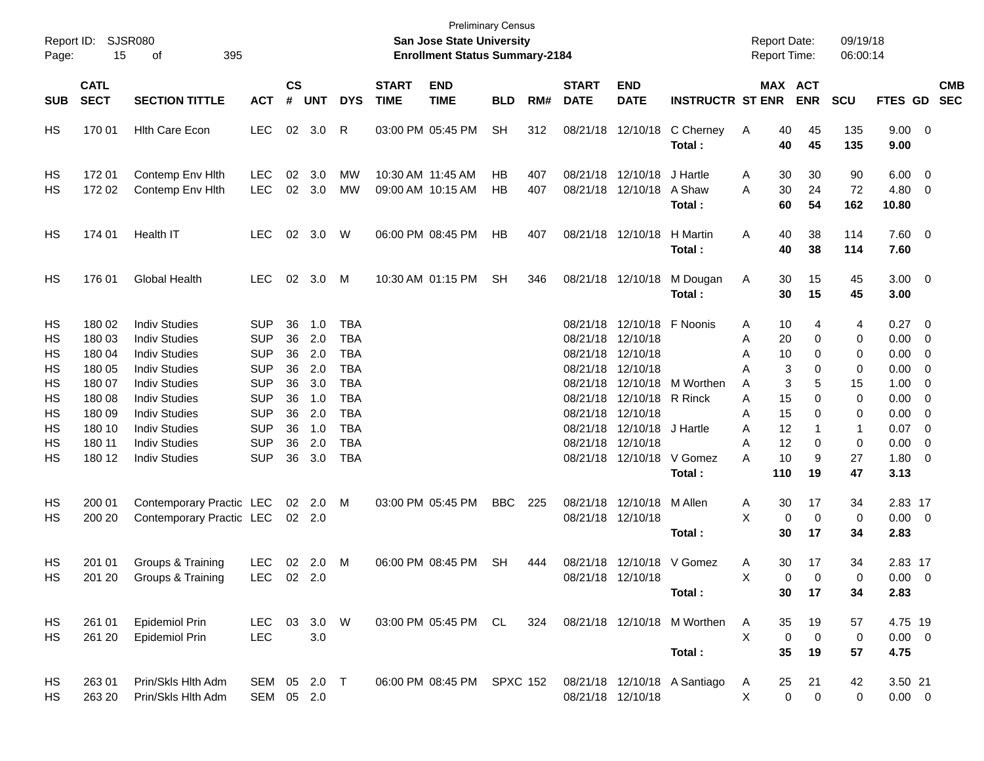| Report ID:<br>Page:              | 15                                                       | SJSR080<br>395<br>οf                                                                                                                         |                                                                                  |                                  |                                        |                                                                                  |                             | San Jose State University<br><b>Enrollment Status Summary-2184</b> | <b>Preliminary Census</b> |            |                             |                                                                                                                        |                                           | <b>Report Date:</b><br><b>Report Time:</b>         |                                      | 09/19/18<br>06:00:14        |                                              |                                                                        |                          |
|----------------------------------|----------------------------------------------------------|----------------------------------------------------------------------------------------------------------------------------------------------|----------------------------------------------------------------------------------|----------------------------------|----------------------------------------|----------------------------------------------------------------------------------|-----------------------------|--------------------------------------------------------------------|---------------------------|------------|-----------------------------|------------------------------------------------------------------------------------------------------------------------|-------------------------------------------|----------------------------------------------------|--------------------------------------|-----------------------------|----------------------------------------------|------------------------------------------------------------------------|--------------------------|
| <b>SUB</b>                       | <b>CATL</b><br><b>SECT</b>                               | <b>SECTION TITTLE</b>                                                                                                                        | <b>ACT</b>                                                                       | $\mathsf{cs}$<br>#               | <b>UNT</b>                             | <b>DYS</b>                                                                       | <b>START</b><br><b>TIME</b> | <b>END</b><br><b>TIME</b>                                          | <b>BLD</b>                | RM#        | <b>START</b><br><b>DATE</b> | <b>END</b><br><b>DATE</b>                                                                                              | <b>INSTRUCTR ST ENR</b>                   |                                                    | <b>MAX ACT</b><br><b>ENR</b>         | <b>SCU</b>                  | FTES GD                                      |                                                                        | <b>CMB</b><br><b>SEC</b> |
| HS                               | 170 01                                                   | <b>Hith Care Econ</b>                                                                                                                        | <b>LEC</b>                                                                       |                                  | 02 3.0                                 | R                                                                                |                             | 03:00 PM 05:45 PM                                                  | <b>SH</b>                 | 312        |                             | 08/21/18 12/10/18                                                                                                      | C Cherney<br>Total:                       | A<br>40<br>40                                      | 45<br>45                             | 135<br>135                  | $9.00 \t 0$<br>9.00                          |                                                                        |                          |
| HS<br>HS                         | 17201<br>172 02                                          | Contemp Env Hith<br>Contemp Env Hith                                                                                                         | <b>LEC</b><br><b>LEC</b>                                                         | 02                               | 3.0<br>02 3.0                          | MW<br>MW                                                                         |                             | 10:30 AM 11:45 AM<br>09:00 AM 10:15 AM                             | HB.<br>НB                 | 407<br>407 |                             | 08/21/18 12/10/18<br>08/21/18 12/10/18                                                                                 | J Hartle<br>A Shaw<br>Total :             | A<br>30<br>30<br>Α<br>60                           | 30<br>24<br>54                       | 90<br>72<br>162             | 6.00<br>4.80<br>10.80                        | $\overline{\mathbf{0}}$<br>0                                           |                          |
| HS                               | 174 01                                                   | Health IT                                                                                                                                    | <b>LEC</b>                                                                       | 02                               | 3.0                                    | W                                                                                |                             | 06:00 PM 08:45 PM                                                  | HB                        | 407        |                             | 08/21/18 12/10/18                                                                                                      | H Martin<br>Total :                       | 40<br>A<br>40                                      | 38<br>38                             | 114<br>114                  | $7.60 \quad 0$<br>7.60                       |                                                                        |                          |
| HS                               | 176 01                                                   | <b>Global Health</b>                                                                                                                         | <b>LEC</b>                                                                       | 02                               | 3.0                                    | M                                                                                |                             | 10:30 AM 01:15 PM                                                  | SН                        | 346        |                             | 08/21/18 12/10/18                                                                                                      | M Dougan<br>Total:                        | A<br>30<br>30                                      | 15<br>15                             | 45<br>45                    | $3.00 \ 0$<br>3.00                           |                                                                        |                          |
| HS<br>НS<br>НS<br>НS<br>НS<br>НS | 180 02<br>180 03<br>180 04<br>180 05<br>180 07<br>180 08 | <b>Indiv Studies</b><br><b>Indiv Studies</b><br><b>Indiv Studies</b><br><b>Indiv Studies</b><br><b>Indiv Studies</b><br><b>Indiv Studies</b> | <b>SUP</b><br><b>SUP</b><br><b>SUP</b><br><b>SUP</b><br><b>SUP</b><br><b>SUP</b> | 36<br>36<br>36<br>36<br>36<br>36 | 1.0<br>2.0<br>2.0<br>2.0<br>3.0<br>1.0 | <b>TBA</b><br><b>TBA</b><br><b>TBA</b><br><b>TBA</b><br><b>TBA</b><br><b>TBA</b> |                             |                                                                    |                           |            |                             | 08/21/18 12/10/18 F Noonis<br>08/21/18 12/10/18<br>08/21/18 12/10/18<br>08/21/18 12/10/18<br>08/21/18 12/10/18 R Rinck | 08/21/18 12/10/18 M Worthen               | 10<br>Α<br>20<br>Α<br>10<br>Α<br>Α<br>Α<br>15<br>Α | 4<br>0<br>0<br>3<br>0<br>3<br>5<br>0 | 4<br>0<br>0<br>0<br>15<br>0 | 0.27<br>0.00<br>0.00<br>0.00<br>1.00<br>0.00 | $\overline{\mathbf{0}}$<br>$\overline{\mathbf{0}}$<br>0<br>0<br>0<br>0 |                          |
| НS<br>НS<br>HS<br>HS             | 180 09<br>180 10<br>180 11<br>180 12                     | <b>Indiv Studies</b><br><b>Indiv Studies</b><br><b>Indiv Studies</b><br><b>Indiv Studies</b>                                                 | <b>SUP</b><br><b>SUP</b><br><b>SUP</b><br><b>SUP</b>                             | 36<br>36<br>36<br>36             | 2.0<br>1.0<br>2.0<br>3.0               | <b>TBA</b><br><b>TBA</b><br><b>TBA</b><br><b>TBA</b>                             |                             |                                                                    |                           |            |                             | 08/21/18 12/10/18<br>08/21/18 12/10/18 J Hartle<br>08/21/18 12/10/18<br>08/21/18 12/10/18                              | V Gomez<br>Total :                        | 15<br>Α<br>12<br>Α<br>12<br>A<br>10<br>А<br>110    | 0<br>0<br>9<br>19                    | 0<br>-1<br>0<br>27<br>47    | 0.00<br>0.07<br>0.00<br>1.80<br>3.13         | 0<br>$\overline{\mathbf{0}}$<br>0<br>$\overline{\mathbf{0}}$           |                          |
| HS<br>HS                         | 200 01<br>200 20                                         | Contemporary Practic LEC<br>Contemporary Practic LEC                                                                                         |                                                                                  |                                  | 02 2.0<br>$02 \quad 2.0$               | M                                                                                |                             | 03:00 PM 05:45 PM                                                  | <b>BBC</b>                | 225        |                             | 08/21/18 12/10/18<br>08/21/18 12/10/18                                                                                 | M Allen<br>Total:                         | 30<br>A<br>X.<br>$\mathbf 0$<br>30                 | 17<br>$\mathbf 0$<br>17              | 34<br>0<br>34               | 2.83 17<br>$0.00 \t 0$<br>2.83               |                                                                        |                          |
| HS<br><b>HS</b>                  | 201 01<br>201 20                                         | Groups & Training<br>Groups & Training                                                                                                       | <b>LEC</b><br>LEC 02 2.0                                                         |                                  | 02 2.0                                 | M                                                                                |                             | 06:00 PM 08:45 PM                                                  | <b>SH</b>                 | 444        |                             | 08/21/18 12/10/18                                                                                                      | 08/21/18 12/10/18 V Gomez<br>Total :      | Α<br>30<br>X<br>30                                 | 17<br>$\Omega$<br>$\Omega$<br>17     | 34<br>0<br>34               | 2.83 17<br>$0.00 \t 0$<br>2.83               |                                                                        |                          |
| HS<br>HS                         | 261 01<br>261 20                                         | Epidemiol Prin<br><b>Epidemiol Prin</b>                                                                                                      | LEC 03 3.0 W<br><b>LEC</b>                                                       |                                  | 3.0                                    |                                                                                  |                             | 03:00 PM 05:45 PM CL                                               |                           |            |                             |                                                                                                                        | 324 08/21/18 12/10/18 M Worthen<br>Total: | A<br>35<br>X<br>$\mathbf 0$<br>35                  | 19<br>0<br>19                        | 57<br>0<br>57               | 4.75 19<br>$0.00 \t 0$<br>4.75               |                                                                        |                          |
| HS<br>HS                         | 263 01<br>263 20                                         | Prin/Skls Hlth Adm<br>Prin/Skls Hlth Adm                                                                                                     | SEM 05 2.0 T<br>SEM 05 2.0                                                       |                                  |                                        |                                                                                  |                             | 06:00 PM 08:45 PM SPXC 152                                         |                           |            |                             | 08/21/18 12/10/18                                                                                                      | 08/21/18 12/10/18 A Santiago              | 25<br>A<br>X                                       | 21<br>$\mathbf 0$<br>$\mathbf 0$     | 42<br>0                     | 3.50 21<br>$0.00 \t 0$                       |                                                                        |                          |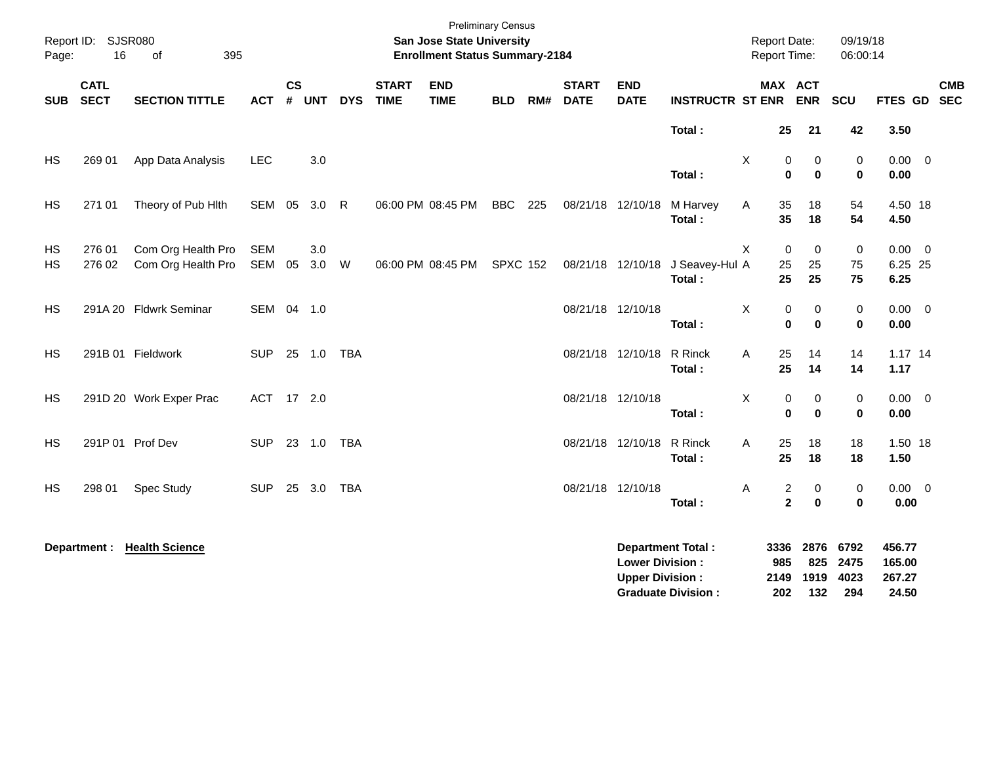| Page:           | Report ID: SJSR080<br>16   | 395<br>of                                |               |                    |              |            |                             | <b>Preliminary Census</b><br>San Jose State University<br><b>Enrollment Status Summary-2184</b> |                 |     |                             |                                                  |                             | <b>Report Date:</b><br>Report Time: |                                          | 09/19/18<br>06:00:14     |                                |            |
|-----------------|----------------------------|------------------------------------------|---------------|--------------------|--------------|------------|-----------------------------|-------------------------------------------------------------------------------------------------|-----------------|-----|-----------------------------|--------------------------------------------------|-----------------------------|-------------------------------------|------------------------------------------|--------------------------|--------------------------------|------------|
| <b>SUB</b>      | <b>CATL</b><br><b>SECT</b> | <b>SECTION TITTLE</b>                    | <b>ACT</b>    | $\mathsf{cs}$<br># | <b>UNT</b>   | <b>DYS</b> | <b>START</b><br><b>TIME</b> | <b>END</b><br><b>TIME</b>                                                                       | <b>BLD</b>      | RM# | <b>START</b><br><b>DATE</b> | <b>END</b><br><b>DATE</b>                        | <b>INSTRUCTR ST ENR ENR</b> |                                     | MAX ACT                                  | SCU                      | FTES GD SEC                    | <b>CMB</b> |
|                 |                            |                                          |               |                    |              |            |                             |                                                                                                 |                 |     |                             |                                                  | Total:                      |                                     | 25<br>21                                 | 42                       | 3.50                           |            |
| HS              | 269 01                     | App Data Analysis                        | <b>LEC</b>    |                    | 3.0          |            |                             |                                                                                                 |                 |     |                             |                                                  | Total:                      | X                                   | 0<br>0<br>$\bf{0}$<br>$\bf{0}$           | 0<br>$\mathbf 0$         | $0.00 \t 0$<br>0.00            |            |
| HS              | 271 01                     | Theory of Pub Hith                       | SEM 05 3.0 R  |                    |              |            |                             | 06:00 PM 08:45 PM                                                                               | <b>BBC</b>      | 225 | 08/21/18 12/10/18           |                                                  | M Harvey<br>Total:          | Α                                   | 35<br>18<br>35<br>18                     | 54<br>54                 | 4.50 18<br>4.50                |            |
| HS<br><b>HS</b> | 276 01<br>276 02           | Com Org Health Pro<br>Com Org Health Pro | SEM<br>SEM 05 |                    | 3.0<br>3.0 W |            |                             | 06:00 PM 08:45 PM                                                                               | <b>SPXC 152</b> |     |                             | 08/21/18 12/10/18                                | J Seavey-Hul A<br>Total:    | X                                   | $\mathbf 0$<br>0<br>25<br>25<br>25<br>25 | $\mathbf 0$<br>75<br>75  | $0.00 \t 0$<br>6.25 25<br>6.25 |            |
| <b>HS</b>       |                            | 291A 20 Fldwrk Seminar                   | SEM 04 1.0    |                    |              |            |                             |                                                                                                 |                 |     | 08/21/18 12/10/18           |                                                  | Total:                      | X                                   | 0<br>0<br>$\mathbf{0}$<br>$\bf{0}$       | 0<br>$\mathbf 0$         | $0.00 \t 0$<br>0.00            |            |
| <b>HS</b>       |                            | 291B 01 Fieldwork                        | <b>SUP</b>    |                    | 25 1.0       | <b>TBA</b> |                             |                                                                                                 |                 |     |                             | 08/21/18 12/10/18                                | R Rinck<br>Total:           | Α                                   | 25<br>14<br>25<br>14                     | 14<br>14                 | $1.17$ 14<br>1.17              |            |
| <b>HS</b>       |                            | 291D 20 Work Exper Prac                  | ACT 17 2.0    |                    |              |            |                             |                                                                                                 |                 |     | 08/21/18 12/10/18           |                                                  | Total:                      | X                                   | 0<br>0<br>$\mathbf 0$<br>$\bf{0}$        | $\pmb{0}$<br>$\mathbf 0$ | $0.00 \t 0$<br>0.00            |            |
| <b>HS</b>       |                            | 291P 01 Prof Dev                         | <b>SUP</b>    |                    | 23 1.0       | TBA        |                             |                                                                                                 |                 |     | 08/21/18 12/10/18           |                                                  | R Rinck<br>Total:           | A                                   | 18<br>25<br>25<br>18                     | 18<br>18                 | 1.50 18<br>1.50                |            |
| HS              | 298 01                     | Spec Study                               | <b>SUP</b>    |                    | 25 3.0       | TBA        |                             |                                                                                                 |                 |     | 08/21/18 12/10/18           |                                                  | Total:                      | Α                                   | 2<br>0<br>$\overline{2}$<br>$\bf{0}$     | 0<br>$\mathbf 0$         | $0.00 \t 0$<br>0.00            |            |
|                 | Department :               | <b>Health Science</b>                    |               |                    |              |            |                             |                                                                                                 |                 |     |                             | <b>Lower Division:</b><br><b>Upper Division:</b> | <b>Department Total:</b>    | 3336<br>985                         | 2876<br>825<br>2149 1919                 | 6792<br>2475<br>4023     | 456.77<br>165.00<br>267.27     |            |

**Graduate Division : 202 132 294 24.50**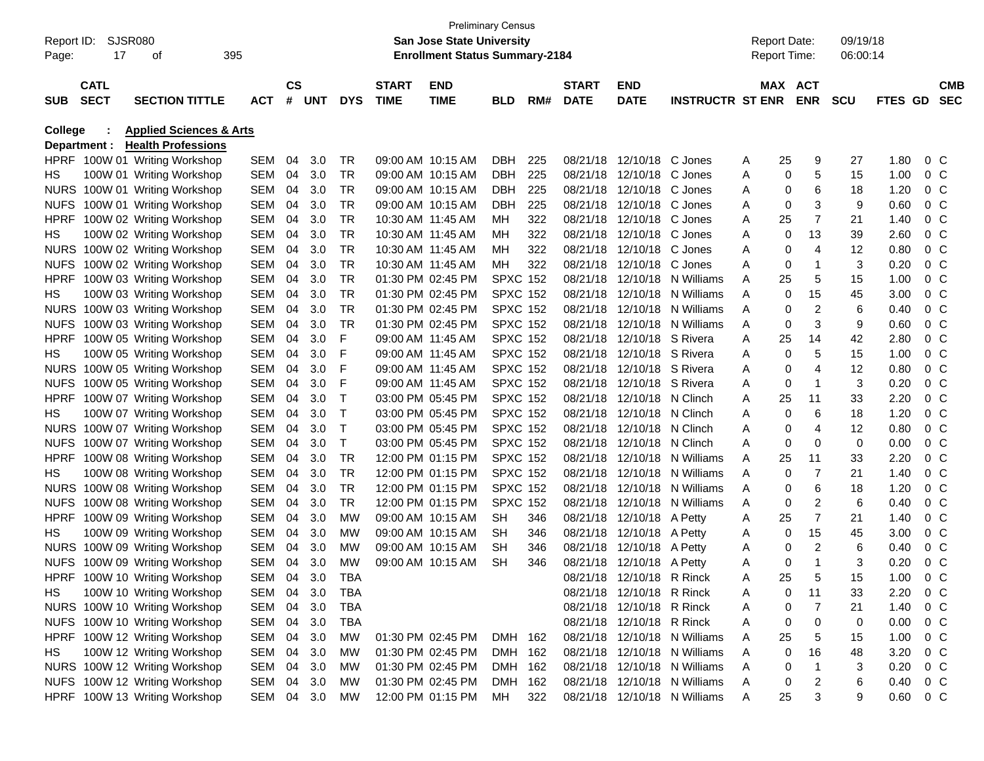|                |                    |                                                           |            |           |            |            |                   |                                       | <b>Preliminary Census</b> |     |              |                           |                              |   |                     |                |            |         |                |            |
|----------------|--------------------|-----------------------------------------------------------|------------|-----------|------------|------------|-------------------|---------------------------------------|---------------------------|-----|--------------|---------------------------|------------------------------|---|---------------------|----------------|------------|---------|----------------|------------|
|                | Report ID: SJSR080 |                                                           |            |           |            |            |                   | San Jose State University             |                           |     |              |                           |                              |   | <b>Report Date:</b> |                | 09/19/18   |         |                |            |
| Page:          | 17                 | οf                                                        | 395        |           |            |            |                   | <b>Enrollment Status Summary-2184</b> |                           |     |              |                           |                              |   | <b>Report Time:</b> |                | 06:00:14   |         |                |            |
|                |                    |                                                           |            |           |            |            |                   |                                       |                           |     |              |                           |                              |   |                     |                |            |         |                |            |
|                | <b>CATL</b>        |                                                           |            | <b>CS</b> |            |            | <b>START</b>      | <b>END</b>                            |                           |     | <b>START</b> | <b>END</b>                |                              |   | MAX ACT             |                |            |         |                | <b>CMB</b> |
| <b>SUB</b>     | <b>SECT</b>        | <b>SECTION TITTLE</b>                                     | <b>ACT</b> | #         | <b>UNT</b> | <b>DYS</b> | <b>TIME</b>       | <b>TIME</b>                           | BLD                       | RM# | <b>DATE</b>  | <b>DATE</b>               | <b>INSTRUCTR ST ENR</b>      |   |                     | <b>ENR</b>     | <b>SCU</b> | FTES GD |                | <b>SEC</b> |
| <b>College</b> |                    | <b>Applied Sciences &amp; Arts</b>                        |            |           |            |            |                   |                                       |                           |     |              |                           |                              |   |                     |                |            |         |                |            |
|                | Department :       | <b>Health Professions</b>                                 |            |           |            |            |                   |                                       |                           |     |              |                           |                              |   |                     |                |            |         |                |            |
|                |                    | HPRF 100W 01 Writing Workshop                             | SEM        | 04        | 3.0        | TR         |                   | 09:00 AM 10:15 AM                     | <b>DBH</b>                | 225 | 08/21/18     | 12/10/18 C Jones          |                              | A | 25                  | 9              | 27         | 1.80    | 0 <sup>o</sup> |            |
| HS             |                    | 100W 01 Writing Workshop                                  | SEM        | 04        | 3.0        | TR         |                   | 09:00 AM 10:15 AM                     | <b>DBH</b>                | 225 | 08/21/18     | 12/10/18 C Jones          |                              | Α | 0                   | 5              | 15         | 1.00    | 0 <sup>o</sup> |            |
|                |                    | NURS 100W 01 Writing Workshop                             | SEM        | 04        | 3.0        | TR         |                   | 09:00 AM 10:15 AM                     | <b>DBH</b>                | 225 | 08/21/18     | 12/10/18 C Jones          |                              | Α | 0                   | 6              | 18         | 1.20    | 0 <sup>o</sup> |            |
| <b>NUFS</b>    |                    | 100W 01 Writing Workshop                                  | SEM        | 04        | 3.0        | <b>TR</b>  |                   | 09:00 AM 10:15 AM                     | DBH                       | 225 | 08/21/18     | 12/10/18 C Jones          |                              | Α | 0                   | 3              | 9          | 0.60    | 0 <sup>o</sup> |            |
| <b>HPRF</b>    |                    | 100W 02 Writing Workshop                                  | SEM        | 04        | 3.0        | TR         |                   | 10:30 AM 11:45 AM                     | MН                        | 322 | 08/21/18     | 12/10/18 C Jones          |                              | Α | 25                  | 7              | 21         | 1.40    | 0 <sup>o</sup> |            |
| HS             |                    | 100W 02 Writing Workshop                                  | SEM        | 04        | 3.0        | <b>TR</b>  |                   | 10:30 AM 11:45 AM                     | мн                        | 322 | 08/21/18     | 12/10/18 C Jones          |                              | A | 0                   | 13             | 39         | 2.60    | 0 <sup>o</sup> |            |
|                |                    | NURS 100W 02 Writing Workshop                             | SEM        | 04        | 3.0        | <b>TR</b>  | 10:30 AM 11:45 AM |                                       | MН                        | 322 | 08/21/18     | 12/10/18 C Jones          |                              | Α | 0                   | 4              | 12         | 0.80    | 0 <sup>o</sup> |            |
| <b>NUFS</b>    |                    | 100W 02 Writing Workshop                                  | SEM        | 04        | 3.0        | <b>TR</b>  |                   | 10:30 AM 11:45 AM                     | MН                        | 322 | 08/21/18     | 12/10/18 C Jones          |                              | A | 0                   | 1              | 3          | 0.20    | 0 <sup>o</sup> |            |
| <b>HPRF</b>    |                    | 100W 03 Writing Workshop                                  | SEM        | 04        | 3.0        | <b>TR</b>  |                   | 01:30 PM 02:45 PM                     | <b>SPXC 152</b>           |     | 08/21/18     |                           | 12/10/18 N Williams          | A | 25                  | 5              | 15         | 1.00    | 0 <sup>o</sup> |            |
| HS             |                    | 100W 03 Writing Workshop                                  | SEM        | 04        | 3.0        | <b>TR</b>  |                   | 01:30 PM 02:45 PM                     | <b>SPXC 152</b>           |     | 08/21/18     |                           | 12/10/18 N Williams          | A | 0                   | 15             | 45         | 3.00    | 0 <sup>o</sup> |            |
|                |                    | NURS 100W 03 Writing Workshop                             | SEM        | 04        | 3.0        | <b>TR</b>  |                   | 01:30 PM 02:45 PM                     | <b>SPXC 152</b>           |     | 08/21/18     |                           | 12/10/18 N Williams          | A | 0                   | $\overline{2}$ | 6          | 0.40    | 0 <sup>o</sup> |            |
| <b>NUFS</b>    |                    | 100W 03 Writing Workshop                                  | SEM        | 04        | 3.0        | <b>TR</b>  |                   | 01:30 PM 02:45 PM                     | <b>SPXC 152</b>           |     | 08/21/18     |                           | 12/10/18 N Williams          | A | 0                   | 3              | 9          | 0.60    | 0 <sup>o</sup> |            |
| <b>HPRF</b>    |                    | 100W 05 Writing Workshop                                  | SEM        | 04        | 3.0        | F          | 09:00 AM 11:45 AM |                                       | <b>SPXC 152</b>           |     | 08/21/18     | 12/10/18 S Rivera         |                              | Α | 25                  | 14             | 42         | 2.80    | 0 <sup>o</sup> |            |
| HS             |                    | 100W 05 Writing Workshop                                  | SEM        | 04        | 3.0        | F          | 09:00 AM 11:45 AM |                                       | <b>SPXC 152</b>           |     | 08/21/18     | 12/10/18 S Rivera         |                              | Α | 0                   | 5              | 15         | 1.00    | 0 <sup>o</sup> |            |
|                |                    |                                                           | SEM        | 04        | 3.0        | F          | 09:00 AM 11:45 AM |                                       | <b>SPXC 152</b>           |     | 08/21/18     | 12/10/18 S Rivera         |                              | A | 0                   | 4              | 12         | 0.80    | 0 <sup>o</sup> |            |
| <b>NUFS</b>    |                    | NURS 100W 05 Writing Workshop<br>100W 05 Writing Workshop | SEM        | 04        | 3.0        | F          | 09:00 AM 11:45 AM |                                       | <b>SPXC 152</b>           |     | 08/21/18     | 12/10/18 S Rivera         |                              | A | 0                   | -1             | 3          | 0.20    | 0 <sup>o</sup> |            |
| <b>HPRF</b>    |                    |                                                           | SEM        | 04        | 3.0        | Т          |                   | 03:00 PM 05:45 PM                     | <b>SPXC 152</b>           |     | 08/21/18     | 12/10/18 N Clinch         |                              |   | 25                  |                | 33         | 2.20    | 0 <sup>o</sup> |            |
| HS             |                    | 100W 07 Writing Workshop                                  | SEM        | 04        | 3.0        |            |                   | 03:00 PM 05:45 PM                     | <b>SPXC 152</b>           |     | 08/21/18     | 12/10/18 N Clinch         |                              | Α | 0                   | 11<br>6        | 18         |         | 0 <sup>o</sup> |            |
|                |                    | 100W 07 Writing Workshop                                  |            |           |            | Т          |                   |                                       |                           |     |              |                           |                              | A |                     | 4              |            | 1.20    |                |            |
|                |                    | NURS 100W 07 Writing Workshop                             | SEM        | 04        | 3.0        | Т          |                   | 03:00 PM 05:45 PM                     | <b>SPXC 152</b>           |     | 08/21/18     | 12/10/18 N Clinch         |                              | A | 0                   |                | 12         | 0.80    | 0 <sup>o</sup> |            |
| <b>NUFS</b>    |                    | 100W 07 Writing Workshop                                  | SEM        | 04        | 3.0        | Т          |                   | 03:00 PM 05:45 PM                     | <b>SPXC 152</b>           |     | 08/21/18     | 12/10/18 N Clinch         |                              | Α | 0                   | 0              | 0          | 0.00    | 0 <sup>o</sup> |            |
| <b>HPRF</b>    |                    | 100W 08 Writing Workshop                                  | SEM        | 04        | 3.0        | <b>TR</b>  |                   | 12:00 PM 01:15 PM                     | <b>SPXC 152</b>           |     | 08/21/18     |                           | 12/10/18 N Williams          | A | 25                  | 11             | 33         | 2.20    | 0 <sup>o</sup> |            |
| HS             |                    | 100W 08 Writing Workshop                                  | SEM        | 04        | 3.0        | <b>TR</b>  |                   | 12:00 PM 01:15 PM                     | <b>SPXC 152</b>           |     | 08/21/18     |                           | 12/10/18 N Williams          | A | 0                   | $\overline{7}$ | 21         | 1.40    | 0 <sup>o</sup> |            |
|                |                    | NURS 100W 08 Writing Workshop                             | SEM        | 04        | 3.0        | <b>TR</b>  |                   | 12:00 PM 01:15 PM                     | <b>SPXC 152</b>           |     | 08/21/18     |                           | 12/10/18 N Williams          | A | 0                   | 6              | 18         | 1.20    | 0 <sup>o</sup> |            |
| <b>NUFS</b>    |                    | 100W 08 Writing Workshop                                  | SEM        | 04        | 3.0        | <b>TR</b>  |                   | 12:00 PM 01:15 PM                     | <b>SPXC 152</b>           |     | 08/21/18     |                           | 12/10/18 N Williams          | A | 0                   | $\overline{2}$ | 6          | 0.40    | 0 <sup>o</sup> |            |
| <b>HPRF</b>    |                    | 100W 09 Writing Workshop                                  | SEM        | 04        | 3.0        | <b>MW</b>  |                   | 09:00 AM 10:15 AM                     | <b>SH</b>                 | 346 | 08/21/18     | 12/10/18 A Petty          |                              | Α | 25                  | $\overline{7}$ | 21         | 1.40    | 0 <sup>o</sup> |            |
| HS             |                    | 100W 09 Writing Workshop                                  | SEM        | 04        | 3.0        | <b>MW</b>  |                   | 09:00 AM 10:15 AM                     | <b>SH</b>                 | 346 | 08/21/18     | 12/10/18 A Petty          |                              | Α | 0                   | 15             | 45         | 3.00    | $0\,C$         |            |
|                |                    | NURS 100W 09 Writing Workshop                             | SEM        | 04        | 3.0        | <b>MW</b>  |                   | 09:00 AM 10:15 AM                     | <b>SH</b>                 | 346 | 08/21/18     | 12/10/18 A Petty          |                              | Α | 0                   | $\overline{2}$ | 6          | 0.40    | 0 <sup>o</sup> |            |
| <b>NUFS</b>    |                    | 100W 09 Writing Workshop                                  | SEM        | 04        | 3.0        | <b>MW</b>  |                   | 09:00 AM 10:15 AM                     | SН                        | 346 | 08/21/18     | 12/10/18 A Petty          |                              | Α | 0                   | 1              | 3          | 0.20    | 0 <sup>o</sup> |            |
|                |                    | HPRF 100W 10 Writing Workshop                             | SEM 04 3.0 |           |            | <b>TBA</b> |                   |                                       |                           |     |              | 08/21/18 12/10/18 R Rinck |                              | А | 25                  |                | 15         | 1.00    | $0\,C$         |            |
| HS.            |                    | 100W 10 Writing Workshop                                  | SEM 04 3.0 |           |            | TBA        |                   |                                       |                           |     |              | 08/21/18 12/10/18 R Rinck |                              | A | 0                   | 11             | 33         | 2.20    | $0\,C$         |            |
|                |                    | NURS 100W 10 Writing Workshop                             | SEM 04 3.0 |           |            | TBA        |                   |                                       |                           |     |              | 08/21/18 12/10/18 R Rinck |                              | Α | 0                   | 7              | 21         | 1.40    | $0\,$ C        |            |
|                |                    | NUFS 100W 10 Writing Workshop                             | SEM 04 3.0 |           |            | TBA        |                   |                                       |                           |     |              | 08/21/18 12/10/18 R Rinck |                              | Α | 0                   | 0              | 0          | 0.00    | 0 C            |            |
|                |                    | HPRF 100W 12 Writing Workshop                             | SEM 04 3.0 |           |            | MW         |                   | 01:30 PM 02:45 PM                     | DMH 162                   |     |              |                           | 08/21/18 12/10/18 N Williams | Α | 25                  | 5              | 15         | 1.00    | $0\,C$         |            |
| HS             |                    | 100W 12 Writing Workshop                                  | SEM 04 3.0 |           |            | МW         |                   | 01:30 PM 02:45 PM                     | DMH 162                   |     |              |                           | 08/21/18 12/10/18 N Williams | Α | 0                   | 16             | 48         | 3.20    | $0\,$ C        |            |
|                |                    | NURS 100W 12 Writing Workshop                             | SEM 04 3.0 |           |            | МW         |                   | 01:30 PM 02:45 PM                     | DMH 162                   |     |              |                           | 08/21/18 12/10/18 N Williams | Α | 0                   | 1              | 3          | 0.20    | $0\,$ C        |            |
|                |                    | NUFS 100W 12 Writing Workshop                             | SEM 04 3.0 |           |            | МW         |                   | 01:30 PM 02:45 PM                     | DMH 162                   |     |              |                           | 08/21/18 12/10/18 N Williams | A | 0                   | 2              | 6          | 0.40    | $0\,C$         |            |
|                |                    | HPRF 100W 13 Writing Workshop                             | SEM 04 3.0 |           |            | MW         |                   | 12:00 PM 01:15 PM                     | MН                        | 322 |              |                           | 08/21/18 12/10/18 N Williams | A | 25                  | 3              | 9          | 0.60    | $0\,C$         |            |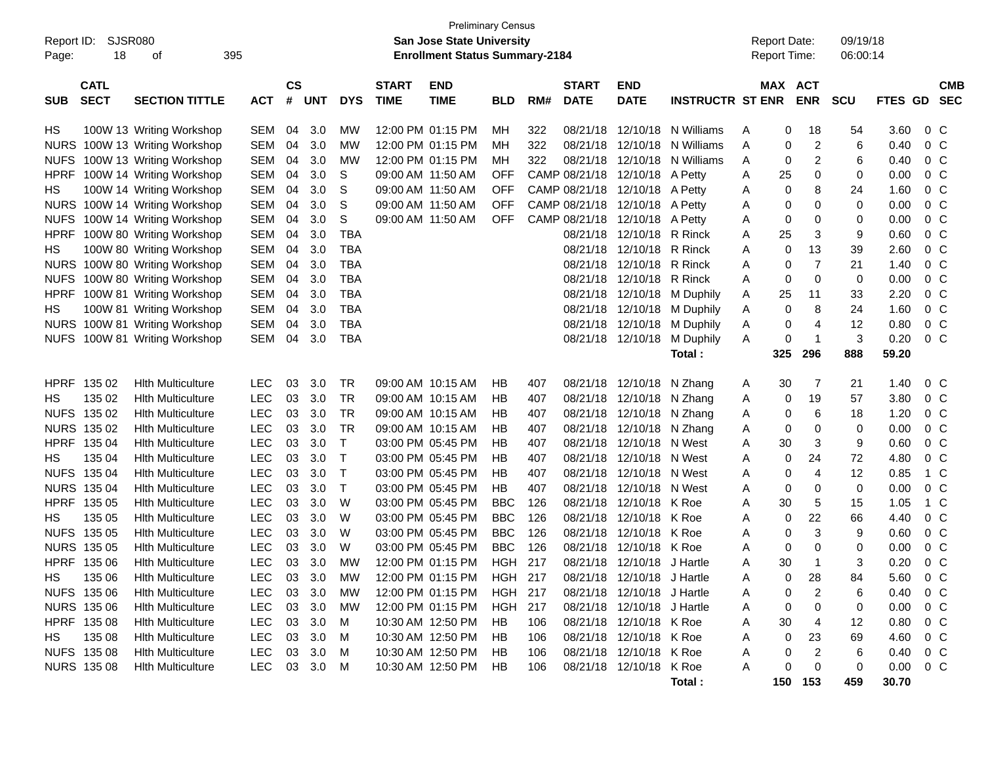|             |                    |                               |            |           |            |            |                                       | <b>Preliminary Census</b>        |                |     |               |                            |                             |                     |     |                |            |         |                |            |
|-------------|--------------------|-------------------------------|------------|-----------|------------|------------|---------------------------------------|----------------------------------|----------------|-----|---------------|----------------------------|-----------------------------|---------------------|-----|----------------|------------|---------|----------------|------------|
| Report ID:  |                    | <b>SJSR080</b><br>395<br>οf   |            |           |            |            |                                       | <b>San Jose State University</b> |                |     |               |                            |                             | <b>Report Date:</b> |     |                | 09/19/18   |         |                |            |
| Page:       | 18                 |                               |            |           |            |            | <b>Enrollment Status Summary-2184</b> |                                  |                |     |               |                            | Report Time:                |                     |     | 06:00:14       |            |         |                |            |
|             | <b>CATL</b>        |                               |            | <b>CS</b> |            |            | <b>START</b>                          | <b>END</b>                       |                |     | <b>START</b>  | <b>END</b>                 |                             |                     |     | <b>MAX ACT</b> |            |         |                | <b>CMB</b> |
| <b>SUB</b>  | <b>SECT</b>        | <b>SECTION TITTLE</b>         | <b>ACT</b> | #         | <b>UNT</b> | <b>DYS</b> | <b>TIME</b>                           | <b>TIME</b>                      | <b>BLD</b>     | RM# | <b>DATE</b>   | <b>DATE</b>                | <b>INSTRUCTR ST ENR</b>     |                     |     | <b>ENR</b>     | <b>SCU</b> | FTES GD |                | <b>SEC</b> |
| HS          |                    | 100W 13 Writing Workshop      | SEM        | 04        | 3.0        | МW         |                                       | 12:00 PM 01:15 PM                | MН             | 322 | 08/21/18      |                            | 12/10/18 N Williams         | Α                   | 0   | 18             | 54         | 3.60    | 0 C            |            |
| <b>NURS</b> |                    | 100W 13 Writing Workshop      | SEM        | 04        | 3.0        | МW         |                                       | 12:00 PM 01:15 PM                | MН             | 322 | 08/21/18      |                            | 12/10/18 N Williams         | Α                   | 0   | 2              | 6          | 0.40    | 0 <sup>o</sup> |            |
| <b>NUFS</b> |                    | 100W 13 Writing Workshop      | SEM        | 04        | 3.0        | МW         |                                       | 12:00 PM 01:15 PM                | MН             | 322 | 08/21/18      |                            | 12/10/18 N Williams         | Α                   | 0   | $\overline{c}$ | 6          | 0.40    | $0\,$ C        |            |
| <b>HPRF</b> |                    | 100W 14 Writing Workshop      | SEM        | 04        | 3.0        | S          | 09:00 AM 11:50 AM                     |                                  | OFF            |     | CAMP 08/21/18 | 12/10/18 A Petty           |                             | Α                   | 25  | 0              | 0          | 0.00    | 0 <sup>o</sup> |            |
| HS          |                    | 100W 14 Writing Workshop      | SEM        | 04        | 3.0        | S          | 09:00 AM 11:50 AM                     |                                  | OFF            |     | CAMP 08/21/18 | 12/10/18 A Petty           |                             | Α                   | 0   | 8              | 24         | 1.60    | 0 <sup>o</sup> |            |
| <b>NURS</b> |                    | 100W 14 Writing Workshop      | <b>SEM</b> | 04        | 3.0        | S          | 09:00 AM 11:50 AM                     |                                  | OFF            |     | CAMP 08/21/18 | 12/10/18 A Petty           |                             | Α                   | 0   | 0              | 0          | 0.00    | 0 <sup>o</sup> |            |
| <b>NUFS</b> |                    | 100W 14 Writing Workshop      | SEM        | 04        | 3.0        | S          |                                       | 09:00 AM 11:50 AM                | <b>OFF</b>     |     | CAMP 08/21/18 | 12/10/18 A Petty           |                             | Α                   | 0   | 0              | 0          | 0.00    | 0 <sup>o</sup> |            |
| <b>HPRF</b> |                    | 100W 80 Writing Workshop      | SEM        | 04        | 3.0        | <b>TBA</b> |                                       |                                  |                |     | 08/21/18      | 12/10/18 R Rinck           |                             | Α                   | 25  | 3              | 9          | 0.60    | 0 <sup>o</sup> |            |
| HS          |                    | 100W 80 Writing Workshop      | SEM        | 04        | 3.0        | <b>TBA</b> |                                       |                                  |                |     | 08/21/18      | 12/10/18 R Rinck           |                             | Α                   | 0   | 13             | 39         | 2.60    | 0 <sup>o</sup> |            |
| <b>NURS</b> |                    | 100W 80 Writing Workshop      | SEM        | 04        | 3.0        | <b>TBA</b> |                                       |                                  |                |     | 08/21/18      | 12/10/18 R Rinck           |                             | Α                   | 0   | $\overline{7}$ | 21         | 1.40    | 0 <sup>o</sup> |            |
| <b>NUFS</b> |                    | 100W 80 Writing Workshop      | SEM        | 04        | 3.0        | <b>TBA</b> |                                       |                                  |                |     | 08/21/18      | 12/10/18 R Rinck           |                             | Α                   | 0   | 0              | 0          | 0.00    | 0 <sup>o</sup> |            |
| <b>HPRF</b> |                    | 100W 81 Writing Workshop      | SEM        | 04        | 3.0        | <b>TBA</b> |                                       |                                  |                |     | 08/21/18      |                            | 12/10/18 M Duphily          | Α                   | 25  | 11             | 33         | 2.20    | 0 <sup>o</sup> |            |
| HS.         |                    | 100W 81 Writing Workshop      | SEM        | 04        | 3.0        | TBA        |                                       |                                  |                |     | 08/21/18      |                            | 12/10/18 M Duphily          | Α                   | 0   | 8              | 24         | 1.60    | 0 <sup>o</sup> |            |
| <b>NURS</b> |                    | 100W 81 Writing Workshop      | SEM        | 04        | 3.0        | <b>TBA</b> |                                       |                                  |                |     | 08/21/18      |                            | 12/10/18 M Duphily          | A                   | 0   | 4              | 12         | 0.80    | 0 <sup>o</sup> |            |
|             |                    | NUFS 100W 81 Writing Workshop | SEM        | 04        | 3.0        | <b>TBA</b> |                                       |                                  |                |     |               |                            | 08/21/18 12/10/18 M Duphily | A                   | 0   | $\mathbf 1$    | 3          | 0.20    | $0\,C$         |            |
|             |                    |                               |            |           |            |            |                                       |                                  |                |     |               |                            | Total:                      |                     | 325 | 296            | 888        | 59.20   |                |            |
| <b>HPRF</b> | 135 02             | <b>Hith Multiculture</b>      | <b>LEC</b> | 03        | 3.0        | TR         |                                       | 09:00 AM 10:15 AM                | HB             | 407 |               | 08/21/18 12/10/18 N Zhang  |                             | A                   | 30  | 7              | 21         | 1.40    | 0 C            |            |
| HS.         | 135 02             | <b>Hith Multiculture</b>      | LEC        | 03        | 3.0        | <b>TR</b>  |                                       | 09:00 AM 10:15 AM                | HВ             | 407 |               | 08/21/18 12/10/18 N Zhang  |                             | Α                   | 0   | 19             | 57         | 3.80    | 0 C            |            |
|             | NUFS 135 02        | <b>Hith Multiculture</b>      | <b>LEC</b> | 03        | 3.0        | <b>TR</b>  |                                       | 09:00 AM 10:15 AM                | HВ             | 407 |               | 08/21/18 12/10/18 N Zhang  |                             | Α                   | 0   | 6              | 18         | 1.20    | 0 <sup>o</sup> |            |
|             | NURS 135 02        | <b>Hith Multiculture</b>      | LEC        | 03        | 3.0        | <b>TR</b>  |                                       | 09:00 AM 10:15 AM                | HB             | 407 |               | 08/21/18 12/10/18 N Zhang  |                             | Α                   | 0   | 0              | 0          | 0.00    | 0 <sup>o</sup> |            |
|             | HPRF 135 04        | <b>Hith Multiculture</b>      | LEC        | 03        | 3.0        | $\top$     |                                       | 03:00 PM 05:45 PM                | HB             | 407 | 08/21/18      | 12/10/18 N West            |                             | Α                   | 30  | 3              | 9          | 0.60    | 0 <sup>o</sup> |            |
| HS.         | 135 04             | <b>Hith Multiculture</b>      | LEC        | 03        | 3.0        | $\top$     |                                       | 03:00 PM 05:45 PM                | HB             | 407 | 08/21/18      | 12/10/18 N West            |                             | Α                   | 0   | 24             | 72         | 4.80    | 0 <sup>o</sup> |            |
|             | NUFS 135 04        | <b>Hith Multiculture</b>      | <b>LEC</b> | 03        | 3.0        | $\top$     |                                       | 03:00 PM 05:45 PM                | HB             | 407 | 08/21/18      | 12/10/18 N West            |                             | Α                   | 0   | 4              | 12         | 0.85    | 1 C            |            |
|             | NURS 135 04        | <b>Hith Multiculture</b>      | LEC        | 03        | 3.0        | $\top$     |                                       | 03:00 PM 05:45 PM                | HB             | 407 | 08/21/18      | 12/10/18 N West            |                             | Α                   | 0   | 0              | 0          | 0.00    | 0 <sup>o</sup> |            |
|             | HPRF 135 05        | <b>Hith Multiculture</b>      | LEC        | 03        | 3.0        | W          |                                       | 03:00 PM 05:45 PM                | BBC            | 126 | 08/21/18      | 12/10/18 K Roe             |                             | Α                   | 30  | 5              | 15         | 1.05    | 1 C            |            |
| НS          | 135 05             | <b>Hith Multiculture</b>      | LEC        | 03        | 3.0        | W          |                                       | 03:00 PM 05:45 PM                | <b>BBC</b>     | 126 | 08/21/18      | 12/10/18 K Roe             |                             | Α                   | 0   | 22             | 66         | 4.40    | 0 <sup>o</sup> |            |
|             | NUFS 135 05        | <b>Hith Multiculture</b>      | LEC        | 03        | 3.0        | W          |                                       | 03:00 PM 05:45 PM                | <b>BBC</b>     | 126 | 08/21/18      | 12/10/18 K Roe             |                             | Α                   | 0   | 3              | 9          | 0.60    | 0 <sup>o</sup> |            |
|             | NURS 135 05        | <b>Hith Multiculture</b>      | LEC        | 03        | 3.0        | W          |                                       | 03:00 PM 05:45 PM                | <b>BBC</b>     | 126 | 08/21/18      | 12/10/18 K Roe             |                             | Α                   | 0   | 0              | 0          | 0.00    | 0 <sup>o</sup> |            |
|             | HPRF 135 06        | <b>Hith Multiculture</b>      | LEC        | 03        | 3.0        | МW         |                                       | 12:00 PM 01:15 PM                | <b>HGH</b>     | 217 |               | 08/21/18 12/10/18 J Hartle |                             | A                   | 30  |                | 3          | 0.20    | $0\,C$         |            |
| нs          | 135 06             | <b>Hith Multiculture</b>      | LEC        | 03        | 3.0        | МW         |                                       | 12:00 PM 01:15 PM                | HGH 217        |     |               | 08/21/18 12/10/18 J Hartle |                             | A                   | 0   | 28             | 84         | 5.60    | 0 C            |            |
|             | NUFS 135 06        | <b>Hith Multiculture</b>      | <b>LEC</b> | 03        | 3.0        | МW         |                                       | 12:00 PM 01:15 PM                | <b>HGH 217</b> |     |               | 08/21/18 12/10/18 J Hartle |                             | A                   | 0   | 2              |            | 0.40    | 0 C            |            |
|             | <b>NURS 135 06</b> | <b>Hlth Multiculture</b>      | <b>LEC</b> | 03        | 3.0        | МW         |                                       | 12:00 PM 01:15 PM                | <b>HGH 217</b> |     |               | 08/21/18 12/10/18 J Hartle |                             | A                   | 0   | 0              | 0          | 0.00    | 0 C            |            |
|             | HPRF 135 08        | <b>Hith Multiculture</b>      | <b>LEC</b> | 03        | 3.0        | M          |                                       | 10:30 AM 12:50 PM                | HB             | 106 |               | 08/21/18 12/10/18 K Roe    |                             | Α                   | 30  | 4              | 12         | 0.80    | 0 C            |            |
| HS          | 135 08             | <b>Hith Multiculture</b>      | <b>LEC</b> | 03        | 3.0        | M          |                                       | 10:30 AM 12:50 PM                | HВ             | 106 |               | 08/21/18 12/10/18 K Roe    |                             | Α                   | 0   | 23             | 69         | 4.60    | 0 C            |            |
|             | NUFS 135 08        | <b>Hith Multiculture</b>      | <b>LEC</b> | 03        | 3.0        | M          |                                       | 10:30 AM 12:50 PM                | HВ             | 106 |               | 08/21/18 12/10/18 K Roe    |                             | Α                   | 0   | 2              | 6          | 0.40    | $0\,$ C        |            |
|             | NURS 135 08        | <b>Hith Multiculture</b>      | <b>LEC</b> |           | 03 3.0     | M          |                                       | 10:30 AM 12:50 PM                | HB             | 106 |               | 08/21/18 12/10/18 K Roe    |                             | Α                   | 0   | 0              | 0          | 0.00    | $0\,$ C        |            |
|             |                    |                               |            |           |            |            |                                       |                                  |                |     |               |                            | Total:                      |                     |     | 150 153        | 459        | 30.70   |                |            |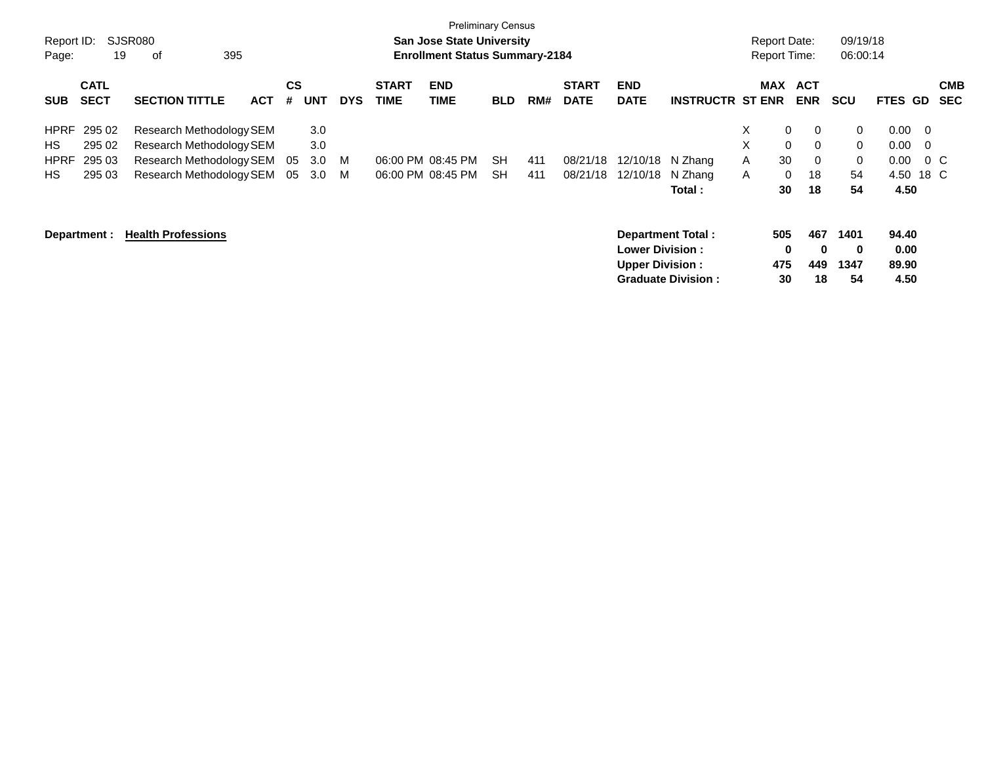|             |              |                           |            |           |            |            |              | <b>Preliminary Census</b>             |            |     |              |                        |                           |                     |                             |             |          |                          |            |
|-------------|--------------|---------------------------|------------|-----------|------------|------------|--------------|---------------------------------------|------------|-----|--------------|------------------------|---------------------------|---------------------|-----------------------------|-------------|----------|--------------------------|------------|
| Report ID:  |              | SJSR080                   |            |           |            |            |              | <b>San Jose State University</b>      |            |     |              |                        |                           | <b>Report Date:</b> |                             | 09/19/18    |          |                          |            |
| Page:       | 19           | 395<br>οf                 |            |           |            |            |              | <b>Enrollment Status Summary-2184</b> |            |     |              |                        |                           | Report Time:        |                             | 06:00:14    |          |                          |            |
|             | <b>CATL</b>  |                           |            | <b>CS</b> |            |            | <b>START</b> | <b>END</b>                            |            |     | <b>START</b> | <b>END</b>             |                           | <b>MAX</b>          | <b>ACT</b>                  |             |          |                          | <b>CMB</b> |
| <b>SUB</b>  | <b>SECT</b>  | <b>SECTION TITTLE</b>     | <b>ACT</b> | #         | <b>UNT</b> | <b>DYS</b> | <b>TIME</b>  | <b>TIME</b>                           | <b>BLD</b> | RM# | <b>DATE</b>  | <b>DATE</b>            | <b>INSTRUCTR ST ENR</b>   |                     | <b>ENR</b>                  | <b>SCU</b>  | FTES GD  |                          | <b>SEC</b> |
| <b>HPRF</b> | 295 02       | Research Methodology SEM  |            |           | 3.0        |            |              |                                       |            |     |              |                        |                           | X.                  | $\mathbf 0$<br>$\mathbf{0}$ | $\mathbf 0$ | $0.00\,$ | $\overline{0}$           |            |
| HS          | 295 02       | Research Methodology SEM  |            |           | 3.0        |            |              |                                       |            |     |              |                        |                           | X                   | $\mathbf 0$<br>$\Omega$     | $\mathbf 0$ | 0.00     | $\overline{\phantom{0}}$ |            |
| <b>HPRF</b> | 295 03       | Research Methodology SEM  |            | 05        | 3.0        | M          |              | 06:00 PM 08:45 PM                     | SH         | 411 | 08/21/18     | 12/10/18 N Zhang       |                           | A                   | 30<br>0                     | 0           | 0.00     | $0\,$ C                  |            |
| <b>HS</b>   | 295 03       | Research Methodology SEM  |            | 05        | 3.0        | M          |              | 06:00 PM 08:45 PM                     | <b>SH</b>  | 411 | 08/21/18     | 12/10/18               | N Zhang                   | A                   | 18<br>0                     | 54          | 4.50     | 18 C                     |            |
|             |              |                           |            |           |            |            |              |                                       |            |     |              |                        | Total :                   |                     | 30<br>18                    | 54          | 4.50     |                          |            |
|             | Department : | <b>Health Professions</b> |            |           |            |            |              |                                       |            |     |              |                        | Department Total:         | 505                 | 467                         | 1401        | 94.40    |                          |            |
|             |              |                           |            |           |            |            |              |                                       |            |     |              | <b>Lower Division:</b> |                           |                     | 0<br>0                      | $\mathbf 0$ | 0.00     |                          |            |
|             |              |                           |            |           |            |            |              |                                       |            |     |              | <b>Upper Division:</b> |                           | 475                 | 449                         | 1347        | 89.90    |                          |            |
|             |              |                           |            |           |            |            |              |                                       |            |     |              |                        | <b>Graduate Division:</b> | 30                  | 18                          | 54          | 4.50     |                          |            |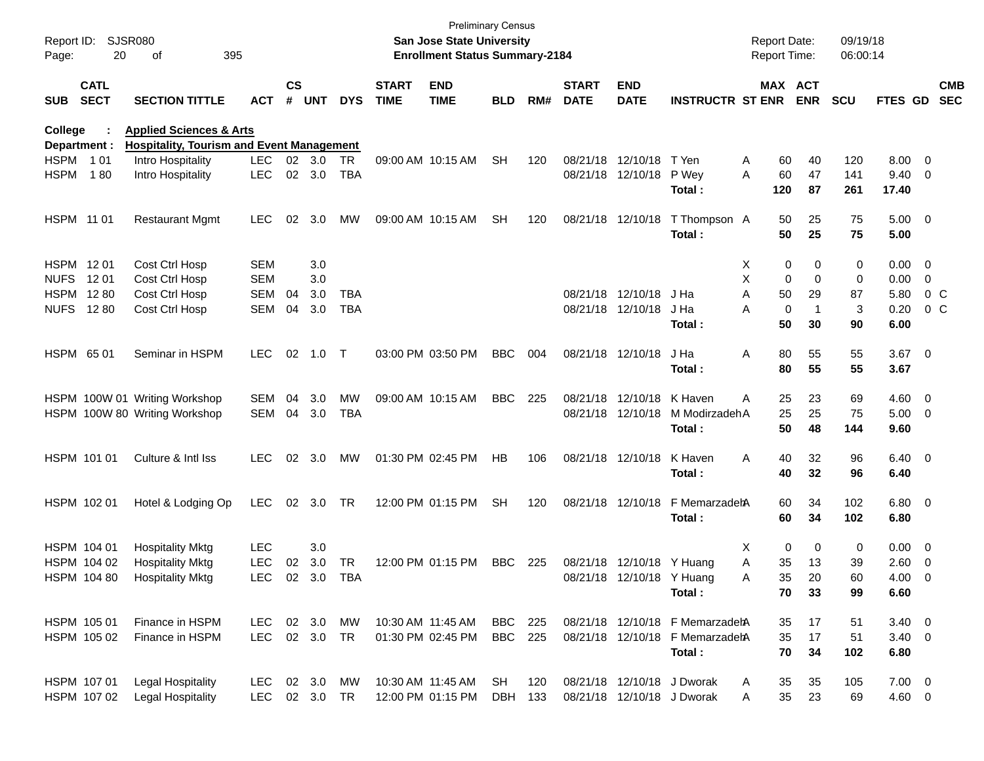| Report ID:<br>Page: | 20                         | <b>SJSR080</b><br>of                             | 395        |               |           |            |                             | <b>San Jose State University</b><br><b>Enrollment Status Summary-2184</b> | <b>Preliminary Census</b> |     |                             |                           |                                 | <b>Report Date:</b><br><b>Report Time:</b> |           |                       | 09/19/18<br>06:00:14 |                         |                          |
|---------------------|----------------------------|--------------------------------------------------|------------|---------------|-----------|------------|-----------------------------|---------------------------------------------------------------------------|---------------------------|-----|-----------------------------|---------------------------|---------------------------------|--------------------------------------------|-----------|-----------------------|----------------------|-------------------------|--------------------------|
| <b>SUB</b>          | <b>CATL</b><br><b>SECT</b> | <b>SECTION TITTLE</b>                            | ACT        | $\mathsf{cs}$ | # UNT     | <b>DYS</b> | <b>START</b><br><b>TIME</b> | <b>END</b><br><b>TIME</b>                                                 | <b>BLD</b>                | RM# | <b>START</b><br><b>DATE</b> | <b>END</b><br><b>DATE</b> | <b>INSTRUCTR ST ENR</b>         |                                            |           | MAX ACT<br><b>ENR</b> | <b>SCU</b>           | <b>FTES GD</b>          | <b>CMB</b><br><b>SEC</b> |
| College             |                            | <b>Applied Sciences &amp; Arts</b>               |            |               |           |            |                             |                                                                           |                           |     |                             |                           |                                 |                                            |           |                       |                      |                         |                          |
|                     | Department :               | <b>Hospitality, Tourism and Event Management</b> |            |               |           |            |                             |                                                                           |                           |     |                             |                           |                                 |                                            |           |                       |                      |                         |                          |
| <b>HSPM</b>         | 1 0 1                      | Intro Hospitality                                | <b>LEC</b> |               | 02 3.0    | <b>TR</b>  |                             | 09:00 AM 10:15 AM                                                         | <b>SH</b>                 | 120 |                             | 08/21/18 12/10/18         | T Yen                           | A                                          | 60        | 40                    | 120                  | $8.00 \t 0$             |                          |
| <b>HSPM</b>         | 180                        | Intro Hospitality                                | <b>LEC</b> | 02            | 3.0       | TBA        |                             |                                                                           |                           |     |                             | 08/21/18 12/10/18         | P Wey<br>Total:                 | A                                          | 60<br>120 | 47<br>87              | 141<br>261           | $9.40 \quad 0$<br>17.40 |                          |
| HSPM 11 01          |                            | <b>Restaurant Mgmt</b>                           | <b>LEC</b> | 02            | 3.0       | MW         |                             | 09:00 AM 10:15 AM                                                         | <b>SH</b>                 | 120 |                             | 08/21/18 12/10/18         | T Thompson A<br>Total :         |                                            | 50<br>50  | 25<br>25              | 75<br>75             | $5.00 \t 0$<br>5.00     |                          |
| HSPM 1201           |                            | Cost Ctrl Hosp                                   | <b>SEM</b> |               | 3.0       |            |                             |                                                                           |                           |     |                             |                           |                                 | X                                          | 0         | 0                     | 0                    | $0.00 \t 0$             |                          |
| <b>NUFS</b>         | 12 01                      | Cost Ctrl Hosp                                   | <b>SEM</b> |               | 3.0       |            |                             |                                                                           |                           |     |                             |                           |                                 | X                                          | 0         | 0                     | 0                    | $0.00 \t 0$             |                          |
| <b>HSPM</b>         | 1280                       | Cost Ctrl Hosp                                   | <b>SEM</b> | 04            | 3.0       | TBA        |                             |                                                                           |                           |     |                             | 08/21/18 12/10/18         | J Ha                            | Α                                          | 50        | 29                    | 87                   | 5.80                    | $0\,$ C                  |
| <b>NUFS</b>         | 12 80                      | Cost Ctrl Hosp                                   | SEM        | 04            | 3.0       | TBA        |                             |                                                                           |                           |     |                             | 08/21/18 12/10/18         | J Ha                            | A                                          | 0         | -1                    | 3                    | 0.20                    | $0\,$ C                  |
|                     |                            |                                                  |            |               |           |            |                             |                                                                           |                           |     |                             |                           | Total:                          |                                            | 50        | 30                    | 90                   | 6.00                    |                          |
| HSPM 65 01          |                            | Seminar in HSPM                                  | <b>LEC</b> | 02            | 1.0       | $\top$     |                             | 03:00 PM 03:50 PM                                                         | <b>BBC</b>                | 004 |                             | 08/21/18 12/10/18         | J Ha<br>Total :                 | Α                                          | 80<br>80  | 55<br>55              | 55<br>55             | $3.67$ 0<br>3.67        |                          |
|                     |                            |                                                  |            |               |           |            |                             |                                                                           |                           |     |                             |                           |                                 |                                            |           |                       |                      |                         |                          |
|                     |                            | HSPM 100W 01 Writing Workshop                    | SEM        | 04            | 3.0       | MW         |                             | 09:00 AM 10:15 AM                                                         | <b>BBC</b>                | 225 |                             | 08/21/18 12/10/18         | K Haven                         | Α                                          | 25        | 23                    | 69                   | $4.60$ 0                |                          |
|                     |                            | HSPM 100W 80 Writing Workshop                    | SEM        | 04            | 3.0       | TBA        |                             |                                                                           |                           |     |                             | 08/21/18 12/10/18         | M ModirzadehA                   |                                            | 25        | 25                    | 75                   | $5.00 \t 0$             |                          |
|                     |                            |                                                  |            |               |           |            |                             |                                                                           |                           |     |                             |                           | Total :                         |                                            | 50        | 48                    | 144                  | 9.60                    |                          |
|                     | HSPM 101 01                | Culture & Intl Iss                               | <b>LEC</b> | 02            | 3.0       | MW         |                             | 01:30 PM 02:45 PM                                                         | HB                        | 106 |                             | 08/21/18 12/10/18         | K Haven                         | Α                                          | 40        | 32                    | 96                   | $6.40\quad 0$           |                          |
|                     |                            |                                                  |            |               |           |            |                             |                                                                           |                           |     |                             |                           | Total:                          |                                            | 40        | 32                    | 96                   | 6.40                    |                          |
|                     | HSPM 102 01                | Hotel & Lodging Op                               | <b>LEC</b> | 02            | 3.0       | TR         |                             | 12:00 PM 01:15 PM                                                         | <b>SH</b>                 | 120 |                             | 08/21/18 12/10/18         | F MemarzadehA                   |                                            | 60        | 34                    | 102                  | 6.80 0                  |                          |
|                     |                            |                                                  |            |               |           |            |                             |                                                                           |                           |     |                             |                           | Total:                          |                                            | 60        | 34                    | 102                  | 6.80                    |                          |
|                     | HSPM 104 01                | <b>Hospitality Mktg</b>                          | <b>LEC</b> |               | 3.0       |            |                             |                                                                           |                           |     |                             |                           |                                 | х                                          | 0         | 0                     | 0                    | $0.00 \t 0$             |                          |
|                     | HSPM 104 02                | <b>Hospitality Mktg</b>                          | <b>LEC</b> | 02            | 3.0       | TR         |                             | 12:00 PM 01:15 PM                                                         | <b>BBC</b>                | 225 |                             | 08/21/18 12/10/18 Y Huang |                                 | Α                                          | 35        | 13                    | 39                   | $2.60 \t 0$             |                          |
|                     | HSPM 104 80                | <b>Hospitality Mktg</b>                          | LEC        |               | 02 3.0    | TBA        |                             |                                                                           |                           |     |                             | 08/21/18 12/10/18 Y Huang |                                 | Α                                          | 35        | 20                    | 60                   | $4.00 \t 0$             |                          |
|                     |                            |                                                  |            |               |           |            |                             |                                                                           |                           |     |                             |                           | Total:                          |                                            | 70        | 33                    | 99                   | 6.60                    |                          |
|                     | HSPM 105 01                | Finance in HSPM                                  | LEC 02 3.0 |               |           | MW         |                             | 10:30 AM 11:45 AM                                                         | <b>BBC</b> 225            |     |                             |                           | 08/21/18 12/10/18 F MemarzadehA |                                            | 35        | 17                    | 51                   | $3.40 \ 0$              |                          |
|                     | HSPM 105 02                | Finance in HSPM                                  | LEC        |               | 02 3.0    | <b>TR</b>  |                             | 01:30 PM 02:45 PM                                                         | <b>BBC</b> 225            |     |                             |                           | 08/21/18 12/10/18 F MemarzadehA |                                            | 35        | 17                    | 51                   | $3.40 \ 0$              |                          |
|                     |                            |                                                  |            |               |           |            |                             |                                                                           |                           |     |                             |                           | Total:                          |                                            | 70        | 34                    | 102                  | 6.80                    |                          |
|                     | HSPM 107 01                | Legal Hospitality                                | LEC 02 3.0 |               |           | MW         |                             | 10:30 AM 11:45 AM                                                         | SH                        | 120 |                             |                           | 08/21/18 12/10/18 J Dworak      | A                                          | 35        | 35                    | 105                  | $7.00 \t 0$             |                          |
|                     | HSPM 107 02                | <b>Legal Hospitality</b>                         | LEC        |               | 02 3.0 TR |            |                             | 12:00 PM 01:15 PM                                                         | DBH 133                   |     |                             |                           | 08/21/18 12/10/18 J Dworak      | Α                                          | 35        | 23                    | 69                   | 4.60 0                  |                          |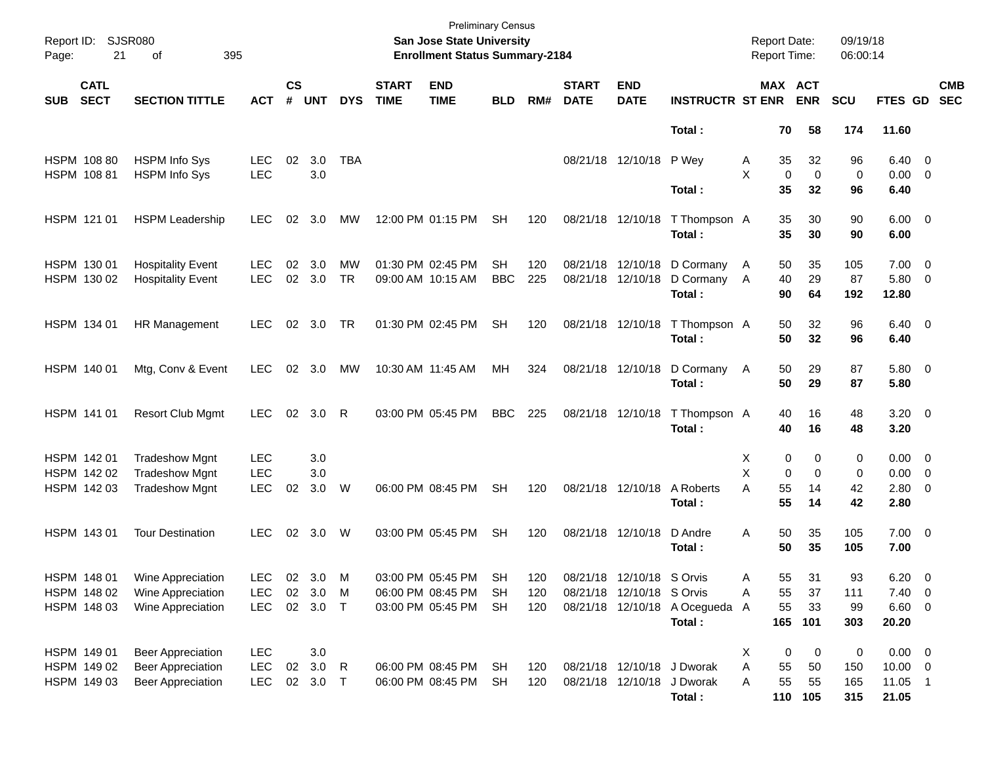| Page: | Report ID: SJSR080<br>21   | 395<br>of                                            |                          |                    |                |                 |                             | <b>Preliminary Census</b><br>San Jose State University<br><b>Enrollment Status Summary-2184</b> |                  |            |                             |                                        |                                        |        | <b>Report Date:</b> | <b>Report Time:</b>          | 09/19/18<br>06:00:14 |                                |                          |  |
|-------|----------------------------|------------------------------------------------------|--------------------------|--------------------|----------------|-----------------|-----------------------------|-------------------------------------------------------------------------------------------------|------------------|------------|-----------------------------|----------------------------------------|----------------------------------------|--------|---------------------|------------------------------|----------------------|--------------------------------|--------------------------|--|
| SUB   | <b>CATL</b><br><b>SECT</b> | <b>SECTION TITTLE</b>                                | <b>ACT</b>               | $\mathsf{cs}$<br># | <b>UNT</b>     | <b>DYS</b>      | <b>START</b><br><b>TIME</b> | <b>END</b><br><b>TIME</b>                                                                       | <b>BLD</b>       | RM#        | <b>START</b><br><b>DATE</b> | <b>END</b><br><b>DATE</b>              | <b>INSTRUCTR ST ENR</b>                |        |                     | <b>MAX ACT</b><br><b>ENR</b> | <b>SCU</b>           | FTES GD                        | <b>CMB</b><br><b>SEC</b> |  |
|       |                            |                                                      |                          |                    |                |                 |                             |                                                                                                 |                  |            |                             |                                        | Total:                                 |        | 70                  | 58                           | 174                  | 11.60                          |                          |  |
|       | HSPM 108 80<br>HSPM 108 81 | <b>HSPM Info Sys</b><br><b>HSPM Info Sys</b>         | <b>LEC</b><br><b>LEC</b> | 02                 | 3.0<br>3.0     | <b>TBA</b>      |                             |                                                                                                 |                  |            |                             | 08/21/18 12/10/18 P Wey                |                                        | A<br>X | 35<br>$\mathbf 0$   | 32<br>$\mathbf 0$            | 96<br>$\mathbf 0$    | $6.40 \quad 0$<br>$0.00 \t 0$  |                          |  |
|       |                            |                                                      |                          |                    |                |                 |                             |                                                                                                 |                  |            |                             |                                        | Total:                                 |        | 35                  | 32                           | 96                   | 6.40                           |                          |  |
|       | HSPM 121 01                | <b>HSPM Leadership</b>                               | LEC.                     | 02                 | 3.0            | MW              |                             | 12:00 PM 01:15 PM                                                                               | <b>SH</b>        | 120        |                             | 08/21/18 12/10/18                      | T Thompson A<br>Total:                 |        | 35<br>35            | 30<br>30                     | 90<br>90             | $6.00 \quad 0$<br>6.00         |                          |  |
|       | HSPM 130 01<br>HSPM 130 02 | <b>Hospitality Event</b><br><b>Hospitality Event</b> | LEC.<br><b>LEC</b>       | 02<br>02           | 3.0<br>3.0     | MW<br><b>TR</b> |                             | 01:30 PM 02:45 PM<br>09:00 AM 10:15 AM                                                          | SН<br><b>BBC</b> | 120<br>225 |                             | 08/21/18 12/10/18<br>08/21/18 12/10/18 | D Cormany<br>D Cormany<br>Total:       | A<br>A | 50<br>40<br>90      | 35<br>29<br>64               | 105<br>87<br>192     | $7.00 \t 0$<br>5.80 0<br>12.80 |                          |  |
|       | HSPM 134 01                | HR Management                                        | <b>LEC</b>               |                    | 02 3.0         | <b>TR</b>       |                             | 01:30 PM 02:45 PM                                                                               | <b>SH</b>        | 120        |                             | 08/21/18 12/10/18                      | T Thompson A<br>Total:                 |        | 50<br>50            | 32<br>32                     | 96<br>96             | $6.40 \quad 0$<br>6.40         |                          |  |
|       | HSPM 140 01                | Mtg, Conv & Event                                    | <b>LEC</b>               |                    | $02 \quad 3.0$ | МW              |                             | 10:30 AM 11:45 AM                                                                               | MH               | 324        |                             | 08/21/18 12/10/18                      | D Cormany<br>Total:                    | A      | 50<br>50            | 29<br>29                     | 87<br>87             | 5.80 0<br>5.80                 |                          |  |
|       | HSPM 141 01                | <b>Resort Club Mgmt</b>                              | <b>LEC</b>               | 02                 | 3.0            | R               |                             | 03:00 PM 05:45 PM                                                                               | <b>BBC</b>       | 225        |                             | 08/21/18 12/10/18                      | T Thompson A<br>Total:                 |        | 40<br>40            | 16<br>16                     | 48<br>48             | $3.20 \ 0$<br>3.20             |                          |  |
|       | HSPM 142 01                | <b>Tradeshow Mgnt</b>                                | <b>LEC</b>               |                    | 3.0            |                 |                             |                                                                                                 |                  |            |                             |                                        |                                        | Х      | 0                   | 0                            | 0                    | $0.00 \t 0$                    |                          |  |
|       | HSPM 142 02                | <b>Tradeshow Mgnt</b>                                | <b>LEC</b>               |                    | 3.0            |                 |                             |                                                                                                 |                  |            |                             |                                        |                                        | X      | 0                   | $\Omega$                     | 0                    | $0.00 \t 0$                    |                          |  |
|       | HSPM 142 03                | <b>Tradeshow Mgnt</b>                                | <b>LEC</b>               | 02                 | 3.0            | W               |                             | 06:00 PM 08:45 PM                                                                               | <b>SH</b>        | 120        |                             | 08/21/18 12/10/18                      | A Roberts<br>Total:                    | A      | 55<br>55            | 14<br>14                     | 42<br>42             | $2.80 \t 0$<br>2.80            |                          |  |
|       | HSPM 143 01                | <b>Tour Destination</b>                              | <b>LEC</b>               | 02                 | 3.0            | W               |                             | 03:00 PM 05:45 PM                                                                               | <b>SH</b>        | 120        |                             | 08/21/18 12/10/18                      | D Andre<br>Total:                      | A      | 50<br>50            | 35<br>35                     | 105<br>105           | $7.00 \t 0$<br>7.00            |                          |  |
|       | HSPM 148 01                | Wine Appreciation                                    | <b>LEC</b>               | $02\,$             | 3.0            | M               |                             | 03:00 PM 05:45 PM                                                                               | <b>SH</b>        | 120        |                             | 08/21/18 12/10/18 S Orvis              |                                        | Α      | 55                  | 31                           | 93                   | 6.20                           | $\overline{\mathbf{0}}$  |  |
|       | HSPM 148 02                | Wine Appreciation                                    | <b>LEC</b>               | 02                 | 3.0            | M               |                             | 06:00 PM 08:45 PM                                                                               | <b>SH</b>        | 120        |                             | 08/21/18 12/10/18 S Orvis              |                                        | Α      | 55                  | 37                           | 111                  | $7.40 \ 0$                     |                          |  |
|       | HSPM 148 03                | Wine Appreciation                                    | <b>LEC</b>               |                    | 02 3.0 T       |                 |                             | 03:00 PM 05:45 PM                                                                               | SH               | 120        |                             |                                        | 08/21/18 12/10/18 A Ocegueda<br>Total: | A      | 55<br>165           | 33<br>101                    | 99<br>303            | 6.60 0<br>20.20                |                          |  |
|       | HSPM 149 01                | <b>Beer Appreciation</b>                             | <b>LEC</b>               |                    | 3.0            |                 |                             |                                                                                                 |                  |            |                             |                                        |                                        | Х      | 0                   | 0                            | $\pmb{0}$            | $0.00 \t 0$                    |                          |  |
|       | HSPM 149 02                | <b>Beer Appreciation</b>                             | <b>LEC</b>               | $02\,$             | 3.0            | R               |                             | 06:00 PM 08:45 PM                                                                               | <b>SH</b>        | 120        |                             | 08/21/18 12/10/18 J Dworak             |                                        | Α      | 55                  | 50                           | 150                  | $10.00 \t 0$                   |                          |  |
|       | HSPM 149 03                | <b>Beer Appreciation</b>                             | <b>LEC</b>               |                    | 02 3.0 T       |                 |                             | 06:00 PM 08:45 PM                                                                               | <b>SH</b>        | 120        |                             |                                        | 08/21/18 12/10/18 J Dworak<br>Total:   | Α      | 55                  | 55<br>110 105                | 165<br>315           | $11.05$ 1<br>21.05             |                          |  |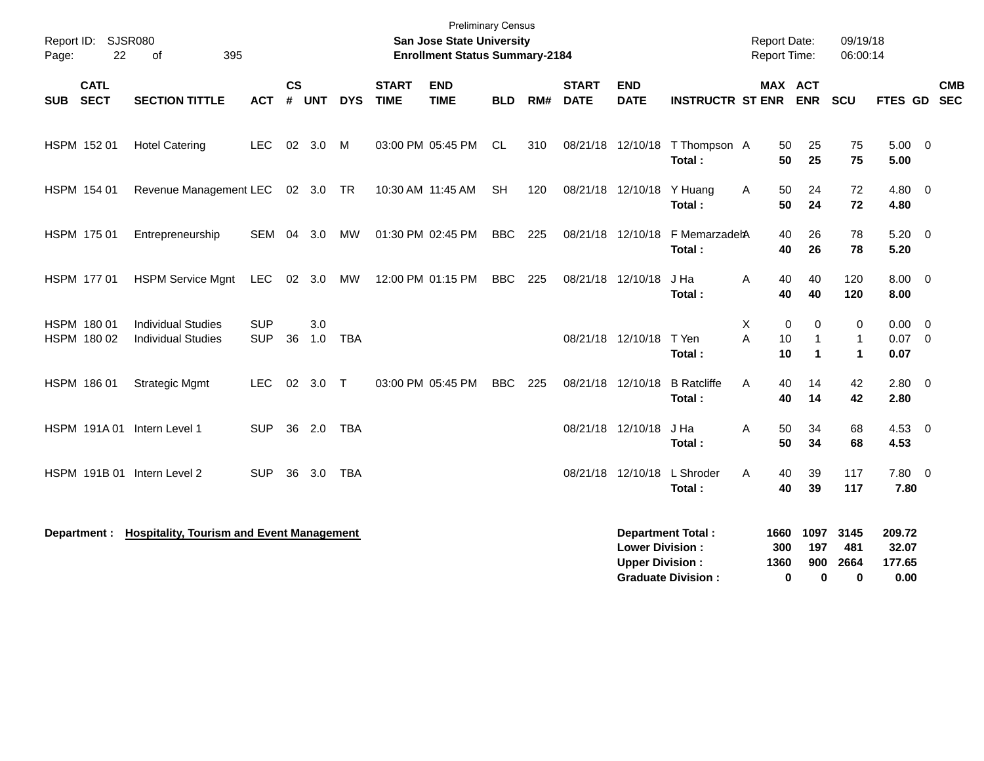| Report ID: SJSR080<br>22<br>Page:        | 395<br>of                                              |                          |                    |            |            |                             | <b>Preliminary Census</b><br><b>San Jose State University</b><br><b>Enrollment Status Summary-2184</b> |            |     |                             |                                                  |                                                       |              | <b>Report Date:</b><br>Report Time:               | 09/19/18<br>06:00:14                        |                                   |                          |  |
|------------------------------------------|--------------------------------------------------------|--------------------------|--------------------|------------|------------|-----------------------------|--------------------------------------------------------------------------------------------------------|------------|-----|-----------------------------|--------------------------------------------------|-------------------------------------------------------|--------------|---------------------------------------------------|---------------------------------------------|-----------------------------------|--------------------------|--|
| <b>CATL</b><br><b>SECT</b><br><b>SUB</b> | <b>SECTION TITTLE</b>                                  | <b>ACT</b>               | $\mathsf{cs}$<br># | <b>UNT</b> | <b>DYS</b> | <b>START</b><br><b>TIME</b> | <b>END</b><br><b>TIME</b>                                                                              | <b>BLD</b> | RM# | <b>START</b><br><b>DATE</b> | <b>END</b><br><b>DATE</b>                        | <b>INSTRUCTR ST ENR</b>                               |              | MAX ACT<br><b>ENR</b>                             | SCU                                         | FTES GD                           | <b>CMB</b><br><b>SEC</b> |  |
| HSPM 152 01                              | <b>Hotel Catering</b>                                  | <b>LEC</b>               |                    | 02 3.0     | M          |                             | 03:00 PM 05:45 PM                                                                                      | <b>CL</b>  | 310 |                             | 08/21/18 12/10/18                                | T Thompson A<br>Total:                                |              | 50<br>25<br>50<br>25                              | 75<br>75                                    | $5.00 \t 0$<br>5.00               |                          |  |
| HSPM 154 01                              | Revenue Management LEC                                 |                          |                    | 02 3.0 TR  |            |                             | 10:30 AM 11:45 AM                                                                                      | <b>SH</b>  | 120 |                             | 08/21/18 12/10/18                                | Y Huang<br>Total :                                    | A            | 50<br>24<br>50<br>24                              | 72<br>72                                    | 4.80 0<br>4.80                    |                          |  |
| HSPM 175 01                              | Entrepreneurship                                       | SEM                      | 04                 | 3.0        | MW         |                             | 01:30 PM 02:45 PM                                                                                      | <b>BBC</b> | 225 |                             | 08/21/18 12/10/18                                | F MemarzadehA<br>Total:                               |              | 40<br>26<br>40<br>26                              | 78<br>78                                    | $5.20 \ 0$<br>5.20                |                          |  |
| HSPM 177 01                              | <b>HSPM Service Mgnt</b>                               | LEC                      |                    | 02 3.0     | MW         |                             | 12:00 PM 01:15 PM                                                                                      | <b>BBC</b> | 225 |                             | 08/21/18 12/10/18                                | J Ha<br>Total:                                        | Α            | 40<br>40<br>40<br>40                              | 120<br>120                                  | $8.00 \t 0$<br>8.00               |                          |  |
| HSPM 180 01<br>HSPM 180 02               | <b>Individual Studies</b><br><b>Individual Studies</b> | <b>SUP</b><br><b>SUP</b> | 36                 | 3.0<br>1.0 | <b>TBA</b> |                             |                                                                                                        |            |     |                             | 08/21/18 12/10/18                                | T Yen<br>Total:                                       | X<br>A       | 0<br>0<br>10<br>$\mathbf{1}$<br>10<br>$\mathbf 1$ | 0<br>$\mathbf{1}$<br>$\blacktriangleleft$   | $0.00 \ 0$<br>$0.07$ 0<br>0.07    |                          |  |
| HSPM 186 01                              | <b>Strategic Mgmt</b>                                  | <b>LEC</b>               | 02                 | 3.0        | $\top$     |                             | 03:00 PM 05:45 PM                                                                                      | <b>BBC</b> | 225 |                             | 08/21/18 12/10/18                                | <b>B</b> Ratcliffe<br>Total:                          | A            | 40<br>14<br>40<br>14                              | 42<br>42                                    | 2.80<br>2.80                      | $\overline{\mathbf{0}}$  |  |
| HSPM 191A01                              | Intern Level 1                                         | <b>SUP</b>               | 36                 | 2.0        | <b>TBA</b> |                             |                                                                                                        |            |     |                             | 08/21/18 12/10/18                                | J Ha<br>Total:                                        | Α            | 50<br>34<br>50<br>34                              | 68<br>68                                    | 4.53<br>4.53                      | $\overline{0}$           |  |
| HSPM 191B 01                             | Intern Level 2                                         | <b>SUP</b>               | 36                 | 3.0        | <b>TBA</b> |                             |                                                                                                        |            |     |                             | 08/21/18 12/10/18                                | L Shroder<br>Total:                                   | A            | 40<br>39<br>40<br>39                              | 117<br>117                                  | 7.80<br>7.80                      | $\overline{\mathbf{0}}$  |  |
| Department :                             | <b>Hospitality, Tourism and Event Management</b>       |                          |                    |            |            |                             |                                                                                                        |            |     |                             | <b>Lower Division:</b><br><b>Upper Division:</b> | <b>Department Total:</b><br><b>Graduate Division:</b> | 1660<br>1360 | 1097<br>197<br>300<br>900<br>$\bf{0}$             | 3145<br>481<br>2664<br>$\bf{0}$<br>$\bf{0}$ | 209.72<br>32.07<br>177.65<br>0.00 |                          |  |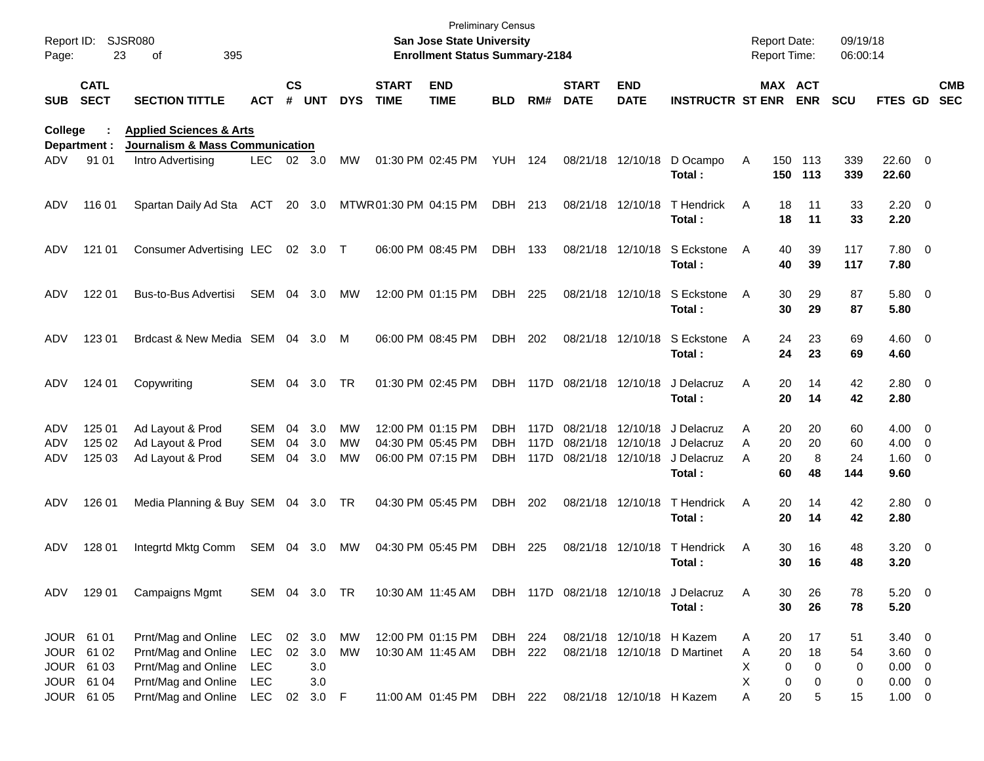| Report ID:<br>Page: | 23                                                   | <b>SJSR080</b><br>395<br>of                                                              |                                        |                 |                             |                |                             | San Jose State University<br><b>Enrollment Status Summary-2184</b> | <b>Preliminary Census</b> |                      |                             |                                        |                                                                    |                  | <b>Report Date:</b><br><b>Report Time:</b> |                     | 09/19/18<br>06:00:14  |                                                            |                          |
|---------------------|------------------------------------------------------|------------------------------------------------------------------------------------------|----------------------------------------|-----------------|-----------------------------|----------------|-----------------------------|--------------------------------------------------------------------|---------------------------|----------------------|-----------------------------|----------------------------------------|--------------------------------------------------------------------|------------------|--------------------------------------------|---------------------|-----------------------|------------------------------------------------------------|--------------------------|
| <b>SUB</b>          | <b>CATL</b><br><b>SECT</b>                           | <b>SECTION TITTLE</b>                                                                    | ACT                                    | $\mathsf{cs}$   | # UNT                       | <b>DYS</b>     | <b>START</b><br><b>TIME</b> | <b>END</b><br><b>TIME</b>                                          | <b>BLD</b>                | RM#                  | <b>START</b><br><b>DATE</b> | <b>END</b><br><b>DATE</b>              | <b>INSTRUCTR ST ENR</b>                                            |                  | MAX ACT                                    | <b>ENR</b>          | <b>SCU</b>            | <b>FTES GD</b>                                             | <b>CMB</b><br><b>SEC</b> |
| College             |                                                      | <b>Applied Sciences &amp; Arts</b>                                                       |                                        |                 |                             |                |                             |                                                                    |                           |                      |                             |                                        |                                                                    |                  |                                            |                     |                       |                                                            |                          |
| ADV.                | Department :<br>91 01                                | <b>Journalism &amp; Mass Communication</b><br>Intro Advertising                          | <b>LEC</b>                             |                 | 02 3.0                      | MW             |                             | 01:30 PM 02:45 PM                                                  | <b>YUH 124</b>            |                      |                             | 08/21/18 12/10/18                      | D Ocampo<br>Total:                                                 | A                | 150<br>150                                 | - 113<br>113        | 339<br>339            | 22.60 0<br>22.60                                           |                          |
| ADV                 | 116 01                                               | Spartan Daily Ad Sta                                                                     | ACT                                    |                 | 20 3.0                      |                | MTWR01:30 PM 04:15 PM       |                                                                    | DBH 213                   |                      |                             | 08/21/18 12/10/18                      | T Hendrick<br>Total:                                               | A                | 18<br>18                                   | 11<br>11            | 33<br>33              | $2.20 \t 0$<br>2.20                                        |                          |
| ADV                 | 121 01                                               | Consumer Advertising LEC                                                                 |                                        |                 | 02 3.0 T                    |                |                             | 06:00 PM 08:45 PM                                                  | <b>DBH</b>                | 133                  |                             | 08/21/18 12/10/18                      | S Eckstone<br>Total:                                               | A                | 40<br>40                                   | 39<br>39            | 117<br>117            | 7.80 0<br>7.80                                             |                          |
| ADV                 | 122 01                                               | Bus-to-Bus Advertisi                                                                     | SEM                                    | 04              | 3.0                         | MW             |                             | 12:00 PM 01:15 PM                                                  | DBH                       | 225                  |                             | 08/21/18 12/10/18                      | S Eckstone<br>Total:                                               | A                | 30<br>30                                   | 29<br>29            | 87<br>87              | 5.80 0<br>5.80                                             |                          |
| ADV                 | 123 01                                               | Brdcast & New Media SEM 04                                                               |                                        |                 | 3.0                         | M              |                             | 06:00 PM 08:45 PM                                                  | DBH                       | 202                  |                             | 08/21/18 12/10/18                      | S Eckstone<br>Total:                                               | A                | 24<br>24                                   | 23<br>23            | 69<br>69              | $4.60$ 0<br>4.60                                           |                          |
| ADV                 | 124 01                                               | Copywriting                                                                              | SEM                                    | 04              | 3.0                         | TR             |                             | 01:30 PM 02:45 PM                                                  | DBH                       |                      | 117D 08/21/18 12/10/18      |                                        | J Delacruz<br>Total:                                               | A                | 20<br>20                                   | 14<br>14            | 42<br>42              | 2.80 0<br>2.80                                             |                          |
| ADV<br>ADV<br>ADV   | 125 01<br>125 02<br>125 03                           | Ad Layout & Prod<br>Ad Layout & Prod<br>Ad Layout & Prod                                 | SEM<br>SEM<br><b>SEM</b>               | 04<br>04<br>04  | 3.0<br>3.0<br>3.0           | MW<br>MW<br>МW |                             | 12:00 PM 01:15 PM<br>04:30 PM 05:45 PM<br>06:00 PM 07:15 PM        | DBH.<br>DBH<br>DBH.       | 117D<br>117D<br>117D |                             | 08/21/18 12/10/18<br>08/21/18 12/10/18 | J Delacruz<br>08/21/18 12/10/18 J Delacruz<br>J Delacruz<br>Total: | A<br>A<br>A      | 20<br>20<br>20<br>60                       | 20<br>20<br>8<br>48 | 60<br>60<br>24<br>144 | $4.00 \ 0$<br>$4.00 \ 0$<br>1.60 0<br>9.60                 |                          |
| ADV                 | 126 01                                               | Media Planning & Buy SEM 04 3.0                                                          |                                        |                 |                             | - TR           |                             | 04:30 PM 05:45 PM                                                  | <b>DBH</b>                | 202                  |                             | 08/21/18 12/10/18                      | T Hendrick<br>Total:                                               | A                | 20<br>20                                   | 14<br>14            | 42<br>42              | 2.80 0<br>2.80                                             |                          |
| ADV                 | 128 01                                               | Integrtd Mktg Comm                                                                       | SEM 04                                 |                 | 3.0                         | MW             |                             | 04:30 PM 05:45 PM                                                  | DBH                       | 225                  |                             | 08/21/18 12/10/18                      | T Hendrick<br>Total :                                              | Α                | 30<br>30                                   | 16<br>16            | 48<br>48              | $3.20 \ 0$<br>3.20                                         |                          |
| ADV                 | 129 01                                               | <b>Campaigns Mgmt</b>                                                                    | SEM 04 3.0 TR                          |                 |                             |                |                             | 10:30 AM 11:45 AM                                                  |                           |                      |                             |                                        | DBH 117D 08/21/18 12/10/18 J Delacruz<br>Total:                    | Α                | 30<br>30                                   | 26<br>26            | 78<br>78              | $5.20 \ 0$<br>5.20                                         |                          |
|                     | JOUR 61 01<br>JOUR 61 02<br>JOUR 61 03<br>JOUR 61 04 | Prnt/Mag and Online<br>Prnt/Mag and Online<br>Prnt/Mag and Online<br>Prnt/Mag and Online | LEC<br><b>LEC</b><br><b>LEC</b><br>LEC | 02 <sub>o</sub> | 02 3.0<br>3.0<br>3.0<br>3.0 | MW<br>MW       |                             | 12:00 PM 01:15 PM<br>10:30 AM 11:45 AM                             | DBH 224<br>DBH 222        |                      |                             |                                        | 08/21/18 12/10/18 H Kazem<br>08/21/18 12/10/18 D Martinet          | A<br>Α<br>X<br>X | 20<br>20<br>0<br>0                         | 17<br>18<br>0<br>0  | 51<br>54<br>0<br>0    | $3.40 \ 0$<br>$3.60 \quad 0$<br>$0.00 \t 0$<br>$0.00 \t 0$ |                          |
|                     | JOUR 61 05                                           | Prnt/Mag and Online                                                                      | LEC                                    |                 | 02 3.0 F                    |                |                             | 11:00 AM 01:45 PM DBH 222                                          |                           |                      |                             | 08/21/18 12/10/18 H Kazem              |                                                                    | Α                | 20                                         | 5                   | 15                    | $1.00 \t 0$                                                |                          |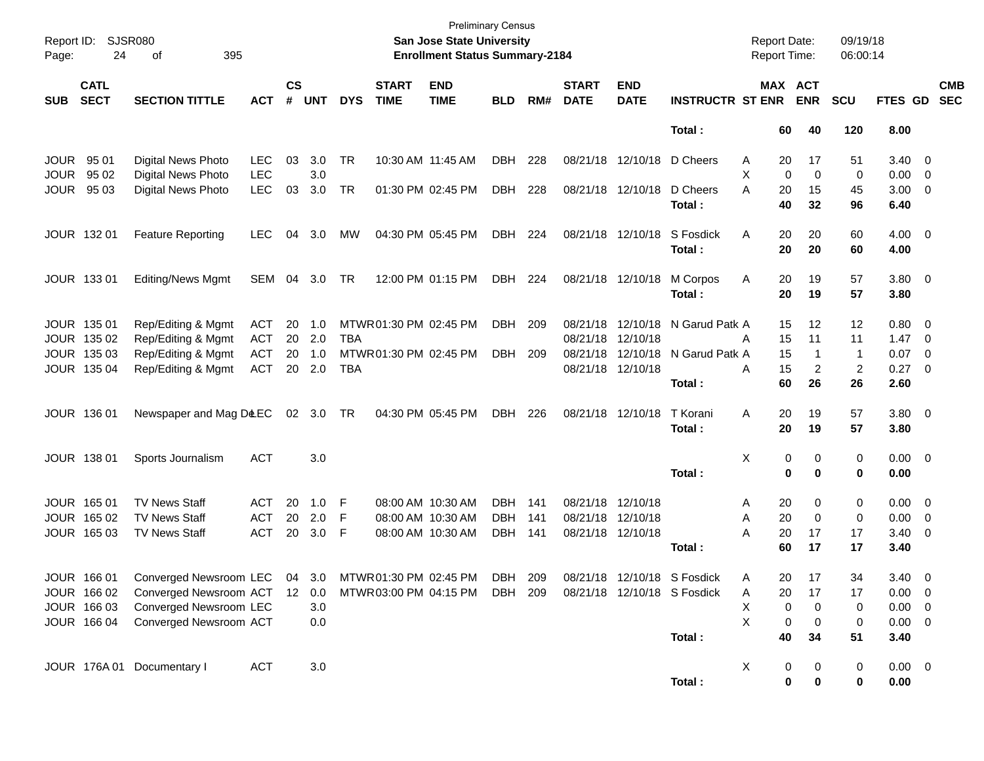| Report ID:<br>Page: | 24                         | SJSR080<br>οf<br>395                                |            |                             |            |            |                             | San Jose State University<br><b>Enrollment Status Summary-2184</b> | <b>Preliminary Census</b> |     |                             |                           |                             | <b>Report Date:</b><br>Report Time: |                       | 09/19/18<br>06:00:14 |                |                         |                          |
|---------------------|----------------------------|-----------------------------------------------------|------------|-----------------------------|------------|------------|-----------------------------|--------------------------------------------------------------------|---------------------------|-----|-----------------------------|---------------------------|-----------------------------|-------------------------------------|-----------------------|----------------------|----------------|-------------------------|--------------------------|
| <b>SUB</b>          | <b>CATL</b><br><b>SECT</b> | <b>SECTION TITTLE</b>                               | <b>ACT</b> | $\mathsf{cs}$<br>$\pmb{\#}$ | <b>UNT</b> | <b>DYS</b> | <b>START</b><br><b>TIME</b> | <b>END</b><br><b>TIME</b>                                          | <b>BLD</b>                | RM# | <b>START</b><br><b>DATE</b> | <b>END</b><br><b>DATE</b> | <b>INSTRUCTR ST ENR</b>     |                                     | MAX ACT<br><b>ENR</b> | <b>SCU</b>           | FTES GD        |                         | <b>CMB</b><br><b>SEC</b> |
|                     |                            |                                                     |            |                             |            |            |                             |                                                                    |                           |     |                             |                           | Total:                      | 60                                  | 40                    | 120                  | 8.00           |                         |                          |
| <b>JOUR</b>         | 95 01                      | Digital News Photo                                  | LEC        | 03                          | 3.0        | TR         | 10:30 AM 11:45 AM           |                                                                    | <b>DBH</b>                | 228 |                             | 08/21/18 12/10/18         | D Cheers                    | 20<br>Α                             | 17                    | 51                   | 3.40           | $\overline{\mathbf{0}}$ |                          |
| <b>JOUR</b>         | 95 02                      | Digital News Photo                                  | <b>LEC</b> |                             | 3.0        |            |                             |                                                                    |                           |     |                             |                           |                             | X                                   | 0<br>0                | 0                    | 0.00           | $\overline{0}$          |                          |
| <b>JOUR</b>         | 95 03                      | Digital News Photo                                  | <b>LEC</b> | 03                          | 3.0        | <b>TR</b>  |                             | 01:30 PM 02:45 PM                                                  | <b>DBH</b>                | 228 |                             | 08/21/18 12/10/18         | D Cheers                    | А<br>20                             | 15                    | 45                   | 3.00           | $\overline{0}$          |                          |
|                     |                            |                                                     |            |                             |            |            |                             |                                                                    |                           |     |                             |                           | Total:                      | 40                                  | 32                    | 96                   | 6.40           |                         |                          |
|                     | JOUR 132 01                | <b>Feature Reporting</b>                            | <b>LEC</b> | 04                          | 3.0        | МW         |                             | 04:30 PM 05:45 PM                                                  | <b>DBH</b>                | 224 |                             | 08/21/18 12/10/18         | S Fosdick                   | Α<br>20                             | 20                    | 60                   | $4.00 \t 0$    |                         |                          |
|                     |                            |                                                     |            |                             |            |            |                             |                                                                    |                           |     |                             |                           | Total:                      | 20                                  | 20                    | 60                   | 4.00           |                         |                          |
|                     | JOUR 133 01                | <b>Editing/News Mgmt</b>                            | SEM        | 04                          | 3.0        | TR         |                             | 12:00 PM 01:15 PM                                                  | DBH                       | 224 |                             | 08/21/18 12/10/18         | M Corpos                    | Α<br>20                             | 19                    | 57                   | $3.80\ 0$      |                         |                          |
|                     |                            |                                                     |            |                             |            |            |                             |                                                                    |                           |     |                             |                           | Total:                      | 20                                  | 19                    | 57                   | 3.80           |                         |                          |
|                     | JOUR 135 01                | Rep/Editing & Mgmt                                  | ACT        | 20                          | 1.0        |            | MTWR01:30 PM 02:45 PM       |                                                                    | DBH                       | 209 |                             | 08/21/18 12/10/18         | N Garud Patk A              | 15                                  | 12                    | 12                   | 0.80           | $\overline{0}$          |                          |
|                     | JOUR 135 02                | Rep/Editing & Mgmt                                  | <b>ACT</b> | 20                          | 2.0        | TBA        |                             |                                                                    |                           |     | 08/21/18 12/10/18           |                           |                             | A<br>15                             | 11                    | 11                   | 1.47           | $\overline{0}$          |                          |
|                     | JOUR 135 03                | Rep/Editing & Mgmt                                  | <b>ACT</b> | 20                          | 1.0        |            | MTWR 01:30 PM 02:45 PM      |                                                                    | <b>DBH</b>                | 209 |                             | 08/21/18 12/10/18         | N Garud Patk A              | 15                                  | -1                    | $\overline{1}$       | 0.07           | 0                       |                          |
|                     | JOUR 135 04                | Rep/Editing & Mgmt                                  | <b>ACT</b> |                             | 20 2.0     | <b>TBA</b> |                             |                                                                    |                           |     | 08/21/18 12/10/18           |                           |                             | 15<br>Α                             | 2                     | $\overline{2}$       | 0.27           | $\overline{\mathbf{0}}$ |                          |
|                     |                            |                                                     |            |                             |            |            |                             |                                                                    |                           |     |                             |                           | Total:                      | 60                                  | 26                    | 26                   | 2.60           |                         |                          |
|                     | JOUR 136 01                | Newspaper and Mag D&EC                              |            |                             | 02 3.0     | TR         |                             | 04:30 PM 05:45 PM                                                  | <b>DBH</b>                | 226 |                             | 08/21/18 12/10/18         | T Korani                    | Α<br>20                             | 19                    | 57                   | $3.80\ 0$      |                         |                          |
|                     |                            |                                                     |            |                             |            |            |                             |                                                                    |                           |     |                             |                           | Total:                      | 20                                  | 19                    | 57                   | 3.80           |                         |                          |
|                     | JOUR 138 01                | Sports Journalism                                   | <b>ACT</b> |                             | 3.0        |            |                             |                                                                    |                           |     |                             |                           |                             | Χ                                   | 0<br>0                | 0                    | $0.00 \t 0$    |                         |                          |
|                     |                            |                                                     |            |                             |            |            |                             |                                                                    |                           |     |                             |                           | Total:                      |                                     | $\bf{0}$<br>0         | $\bf{0}$             | 0.00           |                         |                          |
|                     | JOUR 165 01                | <b>TV News Staff</b>                                | <b>ACT</b> | 20                          | 1.0        | F          |                             | 08:00 AM 10:30 AM                                                  | DBH                       | 141 | 08/21/18 12/10/18           |                           |                             | A<br>20                             | 0                     | 0                    | 0.00           | $\overline{\mathbf{0}}$ |                          |
|                     | JOUR 165 02                | <b>TV News Staff</b>                                | <b>ACT</b> | 20                          | 2.0        | F          |                             | 08:00 AM 10:30 AM                                                  | <b>DBH</b>                | 141 | 08/21/18 12/10/18           |                           |                             | 20<br>Α                             | 0                     | 0                    | 0.00           | 0                       |                          |
|                     | JOUR 165 03                | <b>TV News Staff</b>                                | <b>ACT</b> | 20                          | 3.0        | F          |                             | 08:00 AM 10:30 AM                                                  | DBH                       | 141 | 08/21/18 12/10/18           |                           |                             | 20<br>А                             | 17                    | 17                   | 3.40           | 0                       |                          |
|                     |                            |                                                     |            |                             |            |            |                             |                                                                    |                           |     |                             |                           | Total:                      | 60                                  | 17                    | 17                   | 3.40           |                         |                          |
|                     | JOUR 166 01                | Converged Newsroom LEC 04 3.0 MTWR01:30 PM 02:45 PM |            |                             |            |            |                             |                                                                    | <b>DBH</b>                | 209 |                             |                           | 08/21/18 12/10/18 S Fosdick | А                                   | 17<br>20.             | 34                   | $3.40 \ 0$     |                         |                          |
|                     | JOUR 166 02                | Converged Newsroom ACT 12 0.0                       |            |                             |            |            |                             | MTWR 03:00 PM 04:15 PM                                             | DBH 209                   |     |                             |                           | 08/21/18 12/10/18 S Fosdick | Α<br>20                             | 17                    | 17                   | $0.00 \quad 0$ |                         |                          |
|                     | JOUR 166 03                | Converged Newsroom LEC                              |            |                             | 3.0        |            |                             |                                                                    |                           |     |                             |                           |                             | х                                   | 0<br>0                | 0                    | $0.00 \t 0$    |                         |                          |
|                     | JOUR 166 04                | Converged Newsroom ACT                              |            |                             | 0.0        |            |                             |                                                                    |                           |     |                             |                           |                             | X                                   | 0<br>0                | 0                    | $0.00 \t 0$    |                         |                          |
|                     |                            |                                                     |            |                             |            |            |                             |                                                                    |                           |     |                             |                           | Total:                      | 40                                  | 34                    | 51                   | 3.40           |                         |                          |
|                     |                            | JOUR 176A 01 Documentary I                          | <b>ACT</b> |                             | 3.0        |            |                             |                                                                    |                           |     |                             |                           |                             | X                                   | 0<br>0                | 0                    | $0.00 \t 0$    |                         |                          |
|                     |                            |                                                     |            |                             |            |            |                             |                                                                    |                           |     |                             |                           | Total:                      |                                     | 0<br>0                | $\mathbf 0$          | 0.00           |                         |                          |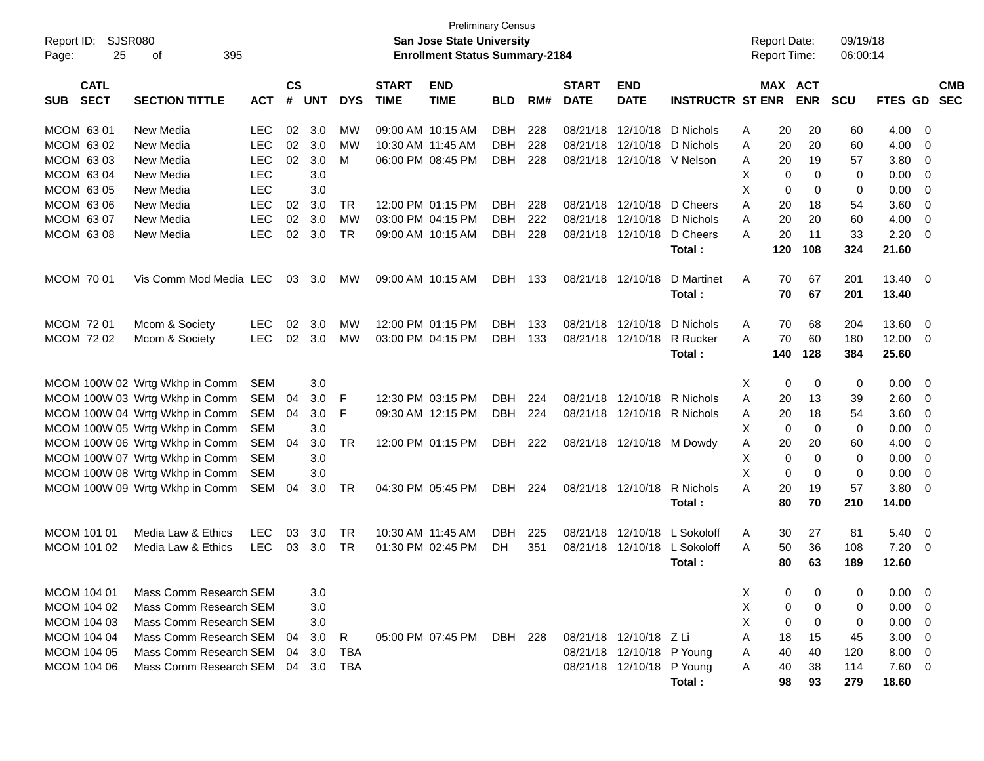| Report ID:                               | <b>SJSR080</b>                 |            |                |            |            |                             | <b>Preliminary Census</b><br>San Jose State University |            |       |                             |                           |                           | Report Date:        |             | 09/19/18   |         |                          |
|------------------------------------------|--------------------------------|------------|----------------|------------|------------|-----------------------------|--------------------------------------------------------|------------|-------|-----------------------------|---------------------------|---------------------------|---------------------|-------------|------------|---------|--------------------------|
| 25<br>Page:                              | 395<br>0f                      |            |                |            |            |                             | <b>Enrollment Status Summary-2184</b>                  |            |       |                             |                           |                           | <b>Report Time:</b> |             | 06:00:14   |         |                          |
| <b>CATL</b><br><b>SECT</b><br><b>SUB</b> | <b>SECTION TITTLE</b>          | <b>ACT</b> | <b>CS</b><br># | <b>UNT</b> | <b>DYS</b> | <b>START</b><br><b>TIME</b> | <b>END</b><br><b>TIME</b>                              | <b>BLD</b> | RM#   | <b>START</b><br><b>DATE</b> | <b>END</b><br><b>DATE</b> | <b>INSTRUCTR ST ENR</b>   | MAX ACT             | <b>ENR</b>  | <b>SCU</b> | FTES GD | <b>CMB</b><br><b>SEC</b> |
| MCOM 63 01                               | New Media                      | <b>LEC</b> | 02             | 3.0        | МW         |                             | 09:00 AM 10:15 AM                                      | <b>DBH</b> | 228   | 08/21/18                    | 12/10/18                  | D Nichols                 | 20<br>A             | 20          | 60         | 4.00    | - 0                      |
| MCOM 63 02                               | New Media                      | <b>LEC</b> | 02             | 3.0        | MW         |                             | 10:30 AM 11:45 AM                                      | <b>DBH</b> | 228   | 08/21/18                    | 12/10/18                  | D Nichols                 | 20<br>A             | 20          | 60         | 4.00    | - 0                      |
| MCOM 63 03                               | New Media                      | <b>LEC</b> | 02             | 3.0        | M          |                             | 06:00 PM 08:45 PM                                      | <b>DBH</b> | 228   |                             | 08/21/18 12/10/18         | V Nelson                  | 20<br>Α             | 19          | 57         | 3.80    | $\overline{\mathbf{0}}$  |
| MCOM 63 04                               | New Media                      | <b>LEC</b> |                | 3.0        |            |                             |                                                        |            |       |                             |                           |                           | Χ<br>0              | 0           | 0          | 0.00    | - 0                      |
| MCOM 63 05                               | New Media                      | <b>LEC</b> |                | 3.0        |            |                             |                                                        |            |       |                             |                           |                           | X<br>0              | 0           | 0          | 0.00    | $\overline{0}$           |
| MCOM 63 06                               | New Media                      | <b>LEC</b> | 02             | 3.0        | TR         |                             | 12:00 PM 01:15 PM                                      | <b>DBH</b> | 228   |                             | 08/21/18 12/10/18         | D Cheers                  | A<br>20             | 18          | 54         | 3.60    | 0                        |
| MCOM 63 07                               | New Media                      | <b>LEC</b> | 02             | 3.0        | MW         |                             | 03:00 PM 04:15 PM                                      | <b>DBH</b> | 222   | 08/21/18 12/10/18           |                           | D Nichols                 | 20<br>A             | 20          | 60         | 4.00    | $\overline{0}$           |
| MCOM 63 08                               | New Media                      | <b>LEC</b> | 02             | 3.0        | TR         |                             | 09:00 AM 10:15 AM                                      | <b>DBH</b> | 228   |                             | 08/21/18 12/10/18         | D Cheers                  | 20<br>A             | 11          | 33         | 2.20    | - 0                      |
|                                          |                                |            |                |            |            |                             |                                                        |            |       |                             |                           | Total:                    | 120                 | 108         | 324        | 21.60   |                          |
| <b>MCOM 7001</b>                         | Vis Comm Mod Media LEC         |            | 03             | 3.0        | <b>MW</b>  |                             | 09:00 AM 10:15 AM                                      | DBH        | 133   |                             | 08/21/18 12/10/18         | D Martinet                | A<br>70             | 67          | 201        | 13.40   | $\overline{0}$           |
|                                          |                                |            |                |            |            |                             |                                                        |            |       |                             |                           | Total:                    | 70                  | 67          | 201        | 13.40   |                          |
| MCOM 72 01                               | Mcom & Society                 | <b>LEC</b> | 02             | 3.0        | MW         |                             | 12:00 PM 01:15 PM                                      | <b>DBH</b> | 133   | 08/21/18                    | 12/10/18                  | D Nichols                 | Α<br>70             | 68          | 204        | 13.60   | - 0                      |
| MCOM 72 02                               | Mcom & Society                 | <b>LEC</b> | 02             | 3.0        | MW         |                             | 03:00 PM 04:15 PM                                      | DBH        | - 133 |                             | 08/21/18 12/10/18         | R Rucker                  | 70<br>A             | 60          | 180        | 12.00   | - 0                      |
|                                          |                                |            |                |            |            |                             |                                                        |            |       |                             |                           | Total:                    | 140                 | 128         | 384        | 25.60   |                          |
|                                          |                                |            |                |            |            |                             |                                                        |            |       |                             |                           |                           |                     |             |            |         |                          |
|                                          | MCOM 100W 02 Wrtg Wkhp in Comm | <b>SEM</b> |                | 3.0        |            |                             |                                                        |            |       |                             |                           |                           | X<br>0              | 0           | 0          | 0.00    | - 0                      |
|                                          | MCOM 100W 03 Wrtg Wkhp in Comm | <b>SEM</b> | 04             | 3.0        | F          |                             | 12:30 PM 03:15 PM                                      | <b>DBH</b> | 224   |                             | 08/21/18 12/10/18         | R Nichols                 | A<br>20             | 13          | 39         | 2.60    | - 0                      |
|                                          | MCOM 100W 04 Wrtg Wkhp in Comm | <b>SEM</b> | 04             | 3.0        | F          |                             | 09:30 AM 12:15 PM                                      | <b>DBH</b> | 224   |                             | 08/21/18 12/10/18         | R Nichols                 | 20<br>Α             | 18          | 54         | 3.60    | - 0                      |
|                                          | MCOM 100W 05 Wrtg Wkhp in Comm | <b>SEM</b> |                | 3.0        |            |                             |                                                        |            |       |                             |                           |                           | Χ<br>0              | 0           | 0          | 0.00    | - 0                      |
|                                          | MCOM 100W 06 Wrtg Wkhp in Comm | SEM        | 04             | 3.0        | TR         |                             | 12:00 PM 01:15 PM                                      | <b>DBH</b> | 222   |                             |                           | 08/21/18 12/10/18 M Dowdy | 20<br>Α             | 20          | 60         | 4.00    | 0                        |
|                                          | MCOM 100W 07 Wrtg Wkhp in Comm | <b>SEM</b> |                | 3.0        |            |                             |                                                        |            |       |                             |                           |                           | Χ<br>0              | $\mathbf 0$ | 0          | 0.00    | - 0                      |
|                                          | MCOM 100W 08 Wrtg Wkhp in Comm | <b>SEM</b> |                | 3.0        |            |                             |                                                        |            |       |                             |                           |                           | X<br>0              | 0           | 0          | 0.00    | $\overline{\mathbf{0}}$  |
|                                          | MCOM 100W 09 Wrtg Wkhp in Comm | SEM        | 04             | 3.0        | TR         |                             | 04:30 PM 05:45 PM                                      | <b>DBH</b> | 224   |                             | 08/21/18 12/10/18         | R Nichols                 | А<br>20             | 19          | 57         | 3.80    | - 0                      |
|                                          |                                |            |                |            |            |                             |                                                        |            |       |                             |                           | Total:                    | 80                  | 70          | 210        | 14.00   |                          |
| MCOM 101 01                              | Media Law & Ethics             | <b>LEC</b> | 03             | 3.0        | TR         |                             | 10:30 AM 11:45 AM                                      | DBH.       | 225   | 08/21/18                    | 12/10/18                  | L Sokoloff                | A<br>30             | 27          | 81         | 5.40    | $\overline{\mathbf{0}}$  |
| MCOM 101 02                              | Media Law & Ethics             | <b>LEC</b> | 03             | 3.0        | TR         |                             | 01:30 PM 02:45 PM                                      | DH.        | 351   |                             | 08/21/18 12/10/18         | L Sokoloff                | 50<br>A             | 36          | 108        | 7.20    | - 0                      |
|                                          |                                |            |                |            |            |                             |                                                        |            |       |                             |                           | Total:                    | 80                  | 63          | 189        | 12.60   |                          |
| MCOM 104 01                              | Mass Comm Research SEM         |            |                | 3.0        |            |                             |                                                        |            |       |                             |                           |                           | Х<br>0              | 0           | 0          | 0.00    | - 0                      |
| MCOM 104 02                              | Mass Comm Research SEM         |            |                | 3.0        |            |                             |                                                        |            |       |                             |                           |                           | Χ<br>0              | 0           | 0          | 0.00    | $\overline{\mathbf{0}}$  |
| MCOM 104 03                              | Mass Comm Research SEM         |            |                | 3.0        |            |                             |                                                        |            |       |                             |                           |                           | X<br>0              | 0           | 0          | 0.00    | $\overline{\mathbf{0}}$  |
| MCOM 104 04                              | Mass Comm Research SEM         |            | 04             | 3.0        | R          |                             | 05:00 PM 07:45 PM                                      | DBH 228    |       |                             | 08/21/18 12/10/18 Z Li    |                           | Α<br>18             | 15          | 45         | 3.00    | $\overline{\mathbf{0}}$  |
| MCOM 104 05                              | Mass Comm Research SEM         |            | 04             | 3.0        | <b>TBA</b> |                             |                                                        |            |       |                             | 08/21/18 12/10/18 P Young |                           | 40<br>Α             | 40          | 120        | 8.00    | $\overline{\mathbf{0}}$  |
| MCOM 104 06                              | Mass Comm Research SEM         |            | 04             | 3.0        | <b>TBA</b> |                             |                                                        |            |       |                             | 08/21/18 12/10/18 P Young |                           | Α<br>40             | 38          | 114        | 7.60 0  |                          |
|                                          |                                |            |                |            |            |                             |                                                        |            |       |                             |                           | Total:                    | 98                  | 93          | 279        | 18.60   |                          |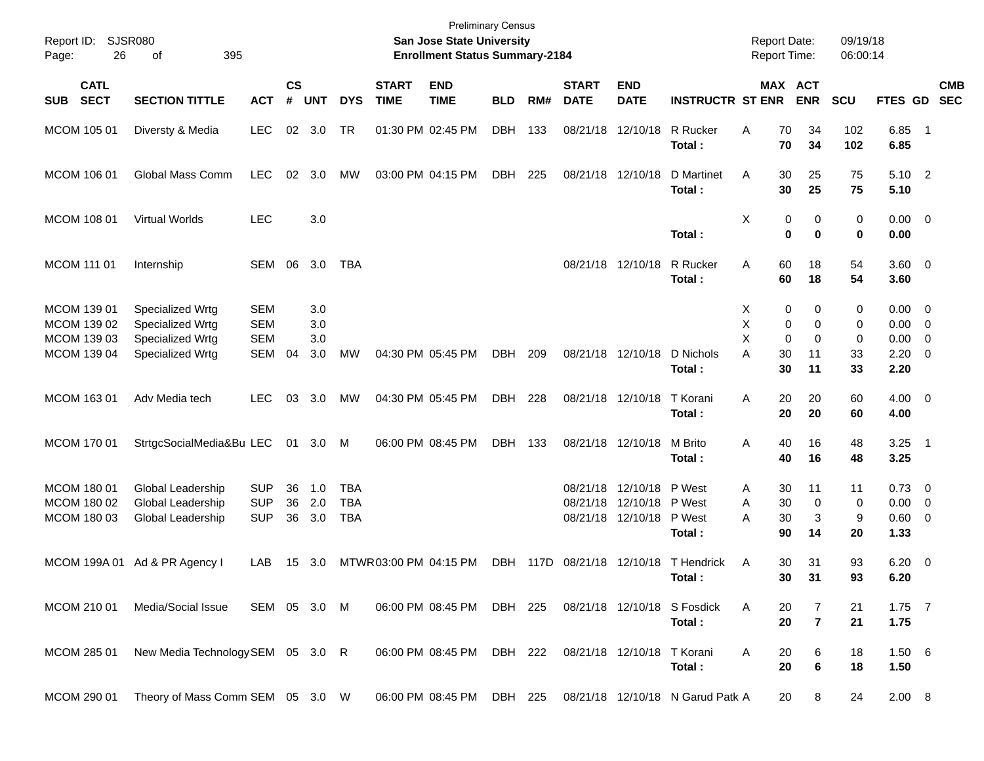| Report ID:<br>26<br>Page:                                | SJSR080<br>395<br>οf                                                         |                                               |                |                          |                                        |                             | San Jose State University<br><b>Enrollment Status Summary-2184</b> | <b>Preliminary Census</b> |     |                             |                                                                |                                                 | <b>Report Date:</b><br><b>Report Time:</b>      |                             | 09/19/18<br>06:00:14 |                                                          |                          |            |
|----------------------------------------------------------|------------------------------------------------------------------------------|-----------------------------------------------|----------------|--------------------------|----------------------------------------|-----------------------------|--------------------------------------------------------------------|---------------------------|-----|-----------------------------|----------------------------------------------------------------|-------------------------------------------------|-------------------------------------------------|-----------------------------|----------------------|----------------------------------------------------------|--------------------------|------------|
| <b>CATL</b><br><b>SECT</b><br><b>SUB</b>                 | <b>SECTION TITTLE</b>                                                        | <b>ACT</b>                                    | <b>CS</b><br># | <b>UNT</b>               | <b>DYS</b>                             | <b>START</b><br><b>TIME</b> | <b>END</b><br><b>TIME</b>                                          | <b>BLD</b>                | RM# | <b>START</b><br><b>DATE</b> | <b>END</b><br><b>DATE</b>                                      | <b>INSTRUCTR ST ENR</b>                         | MAX ACT                                         | <b>ENR</b>                  | <b>SCU</b>           | FTES GD SEC                                              |                          | <b>CMB</b> |
| MCOM 105 01                                              | Diversty & Media                                                             | <b>LEC</b>                                    |                | 02 3.0                   | TR                                     |                             | 01:30 PM 02:45 PM                                                  | <b>DBH</b>                | 133 |                             | 08/21/18 12/10/18                                              | R Rucker<br>Total:                              | 70<br>A<br>70                                   | 34<br>34                    | 102<br>102           | 6.85<br>6.85                                             | $\overline{\phantom{1}}$ |            |
| MCOM 106 01                                              | Global Mass Comm                                                             | <b>LEC</b>                                    | 02             | 3.0                      | МW                                     |                             | 03:00 PM 04:15 PM                                                  | DBH                       | 225 |                             | 08/21/18 12/10/18                                              | D Martinet<br>Total:                            | 30<br>A<br>30                                   | 25<br>25                    | 75<br>75             | 5.10 2<br>5.10                                           |                          |            |
| MCOM 108 01                                              | Virtual Worlds                                                               | <b>LEC</b>                                    |                | 3.0                      |                                        |                             |                                                                    |                           |     |                             |                                                                | Total:                                          | X<br>0<br>$\bf{0}$                              | 0<br>$\bf{0}$               | 0<br>0               | $0.00 \t 0$<br>0.00                                      |                          |            |
| MCOM 111 01                                              | Internship                                                                   | SEM                                           | 06             | 3.0                      | <b>TBA</b>                             |                             |                                                                    |                           |     |                             | 08/21/18 12/10/18                                              | R Rucker<br>Total:                              | 60<br>A<br>60                                   | 18<br>18                    | 54<br>54             | $3.60 \ 0$<br>3.60                                       |                          |            |
| MCOM 139 01<br>MCOM 139 02<br>MCOM 139 03<br>MCOM 139 04 | Specialized Wrtg<br>Specialized Wrtg<br>Specialized Wrtg<br>Specialized Wrtg | <b>SEM</b><br><b>SEM</b><br><b>SEM</b><br>SEM | 04             | 3.0<br>3.0<br>3.0<br>3.0 | MW                                     |                             | 04:30 PM 05:45 PM                                                  | DBH                       | 209 |                             | 08/21/18 12/10/18                                              | D Nichols                                       | Х<br>0<br>X<br>0<br>X<br>$\mathbf 0$<br>A<br>30 | 0<br>0<br>$\mathbf 0$<br>11 | 0<br>0<br>0<br>33    | $0.00 \t 0$<br>$0.00 \t 0$<br>$0.00 \t 0$<br>$2.20 \t 0$ |                          |            |
| MCOM 163 01                                              | Adv Media tech                                                               | <b>LEC</b>                                    | 03             | -3.0                     | МW                                     |                             | 04:30 PM 05:45 PM                                                  | DBH                       | 228 |                             | 08/21/18 12/10/18                                              | Total:<br>T Korani<br>Total:                    | 30<br>A<br>20<br>20                             | 11<br>20<br>20              | 33<br>60<br>60       | 2.20<br>$4.00 \ 0$<br>4.00                               |                          |            |
| MCOM 170 01                                              | StrtgcSocialMedia&Bu LEC                                                     |                                               |                | 01 3.0 M                 |                                        |                             | 06:00 PM 08:45 PM                                                  | DBH 133                   |     |                             | 08/21/18 12/10/18                                              | M Brito<br>Total:                               | 40<br>Α<br>40                                   | 16<br>16                    | 48<br>48             | $3.25$ 1<br>3.25                                         |                          |            |
| MCOM 180 01<br>MCOM 180 02<br>MCOM 180 03                | Global Leadership<br>Global Leadership<br>Global Leadership                  | <b>SUP</b><br><b>SUP</b><br><b>SUP</b>        | 36<br>36<br>36 | 1.0<br>2.0<br>3.0        | <b>TBA</b><br><b>TBA</b><br><b>TBA</b> |                             |                                                                    |                           |     | 08/21/18<br>08/21/18        | 12/10/18 P West<br>12/10/18 P West<br>08/21/18 12/10/18 P West | Total:                                          | 30<br>Α<br>30<br>A<br>A<br>30<br>90             | 11<br>0<br>3<br>14          | 11<br>0<br>9<br>20   | $0.73 \quad 0$<br>$0.00 \t 0$<br>0.60 0<br>1.33          |                          |            |
|                                                          | MCOM 199A 01 Ad & PR Agency I                                                | LAB                                           |                | 15 3.0                   |                                        | MTWR 03:00 PM 04:15 PM      |                                                                    |                           |     |                             |                                                                | DBH 117D 08/21/18 12/10/18 T Hendrick<br>Total: | 30<br>Α<br>30                                   | 31<br>31                    | 93<br>93             | $6.20 \quad 0$<br>6.20                                   |                          |            |
| MCOM 210 01                                              | Media/Social Issue                                                           | SEM 05 3.0 M                                  |                |                          |                                        |                             | 06:00 PM 08:45 PM                                                  | DBH 225                   |     |                             |                                                                | 08/21/18 12/10/18 S Fosdick<br>Total:           | Α<br>20<br>20                                   | 7<br>$\overline{7}$         | 21<br>21             | $1.75$ 7<br>1.75                                         |                          |            |
| MCOM 285 01                                              | New Media Technology SEM 05 3.0 R                                            |                                               |                |                          |                                        |                             | 06:00 PM 08:45 PM                                                  | DBH 222                   |     |                             | 08/21/18 12/10/18                                              | T Korani<br>Total:                              | 20<br>Α<br>20                                   | 6<br>6                      | 18<br>18             | 1.506<br>1.50                                            |                          |            |
| MCOM 290 01                                              | Theory of Mass Comm SEM 05 3.0 W                                             |                                               |                |                          |                                        |                             | 06:00 PM 08:45 PM                                                  | DBH 225                   |     |                             |                                                                | 08/21/18 12/10/18 N Garud Patk A                | 20                                              | 8                           | 24                   | 2.00 8                                                   |                          |            |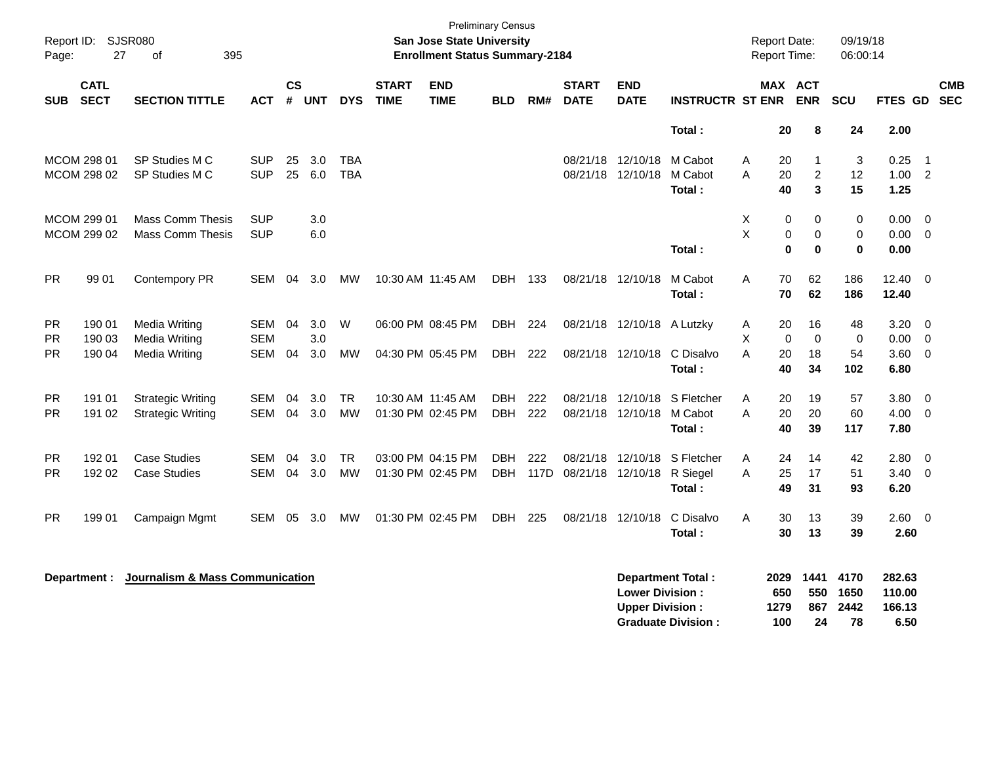| Page:      | Report ID: SJSR080<br>27   | of<br>395                                  |            |               |       |            |                             | <b>Preliminary Census</b><br><b>San Jose State University</b><br><b>Enrollment Status Summary-2184</b> |            |      |                             |                                                  |                                                       | <b>Report Date:</b><br><b>Report Time:</b> |                          | 09/19/18<br>06:00:14       |                                    |                          |  |
|------------|----------------------------|--------------------------------------------|------------|---------------|-------|------------|-----------------------------|--------------------------------------------------------------------------------------------------------|------------|------|-----------------------------|--------------------------------------------------|-------------------------------------------------------|--------------------------------------------|--------------------------|----------------------------|------------------------------------|--------------------------|--|
| <b>SUB</b> | <b>CATL</b><br><b>SECT</b> | <b>SECTION TITTLE</b>                      | ACT        | $\mathsf{cs}$ | # UNT | <b>DYS</b> | <b>START</b><br><b>TIME</b> | <b>END</b><br><b>TIME</b>                                                                              | <b>BLD</b> | RM#  | <b>START</b><br><b>DATE</b> | <b>END</b><br><b>DATE</b>                        | <b>INSTRUCTR ST ENR</b>                               |                                            | MAX ACT<br><b>ENR</b>    | <b>SCU</b>                 | FTES GD                            | <b>CMB</b><br><b>SEC</b> |  |
|            |                            |                                            |            |               |       |            |                             |                                                                                                        |            |      |                             |                                                  | Total:                                                |                                            | 20<br>8                  | 24                         | 2.00                               |                          |  |
|            | <b>MCOM 298 01</b>         | SP Studies M C                             | <b>SUP</b> | 25            | 3.0   | <b>TBA</b> |                             |                                                                                                        |            |      | 08/21/18                    | 12/10/18                                         | M Cabot                                               | A                                          | 20<br>$\mathbf 1$        | 3                          | 0.25                               | $\overline{1}$           |  |
|            | MCOM 298 02                | SP Studies M C                             | <b>SUP</b> | 25            | 6.0   | <b>TBA</b> |                             |                                                                                                        |            |      | 08/21/18 12/10/18           |                                                  | M Cabot                                               | A                                          | 20<br>$\overline{2}$     | 12                         | 1.00                               | $\overline{2}$           |  |
|            |                            |                                            |            |               |       |            |                             |                                                                                                        |            |      |                             |                                                  | Total:                                                |                                            | 3<br>40                  | 15                         | 1.25                               |                          |  |
|            | MCOM 299 01                | <b>Mass Comm Thesis</b>                    | <b>SUP</b> |               | 3.0   |            |                             |                                                                                                        |            |      |                             |                                                  |                                                       | Х                                          | 0<br>0                   | 0                          | 0.00                               | $\overline{0}$           |  |
|            | MCOM 299 02                | <b>Mass Comm Thesis</b>                    | <b>SUP</b> |               | 6.0   |            |                             |                                                                                                        |            |      |                             |                                                  |                                                       | X                                          | 0<br>0                   | $\mathbf 0$                | 0.00                               | $\overline{0}$           |  |
|            |                            |                                            |            |               |       |            |                             |                                                                                                        |            |      |                             |                                                  | Total:                                                |                                            | $\mathbf 0$<br>$\bf{0}$  | $\pmb{0}$                  | 0.00                               |                          |  |
| <b>PR</b>  | 99 01                      | Contempory PR                              | <b>SEM</b> | 04            | 3.0   | MW         |                             | 10:30 AM 11:45 AM                                                                                      | DBH 133    |      |                             | 08/21/18 12/10/18                                | M Cabot                                               | A                                          | 70<br>62                 | 186                        | 12.40                              | $\overline{0}$           |  |
|            |                            |                                            |            |               |       |            |                             |                                                                                                        |            |      |                             |                                                  | Total:                                                |                                            | 70<br>62                 | 186                        | 12.40                              |                          |  |
| PR         | 190 01                     | <b>Media Writing</b>                       | SEM        | 04            | 3.0   | W          |                             | 06:00 PM 08:45 PM                                                                                      | DBH        | 224  |                             | 08/21/18 12/10/18 A Lutzky                       |                                                       | A                                          | 20<br>16                 | 48                         | 3.20                               | $\overline{0}$           |  |
| PR         | 190 03                     | <b>Media Writing</b>                       | <b>SEM</b> |               | 3.0   |            |                             |                                                                                                        |            |      |                             |                                                  |                                                       | X                                          | $\Omega$<br>0            | $\mathbf 0$                | 0.00                               | $\overline{0}$           |  |
| PR.        | 190 04                     | <b>Media Writing</b>                       | <b>SEM</b> | 04            | 3.0   | MW         |                             | 04:30 PM 05:45 PM                                                                                      | DBH        | 222  |                             | 08/21/18 12/10/18                                | C Disalvo                                             | A                                          | 20<br>18                 | 54                         | 3.60                               | $\overline{0}$           |  |
|            |                            |                                            |            |               |       |            |                             |                                                                                                        |            |      |                             |                                                  | Total:                                                |                                            | 40<br>34                 | 102                        | 6.80                               |                          |  |
| <b>PR</b>  | 191 01                     | <b>Strategic Writing</b>                   | <b>SEM</b> | 04            | 3.0   | <b>TR</b>  |                             | 10:30 AM 11:45 AM                                                                                      | DBH        | 222  | 08/21/18 12/10/18           |                                                  | S Fletcher                                            | A                                          | 20<br>19                 | 57                         | 3.80                               | $\overline{0}$           |  |
| PR.        | 191 02                     | <b>Strategic Writing</b>                   | SEM        | 04            | 3.0   | MW         |                             | 01:30 PM 02:45 PM                                                                                      | DBH        | 222  |                             | 08/21/18 12/10/18 M Cabot                        |                                                       | A                                          | 20<br>20                 | 60                         | 4.00                               | $\overline{0}$           |  |
|            |                            |                                            |            |               |       |            |                             |                                                                                                        |            |      |                             |                                                  | Total:                                                |                                            | 40<br>39                 | 117                        | 7.80                               |                          |  |
| PR         | 192 01                     | <b>Case Studies</b>                        | SEM        | 04            | 3.0   | <b>TR</b>  |                             | 03:00 PM 04:15 PM                                                                                      | DBH.       | 222  | 08/21/18                    | 12/10/18                                         | S Fletcher                                            | A                                          | 24<br>14                 | 42                         | 2.80                               | $\overline{0}$           |  |
| PR         | 192 02                     | <b>Case Studies</b>                        | <b>SEM</b> | 04            | 3.0   | <b>MW</b>  |                             | 01:30 PM 02:45 PM                                                                                      | DBH        | 117D | 08/21/18                    | 12/10/18                                         | R Siegel                                              | A                                          | 25<br>17                 | 51                         | 3.40                               | $\overline{0}$           |  |
|            |                            |                                            |            |               |       |            |                             |                                                                                                        |            |      |                             |                                                  | Total:                                                |                                            | 49<br>31                 | 93                         | 6.20                               |                          |  |
| <b>PR</b>  | 199 01                     | Campaign Mgmt                              | SEM        | 05            | 3.0   | МW         |                             | 01:30 PM 02:45 PM                                                                                      | DBH        | 225  | 08/21/18                    | 12/10/18                                         | C Disalvo                                             | A                                          | 30<br>13                 | 39                         | 2.60 0                             |                          |  |
|            |                            |                                            |            |               |       |            |                             |                                                                                                        |            |      |                             |                                                  | Total:                                                |                                            | 30<br>13                 | 39                         | 2.60                               |                          |  |
|            | Department :               | <b>Journalism &amp; Mass Communication</b> |            |               |       |            |                             |                                                                                                        |            |      |                             | <b>Lower Division:</b><br><b>Upper Division:</b> | <b>Department Total:</b><br><b>Graduate Division:</b> | 2029<br>650<br>1279<br>100                 | 1441<br>550<br>867<br>24 | 4170<br>1650<br>2442<br>78 | 282.63<br>110.00<br>166.13<br>6.50 |                          |  |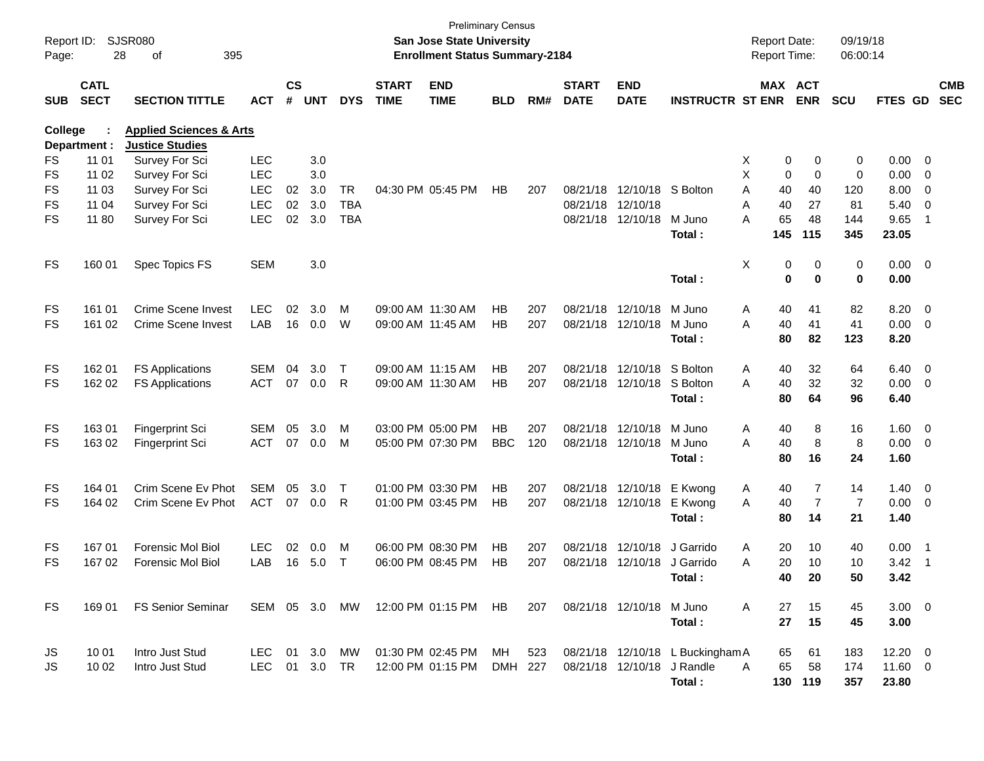| Report ID:<br>Page: | 28                         | SJSR080<br>395<br>οf                                         |            |                    |            |            |                             | <b>San Jose State University</b><br><b>Enrollment Status Summary-2184</b> | <b>Preliminary Census</b> |     |                             |                            |                                  | <b>Report Date:</b><br>Report Time: |               |                  | 09/19/18<br>06:00:14 |                     |                          |                          |
|---------------------|----------------------------|--------------------------------------------------------------|------------|--------------------|------------|------------|-----------------------------|---------------------------------------------------------------------------|---------------------------|-----|-----------------------------|----------------------------|----------------------------------|-------------------------------------|---------------|------------------|----------------------|---------------------|--------------------------|--------------------------|
| <b>SUB</b>          | <b>CATL</b><br><b>SECT</b> | <b>SECTION TITTLE</b>                                        | <b>ACT</b> | $\mathsf{cs}$<br># | <b>UNT</b> | <b>DYS</b> | <b>START</b><br><b>TIME</b> | <b>END</b><br><b>TIME</b>                                                 | <b>BLD</b>                | RM# | <b>START</b><br><b>DATE</b> | <b>END</b><br><b>DATE</b>  | <b>INSTRUCTR ST ENR</b>          |                                     | MAX ACT       | <b>ENR</b>       | SCU                  | <b>FTES GD</b>      |                          | <b>CMB</b><br><b>SEC</b> |
| College             | Department :               | <b>Applied Sciences &amp; Arts</b><br><b>Justice Studies</b> |            |                    |            |            |                             |                                                                           |                           |     |                             |                            |                                  |                                     |               |                  |                      |                     |                          |                          |
| FS                  | 11 01                      | Survey For Sci                                               | <b>LEC</b> |                    | 3.0        |            |                             |                                                                           |                           |     |                             |                            |                                  | X                                   | 0             | 0                | 0                    | 0.00                | $\overline{\phantom{0}}$ |                          |
| FS                  | 11 02                      | Survey For Sci                                               | <b>LEC</b> |                    | 3.0        |            |                             |                                                                           |                           |     |                             |                            |                                  | X                                   | 0             | $\mathbf 0$      | 0                    | 0.00                | 0                        |                          |
| FS                  | 11 03                      | Survey For Sci                                               | <b>LEC</b> | 02                 | 3.0        | TR         |                             | 04:30 PM 05:45 PM                                                         | HB                        | 207 |                             | 08/21/18 12/10/18          | S Bolton                         | A                                   | 40            | 40               | 120                  | 8.00                | 0                        |                          |
| FS                  | 11 04                      | Survey For Sci                                               | <b>LEC</b> | 02                 | 3.0        | <b>TBA</b> |                             |                                                                           |                           |     |                             | 08/21/18 12/10/18          |                                  | A                                   | 40            | 27               | 81                   | 5.40                | 0                        |                          |
| FS                  | 11 80                      | Survey For Sci                                               | <b>LEC</b> | 02                 | 3.0        | <b>TBA</b> |                             |                                                                           |                           |     |                             | 08/21/18 12/10/18          | M Juno<br>Total :                | A                                   | 65<br>145     | 48<br>115        | 144<br>345           | 9.65<br>23.05       | -1                       |                          |
| FS                  | 160 01                     | Spec Topics FS                                               | <b>SEM</b> |                    | 3.0        |            |                             |                                                                           |                           |     |                             |                            | Total:                           | Χ                                   | 0<br>$\bf{0}$ | 0<br>$\mathbf 0$ | 0<br>0               | $0.00 \t 0$<br>0.00 |                          |                          |
| FS                  | 161 01                     | <b>Crime Scene Invest</b>                                    | <b>LEC</b> | 02                 | 3.0        | M          |                             | 09:00 AM 11:30 AM                                                         | НB                        | 207 |                             | 08/21/18 12/10/18          | M Juno                           | Α                                   | 40            | 41               | 82                   | 8.20                | $\overline{\mathbf{0}}$  |                          |
| FS                  | 161 02                     | Crime Scene Invest                                           | LAB        | 16                 | 0.0        | W          |                             | 09:00 AM 11:45 AM                                                         | НB                        | 207 |                             | 08/21/18 12/10/18          | M Juno                           | A                                   | 40            | 41               | 41                   | 0.00                | $\overline{\mathbf{0}}$  |                          |
|                     |                            |                                                              |            |                    |            |            |                             |                                                                           |                           |     |                             |                            | Total:                           |                                     | 80            | 82               | 123                  | 8.20                |                          |                          |
| FS                  | 162 01                     | <b>FS Applications</b>                                       | <b>SEM</b> | 04                 | 3.0        | Τ          |                             | 09:00 AM 11:15 AM                                                         | НB                        | 207 |                             | 08/21/18 12/10/18          | S Bolton                         | Α                                   | 40            | 32               | 64                   | 6.40                | $\overline{\phantom{0}}$ |                          |
| FS                  | 162 02                     | <b>FS Applications</b>                                       | <b>ACT</b> | 07                 | 0.0        | R          |                             | 09:00 AM 11:30 AM                                                         | НB                        | 207 |                             | 08/21/18 12/10/18          | S Bolton                         | A                                   | 40            | 32               | 32                   | 0.00                | - 0                      |                          |
|                     |                            |                                                              |            |                    |            |            |                             |                                                                           |                           |     |                             |                            | Total:                           |                                     | 80            | 64               | 96                   | 6.40                |                          |                          |
| FS                  | 16301                      | <b>Fingerprint Sci</b>                                       | <b>SEM</b> | 05                 | 3.0        | м          |                             | 03:00 PM 05:00 PM                                                         | <b>HB</b>                 | 207 |                             | 08/21/18 12/10/18          | M Juno                           | Α                                   | 40            | 8                | 16                   | 1.60                | $\overline{\phantom{0}}$ |                          |
| FS                  | 163 02                     | <b>Fingerprint Sci</b>                                       | <b>ACT</b> | 07                 | 0.0        | M          |                             | 05:00 PM 07:30 PM                                                         | <b>BBC</b>                | 120 |                             | 08/21/18 12/10/18          | M Juno                           | A                                   | 40            | 8                | 8                    | 0.00                | $\overline{\mathbf{0}}$  |                          |
|                     |                            |                                                              |            |                    |            |            |                             |                                                                           |                           |     |                             |                            | Total:                           |                                     | 80            | 16               | 24                   | 1.60                |                          |                          |
| FS                  | 164 01                     | Crim Scene Ev Phot                                           | <b>SEM</b> | 05                 | 3.0        | Т          |                             | 01:00 PM 03:30 PM                                                         | НB                        | 207 |                             | 08/21/18 12/10/18          | E Kwong                          | Α                                   | 40            | 7                | 14                   | $1.40 \ 0$          |                          |                          |
| FS                  | 164 02                     | Crim Scene Ev Phot                                           | <b>ACT</b> | 07                 | 0.0        | R          |                             | 01:00 PM 03:45 PM                                                         | НB                        | 207 |                             | 08/21/18 12/10/18          | E Kwong                          | A                                   | 40            | $\overline{7}$   | $\overline{7}$       | 0.00                | $\overline{\mathbf{0}}$  |                          |
|                     |                            |                                                              |            |                    |            |            |                             |                                                                           |                           |     |                             |                            | Total:                           |                                     | 80            | 14               | 21                   | 1.40                |                          |                          |
| FS                  | 16701                      | <b>Forensic Mol Biol</b>                                     | <b>LEC</b> | 02                 | 0.0        | M          |                             | 06:00 PM 08:30 PM                                                         | НB                        | 207 |                             | 08/21/18 12/10/18          | J Garrido                        | Α                                   | 20            | 10               | 40                   | 0.00                | $\overline{1}$           |                          |
| FS                  | 167 02                     | <b>Forensic Mol Biol</b>                                     | LAB        | 16                 | 5.0        | Т          |                             | 06:00 PM 08:45 PM                                                         | НB                        | 207 |                             | 08/21/18 12/10/18          | J Garrido                        | A                                   | 20            | 10               | 10                   | 3.42                | $\overline{1}$           |                          |
|                     |                            |                                                              |            |                    |            |            |                             |                                                                           |                           |     |                             |                            | Total:                           |                                     | 40            | 20               | 50                   | 3.42                |                          |                          |
| FS                  | 169 01                     | FS Senior Seminar                                            |            |                    |            |            |                             | SEM 05 3.0 MW 12:00 PM 01:15 PM HB                                        |                           | 207 |                             | 08/21/18 12/10/18 M Juno   |                                  | A                                   | 27            | 15               | 45                   | $3.00 \ 0$          |                          |                          |
|                     |                            |                                                              |            |                    |            |            |                             |                                                                           |                           |     |                             |                            | Total:                           |                                     | 27            | 15               | 45                   | 3.00                |                          |                          |
| JS                  | 10 01                      | Intro Just Stud                                              | LEC.       |                    | 01 3.0     | MW         |                             | 01:30 PM 02:45 PM                                                         | MH.                       | 523 |                             |                            | 08/21/18 12/10/18 L Buckingham A |                                     | 65            | 61               | 183                  | $12.20 \t 0$        |                          |                          |
| JS                  | 10 02                      | Intro Just Stud                                              | <b>LEC</b> | 01                 | 3.0        | TR         |                             | 12:00 PM 01:15 PM                                                         | DMH 227                   |     |                             | 08/21/18 12/10/18 J Randle |                                  | A                                   | 65            | 58               | 174                  | 11.60 0             |                          |                          |
|                     |                            |                                                              |            |                    |            |            |                             |                                                                           |                           |     |                             |                            | Total:                           |                                     | 130 119       |                  | 357                  | 23.80               |                          |                          |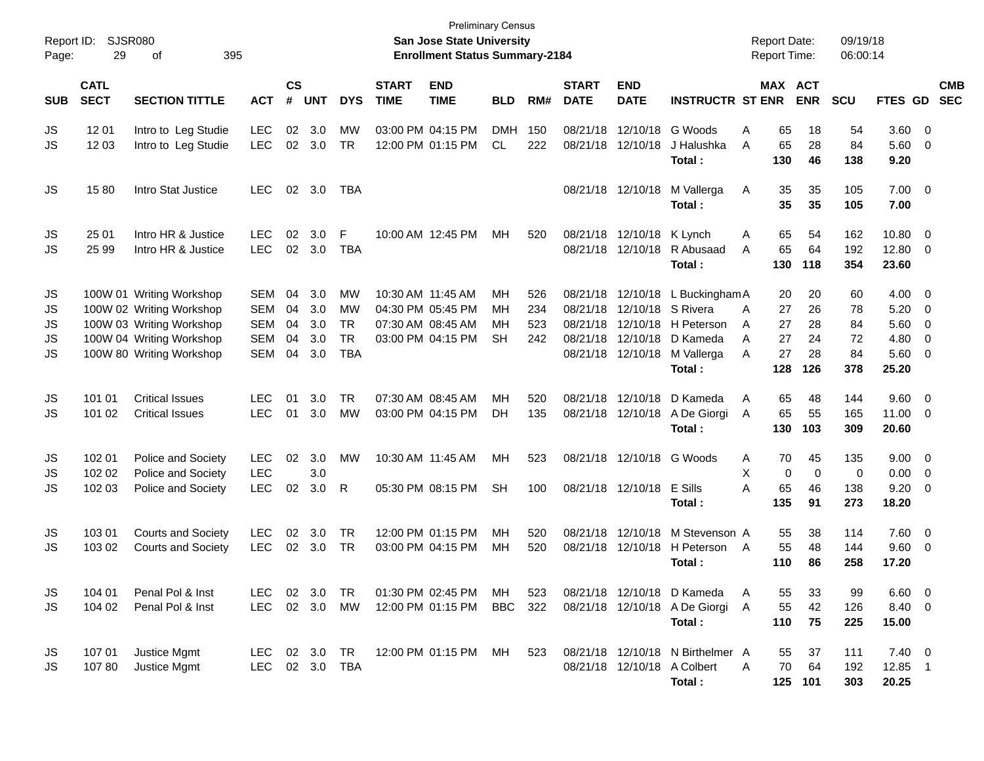| Report ID:<br>Page: | 29                         | <b>SJSR080</b><br>395<br>οf |            |                |            |            |                             | <b>Preliminary Census</b><br><b>San Jose State University</b><br><b>Enrollment Status Summary-2184</b> |            |     |                             |                           |                                  |                | <b>Report Date:</b><br><b>Report Time:</b> |             | 09/19/18<br>06:00:14 |                |                          |                          |
|---------------------|----------------------------|-----------------------------|------------|----------------|------------|------------|-----------------------------|--------------------------------------------------------------------------------------------------------|------------|-----|-----------------------------|---------------------------|----------------------------------|----------------|--------------------------------------------|-------------|----------------------|----------------|--------------------------|--------------------------|
| <b>SUB</b>          | <b>CATL</b><br><b>SECT</b> | <b>SECTION TITTLE</b>       | <b>ACT</b> | <b>CS</b><br># | <b>UNT</b> | <b>DYS</b> | <b>START</b><br><b>TIME</b> | <b>END</b><br><b>TIME</b>                                                                              | <b>BLD</b> | RM# | <b>START</b><br><b>DATE</b> | <b>END</b><br><b>DATE</b> | <b>INSTRUCTR ST ENR</b>          |                | MAX ACT                                    | <b>ENR</b>  | <b>SCU</b>           | FTES GD        |                          | <b>CMB</b><br><b>SEC</b> |
| JS                  | 12 01                      | Intro to Leg Studie         | <b>LEC</b> | 02             | 3.0        | МW         |                             | 03:00 PM 04:15 PM                                                                                      | <b>DMH</b> | 150 | 08/21/18                    | 12/10/18                  | G Woods                          | A              | 65                                         | 18          | 54                   | 3.60           | $\overline{0}$           |                          |
| JS                  | 12 03                      | Intro to Leg Studie         | <b>LEC</b> | 02             | 3.0        | <b>TR</b>  |                             | 12:00 PM 01:15 PM                                                                                      | <b>CL</b>  | 222 | 08/21/18                    | 12/10/18                  | J Halushka<br>Total:             | A              | 65<br>130                                  | 28<br>46    | 84<br>138            | 5.60<br>9.20   | 0                        |                          |
| JS                  | 1580                       | Intro Stat Justice          | <b>LEC</b> | 02             | 3.0        | TBA        |                             |                                                                                                        |            |     |                             | 08/21/18 12/10/18         | M Vallerga<br>Total:             | Α              | 35<br>35                                   | 35<br>35    | 105<br>105           | 7.00<br>7.00   | - 0                      |                          |
| JS                  | 25 01                      | Intro HR & Justice          | <b>LEC</b> | 02             | 3.0        | F          |                             | 10:00 AM 12:45 PM                                                                                      | MH         | 520 | 08/21/18                    | 12/10/18                  | K Lynch                          | Α              | 65                                         | 54          | 162                  | 10.80          | $\mathbf 0$              |                          |
| JS                  | 25 99                      | Intro HR & Justice          | <b>LEC</b> | 02             | 3.0        | <b>TBA</b> |                             |                                                                                                        |            |     | 08/21/18                    | 12/10/18                  | R Abusaad<br>Total:              | A              | 65<br>130                                  | 64<br>118   | 192<br>354           | 12.80<br>23.60 | 0                        |                          |
| JS                  |                            | 100W 01 Writing Workshop    | <b>SEM</b> | 04             | 3.0        | МW         |                             | 10:30 AM 11:45 AM                                                                                      | <b>MH</b>  | 526 | 08/21/18                    | 12/10/18                  | L Buckingham A                   |                | 20                                         | 20          | 60                   | 4.00           | 0                        |                          |
| JS                  |                            | 100W 02 Writing Workshop    | <b>SEM</b> | 04             | 3.0        | МW         |                             | 04:30 PM 05:45 PM                                                                                      | <b>MH</b>  | 234 | 08/21/18                    | 12/10/18                  | S Rivera                         | A              | 27                                         | 26          | 78                   | 5.20           | 0                        |                          |
| JS                  |                            | 100W 03 Writing Workshop    | <b>SEM</b> | 04             | 3.0        | <b>TR</b>  |                             | 07:30 AM 08:45 AM                                                                                      | <b>MH</b>  | 523 | 08/21/18                    | 12/10/18                  | H Peterson                       | A              | 27                                         | 28          | 84                   | 5.60           | 0                        |                          |
| JS                  |                            | 100W 04 Writing Workshop    | <b>SEM</b> | 04             | 3.0        | <b>TR</b>  |                             | 03:00 PM 04:15 PM                                                                                      | <b>SH</b>  | 242 | 08/21/18                    | 12/10/18                  | D Kameda                         | A              | 27                                         | 24          | 72                   | 4.80           | 0                        |                          |
| <b>JS</b>           |                            | 100W 80 Writing Workshop    | <b>SEM</b> | 04             | 3.0        | <b>TBA</b> |                             |                                                                                                        |            |     |                             | 08/21/18 12/10/18         | M Vallerga                       | A              | 27                                         | 28          | 84                   | 5.60           | 0                        |                          |
|                     |                            |                             |            |                |            |            |                             |                                                                                                        |            |     |                             |                           | Total:                           |                | 128                                        | 126         | 378                  | 25.20          |                          |                          |
| JS                  | 101 01                     | <b>Critical Issues</b>      | <b>LEC</b> | 01             | 3.0        | <b>TR</b>  |                             | 07:30 AM 08:45 AM                                                                                      | <b>MH</b>  | 520 | 08/21/18                    | 12/10/18                  | D Kameda                         | Α              | 65                                         | 48          | 144                  | 9.60           | $\mathbf 0$              |                          |
| JS                  | 101 02                     | <b>Critical Issues</b>      | <b>LEC</b> | 01             | 3.0        | <b>MW</b>  |                             | 03:00 PM 04:15 PM                                                                                      | DН         | 135 |                             | 08/21/18 12/10/18         | A De Giorgi                      | $\overline{A}$ | 65                                         | 55          | 165                  | 11.00          | 0                        |                          |
|                     |                            |                             |            |                |            |            |                             |                                                                                                        |            |     |                             |                           | Total:                           |                | 130                                        | 103         | 309                  | 20.60          |                          |                          |
| JS                  | 102 01                     | Police and Society          | <b>LEC</b> | 02             | 3.0        | МW         |                             | 10:30 AM 11:45 AM                                                                                      | MH         | 523 |                             | 08/21/18 12/10/18         | G Woods                          | Α              | 70                                         | 45          | 135                  | 9.00           | 0                        |                          |
| JS                  | 102 02                     | Police and Society          | <b>LEC</b> |                | 3.0        |            |                             |                                                                                                        |            |     |                             |                           |                                  | X              | 0                                          | $\mathbf 0$ | 0                    | 0.00           | 0                        |                          |
| JS                  | 102 03                     | Police and Society          | <b>LEC</b> | 02             | 3.0        | R          |                             | 05:30 PM 08:15 PM                                                                                      | <b>SH</b>  | 100 |                             | 08/21/18 12/10/18         | E Sills<br>Total:                | A              | 65<br>135                                  | 46<br>91    | 138<br>273           | 9.20<br>18.20  | 0                        |                          |
|                     |                            |                             |            |                |            |            |                             |                                                                                                        |            |     |                             |                           |                                  |                |                                            |             |                      |                |                          |                          |
| JS                  | 103 01                     | <b>Courts and Society</b>   | <b>LEC</b> | 02             | 3.0        | TR         |                             | 12:00 PM 01:15 PM                                                                                      | MH         | 520 | 08/21/18                    | 12/10/18                  | M Stevenson A                    |                | 55                                         | 38          | 114                  | 7.60           | 0                        |                          |
| JS                  | 103 02                     | <b>Courts and Society</b>   | <b>LEC</b> | 02             | 3.0        | TR         |                             | 03:00 PM 04:15 PM                                                                                      | <b>MH</b>  | 520 | 08/21/18                    | 12/10/18                  | H Peterson                       | A              | 55                                         | 48          | 144                  | 9.60           | 0                        |                          |
|                     |                            |                             |            |                |            |            |                             |                                                                                                        |            |     |                             |                           | Total:                           |                | 110                                        | 86          | 258                  | 17.20          |                          |                          |
| JS                  | 104 01                     | Penal Pol & Inst            | <b>LEC</b> |                | 02 3.0     | TR         |                             | 01:30 PM 02:45 PM                                                                                      | MН         | 523 |                             |                           | 08/21/18 12/10/18 D Kameda       | A              | 55                                         | 33          | 99                   | 6.60           | $\overline{\mathbf{0}}$  |                          |
| JS                  | 104 02                     | Penal Pol & Inst            | <b>LEC</b> |                | 02 3.0     | MW         |                             | 12:00 PM 01:15 PM                                                                                      | <b>BBC</b> | 322 |                             | 08/21/18 12/10/18         | A De Giorgi                      | A              | 55                                         | 42          | 126                  | 8.40           | $\overline{\phantom{0}}$ |                          |
|                     |                            |                             |            |                |            |            |                             |                                                                                                        |            |     |                             |                           | Total:                           |                | 110                                        | 75          | 225                  | 15.00          |                          |                          |
| JS                  | 107 01                     | Justice Mgmt                | <b>LEC</b> |                | 02 3.0     | TR         |                             | 12:00 PM 01:15 PM                                                                                      | МH         | 523 |                             |                           | 08/21/18 12/10/18 N Birthelmer A |                | 55                                         | 37          | 111                  | $7.40 \ 0$     |                          |                          |
| JS                  | 10780                      | Justice Mgmt                | LEC        |                | 02 3.0     | TBA        |                             |                                                                                                        |            |     |                             |                           | 08/21/18 12/10/18 A Colbert      | Α              | 70                                         | 64          | 192                  | 12.85 1        |                          |                          |
|                     |                            |                             |            |                |            |            |                             |                                                                                                        |            |     |                             |                           | Total:                           |                |                                            | 125 101     | 303                  | 20.25          |                          |                          |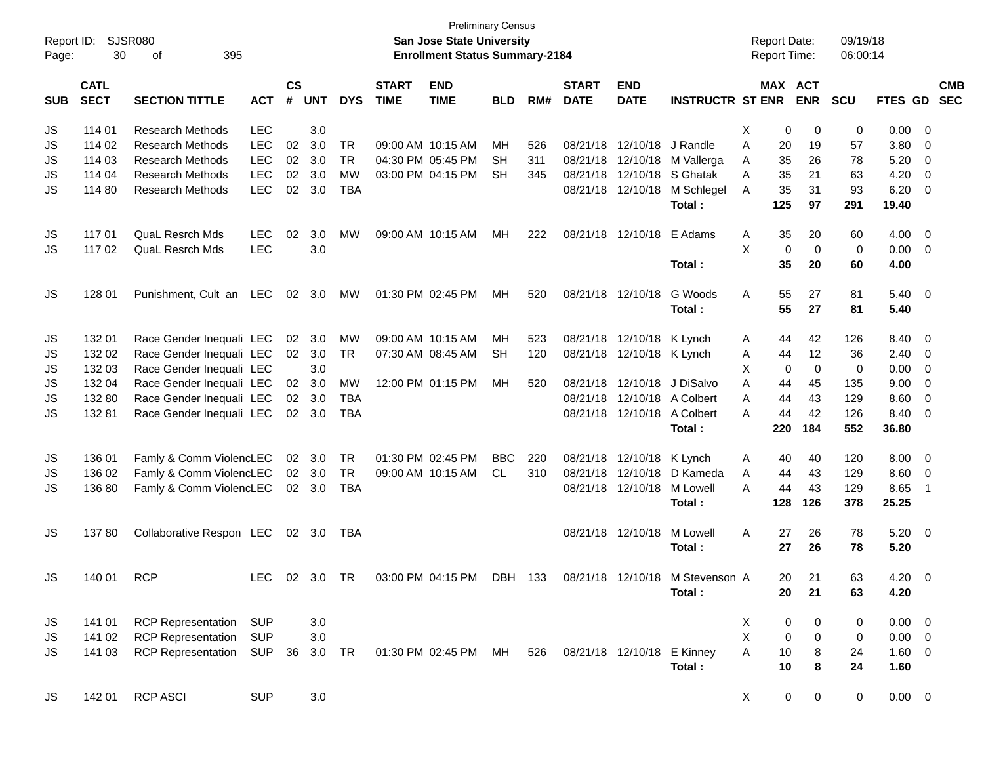| Report ID:<br>Page: | 30                         | <b>SJSR080</b><br>395<br>οf                            |                          |                    |            |            |                             | <b>Preliminary Census</b><br><b>San Jose State University</b><br><b>Enrollment Status Summary-2184</b> |            |     |                             |                            |                                 | <b>Report Date:</b><br><b>Report Time:</b> |                            | 09/19/18<br>06:00:14 |             |                          |                          |
|---------------------|----------------------------|--------------------------------------------------------|--------------------------|--------------------|------------|------------|-----------------------------|--------------------------------------------------------------------------------------------------------|------------|-----|-----------------------------|----------------------------|---------------------------------|--------------------------------------------|----------------------------|----------------------|-------------|--------------------------|--------------------------|
| <b>SUB</b>          | <b>CATL</b><br><b>SECT</b> | <b>SECTION TITTLE</b>                                  | <b>ACT</b>               | $\mathsf{cs}$<br># | <b>UNT</b> | <b>DYS</b> | <b>START</b><br><b>TIME</b> | <b>END</b><br><b>TIME</b>                                                                              | <b>BLD</b> | RM# | <b>START</b><br><b>DATE</b> | <b>END</b><br><b>DATE</b>  | <b>INSTRUCTR ST ENR</b>         |                                            | MAX ACT<br><b>ENR</b>      | <b>SCU</b>           | FTES GD     |                          | <b>CMB</b><br><b>SEC</b> |
| JS                  | 114 01                     | <b>Research Methods</b>                                | <b>LEC</b>               |                    | 3.0        |            |                             |                                                                                                        |            |     |                             |                            |                                 | X                                          | 0<br>0                     | 0                    | 0.00        | - 0                      |                          |
| JS                  | 114 02                     | <b>Research Methods</b>                                | <b>LEC</b>               | 02                 | 3.0        | <b>TR</b>  |                             | 09:00 AM 10:15 AM                                                                                      | MH         | 526 | 08/21/18                    | 12/10/18                   | J Randle                        | 20<br>A                                    | 19                         | 57                   | 3.80        | 0                        |                          |
| JS                  | 114 03                     | <b>Research Methods</b>                                | <b>LEC</b>               | 02                 | 3.0        | <b>TR</b>  |                             | 04:30 PM 05:45 PM                                                                                      | <b>SH</b>  | 311 | 08/21/18                    | 12/10/18                   | M Vallerga                      | 35<br>A                                    | 26                         | 78                   | 5.20        | 0                        |                          |
| JS                  | 114 04                     | <b>Research Methods</b>                                | <b>LEC</b>               | 02                 | 3.0        | <b>MW</b>  |                             | 03:00 PM 04:15 PM                                                                                      | <b>SH</b>  | 345 | 08/21/18                    | 12/10/18                   | S Ghatak                        | 35<br>A                                    | 21                         | 63                   | 4.20        | 0                        |                          |
| JS                  | 114 80                     | <b>Research Methods</b>                                | <b>LEC</b>               | 02                 | 3.0        | <b>TBA</b> |                             |                                                                                                        |            |     | 08/21/18                    | 12/10/18                   | M Schlegel                      | 35<br>Α                                    | 31                         | 93                   | 6.20        | - 0                      |                          |
|                     |                            |                                                        |                          |                    |            |            |                             |                                                                                                        |            |     |                             |                            | Total:                          | 125                                        | 97                         | 291                  | 19.40       |                          |                          |
| JS                  | 11701                      | QuaL Resrch Mds                                        | <b>LEC</b>               | 02                 | 3.0        | MW         |                             | 09:00 AM 10:15 AM                                                                                      | MН         | 222 | 08/21/18                    | 12/10/18                   | E Adams                         | Α<br>35                                    | 20                         | 60                   | 4.00        | $\overline{\mathbf{0}}$  |                          |
| JS                  | 117 02                     | <b>QuaL Resrch Mds</b>                                 | <b>LEC</b>               |                    | 3.0        |            |                             |                                                                                                        |            |     |                             |                            |                                 | X                                          | $\mathbf 0$<br>$\mathbf 0$ | 0                    | 0.00        | $\overline{\mathbf{0}}$  |                          |
|                     |                            |                                                        |                          |                    |            |            |                             |                                                                                                        |            |     |                             |                            | Total:                          |                                            | 35<br>20                   | 60                   | 4.00        |                          |                          |
| JS                  | 128 01                     | Punishment, Cult an LEC                                |                          | 02                 | 3.0        | МW         |                             | 01:30 PM 02:45 PM                                                                                      | MН         | 520 |                             | 08/21/18 12/10/18          | G Woods                         | Α                                          | 55<br>27                   | 81                   | $5.40 \ 0$  |                          |                          |
|                     |                            |                                                        |                          |                    |            |            |                             |                                                                                                        |            |     |                             |                            | Total:                          |                                            | 55<br>27                   | 81                   | 5.40        |                          |                          |
| JS                  | 132 01                     | Race Gender Inequali LEC                               |                          | 02                 | 3.0        | <b>MW</b>  |                             | 09:00 AM 10:15 AM                                                                                      | MН         | 523 | 08/21/18                    | 12/10/18                   | K Lynch                         | A                                          | 42<br>44                   | 126                  | 8.40        | $\overline{\mathbf{0}}$  |                          |
| JS                  | 132 02                     | Race Gender Inequali LEC                               |                          | $02\,$             | 3.0        | <b>TR</b>  |                             | 07:30 AM 08:45 AM                                                                                      | <b>SH</b>  | 120 | 08/21/18                    | 12/10/18 K Lynch           |                                 | 44<br>A                                    | 12                         | 36                   | 2.40        | $\overline{\mathbf{0}}$  |                          |
| JS                  | 132 03                     | Race Gender Inequali LEC                               |                          |                    | 3.0        |            |                             |                                                                                                        |            |     |                             |                            |                                 | X                                          | $\mathbf 0$<br>0           | 0                    | 0.00        | 0                        |                          |
| JS                  | 132 04                     | Race Gender Inequali LEC                               |                          | 02                 | 3.0        | MW         |                             | 12:00 PM 01:15 PM                                                                                      | MН         | 520 | 08/21/18                    | 12/10/18                   | J DiSalvo                       | 44<br>A                                    | 45                         | 135                  | 9.00        | 0                        |                          |
| JS                  | 132 80                     | Race Gender Inequali LEC                               |                          | 02                 | 3.0        | <b>TBA</b> |                             |                                                                                                        |            |     | 08/21/18                    | 12/10/18                   | A Colbert                       | 44<br>A                                    | 43                         | 129                  | 8.60        | $\overline{\mathbf{0}}$  |                          |
| <b>JS</b>           | 13281                      | Race Gender Inequali LEC                               |                          |                    | 02 3.0     | <b>TBA</b> |                             |                                                                                                        |            |     |                             | 08/21/18 12/10/18          | A Colbert                       | 44<br>A                                    | 42                         | 126                  | 8.40        | - 0                      |                          |
|                     |                            |                                                        |                          |                    |            |            |                             |                                                                                                        |            |     |                             |                            | Total:                          | 220                                        | 184                        | 552                  | 36.80       |                          |                          |
| JS                  | 136 01                     | Famly & Comm ViolencLEC                                |                          | 02                 | 3.0        | <b>TR</b>  |                             | 01:30 PM 02:45 PM                                                                                      | <b>BBC</b> | 220 | 08/21/18                    | 12/10/18                   | K Lynch                         | 40<br>A                                    | 40                         | 120                  | 8.00        | $\overline{\mathbf{0}}$  |                          |
| JS                  | 136 02                     | Famly & Comm ViolencLEC                                |                          |                    | 02 3.0     | <b>TR</b>  |                             | 09:00 AM 10:15 AM                                                                                      | CL         | 310 | 08/21/18                    | 12/10/18                   | D Kameda                        | 44<br>A                                    | 43                         | 129                  | 8.60        | - 0                      |                          |
| JS                  | 136 80                     | Famly & Comm ViolencLEC                                |                          |                    | 02 3.0     | <b>TBA</b> |                             |                                                                                                        |            |     |                             | 08/21/18 12/10/18          | M Lowell                        | 44<br>A                                    | 43                         | 129                  | 8.65        | $\overline{1}$           |                          |
|                     |                            |                                                        |                          |                    |            |            |                             |                                                                                                        |            |     |                             |                            | Total:                          | 128                                        | 126                        | 378                  | 25.25       |                          |                          |
| JS                  | 13780                      | Collaborative Respon LEC                               |                          |                    | 02 3.0     | TBA        |                             |                                                                                                        |            |     |                             | 08/21/18 12/10/18          | M Lowell                        | 27<br>A                                    | 26                         | 78                   | 5.20        | $\overline{\phantom{0}}$ |                          |
|                     |                            |                                                        |                          |                    |            |            |                             |                                                                                                        |            |     |                             |                            | Total:                          | 27                                         | 26                         | 78                   | 5.20        |                          |                          |
| JS                  | 140 01                     | <b>RCP</b>                                             | LEC                      |                    | 02 3.0 TR  |            |                             | 03:00 PM 04:15 PM                                                                                      | DBH 133    |     |                             |                            | 08/21/18 12/10/18 M Stevenson A |                                            | 21<br>20                   | 63                   | $4.20 \ 0$  |                          |                          |
|                     |                            |                                                        |                          |                    |            |            |                             |                                                                                                        |            |     |                             |                            | Total:                          |                                            | 20<br>21                   | 63                   | 4.20        |                          |                          |
|                     |                            |                                                        |                          |                    |            |            |                             |                                                                                                        |            |     |                             |                            |                                 |                                            |                            |                      |             |                          |                          |
| JS                  | 141 01                     | <b>RCP Representation</b><br><b>RCP Representation</b> | <b>SUP</b><br><b>SUP</b> |                    | 3.0        |            |                             |                                                                                                        |            |     |                             |                            |                                 | X<br>X                                     | 0<br>0                     | 0                    | $0.00 \t 0$ |                          |                          |
| JS                  | 141 02                     |                                                        |                          |                    | 3.0        |            |                             |                                                                                                        |            |     |                             |                            |                                 |                                            | 0<br>0                     | 0                    | $0.00 \t 0$ |                          |                          |
| JS                  | 141 03                     | <b>RCP Representation</b>                              | <b>SUP</b>               | 36                 | 3.0        | TR         |                             | 01:30 PM 02:45 PM                                                                                      | MН         | 526 |                             | 08/21/18 12/10/18 E Kinney |                                 | A                                          | 10<br>8                    | 24                   | 1.60 0      |                          |                          |
|                     |                            |                                                        |                          |                    |            |            |                             |                                                                                                        |            |     |                             |                            | Total:                          |                                            | 10<br>8                    | 24                   | 1.60        |                          |                          |
| JS                  | 142 01                     | <b>RCP ASCI</b>                                        | <b>SUP</b>               |                    | 3.0        |            |                             |                                                                                                        |            |     |                             |                            |                                 | X                                          | $\mathbf 0$<br>0           | 0                    | $0.00 \t 0$ |                          |                          |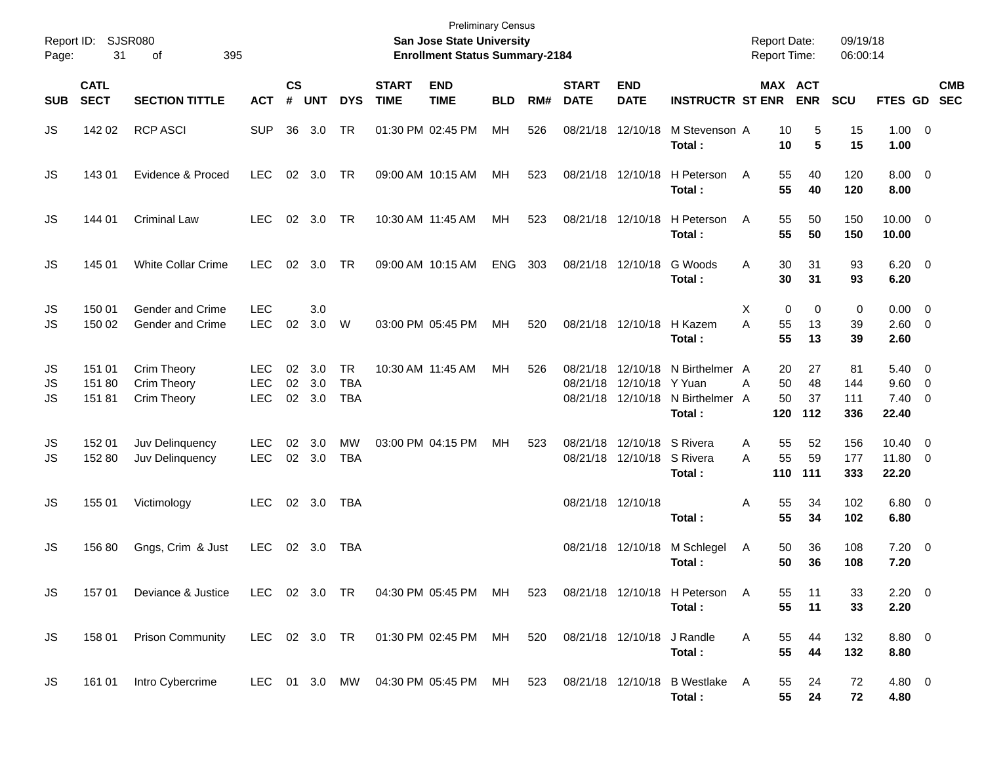| Report ID:<br>Page: | 31                         | SJSR080<br>395<br>οf                        |                                        |                |                         |                                       |                             | <b>Preliminary Census</b><br>San Jose State University<br><b>Enrollment Status Summary-2184</b> |            |     |                             |                                                          |                                                               | <b>Report Date:</b><br><b>Report Time:</b> |                       | 09/19/18<br>06:00:14    |                                                 |            |
|---------------------|----------------------------|---------------------------------------------|----------------------------------------|----------------|-------------------------|---------------------------------------|-----------------------------|-------------------------------------------------------------------------------------------------|------------|-----|-----------------------------|----------------------------------------------------------|---------------------------------------------------------------|--------------------------------------------|-----------------------|-------------------------|-------------------------------------------------|------------|
| <b>SUB</b>          | <b>CATL</b><br><b>SECT</b> | <b>SECTION TITTLE</b>                       | <b>ACT</b>                             | <b>CS</b><br># | <b>UNT</b>              | <b>DYS</b>                            | <b>START</b><br><b>TIME</b> | <b>END</b><br><b>TIME</b>                                                                       | <b>BLD</b> | RM# | <b>START</b><br><b>DATE</b> | <b>END</b><br><b>DATE</b>                                | <b>INSTRUCTR ST ENR</b>                                       |                                            | MAX ACT<br><b>ENR</b> | <b>SCU</b>              | FTES GD SEC                                     | <b>CMB</b> |
| JS                  | 142 02                     | <b>RCP ASCI</b>                             | <b>SUP</b>                             | 36             | 3.0                     | TR                                    |                             | 01:30 PM 02:45 PM                                                                               | MH         | 526 |                             | 08/21/18 12/10/18                                        | M Stevenson A<br>Total :                                      | 10<br>10                                   | 5<br>5                | 15<br>15                | $1.00 \t 0$<br>1.00                             |            |
| JS                  | 143 01                     | Evidence & Proced                           | <b>LEC</b>                             |                | 02 3.0                  | TR                                    |                             | 09:00 AM 10:15 AM                                                                               | МH         | 523 |                             | 08/21/18 12/10/18                                        | H Peterson<br>Total :                                         | 55<br>A<br>55                              | 40<br>40              | 120<br>120              | $8.00 \t 0$<br>8.00                             |            |
| JS                  | 144 01                     | <b>Criminal Law</b>                         | <b>LEC</b>                             |                | 02 3.0                  | <b>TR</b>                             |                             | 10:30 AM 11:45 AM                                                                               | МH         | 523 |                             | 08/21/18 12/10/18                                        | H Peterson<br>Total :                                         | 55<br>A<br>55                              | 50<br>50              | 150<br>150              | $10.00 \t 0$<br>10.00                           |            |
| JS                  | 145 01                     | White Collar Crime                          | <b>LEC</b>                             | 02             | 3.0                     | TR                                    |                             | 09:00 AM 10:15 AM                                                                               | <b>ENG</b> | 303 |                             | 08/21/18 12/10/18                                        | G Woods<br>Total :                                            | 30<br>A<br>30                              | 31<br>31              | 93<br>93                | $6.20 \quad 0$<br>6.20                          |            |
| JS<br>JS            | 150 01<br>150 02           | <b>Gender and Crime</b><br>Gender and Crime | <b>LEC</b><br><b>LEC</b>               | 02             | 3.0<br>3.0              | W                                     |                             | 03:00 PM 05:45 PM                                                                               | МH         | 520 |                             | 08/21/18 12/10/18                                        | H Kazem<br>Total :                                            | 0<br>X<br>A<br>55<br>55                    | 0<br>13<br>13         | 0<br>39<br>39           | $0.00 \t 0$<br>2.60 0<br>2.60                   |            |
| JS<br>JS<br>JS      | 151 01<br>151 80<br>15181  | Crim Theory<br>Crim Theory<br>Crim Theory   | <b>LEC</b><br><b>LEC</b><br><b>LEC</b> | 02             | 3.0<br>02 3.0<br>02 3.0 | <b>TR</b><br><b>TBA</b><br><b>TBA</b> |                             | 10:30 AM 11:45 AM                                                                               | MН         | 526 | 08/21/18                    | 12/10/18 Y Yuan<br>08/21/18 12/10/18                     | 08/21/18 12/10/18 N Birthelmer A<br>N Birthelmer A<br>Total : | 20<br>50<br>A<br>50<br>120                 | 27<br>48<br>37<br>112 | 81<br>144<br>111<br>336 | $5.40 \ 0$<br>9.60 0<br>$7.40 \quad 0$<br>22.40 |            |
| JS<br>JS            | 152 01<br>152 80           | Juv Delinquency<br>Juv Delinquency          | <b>LEC</b><br><b>LEC</b>               | 02             | 3.0<br>02 3.0           | MW<br><b>TBA</b>                      |                             | 03:00 PM 04:15 PM                                                                               | МH         | 523 |                             | 08/21/18 12/10/18 S Rivera<br>08/21/18 12/10/18 S Rivera | Total :                                                       | 55<br>Α<br>55<br>A<br>110                  | 52<br>59<br>111       | 156<br>177<br>333       | $10.40 \t 0$<br>11.80 0<br>22.20                |            |
| JS                  | 155 01                     | Victimology                                 | <b>LEC</b>                             |                | 02 3.0                  | <b>TBA</b>                            |                             |                                                                                                 |            |     |                             | 08/21/18 12/10/18                                        | Total:                                                        | 55<br>Α<br>55                              | 34<br>34              | 102<br>102              | $6.80$ 0<br>6.80                                |            |
| JS                  | 156 80                     | Gngs, Crim & Just                           | <b>LEC</b>                             |                | 02 3.0                  | <b>TBA</b>                            |                             |                                                                                                 |            |     |                             | 08/21/18 12/10/18                                        | M Schlegel<br>Total:                                          | Α<br>50<br>50                              | 36<br>36              | 108<br>108              | $7.20 \t 0$<br>7.20                             |            |
| JS                  | 157 01                     | Deviance & Justice                          |                                        |                |                         |                                       |                             | LEC 02 3.0 TR 04:30 PM 05:45 PM MH                                                              |            | 523 |                             |                                                          | 08/21/18 12/10/18 H Peterson<br>Total:                        | A<br>55<br>55                              | 11<br>11              | 33<br>33                | $2.20 \t 0$<br>2.20                             |            |
| JS                  | 158 01                     | <b>Prison Community</b>                     |                                        |                |                         |                                       |                             | LEC 02 3.0 TR  01:30 PM 02:45 PM  MH                                                            |            | 520 | 08/21/18 12/10/18 J Randle  |                                                          | Total:                                                        | 55<br>A<br>55                              | 44<br>44              | 132<br>132              | 8.80 0<br>8.80                                  |            |
| JS                  | 161 01                     | Intro Cybercrime                            |                                        |                |                         |                                       |                             | LEC 01 3.0 MW 04:30 PM 05:45 PM MH                                                              |            |     |                             |                                                          | 523 08/21/18 12/10/18 B Westlake A<br>Total:                  | 55<br>55                                   | 24<br>24              | 72<br>72                | 4.80 0<br>4.80                                  |            |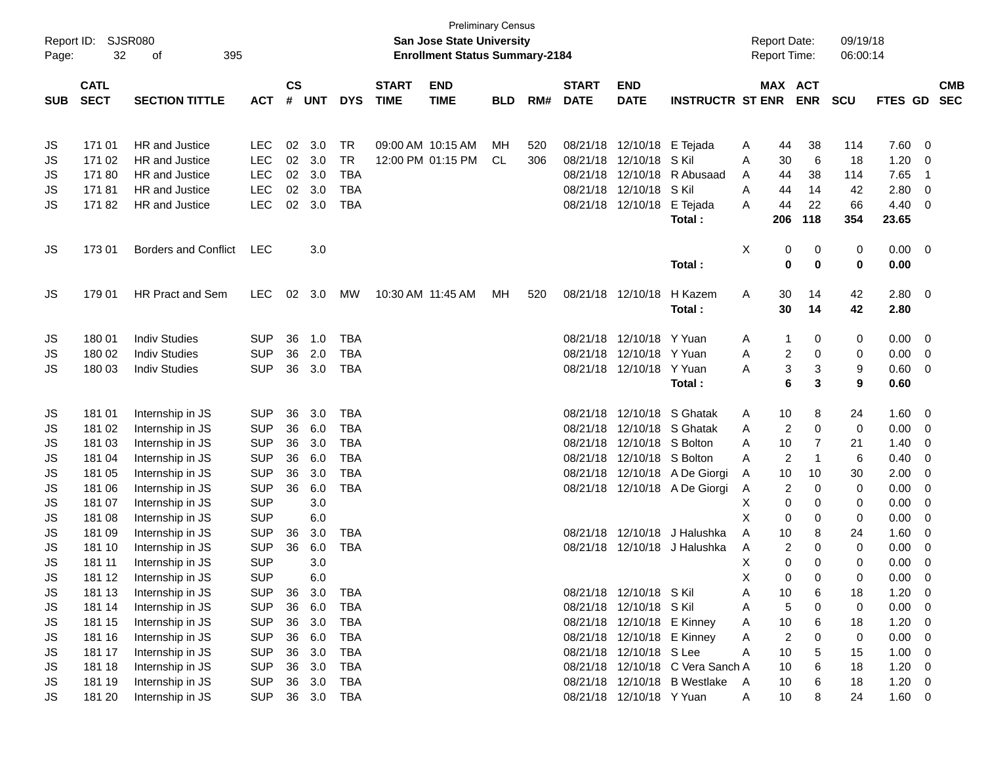| $\mathsf{cs}$<br><b>CATL</b><br><b>START</b><br><b>END</b><br><b>START</b><br><b>END</b><br>MAX ACT<br><b>SECT</b><br>$\pmb{\#}$<br><b>ENR</b><br><b>SECTION TITTLE</b><br><b>UNT</b><br><b>DYS</b><br><b>TIME</b><br><b>TIME</b><br>RM#<br><b>DATE</b><br><b>DATE</b><br><b>INSTRUCTR ST ENR</b><br><b>SUB</b><br><b>ACT</b><br><b>BLD</b><br><b>HR</b> and Justice<br>02<br>3.0<br><b>TR</b><br>09:00 AM 10:15 AM<br>171 01<br>LEC<br>520<br>08/21/18 12/10/18 E Tejada<br>JS<br>MН<br>A<br>44<br>02<br>171 02<br>HR and Justice<br><b>LEC</b><br>3.0<br><b>TR</b><br>12:00 PM 01:15 PM<br>08/21/18<br>12/10/18<br>S Kil<br>CL<br>306<br>30<br>JS<br>A<br>17180<br>HR and Justice<br><b>LEC</b><br>02<br>3.0<br><b>TBA</b><br>08/21/18<br>12/10/18 R Abusaad<br>44<br>JS<br>A<br>17181<br>HR and Justice<br><b>LEC</b><br>02<br>3.0<br><b>TBA</b><br>08/21/18 12/10/18 SKil<br>A<br>44<br>JS<br>17182<br>HR and Justice<br><b>LEC</b><br>02<br>3.0<br><b>TBA</b><br>08/21/18 12/10/18 E Tejada<br>JS<br>44<br>A<br>206<br>Total: | 09/19/18<br><b>Report Date:</b><br>Report Time:<br>06:00:14 |                                  |
|------------------------------------------------------------------------------------------------------------------------------------------------------------------------------------------------------------------------------------------------------------------------------------------------------------------------------------------------------------------------------------------------------------------------------------------------------------------------------------------------------------------------------------------------------------------------------------------------------------------------------------------------------------------------------------------------------------------------------------------------------------------------------------------------------------------------------------------------------------------------------------------------------------------------------------------------------------------------------------------------------------------------------------|-------------------------------------------------------------|----------------------------------|
|                                                                                                                                                                                                                                                                                                                                                                                                                                                                                                                                                                                                                                                                                                                                                                                                                                                                                                                                                                                                                                    |                                                             | <b>CMB</b>                       |
|                                                                                                                                                                                                                                                                                                                                                                                                                                                                                                                                                                                                                                                                                                                                                                                                                                                                                                                                                                                                                                    | <b>SCU</b>                                                  | <b>SEC</b><br>FTES GD            |
|                                                                                                                                                                                                                                                                                                                                                                                                                                                                                                                                                                                                                                                                                                                                                                                                                                                                                                                                                                                                                                    | 114<br>38                                                   | 7.60<br>- 0                      |
|                                                                                                                                                                                                                                                                                                                                                                                                                                                                                                                                                                                                                                                                                                                                                                                                                                                                                                                                                                                                                                    | 6<br>18                                                     | 1.20<br>0                        |
|                                                                                                                                                                                                                                                                                                                                                                                                                                                                                                                                                                                                                                                                                                                                                                                                                                                                                                                                                                                                                                    | 38<br>114                                                   | 7.65<br>$\overline{\mathbf{1}}$  |
|                                                                                                                                                                                                                                                                                                                                                                                                                                                                                                                                                                                                                                                                                                                                                                                                                                                                                                                                                                                                                                    | 14<br>42                                                    | 2.80<br>0                        |
|                                                                                                                                                                                                                                                                                                                                                                                                                                                                                                                                                                                                                                                                                                                                                                                                                                                                                                                                                                                                                                    | 22<br>66                                                    | 4.40<br>0                        |
|                                                                                                                                                                                                                                                                                                                                                                                                                                                                                                                                                                                                                                                                                                                                                                                                                                                                                                                                                                                                                                    | 118<br>354                                                  | 23.65                            |
| <b>Borders and Conflict</b><br>X<br>JS<br>17301<br>LEC<br>3.0<br>0                                                                                                                                                                                                                                                                                                                                                                                                                                                                                                                                                                                                                                                                                                                                                                                                                                                                                                                                                                 | 0<br>0                                                      | 0.00<br>$\overline{\phantom{0}}$ |
| 0<br>Total:                                                                                                                                                                                                                                                                                                                                                                                                                                                                                                                                                                                                                                                                                                                                                                                                                                                                                                                                                                                                                        | $\mathbf 0$<br>0                                            | 0.00                             |
| HR Pract and Sem<br><b>LEC</b><br>02<br>3.0<br>10:30 AM 11:45 AM<br>08/21/18 12/10/18<br>H Kazem<br>JS<br>179 01<br>МW<br>520<br>Α<br>30<br>MН                                                                                                                                                                                                                                                                                                                                                                                                                                                                                                                                                                                                                                                                                                                                                                                                                                                                                     | 42<br>14                                                    | 2.80<br>$\overline{\mathbf{0}}$  |
| 30<br>Total:                                                                                                                                                                                                                                                                                                                                                                                                                                                                                                                                                                                                                                                                                                                                                                                                                                                                                                                                                                                                                       | 42<br>14                                                    | 2.80                             |
| <b>Indiv Studies</b><br><b>SUP</b><br>36<br><b>TBA</b><br>08/21/18 12/10/18 Y Yuan<br>180 01<br>1.0<br>JS<br>A<br>1                                                                                                                                                                                                                                                                                                                                                                                                                                                                                                                                                                                                                                                                                                                                                                                                                                                                                                                | 0<br>0                                                      | 0.00<br>- 0                      |
| 180 02<br><b>Indiv Studies</b><br><b>SUP</b><br>36<br>2.0<br><b>TBA</b><br>08/21/18 12/10/18 Y Yuan<br>A<br>2<br>JS                                                                                                                                                                                                                                                                                                                                                                                                                                                                                                                                                                                                                                                                                                                                                                                                                                                                                                                | 0<br>0                                                      | 0.00<br>- 0                      |
| 180 03<br><b>Indiv Studies</b><br><b>SUP</b><br>36<br>3.0<br><b>TBA</b><br>08/21/18 12/10/18 Y Yuan<br>3<br>JS<br>A                                                                                                                                                                                                                                                                                                                                                                                                                                                                                                                                                                                                                                                                                                                                                                                                                                                                                                                | 3<br>9                                                      | 0.60<br>0                        |
| 6<br>Total:                                                                                                                                                                                                                                                                                                                                                                                                                                                                                                                                                                                                                                                                                                                                                                                                                                                                                                                                                                                                                        | 3<br>9                                                      | 0.60                             |
| <b>SUP</b><br>36<br>3.0<br>08/21/18 12/10/18 S Ghatak<br>181 01<br>Internship in JS<br><b>TBA</b><br>10<br>JS<br>A                                                                                                                                                                                                                                                                                                                                                                                                                                                                                                                                                                                                                                                                                                                                                                                                                                                                                                                 | 8<br>24                                                     | 1.60<br>0                        |
| <b>SUP</b><br>36<br>6.0<br><b>TBA</b><br>08/21/18<br>12/10/18 S Ghatak<br>$\overline{2}$<br>181 02<br>Internship in JS<br>JS<br>A                                                                                                                                                                                                                                                                                                                                                                                                                                                                                                                                                                                                                                                                                                                                                                                                                                                                                                  | 0<br>0                                                      | 0.00<br>- 0                      |
| <b>SUP</b><br>36<br>3.0<br><b>TBA</b><br>08/21/18<br>12/10/18 S Bolton<br>181 03<br>Internship in JS<br>10<br>JS<br>A                                                                                                                                                                                                                                                                                                                                                                                                                                                                                                                                                                                                                                                                                                                                                                                                                                                                                                              | 7<br>21                                                     | 1.40<br>0                        |
| <b>SUP</b><br>36<br><b>TBA</b><br>08/21/18 12/10/18 S Bolton<br>2<br>181 04<br>Internship in JS<br>6.0<br>JS<br>A                                                                                                                                                                                                                                                                                                                                                                                                                                                                                                                                                                                                                                                                                                                                                                                                                                                                                                                  | 6<br>$\mathbf 1$                                            | 0.40<br>0                        |
| <b>SUP</b><br><b>TBA</b><br>08/21/18 12/10/18 A De Giorgi<br>JS<br>181 05<br>Internship in JS<br>36<br>3.0<br>10<br>A                                                                                                                                                                                                                                                                                                                                                                                                                                                                                                                                                                                                                                                                                                                                                                                                                                                                                                              | 30<br>10                                                    | 2.00<br>0                        |
| <b>SUP</b><br>36<br>6.0<br><b>TBA</b><br>08/21/18 12/10/18 A De Giorgi<br>2<br>JS<br>181 06<br>Internship in JS<br>A                                                                                                                                                                                                                                                                                                                                                                                                                                                                                                                                                                                                                                                                                                                                                                                                                                                                                                               | 0<br>0                                                      | 0.00<br>0                        |
| <b>SUP</b><br>3.0<br>JS<br>181 07<br>Internship in JS<br>Х<br>0                                                                                                                                                                                                                                                                                                                                                                                                                                                                                                                                                                                                                                                                                                                                                                                                                                                                                                                                                                    | 0<br>0                                                      | 0.00<br>0                        |
| <b>SUP</b><br>Χ<br>181 08<br>Internship in JS<br>6.0<br>JS<br>0<br><b>SUP</b><br>08/21/18<br>12/10/18 J Halushka<br>A<br>10                                                                                                                                                                                                                                                                                                                                                                                                                                                                                                                                                                                                                                                                                                                                                                                                                                                                                                        | 0<br>0<br>24<br>8                                           | 0.00<br>0<br>1.60<br>0           |
| 181 09<br>Internship in JS<br>3.0<br>TBA<br>JS<br>36<br><b>SUP</b><br>08/21/18 12/10/18 J Halushka<br>2<br>JS<br>181 10<br>Internship in JS<br>36<br>6.0<br><b>TBA</b><br>A                                                                                                                                                                                                                                                                                                                                                                                                                                                                                                                                                                                                                                                                                                                                                                                                                                                        | 0<br>0                                                      | 0.00<br>0                        |
| <b>SUP</b><br>3.0<br>X<br>0<br>JS<br>181 11<br>Internship in JS                                                                                                                                                                                                                                                                                                                                                                                                                                                                                                                                                                                                                                                                                                                                                                                                                                                                                                                                                                    | 0<br>$\Omega$                                               | 0.00<br>0                        |
| JS<br><b>SUP</b><br>X<br>181 12<br>6.0<br>Internship in JS<br>$\Omega$                                                                                                                                                                                                                                                                                                                                                                                                                                                                                                                                                                                                                                                                                                                                                                                                                                                                                                                                                             | 0<br>0                                                      | 0.00<br>$\Omega$                 |
| 36 3.0<br>Internship in JS<br><b>SUP</b><br>TBA<br>08/21/18 12/10/18 SKil<br>JS<br>181 13<br>Α<br>10                                                                                                                                                                                                                                                                                                                                                                                                                                                                                                                                                                                                                                                                                                                                                                                                                                                                                                                               | 6<br>18                                                     | 1.20<br>0                        |
| 181 14<br><b>SUP</b><br>36 6.0<br><b>TBA</b><br>08/21/18 12/10/18 S Kil<br>5<br>Internship in JS<br>A                                                                                                                                                                                                                                                                                                                                                                                                                                                                                                                                                                                                                                                                                                                                                                                                                                                                                                                              | 0<br>0                                                      | 0.00<br>- 0                      |
| JS<br>08/21/18 12/10/18 E Kinney<br>181 15<br><b>SUP</b><br>3.0<br><b>TBA</b><br>Internship in JS<br>36<br>10<br>JS<br>A                                                                                                                                                                                                                                                                                                                                                                                                                                                                                                                                                                                                                                                                                                                                                                                                                                                                                                           | 6<br>18                                                     | 1.20<br>- 0                      |
| 08/21/18 12/10/18 E Kinney<br>181 16<br><b>SUP</b><br>36 6.0<br><b>TBA</b><br>2<br>Internship in JS<br>JS<br>A                                                                                                                                                                                                                                                                                                                                                                                                                                                                                                                                                                                                                                                                                                                                                                                                                                                                                                                     | 0<br>0                                                      | 0.00<br>- 0                      |
| 08/21/18 12/10/18 S Lee<br>181 17<br><b>SUP</b><br>36<br>3.0<br><b>TBA</b><br>Internship in JS<br>Α<br>10<br>JS                                                                                                                                                                                                                                                                                                                                                                                                                                                                                                                                                                                                                                                                                                                                                                                                                                                                                                                    | 5<br>15                                                     | 1.00<br>- 0                      |
| 08/21/18 12/10/18 C Vera Sanch A<br>181 18<br><b>SUP</b><br>36<br>3.0<br><b>TBA</b><br>Internship in JS<br>10<br>JS                                                                                                                                                                                                                                                                                                                                                                                                                                                                                                                                                                                                                                                                                                                                                                                                                                                                                                                | 6<br>18                                                     | 1.20<br>- 0                      |
| 181 19<br>Internship in JS<br><b>SUP</b><br>36<br>3.0<br><b>TBA</b><br>08/21/18 12/10/18 B Westlake<br>10<br>JS<br>A                                                                                                                                                                                                                                                                                                                                                                                                                                                                                                                                                                                                                                                                                                                                                                                                                                                                                                               | 6<br>18                                                     | 1.20<br>- 0                      |
| 08/21/18 12/10/18 Y Yuan<br>181 20<br>Internship in JS<br><b>SUP</b><br>36 3.0<br><b>TBA</b><br>10<br>JS<br>A                                                                                                                                                                                                                                                                                                                                                                                                                                                                                                                                                                                                                                                                                                                                                                                                                                                                                                                      | 8<br>24                                                     | $1.60 \t 0$                      |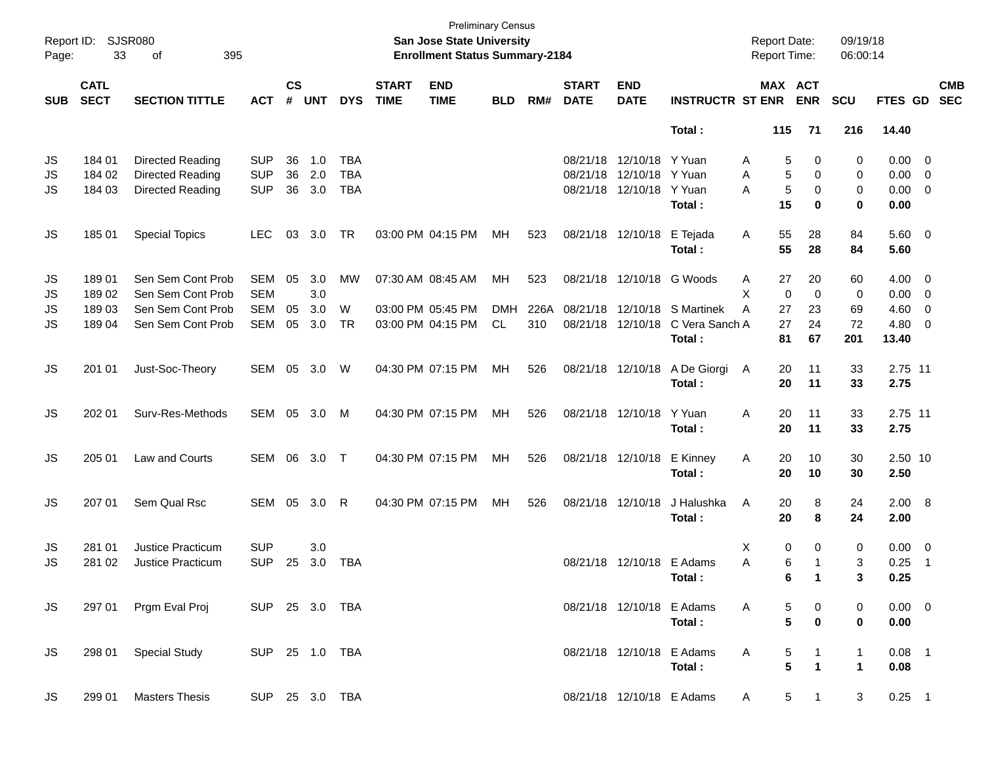| Page:      | Report ID: SJSR080<br>33   | 395<br>of             |                |                    |            |                |                             | San Jose State University<br><b>Enrollment Status Summary-2184</b> | <b>Preliminary Census</b> |      |                             |                           |                                     | <b>Report Date:</b><br><b>Report Time:</b> |                         | 09/19/18<br>06:00:14 |             |                          |                          |
|------------|----------------------------|-----------------------|----------------|--------------------|------------|----------------|-----------------------------|--------------------------------------------------------------------|---------------------------|------|-----------------------------|---------------------------|-------------------------------------|--------------------------------------------|-------------------------|----------------------|-------------|--------------------------|--------------------------|
| <b>SUB</b> | <b>CATL</b><br><b>SECT</b> | <b>SECTION TITTLE</b> | <b>ACT</b>     | $\mathsf{cs}$<br># | <b>UNT</b> | <b>DYS</b>     | <b>START</b><br><b>TIME</b> | <b>END</b><br><b>TIME</b>                                          | <b>BLD</b>                | RM#  | <b>START</b><br><b>DATE</b> | <b>END</b><br><b>DATE</b> | <b>INSTRUCTR ST ENR</b>             | MAX ACT                                    | <b>ENR</b>              | <b>SCU</b>           | FTES GD     |                          | <b>CMB</b><br><b>SEC</b> |
|            |                            |                       |                |                    |            |                |                             |                                                                    |                           |      |                             |                           | Total:                              | 115                                        | 71                      | 216                  | 14.40       |                          |                          |
| JS         | 184 01                     | Directed Reading      | <b>SUP</b>     | 36                 | 1.0        | <b>TBA</b>     |                             |                                                                    |                           |      | 08/21/18                    | 12/10/18 Y Yuan           |                                     | 5<br>A                                     | 0                       | 0                    | $0.00 \t 0$ |                          |                          |
| JS         | 184 02                     | Directed Reading      | <b>SUP</b>     | 36                 | 2.0        | <b>TBA</b>     |                             |                                                                    |                           |      | 08/21/18                    | 12/10/18 Y Yuan           |                                     | 5<br>A                                     | 0                       | 0                    | $0.00 \t 0$ |                          |                          |
| JS         | 184 03                     | Directed Reading      | <b>SUP</b>     | 36                 | 3.0        | <b>TBA</b>     |                             |                                                                    |                           |      | 08/21/18                    | 12/10/18                  | Y Yuan                              | 5<br>A                                     | 0                       | 0                    | $0.00 \t 0$ |                          |                          |
|            |                            |                       |                |                    |            |                |                             |                                                                    |                           |      |                             |                           | Total:                              | 15                                         | 0                       | 0                    | 0.00        |                          |                          |
| JS         | 185 01                     | <b>Special Topics</b> | <b>LEC</b>     | 03                 | 3.0        | TR             |                             | 03:00 PM 04:15 PM                                                  | МH                        | 523  |                             | 08/21/18 12/10/18         | E Tejada                            | 55<br>Α                                    | 28                      | 84                   | 5.60 0      |                          |                          |
|            |                            |                       |                |                    |            |                |                             |                                                                    |                           |      |                             |                           | Total:                              | 55                                         | 28                      | 84                   | 5.60        |                          |                          |
| JS         | 18901                      | Sen Sem Cont Prob     | <b>SEM</b>     | 05                 | 3.0        | MW             |                             | 07:30 AM 08:45 AM                                                  | MH                        | 523  | 08/21/18                    | 12/10/18                  | G Woods                             | 27<br>A                                    | 20                      | 60                   | $4.00 \ 0$  |                          |                          |
| JS         | 18902                      | Sen Sem Cont Prob     | <b>SEM</b>     |                    | 3.0        |                |                             |                                                                    |                           |      |                             |                           |                                     | X<br>$\mathbf 0$                           | $\mathbf 0$             | 0                    | $0.00 \t 0$ |                          |                          |
| JS         | 18903                      | Sen Sem Cont Prob     | <b>SEM</b>     | 05                 | 3.0        | W              |                             | 03:00 PM 05:45 PM                                                  | <b>DMH</b>                | 226A | 08/21/18                    | 12/10/18                  | S Martinek                          | A<br>27                                    | 23                      | 69                   | $4.60$ 0    |                          |                          |
| JS         | 18904                      | Sen Sem Cont Prob     | <b>SEM</b>     | 05                 | 3.0        | TR             |                             | 03:00 PM 04:15 PM                                                  | <b>CL</b>                 | 310  | 08/21/18                    | 12/10/18                  | C Vera Sanch A                      | 27                                         | 24                      | 72                   | 4.80        | $\overline{\phantom{0}}$ |                          |
|            |                            |                       |                |                    |            |                |                             |                                                                    |                           |      |                             |                           | Total:                              | 81                                         | 67                      | 201                  | 13.40       |                          |                          |
| JS         | 201 01                     | Just-Soc-Theory       | SEM            | 05                 | 3.0        | W              |                             | 04:30 PM 07:15 PM                                                  | MH                        | 526  |                             | 08/21/18 12/10/18         | A De Giorgi                         | 20<br>A                                    | 11                      | 33                   | 2.75 11     |                          |                          |
|            |                            |                       |                |                    |            |                |                             |                                                                    |                           |      |                             |                           | Total:                              | 20                                         | 11                      | 33                   | 2.75        |                          |                          |
| JS         | 202 01                     | Surv-Res-Methods      | SEM            | 05                 | 3.0        | M              |                             | 04:30 PM 07:15 PM                                                  | MH                        | 526  |                             | 08/21/18 12/10/18         | Y Yuan                              | 20<br>Α                                    | 11                      | 33                   | 2.75 11     |                          |                          |
|            |                            |                       |                |                    |            |                |                             |                                                                    |                           |      |                             |                           | Total:                              | 20                                         | 11                      | 33                   | 2.75        |                          |                          |
| JS         | 205 01                     | Law and Courts        | SEM            | 06                 | 3.0        | $\top$         |                             | 04:30 PM 07:15 PM                                                  | MH                        | 526  |                             | 08/21/18 12/10/18         | E Kinney                            | 20<br>Α                                    | 10                      | 30                   | 2.50 10     |                          |                          |
|            |                            |                       |                |                    |            |                |                             |                                                                    |                           |      |                             |                           | Total:                              | 20                                         | 10                      | 30                   | 2.50        |                          |                          |
| JS         | 207 01                     | Sem Qual Rsc          | SEM            | 05                 | 3.0        | R              |                             | 04:30 PM 07:15 PM                                                  | MH                        | 526  |                             | 08/21/18 12/10/18         | J Halushka                          | 20<br>A                                    | 8                       | 24                   | 2.00 8      |                          |                          |
|            |                            |                       |                |                    |            |                |                             |                                                                    |                           |      |                             |                           | Total:                              | 20                                         | 8                       | 24                   | 2.00        |                          |                          |
| JS         | 281 01                     | Justice Practicum     | <b>SUP</b>     |                    | 3.0        |                |                             |                                                                    |                           |      |                             |                           |                                     | 0<br>Х                                     | 0                       | 0                    | $0.00 \t 0$ |                          |                          |
| JS         | 281 02                     | Justice Practicum     | <b>SUP</b>     | 25                 | 3.0        | <b>TBA</b>     |                             |                                                                    |                           |      |                             | 08/21/18 12/10/18 E Adams |                                     | A<br>6                                     | 1                       | 3                    | 0.25        | $\overline{\phantom{1}}$ |                          |
|            |                            |                       |                |                    |            |                |                             |                                                                    |                           |      |                             |                           | Total:                              | 6                                          | -1                      |                      | 0.25        |                          |                          |
| JS         |                            | 297 01 Prgm Eval Proj | SUP 25 3.0 TBA |                    |            |                |                             |                                                                    |                           |      |                             |                           | 08/21/18 12/10/18 E Adams           | A<br>5                                     | 0                       | 0                    | $0.00 \t 0$ |                          |                          |
|            |                            |                       |                |                    |            |                |                             |                                                                    |                           |      |                             |                           | Total:                              | 5                                          | 0                       | 0                    | 0.00        |                          |                          |
|            |                            |                       |                |                    |            |                |                             |                                                                    |                           |      |                             |                           |                                     |                                            |                         |                      | $0.08$ 1    |                          |                          |
| JS         | 298 01                     | <b>Special Study</b>  | SUP 25 1.0 TBA |                    |            |                |                             |                                                                    |                           |      |                             |                           | 08/21/18 12/10/18 E Adams<br>Total: | A<br>5<br>5                                | 1<br>$\mathbf 1$        | 1<br>1               | 0.08        |                          |                          |
|            |                            |                       |                |                    |            |                |                             |                                                                    |                           |      |                             |                           | 08/21/18 12/10/18 E Adams           |                                            | $\overline{\mathbf{1}}$ |                      |             |                          |                          |
| JS         | 299 01                     | <b>Masters Thesis</b> |                |                    |            | SUP 25 3.0 TBA |                             |                                                                    |                           |      |                             |                           |                                     | A                                          | 5 <sub>5</sub>          | 3                    | $0.25$ 1    |                          |                          |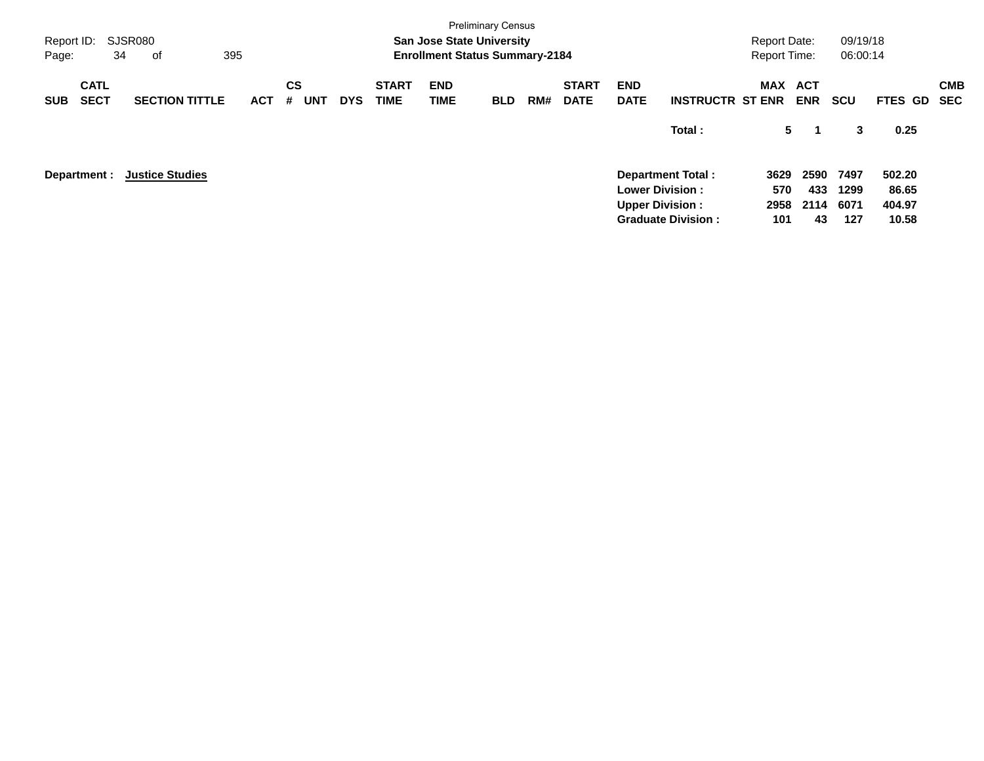| Report ID:<br>Page:                      | SJSR080<br>34<br>оf    | 395        |                              |            |                             | <b>San Jose State University</b><br><b>Enrollment Status Summary-2184</b> | <b>Preliminary Census</b> |     |                             |                           |                                                                                                           | <b>Report Date:</b><br><b>Report Time:</b> |                           | 09/19/18<br>06:00:14        |                                    |                   |
|------------------------------------------|------------------------|------------|------------------------------|------------|-----------------------------|---------------------------------------------------------------------------|---------------------------|-----|-----------------------------|---------------------------|-----------------------------------------------------------------------------------------------------------|--------------------------------------------|---------------------------|-----------------------------|------------------------------------|-------------------|
| <b>CATL</b><br><b>SECT</b><br><b>SUB</b> | <b>SECTION TITTLE</b>  | <b>ACT</b> | <b>CS</b><br>#<br><b>UNT</b> | <b>DYS</b> | <b>START</b><br><b>TIME</b> | <b>END</b><br>TIME                                                        | <b>BLD</b>                | RM# | <b>START</b><br><b>DATE</b> | <b>END</b><br><b>DATE</b> | <b>INSTRUCTR ST ENR</b>                                                                                   | MAX                                        | <b>ACT</b><br><b>ENR</b>  | <b>SCU</b>                  | FTES GD                            | <b>CMB</b><br>SEC |
|                                          |                        |            |                              |            |                             |                                                                           |                           |     |                             |                           | Total:                                                                                                    | 5                                          | -1                        | 3                           | 0.25                               |                   |
| Department :                             | <b>Justice Studies</b> |            |                              |            |                             |                                                                           |                           |     |                             |                           | <b>Department Total:</b><br><b>Lower Division:</b><br><b>Upper Division:</b><br><b>Graduate Division:</b> | 3629<br>570<br>2958<br>101                 | 2590<br>433<br>2114<br>43 | 7497<br>1299<br>6071<br>127 | 502.20<br>86.65<br>404.97<br>10.58 |                   |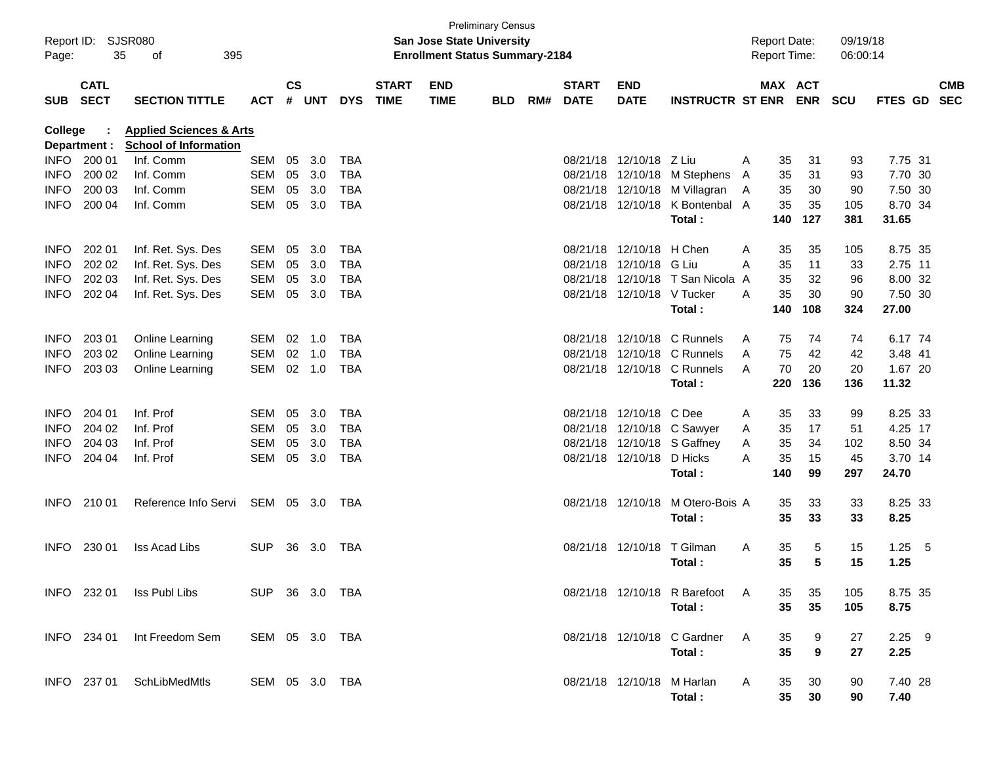| Page:          | Report ID: SJSR080<br>35   | 395<br>of                                                          |                |           |                |            |                             | <b>San Jose State University</b><br><b>Enrollment Status Summary-2184</b> | <b>Preliminary Census</b> |     |                             |                            |                                  |   | <b>Report Date:</b><br><b>Report Time:</b> |            | 09/19/18<br>06:00:14 |                |     |                          |
|----------------|----------------------------|--------------------------------------------------------------------|----------------|-----------|----------------|------------|-----------------------------|---------------------------------------------------------------------------|---------------------------|-----|-----------------------------|----------------------------|----------------------------------|---|--------------------------------------------|------------|----------------------|----------------|-----|--------------------------|
| <b>SUB</b>     | <b>CATL</b><br><b>SECT</b> | <b>SECTION TITTLE</b>                                              | <b>ACT</b>     | <b>CS</b> | # UNT          | <b>DYS</b> | <b>START</b><br><b>TIME</b> | <b>END</b><br><b>TIME</b>                                                 | <b>BLD</b>                | RM# | <b>START</b><br><b>DATE</b> | END<br><b>DATE</b>         | <b>INSTRUCTR ST ENR</b>          |   | MAX ACT                                    | <b>ENR</b> | <b>SCU</b>           | <b>FTES GD</b> |     | <b>CMB</b><br><b>SEC</b> |
| <b>College</b> | Department :               | <b>Applied Sciences &amp; Arts</b><br><b>School of Information</b> |                |           |                |            |                             |                                                                           |                           |     |                             |                            |                                  |   |                                            |            |                      |                |     |                          |
| INFO           | 200 01                     | Inf. Comm                                                          | <b>SEM</b>     | 05        | 3.0            | <b>TBA</b> |                             |                                                                           |                           |     |                             | 08/21/18 12/10/18 Z Liu    |                                  | A | 35                                         | 31         | 93                   | 7.75 31        |     |                          |
| <b>INFO</b>    | 200 02                     | Inf. Comm                                                          | <b>SEM</b>     | 05        | 3.0            | <b>TBA</b> |                             |                                                                           |                           |     |                             | 08/21/18 12/10/18          | M Stephens                       | A | 35                                         | 31         | 93                   | 7.70 30        |     |                          |
| <b>INFO</b>    | 200 03                     | Inf. Comm                                                          | <b>SEM</b>     | 05        | 3.0            | <b>TBA</b> |                             |                                                                           |                           |     |                             | 08/21/18 12/10/18          | M Villagran                      | A | 35                                         | 30         | 90                   | 7.50 30        |     |                          |
| <b>INFO</b>    | 200 04                     | Inf. Comm                                                          | <b>SEM</b>     | 05        | 3.0            | <b>TBA</b> |                             |                                                                           |                           |     |                             | 08/21/18 12/10/18          | K Bontenbal A                    |   | 35                                         | 35         | 105                  | 8.70 34        |     |                          |
|                |                            |                                                                    |                |           |                |            |                             |                                                                           |                           |     |                             |                            | Total:                           |   | 140                                        | 127        | 381                  | 31.65          |     |                          |
| <b>INFO</b>    | 202 01                     | Inf. Ret. Sys. Des                                                 | SEM            | 05        | 3.0            | TBA        |                             |                                                                           |                           |     |                             | 08/21/18 12/10/18          | H Chen                           | A | 35                                         | 35         | 105                  | 8.75 35        |     |                          |
| <b>INFO</b>    | 202 02                     | Inf. Ret. Sys. Des                                                 | <b>SEM</b>     | 05        | 3.0            | <b>TBA</b> |                             |                                                                           |                           |     |                             | 08/21/18 12/10/18          | G Liu                            | A | 35                                         | 11         | 33                   | 2.75 11        |     |                          |
| <b>INFO</b>    | 202 03                     | Inf. Ret. Sys. Des                                                 | <b>SEM</b>     | 05        | 3.0            | <b>TBA</b> |                             |                                                                           |                           |     |                             |                            | 08/21/18 12/10/18 T San Nicola A |   | 35                                         | 32         | 96                   | 8.00 32        |     |                          |
| <b>INFO</b>    | 202 04                     | Inf. Ret. Sys. Des                                                 | <b>SEM</b>     | 05        | 3.0            | TBA        |                             |                                                                           |                           |     |                             | 08/21/18 12/10/18 V Tucker |                                  | A | 35                                         | 30         | 90                   | 7.50 30        |     |                          |
|                |                            |                                                                    |                |           |                |            |                             |                                                                           |                           |     |                             |                            | Total:                           |   | 140                                        | 108        | 324                  | 27.00          |     |                          |
| <b>INFO</b>    | 203 01                     | Online Learning                                                    | SEM            |           | $02 \quad 1.0$ | TBA        |                             |                                                                           |                           |     |                             |                            | 08/21/18 12/10/18 C Runnels      | A | 75                                         | 74         | 74                   | 6.17 74        |     |                          |
| <b>INFO</b>    | 203 02                     | Online Learning                                                    | <b>SEM</b>     | 02        | 1.0            | <b>TBA</b> |                             |                                                                           |                           |     |                             |                            | 08/21/18 12/10/18 C Runnels      | A | 75                                         | 42         | 42                   | 3.48 41        |     |                          |
| <b>INFO</b>    | 203 03                     | Online Learning                                                    | SEM            |           | 02 1.0         | TBA        |                             |                                                                           |                           |     |                             | 08/21/18 12/10/18          | C Runnels                        | A | 70                                         | 20         | 20                   | 1.67 20        |     |                          |
|                |                            |                                                                    |                |           |                |            |                             |                                                                           |                           |     |                             |                            | Total:                           |   | 220                                        | 136        | 136                  | 11.32          |     |                          |
| <b>INFO</b>    | 204 01                     | Inf. Prof                                                          | SEM            | 05        | 3.0            | TBA        |                             |                                                                           |                           |     |                             | 08/21/18 12/10/18          | C Dee                            | A | 35                                         | 33         | 99                   | 8.25 33        |     |                          |
| <b>INFO</b>    | 204 02                     | Inf. Prof                                                          | SEM            | 05        | 3.0            | <b>TBA</b> |                             |                                                                           |                           |     |                             |                            | 08/21/18 12/10/18 C Sawyer       | A | 35                                         | 17         | 51                   | 4.25 17        |     |                          |
| <b>INFO</b>    | 204 03                     | Inf. Prof                                                          | SEM            | 05        | 3.0            | <b>TBA</b> |                             |                                                                           |                           |     |                             |                            | 08/21/18 12/10/18 S Gaffney      | A | 35                                         | 34         | 102                  | 8.50 34        |     |                          |
| <b>INFO</b>    | 204 04                     | Inf. Prof                                                          | SEM            | 05        | 3.0            | TBA        |                             |                                                                           |                           |     |                             | 08/21/18 12/10/18          | D Hicks                          | A | 35                                         | 15         | 45                   | 3.70 14        |     |                          |
|                |                            |                                                                    |                |           |                |            |                             |                                                                           |                           |     |                             |                            | Total:                           |   | 140                                        | 99         | 297                  | 24.70          |     |                          |
| <b>INFO</b>    | 210 01                     | Reference Info Servi                                               | SEM 05 3.0     |           |                | TBA        |                             |                                                                           |                           |     |                             | 08/21/18 12/10/18          | M Otero-Bois A                   |   | 35                                         | 33         | 33                   | 8.25 33        |     |                          |
|                |                            |                                                                    |                |           |                |            |                             |                                                                           |                           |     |                             |                            | Total:                           |   | 35                                         | 33         | 33                   | 8.25           |     |                          |
| <b>INFO</b>    | 230 01                     | <b>Iss Acad Libs</b>                                               | <b>SUP</b>     | 36        | 3.0            | TBA        |                             |                                                                           |                           |     |                             | 08/21/18 12/10/18          | T Gilman                         | A | 35                                         | 5          | 15                   | 1.25           | - 5 |                          |
|                |                            |                                                                    |                |           |                |            |                             |                                                                           |                           |     |                             |                            | <b>Total :</b>                   |   | 35                                         | 5          | 15                   | 1.25           |     |                          |
|                |                            | INFO 232 01 Iss Publ Libs                                          | SUP 36 3.0 TBA |           |                |            |                             |                                                                           |                           |     |                             |                            | 08/21/18 12/10/18 R Barefoot A   |   | 35                                         | 35         | 105                  | 8.75 35        |     |                          |
|                |                            |                                                                    |                |           |                |            |                             |                                                                           |                           |     |                             |                            | Total:                           |   | 35                                         | 35         | 105                  | 8.75           |     |                          |
|                | INFO 234 01                | Int Freedom Sem                                                    | SEM 05 3.0 TBA |           |                |            |                             |                                                                           |                           |     |                             |                            | 08/21/18 12/10/18 C Gardner      | A | 35                                         | 9          | 27                   | $2.25$ 9       |     |                          |
|                |                            |                                                                    |                |           |                |            |                             |                                                                           |                           |     |                             |                            | Total:                           |   | 35                                         | 9          | 27                   | 2.25           |     |                          |
|                | INFO 237 01                | SchLibMedMtls                                                      | SEM 05 3.0 TBA |           |                |            |                             |                                                                           |                           |     |                             | 08/21/18 12/10/18 M Harlan |                                  | A | 35                                         | 30         | 90                   | 7.40 28        |     |                          |
|                |                            |                                                                    |                |           |                |            |                             |                                                                           |                           |     |                             |                            | Total:                           |   | $35\,$                                     | 30         | 90                   | 7.40           |     |                          |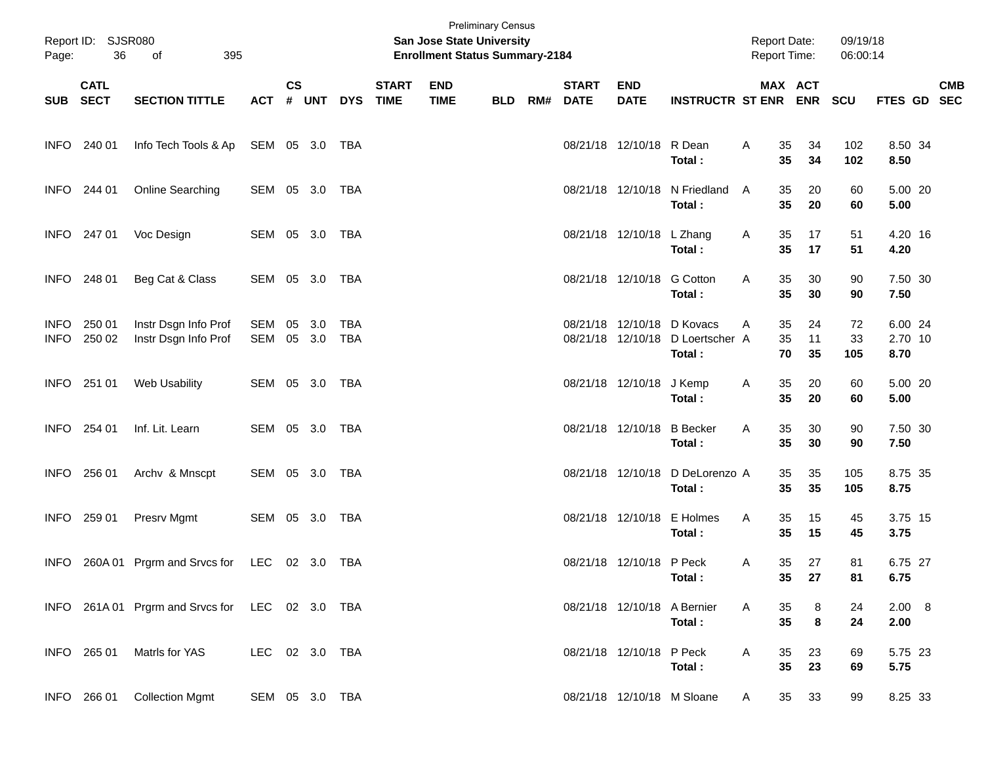| Page:                      | Report ID: SJSR080<br>36 | of<br>395                                       |                | <b>Preliminary Census</b><br><b>San Jose State University</b><br><b>Enrollment Status Summary-2184</b> |       |                   |                             |                           |            |     |                             |                            |                                                                          | <b>Report Date:</b><br>Report Time: |                                  | 09/19/18<br>06:00:14 |                            |  |            |
|----------------------------|--------------------------|-------------------------------------------------|----------------|--------------------------------------------------------------------------------------------------------|-------|-------------------|-----------------------------|---------------------------|------------|-----|-----------------------------|----------------------------|--------------------------------------------------------------------------|-------------------------------------|----------------------------------|----------------------|----------------------------|--|------------|
|                            | <b>CATL</b><br>SUB SECT  | <b>SECTION TITTLE</b>                           | <b>ACT</b>     | $\mathsf{cs}$                                                                                          | # UNT | <b>DYS</b>        | <b>START</b><br><b>TIME</b> | <b>END</b><br><b>TIME</b> | <b>BLD</b> | RM# | <b>START</b><br><b>DATE</b> | <b>END</b><br><b>DATE</b>  | <b>INSTRUCTR ST ENR ENR</b>                                              |                                     | MAX ACT                          | <b>SCU</b>           | FTES GD SEC                |  | <b>CMB</b> |
|                            | INFO 240 01              | Info Tech Tools & Ap SEM 05 3.0 TBA             |                |                                                                                                        |       |                   |                             |                           |            |     |                             | 08/21/18 12/10/18 R Dean   | Total:                                                                   | Α                                   | 35<br>34<br>35<br>34             | 102<br>102           | 8.50 34<br>8.50            |  |            |
|                            | INFO 244 01              | Online Searching                                | SEM 05 3.0 TBA |                                                                                                        |       |                   |                             |                           |            |     |                             |                            | 08/21/18 12/10/18 N Friedland<br>Total:                                  | A                                   | 35<br>20<br>35<br>20             | 60<br>60             | 5.00 20<br>5.00            |  |            |
|                            | INFO 247 01              | Voc Design                                      | SEM 05 3.0 TBA |                                                                                                        |       |                   |                             |                           |            |     |                             | 08/21/18 12/10/18 L Zhang  | Total:                                                                   | Α                                   | 35<br>17<br>35<br>17             | 51<br>51             | 4.20 16<br>4.20            |  |            |
|                            | INFO 248 01              | Beg Cat & Class                                 | SEM 05 3.0 TBA |                                                                                                        |       |                   |                             |                           |            |     |                             | 08/21/18 12/10/18 G Cotton | Total:                                                                   | A                                   | 35<br>30<br>35<br>30             | 90<br>90             | 7.50 30<br>7.50            |  |            |
| <b>INFO</b><br><b>INFO</b> | 250 01<br>250 02         | Instr Dsgn Info Prof<br>Instr Dsgn Info Prof    | SEM<br>SEM     | 05 3.0<br>05 3.0                                                                                       |       | <b>TBA</b><br>TBA |                             |                           |            |     |                             |                            | 08/21/18 12/10/18 D Kovacs<br>08/21/18 12/10/18 D Loertscher A<br>Total: | A                                   | 35<br>24<br>35<br>11<br>70<br>35 | 72<br>33<br>105      | 6.00 24<br>2.70 10<br>8.70 |  |            |
|                            | INFO 251 01              | Web Usability                                   | SEM 05 3.0 TBA |                                                                                                        |       |                   |                             |                           |            |     |                             | 08/21/18 12/10/18          | J Kemp<br>Total:                                                         | Α                                   | 35<br>20<br>35<br>20             | 60<br>60             | 5.00 20<br>5.00            |  |            |
| <b>INFO</b>                | 254 01                   | Inf. Lit. Learn                                 | SEM 05 3.0 TBA |                                                                                                        |       |                   |                             |                           |            |     |                             |                            | 08/21/18 12/10/18 B Becker<br>Total:                                     | Α                                   | 35<br>30<br>35<br>30             | 90<br>90             | 7.50 30<br>7.50            |  |            |
| <b>INFO</b>                | 256 01                   | Archv & Mnscpt                                  | SEM 05 3.0 TBA |                                                                                                        |       |                   |                             |                           |            |     |                             |                            | 08/21/18 12/10/18 D DeLorenzo A<br>Total:                                |                                     | 35<br>35<br>35<br>35             | 105<br>105           | 8.75 35<br>8.75            |  |            |
| <b>INFO</b>                | 259 01                   | Presrv Mgmt                                     | SEM 05 3.0 TBA |                                                                                                        |       |                   |                             |                           |            |     |                             |                            | 08/21/18 12/10/18 E Holmes<br>Total:                                     | Α                                   | 35<br>15<br>35<br>15             | 45<br>45             | 3.75 15<br>3.75            |  |            |
| INFO.                      |                          | 260A 01 Prgrm and Srvcs for LEC 02 3.0 TBA      |                |                                                                                                        |       |                   |                             |                           |            |     |                             | 08/21/18 12/10/18 P Peck   | Total:                                                                   | Α                                   | 35<br>27<br>35 27                | 81<br>81             | 6.75 27<br>6.75            |  |            |
|                            |                          | INFO 261A 01 Prgrm and Srvcs for LEC 02 3.0 TBA |                |                                                                                                        |       |                   |                             |                           |            |     |                             |                            | 08/21/18 12/10/18 A Bernier<br>Total:                                    | Α                                   | 35<br>8<br>$\bf8$<br>35          | 24<br>24             | 2.00 8<br>2.00             |  |            |
|                            | INFO 265 01              | Matrls for YAS                                  | LEC 02 3.0 TBA |                                                                                                        |       |                   |                             |                           |            |     |                             | 08/21/18 12/10/18 P Peck   | Total:                                                                   | Α                                   | 35<br>23<br>35<br>23             | 69<br>69             | 5.75 23<br>5.75            |  |            |
|                            | INFO 266 01              | <b>Collection Mgmt</b>                          | SEM 05 3.0 TBA |                                                                                                        |       |                   |                             |                           |            |     |                             |                            | 08/21/18 12/10/18 M Sloane                                               | A                                   | 35<br>33                         | 99                   | 8.25 33                    |  |            |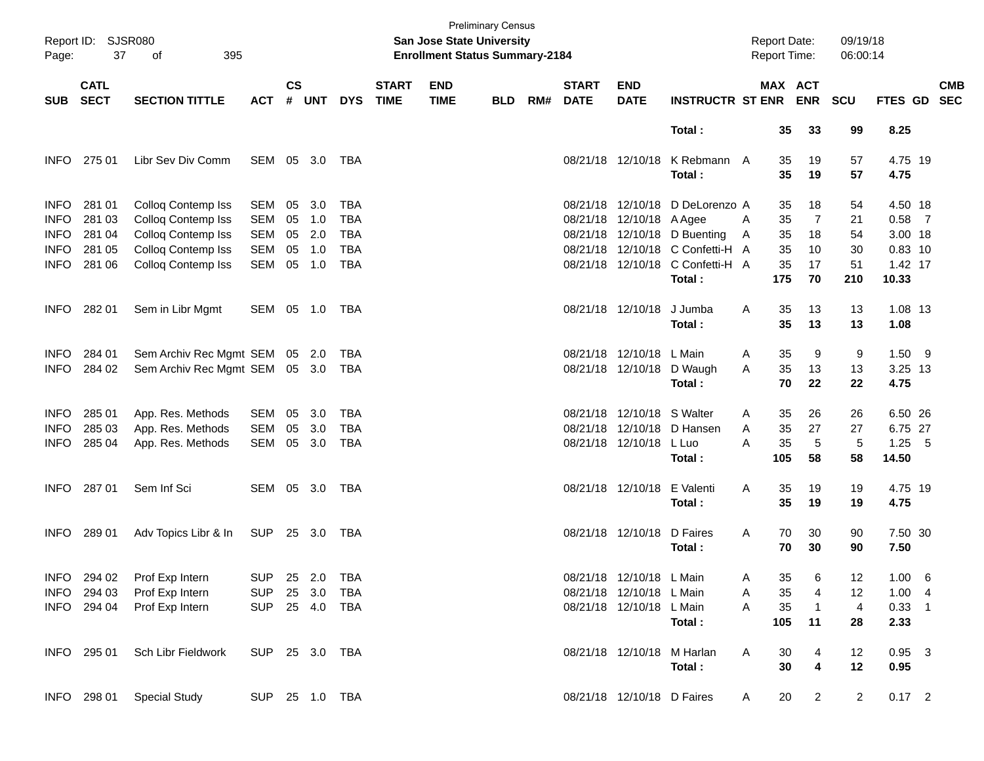| Page:       | Report ID: SJSR080<br>37<br>395<br>οf |                                |                |                    |            |            |                             | <b>San Jose State University</b><br><b>Enrollment Status Summary-2184</b> | <b>Preliminary Census</b> |     |                             |                            |                                  |   | <b>Report Date:</b><br><b>Report Time:</b> |                       | 09/19/18<br>06:00:14 |                 |            |
|-------------|---------------------------------------|--------------------------------|----------------|--------------------|------------|------------|-----------------------------|---------------------------------------------------------------------------|---------------------------|-----|-----------------------------|----------------------------|----------------------------------|---|--------------------------------------------|-----------------------|----------------------|-----------------|------------|
| <b>SUB</b>  | <b>CATL</b><br><b>SECT</b>            | <b>SECTION TITTLE</b>          | <b>ACT</b>     | $\mathsf{cs}$<br># | <b>UNT</b> | <b>DYS</b> | <b>START</b><br><b>TIME</b> | <b>END</b><br><b>TIME</b>                                                 | <b>BLD</b>                | RM# | <b>START</b><br><b>DATE</b> | <b>END</b><br><b>DATE</b>  | <b>INSTRUCTR ST ENR</b>          |   |                                            | MAX ACT<br><b>ENR</b> | <b>SCU</b>           | FTES GD SEC     | <b>CMB</b> |
|             |                                       |                                |                |                    |            |            |                             |                                                                           |                           |     |                             |                            | Total:                           |   | 35                                         | 33                    | 99                   | 8.25            |            |
| <b>INFO</b> | 275 01                                | Libr Sev Div Comm              | SEM 05 3.0     |                    |            | TBA        |                             |                                                                           |                           |     |                             | 08/21/18 12/10/18          | K Rebmann A<br>Total:            |   | 35<br>35                                   | 19<br>19              | 57<br>57             | 4.75 19<br>4.75 |            |
| <b>INFO</b> | 281 01                                | Colloq Contemp Iss             | SEM            | 05                 | 3.0        | <b>TBA</b> |                             |                                                                           |                           |     |                             |                            | 08/21/18 12/10/18 D DeLorenzo A  |   | 35                                         | 18                    | 54                   | 4.50 18         |            |
| <b>INFO</b> | 281 03                                | Colloq Contemp Iss             | SEM            | 05                 | 1.0        | <b>TBA</b> |                             |                                                                           |                           |     |                             | 08/21/18 12/10/18 A Agee   |                                  | A | 35                                         | $\overline{7}$        | 21                   | $0.58$ 7        |            |
| <b>INFO</b> | 281 04                                | Colloq Contemp Iss             | SEM            | 05                 | 2.0        | <b>TBA</b> |                             |                                                                           |                           |     |                             |                            | 08/21/18 12/10/18 D Buenting     | A | 35                                         | 18                    | 54                   | 3.00 18         |            |
| <b>INFO</b> | 281 05                                | Colloq Contemp Iss             | SEM            | 05                 | 1.0        | <b>TBA</b> |                             |                                                                           |                           |     |                             |                            | 08/21/18 12/10/18 C Confetti-H A |   | 35                                         | 10                    | 30                   | 0.83 10         |            |
| INFO        | 281 06                                | <b>Colloq Contemp Iss</b>      | SEM            | 05                 | 1.0        | <b>TBA</b> |                             |                                                                           |                           |     |                             |                            | 08/21/18 12/10/18 C Confetti-H A |   | 35                                         | 17                    | 51                   | 1.42 17         |            |
|             |                                       |                                |                |                    |            |            |                             |                                                                           |                           |     |                             |                            | Total:                           |   | 175                                        | 70                    | 210                  | 10.33           |            |
| <b>INFO</b> | 282 01                                | Sem in Libr Mgmt               | SEM 05 1.0 TBA |                    |            |            |                             |                                                                           |                           |     |                             | 08/21/18 12/10/18          | J Jumba<br>Total:                | A | 35<br>35                                   | 13<br>13              | 13<br>13             | 1.08 13<br>1.08 |            |
| <b>INFO</b> | 284 01                                | Sem Archiv Rec Mgmt SEM 05 2.0 |                |                    |            | TBA        |                             |                                                                           |                           |     |                             | 08/21/18 12/10/18 L Main   |                                  | A | 35                                         | 9                     | 9                    | $1.50$ 9        |            |
| <b>INFO</b> | 284 02                                | Sem Archiv Rec Mgmt SEM 05 3.0 |                |                    |            | TBA        |                             |                                                                           |                           |     |                             | 08/21/18 12/10/18          | D Waugh                          | A | 35                                         | 13                    | 13                   | 3.25 13         |            |
|             |                                       |                                |                |                    |            |            |                             |                                                                           |                           |     |                             |                            | Total:                           |   | 70                                         | 22                    | 22                   | 4.75            |            |
| <b>INFO</b> | 285 01                                | App. Res. Methods              | SEM            | 05                 | 3.0        | <b>TBA</b> |                             |                                                                           |                           |     |                             | 08/21/18 12/10/18 S Walter |                                  | A | 35                                         | 26                    | 26                   | 6.50 26         |            |
| <b>INFO</b> | 285 03                                | App. Res. Methods              | SEM            | 05                 | 3.0        | <b>TBA</b> |                             |                                                                           |                           |     |                             |                            | 08/21/18 12/10/18 D Hansen       | A | 35                                         | 27                    | 27                   | 6.75 27         |            |
| INFO        | 285 04                                | App. Res. Methods              | SEM            |                    | 05 3.0     | TBA        |                             |                                                                           |                           |     |                             | 08/21/18 12/10/18 L Luo    |                                  | A | 35                                         | 5                     | 5                    | $1.25$ 5        |            |
|             |                                       |                                |                |                    |            |            |                             |                                                                           |                           |     |                             |                            | Total:                           |   | 105                                        | 58                    | 58                   | 14.50           |            |
| <b>INFO</b> | 287 01                                | Sem Inf Sci                    | SEM 05 3.0     |                    |            | TBA        |                             |                                                                           |                           |     |                             | 08/21/18 12/10/18          | E Valenti                        | A | 35                                         | 19                    | 19                   | 4.75 19         |            |
|             |                                       |                                |                |                    |            |            |                             |                                                                           |                           |     |                             |                            | Total:                           |   | 35                                         | 19                    | 19                   | 4.75            |            |
| <b>INFO</b> | 289 01                                | Adv Topics Libr & In           | SUP            |                    | 25 3.0     | TBA        |                             |                                                                           |                           |     |                             | 08/21/18 12/10/18          | D Faires<br>Total:               | A | 70<br>70                                   | 30<br>30              | 90<br>90             | 7.50 30<br>7.50 |            |
| <b>INFO</b> | 294 02                                | Prof Exp Intern                | <b>SUP</b>     |                    | 25 2.0     | TBA        |                             |                                                                           |                           |     |                             | 08/21/18 12/10/18 L Main   |                                  | A | 35                                         | 6                     | 12                   | 1.00 6          |            |
| <b>INFO</b> | 294 03                                | Prof Exp Intern                | <b>SUP</b>     |                    | 25 3.0     | TBA        |                             |                                                                           |                           |     |                             | 08/21/18 12/10/18 L Main   |                                  | A | 35                                         | 4                     | 12                   | 1.004           |            |
| <b>INFO</b> | 294 04                                | Prof Exp Intern                | <b>SUP</b>     |                    | 25 4.0     | TBA        |                             |                                                                           |                           |     |                             | 08/21/18 12/10/18 L Main   |                                  | Α | 35                                         | $\overline{1}$        | $\overline{4}$       | $0.33$ 1        |            |
|             |                                       |                                |                |                    |            |            |                             |                                                                           |                           |     |                             |                            | Total:                           |   | 105                                        | 11                    | 28                   | 2.33            |            |
|             | INFO 295 01                           | Sch Libr Fieldwork             | SUP 25 3.0 TBA |                    |            |            |                             |                                                                           |                           |     |                             | 08/21/18 12/10/18 M Harlan |                                  | Α | 30                                         | 4                     | 12                   | $0.95$ 3        |            |
|             |                                       |                                |                |                    |            |            |                             |                                                                           |                           |     |                             |                            | Total:                           |   | 30                                         | 4                     | 12                   | 0.95            |            |
|             | INFO 298 01                           | <b>Special Study</b>           | SUP 25 1.0 TBA |                    |            |            |                             |                                                                           |                           |     |                             | 08/21/18 12/10/18 D Faires |                                  | A | 20                                         | $\overline{a}$        | $\overline{2}$       | $0.17$ 2        |            |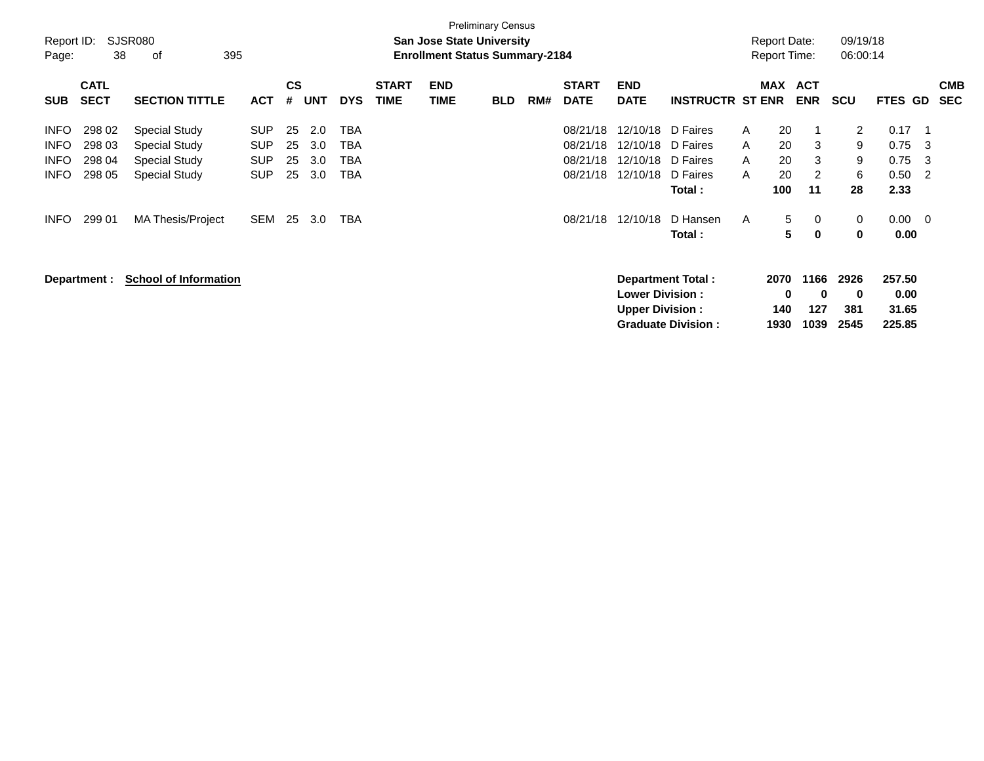| Report ID:<br>Page:                                                     | 38                                             | <b>SJSR080</b><br>395<br>of                                                                                              |                                                             |                            |                                 |                                                             |                             | <b>San Jose State University</b><br><b>Enrollment Status Summary-2184</b> | <b>Preliminary Census</b> |     |                                                          |                                                          |                                                                               |                                  | <b>Report Date:</b><br><b>Report Time:</b> |                                                | 09/19/18<br>06:00:14                                           |                                                      |                                               |            |
|-------------------------------------------------------------------------|------------------------------------------------|--------------------------------------------------------------------------------------------------------------------------|-------------------------------------------------------------|----------------------------|---------------------------------|-------------------------------------------------------------|-----------------------------|---------------------------------------------------------------------------|---------------------------|-----|----------------------------------------------------------|----------------------------------------------------------|-------------------------------------------------------------------------------|----------------------------------|--------------------------------------------|------------------------------------------------|----------------------------------------------------------------|------------------------------------------------------|-----------------------------------------------|------------|
| <b>SUB</b>                                                              | <b>CATL</b><br><b>SECT</b>                     | <b>SECTION TITTLE</b>                                                                                                    | <b>ACT</b>                                                  | <b>CS</b><br>#             | <b>UNT</b>                      | <b>DYS</b>                                                  | <b>START</b><br><b>TIME</b> | <b>END</b><br><b>TIME</b>                                                 | <b>BLD</b>                | RM# | <b>START</b><br><b>DATE</b>                              | <b>END</b><br><b>DATE</b>                                | <b>INSTRUCTR ST ENR</b>                                                       |                                  | MAX                                        | <b>ACT</b><br><b>ENR</b>                       | <b>SCU</b>                                                     | FTES GD                                              | <b>SEC</b>                                    | <b>CMB</b> |
| <b>INFO</b><br><b>INFO</b><br><b>INFO</b><br><b>INFO</b><br><b>INFO</b> | 298 02<br>298 03<br>298 04<br>298 05<br>299 01 | <b>Special Study</b><br><b>Special Study</b><br><b>Special Study</b><br><b>Special Study</b><br><b>MA Thesis/Project</b> | <b>SUP</b><br><b>SUP</b><br><b>SUP</b><br><b>SUP</b><br>SEM | 25<br>25<br>25<br>25<br>25 | 2.0<br>3.0<br>3.0<br>3.0<br>3.0 | TBA<br><b>TBA</b><br><b>TBA</b><br><b>TBA</b><br><b>TBA</b> |                             |                                                                           |                           |     | 08/21/18<br>08/21/18<br>08/21/18<br>08/21/18<br>08/21/18 | 12/10/18<br>12/10/18<br>12/10/18<br>12/10/18<br>12/10/18 | D Faires<br>D Faires<br>D Faires<br>D Faires<br>Total:<br>D Hansen<br>Total : | A<br>A<br>A<br>A<br>$\mathsf{A}$ | 20<br>20<br>20<br>20<br>100<br>5<br>5      | -1<br>3<br>3<br>$\overline{2}$<br>11<br>0<br>0 | $\mathbf{2}^{\prime}$<br>9<br>9<br>6<br>28<br>0<br>$\mathbf 0$ | 0.17<br>0.75<br>0.75<br>0.50<br>2.33<br>0.00<br>0.00 | -1<br>3<br>-3<br>2<br>$\overline{\mathbf{0}}$ |            |
|                                                                         | Department :                                   | <b>School of Information</b>                                                                                             |                                                             |                            |                                 |                                                             |                             |                                                                           |                           |     |                                                          | <b>Lower Division:</b><br><b>Upper Division:</b>         | <b>Department Total:</b><br><b>Graduate Division:</b>                         |                                  | 2070<br>$\bf{0}$<br>140<br>1930            | 1166<br>0<br>127<br>1039                       | 2926<br>$\mathbf 0$<br>381<br>2545                             | 257.50<br>0.00<br>31.65<br>225.85                    |                                               |            |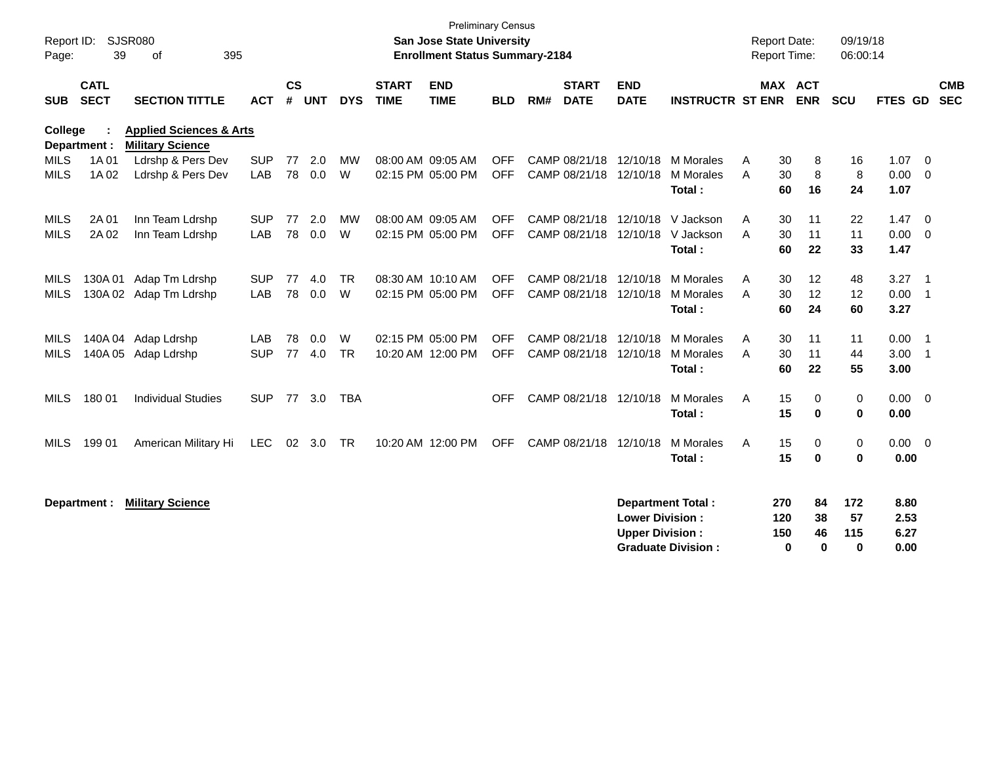|                                     | 09/19/18<br>06:00:14            |                            | <b>Report Date:</b><br><b>Report Time:</b> |                                                       |                                                  |                             |     | <b>Preliminary Census</b><br>San Jose State University<br><b>Enrollment Status Summary-2184</b> |                             |            |            |                |            | <b>SJSR080</b><br>Report ID:<br>39<br>of<br>395<br>Page:      |                            |             |  |  |  |  |  |
|-------------------------------------|---------------------------------|----------------------------|--------------------------------------------|-------------------------------------------------------|--------------------------------------------------|-----------------------------|-----|-------------------------------------------------------------------------------------------------|-----------------------------|------------|------------|----------------|------------|---------------------------------------------------------------|----------------------------|-------------|--|--|--|--|--|
| <b>CMB</b><br><b>SEC</b><br>FTES GD | SCU                             | <b>ENR</b>                 | MAX ACT                                    | <b>INSTRUCTR ST ENR</b>                               | <b>END</b><br><b>DATE</b>                        | <b>START</b><br><b>DATE</b> | RM# | <b>END</b><br><b>TIME</b><br><b>BLD</b>                                                         | <b>START</b><br><b>TIME</b> | <b>DYS</b> | <b>UNT</b> | <b>CS</b><br># | <b>ACT</b> | <b>SECTION TITTLE</b>                                         | <b>CATL</b><br><b>SECT</b> | <b>SUB</b>  |  |  |  |  |  |
|                                     |                                 |                            |                                            |                                                       |                                                  |                             |     |                                                                                                 |                             |            |            |                |            | <b>Applied Sciences &amp; Arts</b><br><b>Military Science</b> | Department :               | College     |  |  |  |  |  |
| $1.07 \t 0$                         | 16                              | 8                          | A<br>30                                    | M Morales                                             | CAMP 08/21/18 12/10/18                           |                             |     | <b>OFF</b>                                                                                      | 08:00 AM 09:05 AM           | <b>MW</b>  | 2.0        | 77             | <b>SUP</b> | Ldrshp & Pers Dev                                             | 1A 01                      | <b>MILS</b> |  |  |  |  |  |
| 0.00<br>$\overline{\mathbf{0}}$     | 8                               | 8                          | 30<br>A                                    | M Morales                                             |                                                  | CAMP 08/21/18 12/10/18      |     | <b>OFF</b>                                                                                      | 02:15 PM 05:00 PM           | W          | 0.0        | 78             | LAB        | Ldrshp & Pers Dev                                             | 1A 02                      | <b>MILS</b> |  |  |  |  |  |
| 1.07                                | 24                              | 16                         | 60                                         | Total:                                                |                                                  |                             |     |                                                                                                 |                             |            |            |                |            |                                                               |                            |             |  |  |  |  |  |
| 1.47<br>$\overline{\phantom{0}}$    | 22                              | 11                         | 30<br>A                                    | V Jackson                                             | 12/10/18                                         | CAMP 08/21/18               |     | <b>OFF</b>                                                                                      | 08:00 AM 09:05 AM           | <b>MW</b>  | 2.0        | 77             | <b>SUP</b> | Inn Team Ldrshp                                               | 2A 01                      | <b>MILS</b> |  |  |  |  |  |
| 0.00<br>$\overline{\phantom{0}}$    | 11                              | 11                         | 30<br>A                                    | V Jackson                                             |                                                  | CAMP 08/21/18 12/10/18      |     | <b>OFF</b>                                                                                      | 02:15 PM 05:00 PM           | W          | 0.0        | 78             | LAB        | Inn Team Ldrshp                                               | 2A 02                      | <b>MILS</b> |  |  |  |  |  |
| 1.47                                | 33                              |                            |                                            |                                                       |                                                  |                             |     |                                                                                                 |                             |            |            |                |            |                                                               |                            |             |  |  |  |  |  |
| 3.27<br>- 1                         | 48                              | 12                         | 30<br>A                                    | M Morales                                             |                                                  | CAMP 08/21/18 12/10/18      |     | <b>OFF</b>                                                                                      | 08:30 AM 10:10 AM           | <b>TR</b>  | 4.0        | 77             | <b>SUP</b> | 130A 01 Adap Tm Ldrshp                                        |                            | MILS        |  |  |  |  |  |
| 0.00<br>$\overline{\phantom{0}}$ 1  | 12                              | 12                         | 30<br>A                                    | M Morales                                             |                                                  | CAMP 08/21/18 12/10/18      |     | <b>OFF</b>                                                                                      | 02:15 PM 05:00 PM           | W          | 0.0        | 78             | LAB        | 130A 02 Adap Tm Ldrshp                                        |                            | <b>MILS</b> |  |  |  |  |  |
| 3.27                                | 60                              | 24                         | 60                                         | Total:                                                |                                                  |                             |     |                                                                                                 |                             |            |            |                |            |                                                               |                            |             |  |  |  |  |  |
| 0.00<br>$\overline{\phantom{0}}$ 1  | 11                              | 11                         | 30<br>A                                    | M Morales                                             |                                                  | CAMP 08/21/18 12/10/18      |     | <b>OFF</b>                                                                                      | 02:15 PM 05:00 PM           | W          | 0.0        | 78             | LAB        | 140A 04 Adap Ldrshp                                           |                            | MILS        |  |  |  |  |  |
| 3.00<br>$\overline{\phantom{0}}$ 1  | 44                              | 11                         | 30<br>A                                    | M Morales                                             |                                                  | CAMP 08/21/18 12/10/18      |     | <b>OFF</b>                                                                                      | 10:20 AM 12:00 PM           | <b>TR</b>  | 4.0        | 77             | <b>SUP</b> | Adap Ldrshp                                                   | 140A 05                    | <b>MILS</b> |  |  |  |  |  |
| 3.00                                | 55                              | 22                         | 60                                         | Total:                                                |                                                  |                             |     |                                                                                                 |                             |            |            |                |            |                                                               |                            |             |  |  |  |  |  |
| $0.00 \t 0$                         | 0                               | 0                          | A                                          | <b>M</b> Morales                                      |                                                  |                             |     | <b>OFF</b>                                                                                      |                             | TBA        | 77 3.0     |                | <b>SUP</b> | <b>Individual Studies</b>                                     |                            | <b>MILS</b> |  |  |  |  |  |
| 0.00                                | 0                               | 0                          | 15                                         | Total:                                                |                                                  |                             |     |                                                                                                 |                             |            |            |                |            |                                                               |                            |             |  |  |  |  |  |
| 0.00<br>$\overline{\phantom{0}}$    | 0                               | 0                          | 15<br>A                                    | M Morales                                             |                                                  | CAMP 08/21/18 12/10/18      |     | <b>OFF</b>                                                                                      | 10:20 AM 12:00 PM           | <b>TR</b>  | 3.0        | 02             | <b>LEC</b> | American Military Hi                                          | 199 01                     | <b>MILS</b> |  |  |  |  |  |
| 0.00                                | $\bf{0}$                        | $\bf{0}$                   | 15                                         | Total:                                                |                                                  |                             |     |                                                                                                 |                             |            |            |                |            |                                                               |                            |             |  |  |  |  |  |
| 8.80<br>2.53<br>6.27<br>0.00        | 172<br>57<br>115<br>$\mathbf 0$ | 84<br>38<br>46<br>$\bf{0}$ | 270<br>120<br>150<br>0                     | <b>Department Total:</b><br><b>Graduate Division:</b> | <b>Lower Division:</b><br><b>Upper Division:</b> |                             |     |                                                                                                 |                             |            |            |                |            | <b>Military Science</b>                                       | Department :               |             |  |  |  |  |  |
|                                     |                                 | 22                         | 60<br>15                                   | Total:                                                |                                                  | CAMP 08/21/18 12/10/18      |     |                                                                                                 |                             |            |            |                |            |                                                               | 180 01                     |             |  |  |  |  |  |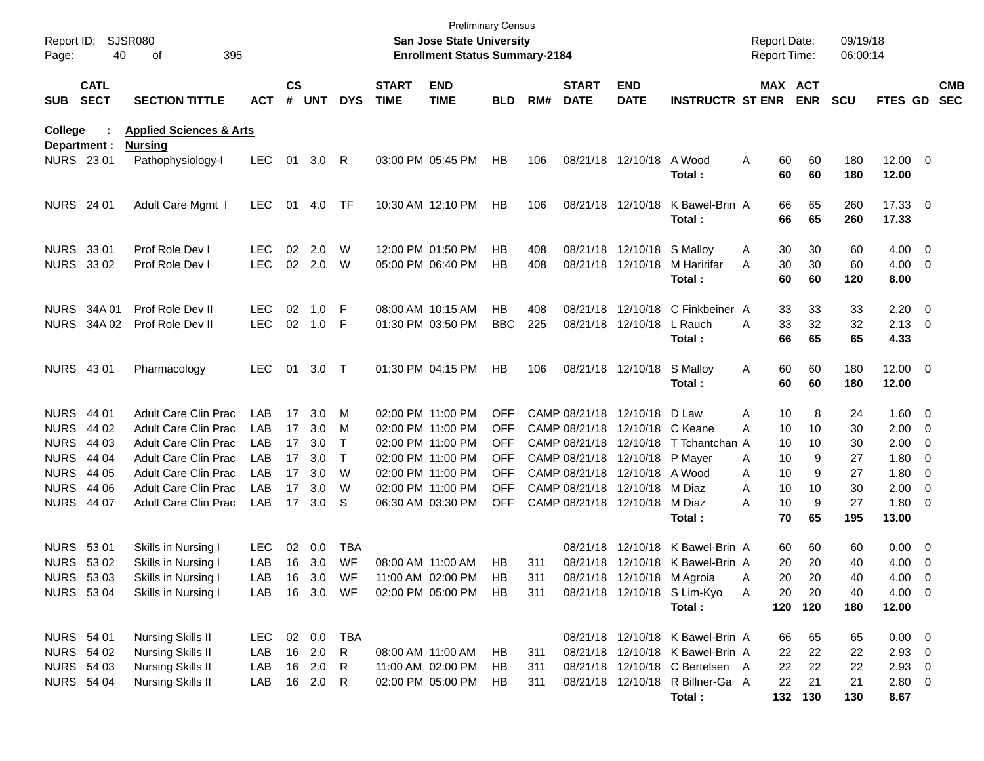| Report ID:<br>Page: | 40                                                                               | <b>SJSR080</b><br>395<br>οf                                                                                              |                                           |                      |                          |                        |                             | <b>Preliminary Census</b><br>San Jose State University<br><b>Enrollment Status Summary-2184</b> |                                                      |                   |                             |                                                                                                                    |                                                                                                         | <b>Report Date:</b><br><b>Report Time:</b> |                                              | 09/19/18<br>06:00:14 |                                                           |                          |
|---------------------|----------------------------------------------------------------------------------|--------------------------------------------------------------------------------------------------------------------------|-------------------------------------------|----------------------|--------------------------|------------------------|-----------------------------|-------------------------------------------------------------------------------------------------|------------------------------------------------------|-------------------|-----------------------------|--------------------------------------------------------------------------------------------------------------------|---------------------------------------------------------------------------------------------------------|--------------------------------------------|----------------------------------------------|----------------------|-----------------------------------------------------------|--------------------------|
| <b>SUB</b>          | <b>CATL</b><br><b>SECT</b>                                                       | <b>SECTION TITTLE</b>                                                                                                    | <b>ACT</b>                                | $\mathsf{cs}$<br>#   | UNT                      | <b>DYS</b>             | <b>START</b><br><b>TIME</b> | <b>END</b><br><b>TIME</b>                                                                       | <b>BLD</b>                                           | RM#               | <b>START</b><br><b>DATE</b> | <b>END</b><br><b>DATE</b>                                                                                          | <b>INSTRUCTR ST ENR</b>                                                                                 |                                            | MAX ACT<br><b>ENR</b>                        | <b>SCU</b>           | <b>FTES GD</b>                                            | <b>CMB</b><br><b>SEC</b> |
| College             | Department :                                                                     | <b>Applied Sciences &amp; Arts</b>                                                                                       |                                           |                      |                          |                        |                             |                                                                                                 |                                                      |                   |                             |                                                                                                                    |                                                                                                         |                                            |                                              |                      |                                                           |                          |
|                     | NURS 23 01                                                                       | <b>Nursing</b><br>Pathophysiology-I                                                                                      | <b>LEC</b>                                | 01                   | 3.0                      | R                      |                             | 03:00 PM 05:45 PM                                                                               | HB                                                   | 106               |                             | 08/21/18 12/10/18                                                                                                  | A Wood<br>Total:                                                                                        | A                                          | 60<br>60<br>60<br>60                         | 180<br>180           | $12.00 \t 0$<br>12.00                                     |                          |
|                     | <b>NURS</b> 24 01                                                                | Adult Care Mgmt I                                                                                                        | LEC.                                      | 01                   | 4.0                      | TF                     |                             | 10:30 AM 12:10 PM                                                                               | HB                                                   | 106               |                             | 08/21/18 12/10/18                                                                                                  | K Bawel-Brin A<br>Total:                                                                                |                                            | 66<br>65<br>66<br>65                         | 260<br>260           | 17.33 0<br>17.33                                          |                          |
|                     | NURS 33 01<br>NURS 33 02                                                         | Prof Role Dev I<br>Prof Role Dev I                                                                                       | <b>LEC</b><br><b>LEC</b>                  | 02                   | 2.0<br>02 2.0            | W<br>W                 |                             | 12:00 PM 01:50 PM<br>05:00 PM 06:40 PM                                                          | НB<br>НB                                             | 408<br>408        |                             | 08/21/18 12/10/18 S Malloy<br>08/21/18 12/10/18                                                                    | M Haririfar<br>Total:                                                                                   | A<br>A                                     | 30<br>30<br>30<br>30<br>60<br>60             | 60<br>60<br>120      | $4.00 \ 0$<br>$4.00 \ 0$<br>8.00                          |                          |
|                     | <b>NURS 34A01</b><br>NURS 34A 02                                                 | Prof Role Dev II<br>Prof Role Dev II                                                                                     | <b>LEC</b><br><b>LEC</b>                  | 02                   | 1.0<br>02 1.0            | -F<br>-F               |                             | 08:00 AM 10:15 AM<br>01:30 PM 03:50 PM                                                          | НB<br><b>BBC</b>                                     | 408<br>225        |                             | 08/21/18 12/10/18 L Rauch                                                                                          | 08/21/18 12/10/18 C Finkbeiner A<br>Total :                                                             | A                                          | 33<br>33<br>33<br>32<br>66<br>65             | 33<br>32<br>65       | $2.20 \t 0$<br>$2.13 \ 0$<br>4.33                         |                          |
|                     | <b>NURS 4301</b>                                                                 | Pharmacology                                                                                                             | <b>LEC</b>                                | 01                   | 3.0                      | $\top$                 |                             | 01:30 PM 04:15 PM                                                                               | <b>HB</b>                                            | 106               |                             | 08/21/18 12/10/18                                                                                                  | S Malloy<br>Total:                                                                                      | Α                                          | 60<br>60<br>60<br>60                         | 180<br>180           | $12.00 \t 0$<br>12.00                                     |                          |
|                     | <b>NURS 44 01</b><br>NURS 44 02<br><b>NURS 44 03</b>                             | Adult Care Clin Prac<br><b>Adult Care Clin Prac</b><br><b>Adult Care Clin Prac</b>                                       | LAB<br>LAB<br>LAB                         | 17<br>17<br>17       | 3.0<br>3.0<br>3.0        | M<br>M<br>$\top$       |                             | 02:00 PM 11:00 PM<br>02:00 PM 11:00 PM<br>02:00 PM 11:00 PM                                     | <b>OFF</b><br><b>OFF</b><br><b>OFF</b>               |                   |                             | CAMP 08/21/18 12/10/18 D Law<br>CAMP 08/21/18 12/10/18 C Keane                                                     | CAMP 08/21/18 12/10/18 T Tchantchan A                                                                   | A<br>10<br>A                               | 10<br>8<br>10<br>10<br>10                    | 24<br>30<br>30       | 1.60 0<br>$2.00 \t 0$<br>$2.00 \t 0$                      |                          |
|                     | <b>NURS 44 04</b><br><b>NURS 44 05</b><br><b>NURS 44 06</b><br><b>NURS 44 07</b> | <b>Adult Care Clin Prac</b><br><b>Adult Care Clin Prac</b><br><b>Adult Care Clin Prac</b><br><b>Adult Care Clin Prac</b> | LAB<br>LAB<br>LAB<br>LAB                  | 17<br>17<br>17<br>17 | 3.0<br>3.0<br>3.0<br>3.0 | $\top$<br>W<br>W<br>S. |                             | 02:00 PM 11:00 PM<br>02:00 PM 11:00 PM<br>02:00 PM 11:00 PM<br>06:30 AM 03:30 PM                | <b>OFF</b><br><b>OFF</b><br><b>OFF</b><br><b>OFF</b> |                   |                             | CAMP 08/21/18 12/10/18<br>CAMP 08/21/18 12/10/18 A Wood<br>CAMP 08/21/18 12/10/18 M Diaz<br>CAMP 08/21/18 12/10/18 | P Mayer<br>M Diaz                                                                                       | A<br>10<br>A<br>A<br>A                     | 9<br>10<br>9<br>10<br>10<br>10<br>9          | 27<br>27<br>30<br>27 | $1.80 \ 0$<br>$1.80 \ 0$<br>$2.00 \t 0$<br>$1.80 \ 0$     |                          |
|                     |                                                                                  |                                                                                                                          |                                           |                      |                          |                        |                             |                                                                                                 |                                                      |                   |                             |                                                                                                                    | Total:                                                                                                  |                                            | 70<br>65                                     | 195                  | 13.00                                                     |                          |
|                     | <b>NURS 5301</b><br>NURS 53 02<br>NURS 53 03<br>NURS 53 04                       | Skills in Nursing I<br>Skills in Nursing I<br>Skills in Nursing I<br>Skills in Nursing I                                 | <b>LEC</b><br>LAB<br>LAB<br>LAB 16 3.0 WF | $02\,$               | 0.0<br>16 3.0<br>16 3.0  | TBA<br>WF<br>WF        | 08:00 AM 11:00 AM           | 11:00 AM 02:00 PM<br>02:00 PM 05:00 PM HB                                                       | HB<br>HB                                             | 311<br>311<br>311 |                             | 08/21/18 12/10/18 M Agroia                                                                                         | 08/21/18 12/10/18 K Bawel-Brin A<br>08/21/18 12/10/18 K Bawel-Brin A<br>08/21/18 12/10/18 S Lim-Kyo     | A                                          | 60<br>60<br>20<br>20<br>20<br>20<br>20<br>20 | 60<br>40<br>40<br>40 | $0.00 \t 0$<br>$4.00 \ 0$<br>$4.00 \quad 0$<br>$4.00 \ 0$ |                          |
|                     |                                                                                  |                                                                                                                          |                                           |                      |                          |                        |                             |                                                                                                 |                                                      |                   |                             |                                                                                                                    | Total:                                                                                                  | A                                          | 120 120                                      | 180                  | 12.00                                                     |                          |
|                     | NURS 54 01<br>NURS 54 02<br><b>NURS 54 03</b>                                    | <b>Nursing Skills II</b><br><b>Nursing Skills II</b><br><b>Nursing Skills II</b>                                         | LEC 02 0.0<br>LAB<br>LAB                  |                      | 16 2.0<br>16 2.0         | <b>TBA</b><br>R<br>R   |                             | 08:00 AM 11:00 AM<br>11:00 AM 02:00 PM                                                          | HB.<br>HB.                                           | 311<br>311        |                             |                                                                                                                    | 08/21/18 12/10/18 K Bawel-Brin A<br>08/21/18 12/10/18 K Bawel-Brin A<br>08/21/18 12/10/18 C Bertelsen A | 66<br>22<br>22                             | 65<br>22<br>22                               | 65<br>22<br>22       | $0.00 \t 0$<br>$2.93$ 0<br>$2.93$ 0                       |                          |
|                     | <b>NURS 54 04</b>                                                                | <b>Nursing Skills II</b>                                                                                                 | LAB                                       |                      | 16 2.0 R                 |                        |                             | 02:00 PM 05:00 PM                                                                               | HB.                                                  | 311               |                             |                                                                                                                    | 08/21/18 12/10/18 R Billner-Ga A<br>Total:                                                              |                                            | 22<br>21<br>132 130                          | 21<br>130            | 2.80 0<br>8.67                                            |                          |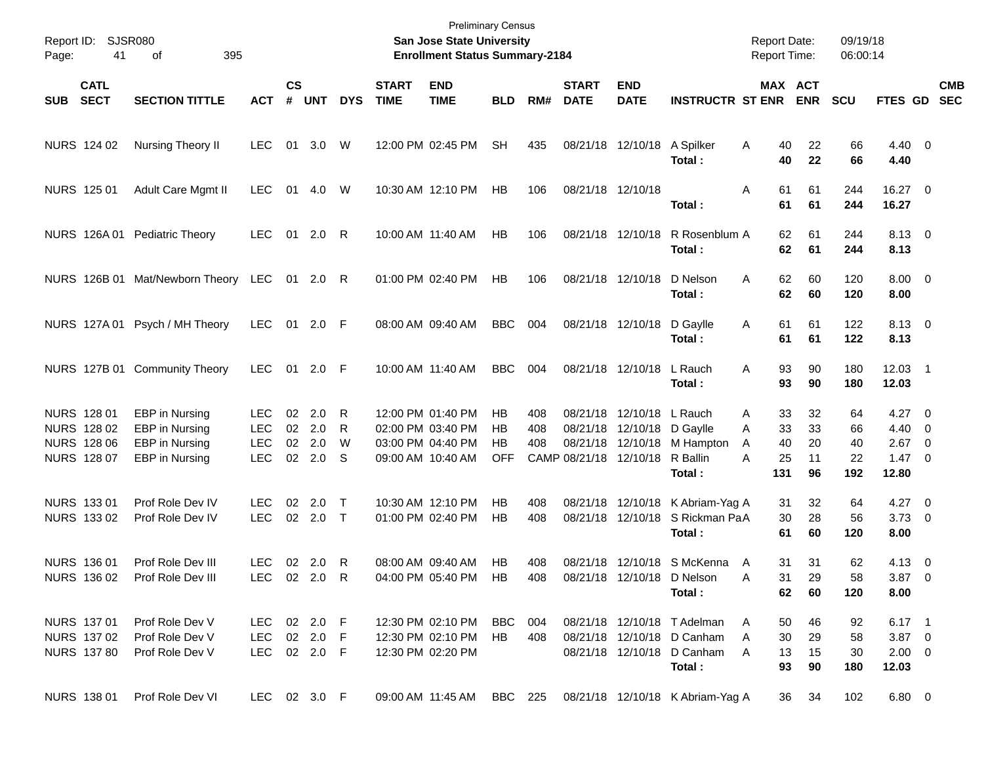| Page:      | Report ID: SJSR080<br>395<br>41<br>of                           |                                                                      |                                                |                             |                                   |                  |                             | <b>Preliminary Census</b><br>San Jose State University<br><b>Enrollment Status Summary-2184</b> |                              |                   |                                                |                                           |                                                                                                   | <b>Report Date:</b><br><b>Report Time:</b>      |                            | 09/19/18<br>06:00:14        |                                                               |            |
|------------|-----------------------------------------------------------------|----------------------------------------------------------------------|------------------------------------------------|-----------------------------|-----------------------------------|------------------|-----------------------------|-------------------------------------------------------------------------------------------------|------------------------------|-------------------|------------------------------------------------|-------------------------------------------|---------------------------------------------------------------------------------------------------|-------------------------------------------------|----------------------------|-----------------------------|---------------------------------------------------------------|------------|
| <b>SUB</b> | <b>CATL</b><br><b>SECT</b>                                      | <b>SECTION TITTLE</b>                                                | <b>ACT</b>                                     | $\mathsf{cs}$<br>$\pmb{\#}$ | <b>UNT</b>                        | <b>DYS</b>       | <b>START</b><br><b>TIME</b> | <b>END</b><br><b>TIME</b>                                                                       | <b>BLD</b>                   | RM#               | <b>START</b><br><b>DATE</b>                    | <b>END</b><br><b>DATE</b>                 | <b>INSTRUCTR ST ENR</b>                                                                           |                                                 | MAX ACT<br><b>ENR</b>      | <b>SCU</b>                  | FTES GD SEC                                                   | <b>CMB</b> |
|            | NURS 124 02                                                     | Nursing Theory II                                                    | <b>LEC</b>                                     | 01                          | 3.0                               | W                |                             | 12:00 PM 02:45 PM                                                                               | <b>SH</b>                    | 435               |                                                | 08/21/18 12/10/18                         | A Spilker<br>Total:                                                                               | A<br>40<br>40                                   | 22<br>22                   | 66<br>66                    | $4.40 \quad 0$<br>4.40                                        |            |
|            | NURS 125 01                                                     | Adult Care Mgmt II                                                   | LEC.                                           | 01                          | 4.0                               | W                |                             | 10:30 AM 12:10 PM                                                                               | HB                           | 106               |                                                | 08/21/18 12/10/18                         | Total :                                                                                           | 61<br>Α<br>61                                   | 61<br>61                   | 244<br>244                  | 16.27 0<br>16.27                                              |            |
|            |                                                                 | NURS 126A 01 Pediatric Theory                                        | <b>LEC</b>                                     | 01                          | 2.0                               | R                |                             | 10:00 AM 11:40 AM                                                                               | HB                           | 106               |                                                | 08/21/18 12/10/18                         | R Rosenblum A<br>Total:                                                                           | 62<br>62                                        | 61<br>61                   | 244<br>244                  | 8.13 0<br>8.13                                                |            |
|            |                                                                 | NURS 126B 01 Mat/Newborn Theory LEC                                  |                                                |                             | 01 2.0                            | R                |                             | 01:00 PM 02:40 PM                                                                               | HB                           | 106               |                                                | 08/21/18 12/10/18                         | D Nelson<br>Total:                                                                                | 62<br>A<br>62                                   | 60<br>60                   | 120<br>120                  | $8.00 \t 0$<br>8.00                                           |            |
|            |                                                                 | NURS 127A 01 Psych / MH Theory                                       | LEC.                                           |                             | 01 2.0 F                          |                  |                             | 08:00 AM 09:40 AM                                                                               | <b>BBC</b>                   | 004               |                                                | 08/21/18 12/10/18                         | D Gaylle<br>Total:                                                                                | 61<br>A<br>61                                   | 61<br>61                   | 122<br>122                  | 8.13 0<br>8.13                                                |            |
|            |                                                                 | NURS 127B 01 Community Theory                                        | LEC.                                           |                             | 01 2.0 F                          |                  |                             | 10:00 AM 11:40 AM                                                                               | <b>BBC</b>                   | 004               |                                                | 08/21/18 12/10/18                         | L Rauch<br>Total:                                                                                 | 93<br>A<br>93                                   | 90<br>90                   | 180<br>180                  | 12.03 1<br>12.03                                              |            |
|            | NURS 128 01<br>NURS 128 02<br><b>NURS 128 06</b><br>NURS 128 07 | EBP in Nursing<br>EBP in Nursing<br>EBP in Nursing<br>EBP in Nursing | LEC.<br><b>LEC</b><br><b>LEC</b><br><b>LEC</b> | $02\,$                      | 2.0<br>02 2.0<br>02 2.0<br>02 2.0 | R<br>R<br>W<br>S |                             | 12:00 PM 01:40 PM<br>02:00 PM 03:40 PM<br>03:00 PM 04:40 PM<br>09:00 AM 10:40 AM                | HВ<br>HВ<br>HВ<br><b>OFF</b> | 408<br>408<br>408 | 08/21/18<br>08/21/18<br>CAMP 08/21/18 12/10/18 | 12/10/18<br>08/21/18 12/10/18<br>12/10/18 | L Rauch<br>D Gaylle<br>M Hampton<br>R Ballin<br>Total:                                            | 33<br>A<br>33<br>A<br>40<br>A<br>25<br>A<br>131 | 32<br>33<br>20<br>11<br>96 | 64<br>66<br>40<br>22<br>192 | $4.27$ 0<br>$4.40 \quad 0$<br>$2.67$ 0<br>$1.47 \ 0$<br>12.80 |            |
|            | NURS 133 01<br>NURS 133 02                                      | Prof Role Dev IV<br>Prof Role Dev IV                                 | <b>LEC</b><br><b>LEC</b>                       | 02                          | 2.0<br>02 2.0 T                   | $\top$           |                             | 10:30 AM 12:10 PM<br>01:00 PM 02:40 PM                                                          | HВ<br>HВ                     | 408<br>408        |                                                | 08/21/18 12/10/18<br>08/21/18 12/10/18    | K Abriam-Yag A<br>S Rickman PaA<br>Total :                                                        | 31<br>30<br>61                                  | 32<br>28<br>60             | 64<br>56<br>120             | $4.27$ 0<br>$3.73$ 0<br>8.00                                  |            |
|            | NURS 136 01<br>NURS 136 02                                      | Prof Role Dev III<br>Prof Role Dev III                               | <b>LEC</b><br>LEC 02 2.0                       |                             | 02 2.0                            | R<br>R           |                             | 08:00 AM 09:40 AM<br>04:00 PM 05:40 PM                                                          | HB<br>HB.                    | 408<br>408        |                                                |                                           | 08/21/18 12/10/18 S McKenna<br>08/21/18 12/10/18 D Nelson<br>Total:                               | A<br>31<br>31<br>A<br>62                        | 31<br>29<br>60             | 62<br>58<br>120             | $4.13 \ 0$<br>$3.87\ 0$<br>8.00                               |            |
|            | NURS 137 01<br>NURS 137 02<br><b>NURS 137 80</b>                | Prof Role Dev V<br>Prof Role Dev V<br>Prof Role Dev V                | LEC 02 2.0 F<br>LEC<br>LEC 02 2.0 F            |                             | 02 2.0 F                          |                  |                             | 12:30 PM 02:10 PM<br>12:30 PM 02:10 PM<br>12:30 PM 02:20 PM                                     | BBC 004<br>HB                | 408               |                                                |                                           | 08/21/18 12/10/18 T Adelman<br>08/21/18 12/10/18 D Canham<br>08/21/18 12/10/18 D Canham<br>Total: | 50<br>A<br>30<br>A<br>13<br>A<br>93             | 46<br>29<br>15<br>90       | 92<br>58<br>30<br>180       | $6.17$ 1<br>$3.87$ 0<br>$2.00 \t 0$<br>12.03                  |            |
|            | <b>NURS 138 01</b>                                              | Prof Role Dev VI                                                     | LEC 02 3.0 F                                   |                             |                                   |                  |                             | 09:00 AM 11:45 AM BBC 225                                                                       |                              |                   |                                                |                                           | 08/21/18 12/10/18 K Abriam-Yag A                                                                  | 36                                              | 34                         | 102                         | $6.80\ 0$                                                     |            |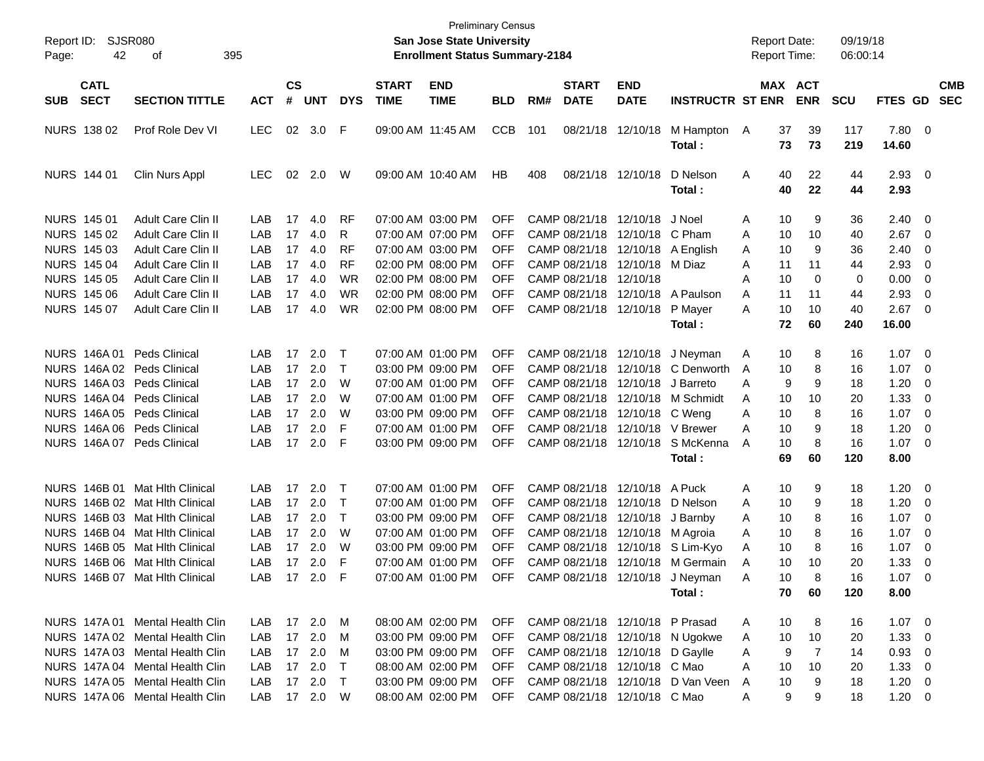| Report ID:<br>SJSR080<br>42<br>Page:     | 395                             |              |                |            |            | <b>Preliminary Census</b><br><b>San Jose State University</b><br><b>Enrollment Status Summary-2184</b> |                                        |            |     |                             |                                     | <b>Report Date:</b><br><b>Report Time:</b> |   |          | 09/19/18<br>06:00:14  |            |               |                          |                          |
|------------------------------------------|---------------------------------|--------------|----------------|------------|------------|--------------------------------------------------------------------------------------------------------|----------------------------------------|------------|-----|-----------------------------|-------------------------------------|--------------------------------------------|---|----------|-----------------------|------------|---------------|--------------------------|--------------------------|
| <b>CATL</b><br><b>SECT</b><br><b>SUB</b> | <b>SECTION TITTLE</b>           | <b>ACT</b>   | <b>CS</b><br># | <b>UNT</b> | <b>DYS</b> | <b>START</b><br><b>TIME</b>                                                                            | <b>END</b><br><b>TIME</b>              | <b>BLD</b> | RM# | <b>START</b><br><b>DATE</b> | <b>END</b><br><b>DATE</b>           | <b>INSTRUCTR ST ENR</b>                    |   |          | MAX ACT<br><b>ENR</b> | <b>SCU</b> | FTES GD       |                          | <b>CMB</b><br><b>SEC</b> |
| NURS 138 02                              | Prof Role Dev VI                | <b>LEC</b>   |                | 02 3.0     | F          |                                                                                                        | 09:00 AM 11:45 AM                      | <b>CCB</b> | 101 |                             | 08/21/18 12/10/18                   | M Hampton                                  | A | 37       | 39                    | 117        | 7.80 0        |                          |                          |
|                                          |                                 |              |                |            |            |                                                                                                        |                                        |            |     |                             |                                     | Total :                                    |   | 73       | 73                    | 219        | 14.60         |                          |                          |
| <b>NURS 144 01</b>                       | Clin Nurs Appl                  | <b>LEC</b>   |                | 02 2.0     | W          |                                                                                                        | 09:00 AM 10:40 AM                      | HB         | 408 |                             | 08/21/18 12/10/18                   | D Nelson                                   | Α | 40       | 22                    | 44         | $2.93$ 0      |                          |                          |
|                                          |                                 |              |                |            |            |                                                                                                        |                                        |            |     |                             |                                     | Total :                                    |   | 40       | 22                    | 44         | 2.93          |                          |                          |
| <b>NURS 145 01</b>                       | Adult Care Clin II              | LAB          | 17             | 4.0        | RF         |                                                                                                        | 07:00 AM 03:00 PM                      | OFF        |     |                             | CAMP 08/21/18 12/10/18              | J Noel                                     | Α | 10       | 9                     | 36         | 2.40          | $\overline{0}$           |                          |
| NURS 145 02                              | Adult Care Clin II              | LAB          | 17             | 4.0        | R          |                                                                                                        | 07:00 AM 07:00 PM                      | <b>OFF</b> |     |                             | CAMP 08/21/18 12/10/18 C Pham       |                                            | Α | 10       | 10                    | 40         | 2.67          | - 0                      |                          |
| NURS 145 03                              | Adult Care Clin II              | LAB          | 17             | 4.0        | <b>RF</b>  |                                                                                                        | 07:00 AM 03:00 PM                      | OFF        |     |                             | CAMP 08/21/18 12/10/18 A English    |                                            | A | 10       | 9                     | 36         | 2.40          | 0                        |                          |
| <b>NURS 145 04</b>                       | Adult Care Clin II              | LAB          | 17             | 4.0        | <b>RF</b>  |                                                                                                        | 02:00 PM 08:00 PM                      | OFF        |     |                             | CAMP 08/21/18 12/10/18 M Diaz       |                                            | A | 11       | 11                    | 44         | 2.93          | 0                        |                          |
| <b>NURS 145 05</b>                       | Adult Care Clin II              | LAB          | 17             | 4.0        | WR         |                                                                                                        | 02:00 PM 08:00 PM                      | <b>OFF</b> |     | CAMP 08/21/18 12/10/18      |                                     |                                            | A | 10       | 0                     | 0          | 0.00          | 0                        |                          |
| <b>NURS 145 06</b><br><b>NURS 145 07</b> | Adult Care Clin II              | LAB          | 17             | 4.0        | WR         |                                                                                                        | 02:00 PM 08:00 PM<br>02:00 PM 08:00 PM | <b>OFF</b> |     |                             |                                     | CAMP 08/21/18 12/10/18 A Paulson           | A | 11       | 11                    | 44         | 2.93          | 0                        |                          |
|                                          | Adult Care Clin II              | LAB          |                | 17 4.0     | WR         |                                                                                                        |                                        | OFF        |     |                             | CAMP 08/21/18 12/10/18              | P Mayer                                    | A | 10<br>72 | 10<br>60              | 40<br>240  | 2.67<br>16.00 | $\overline{\mathbf{0}}$  |                          |
|                                          |                                 |              |                |            |            |                                                                                                        |                                        |            |     |                             |                                     | Total :                                    |   |          |                       |            |               |                          |                          |
| NURS 146A01                              | Peds Clinical                   | LAB          | 17             | 2.0        | $\top$     |                                                                                                        | 07:00 AM 01:00 PM                      | <b>OFF</b> |     |                             | CAMP 08/21/18 12/10/18              | J Neyman                                   | Α | 10       | 8                     | 16         | $1.07 \t 0$   |                          |                          |
| NURS 146A 02 Peds Clinical               |                                 | LAB          | 17             | 2.0        | $\top$     |                                                                                                        | 03:00 PM 09:00 PM                      | OFF        |     |                             |                                     | CAMP 08/21/18 12/10/18 C Denworth          | A | 10       | 8                     | 16         | 1.07          | - 0                      |                          |
| NURS 146A 03 Peds Clinical               |                                 | LAB          | 17             | 2.0        | W          |                                                                                                        | 07:00 AM 01:00 PM                      | OFF        |     |                             | CAMP 08/21/18 12/10/18 J Barreto    |                                            | A | 9        | 9                     | 18         | 1.20          | 0                        |                          |
| NURS 146A 04 Peds Clinical               |                                 | LAB          |                | 17 2.0     | W          |                                                                                                        | 07:00 AM 01:00 PM                      | <b>OFF</b> |     |                             |                                     | CAMP 08/21/18 12/10/18 M Schmidt           | A | 10       | 10                    | 20         | 1.33          | 0                        |                          |
| NURS 146A 05 Peds Clinical               |                                 | LAB          |                | 17 2.0     | W          |                                                                                                        | 03:00 PM 09:00 PM                      | OFF        |     |                             | CAMP 08/21/18 12/10/18 C Weng       |                                            | A | 10       | 8                     | 16         | 1.07          | $\overline{\phantom{0}}$ |                          |
| NURS 146A 06 Peds Clinical               |                                 | LAB          | 17             | 2.0        | F          |                                                                                                        | 07:00 AM 01:00 PM                      | <b>OFF</b> |     |                             | CAMP 08/21/18 12/10/18 V Brewer     |                                            | A | 10       | 9                     | 18         | 1.20          | 0                        |                          |
| NURS 146A 07 Peds Clinical               |                                 | LAB          |                | 17 2.0     | F          |                                                                                                        | 03:00 PM 09:00 PM                      | <b>OFF</b> |     |                             |                                     | CAMP 08/21/18 12/10/18 S McKenna           | A | 10       | 8                     | 16         | $1.07 \t 0$   |                          |                          |
|                                          |                                 |              |                |            |            |                                                                                                        |                                        |            |     |                             |                                     | Total :                                    |   | 69       | 60                    | 120        | 8.00          |                          |                          |
|                                          | NURS 146B 01 Mat Hith Clinical  | LAB          | 17             | 2.0        | $\top$     |                                                                                                        | 07:00 AM 01:00 PM                      | <b>OFF</b> |     |                             | CAMP 08/21/18 12/10/18 A Puck       |                                            | Α | 10       | 9                     | 18         | 1.20          | - 0                      |                          |
|                                          | NURS 146B 02 Mat Hith Clinical  | LAB          |                | 17 2.0     | $\top$     |                                                                                                        | 07:00 AM 01:00 PM                      | <b>OFF</b> |     |                             | CAMP 08/21/18 12/10/18              | D Nelson                                   | A | 10       | 9                     | 18         | 1.20          | $\overline{\mathbf{0}}$  |                          |
|                                          | NURS 146B 03 Mat Hith Clinical  | LAB          |                | 17 2.0     | $\top$     |                                                                                                        | 03:00 PM 09:00 PM                      | OFF        |     |                             | CAMP 08/21/18 12/10/18              | J Barnbv                                   | A | 10       | 8                     | 16         | 1.07          | $\overline{\mathbf{0}}$  |                          |
|                                          | NURS 146B 04 Mat Hlth Clinical  | LAB          |                | 17 2.0     | W          |                                                                                                        | 07:00 AM 01:00 PM                      | OFF        |     |                             | CAMP 08/21/18 12/10/18 M Agroia     |                                            | A | 10       | 8                     | 16         | 1.07          | 0                        |                          |
|                                          | NURS 146B 05 Mat Hlth Clinical  | LAB          |                | 17 2.0     | W          |                                                                                                        | 03:00 PM 09:00 PM                      | OFF        |     |                             |                                     | CAMP 08/21/18 12/10/18 S Lim-Kyo           | A | 10       | 8                     | 16         | 1.07          | $\overline{\mathbf{0}}$  |                          |
|                                          | NURS 146B 06 Mat Hlth Clinical  | LAB          |                | 17 2.0     | F          |                                                                                                        | 07:00 AM 01:00 PM                      | <b>OFF</b> |     |                             |                                     | CAMP 08/21/18 12/10/18 M Germain           | A | 10       | 10                    | 20         | 1.33          | 0                        |                          |
|                                          | NURS 146B 07 Mat Hlth Clinical  | LAB.         |                | 17 2.0     | F          |                                                                                                        | 07:00 AM 01:00 PM                      | <b>OFF</b> |     |                             |                                     | CAMP 08/21/18 12/10/18 J Neyman            | A | 10       |                       | 16         | 1.07          | $\Omega$                 |                          |
|                                          |                                 |              |                |            |            |                                                                                                        |                                        |            |     |                             |                                     | Total :                                    |   | 70       | 60                    | 120        | 8.00          |                          |                          |
|                                          | NURS 147A 01 Mental Health Clin | LAB 17 2.0 M |                |            |            |                                                                                                        | 08:00 AM 02:00 PM                      |            |     |                             | OFF CAMP 08/21/18 12/10/18 P Prasad |                                            | A | 10       | 8                     | 16         | $1.07 \t 0$   |                          |                          |
|                                          | NURS 147A 02 Mental Health Clin | LAB          |                | 17 2.0     | M          |                                                                                                        | 03:00 PM 09:00 PM                      | <b>OFF</b> |     |                             |                                     | CAMP 08/21/18 12/10/18 N Ugokwe            | A | 10       | 10                    | 20         | $1.33 \ 0$    |                          |                          |
|                                          | NURS 147A 03 Mental Health Clin | LAB          |                | 17 2.0     | M          |                                                                                                        | 03:00 PM 09:00 PM                      | OFF        |     |                             | CAMP 08/21/18 12/10/18 D Gaylle     |                                            | A | 9        | 7                     | 14         | $0.93 \ 0$    |                          |                          |
|                                          | NURS 147A 04 Mental Health Clin | LAB          |                | 17 2.0     | $\top$     |                                                                                                        | 08:00 AM 02:00 PM                      | <b>OFF</b> |     |                             | CAMP 08/21/18 12/10/18 C Mao        |                                            | A | 10       | 10                    | 20         | $1.33 \ 0$    |                          |                          |
|                                          | NURS 147A 05 Mental Health Clin | LAB          |                | 17 2.0     | $\top$     |                                                                                                        | 03:00 PM 09:00 PM                      | OFF        |     |                             |                                     | CAMP 08/21/18 12/10/18 D Van Veen          | A | 10       | 9                     | 18         | $1.20 \t 0$   |                          |                          |
|                                          | NURS 147A 06 Mental Health Clin | LAB 17 2.0 W |                |            |            |                                                                                                        | 08:00 AM 02:00 PM                      |            |     |                             | OFF CAMP 08/21/18 12/10/18 C Mao    |                                            | A | 9        | 9                     | 18         | $1.20 \t 0$   |                          |                          |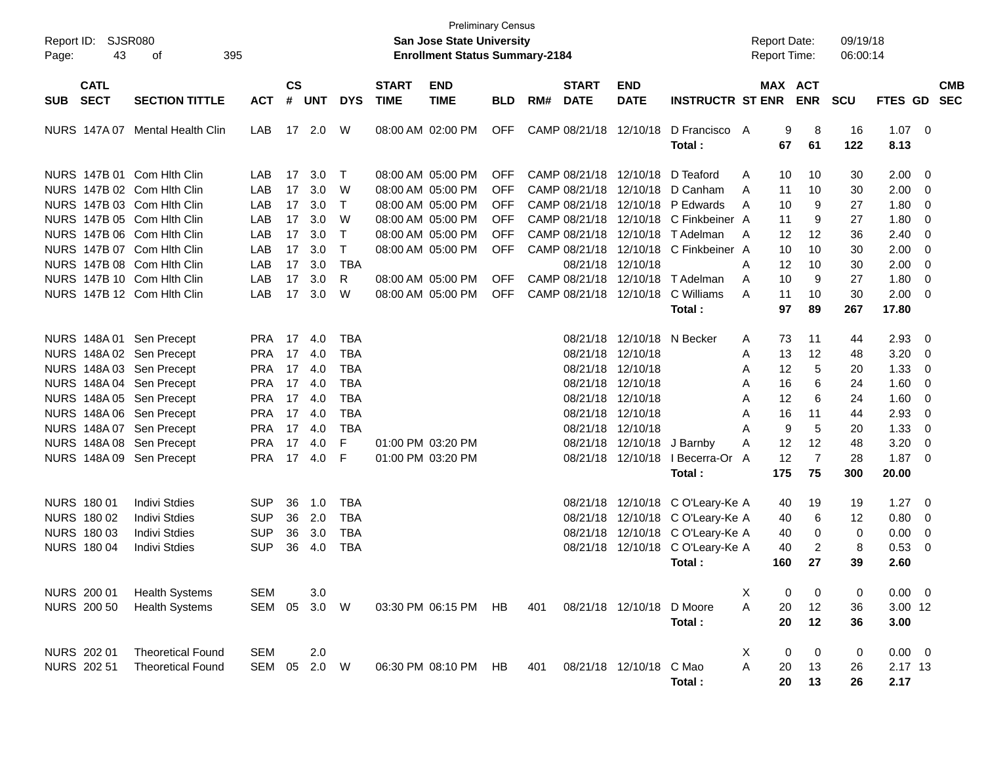| Report ID:<br>Page:                      | SJSR080<br>43<br>395<br>οf                                                             |                                        |                    |                         |                                        |                             | <b>Preliminary Census</b><br><b>San Jose State University</b><br><b>Enrollment Status Summary-2184</b> |                          |     |                                        |                                                 |                                                                                                               | <b>Report Date:</b> | <b>Report Time:</b>             | 09/19/18<br>06:00:14                |                                |                                                           |                          |
|------------------------------------------|----------------------------------------------------------------------------------------|----------------------------------------|--------------------|-------------------------|----------------------------------------|-----------------------------|--------------------------------------------------------------------------------------------------------|--------------------------|-----|----------------------------------------|-------------------------------------------------|---------------------------------------------------------------------------------------------------------------|---------------------|---------------------------------|-------------------------------------|--------------------------------|-----------------------------------------------------------|--------------------------|
| <b>CATL</b><br><b>SECT</b><br><b>SUB</b> | <b>SECTION TITTLE</b>                                                                  | <b>ACT</b>                             | $\mathsf{cs}$<br># | <b>UNT</b>              | <b>DYS</b>                             | <b>START</b><br><b>TIME</b> | <b>END</b><br><b>TIME</b>                                                                              | <b>BLD</b>               | RM# | <b>START</b><br><b>DATE</b>            | <b>END</b><br><b>DATE</b>                       | <b>INSTRUCTR ST ENR</b>                                                                                       |                     | MAX ACT<br><b>ENR</b>           | <b>SCU</b>                          | <b>FTES GD</b>                 |                                                           | <b>CMB</b><br><b>SEC</b> |
| <b>NURS 147A07</b>                       | Mental Health Clin                                                                     | LAB                                    |                    | 17 2.0                  | W                                      |                             | 08:00 AM 02:00 PM                                                                                      | <b>OFF</b>               |     | CAMP 08/21/18 12/10/18                 |                                                 | D Francisco A<br>Total:                                                                                       |                     | 8<br>9<br>67<br>61              | 16<br>122                           | $1.07 \t 0$<br>8.13            |                                                           |                          |
|                                          | NURS 147B 01 Com Hith Clin<br>NURS 147B 02 Com Hith Clin                               | LAB<br>LAB                             | 17<br>17           | 3.0<br>3.0              | $\top$<br>W                            |                             | 08:00 AM 05:00 PM<br>08:00 AM 05:00 PM                                                                 | <b>OFF</b><br><b>OFF</b> |     |                                        |                                                 | CAMP 08/21/18 12/10/18 D Teaford<br>CAMP 08/21/18 12/10/18 D Canham                                           | A<br>A              | 10<br>10<br>10<br>11            | 30<br>30                            | 2.00<br>2.00                   | $\overline{\phantom{0}}$<br>$\overline{\mathbf{0}}$       |                          |
|                                          | NURS 147B 03 Com Hith Clin<br>NURS 147B 05 Com Hith Clin<br>NURS 147B 06 Com Hith Clin | LAB<br>LAB<br>LAB                      | 17<br>17<br>17     | 3.0<br>3.0<br>3.0       | $\top$<br>W<br>$\top$                  |                             | 08:00 AM 05:00 PM<br>08:00 AM 05:00 PM<br>08:00 AM 05:00 PM                                            | <b>OFF</b><br>OFF<br>OFF |     |                                        |                                                 | CAMP 08/21/18 12/10/18 P Edwards<br>CAMP 08/21/18 12/10/18 C Finkbeiner A<br>CAMP 08/21/18 12/10/18 T Adelman | A<br>A              | 10<br>11<br>12<br>12            | 27<br>9<br>27<br>9<br>36            | 1.80<br>1.80<br>2.40           | $\overline{\mathbf{0}}$<br>$\overline{\mathbf{0}}$<br>- 0 |                          |
|                                          | NURS 147B 07 Com Hith Clin<br>NURS 147B 08 Com Hith Clin<br>NURS 147B 10 Com Hlth Clin | LAB<br>LAB<br>LAB                      | 17<br>17<br>17     | 3.0<br>3.0<br>3.0       | $\top$<br><b>TBA</b><br>R              |                             | 08:00 AM 05:00 PM<br>08:00 AM 05:00 PM                                                                 | <b>OFF</b><br><b>OFF</b> |     | 08/21/18 12/10/18                      |                                                 | CAMP 08/21/18 12/10/18 C Finkbeiner A<br>CAMP 08/21/18 12/10/18 T Adelman                                     | A<br>A              | 10<br>10<br>12<br>10<br>10<br>9 | 30<br>30<br>27                      | 2.00<br>2.00<br>1.80           | - 0<br>0<br>$\overline{\mathbf{0}}$                       |                          |
|                                          | NURS 147B 12 Com Hith Clin                                                             | LAB                                    | 17                 | 3.0                     | W                                      |                             | 08:00 AM 05:00 PM                                                                                      | <b>OFF</b>               |     |                                        | CAMP 08/21/18 12/10/18                          | C Williams<br>Total:                                                                                          | A                   | 11<br>10<br>97<br>89            | 30<br>267                           | 2.00<br>17.80                  | - 0                                                       |                          |
|                                          | NURS 148A 01 Sen Precept<br>NURS 148A 02 Sen Precept                                   | <b>PRA 17</b><br><b>PRA</b>            |                    | 4.0<br>17 4.0           | <b>TBA</b><br><b>TBA</b>               |                             |                                                                                                        |                          |     | 08/21/18 12/10/18                      | 08/21/18 12/10/18 N Becker                      |                                                                                                               | A<br>A              | 73<br>11<br>13<br>12            | 44<br>48                            | 2.93<br>3.20                   | $\overline{\mathbf{0}}$<br>$\overline{\mathbf{0}}$        |                          |
|                                          | NURS 148A 03 Sen Precept<br>NURS 148A 04 Sen Precept<br>NURS 148A 05 Sen Precept       | <b>PRA</b><br><b>PRA</b><br><b>PRA</b> | 17                 | 4.0<br>17 4.0<br>17 4.0 | <b>TBA</b><br><b>TBA</b><br><b>TBA</b> |                             |                                                                                                        |                          |     | 08/21/18 12/10/18<br>08/21/18 12/10/18 | 08/21/18 12/10/18                               |                                                                                                               | A<br>A<br>A         | 12<br>16<br>12                  | 5<br>20<br>6<br>24<br>6<br>24       | 1.33<br>1.60<br>1.60           | $\overline{\mathbf{0}}$<br>$\overline{\mathbf{0}}$<br>- 0 |                          |
|                                          | NURS 148A 06 Sen Precept<br>NURS 148A 07 Sen Precept<br>NURS 148A 08 Sen Precept       | <b>PRA</b><br><b>PRA</b><br><b>PRA</b> | 17<br>17           | 17 4.0<br>4.0<br>4.0    | <b>TBA</b><br><b>TBA</b><br>F          |                             | 01:00 PM 03:20 PM                                                                                      |                          |     | 08/21/18 12/10/18                      | 08/21/18 12/10/18<br>08/21/18 12/10/18 J Barnby |                                                                                                               | A<br>A<br>A         | 16<br>11<br>5<br>9<br>12<br>12  | 44<br>20<br>48                      | 2.93<br>1.33<br>3.20           | 0<br>$\overline{\mathbf{0}}$<br>$\overline{\mathbf{0}}$   |                          |
|                                          | NURS 148A 09 Sen Precept                                                               | <b>PRA</b>                             |                    | 17 4.0                  | F                                      |                             | 01:00 PM 03:20 PM                                                                                      |                          |     |                                        |                                                 | 08/21/18 12/10/18 I Becerra-Or<br>Total:                                                                      | A<br>175            | 12<br>$\overline{7}$<br>75      | 28<br>300                           | 1.87<br>20.00                  | - 0                                                       |                          |
| NURS 180 01<br>NURS 180 02               | <b>Indivi Stdies</b><br><b>Indivi Stdies</b>                                           | <b>SUP</b><br><b>SUP</b>               | 36<br>36           | 1.0<br>2.0              | <b>TBA</b><br><b>TBA</b>               |                             |                                                                                                        |                          |     |                                        |                                                 | 08/21/18 12/10/18 C O'Leary-Ke A<br>08/21/18 12/10/18 C O'Leary-Ke A                                          |                     | 40<br>19<br>40                  | 19<br>6<br>12                       | 1.27<br>0.80                   | $\overline{\phantom{0}}$<br>$\overline{\mathbf{0}}$       |                          |
| NURS 180 03<br><b>NURS 180 04</b>        | <b>Indivi Stdies</b><br><b>Indivi Stdies</b>                                           | <b>SUP</b><br><b>SUP</b>               | 36<br>36           | 3.0<br>4.0              | <b>TBA</b><br><b>TBA</b>               |                             |                                                                                                        |                          |     |                                        |                                                 | 08/21/18 12/10/18 C O'Leary-Ke A<br>08/21/18 12/10/18 C O'Leary-Ke A<br>Total:                                | 160                 | 40<br>40<br>27                  | 0<br>0<br>$\overline{2}$<br>8<br>39 | 0.00<br>0.53<br>2.60           | 0<br>- 0                                                  |                          |
| NURS 200 01<br><b>NURS 200 50</b>        | <b>Health Systems</b><br><b>Health Systems</b>                                         | <b>SEM</b><br>SEM 05                   |                    | 3.0<br>3.0 W            |                                        |                             | 03:30 PM 06:15 PM HB                                                                                   |                          | 401 |                                        | 08/21/18 12/10/18                               | D Moore                                                                                                       | х<br>Α              | 0<br>$20\,$<br>12               | 0<br>0<br>36                        | $0.00 \t 0$<br>3.00 12         |                                                           |                          |
|                                          |                                                                                        |                                        |                    |                         |                                        |                             |                                                                                                        |                          |     |                                        |                                                 | Total:                                                                                                        |                     | 20<br>12                        | 36                                  | 3.00                           |                                                           |                          |
| NURS 202 01<br>NURS 202 51               | <b>Theoretical Found</b><br><b>Theoretical Found</b>                                   | <b>SEM</b><br>SEM 05                   |                    | 2.0<br>2.0 W            |                                        |                             | 06:30 PM 08:10 PM HB                                                                                   |                          | 401 |                                        | 08/21/18 12/10/18 C Mao                         | Total:                                                                                                        | X<br>Α              | 0<br>20<br>13<br>20<br>13       | 0<br>0<br>26<br>26                  | $0.00 \t 0$<br>2.17 13<br>2.17 |                                                           |                          |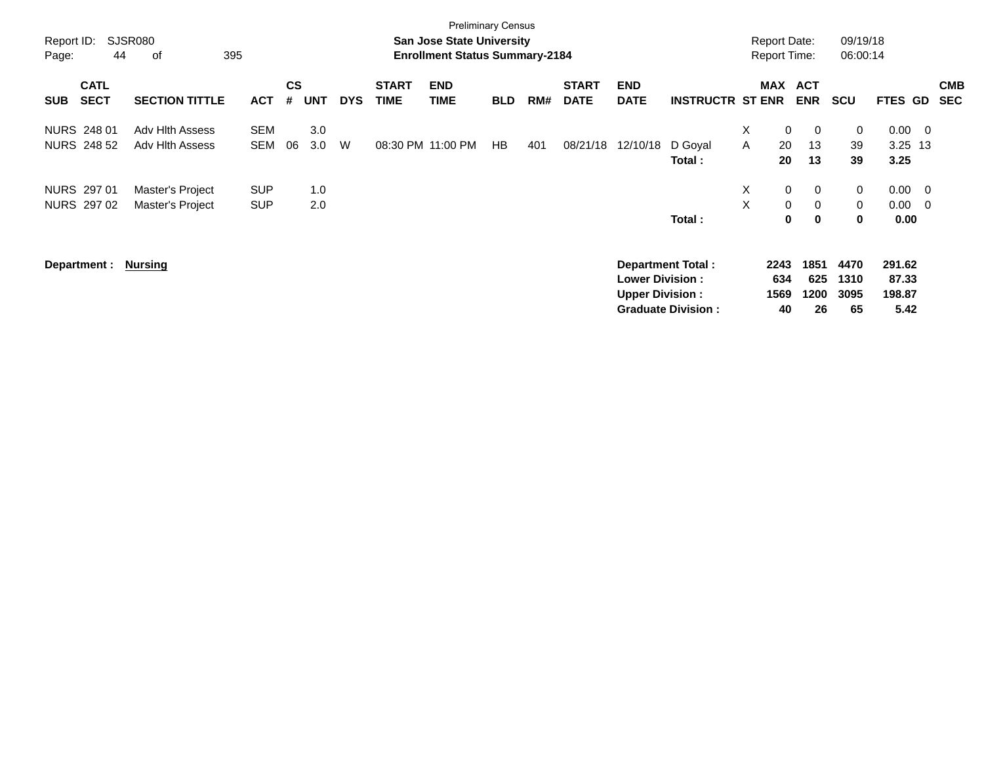| Report ID:<br>Page: | 44                         | <b>SJSR080</b><br>395<br>оf |            |                |            |            |                             | <b>Preliminary Census</b><br><b>San Jose State University</b><br><b>Enrollment Status Summary-2184</b> |            |     |                             |                                                  |                           | <b>Report Date:</b><br><b>Report Time:</b> |             |                          | 09/19/18<br>06:00:14 |                 |                |                          |
|---------------------|----------------------------|-----------------------------|------------|----------------|------------|------------|-----------------------------|--------------------------------------------------------------------------------------------------------|------------|-----|-----------------------------|--------------------------------------------------|---------------------------|--------------------------------------------|-------------|--------------------------|----------------------|-----------------|----------------|--------------------------|
| <b>SUB</b>          | <b>CATL</b><br><b>SECT</b> | <b>SECTION TITTLE</b>       | <b>ACT</b> | <b>CS</b><br># | <b>UNT</b> | <b>DYS</b> | <b>START</b><br><b>TIME</b> | <b>END</b><br><b>TIME</b>                                                                              | <b>BLD</b> | RM# | <b>START</b><br><b>DATE</b> | <b>END</b><br><b>DATE</b>                        | <b>INSTRUCTR ST ENR</b>   | <b>MAX</b>                                 |             | <b>ACT</b><br><b>ENR</b> | <b>SCU</b>           | <b>FTES</b>     | <b>GD</b>      | <b>CMB</b><br><b>SEC</b> |
|                     | NURS 248 01                | Adv Hith Assess             | <b>SEM</b> |                | 3.0        |            |                             |                                                                                                        |            |     |                             |                                                  |                           | Χ                                          | $\mathbf 0$ | $\overline{0}$           | 0                    | $0.00 \t 0$     |                |                          |
|                     | NURS 248 52                | <b>Adv Hith Assess</b>      | SEM        | 06             | 3.0        | W          |                             | 08:30 PM 11:00 PM                                                                                      | HB         | 401 | 08/21/18                    | 12/10/18                                         | D Goyal                   | A                                          | 20          | 13                       | 39                   | $3.25$ 13       |                |                          |
|                     |                            |                             |            |                |            |            |                             |                                                                                                        |            |     |                             |                                                  | Total :                   |                                            | 20          | 13                       | 39                   | 3.25            |                |                          |
|                     | NURS 297 01                | Master's Project            | <b>SUP</b> |                | 1.0        |            |                             |                                                                                                        |            |     |                             |                                                  |                           | X                                          | $\mathbf 0$ | $\mathbf 0$              | 0                    | $0.00 \quad 0$  |                |                          |
|                     | NURS 297 02                | Master's Project            | <b>SUP</b> |                | 2.0        |            |                             |                                                                                                        |            |     |                             |                                                  |                           | X                                          | $\mathbf 0$ | $\mathbf 0$              | $\mathbf 0$          | 0.00            | $\overline{0}$ |                          |
|                     |                            |                             |            |                |            |            |                             |                                                                                                        |            |     |                             |                                                  | Total:                    |                                            | 0           | $\mathbf 0$              | 0                    | 0.00            |                |                          |
|                     | Department :               | Nursing                     |            |                |            |            |                             |                                                                                                        |            |     |                             |                                                  | <b>Department Total:</b>  |                                            | 2243        | 1851                     | 4470                 | 291.62          |                |                          |
|                     |                            |                             |            |                |            |            |                             |                                                                                                        |            |     |                             | <b>Lower Division:</b><br><b>Upper Division:</b> |                           |                                            | 634<br>1569 | 625<br>1200              | 1310<br>3095         | 87.33<br>198.87 |                |                          |
|                     |                            |                             |            |                |            |            |                             |                                                                                                        |            |     |                             |                                                  | <b>Graduate Division:</b> |                                            | 40          | 26                       | 65                   | 5.42            |                |                          |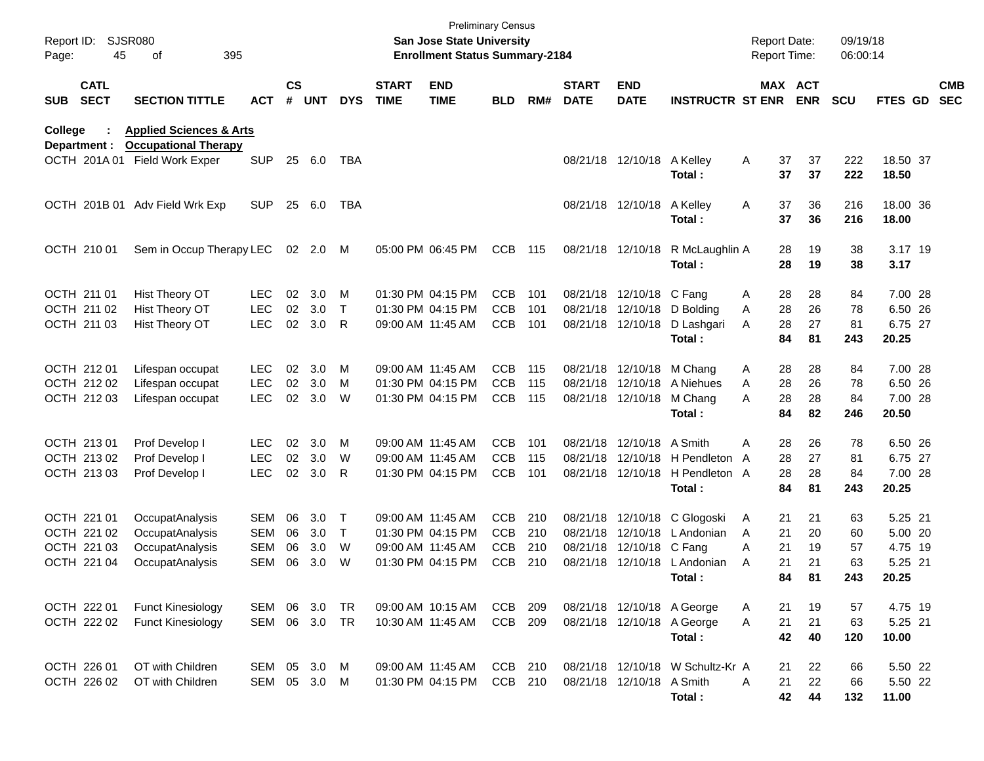| Report ID:<br>Page: | 45                         | SJSR080<br>395<br>οf                                         |               |               |        |            |                             | <b>San Jose State University</b><br><b>Enrollment Status Summary-2184</b> | <b>Preliminary Census</b> |     |                             |                           |                                  |   | <b>Report Date:</b><br><b>Report Time:</b> | 09/19/18<br>06:00:14 |                |                          |
|---------------------|----------------------------|--------------------------------------------------------------|---------------|---------------|--------|------------|-----------------------------|---------------------------------------------------------------------------|---------------------------|-----|-----------------------------|---------------------------|----------------------------------|---|--------------------------------------------|----------------------|----------------|--------------------------|
| <b>SUB</b>          | <b>CATL</b><br><b>SECT</b> | <b>SECTION TITTLE</b>                                        | <b>ACT</b>    | $\mathsf{cs}$ | # UNT  | <b>DYS</b> | <b>START</b><br><b>TIME</b> | <b>END</b><br><b>TIME</b>                                                 | <b>BLD</b>                | RM# | <b>START</b><br><b>DATE</b> | <b>END</b><br><b>DATE</b> | <b>INSTRUCTR ST ENR</b>          |   | MAX ACT<br><b>ENR</b>                      | <b>SCU</b>           | <b>FTES GD</b> | <b>CMB</b><br><b>SEC</b> |
| College             |                            | <b>Applied Sciences &amp; Arts</b>                           |               |               |        |            |                             |                                                                           |                           |     |                             |                           |                                  |   |                                            |                      |                |                          |
|                     | Department :               | <b>Occupational Therapy</b><br>OCTH 201A 01 Field Work Exper | <b>SUP</b>    | 25            | 6.0    | TBA        |                             |                                                                           |                           |     |                             | 08/21/18 12/10/18         | A Kelley                         | A | 37<br>37                                   | 222                  | 18.50 37       |                          |
|                     |                            |                                                              |               |               |        |            |                             |                                                                           |                           |     |                             |                           | Total:                           |   | 37<br>37                                   | 222                  | 18.50          |                          |
|                     | OCTH 201B 01               | Adv Field Wrk Exp                                            | <b>SUP</b>    | 25            | 6.0    | TBA        |                             |                                                                           |                           |     |                             | 08/21/18 12/10/18         | A Kelley                         | Α | 36<br>37                                   | 216                  | 18.00 36       |                          |
|                     |                            |                                                              |               |               |        |            |                             |                                                                           |                           |     |                             |                           | Total:                           |   | 37<br>36                                   | 216                  | 18.00          |                          |
|                     | OCTH 210 01                | Sem in Occup Therapy LEC                                     |               |               | 02 2.0 | M          |                             | 05:00 PM 06:45 PM                                                         | <b>CCB</b>                | 115 |                             | 08/21/18 12/10/18         | R McLaughlin A                   |   | 28<br>19                                   | 38                   | 3.17 19        |                          |
|                     |                            |                                                              |               |               |        |            |                             |                                                                           |                           |     |                             |                           | Total:                           |   | 28<br>19                                   | 38                   | 3.17           |                          |
|                     | OCTH 211 01                | Hist Theory OT                                               | <b>LEC</b>    | 02            | 3.0    | M          |                             | 01:30 PM 04:15 PM                                                         | <b>CCB</b>                | 101 |                             | 08/21/18 12/10/18 C Fang  |                                  | Α | 28<br>28                                   | 84                   | 7.00 28        |                          |
|                     | OCTH 211 02                | Hist Theory OT                                               | <b>LEC</b>    | 02            | 3.0    | $\top$     |                             | 01:30 PM 04:15 PM                                                         | <b>CCB</b>                | 101 |                             | 08/21/18 12/10/18         | D Boldina                        | A | 28<br>26                                   | 78                   | 6.50 26        |                          |
|                     | OCTH 211 03                | Hist Theory OT                                               | <b>LEC</b>    | 02            | 3.0    | R          |                             | 09:00 AM 11:45 AM                                                         | <b>CCB</b>                | 101 |                             | 08/21/18 12/10/18         | D Lashgari                       | A | 28<br>27                                   | 81                   | 6.75 27        |                          |
|                     |                            |                                                              |               |               |        |            |                             |                                                                           |                           |     |                             |                           | Total:                           |   | 84<br>81                                   | 243                  | 20.25          |                          |
|                     | OCTH 212 01                | Lifespan occupat                                             | <b>LEC</b>    | 02            | 3.0    | M          |                             | 09:00 AM 11:45 AM                                                         | <b>CCB</b>                | 115 |                             | 08/21/18 12/10/18         | M Chang                          | A | 28<br>28                                   | 84                   | 7.00 28        |                          |
|                     | OCTH 212 02                | Lifespan occupat                                             | LEC           | 02            | 3.0    | M          |                             | 01:30 PM 04:15 PM                                                         | <b>CCB</b>                | 115 |                             |                           | 08/21/18 12/10/18 A Niehues      | A | 26<br>28                                   | 78                   | 6.50 26        |                          |
|                     | OCTH 212 03                | Lifespan occupat                                             | <b>LEC</b>    | 02            | 3.0    | W          |                             | 01:30 PM 04:15 PM                                                         | <b>CCB</b>                | 115 | 08/21/18 12/10/18           |                           | M Chang                          | Α | 28<br>28                                   | 84                   | 7.00 28        |                          |
|                     |                            |                                                              |               |               |        |            |                             |                                                                           |                           |     |                             |                           | Total:                           |   | 84<br>82                                   | 246                  | 20.50          |                          |
|                     | OCTH 213 01                | Prof Develop I                                               | <b>LEC</b>    | 02            | 3.0    | M          |                             | 09:00 AM 11:45 AM                                                         | <b>CCB</b>                | 101 |                             | 08/21/18 12/10/18 A Smith |                                  | Α | 26<br>28                                   | 78                   | 6.50 26        |                          |
|                     | OCTH 213 02                | Prof Develop I                                               | <b>LEC</b>    | 02            | 3.0    | W          |                             | 09:00 AM 11:45 AM                                                         | <b>CCB</b>                | 115 |                             |                           | 08/21/18 12/10/18 H Pendleton    | A | 27<br>28                                   | 81                   | 6.75 27        |                          |
|                     | OCTH 213 03                | Prof Develop I                                               | <b>LEC</b>    | 02            | 3.0    | R          |                             | 01:30 PM 04:15 PM                                                         | <b>CCB</b>                | 101 |                             | 08/21/18 12/10/18         | H Pendleton A                    |   | 28<br>28                                   | 84                   | 7.00 28        |                          |
|                     |                            |                                                              |               |               |        |            |                             |                                                                           |                           |     |                             |                           | Total:                           |   | 84<br>81                                   | 243                  | 20.25          |                          |
|                     | OCTH 221 01                | OccupatAnalysis                                              | SEM           | 06            | 3.0    | Т          |                             | 09:00 AM 11:45 AM                                                         | <b>CCB</b>                | 210 |                             | 08/21/18 12/10/18         | C Glogoski                       | A | 21<br>21                                   | 63                   | 5.25 21        |                          |
|                     | OCTH 221 02                | OccupatAnalysis                                              | <b>SEM</b>    | 06            | 3.0    | $\top$     |                             | 01:30 PM 04:15 PM                                                         | CCB                       | 210 |                             |                           | 08/21/18 12/10/18 L Andonian     | A | 21<br>20                                   | 60                   | 5.00 20        |                          |
|                     | OCTH 221 03                | OccupatAnalysis                                              | <b>SEM</b>    | 06            | 3.0    | W          |                             | 09:00 AM 11:45 AM                                                         | <b>CCB</b>                | 210 |                             | 08/21/18 12/10/18 C Fang  |                                  | Α | 21<br>19                                   | 57                   | 4.75 19        |                          |
|                     | OCTH 221 04                | OccupatAnalysis                                              | SEM           | 06            | 3.0    | W          |                             | 01:30 PM 04:15 PM                                                         | <b>CCB</b>                | 210 |                             | 08/21/18 12/10/18         | L Andonian                       | A | 21<br>21                                   | 63                   | 5.25 21        |                          |
|                     |                            |                                                              |               |               |        |            |                             |                                                                           |                           |     |                             |                           | Total:                           |   | 84<br>81                                   | 243                  | 20.25          |                          |
|                     | OCTH 222 01                | <b>Funct Kinesiology</b>                                     | SEM 06 3.0    |               |        | TR         |                             | 09:00 AM 10:15 AM                                                         | CCB 209                   |     |                             |                           | 08/21/18 12/10/18 A George       | A | 21<br>19                                   | 57                   | 4.75 19        |                          |
|                     | OCTH 222 02                | <b>Funct Kinesiology</b>                                     | SEM 06 3.0 TR |               |        |            |                             | 10:30 AM 11:45 AM                                                         | CCB 209                   |     |                             |                           | 08/21/18 12/10/18 A George       | Α | 21<br>21                                   | 63                   | 5.25 21        |                          |
|                     |                            |                                                              |               |               |        |            |                             |                                                                           |                           |     |                             |                           | Total:                           |   | 42<br>40                                   | 120                  | 10.00          |                          |
|                     | OCTH 226 01                | OT with Children                                             | SEM 05 3.0    |               |        | - M        |                             | 09:00 AM 11:45 AM                                                         | CCB 210                   |     |                             |                           | 08/21/18 12/10/18 W Schultz-Kr A |   | 22<br>21                                   | 66                   | 5.50 22        |                          |
|                     | OCTH 226 02                | OT with Children                                             | SEM 05 3.0    |               |        | M          |                             | 01:30 PM 04:15 PM                                                         | CCB 210                   |     |                             | 08/21/18 12/10/18 A Smith |                                  | Α | 22<br>21                                   | 66                   | 5.50 22        |                          |
|                     |                            |                                                              |               |               |        |            |                             |                                                                           |                           |     |                             |                           | Total:                           |   | 42<br>44                                   | 132                  | 11.00          |                          |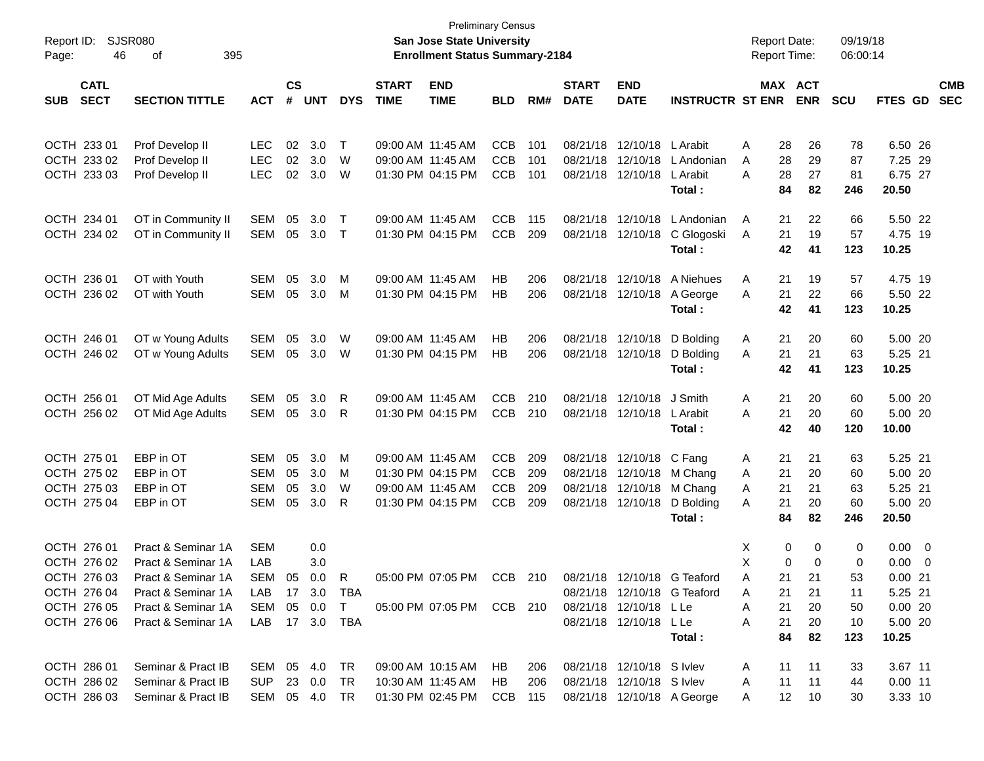|                           |                                                 |                |                        |            |              |              | <b>Preliminary Census</b><br>San Jose State University |            |     |              |                           |                             |                     |                     |            | 09/19/18       |                          |            |
|---------------------------|-------------------------------------------------|----------------|------------------------|------------|--------------|--------------|--------------------------------------------------------|------------|-----|--------------|---------------------------|-----------------------------|---------------------|---------------------|------------|----------------|--------------------------|------------|
| Page:                     | <b>SJSR080</b><br>Report ID:<br>395<br>46<br>οf |                |                        |            |              |              | <b>Enrollment Status Summary-2184</b>                  |            |     |              |                           |                             | <b>Report Time:</b> | <b>Report Date:</b> |            | 06:00:14       |                          |            |
| <b>CATL</b>               |                                                 |                | $\mathbf{c}\mathbf{s}$ |            |              | <b>START</b> | <b>END</b>                                             |            |     | <b>START</b> | <b>END</b>                |                             |                     | MAX ACT             |            |                |                          | <b>CMB</b> |
| <b>SECT</b><br><b>SUB</b> | <b>SECTION TITTLE</b>                           | <b>ACT</b>     | #                      | <b>UNT</b> | <b>DYS</b>   | <b>TIME</b>  | <b>TIME</b>                                            | <b>BLD</b> | RM# | <b>DATE</b>  | <b>DATE</b>               | <b>INSTRUCTR ST ENR</b>     |                     | <b>ENR</b>          | <b>SCU</b> | <b>FTES GD</b> |                          | <b>SEC</b> |
| OCTH 233 01               | Prof Develop II                                 | LEC            | 02                     | 3.0        | $\top$       |              | 09:00 AM 11:45 AM                                      | <b>CCB</b> | 101 | 08/21/18     | 12/10/18                  | L Arabit                    | Α                   | 28                  | 26<br>78   |                | 6.50 26                  |            |
| OCTH 233 02               | Prof Develop II                                 | <b>LEC</b>     | 02                     | 3.0        | W            |              | 09:00 AM 11:45 AM                                      | <b>CCB</b> | 101 | 08/21/18     | 12/10/18                  | L Andonian                  | Α                   | 28                  | 29<br>87   |                | 7.25 29                  |            |
| OCTH 233 03               | Prof Develop II                                 | <b>LEC</b>     | 02                     | 3.0        | W            |              | 01:30 PM 04:15 PM                                      | <b>CCB</b> | 101 | 08/21/18     | 12/10/18                  | L Arabit                    | Α                   | 28<br>27            | 81         |                | 6.75 27                  |            |
|                           |                                                 |                |                        |            |              |              |                                                        |            |     |              |                           | Total:                      |                     | 84                  | 82<br>246  | 20.50          |                          |            |
| OCTH 234 01               | OT in Community II                              | SEM            | 05                     | 3.0        | $\top$       |              | 09:00 AM 11:45 AM                                      | <b>CCB</b> | 115 | 08/21/18     | 12/10/18                  | L Andonian                  | A                   | 21                  | 22<br>66   |                | 5.50 22                  |            |
| OCTH 234 02               | OT in Community II                              | SEM            | 05                     | 3.0        | $\top$       |              | 01:30 PM 04:15 PM                                      | <b>CCB</b> | 209 | 08/21/18     | 12/10/18                  | C Glogoski                  | A                   | 21                  | 19<br>57   |                | 4.75 19                  |            |
|                           |                                                 |                |                        |            |              |              |                                                        |            |     |              |                           | Total:                      |                     | 42<br>41            | 123        | 10.25          |                          |            |
| OCTH 236 01               | OT with Youth                                   | SEM            | 05                     | 3.0        | M            |              | 09:00 AM 11:45 AM                                      | HB         | 206 | 08/21/18     | 12/10/18                  | A Niehues                   | A                   | 21                  | 19<br>57   |                | 4.75 19                  |            |
| OCTH 236 02               | OT with Youth                                   | SEM            | 05                     | 3.0        | M            |              | 01:30 PM 04:15 PM                                      | HB         | 206 |              | 08/21/18 12/10/18         | A George                    | A                   | 21                  | 22<br>66   |                | 5.50 22                  |            |
|                           |                                                 |                |                        |            |              |              |                                                        |            |     |              |                           | Total:                      |                     | 42<br>41            | 123        | 10.25          |                          |            |
| OCTH 246 01               | OT w Young Adults                               | SEM            | 05                     | 3.0        | W            |              | 09:00 AM 11:45 AM                                      | HB         | 206 | 08/21/18     | 12/10/18                  | D Bolding                   | A                   | 21                  | 20<br>60   |                | 5.00 20                  |            |
| OCTH 246 02               | OT w Young Adults                               | SEM            | 05                     | 3.0        | W            |              | 01:30 PM 04:15 PM                                      | HB         | 206 |              | 08/21/18 12/10/18         | D Bolding                   | A                   | 21<br>21            | 63         |                | 5.25 21                  |            |
|                           |                                                 |                |                        |            |              |              |                                                        |            |     |              |                           | Total:                      |                     | 42<br>41            | 123        | 10.25          |                          |            |
| OCTH 256 01               | OT Mid Age Adults                               | SEM            | 05                     | 3.0        | R            |              | 09:00 AM 11:45 AM                                      | <b>CCB</b> | 210 | 08/21/18     | 12/10/18                  | J Smith                     | Α                   | 21                  | 20<br>60   |                | 5.00 20                  |            |
| OCTH 256 02               | OT Mid Age Adults                               | SEM            | 05                     | 3.0        | R            |              | 01:30 PM 04:15 PM                                      | <b>CCB</b> | 210 | 08/21/18     | 12/10/18                  | L Arabit                    | Α                   | 21<br>20            | 60         |                | 5.00 20                  |            |
|                           |                                                 |                |                        |            |              |              |                                                        |            |     |              |                           | Total:                      |                     | 42<br>40            | 120        | 10.00          |                          |            |
| OCTH 275 01               | EBP in OT                                       | SEM            | 05                     | 3.0        | M            |              | 09:00 AM 11:45 AM                                      | <b>CCB</b> | 209 | 08/21/18     | 12/10/18 C Fang           |                             | A                   | 21<br>21            | 63         |                | 5.25 21                  |            |
| OCTH 275 02               | EBP in OT                                       | SEM            | 05                     | 3.0        | M            |              | 01:30 PM 04:15 PM                                      | <b>CCB</b> | 209 | 08/21/18     | 12/10/18                  | M Chang                     | A                   | 21<br>20            | 60         |                | 5.00 20                  |            |
| OCTH 275 03               | EBP in OT                                       | SEM            | 05                     | 3.0        | W            |              | 09:00 AM 11:45 AM                                      | <b>CCB</b> | 209 | 08/21/18     | 12/10/18                  | M Chang                     | Α                   | 21<br>21            | 63         |                | 5.25 21                  |            |
| OCTH 275 04               | EBP in OT                                       | SEM            | 05                     | 3.0        | R            |              | 01:30 PM 04:15 PM                                      | <b>CCB</b> | 209 | 08/21/18     | 12/10/18                  | D Bolding                   | Α                   | 21                  | 20<br>60   |                | 5.00 20                  |            |
|                           |                                                 |                |                        |            |              |              |                                                        |            |     |              |                           | Total:                      |                     | 84                  | 82<br>246  | 20.50          |                          |            |
| OCTH 276 01               | Pract & Seminar 1A                              | <b>SEM</b>     |                        | 0.0        |              |              |                                                        |            |     |              |                           |                             | Х                   | 0                   | 0          | 0              | $0.00 \ 0$               |            |
| OCTH 276 02               | Pract & Seminar 1A                              | LAB            |                        | 3.0        |              |              |                                                        |            |     |              |                           |                             | X                   | 0                   | 0          | 0.00<br>0      | $\overline{\phantom{0}}$ |            |
| OCTH 276 03               | Pract & Seminar 1A                              | SEM 05 0.0     |                        |            | $\mathsf{R}$ |              | 05:00 PM 07:05 PM                                      | CCB 210    |     |              |                           | 08/21/18 12/10/18 G Teaford | Α                   | 21<br>21            |            | 53             | 0.0021                   |            |
| OCTH 276 04               | Pract & Seminar 1A                              | LAB            |                        |            | 17 3.0 TBA   |              |                                                        |            |     |              |                           | 08/21/18 12/10/18 G Teaford | A                   | 21<br>21            | 11         |                | 5.25 21                  |            |
| OCTH 276 05               | Pract & Seminar 1A                              | SEM            |                        | 05 0.0     | $\top$       |              | 05:00 PM 07:05 PM CCB 210                              |            |     |              | 08/21/18 12/10/18 LLe     |                             | A                   | 21                  | 20<br>50   |                | 0.0020                   |            |
| OCTH 276 06               | Pract & Seminar 1A                              | LAB 17 3.0 TBA |                        |            |              |              |                                                        |            |     |              | 08/21/18 12/10/18 L Le    |                             | Α                   | 21                  | 20<br>10   |                | 5.00 20                  |            |
|                           |                                                 |                |                        |            |              |              |                                                        |            |     |              |                           | Total:                      |                     | 84                  | 82<br>123  | 10.25          |                          |            |
| OCTH 286 01               | Seminar & Pract IB                              | SEM 05 4.0 TR  |                        |            |              |              | 09:00 AM 10:15 AM                                      | HB.        | 206 |              | 08/21/18 12/10/18 S Ivlev |                             | A                   | 11                  | 11<br>33   |                | 3.67 11                  |            |
| OCTH 286 02               | Seminar & Pract IB                              | SUP 23 0.0     |                        |            | TR           |              | 10:30 AM 11:45 AM                                      | HB         | 206 |              | 08/21/18 12/10/18 S Ivlev |                             | A                   | 11<br>11            | 44         |                | $0.00$ 11                |            |
| OCTH 286 03               | Seminar & Pract IB                              | SEM 05 4.0 TR  |                        |            |              |              | 01:30 PM 02:45 PM CCB 115                              |            |     |              |                           | 08/21/18 12/10/18 A George  | A                   | 12<br>10            | 30         |                | 3.33 10                  |            |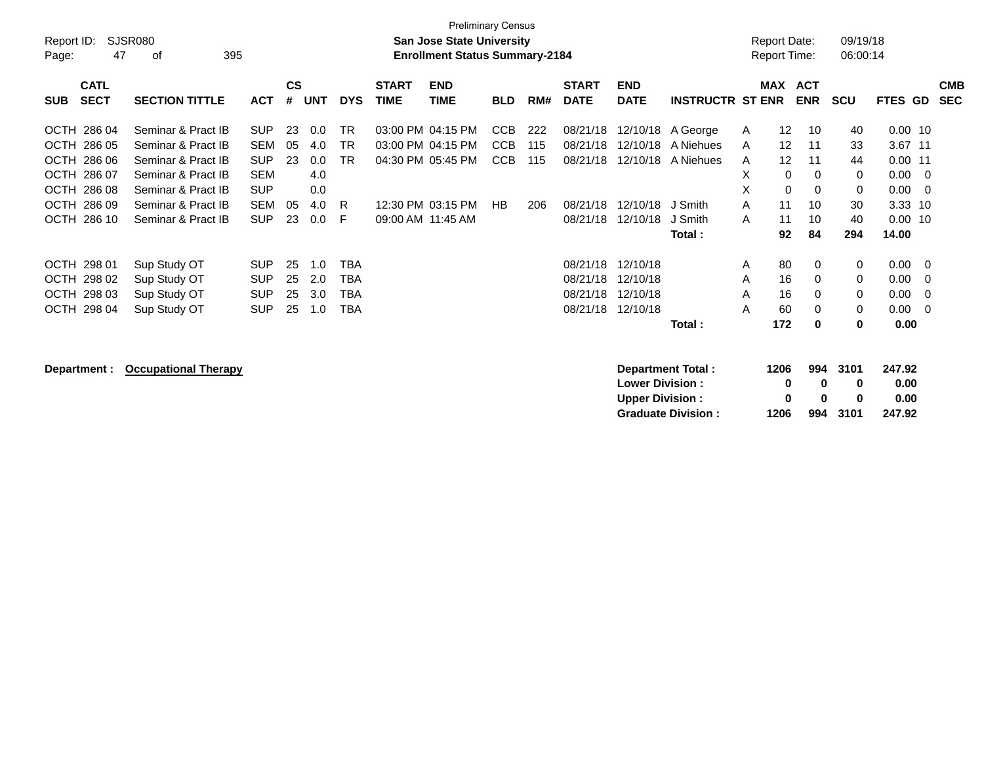| Report ID:<br>Page:                      | 47     | <b>SJSR080</b><br>395<br>of |            |                    |            |            |                             | <b>Preliminary Census</b><br><b>San Jose State University</b><br><b>Enrollment Status Summary-2184</b> |            |     |                             |                                                                       |                         |            | <b>Report Date:</b><br><b>Report Time:</b> |               | 09/19/18<br>06:00:14 |                        |                |                          |
|------------------------------------------|--------|-----------------------------|------------|--------------------|------------|------------|-----------------------------|--------------------------------------------------------------------------------------------------------|------------|-----|-----------------------------|-----------------------------------------------------------------------|-------------------------|------------|--------------------------------------------|---------------|----------------------|------------------------|----------------|--------------------------|
| <b>CATL</b><br><b>SECT</b><br><b>SUB</b> |        | <b>SECTION TITTLE</b>       | <b>ACT</b> | $\mathsf{cs}$<br># | <b>UNT</b> | <b>DYS</b> | <b>START</b><br><b>TIME</b> | <b>END</b><br><b>TIME</b>                                                                              | <b>BLD</b> | RM# | <b>START</b><br><b>DATE</b> | <b>END</b><br><b>DATE</b>                                             | <b>INSTRUCTR ST ENR</b> | <b>MAX</b> | <b>ACT</b><br><b>ENR</b>                   | <b>SCU</b>    |                      | FTES GD                |                | <b>CMB</b><br><b>SEC</b> |
| OCTH 286 04                              |        | Seminar & Pract IB          | <b>SUP</b> | 23                 | 0.0        | <b>TR</b>  | 03:00 PM 04:15 PM           |                                                                                                        | <b>CCB</b> | 222 | 08/21/18                    | 12/10/18                                                              | A George                | A          | 12<br>10                                   |               | 40                   | $0.00$ 10              |                |                          |
| OCTH 286 05                              |        | Seminar & Pract IB          | <b>SEM</b> | 05                 | 4.0        | TR.        | 03:00 PM 04:15 PM           |                                                                                                        | <b>CCB</b> | 115 | 08/21/18                    | 12/10/18                                                              | A Niehues               | A          | 12<br>11                                   |               | 33                   | 3.67 11                |                |                          |
| OCTH 286 06                              |        | Seminar & Pract IB          | <b>SUP</b> | 23                 | 0.0        | <b>TR</b>  | 04:30 PM 05:45 PM           |                                                                                                        | <b>CCB</b> | 115 | 08/21/18                    | 12/10/18                                                              | A Niehues               | A          | 12<br>11                                   |               | 44                   | $0.00$ 11              |                |                          |
| OCTH 286 07                              |        | Seminar & Pract IB          | <b>SEM</b> |                    | 4.0        |            |                             |                                                                                                        |            |     |                             |                                                                       |                         | X          | 0<br>$\Omega$                              |               | 0                    | 0.00                   | $\Omega$       |                          |
| <b>OCTH</b>                              | 286 08 | Seminar & Pract IB          | <b>SUP</b> |                    | 0.0        |            |                             |                                                                                                        |            |     |                             |                                                                       |                         | X          | 0<br>0                                     |               | 0                    | 0.00                   | 0              |                          |
| OCTH 286 09                              |        | Seminar & Pract IB          | <b>SEM</b> | 05                 | 4.0        | R          |                             | 12:30 PM 03:15 PM                                                                                      | <b>HB</b>  | 206 | 08/21/18                    | 12/10/18                                                              | J Smith                 | A          | 11<br>10                                   |               | 30                   | 3.33                   | -10            |                          |
| OCTH 286 10                              |        | Seminar & Pract IB          | <b>SUP</b> | 23                 | 0.0        | F          | 09:00 AM 11:45 AM           |                                                                                                        |            |     | 08/21/18                    | 12/10/18                                                              | J Smith                 | A          | 10<br>11                                   |               | 40                   | $0.00$ 10              |                |                          |
|                                          |        |                             |            |                    |            |            |                             |                                                                                                        |            |     |                             |                                                                       | Total:                  |            | 84<br>92                                   |               | 294                  | 14.00                  |                |                          |
| OCTH 298 01                              |        | Sup Study OT                | <b>SUP</b> | 25                 | 1.0        | TBA        |                             |                                                                                                        |            |     | 08/21/18                    | 12/10/18                                                              |                         | A          | 80<br>0                                    |               | 0                    | 0.00                   | $\overline{0}$ |                          |
| OCTH 298 02                              |        | Sup Study OT                | <b>SUP</b> | 25                 | 2.0        | <b>TBA</b> |                             |                                                                                                        |            |     | 08/21/18                    | 12/10/18                                                              |                         | A          | 16                                         | 0             | 0                    | 0.00                   | 0              |                          |
| <b>OCTH</b>                              | 298 03 | Sup Study OT                | <b>SUP</b> | 25                 | 3.0        | <b>TBA</b> |                             |                                                                                                        |            |     | 08/21/18                    | 12/10/18                                                              |                         | A          | 16                                         | 0             | 0                    | 0.00                   | $\Omega$       |                          |
| OCTH 298 04                              |        | Sup Study OT                | <b>SUP</b> | 25                 | 1.0        | <b>TBA</b> |                             |                                                                                                        |            |     | 08/21/18                    | 12/10/18                                                              |                         | A          | 60<br>0                                    |               | 0                    | 0.00                   | 0              |                          |
|                                          |        |                             |            |                    |            |            |                             |                                                                                                        |            |     |                             |                                                                       | Total:                  |            | 172<br>0                                   |               | 0                    | 0.00                   |                |                          |
| Department :                             |        | <b>Occupational Therapy</b> |            |                    |            |            |                             |                                                                                                        |            |     |                             | Department Total:<br><b>Lower Division:</b><br><b>Upper Division:</b> |                         | 1206       | 0<br>0                                     | 994<br>0<br>0 | 3101<br>0<br>0       | 247.92<br>0.00<br>0.00 |                |                          |

**Upper Division : <br>
Graduate Division : <br>
1206 994 3101 247.92<br>
1206 994 3101 247.92** 

**Graduate Division : 1206 994 3101 247.92**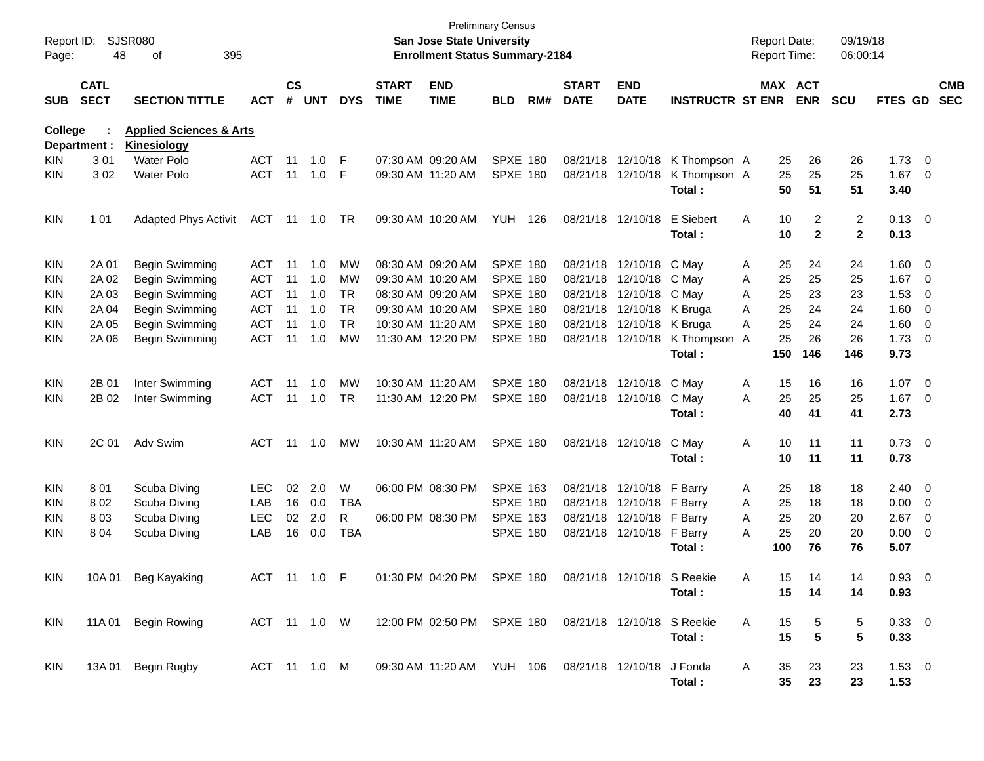| Report ID:<br>Page: | 48                         | <b>SJSR080</b><br>395<br>of                       |              |                    |            |            |                             | <b>San Jose State University</b><br><b>Enrollment Status Summary-2184</b> | <b>Preliminary Census</b> |     |                             |                           |                            |   | <b>Report Date:</b><br>Report Time: |                       | 09/19/18<br>06:00:14 |                    |                          |                          |
|---------------------|----------------------------|---------------------------------------------------|--------------|--------------------|------------|------------|-----------------------------|---------------------------------------------------------------------------|---------------------------|-----|-----------------------------|---------------------------|----------------------------|---|-------------------------------------|-----------------------|----------------------|--------------------|--------------------------|--------------------------|
| <b>SUB</b>          | <b>CATL</b><br><b>SECT</b> | <b>SECTION TITTLE</b>                             | <b>ACT</b>   | $\mathsf{cs}$<br># | <b>UNT</b> | <b>DYS</b> | <b>START</b><br><b>TIME</b> | <b>END</b><br><b>TIME</b>                                                 | <b>BLD</b>                | RM# | <b>START</b><br><b>DATE</b> | <b>END</b><br><b>DATE</b> | <b>INSTRUCTR ST ENR</b>    |   |                                     | MAX ACT<br><b>ENR</b> | <b>SCU</b>           | <b>FTES GD</b>     |                          | <b>CMB</b><br><b>SEC</b> |
| <b>College</b>      | Department :               | <b>Applied Sciences &amp; Arts</b><br>Kinesiology |              |                    |            |            |                             |                                                                           |                           |     |                             |                           |                            |   |                                     |                       |                      |                    |                          |                          |
| KIN                 | 301                        | <b>Water Polo</b>                                 | <b>ACT</b>   | 11                 | 1.0        | F          |                             | 07:30 AM 09:20 AM                                                         | <b>SPXE 180</b>           |     |                             | 08/21/18 12/10/18         | K Thompson A               |   | 25                                  | 26                    | 26                   | 1.73               | $\overline{\phantom{0}}$ |                          |
| KIN                 | 302                        | <b>Water Polo</b>                                 | <b>ACT</b>   | 11                 | 1.0        | F          |                             | 09:30 AM 11:20 AM                                                         | <b>SPXE 180</b>           |     |                             | 08/21/18 12/10/18         | K Thompson A<br>Total:     |   | 25<br>50                            | 25<br>51              | 25<br>51             | 1.67<br>3.40       | - 0                      |                          |
| KIN                 | 1 0 1                      | <b>Adapted Phys Activit</b>                       | <b>ACT</b>   | 11                 | 1.0        | TR.        |                             | 09:30 AM 10:20 AM                                                         | YUH                       | 126 |                             | 08/21/18 12/10/18         | E Siebert<br>Total:        | Α | 10<br>10                            | 2<br>$\mathbf{2}$     | 2<br>$\mathbf{2}$    | $0.13 \ 0$<br>0.13 |                          |                          |
| KIN                 | 2A 01                      | Begin Swimming                                    | ACT          | 11                 | 1.0        | МW         |                             | 08:30 AM 09:20 AM                                                         | <b>SPXE 180</b>           |     |                             | 08/21/18 12/10/18         | C May                      | Α | 25                                  | 24                    | 24                   | 1.60               | $\overline{\phantom{0}}$ |                          |
| KIN                 | 2A 02                      | Begin Swimming                                    | <b>ACT</b>   | 11                 | 1.0        | MW         |                             | 09:30 AM 10:20 AM                                                         | <b>SPXE 180</b>           |     |                             | 08/21/18 12/10/18         | C May                      | Α | 25                                  | 25                    | 25                   | 1.67               | - 0                      |                          |
| KIN                 | 2A 03                      | Begin Swimming                                    | <b>ACT</b>   | 11                 | 1.0        | <b>TR</b>  |                             | 08:30 AM 09:20 AM                                                         | <b>SPXE 180</b>           |     |                             | 08/21/18 12/10/18         | C May                      | Α | 25                                  | 23                    | 23                   | 1.53               | 0                        |                          |
| KIN                 | 2A 04                      | Begin Swimming                                    | <b>ACT</b>   | 11                 | 1.0        | <b>TR</b>  |                             | 09:30 AM 10:20 AM                                                         | <b>SPXE 180</b>           |     |                             | 08/21/18 12/10/18         | K Bruga                    | A | 25                                  | 24                    | 24                   | 1.60               | 0                        |                          |
| KIN                 | 2A 05                      | Begin Swimming                                    | <b>ACT</b>   | 11                 | 1.0        | <b>TR</b>  |                             | 10:30 AM 11:20 AM                                                         | <b>SPXE 180</b>           |     |                             | 08/21/18 12/10/18         | K Bruga                    | A | 25                                  | 24                    | 24                   | 1.60               | 0                        |                          |
| KIN                 | 2A 06                      | Begin Swimming                                    | <b>ACT</b>   | 11                 | 1.0        | МW         |                             | 11:30 AM 12:20 PM                                                         | <b>SPXE 180</b>           |     |                             | 08/21/18 12/10/18         | K Thompson                 | A | 25                                  | 26                    | 26                   | 1.73               | $\overline{\phantom{0}}$ |                          |
|                     |                            |                                                   |              |                    |            |            |                             |                                                                           |                           |     |                             |                           | Total:                     |   | 150                                 | 146                   | 146                  | 9.73               |                          |                          |
| <b>KIN</b>          | 2B 01                      | Inter Swimming                                    | <b>ACT</b>   | 11                 | 1.0        | MW         |                             | 10:30 AM 11:20 AM                                                         | <b>SPXE 180</b>           |     |                             | 08/21/18 12/10/18         | C May                      | Α | 15                                  | 16                    | 16                   | 1.07               | $\overline{\mathbf{0}}$  |                          |
| KIN                 | 2B 02                      | Inter Swimming                                    | <b>ACT</b>   | 11                 | 1.0        | <b>TR</b>  |                             | 11:30 AM 12:20 PM                                                         | <b>SPXE 180</b>           |     |                             | 08/21/18 12/10/18         | C May                      | A | 25                                  | 25                    | 25                   | 1.67               | $\overline{\phantom{0}}$ |                          |
|                     |                            |                                                   |              |                    |            |            |                             |                                                                           |                           |     |                             |                           | Total:                     |   | 40                                  | 41                    | 41                   | 2.73               |                          |                          |
| <b>KIN</b>          | 2C 01                      | Adv Swim                                          | ACT          | 11                 | 1.0        | МW         |                             | 10:30 AM 11:20 AM                                                         | <b>SPXE 180</b>           |     |                             | 08/21/18 12/10/18         | C May                      | Α | 10                                  | 11                    | 11                   | $0.73 \ 0$         |                          |                          |
|                     |                            |                                                   |              |                    |            |            |                             |                                                                           |                           |     |                             |                           | Total:                     |   | 10                                  | 11                    | 11                   | 0.73               |                          |                          |
| KIN                 | 801                        | Scuba Diving                                      | <b>LEC</b>   | 02                 | 2.0        | W          |                             | 06:00 PM 08:30 PM                                                         | <b>SPXE 163</b>           |     |                             | 08/21/18 12/10/18         | F Barry                    | A | 25                                  | 18                    | 18                   | $2.40 \quad 0$     |                          |                          |
| KIN                 | 802                        | Scuba Diving                                      | LAB          | 16                 | 0.0        | TBA        |                             |                                                                           | <b>SPXE 180</b>           |     |                             | 08/21/18 12/10/18         | F Barry                    | Α | 25                                  | 18                    | 18                   | 0.00               | - 0                      |                          |
| KIN                 | 803                        | Scuba Diving                                      | LEC          | 02                 | 2.0        | R          |                             | 06:00 PM 08:30 PM                                                         | <b>SPXE 163</b>           |     |                             | 08/21/18 12/10/18         | F Barry                    | Α | 25                                  | 20                    | 20                   | 2.67               | 0                        |                          |
| KIN                 | 804                        | Scuba Diving                                      | LAB          | 16                 | 0.0        | <b>TBA</b> |                             |                                                                           | <b>SPXE 180</b>           |     |                             | 08/21/18 12/10/18         | F Barry                    | A | 25                                  | 20                    | 20                   | 0.00               | 0                        |                          |
|                     |                            |                                                   |              |                    |            |            |                             |                                                                           |                           |     |                             |                           | Total:                     |   | 100                                 | 76                    | 76                   | 5.07               |                          |                          |
| KIN                 | 10A 01                     | Beg Kayaking                                      | ACT 11 1.0 F |                    |            |            |                             | 01:30 PM 04:20 PM                                                         | <b>SPXE 180</b>           |     |                             |                           | 08/21/18 12/10/18 S Reekie | A | 15                                  | 14                    | 14                   | 0.93               | - 0                      |                          |
|                     |                            |                                                   |              |                    |            |            |                             |                                                                           |                           |     |                             |                           | Total:                     |   | 15                                  | 14                    | 14                   | 0.93               |                          |                          |
| KIN                 | 11A 01                     | <b>Begin Rowing</b>                               |              |                    |            |            |                             | ACT 11 1.0 W 12:00 PM 02:50 PM SPXE 180 08/21/18 12/10/18 S Reekie        |                           |     |                             |                           |                            | A | 15                                  | 5                     | 5                    | $0.33 \ 0$         |                          |                          |
|                     |                            |                                                   |              |                    |            |            |                             |                                                                           |                           |     |                             |                           | Total:                     |   | 15                                  | 5                     | 5                    | 0.33               |                          |                          |
| KIN                 |                            | 13A 01 Begin Rugby                                | ACT 11 1.0 M |                    |            |            |                             | 09:30 AM 11:20 AM YUH 106 08/21/18 12/10/18 J Fonda                       |                           |     |                             |                           |                            | A | 35                                  | 23                    | 23                   | $1.53 \t 0$        |                          |                          |
|                     |                            |                                                   |              |                    |            |            |                             |                                                                           |                           |     |                             |                           | Total:                     |   | $35\,$                              | 23                    | 23                   | 1.53               |                          |                          |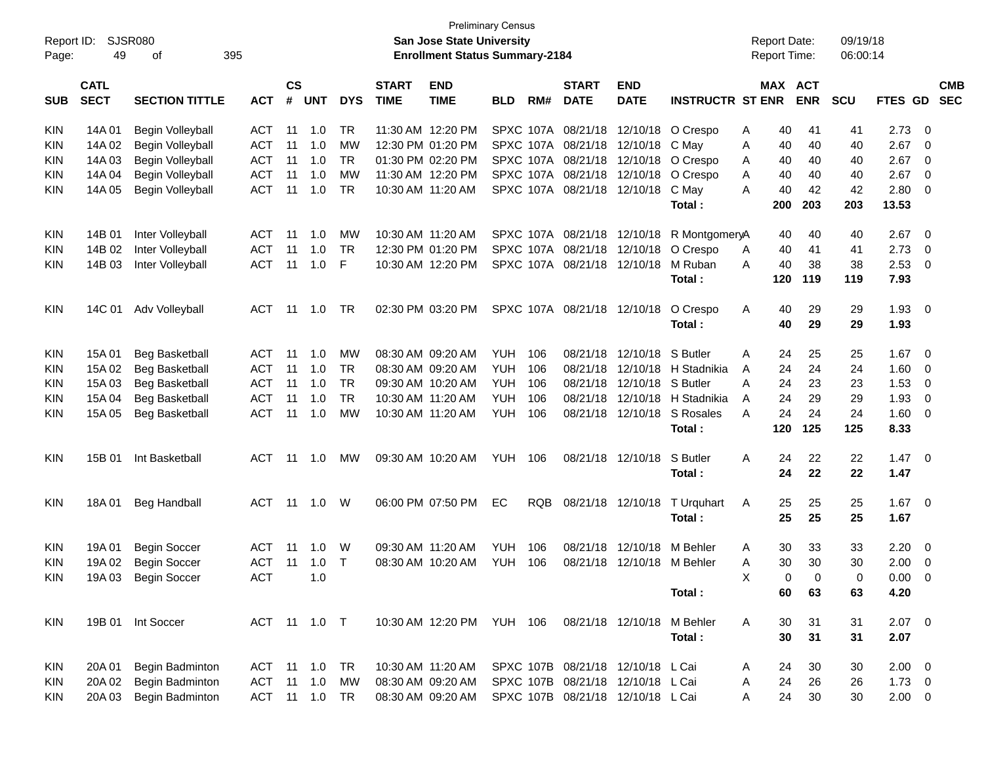| Report ID: |                            | <b>Preliminary Census</b><br>SJSR080<br><b>San Jose State University</b><br><b>Report Date:</b><br><b>Enrollment Status Summary-2184</b> |               |                    |                |            |                             |                           |            |     |                             |                                   |                                      |                     |                            | 09/19/18   |             |                         |            |
|------------|----------------------------|------------------------------------------------------------------------------------------------------------------------------------------|---------------|--------------------|----------------|------------|-----------------------------|---------------------------|------------|-----|-----------------------------|-----------------------------------|--------------------------------------|---------------------|----------------------------|------------|-------------|-------------------------|------------|
| Page:      | 49                         | οf                                                                                                                                       | 395           |                    |                |            |                             |                           |            |     |                             |                                   |                                      | <b>Report Time:</b> |                            | 06:00:14   |             |                         |            |
| <b>SUB</b> | <b>CATL</b><br><b>SECT</b> | <b>SECTION TITTLE</b>                                                                                                                    | <b>ACT</b>    | $\mathsf{cs}$<br># | <b>UNT</b>     | <b>DYS</b> | <b>START</b><br><b>TIME</b> | <b>END</b><br><b>TIME</b> | <b>BLD</b> | RM# | <b>START</b><br><b>DATE</b> | <b>END</b><br><b>DATE</b>         | <b>INSTRUCTR ST ENR</b>              |                     | MAX ACT<br><b>ENR</b>      | <b>SCU</b> | FTES GD SEC |                         | <b>CMB</b> |
| <b>KIN</b> | 14A 01                     | Begin Volleyball                                                                                                                         | ACT           | 11                 | 1.0            | TR         |                             | 11:30 AM 12:20 PM         |            |     |                             |                                   | SPXC 107A 08/21/18 12/10/18 O Crespo | 40<br>A             | 41                         | 41         | 2.73        | - 0                     |            |
| <b>KIN</b> | 14A 02                     | Begin Volleyball                                                                                                                         | <b>ACT</b>    | 11                 | 1.0            | MW         |                             | 12:30 PM 01:20 PM         |            |     | SPXC 107A 08/21/18 12/10/18 |                                   | C May                                | 40<br>A             | 40                         | 40         | 2.67        | $\overline{0}$          |            |
| <b>KIN</b> | 14A 03                     | Begin Volleyball                                                                                                                         | <b>ACT</b>    | 11                 | 1.0            | <b>TR</b>  |                             | 01:30 PM 02:20 PM         |            |     | SPXC 107A 08/21/18 12/10/18 |                                   | O Crespo                             | 40<br>A             | 40                         | 40         | 2.67        | $\overline{0}$          |            |
| <b>KIN</b> | 14A 04                     | Begin Volleyball                                                                                                                         | <b>ACT</b>    | 11                 | 1.0            | <b>MW</b>  |                             | 11:30 AM 12:20 PM         |            |     | SPXC 107A 08/21/18 12/10/18 |                                   | O Crespo                             | 40<br>A             | 40                         | 40         | 2.67        | 0                       |            |
| <b>KIN</b> | 14A 05                     | Begin Volleyball                                                                                                                         | <b>ACT</b>    | 11                 | 1.0            | <b>TR</b>  |                             | 10:30 AM 11:20 AM         |            |     | SPXC 107A 08/21/18 12/10/18 |                                   | C May                                | 40<br>A             | 42                         | 42         | 2.80        | $\overline{0}$          |            |
|            |                            |                                                                                                                                          |               |                    |                |            |                             |                           |            |     |                             |                                   | Total:                               | 200                 | 203                        | 203        | 13.53       |                         |            |
| <b>KIN</b> | 14B 01                     | Inter Volleyball                                                                                                                         | ACT           | -11                | 1.0            | MW         |                             | 10:30 AM 11:20 AM         |            |     |                             | SPXC 107A 08/21/18 12/10/18       | R MontgomeryA                        |                     | 40<br>40                   | 40         | 2.67        | $\overline{0}$          |            |
| <b>KIN</b> | 14B 02                     | Inter Volleyball                                                                                                                         | <b>ACT</b>    | -11                | 1.0            | <b>TR</b>  |                             | 12:30 PM 01:20 PM         |            |     | SPXC 107A 08/21/18 12/10/18 |                                   | O Crespo                             | 40<br>Α             | 41                         | 41         | 2.73        | - 0                     |            |
| <b>KIN</b> | 14B 03                     | Inter Volleyball                                                                                                                         | <b>ACT</b>    | 11                 | 1.0            | F          |                             | 10:30 AM 12:20 PM         |            |     | SPXC 107A 08/21/18 12/10/18 |                                   | M Ruban                              | 40<br>A             | 38                         | 38         | 2.53        | - 0                     |            |
|            |                            |                                                                                                                                          |               |                    |                |            |                             |                           |            |     |                             |                                   | Total:                               | 120                 | 119                        | 119        | 7.93        |                         |            |
| <b>KIN</b> | 14C 01                     | Adv Volleyball                                                                                                                           | ACT           | - 11               | 1.0            | TR.        |                             | 02:30 PM 03:20 PM         |            |     | SPXC 107A 08/21/18 12/10/18 |                                   | O Crespo                             | A                   | 29<br>40                   | 29         | 1.93        | $\overline{\mathbf{0}}$ |            |
|            |                            |                                                                                                                                          |               |                    |                |            |                             |                           |            |     |                             |                                   | Total:                               |                     | 40<br>29                   | 29         | 1.93        |                         |            |
| <b>KIN</b> | 15A 01                     | <b>Beg Basketball</b>                                                                                                                    | ACT           | 11                 | 1.0            | MW         |                             | 08:30 AM 09:20 AM         | YUH        | 106 | 08/21/18                    | 12/10/18                          | S Butler                             | Α                   | 25<br>24                   | 25         | 1.67        | $\overline{\mathbf{0}}$ |            |
| <b>KIN</b> | 15A 02                     | <b>Beg Basketball</b>                                                                                                                    | <b>ACT</b>    | 11                 | 1.0            | <b>TR</b>  |                             | 08:30 AM 09:20 AM         | YUH        | 106 | 08/21/18                    | 12/10/18                          | H Stadnikia                          | 24<br>A             | 24                         | 24         | 1.60        | $\overline{0}$          |            |
| <b>KIN</b> | 15A 03                     | Beg Basketball                                                                                                                           | <b>ACT</b>    | 11                 | 1.0            | <b>TR</b>  |                             | 09:30 AM 10:20 AM         | YUH        | 106 | 08/21/18                    | 12/10/18                          | S Butler                             | 24<br>A             | 23                         | 23         | 1.53        | $\overline{0}$          |            |
| <b>KIN</b> | 15A 04                     | Beg Basketball                                                                                                                           | <b>ACT</b>    | 11                 | 1.0            | <b>TR</b>  |                             | 10:30 AM 11:20 AM         | <b>YUH</b> | 106 | 08/21/18                    | 12/10/18                          | H Stadnikia                          | 24<br>A             | 29                         | 29         | 1.93        | $\overline{0}$          |            |
| <b>KIN</b> | 15A 05                     | <b>Beg Basketball</b>                                                                                                                    | <b>ACT</b>    | 11                 | 1.0            | <b>MW</b>  |                             | 10:30 AM 11:20 AM         | YUH        | 106 |                             | 08/21/18 12/10/18                 | S Rosales                            | A                   | 24<br>24                   | 24         | 1.60        | $\overline{\mathbf{0}}$ |            |
|            |                            |                                                                                                                                          |               |                    |                |            |                             |                           |            |     |                             |                                   | Total:                               | 120                 | 125                        | 125        | 8.33        |                         |            |
| <b>KIN</b> | 15B 01                     | Int Basketball                                                                                                                           | ACT           | - 11               | 1.0            | МW         |                             | 09:30 AM 10:20 AM         | YUH 106    |     |                             | 08/21/18 12/10/18                 | S Butler                             | 24<br>A             | 22                         | 22         | 1.47        | $\overline{\mathbf{0}}$ |            |
|            |                            |                                                                                                                                          |               |                    |                |            |                             |                           |            |     |                             |                                   | Total:                               |                     | 24<br>22                   | 22         | 1.47        |                         |            |
| <b>KIN</b> | 18A 01                     | <b>Beg Handball</b>                                                                                                                      | ACT           | - 11               | 1.0            | W          |                             | 06:00 PM 07:50 PM         | EC         | RQB |                             | 08/21/18 12/10/18                 | T Urquhart                           | 25<br>A             | 25                         | 25         | 1.67        | $\overline{\mathbf{0}}$ |            |
|            |                            |                                                                                                                                          |               |                    |                |            |                             |                           |            |     |                             |                                   | Total:                               |                     | 25<br>25                   | 25         | 1.67        |                         |            |
| <b>KIN</b> | 19A 01                     | <b>Begin Soccer</b>                                                                                                                      | ACT           | -11                | 1.0            | W          |                             | 09:30 AM 11:20 AM         | <b>YUH</b> | 106 | 08/21/18                    | 12/10/18                          | M Behler                             | Α                   | 30<br>33                   | 33         | 2.20        | $\overline{\mathbf{0}}$ |            |
| <b>KIN</b> | 19A 02                     | <b>Begin Soccer</b>                                                                                                                      | <b>ACT</b>    |                    | $11 \quad 1.0$ | $\top$     |                             | 08:30 AM 10:20 AM         | YUH        | 106 |                             | 08/21/18 12/10/18 M Behler        |                                      | Α                   | 30<br>30                   | 30         | 2.00        | $\overline{0}$          |            |
| KIN        |                            | 19A 03 Begin Soccer                                                                                                                      | ACT           |                    | 1.0            |            |                             |                           |            |     |                             |                                   |                                      | Χ                   | $\mathbf 0$<br>$\mathbf 0$ | 0          | $0.00 \t 0$ |                         |            |
|            |                            |                                                                                                                                          |               |                    |                |            |                             |                           |            |     |                             |                                   | Total:                               |                     | 60<br>63                   | 63         | 4.20        |                         |            |
| KIN        |                            | 19B 01 Int Soccer                                                                                                                        | ACT 11 1.0 T  |                    |                |            |                             | 10:30 AM 12:20 PM YUH 106 |            |     |                             | 08/21/18 12/10/18                 | M Behler                             | A                   | 30<br>31                   | 31         | $2.07$ 0    |                         |            |
|            |                            |                                                                                                                                          |               |                    |                |            |                             |                           |            |     |                             |                                   | Total:                               |                     | 30<br>31                   | 31         | 2.07        |                         |            |
| KIN        | 20A 01                     | Begin Badminton                                                                                                                          | ACT 11 1.0 TR |                    |                |            |                             | 10:30 AM 11:20 AM         |            |     |                             | SPXC 107B 08/21/18 12/10/18 L Cai |                                      | 24<br>A             | 30                         | 30         | $2.00 \t 0$ |                         |            |
| <b>KIN</b> | 20A 02                     | Begin Badminton                                                                                                                          | ACT           |                    | $11 \quad 1.0$ | МW         |                             | 08:30 AM 09:20 AM         |            |     |                             | SPXC 107B 08/21/18 12/10/18 L Cai |                                      | 24<br>A             | 26                         | 26         | $1.73 \t 0$ |                         |            |
| <b>KIN</b> | 20A 03                     | Begin Badminton                                                                                                                          | ACT 11 1.0 TR |                    |                |            |                             | 08:30 AM 09:20 AM         |            |     |                             | SPXC 107B 08/21/18 12/10/18 L Cai |                                      | A                   | 24<br>30                   | 30         | $2.00 \t 0$ |                         |            |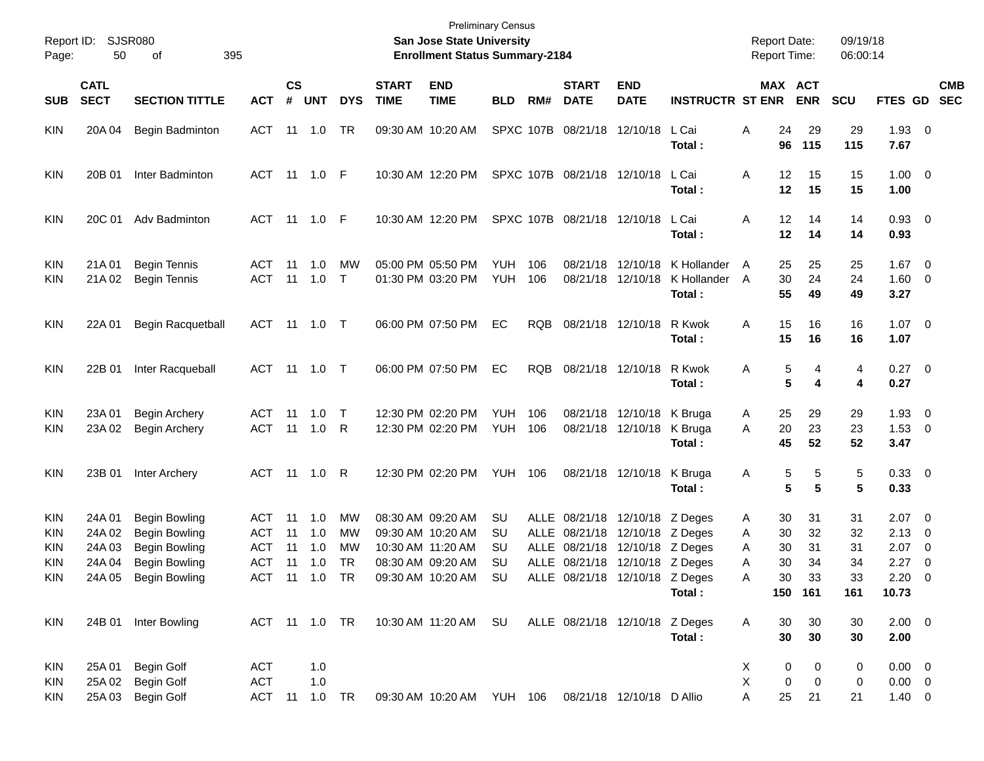| Report ID:<br>Page:                    | 50                                   | SJSR080<br>395<br>οf                                                                                                 |                                                  |                      |                          |                      |                             | San Jose State University<br><b>Enrollment Status Summary-2184</b>                                                                      | <b>Preliminary Census</b>   |            |                             |                                                                                                                                      |                                      | <b>Report Date:</b><br><b>Report Time:</b>          |                                          | 09/19/18<br>06:00:14              |                                                                |                                                                                 |
|----------------------------------------|--------------------------------------|----------------------------------------------------------------------------------------------------------------------|--------------------------------------------------|----------------------|--------------------------|----------------------|-----------------------------|-----------------------------------------------------------------------------------------------------------------------------------------|-----------------------------|------------|-----------------------------|--------------------------------------------------------------------------------------------------------------------------------------|--------------------------------------|-----------------------------------------------------|------------------------------------------|-----------------------------------|----------------------------------------------------------------|---------------------------------------------------------------------------------|
| <b>SUB</b>                             | <b>CATL</b><br><b>SECT</b>           | <b>SECTION TITTLE</b>                                                                                                | <b>ACT</b>                                       | <b>CS</b><br>#       | <b>UNT</b>               | <b>DYS</b>           | <b>START</b><br><b>TIME</b> | <b>END</b><br><b>TIME</b>                                                                                                               | <b>BLD</b>                  | RM#        | <b>START</b><br><b>DATE</b> | <b>END</b><br><b>DATE</b>                                                                                                            | <b>INSTRUCTR ST ENR</b>              |                                                     | MAX ACT<br><b>ENR</b>                    | <b>SCU</b>                        |                                                                | <b>CMB</b><br>FTES GD SEC                                                       |
| <b>KIN</b>                             | 20A 04                               | <b>Begin Badminton</b>                                                                                               | ACT                                              |                      | 11  1.0                  | TR                   |                             | 09:30 AM 10:20 AM                                                                                                                       |                             |            | SPXC 107B 08/21/18 12/10/18 |                                                                                                                                      | L Cai<br>Total:                      | Α<br>24<br>96                                       | 29<br>115                                | 29<br>115                         | $1.93$ 0<br>7.67                                               |                                                                                 |
| KIN                                    | 20B 01                               | Inter Badminton                                                                                                      | ACT 11 1.0 F                                     |                      |                          |                      |                             | 10:30 AM 12:20 PM                                                                                                                       |                             |            | SPXC 107B 08/21/18 12/10/18 |                                                                                                                                      | L Cai<br>Total:                      | Α<br>12<br>12                                       | 15<br>15                                 | 15<br>15                          | $1.00 \t 0$<br>1.00                                            |                                                                                 |
| <b>KIN</b>                             | 20C 01                               | Adv Badminton                                                                                                        | ACT 11 1.0 F                                     |                      |                          |                      |                             | 10:30 AM 12:20 PM                                                                                                                       |                             |            | SPXC 107B 08/21/18 12/10/18 |                                                                                                                                      | L Cai<br>Total:                      | 12<br>Α<br>12                                       | 14<br>14                                 | 14<br>14                          | 0.93 0<br>0.93                                                 |                                                                                 |
| KIN<br>KIN                             | 21A 01<br>21A 02                     | <b>Begin Tennis</b><br><b>Begin Tennis</b>                                                                           | ACT<br><b>ACT</b>                                | 11                   | 1.0<br>$11 \quad 1.0$    | MW<br>$\mathsf{T}$   |                             | 05:00 PM 05:50 PM<br>01:30 PM 03:20 PM                                                                                                  | <b>YUH</b><br><b>YUH</b>    | 106<br>106 |                             | 08/21/18 12/10/18<br>08/21/18 12/10/18                                                                                               | K Hollander<br>K Hollander<br>Total: | 25<br>A<br>30<br>A<br>55                            | 25<br>24<br>49                           | 25<br>24<br>49                    | $1.67$ 0<br>$1.60 \t 0$<br>3.27                                |                                                                                 |
| KIN                                    | 22A 01                               | <b>Begin Racquetball</b>                                                                                             | ACT 11 1.0 T                                     |                      |                          |                      |                             | 06:00 PM 07:50 PM                                                                                                                       | EC                          | <b>RQB</b> |                             | 08/21/18 12/10/18                                                                                                                    | R Kwok<br>Total:                     | 15<br>Α<br>15                                       | 16<br>16                                 | 16<br>16                          | $1.07 \t 0$<br>1.07                                            |                                                                                 |
| KIN                                    | 22B 01                               | Inter Racqueball                                                                                                     | ACT 11 1.0 T                                     |                      |                          |                      |                             | 06:00 PM 07:50 PM                                                                                                                       | EC                          | <b>RQB</b> |                             | 08/21/18 12/10/18                                                                                                                    | R Kwok<br>Total:                     | Α                                                   | 5<br>4<br>5<br>4                         | 4<br>4                            | $0.27$ 0<br>0.27                                               |                                                                                 |
| KIN<br>KIN                             | 23A 01<br>23A 02                     | <b>Begin Archery</b><br>Begin Archery                                                                                | ACT<br><b>ACT</b>                                | 11                   | 1.0<br>11 1.0            | $\top$<br>R          |                             | 12:30 PM 02:20 PM<br>12:30 PM 02:20 PM                                                                                                  | <b>YUH</b><br>YUH           | 106<br>106 |                             | 08/21/18 12/10/18<br>08/21/18 12/10/18                                                                                               | K Bruga<br>K Bruga<br>Total:         | 25<br>A<br>20<br>A<br>45                            | 29<br>23<br>52                           | 29<br>23<br>52                    | $1.93 \ 0$<br>$1.53 \t 0$<br>3.47                              |                                                                                 |
| KIN                                    | 23B 01                               | Inter Archery                                                                                                        | ACT 11 1.0                                       |                      |                          | R                    |                             | 12:30 PM 02:20 PM                                                                                                                       | YUH                         | 106        |                             | 08/21/18 12/10/18                                                                                                                    | K Bruga<br>Total:                    | A                                                   | 5<br>5<br>5<br>5                         | 5<br>5                            | 0.33 0<br>0.33                                                 |                                                                                 |
| KIN<br>KIN<br>KIN<br>KIN<br><b>KIN</b> | 24A 01<br>24A 02<br>24A 03<br>24A 04 | <b>Begin Bowling</b><br><b>Begin Bowling</b><br><b>Begin Bowling</b><br><b>Begin Bowling</b><br>24A 05 Begin Bowling | ACT<br><b>ACT</b><br>ACT<br>ACT<br>ACT 11 1.0 TR | 11<br>11<br>11<br>11 | 1.0<br>1.0<br>1.0<br>1.0 | MW<br>MW<br>MW<br>TR |                             | 08:30 AM 09:20 AM<br>09:30 AM 10:20 AM<br>10:30 AM 11:20 AM<br>08:30 AM 09:20 AM<br>09:30 AM 10:20 AM SU ALLE 08/21/18 12/10/18 Z Deges | SU<br>SU<br>SU<br><b>SU</b> |            |                             | ALLE 08/21/18 12/10/18 Z Deges<br>ALLE 08/21/18 12/10/18 Z Deges<br>ALLE 08/21/18 12/10/18 Z Deges<br>ALLE 08/21/18 12/10/18 Z Deges | Total:                               | 30<br>A<br>30<br>A<br>30<br>A<br>30<br>Α<br>Α<br>30 | 31<br>32<br>31<br>34<br>33<br>150 161    | 31<br>32<br>31<br>34<br>33<br>161 | $2.07 \quad 0$<br>2.13<br>2.07<br>2.27<br>$2.20 \t 0$<br>10.73 | $\overline{\phantom{0}}$<br>$\overline{\phantom{0}}$<br>$\overline{\mathbf{0}}$ |
| KIN                                    |                                      | 24B 01 Inter Bowling                                                                                                 | ACT 11 1.0 TR                                    |                      |                          |                      |                             | 10:30 AM 11:20 AM SU                                                                                                                    |                             |            |                             | ALLE 08/21/18 12/10/18 Z Deges                                                                                                       | Total:                               | 30<br>Α<br>30                                       | 30<br>30                                 | 30<br>30                          | $2.00 \t 0$<br>2.00                                            |                                                                                 |
| KIN<br>KIN<br><b>KIN</b>               | 25A 01<br>25A 02                     | Begin Golf<br><b>Begin Golf</b><br>25A 03 Begin Golf                                                                 | <b>ACT</b><br><b>ACT</b><br>ACT 11 1.0 TR        |                      | 1.0<br>1.0               |                      |                             | 09:30 AM 10:20 AM YUH 106                                                                                                               |                             |            |                             | 08/21/18 12/10/18 D Allio                                                                                                            |                                      | X<br>Χ<br>A<br>25                                   | 0<br>0<br>$\pmb{0}$<br>$\mathbf 0$<br>21 | 0<br>0<br>21                      | $0.00 \t 0$<br>$0.00 \t 0$<br>$1.40 \ 0$                       |                                                                                 |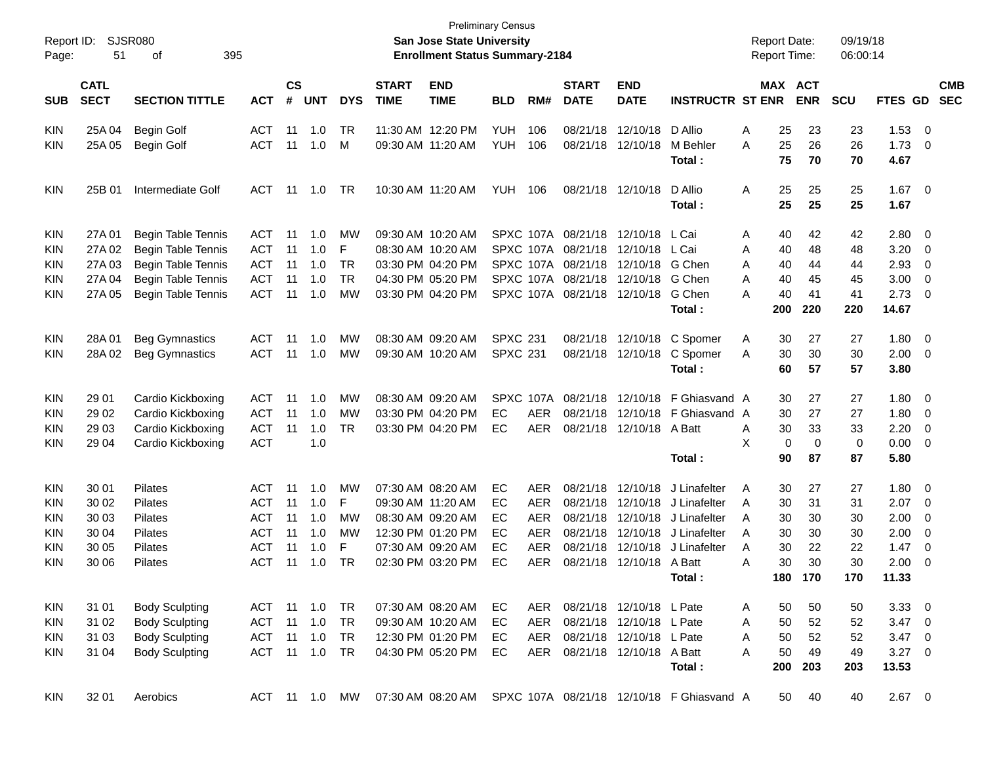| Report ID:<br>Page: | 51                         | <b>SJSR080</b><br>395<br>οf |               |                |            |            |                             | <b>San Jose State University</b><br><b>Enrollment Status Summary-2184</b> | <b>Preliminary Census</b> |            |                             |                                    |                                                             | <b>Report Date:</b><br><b>Report Time:</b> |                       | 09/19/18<br>06:00:14 |                |                          |                          |
|---------------------|----------------------------|-----------------------------|---------------|----------------|------------|------------|-----------------------------|---------------------------------------------------------------------------|---------------------------|------------|-----------------------------|------------------------------------|-------------------------------------------------------------|--------------------------------------------|-----------------------|----------------------|----------------|--------------------------|--------------------------|
| <b>SUB</b>          | <b>CATL</b><br><b>SECT</b> | <b>SECTION TITTLE</b>       | <b>ACT</b>    | <b>CS</b><br># | <b>UNT</b> | <b>DYS</b> | <b>START</b><br><b>TIME</b> | <b>END</b><br><b>TIME</b>                                                 | <b>BLD</b>                | RM#        | <b>START</b><br><b>DATE</b> | <b>END</b><br><b>DATE</b>          | <b>INSTRUCTR ST ENR</b>                                     |                                            | MAX ACT<br><b>ENR</b> | <b>SCU</b>           | FTES GD        |                          | <b>CMB</b><br><b>SEC</b> |
| <b>KIN</b>          | 25A 04                     | <b>Begin Golf</b>           | <b>ACT</b>    | 11             | 1.0        | TR         | 11:30 AM 12:20 PM           |                                                                           | <b>YUH</b>                | 106        | 08/21/18                    | 12/10/18 D Allio                   |                                                             | 25<br>Α                                    | 23                    | 23                   | 1.53           | $\overline{\phantom{0}}$ |                          |
| KIN                 | 25A 05                     | Begin Golf                  | <b>ACT</b>    | 11             | 1.0        | м          |                             | 09:30 AM 11:20 AM                                                         | <b>YUH</b>                | 106        | 08/21/18                    | 12/10/18                           | M Behler<br>Total :                                         | 25<br>Α<br>75                              | 26<br>70              | 26<br>70             | 1.73<br>4.67   | - 0                      |                          |
| <b>KIN</b>          | 25B 01                     | Intermediate Golf           | ACT           | 11             | 1.0        | TR         |                             | 10:30 AM 11:20 AM                                                         | <b>YUH</b>                | 106        |                             | 08/21/18 12/10/18                  | D Allio<br>Total :                                          | 25<br>Α<br>25                              | 25<br>25              | 25<br>25             | 1.67 0<br>1.67 |                          |                          |
| KIN                 | 27A 01                     | <b>Begin Table Tennis</b>   | <b>ACT</b>    | 11             | 1.0        | MW         | 09:30 AM 10:20 AM           |                                                                           |                           |            | SPXC 107A 08/21/18          | 12/10/18                           | L Cai                                                       | Α<br>40                                    | 42                    | 42                   | 2.80 0         |                          |                          |
| KIN                 | 27A 02                     | <b>Begin Table Tennis</b>   | <b>ACT</b>    | 11             | 1.0        | F          | 08:30 AM 10:20 AM           |                                                                           |                           |            | SPXC 107A 08/21/18          | 12/10/18                           | L Cai                                                       | 40<br>Α                                    | 48                    | 48                   | 3.20           | $\overline{\mathbf{0}}$  |                          |
| KIN                 | 27A 03                     | <b>Begin Table Tennis</b>   | <b>ACT</b>    | 11             | 1.0        | TR         |                             | 03:30 PM 04:20 PM                                                         |                           |            | SPXC 107A 08/21/18          | 12/10/18 G Chen                    |                                                             | 40<br>Α                                    | 44                    | 44                   | 2.93           | 0                        |                          |
| KIN                 | 27A 04                     | Begin Table Tennis          | <b>ACT</b>    | 11             | 1.0        | <b>TR</b>  |                             | 04:30 PM 05:20 PM                                                         |                           |            |                             | SPXC 107A 08/21/18 12/10/18 G Chen |                                                             | 40<br>A                                    | 45                    | 45                   | 3.00           | $\overline{\mathbf{0}}$  |                          |
| KIN                 | 27A 05                     | <b>Begin Table Tennis</b>   | <b>ACT</b>    | 11             | 1.0        | MW         |                             | 03:30 PM 04:20 PM                                                         |                           |            | SPXC 107A 08/21/18 12/10/18 |                                    | G Chen                                                      | 40<br>A                                    | 41                    | 41                   | 2.73           | - 0                      |                          |
|                     |                            |                             |               |                |            |            |                             |                                                                           |                           |            |                             |                                    | Total :                                                     | 200                                        | 220                   | 220                  | 14.67          |                          |                          |
| <b>KIN</b>          | 28A01                      | <b>Beg Gymnastics</b>       | <b>ACT</b>    | 11             | 1.0        | MW         | 08:30 AM 09:20 AM           |                                                                           | <b>SPXC 231</b>           |            |                             | 08/21/18 12/10/18                  | C Spomer                                                    | Α<br>30                                    | 27                    | 27                   | 1.80           | $\overline{\phantom{0}}$ |                          |
| KIN                 | 28A 02                     | <b>Beg Gymnastics</b>       | <b>ACT</b>    | 11             | 1.0        | MW         | 09:30 AM 10:20 AM           |                                                                           | <b>SPXC 231</b>           |            |                             | 08/21/18 12/10/18                  | C Spomer                                                    | 30<br>A                                    | 30                    | 30                   | 2.00           | $\overline{\phantom{0}}$ |                          |
|                     |                            |                             |               |                |            |            |                             |                                                                           |                           |            |                             |                                    | Total:                                                      | 60                                         | 57                    | 57                   | 3.80           |                          |                          |
| KIN                 | 29 01                      | Cardio Kickboxing           | <b>ACT</b>    | 11             | 1.0        | MW         | 08:30 AM 09:20 AM           |                                                                           |                           | SPXC 107A  | 08/21/18                    |                                    | 12/10/18 F Ghiasvand A                                      | 30                                         | 27                    | 27                   | 1.80 0         |                          |                          |
| KIN                 | 29 02                      | Cardio Kickboxing           | <b>ACT</b>    | 11             | 1.0        | MW         |                             | 03:30 PM 04:20 PM                                                         | EC                        | <b>AER</b> | 08/21/18                    |                                    | 12/10/18 F Ghiasvand A                                      | 30                                         | 27                    | 27                   | 1.80           | $\overline{\mathbf{0}}$  |                          |
| KIN                 | 29 03                      | Cardio Kickboxing           | <b>ACT</b>    | 11             | 1.0        | <b>TR</b>  |                             | 03:30 PM 04:20 PM                                                         | EC                        | <b>AER</b> | 08/21/18                    | 12/10/18 A Batt                    |                                                             | 30<br>A                                    | 33                    | 33                   | 2.20           | $\overline{\mathbf{0}}$  |                          |
| KIN                 | 29 04                      | Cardio Kickboxing           | <b>ACT</b>    |                | 1.0        |            |                             |                                                                           |                           |            |                             |                                    |                                                             | X                                          | 0<br>$\mathbf 0$      | 0                    | 0.00           | $\overline{\phantom{0}}$ |                          |
|                     |                            |                             |               |                |            |            |                             |                                                                           |                           |            |                             |                                    | Total:                                                      | 90                                         | 87                    | 87                   | 5.80           |                          |                          |
| KIN                 | 30 01                      | Pilates                     | <b>ACT</b>    | 11             | 1.0        | MW         | 07:30 AM 08:20 AM           |                                                                           | EC                        | <b>AER</b> | 08/21/18                    | 12/10/18                           | J Linafelter                                                | Α<br>30                                    | 27                    | 27                   | 1.80           | $\overline{\phantom{0}}$ |                          |
| KIN                 | 30 02                      | Pilates                     | <b>ACT</b>    | 11             | 1.0        | F          | 09:30 AM 11:20 AM           |                                                                           | EС                        | <b>AER</b> | 08/21/18                    | 12/10/18                           | J Linafelter                                                | 30<br>A                                    | 31                    | 31                   | 2.07           | $\overline{\mathbf{0}}$  |                          |
| KIN                 | 30 03                      | Pilates                     | <b>ACT</b>    | 11             | 1.0        | <b>MW</b>  | 08:30 AM 09:20 AM           |                                                                           | EC                        | <b>AER</b> | 08/21/18                    | 12/10/18                           | J Linafelter                                                | A<br>30                                    | 30                    | 30                   | 2.00           | - 0                      |                          |
| KIN                 | 30 04                      | Pilates                     | <b>ACT</b>    | 11             | 1.0        | MW         |                             | 12:30 PM 01:20 PM                                                         | EC                        | <b>AER</b> | 08/21/18                    | 12/10/18                           | J Linafelter                                                | 30<br>A                                    | 30                    | 30                   | 2.00           | $\overline{\mathbf{0}}$  |                          |
| KIN                 | 30 05                      | Pilates                     | <b>ACT</b>    | 11             | 1.0        | F          | 07:30 AM 09:20 AM           |                                                                           | EC                        | AER        | 08/21/18                    | 12/10/18                           | J Linafelter                                                | 30<br>A                                    | 22                    | 22                   | 1.47           | 0                        |                          |
| KIN                 | 30 06                      | Pilates                     | ACT           | 11             | 1.0        | <b>TR</b>  |                             | 02:30 PM 03:20 PM                                                         | EC                        | <b>AER</b> |                             | 08/21/18 12/10/18 A Batt           |                                                             | Α<br>30                                    | 30                    | 30                   | 2.00           | - 0                      |                          |
|                     |                            |                             |               |                |            |            |                             |                                                                           |                           |            |                             |                                    | Total:                                                      | 180                                        | 170                   | 170                  | 11.33          |                          |                          |
| <b>KIN</b>          | 31 01                      | <b>Body Sculpting</b>       | ACT 11 1.0    |                |            | TR         |                             | 07:30 AM 08:20 AM                                                         | EC                        | AER        |                             | 08/21/18 12/10/18 L Pate           |                                                             | 50<br>A                                    | 50                    | 50                   | $3.33\ 0$      |                          |                          |
| <b>KIN</b>          | 31 02                      | <b>Body Sculpting</b>       | <b>ACT</b>    | 11             | 1.0        | <b>TR</b>  |                             | 09:30 AM 10:20 AM                                                         | EC                        | AER        |                             | 08/21/18 12/10/18 L Pate           |                                                             | 50<br>A                                    | 52                    | 52                   | $3.47 \ 0$     |                          |                          |
| <b>KIN</b>          | 31 03                      | <b>Body Sculpting</b>       | ACT           | 11             | 1.0        | <b>TR</b>  |                             | 12:30 PM 01:20 PM                                                         | EC                        | AER        |                             | 08/21/18 12/10/18 L Pate           |                                                             | 50<br>A                                    | 52                    | 52                   | $3.47 \ 0$     |                          |                          |
| <b>KIN</b>          | 31 04                      | <b>Body Sculpting</b>       | ACT 11 1.0    |                |            | <b>TR</b>  |                             | 04:30 PM 05:20 PM                                                         | EC                        | AER        |                             | 08/21/18 12/10/18 A Batt           |                                                             | 50<br>A                                    | 49                    | 49                   | $3.27$ 0       |                          |                          |
|                     |                            |                             |               |                |            |            |                             |                                                                           |                           |            |                             |                                    | Total:                                                      | 200                                        | 203                   | 203                  | 13.53          |                          |                          |
| <b>KIN</b>          | 32 01                      | Aerobics                    | ACT 11 1.0 MW |                |            |            |                             |                                                                           |                           |            |                             |                                    | 07:30 AM 08:20 AM SPXC 107A 08/21/18 12/10/18 F Ghiasvand A | 50                                         | 40                    | 40                   | $2.67$ 0       |                          |                          |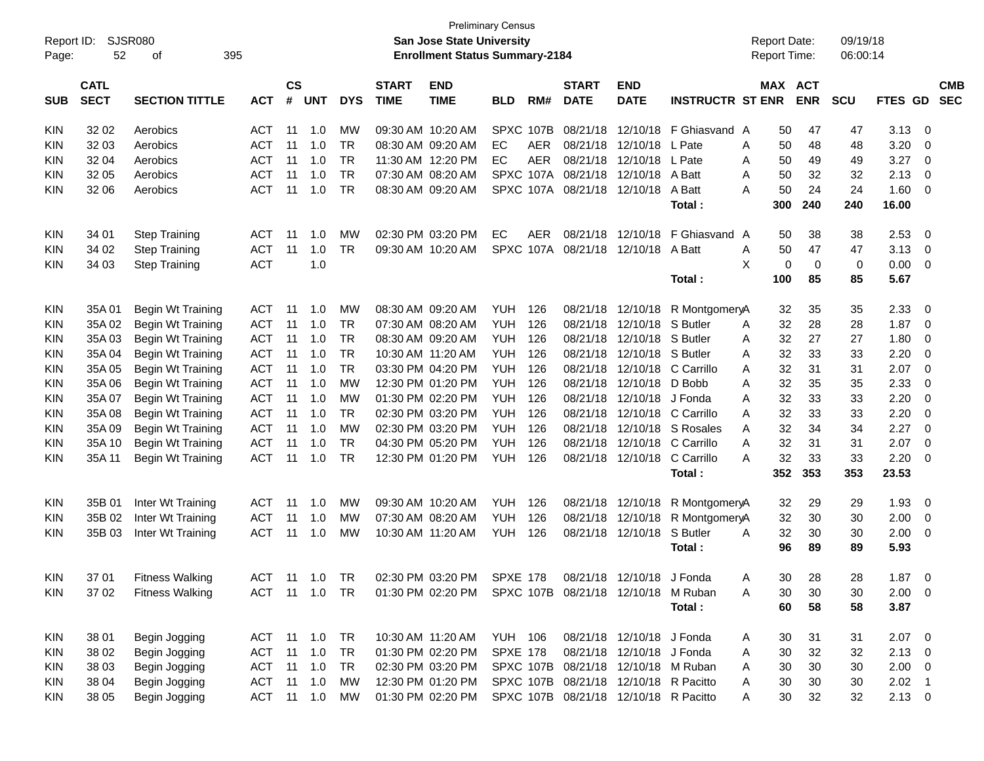|            |             |                        |               |               |                |            |              |                                                         | <b>Preliminary Census</b> |      |                    |                           |                         |   |                     |             |            |             |                |            |
|------------|-------------|------------------------|---------------|---------------|----------------|------------|--------------|---------------------------------------------------------|---------------------------|------|--------------------|---------------------------|-------------------------|---|---------------------|-------------|------------|-------------|----------------|------------|
| Report ID: |             | SJSR080                |               |               |                |            |              | <b>San Jose State University</b>                        |                           |      |                    |                           |                         |   | <b>Report Date:</b> |             | 09/19/18   |             |                |            |
| Page:      | 52          | 395<br>οf              |               |               |                |            |              | <b>Enrollment Status Summary-2184</b>                   |                           |      |                    |                           |                         |   | <b>Report Time:</b> |             | 06:00:14   |             |                |            |
|            |             |                        |               |               |                |            |              |                                                         |                           |      |                    |                           |                         |   |                     |             |            |             |                |            |
|            | <b>CATL</b> |                        |               | $\mathsf{cs}$ |                |            | <b>START</b> | <b>END</b>                                              |                           |      | <b>START</b>       | <b>END</b>                |                         |   | MAX ACT             |             |            |             |                | <b>CMB</b> |
| <b>SUB</b> | <b>SECT</b> | <b>SECTION TITTLE</b>  | <b>ACT</b>    | #             | <b>UNT</b>     | <b>DYS</b> | <b>TIME</b>  | <b>TIME</b>                                             | <b>BLD</b>                | RM#  | <b>DATE</b>        | <b>DATE</b>               | <b>INSTRUCTR ST ENR</b> |   |                     | <b>ENR</b>  | <b>SCU</b> | <b>FTES</b> | <b>GD</b>      | <b>SEC</b> |
| <b>KIN</b> | 32 02       | Aerobics               | <b>ACT</b>    | -11           | 1.0            | МW         |              | 09:30 AM 10:20 AM                                       | SPXC 107B                 |      | 08/21/18           | 12/10/18                  | F Ghiasvand A           |   | 50                  | 47          | 47         | 3.13        | 0              |            |
| <b>KIN</b> | 32 03       | Aerobics               | ACT           | 11            | 1.0            | TR         |              | 08:30 AM 09:20 AM                                       | EC                        | AER  | 08/21/18           | 12/10/18                  | L Pate                  | A | 50                  | 48          | 48         | 3.20        | 0              |            |
| <b>KIN</b> | 32 04       | Aerobics               | ACT           | 11            | 1.0            | <b>TR</b>  |              | 11:30 AM 12:20 PM                                       | EC                        | AER  | 08/21/18           | 12/10/18                  | L Pate                  | A | 50                  | 49          | 49         | 3.27        | - 0            |            |
| <b>KIN</b> | 32 05       | Aerobics               | <b>ACT</b>    | 11            | 1.0            | <b>TR</b>  |              | 07:30 AM 08:20 AM                                       |                           |      | SPXC 107A 08/21/18 | 12/10/18                  | A Batt                  | A | 50                  | 32          | 32         | 2.13        | 0              |            |
| <b>KIN</b> | 32 06       | Aerobics               | ACT           | -11           | 1.0            | <b>TR</b>  |              | 08:30 AM 09:20 AM                                       |                           |      | SPXC 107A 08/21/18 | 12/10/18                  | A Batt                  | А | 50                  | 24          | 24         | 1.60        | 0              |            |
|            |             |                        |               |               |                |            |              |                                                         |                           |      |                    |                           | Total:                  |   | 300                 | 240         | 240        | 16.00       |                |            |
|            |             |                        |               |               |                |            |              |                                                         |                           |      |                    |                           |                         |   |                     |             |            |             |                |            |
| <b>KIN</b> | 34 01       | <b>Step Training</b>   | <b>ACT</b>    | -11           | 1.0            | MW         |              | 02:30 PM 03:20 PM                                       | EC                        | AER. | 08/21/18           | 12/10/18                  | F Ghiasvand A           |   | 50                  | 38          | 38         | 2.53        | 0              |            |
| <b>KIN</b> | 34 02       | <b>Step Training</b>   | ACT           | -11           | 1.0            | <b>TR</b>  |              | 09:30 AM 10:20 AM                                       | SPXC 107A                 |      | 08/21/18           | 12/10/18                  | A Batt                  | Α | 50                  | 47          | 47         | 3.13        | 0              |            |
| <b>KIN</b> | 34 03       | <b>Step Training</b>   | <b>ACT</b>    |               | 1.0            |            |              |                                                         |                           |      |                    |                           |                         | X | 0                   | $\mathbf 0$ | 0          | 0.00        | - 0            |            |
|            |             |                        |               |               |                |            |              |                                                         |                           |      |                    |                           | Total:                  |   | 100                 | 85          | 85         | 5.67        |                |            |
| <b>KIN</b> | 35A01       | Begin Wt Training      | <b>ACT</b>    | -11           | 1.0            | МW         |              | 08:30 AM 09:20 AM                                       | <b>YUH</b>                | 126  | 08/21/18           | 12/10/18                  | R MontgomeryA           |   | 32                  | 35          | 35         | 2.33        | 0              |            |
| <b>KIN</b> | 35A 02      | Begin Wt Training      | <b>ACT</b>    | 11            | 1.0            | <b>TR</b>  |              | 07:30 AM 08:20 AM                                       | YUH                       | 126  | 08/21/18           | 12/10/18                  | S Butler                | A | 32                  | 28          | 28         | 1.87        | - 0            |            |
| <b>KIN</b> | 35A03       | Begin Wt Training      | <b>ACT</b>    | 11            | 1.0            | <b>TR</b>  |              | 08:30 AM 09:20 AM                                       | YUH                       | 126  | 08/21/18           | 12/10/18                  | S Butler                | A | 32                  | 27          | 27         | 1.80        | 0              |            |
|            |             |                        | <b>ACT</b>    | 11            | 1.0            | <b>TR</b>  |              | 10:30 AM 11:20 AM                                       | YUH                       | 126  | 08/21/18           | 12/10/18                  | S Butler                | A | 32                  | 33          | 33         | 2.20        | 0              |            |
| <b>KIN</b> | 35A 04      | Begin Wt Training      |               | 11            |                | <b>TR</b>  |              | 03:30 PM 04:20 PM                                       |                           | 126  | 08/21/18           | 12/10/18                  | C Carrillo              |   |                     |             |            |             | $\overline{0}$ |            |
| <b>KIN</b> | 35A 05      | Begin Wt Training      | <b>ACT</b>    |               | 1.0            |            |              |                                                         | <b>YUH</b>                |      |                    |                           |                         | A | 32                  | 31          | 31         | 2.07        |                |            |
| <b>KIN</b> | 35A 06      | Begin Wt Training      | <b>ACT</b>    | 11            | 1.0            | <b>MW</b>  |              | 12:30 PM 01:20 PM                                       | <b>YUH</b>                | 126  | 08/21/18           | 12/10/18                  | D Bobb                  | A | 32                  | 35          | 35         | 2.33        | 0              |            |
| <b>KIN</b> | 35A 07      | Begin Wt Training      | <b>ACT</b>    | 11            | 1.0            | MW         |              | 01:30 PM 02:20 PM                                       | <b>YUH</b>                | 126  | 08/21/18           | 12/10/18                  | J Fonda                 | A | 32                  | 33          | 33         | 2.20        | 0              |            |
| <b>KIN</b> | 35A 08      | Begin Wt Training      | <b>ACT</b>    | 11            | 1.0            | <b>TR</b>  |              | 02:30 PM 03:20 PM                                       | <b>YUH</b>                | 126  | 08/21/18           | 12/10/18                  | C Carrillo              | A | 32                  | 33          | 33         | 2.20        | 0              |            |
| <b>KIN</b> | 35A 09      | Begin Wt Training      | <b>ACT</b>    | 11            | 1.0            | <b>MW</b>  |              | 02:30 PM 03:20 PM                                       | <b>YUH</b>                | 126  | 08/21/18           | 12/10/18                  | S Rosales               | A | 32                  | 34          | 34         | 2.27        | $\overline{0}$ |            |
| <b>KIN</b> | 35A 10      | Begin Wt Training      | <b>ACT</b>    | 11            | 1.0            | <b>TR</b>  |              | 04:30 PM 05:20 PM                                       | YUH.                      | 126  | 08/21/18           | 12/10/18                  | C Carrillo              | Α | 32                  | 31          | 31         | 2.07        | $\mathbf 0$    |            |
| <b>KIN</b> | 35A 11      | Begin Wt Training      | <b>ACT</b>    | -11           | 1.0            | <b>TR</b>  |              | 12:30 PM 01:20 PM                                       | YUH                       | 126  |                    | 08/21/18 12/10/18         | C Carrillo              | А | 32                  | 33          | 33         | 2.20        | 0              |            |
|            |             |                        |               |               |                |            |              |                                                         |                           |      |                    |                           | Total:                  |   | 352                 | 353         | 353        | 23.53       |                |            |
| <b>KIN</b> | 35B 01      | Inter Wt Training      | <b>ACT</b>    | -11           | 1.0            | MW         |              | 09:30 AM 10:20 AM                                       | YUH                       | 126  | 08/21/18           | 12/10/18                  | R MontgomeryA           |   | 32                  | 29          | 29         | 1.93        | 0              |            |
| <b>KIN</b> | 35B 02      | Inter Wt Training      | <b>ACT</b>    | 11            | 1.0            | MW         |              | 07:30 AM 08:20 AM                                       | YUH                       | 126  | 08/21/18           | 12/10/18                  | R MontgomeryA           |   | 32                  | 30          | 30         | 2.00        | 0              |            |
| <b>KIN</b> | 35B 03      | Inter Wt Training      | <b>ACT</b>    | 11            | 1.0            | MW         |              | 10:30 AM 11:20 AM                                       | YUH                       | 126  |                    | 08/21/18 12/10/18         | S Butler                | A | 32                  | 30          | 30         | 2.00        | 0              |            |
|            |             |                        |               |               |                |            |              |                                                         |                           |      |                    |                           | Total:                  |   | 96                  | 89          | 89         | 5.93        |                |            |
| KIN        | 37 01       | <b>Fitness Walking</b> | ACT 11 1.0 TR |               |                |            |              | 02:30 PM 03:20 PM SPXE 178 08/21/18 12/10/18 J Fonda    |                           |      |                    |                           |                         | Α | 30                  | 28          | 28         | $1.87 \t 0$ |                |            |
|            |             |                        | ACT 11 1.0 TR |               |                |            |              | 01:30 PM 02:20 PM SPXC 107B 08/21/18 12/10/18 M Ruban   |                           |      |                    |                           |                         |   |                     |             |            |             |                |            |
| KIN.       | 37 02       | <b>Fitness Walking</b> |               |               |                |            |              |                                                         |                           |      |                    |                           |                         | A | 30                  | 30          | 30         | $2.00 \t 0$ |                |            |
|            |             |                        |               |               |                |            |              |                                                         |                           |      |                    |                           | Total:                  |   | 60                  | 58          | 58         | 3.87        |                |            |
| KIN        | 38 01       | Begin Jogging          | ACT 11 1.0    |               |                | <b>TR</b>  |              | 10:30 AM 11:20 AM YUH 106                               |                           |      |                    | 08/21/18 12/10/18 J Fonda |                         | A | 30                  | 31          | 31         | $2.07$ 0    |                |            |
| KIN        | 38 02       | Begin Jogging          | ACT           |               | $11 \quad 1.0$ | <b>TR</b>  |              | 01:30 PM 02:20 PM SPXE 178                              |                           |      |                    | 08/21/18 12/10/18 J Fonda |                         | Α | 30                  | 32          | 32         | $2.13 \ 0$  |                |            |
| KIN        | 38 03       | Begin Jogging          | <b>ACT</b>    |               | 11 1.0         | TR         |              | 02:30 PM 03:20 PM SPXC 107B 08/21/18 12/10/18 M Ruban   |                           |      |                    |                           |                         | A | 30                  | 30          | 30         | $2.00 \t 0$ |                |            |
| KIN        | 38 04       | Begin Jogging          | <b>ACT</b>    |               | $11 \quad 1.0$ | MW         |              | 12:30 PM 01:20 PM SPXC 107B 08/21/18 12/10/18 R Pacitto |                           |      |                    |                           |                         | A | 30                  | 30          | 30         | $2.02$ 1    |                |            |
| KIN        | 38 05       | Begin Jogging          | <b>ACT</b>    |               | $11 \quad 1.0$ | MW         |              | 01:30 PM 02:20 PM SPXC 107B 08/21/18 12/10/18 R Pacitto |                           |      |                    |                           |                         | Α | 30                  | 32          | 32         | $2.13 \t 0$ |                |            |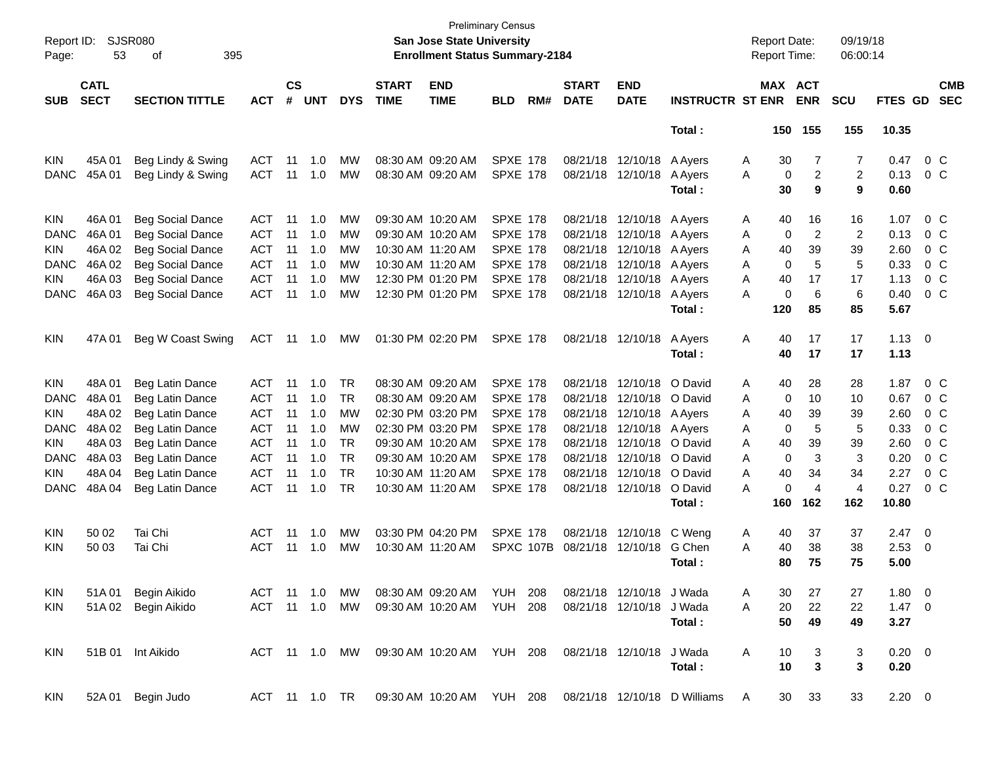| Report ID:<br>Page: | 53                         | SJSR080<br>395<br>οf    |               |                |            |               |                             | <b>San Jose State University</b><br><b>Enrollment Status Summary-2184</b> | <b>Preliminary Census</b> |           |                             |                           |                                                        |   | <b>Report Date:</b><br><b>Report Time:</b> |                     | 09/19/18<br>06:00:14 |                |                          |                          |
|---------------------|----------------------------|-------------------------|---------------|----------------|------------|---------------|-----------------------------|---------------------------------------------------------------------------|---------------------------|-----------|-----------------------------|---------------------------|--------------------------------------------------------|---|--------------------------------------------|---------------------|----------------------|----------------|--------------------------|--------------------------|
| <b>SUB</b>          | <b>CATL</b><br><b>SECT</b> | <b>SECTION TITTLE</b>   | <b>ACT</b>    | <b>CS</b><br># | <b>UNT</b> | <b>DYS</b>    | <b>START</b><br><b>TIME</b> | <b>END</b><br><b>TIME</b>                                                 | <b>BLD</b>                | RM#       | <b>START</b><br><b>DATE</b> | <b>END</b><br><b>DATE</b> | <b>INSTRUCTR ST ENR</b>                                |   | MAX ACT                                    | <b>ENR</b>          | <b>SCU</b>           | FTES GD        |                          | <b>CMB</b><br><b>SEC</b> |
|                     |                            |                         |               |                |            |               |                             |                                                                           |                           |           |                             |                           | Total:                                                 |   |                                            | 150 155             | 155                  | 10.35          |                          |                          |
| <b>KIN</b>          | 45A01                      | Beg Lindy & Swing       | ACT           | 11             | 1.0        | <b>MW</b>     |                             | 08:30 AM 09:20 AM                                                         | <b>SPXE 178</b>           |           |                             | 08/21/18 12/10/18 A Ayers |                                                        | A | 30                                         | 7                   | 7                    | 0.47           |                          | 0 <sup>o</sup>           |
| <b>DANC</b>         | 45A01                      | Beg Lindy & Swing       | <b>ACT</b>    | 11             | 1.0        | <b>MW</b>     |                             | 08:30 AM 09:20 AM                                                         | <b>SPXE 178</b>           |           |                             | 08/21/18 12/10/18         | A Ayers<br>Total:                                      | A | $\pmb{0}$<br>30                            | $\overline{c}$<br>9 | 2<br>9               | 0.13<br>0.60   |                          | 0 <sup>o</sup>           |
|                     |                            |                         |               |                |            |               |                             |                                                                           |                           |           |                             |                           |                                                        |   |                                            |                     |                      |                |                          |                          |
| KIN                 | 46A01                      | <b>Beg Social Dance</b> | ACT           | 11             | 1.0        | MW            |                             | 09:30 AM 10:20 AM                                                         | <b>SPXE 178</b>           |           |                             | 08/21/18 12/10/18 A Ayers |                                                        | A | 40                                         | 16                  | 16                   | 1.07           |                          | 0 <sup>o</sup>           |
| <b>DANC</b>         | 46A01                      | <b>Beg Social Dance</b> | <b>ACT</b>    | 11             | 1.0        | <b>MW</b>     |                             | 09:30 AM 10:20 AM                                                         | <b>SPXE 178</b>           |           | 08/21/18                    | 12/10/18 A Ayers          |                                                        | A | 0                                          | 2                   | $\overline{2}$       | 0.13           |                          | 0 C                      |
| KIN                 | 46A 02                     | <b>Beg Social Dance</b> | <b>ACT</b>    | 11             | 1.0        | <b>MW</b>     |                             | 10:30 AM 11:20 AM                                                         | <b>SPXE 178</b>           |           | 08/21/18                    | 12/10/18                  | A Ayers                                                | A | 40                                         | 39                  | 39                   | 2.60           |                          | 0 <sup>o</sup>           |
| <b>DANC</b>         | 46A 02                     | <b>Beg Social Dance</b> | <b>ACT</b>    | 11             | 1.0        | МW            |                             | 10:30 AM 11:20 AM                                                         | <b>SPXE 178</b>           |           | 08/21/18                    | 12/10/18 A Ayers          |                                                        | A | 0                                          | 5                   | 5                    | 0.33           |                          | 0 <sup>o</sup>           |
| KIN                 | 46A03                      | <b>Beg Social Dance</b> | <b>ACT</b>    | 11             | 1.0        | МW            |                             | 12:30 PM 01:20 PM                                                         | <b>SPXE 178</b>           |           |                             | 08/21/18 12/10/18 A Ayers |                                                        | A | 40                                         | 17                  | 17                   | 1.13           |                          | $0\,$ C                  |
| <b>DANC</b>         | 46A03                      | <b>Beg Social Dance</b> | <b>ACT</b>    | 11             | 1.0        | <b>MW</b>     |                             | 12:30 PM 01:20 PM                                                         | <b>SPXE 178</b>           |           |                             | 08/21/18 12/10/18 A Ayers |                                                        | A | 0                                          | 6                   | 6                    | 0.40           |                          | $0\,C$                   |
|                     |                            |                         |               |                |            |               |                             |                                                                           |                           |           |                             |                           | Total:                                                 |   | 120                                        | 85                  | 85                   | 5.67           |                          |                          |
| KIN                 | 47A 01                     | Beg W Coast Swing       | ACT           | 11             | $-1.0$     | <b>MW</b>     |                             | 01:30 PM 02:20 PM                                                         | <b>SPXE 178</b>           |           |                             | 08/21/18 12/10/18         | A Ayers                                                | Α | 40                                         | 17                  | 17                   | $1.13 \quad 0$ |                          |                          |
|                     |                            |                         |               |                |            |               |                             |                                                                           |                           |           |                             |                           | Total:                                                 |   | 40                                         | 17                  | 17                   | 1.13           |                          |                          |
| KIN                 | 48A01                      | Beg Latin Dance         | ACT           | 11             | 1.0        | TR            |                             | 08:30 AM 09:20 AM                                                         | <b>SPXE 178</b>           |           | 08/21/18                    | 12/10/18 O David          |                                                        | A | 40                                         | 28                  | 28                   | 1.87           |                          | 0 <sup>o</sup>           |
| <b>DANC</b>         | 48A 01                     | Beg Latin Dance         | <b>ACT</b>    | 11             | 1.0        | TR            |                             | 08:30 AM 09:20 AM                                                         | <b>SPXE 178</b>           |           | 08/21/18                    | 12/10/18 O David          |                                                        | A | 0                                          | 10                  | 10                   | 0.67           |                          | 0 C                      |
| KIN                 | 48A 02                     | Beg Latin Dance         | <b>ACT</b>    | 11             | 1.0        | <b>MW</b>     |                             | 02:30 PM 03:20 PM                                                         | <b>SPXE 178</b>           |           | 08/21/18                    | 12/10/18 A Ayers          |                                                        | A | 40                                         | 39                  | 39                   | 2.60           |                          | 0 <sup>o</sup>           |
| <b>DANC</b>         | 48A 02                     | Beg Latin Dance         | <b>ACT</b>    | 11             | 1.0        | <b>MW</b>     |                             | 02:30 PM 03:20 PM                                                         | <b>SPXE 178</b>           |           | 08/21/18                    | 12/10/18 A Ayers          |                                                        | A | 0                                          | 5                   | 5                    | 0.33           |                          | 0 C                      |
| KIN                 | 48A03                      | Beg Latin Dance         | <b>ACT</b>    | 11             | 1.0        | TR            |                             | 09:30 AM 10:20 AM                                                         | <b>SPXE 178</b>           |           | 08/21/18                    | 12/10/18 O David          |                                                        | A | 40                                         | 39                  | 39                   | 2.60           |                          | 0 <sup>o</sup>           |
| <b>DANC</b>         | 48A03                      | Beg Latin Dance         | <b>ACT</b>    | 11             | 1.0        | TR            |                             | 09:30 AM 10:20 AM                                                         | <b>SPXE 178</b>           |           | 08/21/18                    | 12/10/18 O David          |                                                        | A | $\mathbf 0$                                | 3                   | 3                    | 0.20           |                          | 0 <sup>o</sup>           |
| KIN                 | 48A04                      | Beg Latin Dance         | <b>ACT</b>    | 11             | 1.0        | <b>TR</b>     |                             | 10:30 AM 11:20 AM                                                         | <b>SPXE 178</b>           |           | 08/21/18                    | 12/10/18 O David          |                                                        | Α | 40                                         | 34                  | 34                   | 2.27           |                          | $0\,$ C                  |
| <b>DANC</b>         | 48A 04                     | Beg Latin Dance         | <b>ACT</b>    | 11             | 1.0        | TR            |                             | 10:30 AM 11:20 AM                                                         | <b>SPXE 178</b>           |           |                             | 08/21/18 12/10/18         | O David                                                | A | 0                                          | $\overline{4}$      | 4                    | 0.27           |                          | 0 <sup>o</sup>           |
|                     |                            |                         |               |                |            |               |                             |                                                                           |                           |           |                             |                           | Total:                                                 |   | 160                                        | 162                 | 162                  | 10.80          |                          |                          |
| KIN                 | 50 02                      | Tai Chi                 | ACT           | 11             | 1.0        | MW            |                             | 03:30 PM 04:20 PM                                                         | <b>SPXE 178</b>           |           | 08/21/18                    | 12/10/18                  | C Wena                                                 | A | 40                                         | 37                  | 37                   | 2.47           | $\overline{\mathbf{0}}$  |                          |
| KIN                 | 50 03                      | Tai Chi                 | ACT           | 11             | 1.0        | MW            |                             | 10:30 AM 11:20 AM                                                         |                           | SPXC 107B | 08/21/18 12/10/18           |                           | G Chen                                                 | A | 40                                         | 38                  | 38                   | 2.53           | $\overline{\phantom{0}}$ |                          |
|                     |                            |                         |               |                |            |               |                             |                                                                           |                           |           |                             |                           | Total :                                                |   | 80                                         | 75                  | 75                   | 5.00           |                          |                          |
| KIN                 | 51A 01                     | Begin Aikido            | ACT 11 1.0    |                |            | МW            |                             | 08:30 AM 09:20 AM YUH 208                                                 |                           |           |                             | 08/21/18 12/10/18 J Wada  |                                                        | A | 30                                         | 27                  | 27                   | $1.80 \t 0$    |                          |                          |
| <b>KIN</b>          |                            | 51A 02 Begin Aikido     | ACT 11 1.0    |                |            | MW            |                             | 09:30 AM 10:20 AM                                                         | <b>YUH 208</b>            |           |                             | 08/21/18 12/10/18 J Wada  |                                                        | Α | 20                                         | 22                  | 22                   | $1.47 \t 0$    |                          |                          |
|                     |                            |                         |               |                |            |               |                             |                                                                           |                           |           |                             |                           | Total:                                                 |   | 50                                         | 49                  | 49                   | 3.27           |                          |                          |
| KIN                 |                            | 51B 01 Int Aikido       |               |                |            | ACT 11 1.0 MW |                             | 09:30 AM 10:20 AM YUH 208                                                 |                           |           |                             | 08/21/18 12/10/18 J Wada  |                                                        | A | 10                                         | 3                   | 3                    | $0.20 \ 0$     |                          |                          |
|                     |                            |                         |               |                |            |               |                             |                                                                           |                           |           |                             |                           | Total:                                                 |   | 10                                         | 3                   | 3                    | 0.20           |                          |                          |
| KIN                 |                            | 52A 01 Begin Judo       | ACT 11 1.0 TR |                |            |               |                             |                                                                           |                           |           |                             |                           | 09:30 AM 10:20 AM YUH 208 08/21/18 12/10/18 D Williams | A | 30                                         | 33                  | 33                   | $2.20 \t 0$    |                          |                          |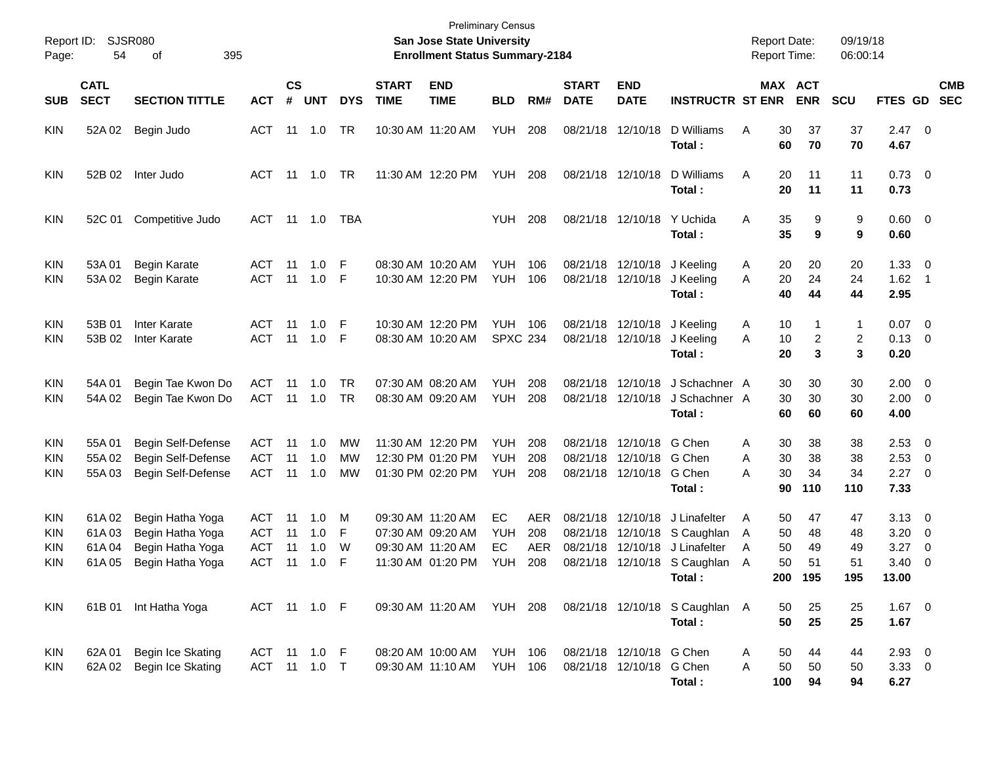| Report ID:<br>Page:             | 54                               | <b>SJSR080</b><br>395<br>οf                                                  |                                                      |                             |                          |                  |                             | <b>Preliminary Census</b><br><b>San Jose State University</b><br><b>Enrollment Status Summary-2184</b> |                                        |                                        |                                              |                                                  |                                                                             | <b>Report Date:</b><br><b>Report Time:</b>      |                             | 09/19/18<br>06:00:14        |                                       |                                                           |
|---------------------------------|----------------------------------|------------------------------------------------------------------------------|------------------------------------------------------|-----------------------------|--------------------------|------------------|-----------------------------|--------------------------------------------------------------------------------------------------------|----------------------------------------|----------------------------------------|----------------------------------------------|--------------------------------------------------|-----------------------------------------------------------------------------|-------------------------------------------------|-----------------------------|-----------------------------|---------------------------------------|-----------------------------------------------------------|
| <b>SUB</b>                      | <b>CATL</b><br><b>SECT</b>       | <b>SECTION TITTLE</b>                                                        | <b>ACT</b>                                           | $\mathbf{c}\mathbf{s}$<br># | <b>UNT</b>               | <b>DYS</b>       | <b>START</b><br><b>TIME</b> | <b>END</b><br><b>TIME</b>                                                                              | <b>BLD</b>                             | RM#                                    | <b>START</b><br><b>DATE</b>                  | <b>END</b><br><b>DATE</b>                        | <b>INSTRUCTR ST ENR</b>                                                     |                                                 | MAX ACT<br><b>ENR</b>       | <b>SCU</b>                  | FTES GD                               | <b>CMB</b><br><b>SEC</b>                                  |
| <b>KIN</b>                      | 52A 02                           | Begin Judo                                                                   | <b>ACT</b>                                           | 11                          | 1.0                      | TR               |                             | 10:30 AM 11:20 AM                                                                                      | <b>YUH</b>                             | 208                                    | 08/21/18                                     | 12/10/18                                         | D Williams<br>Total:                                                        | Α<br>30<br>60                                   | 37<br>70                    | 37<br>70                    | $2.47 \quad 0$<br>4.67                |                                                           |
| <b>KIN</b>                      | 52B 02                           | Inter Judo                                                                   | <b>ACT</b>                                           | -11                         | 1.0                      | TR               |                             | 11:30 AM 12:20 PM                                                                                      | <b>YUH</b>                             | 208                                    |                                              | 08/21/18 12/10/18                                | D Williams<br>Total:                                                        | Α<br>20<br>20                                   | 11<br>11                    | 11<br>11                    | $0.73 \quad 0$<br>0.73                |                                                           |
| <b>KIN</b>                      | 52C 01                           | Competitive Judo                                                             | <b>ACT</b>                                           | 11                          | 1.0                      | TBA              |                             |                                                                                                        | <b>YUH</b>                             | 208                                    |                                              | 08/21/18 12/10/18                                | Y Uchida<br>Total:                                                          | Α<br>35<br>35                                   | 9<br>9                      | 9<br>9                      | $0.60 \quad 0$<br>0.60                |                                                           |
| <b>KIN</b><br><b>KIN</b>        | 53A01<br>53A 02                  | Begin Karate<br>Begin Karate                                                 | <b>ACT</b><br><b>ACT</b>                             | -11<br>11                   | 1.0<br>1.0               | F<br>F           |                             | 08:30 AM 10:20 AM<br>10:30 AM 12:20 PM                                                                 | <b>YUH</b><br><b>YUH</b>               | 106<br>106                             | 08/21/18                                     | 12/10/18<br>08/21/18 12/10/18                    | J Keeling<br>J Keeling<br>Total:                                            | A<br>20<br>20<br>A<br>40                        | 20<br>24<br>44              | 20<br>24<br>44              | 1.33<br>1.62<br>2.95                  | $\overline{\phantom{0}}$<br>- 1                           |
| KIN<br>KIN                      | 53B 01<br>53B 02                 | Inter Karate<br><b>Inter Karate</b>                                          | <b>ACT</b><br><b>ACT</b>                             | 11<br>11                    | 1.0<br>1.0               | F<br>F           |                             | 10:30 AM 12:20 PM<br>08:30 AM 10:20 AM                                                                 | <b>YUH</b><br><b>SPXC 234</b>          | 106                                    |                                              | 08/21/18 12/10/18<br>08/21/18 12/10/18           | J Keeling<br>J Keeling<br>Total:                                            | 10<br>A<br>10<br>A<br>20                        | $\mathbf 1$<br>2<br>3       | 1<br>2<br>3                 | 0.07<br>0.13<br>0.20                  | $\overline{\mathbf{0}}$<br>$\overline{\phantom{0}}$       |
| <b>KIN</b><br><b>KIN</b>        | 54A01<br>54A 02                  | Begin Tae Kwon Do<br>Begin Tae Kwon Do                                       | <b>ACT</b><br><b>ACT</b>                             | 11<br>11                    | 1.0<br>1.0               | TR<br>TR         |                             | 07:30 AM 08:20 AM<br>08:30 AM 09:20 AM                                                                 | <b>YUH</b><br><b>YUH</b>               | 208<br>208                             | 08/21/18<br>08/21/18                         | 12/10/18<br>12/10/18                             | J Schachner A<br>J Schachner A<br>Total:                                    | 30<br>30<br>60                                  | 30<br>30<br>60              | 30<br>30<br>60              | 2.00<br>2.00<br>4.00                  | $\overline{\phantom{0}}$<br>$\overline{\mathbf{0}}$       |
| KIN<br>KIN<br>KIN               | 55A01<br>55A02<br>55A03          | Begin Self-Defense<br>Begin Self-Defense<br>Begin Self-Defense               | <b>ACT</b><br><b>ACT</b><br><b>ACT</b>               | 11<br>11<br>11              | 1.0<br>1.0<br>1.0        | MW<br>МW<br>MW   |                             | 11:30 AM 12:20 PM<br>12:30 PM 01:20 PM<br>01:30 PM 02:20 PM                                            | <b>YUH</b><br><b>YUH</b><br><b>YUH</b> | 208<br>208<br>208                      | 08/21/18<br>08/21/18                         | 12/10/18<br>12/10/18 G Chen<br>08/21/18 12/10/18 | G Chen<br>G Chen<br>Total:                                                  | 30<br>A<br>30<br>A<br>30<br>A<br>90             | 38<br>38<br>34<br>110       | 38<br>38<br>34<br>110       | 2.53<br>2.53<br>2.27<br>7.33          | $\overline{\mathbf{0}}$<br>- 0<br>$\overline{\mathbf{0}}$ |
| <b>KIN</b><br>KIN<br>KIN<br>KIN | 61A02<br>61A03<br>61A04<br>61A05 | Begin Hatha Yoga<br>Begin Hatha Yoga<br>Begin Hatha Yoga<br>Begin Hatha Yoga | <b>ACT</b><br><b>ACT</b><br><b>ACT</b><br><b>ACT</b> | 11<br>11<br>11<br>11        | 1.0<br>1.0<br>1.0<br>1.0 | M<br>F<br>W<br>F |                             | 09:30 AM 11:20 AM<br>07:30 AM 09:20 AM<br>09:30 AM 11:20 AM<br>11:30 AM 01:20 PM                       | EC<br><b>YUH</b><br>EC<br><b>YUH</b>   | <b>AER</b><br>208<br><b>AER</b><br>208 | 08/21/18<br>08/21/18<br>08/21/18<br>08/21/18 | 12/10/18<br>12/10/18<br>12/10/18                 | J Linafelter<br>12/10/18 S Caughlan<br>J Linafelter<br>S Caughlan<br>Total: | A<br>50<br>50<br>A<br>50<br>A<br>50<br>A<br>200 | 47<br>48<br>49<br>51<br>195 | 47<br>48<br>49<br>51<br>195 | 3.13<br>3.20<br>3.27<br>3.40<br>13.00 | $\overline{\mathbf{0}}$<br>0<br>$\overline{0}$<br>0       |
| KIN                             |                                  | 61B 01 Int Hatha Yoga                                                        | ACT 11 1.0 F                                         |                             |                          |                  |                             | 09:30 AM 11:20 AM YUH 208                                                                              |                                        |                                        |                                              |                                                  | 08/21/18 12/10/18 S Caughlan A<br>Total:                                    | 50<br>50                                        | 25<br>25                    | 25<br>25                    | $1.67$ 0<br>1.67                      |                                                           |
| <b>KIN</b><br><b>KIN</b>        | 62A 01<br>62A 02                 | Begin Ice Skating<br>Begin Ice Skating                                       | ACT 11 1.0 F<br>ACT                                  | 11                          | 1.0                      | $\top$           |                             | 08:20 AM 10:00 AM<br>09:30 AM 11:10 AM                                                                 | <b>YUH 106</b><br>YUH                  | 106                                    |                                              | 08/21/18 12/10/18 G Chen<br>08/21/18 12/10/18    | G Chen<br>Total:                                                            | 50<br>A<br>50<br>A<br>100                       | 44<br>50<br>94              | 44<br>50<br>94              | $2.93$ 0<br>$3.33 \ 0$<br>6.27        |                                                           |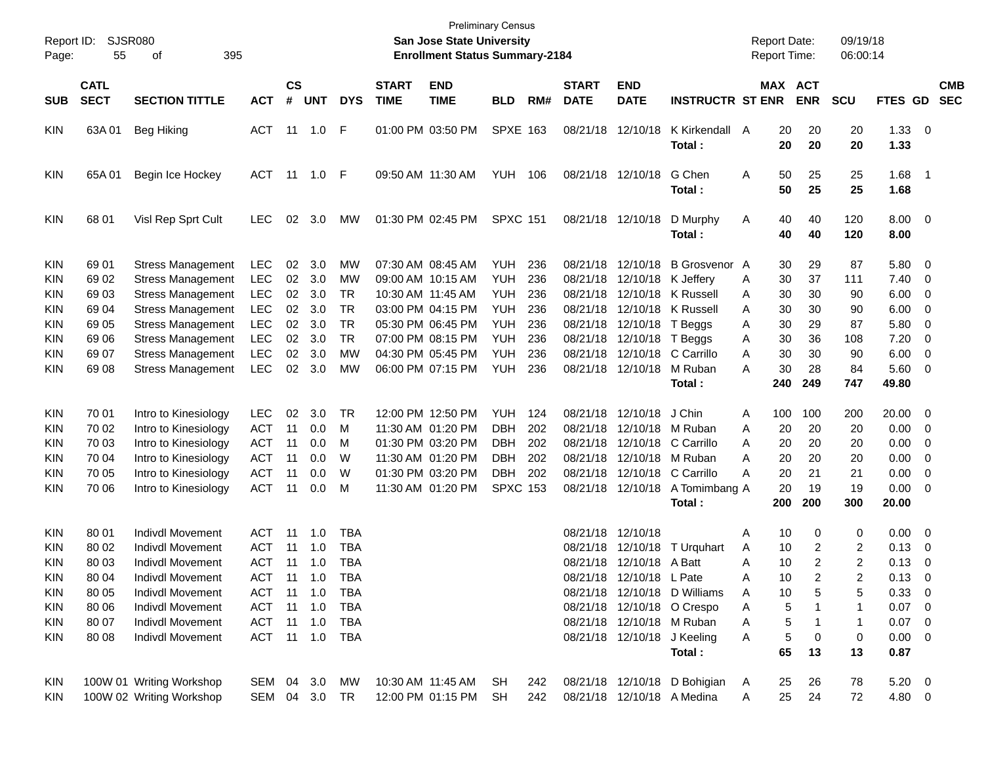| Report ID:<br>Page:                    | 55                         | <b>SJSR080</b><br>395<br>οf                                                      |                                        |                |                                    |                   |                             | <b>San Jose State University</b><br><b>Enrollment Status Summary-2184</b> | <b>Preliminary Census</b>                   |                   |                             |                                                |                                                                    | <b>Report Date:</b><br>Report Time: |                     | 09/19/18<br>06:00:14 |                                 |                                                                                |
|----------------------------------------|----------------------------|----------------------------------------------------------------------------------|----------------------------------------|----------------|------------------------------------|-------------------|-----------------------------|---------------------------------------------------------------------------|---------------------------------------------|-------------------|-----------------------------|------------------------------------------------|--------------------------------------------------------------------|-------------------------------------|---------------------|----------------------|---------------------------------|--------------------------------------------------------------------------------|
| <b>SUB</b>                             | <b>CATL</b><br><b>SECT</b> | <b>SECTION TITTLE</b>                                                            | <b>ACT</b>                             | <b>CS</b><br># | <b>UNT</b>                         | <b>DYS</b>        | <b>START</b><br><b>TIME</b> | <b>END</b><br><b>TIME</b>                                                 | <b>BLD</b>                                  | RM#               | <b>START</b><br><b>DATE</b> | <b>END</b><br><b>DATE</b>                      | <b>INSTRUCTR ST ENR</b>                                            | <b>MAX ACT</b>                      | <b>ENR</b>          | <b>SCU</b>           | FTES GD                         | <b>CMB</b><br><b>SEC</b>                                                       |
| KIN                                    | 63A 01                     | <b>Beg Hiking</b>                                                                | ACT                                    |                | 11 1.0                             | F                 |                             | 01:00 PM 03:50 PM                                                         | <b>SPXE 163</b>                             |                   |                             | 08/21/18 12/10/18                              | K Kirkendall<br>Total:                                             | 20<br>A<br>20                       | 20<br>20            | 20<br>20             | $1.33 \ 0$<br>1.33              |                                                                                |
| <b>KIN</b>                             | 65A01                      | Begin Ice Hockey                                                                 | ACT                                    | 11             | 1.0                                | F                 |                             | 09:50 AM 11:30 AM                                                         | YUH                                         | 106               |                             | 08/21/18 12/10/18                              | G Chen<br>Total:                                                   | 50<br>A<br>50                       | 25<br>25            | 25<br>25             | 1.68<br>1.68                    | $\blacksquare$ 1                                                               |
| KIN                                    | 68 01                      | Visl Rep Sprt Cult                                                               | <b>LEC</b>                             | 02             | 3.0                                | МW                |                             | 01:30 PM 02:45 PM                                                         | <b>SPXC 151</b>                             |                   |                             | 08/21/18 12/10/18                              | D Murphy<br>Total:                                                 | 40<br>A<br>40                       | 40<br>40            | 120<br>120           | $8.00 \t 0$<br>8.00             |                                                                                |
| KIN<br>KIN<br>KIN                      | 69 01<br>69 02<br>6903     | <b>Stress Management</b><br><b>Stress Management</b><br><b>Stress Management</b> | <b>LEC</b><br><b>LEC</b><br><b>LEC</b> | 02<br>02<br>02 | 3.0<br>3.0<br>3.0                  | МW<br>МW<br>TR    |                             | 07:30 AM 08:45 AM<br>09:00 AM 10:15 AM<br>10:30 AM 11:45 AM               | <b>YUH</b><br><b>YUH</b><br><b>YUH</b>      | 236<br>236<br>236 | 08/21/18<br>08/21/18        | 12/10/18<br>12/10/18                           | B Grosvenor A<br>K Jeffery<br>08/21/18 12/10/18 K Russell          | 30<br>30<br>Α<br>30<br>Α            | 29<br>37<br>30      | 87<br>111<br>90      | 5.80<br>7.40<br>6.00            | $\overline{\phantom{0}}$<br>$\overline{\mathbf{0}}$<br>$\overline{\mathbf{0}}$ |
| KIN<br>KIN                             | 69 04<br>69 05<br>69 06    | <b>Stress Management</b><br><b>Stress Management</b>                             | <b>LEC</b><br><b>LEC</b><br><b>LEC</b> | 02<br>02<br>02 | 3.0<br>3.0<br>3.0                  | TR<br>TR<br>TR    |                             | 03:00 PM 04:15 PM<br>05:30 PM 06:45 PM<br>07:00 PM 08:15 PM               | <b>YUH</b><br><b>YUH</b><br><b>YUH</b>      | 236<br>236<br>236 |                             | 08/21/18 12/10/18<br>08/21/18 12/10/18 T Beggs | 08/21/18 12/10/18 K Russell<br>T Beggs                             | 30<br>Α<br>30<br>Α<br>30            | 30<br>29<br>36      | 90<br>87<br>108      | 6.00<br>5.80<br>7.20            | $\overline{\mathbf{0}}$<br>0<br>0                                              |
| KIN<br>KIN<br>KIN                      | 69 07<br>69 08             | <b>Stress Management</b><br><b>Stress Management</b><br><b>Stress Management</b> | <b>LEC</b><br><b>LEC</b>               | 02<br>02       | 3.0<br>3.0                         | МW<br>MW          |                             | 04:30 PM 05:45 PM<br>06:00 PM 07:15 PM                                    | <b>YUH</b><br><b>YUH</b>                    | 236<br>236        |                             | 08/21/18 12/10/18                              | 08/21/18 12/10/18 C Carrillo<br>M Ruban                            | Α<br>30<br>Α<br>30<br>А             | 30<br>28            | 90<br>84             | 6.00<br>5.60                    | $\overline{\mathbf{0}}$<br>$\overline{\phantom{0}}$                            |
| KIN                                    | 70 01                      | Intro to Kinesiology                                                             | <b>LEC</b>                             | 02             | 3.0                                | TR                |                             | 12:00 PM 12:50 PM                                                         | YUH.                                        | 124               |                             | 08/21/18 12/10/18                              | Total:<br>J Chin                                                   | 240<br>100<br>Α                     | 249<br>100          | 747<br>200           | 49.80<br>20.00                  | $\overline{\phantom{0}}$                                                       |
| KIN<br>KIN                             | 70 02<br>70 03             | Intro to Kinesiology<br>Intro to Kinesiology                                     | ACT<br><b>ACT</b>                      | 11<br>11       | 0.0<br>0.0                         | м<br>M            |                             | 11:30 AM 01:20 PM<br>01:30 PM 03:20 PM                                    | <b>DBH</b><br><b>DBH</b>                    | 202<br>202        | 08/21/18                    | 12/10/18<br>08/21/18 12/10/18                  | M Ruban<br>C Carrillo                                              | 20<br>Α<br>20<br>A                  | 20<br>20            | 20<br>20             | 0.00<br>0.00                    | $\overline{\mathbf{0}}$<br>$\overline{\mathbf{0}}$                             |
| KIN<br>KIN<br>KIN                      | 70 04<br>70 05<br>70 06    | Intro to Kinesiology<br>Intro to Kinesiology<br>Intro to Kinesiology             | <b>ACT</b><br><b>ACT</b><br><b>ACT</b> | 11<br>11<br>11 | 0.0<br>0.0<br>0.0                  | W<br>W<br>м       |                             | 11:30 AM 01:20 PM<br>01:30 PM 03:20 PM<br>11:30 AM 01:20 PM               | <b>DBH</b><br><b>DBH</b><br><b>SPXC 153</b> | 202<br>202        |                             | 08/21/18 12/10/18 M Ruban<br>08/21/18 12/10/18 | 08/21/18 12/10/18 C Carrillo<br>A Tomimbang A                      | 20<br>Α<br>20<br>А<br>20            | 20<br>21<br>19      | 20<br>21<br>19       | 0.00<br>0.00<br>0.00            | 0<br>0<br>- 0                                                                  |
| KIN                                    | 80 01                      | Indivdl Movement                                                                 | ACT                                    | 11             | 1.0                                | <b>TBA</b>        |                             |                                                                           |                                             |                   |                             | 08/21/18 12/10/18                              | Total:                                                             | 200<br>10<br>Α                      | 200<br>0            | 300<br>0             | 20.00<br>$0.00 \t 0$            |                                                                                |
| KIN<br>KIN                             | 80 02<br>80 03             | <b>Indivdl Movement</b><br><b>Indivdl Movement</b>                               | <b>ACT</b><br><b>ACT</b>               | 11<br>11       | 1.0<br>1.0                         | <b>TBA</b><br>TBA |                             |                                                                           |                                             |                   | 08/21/18                    | 12/10/18<br>08/21/18 12/10/18 A Batt           | T Urguhart                                                         | 10<br>Α<br>10<br>Α                  | 2<br>$\overline{2}$ | 2<br>2               | 0.13<br>0.13                    | $\overline{\mathbf{0}}$<br>$\overline{\phantom{0}}$                            |
| <b>KIN</b><br><b>KIN</b><br><b>KIN</b> | 80 04<br>80 05<br>80 06    | <b>Indivdl Movement</b><br>Indivdl Movement<br>Indivdl Movement                  | <b>ACT</b><br>ACT<br>ACT               |                | $11 \quad 1.0$<br>11 1.0<br>11 1.0 | TBA<br>TBA<br>TBA |                             |                                                                           |                                             |                   |                             | 08/21/18 12/10/18 L Pate                       | 08/21/18 12/10/18 D Williams<br>08/21/18 12/10/18 O Crespo         | 10<br>Α<br>10<br>Α<br>5<br>Α        | 2<br>5              | 2<br>5<br>1          | 0.13<br>0.33 0<br>$0.07$ 0      | $\overline{\phantom{0}}$                                                       |
| <b>KIN</b><br><b>KIN</b>               | 80 07<br>80 08             | Indivdl Movement<br>Indivdl Movement                                             | ACT<br>ACT 11 1.0 TBA                  |                | 11 1.0                             | TBA               |                             |                                                                           |                                             |                   |                             |                                                | 08/21/18 12/10/18 M Ruban<br>08/21/18 12/10/18 J Keeling<br>Total: | 5<br>Α<br>5<br>Α<br>65              | 0<br>13             | 1<br>0<br>13         | $0.07$ 0<br>$0.00 \t 0$<br>0.87 |                                                                                |
| KIN<br><b>KIN</b>                      |                            | 100W 01 Writing Workshop<br>100W 02 Writing Workshop                             | SEM 04 3.0<br>SEM 04 3.0 TR            |                |                                    | МW                |                             | 10:30 AM 11:45 AM<br>12:00 PM 01:15 PM                                    | SH.<br>SH                                   | 242<br>242        |                             |                                                | 08/21/18 12/10/18 D Bohigian<br>08/21/18 12/10/18 A Medina         | 25<br>A<br>25<br>Α                  | 26<br>24            | 78<br>72             | $5.20 \t 0$<br>4.80 0           |                                                                                |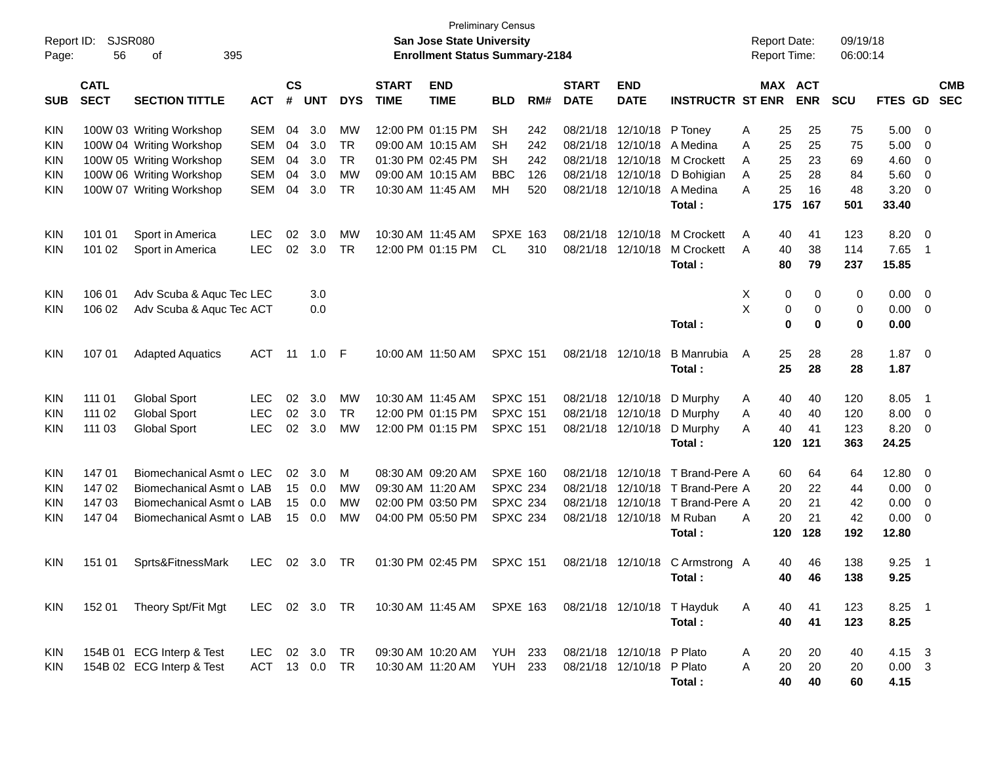| Report ID:<br>Page: | 56                         | <b>SJSR080</b><br>395<br>οf |               |                |            |            |                             | <b>San Jose State University</b><br><b>Enrollment Status Summary-2184</b> | <b>Preliminary Census</b> |     |                             |                           |                                 | <b>Report Date:</b><br>Report Time: |                       | 09/19/18<br>06:00:14 |                |                            |
|---------------------|----------------------------|-----------------------------|---------------|----------------|------------|------------|-----------------------------|---------------------------------------------------------------------------|---------------------------|-----|-----------------------------|---------------------------|---------------------------------|-------------------------------------|-----------------------|----------------------|----------------|----------------------------|
| <b>SUB</b>          | <b>CATL</b><br><b>SECT</b> | <b>SECTION TITTLE</b>       | <b>ACT</b>    | <b>CS</b><br># | <b>UNT</b> | <b>DYS</b> | <b>START</b><br><b>TIME</b> | <b>END</b><br><b>TIME</b>                                                 | <b>BLD</b>                | RM# | <b>START</b><br><b>DATE</b> | <b>END</b><br><b>DATE</b> | <b>INSTRUCTR ST ENR</b>         |                                     | MAX ACT<br><b>ENR</b> | <b>SCU</b>           | <b>FTES GD</b> | <b>CMB</b><br><b>SEC</b>   |
| <b>KIN</b>          |                            | 100W 03 Writing Workshop    | SEM           | 04             | 3.0        | <b>MW</b>  |                             | 12:00 PM 01:15 PM                                                         | <b>SH</b>                 | 242 |                             | 08/21/18 12/10/18 P Toney |                                 | 25<br>Α                             | 25                    | 75                   | 5.00           | - 0                        |
| KIN                 |                            | 100W 04 Writing Workshop    | <b>SEM</b>    | 04             | 3.0        | <b>TR</b>  |                             | 09:00 AM 10:15 AM                                                         | SН                        | 242 |                             | 08/21/18 12/10/18         | A Medina                        | 25<br>Α                             | 25                    | 75                   | 5.00           | 0                          |
| KIN                 |                            | 100W 05 Writing Workshop    | <b>SEM</b>    | 04             | 3.0        | <b>TR</b>  |                             | 01:30 PM 02:45 PM                                                         | SН                        | 242 | 08/21/18                    | 12/10/18                  | M Crockett                      | 25<br>Α                             | 23                    | 69                   | 4.60           | 0                          |
| KIN                 |                            | 100W 06 Writing Workshop    | <b>SEM</b>    | 04             | 3.0        | <b>MW</b>  |                             | 09:00 AM 10:15 AM                                                         | <b>BBC</b>                | 126 | 08/21/18                    | 12/10/18                  | D Bohigian                      | 25<br>A                             | 28                    | 84                   | 5.60           | 0                          |
| KIN                 |                            | 100W 07 Writing Workshop    | <b>SEM</b>    | 04             | 3.0        | <b>TR</b>  |                             | 10:30 AM 11:45 AM                                                         | MH                        | 520 | 08/21/18                    | 12/10/18                  | A Medina                        | 25<br>Α                             | 16                    | 48                   | 3.20           | 0                          |
|                     |                            |                             |               |                |            |            |                             |                                                                           |                           |     |                             |                           | Total:                          | 175                                 | 167                   | 501                  | 33.40          |                            |
| <b>KIN</b>          | 101 01                     | Sport in America            | <b>LEC</b>    | 02             | 3.0        | МW         |                             | 10:30 AM 11:45 AM                                                         | <b>SPXE 163</b>           |     | 08/21/18                    | 12/10/18                  | M Crockett                      | 40<br>A                             | 41                    | 123                  | 8.20           | $\overline{0}$             |
| KIN                 | 101 02                     | Sport in America            | <b>LEC</b>    | 02             | 3.0        | <b>TR</b>  |                             | 12:00 PM 01:15 PM                                                         | CL.                       | 310 | 08/21/18                    | 12/10/18                  | M Crockett                      | 40<br>A                             | 38                    | 114                  | 7.65           | $\overline{1}$             |
|                     |                            |                             |               |                |            |            |                             |                                                                           |                           |     |                             |                           | Total:                          | 80                                  | 79                    | 237                  | 15.85          |                            |
| KIN                 | 106 01                     | Adv Scuba & Aquc Tec LEC    |               |                | 3.0        |            |                             |                                                                           |                           |     |                             |                           |                                 | х                                   | 0<br>0                | 0                    | 0.00           | $\overline{0}$             |
| KIN                 | 106 02                     | Adv Scuba & Aquc Tec ACT    |               |                | 0.0        |            |                             |                                                                           |                           |     |                             |                           |                                 | X                                   | 0<br>0                | 0                    | 0.00           | $\overline{0}$             |
|                     |                            |                             |               |                |            |            |                             |                                                                           |                           |     |                             |                           | Total:                          |                                     | $\mathbf 0$<br>0      | $\bf{0}$             | 0.00           |                            |
| KIN                 | 107 01                     | <b>Adapted Aquatics</b>     | ACT           | 11             | 1.0        | - F        |                             | 10:00 AM 11:50 AM                                                         | <b>SPXC 151</b>           |     |                             | 08/21/18 12/10/18         | <b>B</b> Manrubia               | 25<br>A                             | 28                    | 28                   | 1.87           | $\overline{\mathbf{0}}$    |
|                     |                            |                             |               |                |            |            |                             |                                                                           |                           |     |                             |                           | Total:                          | 25                                  | 28                    | 28                   | 1.87           |                            |
| KIN                 | 111 01                     | <b>Global Sport</b>         | <b>LEC</b>    | 02             | 3.0        | MW         |                             | 10:30 AM 11:45 AM                                                         | <b>SPXC 151</b>           |     | 08/21/18                    | 12/10/18                  | D Murphy                        | 40<br>A                             | 40                    | 120                  | 8.05           | $\overline{\phantom{1}}$   |
| KIN                 | 111 02                     | <b>Global Sport</b>         | <b>LEC</b>    | 02             | 3.0        | <b>TR</b>  |                             | 12:00 PM 01:15 PM                                                         | <b>SPXC 151</b>           |     | 08/21/18                    | 12/10/18                  | D Murphy                        | 40<br>Α                             | 40                    | 120                  | 8.00           | $\overline{0}$             |
| KIN                 | 111 03                     | <b>Global Sport</b>         | <b>LEC</b>    | 02             | 3.0        | <b>MW</b>  |                             | 12:00 PM 01:15 PM                                                         | <b>SPXC 151</b>           |     |                             | 08/21/18 12/10/18         | D Murphy                        | 40<br>Α                             | 41                    | 123                  | 8.20           | $\overline{0}$             |
|                     |                            |                             |               |                |            |            |                             |                                                                           |                           |     |                             |                           | Total:                          | 120                                 | 121                   | 363                  | 24.25          |                            |
| KIN                 | 147 01                     | Biomechanical Asmt o LEC    |               | 02             | 3.0        | м          |                             | 08:30 AM 09:20 AM                                                         | <b>SPXE 160</b>           |     | 08/21/18                    | 12/10/18                  | T Brand-Pere A                  | 60                                  | 64                    | 64                   | 12.80          | $\overline{0}$             |
| KIN                 | 147 02                     | Biomechanical Asmt o LAB    |               | 15             | 0.0        | МW         |                             | 09:30 AM 11:20 AM                                                         | <b>SPXC 234</b>           |     | 08/21/18                    | 12/10/18                  | T Brand-Pere A                  | 20                                  | 22                    | 44                   | 0.00           | 0                          |
| KIN                 | 147 03                     | Biomechanical Asmt o LAB    |               | 15             | 0.0        | MW         |                             | 02:00 PM 03:50 PM                                                         | <b>SPXC 234</b>           |     | 08/21/18                    | 12/10/18                  | T Brand-Pere A                  | 20                                  | 21                    | 42                   | 0.00           | 0                          |
| KIN                 | 147 04                     | Biomechanical Asmt o LAB    |               | 15             | 0.0        | MW         |                             | 04:00 PM 05:50 PM                                                         | <b>SPXC 234</b>           |     |                             | 08/21/18 12/10/18         | M Ruban                         | 20<br>Α                             | 21                    | 42                   | 0.00           | 0                          |
|                     |                            |                             |               |                |            |            |                             |                                                                           |                           |     |                             |                           | Total:                          | 120                                 | 128                   | 192                  | 12.80          |                            |
| KIN                 | 151 01                     | Sprts&FitnessMark           | <b>LEC</b>    | 02             | 3.0        | TR         |                             | 01:30 PM 02:45 PM                                                         | <b>SPXC 151</b>           |     |                             |                           | 08/21/18 12/10/18 C Armstrong A | 40                                  | 46                    | 138                  | 9.25           | $\overline{\phantom{0}}$ 1 |
|                     |                            |                             |               |                |            |            |                             |                                                                           |                           |     |                             |                           | Total:                          |                                     | 40 46                 | 138                  | 9.25           |                            |
| KIN                 | 152 01                     | Theory Spt/Fit Mgt          | LEC 02 3.0 TR |                |            |            |                             | 10:30 AM 11:45 AM SPXE 163                                                |                           |     |                             |                           | 08/21/18 12/10/18 T Hayduk      | 40<br>A                             | 41                    | 123                  | $8.25$ 1       |                            |
|                     |                            |                             |               |                |            |            |                             |                                                                           |                           |     |                             |                           | Total:                          | 40                                  | 41                    | 123                  | 8.25           |                            |
| KIN                 |                            | 154B 01 ECG Interp & Test   | LEC           |                | 02 3.0 TR  |            |                             | 09:30 AM 10:20 AM YUH 233                                                 |                           |     |                             | 08/21/18 12/10/18 P Plato |                                 | 20<br>A                             | 20                    | 40                   | 4.15 3         |                            |
| KIN                 |                            | 154B 02 ECG Interp & Test   | ACT 13 0.0 TR |                |            |            |                             | 10:30 AM 11:20 AM                                                         | <b>YUH 233</b>            |     |                             | 08/21/18 12/10/18 P Plato |                                 | 20<br>Α                             | 20                    | 20                   | $0.00 \quad 3$ |                            |
|                     |                            |                             |               |                |            |            |                             |                                                                           |                           |     |                             |                           | Total:                          | 40                                  | 40                    | 60                   | 4.15           |                            |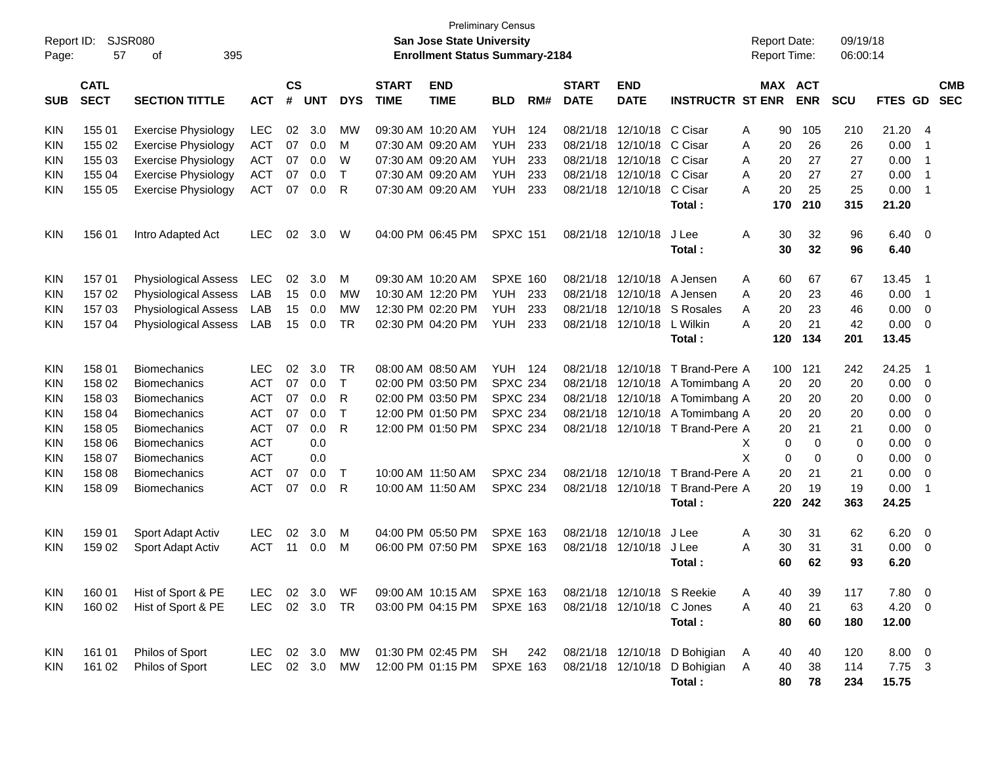| Report ID:<br>Page: | 57                         | <b>SJSR080</b><br>395<br>οf |            |                    |            |              |                             | San Jose State University<br><b>Enrollment Status Summary-2184</b> | <b>Preliminary Census</b> |     |                             |                            |                                  |   |          | <b>Report Date:</b><br><b>Report Time:</b> | 09/19/18<br>06:00:14 |              |                          |
|---------------------|----------------------------|-----------------------------|------------|--------------------|------------|--------------|-----------------------------|--------------------------------------------------------------------|---------------------------|-----|-----------------------------|----------------------------|----------------------------------|---|----------|--------------------------------------------|----------------------|--------------|--------------------------|
| <b>SUB</b>          | <b>CATL</b><br><b>SECT</b> | <b>SECTION TITTLE</b>       | <b>ACT</b> | $\mathsf{cs}$<br># | <b>UNT</b> | <b>DYS</b>   | <b>START</b><br><b>TIME</b> | <b>END</b><br><b>TIME</b>                                          | <b>BLD</b>                | RM# | <b>START</b><br><b>DATE</b> | <b>END</b><br><b>DATE</b>  | <b>INSTRUCTR ST ENR</b>          |   |          | MAX ACT<br><b>ENR</b>                      | <b>SCU</b>           | FTES GD      | <b>CMB</b><br><b>SEC</b> |
| KIN                 | 155 01                     | <b>Exercise Physiology</b>  | <b>LEC</b> | 02                 | 3.0        | МW           |                             | 09:30 AM 10:20 AM                                                  | YUH                       | 124 | 08/21/18                    | 12/10/18                   | C Cisar                          | A | 90       | 105                                        | 210                  | 21.20        | -4                       |
| KIN                 | 155 02                     | <b>Exercise Physiology</b>  | ACT        | 07                 | 0.0        | M            |                             | 07:30 AM 09:20 AM                                                  | <b>YUH</b>                | 233 | 08/21/18                    | 12/10/18                   | C Cisar                          | A | 20       | 26                                         | 26                   | 0.00         | $\overline{\mathbf{1}}$  |
| KIN                 | 155 03                     | <b>Exercise Physiology</b>  | <b>ACT</b> | 07                 | 0.0        | W            |                             | 07:30 AM 09:20 AM                                                  | <b>YUH</b>                | 233 | 08/21/18                    | 12/10/18                   | C Cisar                          | A | 20       | 27                                         | 27                   | 0.00         | $\overline{1}$           |
| KIN                 | 155 04                     | <b>Exercise Physiology</b>  | ACT        | 07                 | 0.0        | $\mathsf{T}$ |                             | 07:30 AM 09:20 AM                                                  | <b>YUH</b>                | 233 | 08/21/18                    | 12/10/18                   | C Cisar                          | A | 20       | 27                                         | 27                   | 0.00         | $\overline{1}$           |
| KIN                 | 155 05                     | <b>Exercise Physiology</b>  | <b>ACT</b> | 07                 | 0.0        | R            |                             | 07:30 AM 09:20 AM                                                  | <b>YUH</b>                | 233 | 08/21/18                    | 12/10/18                   | C Cisar                          | A | 20       | 25                                         | 25                   | 0.00         | $\overline{\phantom{0}}$ |
|                     |                            |                             |            |                    |            |              |                             |                                                                    |                           |     |                             |                            | Total:                           |   | 170      | 210                                        | 315                  | 21.20        |                          |
| <b>KIN</b>          | 156 01                     | Intro Adapted Act           | <b>LEC</b> | 02                 | 3.0        | W            |                             | 04:00 PM 06:45 PM                                                  | <b>SPXC 151</b>           |     |                             | 08/21/18 12/10/18          | J Lee<br>Total:                  | A | 30<br>30 | 32<br>32                                   | 96<br>96             | 6.40<br>6.40 | $\overline{0}$           |
| <b>KIN</b>          | 157 01                     | <b>Physiological Assess</b> | LEC        | 02                 | 3.0        | М            |                             | 09:30 AM 10:20 AM                                                  | <b>SPXE 160</b>           |     | 08/21/18                    | 12/10/18                   | A Jensen                         | A | 60       | 67                                         | 67                   | 13.45        | $\overline{1}$           |
| KIN                 | 157 02                     | <b>Physiological Assess</b> | LAB        | 15                 | 0.0        | <b>MW</b>    |                             | 10:30 AM 12:20 PM                                                  | <b>YUH</b>                | 233 | 08/21/18                    | 12/10/18                   | A Jensen                         | A | 20       | 23                                         | 46                   | 0.00         | $\overline{1}$           |
| KIN                 | 157 03                     | <b>Physiological Assess</b> | LAB        | 15                 | 0.0        | <b>MW</b>    |                             | 12:30 PM 02:20 PM                                                  | <b>YUH</b>                | 233 | 08/21/18                    | 12/10/18                   | S Rosales                        | A | 20       | 23                                         | 46                   | 0.00         | $\overline{0}$           |
| KIN                 | 157 04                     | <b>Physiological Assess</b> | LAB        | 15                 | 0.0        | <b>TR</b>    |                             | 02:30 PM 04:20 PM                                                  | <b>YUH</b>                | 233 | 08/21/18                    | 12/10/18                   | L Wilkin                         | A | 20       | 21                                         | 42                   | 0.00         | - 0                      |
|                     |                            |                             |            |                    |            |              |                             |                                                                    |                           |     |                             |                            | Total:                           |   | 120      | 134                                        | 201                  | 13.45        |                          |
| <b>KIN</b>          | 158 01                     | <b>Biomechanics</b>         | <b>LEC</b> | 02                 | 3.0        | <b>TR</b>    |                             | 08:00 AM 08:50 AM                                                  | <b>YUH 124</b>            |     | 08/21/18                    | 12/10/18                   | T Brand-Pere A                   |   | 100      | 121                                        | 242                  | 24.25        | $\overline{1}$           |
| KIN                 | 158 02                     | <b>Biomechanics</b>         | <b>ACT</b> | 07                 | 0.0        | $\mathsf{T}$ |                             | 02:00 PM 03:50 PM                                                  | <b>SPXC 234</b>           |     | 08/21/18                    | 12/10/18                   | A Tomimbang A                    |   | 20       | 20                                         | 20                   | 0.00         | $\overline{0}$           |
| KIN                 | 158 03                     | <b>Biomechanics</b>         | <b>ACT</b> | 07                 | 0.0        | R            |                             | 02:00 PM 03:50 PM                                                  | <b>SPXC 234</b>           |     | 08/21/18                    | 12/10/18                   | A Tomimbang A                    |   | 20       | 20                                         | 20                   | 0.00         | $\overline{0}$           |
| KIN                 | 158 04                     | <b>Biomechanics</b>         | <b>ACT</b> | 07                 | 0.0        | $\mathsf{T}$ |                             | 12:00 PM 01:50 PM                                                  | <b>SPXC 234</b>           |     | 08/21/18                    | 12/10/18                   | A Tomimbang A                    |   | 20       | 20                                         | 20                   | 0.00         | $\mathbf 0$              |
| KIN                 | 158 05                     | <b>Biomechanics</b>         | <b>ACT</b> | 07                 | 0.0        | R            |                             | 12:00 PM 01:50 PM                                                  | <b>SPXC 234</b>           |     |                             |                            | 08/21/18 12/10/18 T Brand-Pere A |   | 20       | 21                                         | 21                   | 0.00         | $\mathbf 0$              |
| KIN                 | 158 06                     | <b>Biomechanics</b>         | <b>ACT</b> |                    | 0.0        |              |                             |                                                                    |                           |     |                             |                            |                                  | Χ | 0        | $\mathbf 0$                                | 0                    | 0.00         | $\mathbf 0$              |
| KIN                 | 158 07                     | <b>Biomechanics</b>         | <b>ACT</b> |                    | 0.0        |              |                             |                                                                    |                           |     |                             |                            |                                  | X | 0        | $\mathbf 0$                                | 0                    | 0.00         | $\mathbf 0$              |
| KIN                 | 158 08                     | <b>Biomechanics</b>         | <b>ACT</b> | 07                 | 0.0        | $\mathsf{T}$ | 10:00 AM 11:50 AM           |                                                                    | <b>SPXC 234</b>           |     |                             | 08/21/18 12/10/18          | T Brand-Pere A                   |   | 20       | 21                                         | 21                   | 0.00         | $\mathbf 0$              |
| KIN                 | 158 09                     | <b>Biomechanics</b>         | <b>ACT</b> | 07                 | 0.0        | R            | 10:00 AM 11:50 AM           |                                                                    | <b>SPXC 234</b>           |     |                             | 08/21/18 12/10/18          | T Brand-Pere A                   |   | 20       | 19                                         | 19                   | 0.00         | $\overline{1}$           |
|                     |                            |                             |            |                    |            |              |                             |                                                                    |                           |     |                             |                            | Total:                           |   | 220      | 242                                        | 363                  | 24.25        |                          |
| KIN                 | 159 01                     | Sport Adapt Activ           | LEC.       | 02                 | 3.0        | M            |                             | 04:00 PM 05:50 PM                                                  | <b>SPXE 163</b>           |     | 08/21/18                    | 12/10/18                   | J Lee                            | A | 30       | 31                                         | 62                   | 6.20         | 0                        |
| KIN                 | 159 02                     | Sport Adapt Activ           | <b>ACT</b> | 11                 | 0.0        | M            |                             | 06:00 PM 07:50 PM                                                  | <b>SPXE 163</b>           |     | 08/21/18                    | 12/10/18                   | J Lee                            | A | 30       | 31                                         | 31                   | 0.00         | - 0                      |
|                     |                            |                             |            |                    |            |              |                             |                                                                    |                           |     |                             |                            | Total:                           |   | 60       | 62                                         | 93                   | 6.20         |                          |
| <b>KIN</b>          | 160 01                     | Hist of Sport & PE          | LEC.       |                    | 02 3.0 WF  |              |                             | 09:00 AM 10:15 AM SPXE 163                                         |                           |     |                             | 08/21/18 12/10/18 S Reekie |                                  | A | 40       | 39                                         | 117                  | 7.80 0       |                          |
| KIN                 | 160 02                     | Hist of Sport & PE          | <b>LEC</b> |                    | 02 3.0 TR  |              |                             | 03:00 PM 04:15 PM                                                  | <b>SPXE 163</b>           |     |                             | 08/21/18 12/10/18 C Jones  |                                  | Α | 40       | 21                                         | 63                   | 4.20         | $\overline{\phantom{0}}$ |
|                     |                            |                             |            |                    |            |              |                             |                                                                    |                           |     |                             |                            | Total:                           |   | 80       | 60                                         | 180                  | 12.00        |                          |
| KIN                 | 161 01                     | Philos of Sport             | LEC.       |                    | 02 3.0     | MW           |                             | 01:30 PM 02:45 PM SH                                               |                           | 242 |                             | 08/21/18 12/10/18          | D Bohigian                       | A | 40       | 40                                         | 120                  | $8.00 \t 0$  |                          |
| <b>KIN</b>          | 161 02                     | Philos of Sport             | <b>LEC</b> |                    | 02 3.0     | MW           |                             | 12:00 PM 01:15 PM                                                  | <b>SPXE 163</b>           |     |                             | 08/21/18 12/10/18          | D Bohigian A                     |   | 40       | 38                                         | 114                  | 7.75 3       |                          |
|                     |                            |                             |            |                    |            |              |                             |                                                                    |                           |     |                             |                            | Total:                           |   | 80       | 78                                         | 234                  | 15.75        |                          |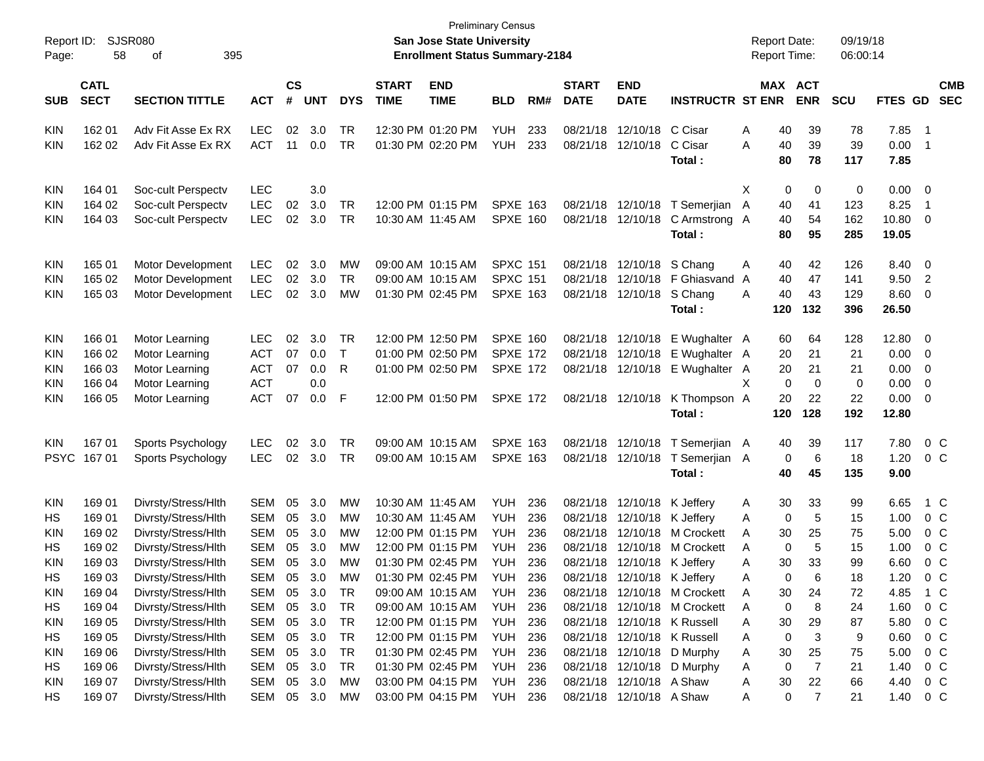| Report ID:<br>Page: | 58                         | <b>SJSR080</b><br>395<br>οf                |            |                             |            |                        |                             | <b>San Jose State University</b><br><b>Enrollment Status Summary-2184</b> | <b>Preliminary Census</b> |            |                             |                             |                                                             | <b>Report Date:</b><br>Report Time: |                |             | 09/19/18<br>06:00:14 |              |                          |                          |
|---------------------|----------------------------|--------------------------------------------|------------|-----------------------------|------------|------------------------|-----------------------------|---------------------------------------------------------------------------|---------------------------|------------|-----------------------------|-----------------------------|-------------------------------------------------------------|-------------------------------------|----------------|-------------|----------------------|--------------|--------------------------|--------------------------|
| <b>SUB</b>          | <b>CATL</b><br><b>SECT</b> | <b>SECTION TITTLE</b>                      | <b>ACT</b> | $\mathbf{c}\mathbf{s}$<br># | <b>UNT</b> | <b>DYS</b>             | <b>START</b><br><b>TIME</b> | <b>END</b><br><b>TIME</b>                                                 | <b>BLD</b>                | RM#        | <b>START</b><br><b>DATE</b> | <b>END</b><br><b>DATE</b>   | <b>INSTRUCTR ST ENR</b>                                     | MAX ACT                             |                | <b>ENR</b>  | <b>SCU</b>           | FTES GD      |                          | <b>CMB</b><br><b>SEC</b> |
| KIN                 | 162 01                     | Adv Fit Asse Ex RX                         | <b>LEC</b> | 02                          | 3.0        | TR                     |                             | 12:30 PM 01:20 PM                                                         | YUH                       | 233        |                             | 08/21/18 12/10/18           | C Cisar                                                     | A                                   | 40             | 39          | 78                   | 7.85         | $\overline{\phantom{1}}$ |                          |
| KIN                 | 162 02                     | Adv Fit Asse Ex RX                         | <b>ACT</b> | 11                          | 0.0        | TR                     |                             | 01:30 PM 02:20 PM                                                         | YUH                       | 233        | 08/21/18                    | 12/10/18                    | C Cisar                                                     | A                                   | 40             | 39          | 39                   | 0.00         | $\overline{1}$           |                          |
|                     |                            |                                            |            |                             |            |                        |                             |                                                                           |                           |            |                             |                             | Total:                                                      |                                     | 80             | 78          | 117                  | 7.85         |                          |                          |
| KIN                 | 164 01                     | Soc-cult Perspectv                         | <b>LEC</b> |                             | 3.0        |                        |                             |                                                                           |                           |            |                             |                             |                                                             | Χ                                   | 0              | 0           | 0                    | 0.00         | - 0                      |                          |
| KIN                 | 164 02                     | Soc-cult Perspectv                         | <b>LEC</b> | 02                          | 3.0        | TR                     |                             | 12:00 PM 01:15 PM                                                         | <b>SPXE 163</b>           |            |                             | 08/21/18 12/10/18           | T Semerjian                                                 | A                                   | 40             | 41          | 123                  | 8.25         | $\overline{1}$           |                          |
| KIN                 | 164 03                     | Soc-cult Perspectv                         | <b>LEC</b> | 02                          | 3.0        | TR                     |                             | 10:30 AM 11:45 AM                                                         | SPXE 160                  |            |                             | 08/21/18 12/10/18           | C Armstrong A                                               |                                     | 40             | 54          | 162                  | 10.80        | 0                        |                          |
|                     |                            |                                            |            |                             |            |                        |                             |                                                                           |                           |            |                             |                             | Total:                                                      |                                     | 80             | 95          | 285                  | 19.05        |                          |                          |
| KIN                 | 165 01                     | Motor Development                          | LEC        | 02                          | 3.0        | MW                     |                             | 09:00 AM 10:15 AM                                                         | <b>SPXC 151</b>           |            |                             | 08/21/18 12/10/18           | S Chang                                                     | A                                   | 40             | 42          | 126                  | 8.40         | 0                        |                          |
| KIN                 | 165 02                     | Motor Development                          | <b>LEC</b> | 02                          | 3.0        | TR                     |                             | 09:00 AM 10:15 AM                                                         | <b>SPXC 151</b>           |            |                             |                             | 08/21/18 12/10/18 F Ghiasvand A                             |                                     | 40             | 47          | 141                  | 9.50         | $\overline{2}$           |                          |
| KIN                 | 165 03                     | Motor Development                          | <b>LEC</b> | 02                          | 3.0        | MW                     |                             | 01:30 PM 02:45 PM                                                         | <b>SPXE 163</b>           |            |                             | 08/21/18 12/10/18           | S Chang                                                     | A                                   | 40             | 43          | 129                  | 8.60         | 0                        |                          |
|                     |                            |                                            |            |                             |            |                        |                             |                                                                           |                           |            |                             |                             | Total:                                                      |                                     | 120            | 132         | 396                  | 26.50        |                          |                          |
| <b>KIN</b>          | 166 01                     | Motor Learning                             | <b>LEC</b> | 02                          | 3.0        | TR                     |                             | 12:00 PM 12:50 PM                                                         | <b>SPXE 160</b>           |            |                             | 08/21/18 12/10/18           | E Wughalter A                                               |                                     | 60             | 64          | 128                  | 12.80        | 0                        |                          |
| KIN                 | 166 02                     | Motor Learning                             | <b>ACT</b> | 07                          | 0.0        | T                      |                             | 01:00 PM 02:50 PM                                                         | <b>SPXE 172</b>           |            |                             | 08/21/18 12/10/18           | E Wughalter A                                               |                                     | 20             | 21          | 21                   | 0.00         | 0                        |                          |
| KIN                 | 166 03                     | Motor Learning                             | <b>ACT</b> | 07                          | 0.0        | R                      |                             | 01:00 PM 02:50 PM                                                         | <b>SPXE 172</b>           |            |                             |                             | 08/21/18 12/10/18 E Wughalter A                             |                                     | 20             | 21          | 21                   | 0.00         | 0                        |                          |
| KIN                 | 166 04                     | Motor Learning                             | <b>ACT</b> |                             | 0.0        |                        |                             |                                                                           |                           |            |                             |                             |                                                             | Χ                                   | 0              | $\mathbf 0$ | $\mathbf 0$          | 0.00         | 0                        |                          |
| KIN                 | 166 05                     | Motor Learning                             | ACT        | 07                          | 0.0        | F                      |                             | 12:00 PM 01:50 PM                                                         | <b>SPXE 172</b>           |            |                             |                             | 08/21/18 12/10/18 K Thompson A                              |                                     | 20             | 22          | 22                   | 0.00         | 0                        |                          |
|                     |                            |                                            |            |                             |            |                        |                             |                                                                           |                           |            |                             |                             | Total:                                                      |                                     | 120            | 128         | 192                  | 12.80        |                          |                          |
| <b>KIN</b>          | 167 01                     | Sports Psychology                          | <b>LEC</b> | 02                          | 3.0        | TR                     |                             | 09:00 AM 10:15 AM                                                         | <b>SPXE 163</b>           |            |                             | 08/21/18 12/10/18           | T Semerjian A                                               |                                     | 40             | 39          | 117                  | 7.80         |                          | $0\,C$                   |
| <b>PSYC</b>         | 16701                      | Sports Psychology                          | <b>LEC</b> | 02                          | 3.0        | TR                     |                             | 09:00 AM 10:15 AM                                                         | <b>SPXE 163</b>           |            |                             | 08/21/18 12/10/18           | T Semerjian A                                               |                                     | 0              | 6           | 18                   | 1.20         |                          | 0 C                      |
|                     |                            |                                            |            |                             |            |                        |                             |                                                                           |                           |            |                             |                             | Total:                                                      |                                     | 40             | 45          | 135                  | 9.00         |                          |                          |
| <b>KIN</b>          | 169 01                     | Divrsty/Stress/Hlth                        | <b>SEM</b> | 05                          | 3.0        | MW                     |                             | 10:30 AM 11:45 AM                                                         | <b>YUH</b>                | 236        |                             | 08/21/18 12/10/18           | K Jeffery                                                   | A                                   | 30             | 33          | 99                   | 6.65         |                          | 1 C                      |
| НS                  | 169 01                     | Divrsty/Stress/Hlth                        | <b>SEM</b> | 05                          | 3.0        | MW                     |                             | 10:30 AM 11:45 AM                                                         | <b>YUH</b>                | 236        |                             | 08/21/18 12/10/18           | K Jeffery                                                   | A                                   | 0              | 5           | 15                   | 1.00         |                          | 0 <sup>C</sup>           |
| KIN                 | 169 02                     | Divrsty/Stress/Hlth                        | <b>SEM</b> | 05                          | 3.0        | MW                     |                             | 12:00 PM 01:15 PM                                                         | YUH                       | 236        | 08/21/18                    | 12/10/18                    | M Crockett                                                  | A                                   | 30             | 25          | 75                   | 5.00         |                          | 0 C                      |
| HS                  | 169 02                     | Divrsty/Stress/Hlth                        | <b>SEM</b> | 05                          | 3.0        | <b>MW</b>              |                             | 12:00 PM 01:15 PM                                                         | YUH                       | 236        |                             | 08/21/18 12/10/18           | M Crockett                                                  | A                                   | $\mathbf 0$    | 5           | 15                   | 1.00         |                          | 0 <sup>C</sup>           |
| <b>KIN</b>          | 16903                      | Divrsty/Stress/Hlth                        | <b>SEM</b> | 05                          | 3.0        | MW                     |                             | 01:30 PM 02:45 PM                                                         | YUH                       | 236        |                             | 08/21/18 12/10/18 K Jeffery |                                                             | Α                                   | 30             | 33          | 99                   | 6.60         |                          | 0 C                      |
| HS                  | 169 03                     | Divrsty/Stress/Hlth                        | SFM        |                             | 05 3.0     | МW                     |                             | 01:30 PM 02:45 PM                                                         | <b>YUH</b>                | 236        |                             | 08/21/18 12/10/18 K Jeffery |                                                             | А                                   | $\Omega$       | 6           | 18                   | 1.20         |                          | 0 <sub>C</sub>           |
| KIN                 | 169 04                     | Divrsty/Stress/Hlth                        | SEM        | 05                          | 3.0        | <b>TR</b>              |                             | 09:00 AM 10:15 AM                                                         | YUH                       | 236        |                             |                             | 08/21/18 12/10/18 M Crockett                                | A                                   | 30             | 24          | 72                   | 4.85         |                          | 1 C                      |
| HS                  | 169 04<br>169 05           | Divrsty/Stress/Hlth<br>Divrsty/Stress/Hlth | SEM<br>SEM | 05<br>05                    | 3.0<br>3.0 | <b>TR</b><br><b>TR</b> |                             | 09:00 AM 10:15 AM                                                         | <b>YUH</b><br>YUH         | 236<br>236 |                             |                             | 08/21/18 12/10/18 M Crockett<br>08/21/18 12/10/18 K Russell | A                                   | 0              | 8           | 24<br>87             | 1.60         |                          | 0 <sup>C</sup><br>$0\,C$ |
| KIN<br>HS           | 169 05                     | Divrsty/Stress/Hlth                        | SEM        | 05                          | 3.0        | <b>TR</b>              |                             | 12:00 PM 01:15 PM<br>12:00 PM 01:15 PM                                    | YUH                       | 236        |                             |                             | 08/21/18 12/10/18 K Russell                                 | Α<br>Α                              | 30<br>$\Omega$ | 29<br>3     | 9                    | 5.80<br>0.60 |                          | $0\,C$                   |
| KIN                 | 169 06                     | Divrsty/Stress/Hlth                        | SEM        | 05                          | 3.0        | <b>TR</b>              |                             | 01:30 PM 02:45 PM                                                         | YUH                       | 236        |                             |                             | 08/21/18 12/10/18 D Murphy                                  | A                                   | 30             | 25          | 75                   | 5.00         |                          | $0\,C$                   |
| HS                  | 169 06                     | Divrsty/Stress/Hlth                        | SEM        | 05                          | 3.0        | <b>TR</b>              |                             | 01:30 PM 02:45 PM                                                         | YUH                       | 236        |                             |                             | 08/21/18 12/10/18 D Murphy                                  | A                                   | 0              | 7           | 21                   | 1.40         |                          | $0\,C$                   |
| KIN                 | 169 07                     | Divrsty/Stress/Hlth                        | SEM        | 05                          | 3.0        | <b>MW</b>              |                             | 03:00 PM 04:15 PM                                                         | YUH                       | 236        |                             | 08/21/18 12/10/18 A Shaw    |                                                             | Α                                   | 30             | 22          | 66                   | 4.40         |                          | 0 <sup>C</sup>           |
| HS                  | 169 07                     | Divrsty/Stress/Hlth                        | SEM        |                             | 05 3.0     | <b>MW</b>              |                             | 03:00 PM 04:15 PM                                                         | YUH                       | 236        |                             | 08/21/18 12/10/18 A Shaw    |                                                             | A                                   | 0              | 7           | 21                   | 1.40         |                          | $0\,C$                   |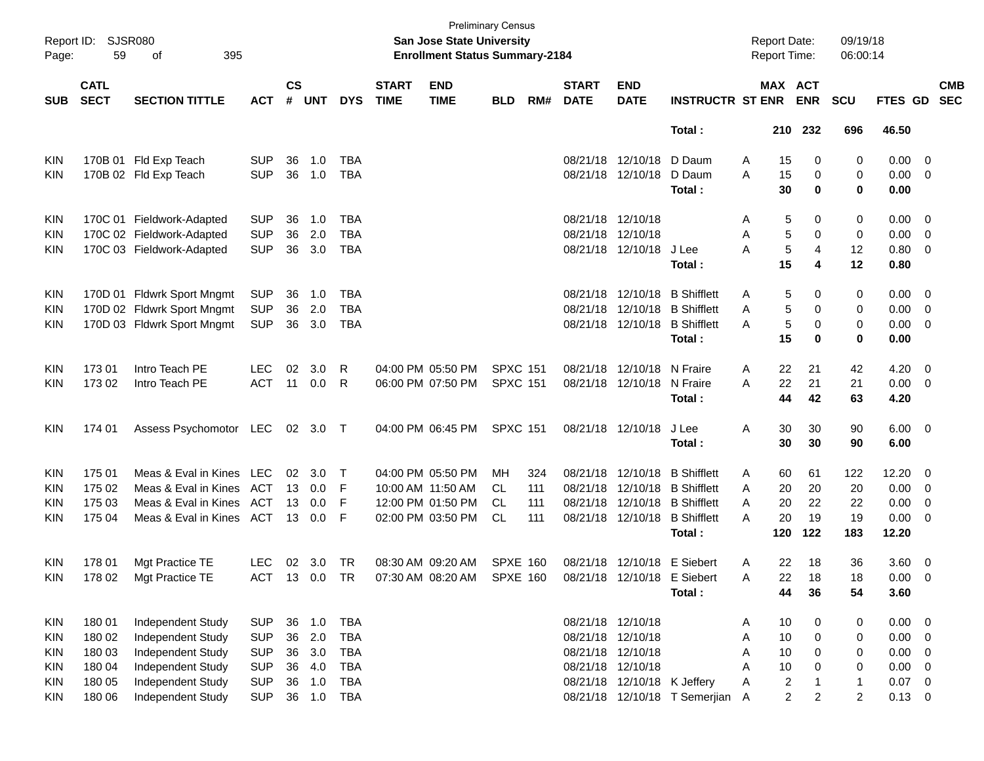| $\mathsf{cs}$<br><b>CATL</b><br><b>END</b><br><b>START</b><br><b>END</b><br>MAX ACT<br><b>START</b><br><b>SECT</b><br>#<br><b>UNT</b><br><b>DATE</b><br><b>INSTRUCTR ST ENR</b><br><b>SECTION TITTLE</b><br><b>DYS</b><br><b>TIME</b><br><b>TIME</b><br><b>BLD</b><br>RM#<br><b>DATE</b><br><b>ENR</b><br><b>SCU</b><br><b>SUB</b><br><b>ACT</b><br>210 232<br>696<br>Total:<br>08/21/18 12/10/18<br>D Daum<br>170B 01 Fld Exp Teach<br><b>SUP</b><br>36<br>1.0<br>TBA<br>15<br>0<br>0<br>KIN<br>A | <b>CMB</b><br>FTES GD<br><b>SEC</b><br>46.50<br>0.00<br>$\overline{\mathbf{0}}$<br>0.00<br>$\overline{\mathbf{0}}$<br>0.00<br>0.00<br>$\overline{\phantom{0}}$<br>0.00<br>$\overline{\mathbf{0}}$<br>0.80<br>$\overline{\mathbf{0}}$<br>0.80 |
|----------------------------------------------------------------------------------------------------------------------------------------------------------------------------------------------------------------------------------------------------------------------------------------------------------------------------------------------------------------------------------------------------------------------------------------------------------------------------------------------------|----------------------------------------------------------------------------------------------------------------------------------------------------------------------------------------------------------------------------------------------|
|                                                                                                                                                                                                                                                                                                                                                                                                                                                                                                    |                                                                                                                                                                                                                                              |
|                                                                                                                                                                                                                                                                                                                                                                                                                                                                                                    |                                                                                                                                                                                                                                              |
|                                                                                                                                                                                                                                                                                                                                                                                                                                                                                                    |                                                                                                                                                                                                                                              |
| <b>SUP</b><br>170B 02 Fld Exp Teach<br>36<br>1.0<br><b>TBA</b><br>08/21/18 12/10/18<br>D Daum<br>15<br>A<br>0<br>0<br><b>KIN</b><br>30<br>0<br>0<br>Total :                                                                                                                                                                                                                                                                                                                                        |                                                                                                                                                                                                                                              |
|                                                                                                                                                                                                                                                                                                                                                                                                                                                                                                    |                                                                                                                                                                                                                                              |
| 08/21/18 12/10/18<br>170C 01 Fieldwork-Adapted<br><b>SUP</b><br>36<br>1.0<br>TBA<br>5<br>0<br>0<br>KIN<br>A                                                                                                                                                                                                                                                                                                                                                                                        |                                                                                                                                                                                                                                              |
| <b>SUP</b><br>36<br>2.0<br><b>TBA</b><br>08/21/18 12/10/18<br>5<br>170C 02 Fieldwork-Adapted<br>0<br>0<br><b>KIN</b><br>A                                                                                                                                                                                                                                                                                                                                                                          |                                                                                                                                                                                                                                              |
| 5<br><b>SUP</b><br>36<br>3.0<br><b>TBA</b><br>$\overline{4}$<br>170C 03 Fieldwork-Adapted<br>08/21/18 12/10/18<br>J Lee<br>Α<br>12<br>KIN<br>15<br>4<br>12<br>Total:                                                                                                                                                                                                                                                                                                                               |                                                                                                                                                                                                                                              |
|                                                                                                                                                                                                                                                                                                                                                                                                                                                                                                    |                                                                                                                                                                                                                                              |
| 08/21/18 12/10/18<br><b>B</b> Shifflett<br>170D 01 Fldwrk Sport Mngmt<br><b>SUP</b><br>36<br>1.0<br><b>TBA</b><br>5<br>0<br>KIN<br>A<br>0                                                                                                                                                                                                                                                                                                                                                          | $0.00 \t 0$                                                                                                                                                                                                                                  |
| 170D 02 Fldwrk Sport Mngmt<br><b>SUP</b><br>36<br>2.0<br><b>TBA</b><br>08/21/18 12/10/18 B Shifflett<br>5<br>0<br><b>KIN</b><br>Α<br>0                                                                                                                                                                                                                                                                                                                                                             | 0.00<br>$\overline{\mathbf{0}}$                                                                                                                                                                                                              |
| 170D 03 Fldwrk Sport Mngmt<br><b>SUP</b><br><b>TBA</b><br>08/21/18 12/10/18 B Shifflett<br>5<br>36<br>3.0<br>0<br>0<br>KIN<br>A                                                                                                                                                                                                                                                                                                                                                                    | 0.00<br>$\overline{\phantom{0}}$                                                                                                                                                                                                             |
| 15<br>0<br>Total:<br>0                                                                                                                                                                                                                                                                                                                                                                                                                                                                             | 0.00                                                                                                                                                                                                                                         |
| Intro Teach PE<br>17301<br><b>LEC</b><br>02<br>3.0<br>04:00 PM 05:50 PM<br><b>SPXC 151</b><br>08/21/18 12/10/18<br>N Fraire<br>42<br>R<br>Α<br>22<br>21<br><b>KIN</b>                                                                                                                                                                                                                                                                                                                              | 4.20<br>$\overline{\phantom{0}}$                                                                                                                                                                                                             |
| 17302<br><b>ACT</b><br>0.0<br>N Fraire<br>22<br>21<br>Intro Teach PE<br>11<br>R<br>06:00 PM 07:50 PM<br><b>SPXC 151</b><br>08/21/18 12/10/18<br>A<br>21<br><b>KIN</b>                                                                                                                                                                                                                                                                                                                              | 0.00<br>$\overline{\phantom{0}}$                                                                                                                                                                                                             |
| 44<br>42<br>63<br>Total:                                                                                                                                                                                                                                                                                                                                                                                                                                                                           | 4.20                                                                                                                                                                                                                                         |
| Assess Psychomotor LEC<br>04:00 PM 06:45 PM<br><b>SPXC 151</b><br>174 01<br>02 3.0 T<br>08/21/18 12/10/18<br>J Lee<br>Α<br>30<br>30<br>90<br><b>KIN</b>                                                                                                                                                                                                                                                                                                                                            | $6.00 \quad 0$                                                                                                                                                                                                                               |
| 30<br>30<br>90<br>Total :                                                                                                                                                                                                                                                                                                                                                                                                                                                                          | 6.00                                                                                                                                                                                                                                         |
| 175 01<br>Meas & Eval in Kines LEC<br>04:00 PM 05:50 PM<br><b>B</b> Shifflett<br>02<br>3.0<br>$\top$<br>MН<br>324<br>08/21/18 12/10/18<br>60<br>61<br>122<br><b>KIN</b><br>A                                                                                                                                                                                                                                                                                                                       | 12.20<br>- 0                                                                                                                                                                                                                                 |
| 175 02<br>Meas & Eval in Kines ACT<br>13 0.0<br>10:00 AM 11:50 AM<br>08/21/18 12/10/18 B Shifflett<br>F<br>CL.<br>20<br>20<br>20<br>KIN<br>111<br>A                                                                                                                                                                                                                                                                                                                                                | 0.00<br>$\overline{\mathbf{0}}$                                                                                                                                                                                                              |
| 175 03<br>Meas & Eval in Kines<br>ACT<br>13 0.0<br>F<br>12:00 PM 01:50 PM<br>08/21/18 12/10/18 B Shifflett<br>20<br>CL.<br>111<br>22<br>22<br>KIN<br>A                                                                                                                                                                                                                                                                                                                                             | 0.00<br>$\overline{\mathbf{0}}$                                                                                                                                                                                                              |
| Meas & Eval in Kines ACT<br>02:00 PM 03:50 PM<br>08/21/18 12/10/18 B Shifflett<br>20<br>19<br>175 04<br>13 0.0<br>F<br>CL.<br>A<br>19<br><b>KIN</b><br>111                                                                                                                                                                                                                                                                                                                                         | 0.00<br>$\overline{\mathbf{0}}$                                                                                                                                                                                                              |
| 120<br>122<br>183<br>Total :                                                                                                                                                                                                                                                                                                                                                                                                                                                                       | 12.20                                                                                                                                                                                                                                        |
| <b>LEC</b><br>02 3.0<br>08:30 AM 09:20 AM<br><b>SPXE 160</b><br>08/21/18 12/10/18 E Siebert<br>18<br>36<br>178 01<br>Mgt Practice TE<br>TR<br>A<br>22<br><b>KIN</b>                                                                                                                                                                                                                                                                                                                                | 3.60<br>$\overline{\phantom{0}}$                                                                                                                                                                                                             |
| ACT 13 0.0 TR<br>SPXE 160<br><b>KIN</b><br>178 02<br>Mgt Practice TE<br>07:30 AM 08:20 AM<br>08/21/18 12/10/18 E Siebert<br>22<br>A<br>18<br>18                                                                                                                                                                                                                                                                                                                                                    | $0.00 \quad 0$                                                                                                                                                                                                                               |
| 44<br>36<br>54<br>Total:                                                                                                                                                                                                                                                                                                                                                                                                                                                                           | 3.60                                                                                                                                                                                                                                         |
| 180 01<br>Independent Study<br><b>SUP</b><br>36 1.0<br><b>TBA</b><br>08/21/18 12/10/18<br><b>KIN</b><br>10<br>0<br>0<br>A                                                                                                                                                                                                                                                                                                                                                                          | $0.00 \t 0$                                                                                                                                                                                                                                  |
| <b>SUP</b><br>36<br>2.0<br><b>TBA</b><br>$10$<br>180 02<br>Independent Study<br>08/21/18 12/10/18<br>Α<br>0<br>0<br><b>KIN</b>                                                                                                                                                                                                                                                                                                                                                                     | 0.00<br>$\overline{0}$                                                                                                                                                                                                                       |
| Independent Study<br><b>SUP</b><br>180 03<br>36<br>3.0<br><b>TBA</b><br>08/21/18 12/10/18<br>10<br>Α<br>0<br>0<br><b>KIN</b>                                                                                                                                                                                                                                                                                                                                                                       | 0.00<br>$\overline{0}$                                                                                                                                                                                                                       |
| Independent Study<br><b>SUP</b><br>08/21/18 12/10/18<br>10<br>180 04<br>36 4.0<br><b>TBA</b><br>Α<br>0<br>0<br><b>KIN</b>                                                                                                                                                                                                                                                                                                                                                                          | 0.00<br>$\overline{\mathbf{0}}$                                                                                                                                                                                                              |
| Independent Study<br><b>SUP</b><br>08/21/18 12/10/18 K Jeffery<br>$\overline{c}$<br>180 05<br>36 1.0<br><b>TBA</b><br>Α<br>$\overline{1}$<br><b>KIN</b>                                                                                                                                                                                                                                                                                                                                            | $0.07$ 0                                                                                                                                                                                                                                     |
| Independent Study<br><b>SUP</b><br>36 1.0<br><b>TBA</b><br>08/21/18 12/10/18 T Semerjian<br>$\overline{c}$<br>$\overline{a}$<br>$\overline{2}$<br>180 06<br><b>KIN</b><br>$\mathsf{A}$                                                                                                                                                                                                                                                                                                             | $0.13 \ 0$                                                                                                                                                                                                                                   |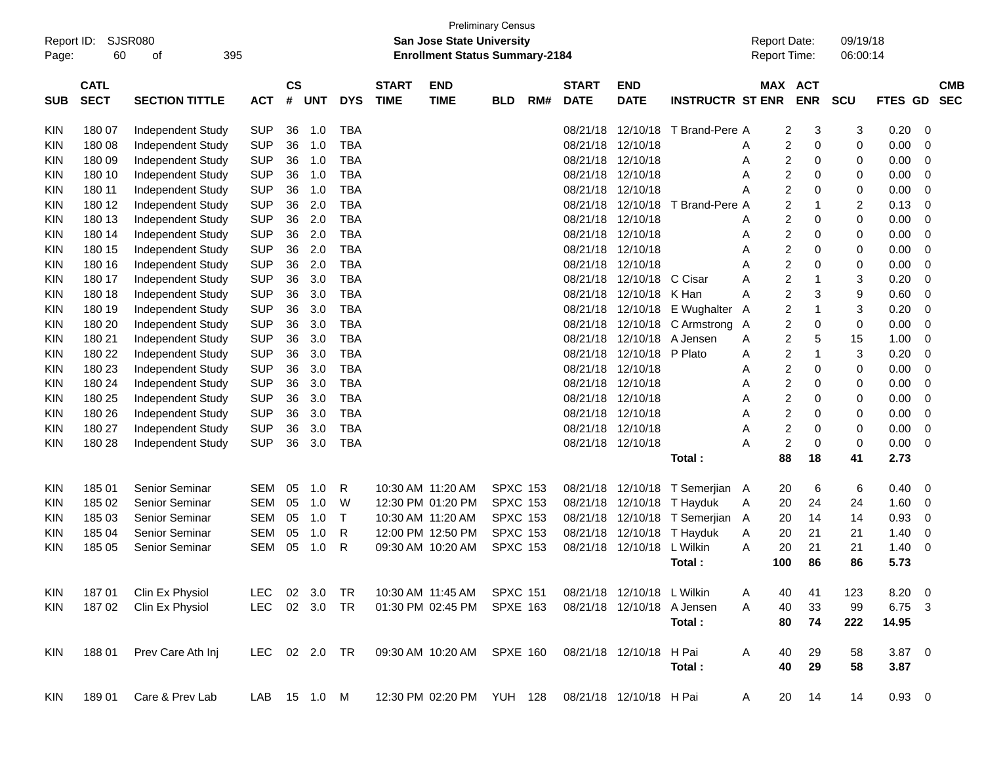| Report ID:<br>Page: | 60                         | SJSR080<br>395<br>οf  |               |                    |            |            |                             | <b>Preliminary Census</b><br>San Jose State University<br><b>Enrollment Status Summary-2184</b> |                 |     |                             |                            |                         | <b>Report Date:</b><br>Report Time: |                               | 09/19/18<br>06:00:14 |                |             |                          |
|---------------------|----------------------------|-----------------------|---------------|--------------------|------------|------------|-----------------------------|-------------------------------------------------------------------------------------------------|-----------------|-----|-----------------------------|----------------------------|-------------------------|-------------------------------------|-------------------------------|----------------------|----------------|-------------|--------------------------|
| <b>SUB</b>          | <b>CATL</b><br><b>SECT</b> | <b>SECTION TITTLE</b> | <b>ACT</b>    | $\mathsf{cs}$<br># | <b>UNT</b> | <b>DYS</b> | <b>START</b><br><b>TIME</b> | <b>END</b><br><b>TIME</b>                                                                       | <b>BLD</b>      | RM# | <b>START</b><br><b>DATE</b> | <b>END</b><br><b>DATE</b>  | <b>INSTRUCTR ST ENR</b> |                                     | <b>MAX ACT</b><br><b>ENR</b>  | <b>SCU</b>           | FTES GD        |             | <b>CMB</b><br><b>SEC</b> |
| KIN                 | 180 07                     | Independent Study     | <b>SUP</b>    | 36                 | 1.0        | TBA        |                             |                                                                                                 |                 |     | 08/21/18                    | 12/10/18                   | T Brand-Pere A          |                                     | 2<br>3                        | 3                    | 0.20           | $\mathbf 0$ |                          |
| KIN                 | 180 08                     | Independent Study     | <b>SUP</b>    | 36                 | 1.0        | <b>TBA</b> |                             |                                                                                                 |                 |     | 08/21/18                    | 12/10/18                   |                         | A                                   | $\overline{c}$<br>$\mathbf 0$ | 0                    | 0.00           | $\mathbf 0$ |                          |
| KIN                 | 180 09                     | Independent Study     | <b>SUP</b>    | 36                 | 1.0        | <b>TBA</b> |                             |                                                                                                 |                 |     | 08/21/18                    | 12/10/18                   |                         | Α                                   | $\overline{c}$<br>0           | 0                    | 0.00           | $\mathbf 0$ |                          |
| KIN                 | 180 10                     | Independent Study     | <b>SUP</b>    | 36                 | 1.0        | <b>TBA</b> |                             |                                                                                                 |                 |     | 08/21/18                    | 12/10/18                   |                         | A                                   | $\overline{c}$<br>0           | 0                    | 0.00           | $\mathbf 0$ |                          |
| KIN                 | 180 11                     | Independent Study     | <b>SUP</b>    | 36                 | 1.0        | <b>TBA</b> |                             |                                                                                                 |                 |     | 08/21/18                    | 12/10/18                   |                         | Α                                   | $\overline{2}$<br>0           | 0                    | 0.00           | $\mathbf 0$ |                          |
| KIN                 | 180 12                     | Independent Study     | <b>SUP</b>    | 36                 | 2.0        | <b>TBA</b> |                             |                                                                                                 |                 |     | 08/21/18                    | 12/10/18                   | T Brand-Pere A          |                                     | $\overline{2}$<br>-1          | 2                    | 0.13           | $\mathbf 0$ |                          |
| KIN                 | 180 13                     | Independent Study     | <b>SUP</b>    | 36                 | 2.0        | <b>TBA</b> |                             |                                                                                                 |                 |     | 08/21/18                    | 12/10/18                   |                         | A                                   | 2<br>$\mathbf 0$              | 0                    | 0.00           | $\mathbf 0$ |                          |
| KIN                 | 180 14                     | Independent Study     | <b>SUP</b>    | 36                 | 2.0        | <b>TBA</b> |                             |                                                                                                 |                 |     | 08/21/18                    | 12/10/18                   |                         | Α                                   | $\overline{c}$<br>0           | 0                    | 0.00           | $\mathbf 0$ |                          |
| KIN                 | 180 15                     | Independent Study     | <b>SUP</b>    | 36                 | 2.0        | <b>TBA</b> |                             |                                                                                                 |                 |     | 08/21/18                    | 12/10/18                   |                         | A                                   | $\overline{c}$<br>0           | 0                    | 0.00           | $\mathbf 0$ |                          |
| KIN                 | 180 16                     | Independent Study     | <b>SUP</b>    | 36                 | 2.0        | <b>TBA</b> |                             |                                                                                                 |                 |     | 08/21/18                    | 12/10/18                   |                         | A                                   | $\overline{2}$<br>0           | 0                    | 0.00           | $\mathbf 0$ |                          |
| KIN                 | 180 17                     | Independent Study     | <b>SUP</b>    | 36                 | 3.0        | <b>TBA</b> |                             |                                                                                                 |                 |     | 08/21/18                    | 12/10/18                   | C Cisar                 | A                                   | $\overline{c}$<br>1           | 3                    | 0.20           | $\mathbf 0$ |                          |
| KIN                 | 180 18                     | Independent Study     | <b>SUP</b>    | 36                 | 3.0        | <b>TBA</b> |                             |                                                                                                 |                 |     | 08/21/18                    | 12/10/18                   | K Han                   | A                                   | $\overline{c}$<br>3           | 9                    | 0.60           | $\mathbf 0$ |                          |
| KIN                 | 180 19                     | Independent Study     | <b>SUP</b>    | 36                 | 3.0        | <b>TBA</b> |                             |                                                                                                 |                 |     | 08/21/18                    | 12/10/18                   | E Wughalter             | A                                   | $\overline{c}$<br>1           | 3                    | 0.20           | $\mathbf 0$ |                          |
| KIN                 | 180 20                     | Independent Study     | <b>SUP</b>    | 36                 | 3.0        | <b>TBA</b> |                             |                                                                                                 |                 |     | 08/21/18                    | 12/10/18                   | C Armstrong A           |                                     | $\overline{2}$<br>$\mathbf 0$ | 0                    | 0.00           | $\mathbf 0$ |                          |
| KIN                 | 180 21                     | Independent Study     | <b>SUP</b>    | 36                 | 3.0        | <b>TBA</b> |                             |                                                                                                 |                 |     | 08/21/18                    | 12/10/18                   | A Jensen                | A                                   | $\overline{2}$<br>5           | 15                   | 1.00           | $\mathbf 0$ |                          |
| KIN                 | 180 22                     | Independent Study     | <b>SUP</b>    | 36                 | 3.0        | <b>TBA</b> |                             |                                                                                                 |                 |     | 08/21/18                    | 12/10/18                   | P Plato                 | A                                   | $\overline{c}$<br>1           | 3                    | 0.20           | $\mathbf 0$ |                          |
| KIN                 | 180 23                     | Independent Study     | <b>SUP</b>    | 36                 | 3.0        | <b>TBA</b> |                             |                                                                                                 |                 |     | 08/21/18                    | 12/10/18                   |                         | A                                   | $\overline{c}$<br>$\mathbf 0$ | 0                    | 0.00           | $\mathbf 0$ |                          |
| KIN                 | 180 24                     | Independent Study     | <b>SUP</b>    | 36                 | 3.0        | <b>TBA</b> |                             |                                                                                                 |                 |     | 08/21/18                    | 12/10/18                   |                         | A                                   | $\overline{c}$<br>0           | 0                    | 0.00           | $\mathbf 0$ |                          |
| KIN                 | 180 25                     | Independent Study     | <b>SUP</b>    | 36                 | 3.0        | <b>TBA</b> |                             |                                                                                                 |                 |     | 08/21/18                    | 12/10/18                   |                         | A                                   | $\overline{c}$<br>0           | 0                    | 0.00           | $\mathbf 0$ |                          |
| KIN                 | 180 26                     | Independent Study     | <b>SUP</b>    | 36                 | 3.0        | <b>TBA</b> |                             |                                                                                                 |                 |     | 08/21/18                    | 12/10/18                   |                         | A                                   | $\overline{c}$<br>0           | 0                    | 0.00           | 0           |                          |
| KIN                 | 180 27                     | Independent Study     | <b>SUP</b>    | 36                 | 3.0        | <b>TBA</b> |                             |                                                                                                 |                 |     | 08/21/18                    | 12/10/18                   |                         | A                                   | $\overline{c}$<br>$\mathbf 0$ | 0                    | 0.00           | 0           |                          |
| KIN                 | 180 28                     | Independent Study     | <b>SUP</b>    | 36                 | 3.0        | <b>TBA</b> |                             |                                                                                                 |                 |     |                             | 08/21/18 12/10/18          |                         | Α                                   | $\overline{c}$<br>$\mathbf 0$ | 0                    | 0.00           | $\mathbf 0$ |                          |
|                     |                            |                       |               |                    |            |            |                             |                                                                                                 |                 |     |                             |                            | Total:                  | 88                                  | 18                            | 41                   | 2.73           |             |                          |
| KIN                 | 185 01                     | Senior Seminar        | <b>SEM</b>    | 05                 | 1.0        | R          |                             | 10:30 AM 11:20 AM                                                                               | <b>SPXC 153</b> |     | 08/21/18                    | 12/10/18                   | T Semerjian A           | 20                                  | 6                             | 6                    | 0.40           | $\mathbf 0$ |                          |
| KIN                 | 185 02                     | Senior Seminar        | <b>SEM</b>    | 05                 | 1.0        | W          |                             | 12:30 PM 01:20 PM                                                                               | <b>SPXC 153</b> |     | 08/21/18                    | 12/10/18                   | T Hayduk                | 20<br>Α                             | 24                            | 24                   | 1.60           | 0           |                          |
| KIN                 | 185 03                     | Senior Seminar        | <b>SEM</b>    | 05                 | 1.0        | Т          |                             | 10:30 AM 11:20 AM                                                                               | <b>SPXC 153</b> |     | 08/21/18                    | 12/10/18                   | T Semeriian A           | 20                                  | 14                            | 14                   | 0.93           | 0           |                          |
| KIN                 | 185 04                     | Senior Seminar        | <b>SEM</b>    | 05                 | 1.0        | R          |                             | 12:00 PM 12:50 PM                                                                               | <b>SPXC 153</b> |     | 08/21/18                    | 12/10/18                   | T Hayduk                | 20<br>A                             | 21                            | 21                   | 1.40           | 0           |                          |
| KIN                 | 185 05                     | Senior Seminar        | <b>SEM</b>    | 05                 | 1.0        | R          |                             | 09:30 AM 10:20 AM                                                                               | <b>SPXC 153</b> |     | 08/21/18                    | 12/10/18                   | L Wilkin                | 20<br>A                             | 21                            | 21                   | 1.40           | 0           |                          |
|                     |                            |                       |               |                    |            |            |                             |                                                                                                 |                 |     |                             |                            | Total :                 | 100                                 | 86                            | 86                   | 5.73           |             |                          |
| KIN                 | 18701                      | Clin Ex Physiol       | LEC.          |                    | 02 3.0     | TR         |                             | 10:30 AM 11:45 AM                                                                               | <b>SPXC 151</b> |     |                             | 08/21/18 12/10/18 L Wilkin |                         | A<br>40                             | 41                            | 123                  | $8.20 \ 0$     |             |                          |
| <b>KIN</b>          | 18702                      | Clin Ex Physiol       | LEC 02 3.0 TR |                    |            |            |                             | 01:30 PM 02:45 PM                                                                               | <b>SPXE 163</b> |     |                             | 08/21/18 12/10/18 A Jensen |                         | A<br>40                             | 33                            | 99                   | 6.75 3         |             |                          |
|                     |                            |                       |               |                    |            |            |                             |                                                                                                 |                 |     |                             |                            | Total:                  | 80                                  | 74                            | 222                  | 14.95          |             |                          |
| KIN                 | 18801                      | Prev Care Ath Inj     | LEC 02 2.0 TR |                    |            |            |                             | 09:30 AM 10:20 AM SPXE 160                                                                      |                 |     |                             | 08/21/18 12/10/18          | H Pai                   | A<br>40                             | 29                            | 58                   | $3.87$ 0       |             |                          |
|                     |                            |                       |               |                    |            |            |                             |                                                                                                 |                 |     |                             |                            | Total:                  | 40                                  | 29                            | 58                   | 3.87           |             |                          |
| KIN                 | 18901                      | Care & Prev Lab       | LAB 15 1.0 M  |                    |            |            |                             | 12:30 PM 02:20 PM YUH 128 08/21/18 12/10/18 H Pai                                               |                 |     |                             |                            |                         | 20<br>A                             | 14                            | 14                   | $0.93 \quad 0$ |             |                          |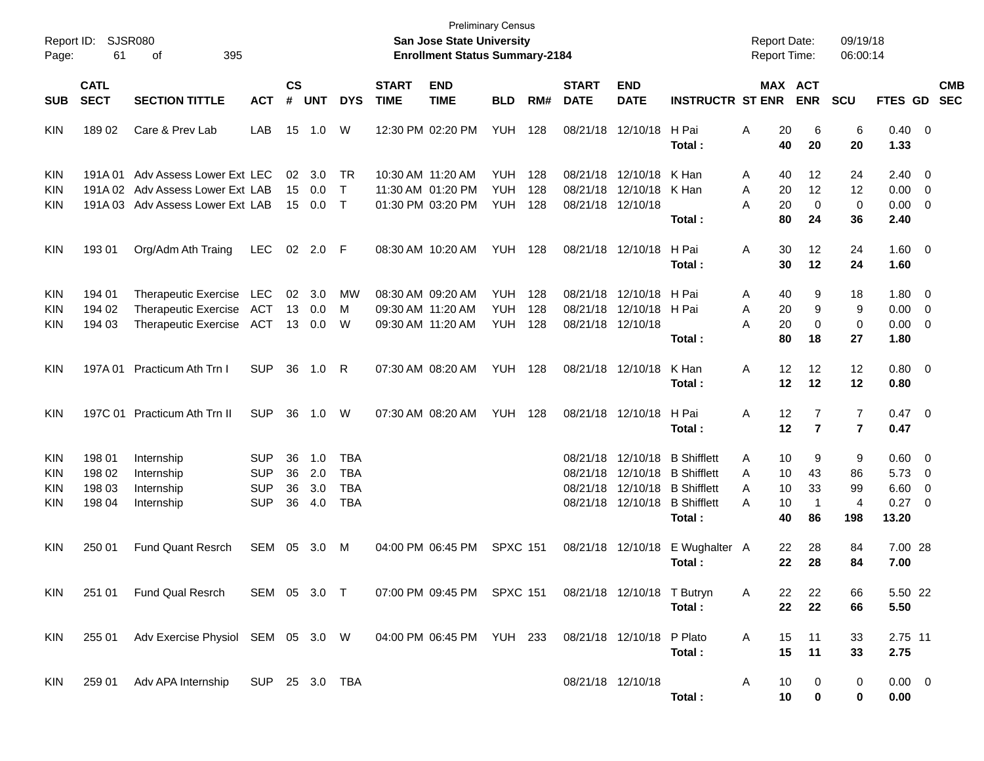| Page:                                  | Report ID: SJSR080<br>61             | 395<br>оf                                                                                        |                                                      |                      |                          |                                                      |                             | <b>San Jose State University</b><br><b>Enrollment Status Summary-2184</b> | <b>Preliminary Census</b>              |                   |                                              |                                              |                                                                                                 | <b>Report Date:</b><br><b>Report Time:</b>     |                                     | 09/19/18<br>06:00:14                   |                                                  |                                                                                  |                          |
|----------------------------------------|--------------------------------------|--------------------------------------------------------------------------------------------------|------------------------------------------------------|----------------------|--------------------------|------------------------------------------------------|-----------------------------|---------------------------------------------------------------------------|----------------------------------------|-------------------|----------------------------------------------|----------------------------------------------|-------------------------------------------------------------------------------------------------|------------------------------------------------|-------------------------------------|----------------------------------------|--------------------------------------------------|----------------------------------------------------------------------------------|--------------------------|
| <b>SUB</b>                             | <b>CATL</b><br><b>SECT</b>           | <b>SECTION TITTLE</b>                                                                            | <b>ACT</b>                                           | $\mathsf{cs}$<br>#   | <b>UNT</b>               | <b>DYS</b>                                           | <b>START</b><br><b>TIME</b> | <b>END</b><br><b>TIME</b>                                                 | <b>BLD</b>                             | RM#               | <b>START</b><br><b>DATE</b>                  | <b>END</b><br><b>DATE</b>                    | <b>INSTRUCTR ST ENR</b>                                                                         |                                                | <b>MAX ACT</b><br><b>ENR</b>        | SCU                                    | <b>FTES GD</b>                                   |                                                                                  | <b>CMB</b><br><b>SEC</b> |
| KIN                                    | 18902                                | Care & Prev Lab                                                                                  | LAB                                                  | 15                   | 1.0                      | W                                                    |                             | 12:30 PM 02:20 PM                                                         | <b>YUH</b>                             | 128               | 08/21/18                                     | 12/10/18                                     | H Pai<br>Total :                                                                                | 20<br>Α<br>40                                  | 6<br>20                             | 6<br>20                                | $0.40 \ 0$<br>1.33                               |                                                                                  |                          |
| <b>KIN</b><br><b>KIN</b><br>KIN        | 191A 01                              | Adv Assess Lower Ext LEC<br>191A 02 Adv Assess Lower Ext LAB<br>191A 03 Adv Assess Lower Ext LAB |                                                      | 02<br>15<br>15       | 3.0<br>0.0<br>$0.0\,$    | TR<br>$\top$<br>$\top$                               |                             | 10:30 AM 11:20 AM<br>11:30 AM 01:20 PM<br>01:30 PM 03:20 PM               | <b>YUH</b><br><b>YUH</b><br><b>YUH</b> | 128<br>128<br>128 | 08/21/18<br>08/21/18<br>08/21/18 12/10/18    | 12/10/18<br>12/10/18                         | K Han<br>K Han<br>Total:                                                                        | A<br>40<br>A<br>20<br>20<br>А<br>80            | 12<br>12<br>$\mathbf 0$<br>24       | 24<br>12<br>$\mathbf 0$<br>36          | $2.40 \ 0$<br>$0.00 \t 0$<br>$0.00 \t 0$<br>2.40 |                                                                                  |                          |
| <b>KIN</b>                             | 193 01                               | Org/Adm Ath Traing                                                                               | <b>LEC</b>                                           |                      | 02 2.0                   | -F                                                   |                             | 08:30 AM 10:20 AM                                                         | <b>YUH</b>                             | 128               | 08/21/18                                     | 12/10/18                                     | H Pai<br>Total :                                                                                | Α<br>30<br>30                                  | 12<br>12                            | 24<br>24                               | $1.60 \ 0$<br>1.60                               |                                                                                  |                          |
| <b>KIN</b><br>KIN<br>KIN               | 194 01<br>194 02<br>194 03           | Therapeutic Exercise<br><b>Therapeutic Exercise</b><br>Therapeutic Exercise                      | LEC<br>ACT<br><b>ACT</b>                             | 02<br>13<br>13       | 3.0<br>0.0<br>0.0        | MW<br>М<br>W                                         |                             | 08:30 AM 09:20 AM<br>09:30 AM 11:20 AM<br>09:30 AM 11:20 AM               | <b>YUH</b><br><b>YUH</b><br><b>YUH</b> | 128<br>128<br>128 | 08/21/18<br>08/21/18<br>08/21/18 12/10/18    | 12/10/18<br>12/10/18                         | H Pai<br>H Pai<br>Total:                                                                        | 40<br>A<br>20<br>A<br>20<br>А<br>80            | 9<br>9<br>$\mathbf 0$<br>18         | 18<br>9<br>0<br>27                     | $1.80 \ 0$<br>$0.00 \t 0$<br>$0.00 \t 0$<br>1.80 |                                                                                  |                          |
| KIN                                    | 197A 01                              | Practicum Ath Trn I                                                                              | <b>SUP</b>                                           | 36                   | 1.0                      | R                                                    |                             | 07:30 AM 08:20 AM                                                         | <b>YUH</b>                             | 128               | 08/21/18 12/10/18                            |                                              | K Han<br>Total :                                                                                | Α<br>12<br>12                                  | 12<br>12                            | 12<br>12                               | $0.80 \ 0$<br>0.80                               |                                                                                  |                          |
| KIN                                    |                                      | 197C 01 Practicum Ath Trn II                                                                     | <b>SUP</b>                                           | 36                   | 1.0                      | W                                                    |                             | 07:30 AM 08:20 AM                                                         | <b>YUH</b>                             | 128               |                                              | 08/21/18 12/10/18                            | H Pai<br>Total :                                                                                | 12<br>Α<br>12                                  | $\overline{7}$<br>$\overline{7}$    | 7<br>$\overline{7}$                    | $0.47 \quad 0$<br>0.47                           |                                                                                  |                          |
| <b>KIN</b><br><b>KIN</b><br>KIN<br>KIN | 198 01<br>198 02<br>198 03<br>198 04 | Internship<br>Internship<br>Internship<br>Internship                                             | <b>SUP</b><br><b>SUP</b><br><b>SUP</b><br><b>SUP</b> | 36<br>36<br>36<br>36 | 1.0<br>2.0<br>3.0<br>4.0 | <b>TBA</b><br><b>TBA</b><br><b>TBA</b><br><b>TBA</b> |                             |                                                                           |                                        |                   | 08/21/18<br>08/21/18<br>08/21/18<br>08/21/18 | 12/10/18<br>12/10/18<br>12/10/18<br>12/10/18 | <b>B</b> Shifflett<br><b>B</b> Shifflett<br><b>B</b> Shifflett<br><b>B</b> Shifflett<br>Total : | 10<br>A<br>10<br>A<br>10<br>A<br>10<br>Α<br>40 | 9<br>43<br>33<br>$\mathbf{1}$<br>86 | 9<br>86<br>99<br>$\overline{4}$<br>198 | $0.60 \quad 0$<br>5.73<br>6.60<br>0.27<br>13.20  | $\overline{\phantom{0}}$<br>$\overline{\phantom{0}}$<br>$\overline{\phantom{0}}$ |                          |
| <b>KIN</b>                             | 250 01                               | <b>Fund Quant Resrch</b>                                                                         | SEM                                                  | 05                   | 3.0                      | M                                                    |                             | 04:00 PM 06:45 PM                                                         | <b>SPXC 151</b>                        |                   |                                              | 08/21/18 12/10/18                            | E Wughalter A<br>Total :                                                                        | 22<br>22                                       | 28<br>28                            | 84<br>84                               | 7.00 28<br>7.00                                  |                                                                                  |                          |
| KIN.                                   |                                      | 251 01 Fund Qual Resrch                                                                          | SEM 05 3.0 T                                         |                      |                          |                                                      |                             | 07:00 PM 09:45 PM SPXC 151 08/21/18 12/10/18 T Butryn                     |                                        |                   |                                              |                                              | Total:                                                                                          | 22<br>A<br>22                                  | 22<br>22                            | 66<br>66                               | 5.50 22<br>5.50                                  |                                                                                  |                          |
| KIN                                    |                                      | 255 01 Adv Exercise Physiol SEM 05 3.0 W 04:00 PM 06:45 PM YUH 233                               |                                                      |                      |                          |                                                      |                             |                                                                           |                                        |                   |                                              | 08/21/18 12/10/18 P Plato                    | Total:                                                                                          | A<br>15<br>15                                  | 11<br>11                            | 33<br>33                               | 2.75 11<br>2.75                                  |                                                                                  |                          |
| <b>KIN</b>                             |                                      | 259 01 Adv APA Internship SUP 25 3.0 TBA                                                         |                                                      |                      |                          |                                                      |                             |                                                                           |                                        |                   |                                              | 08/21/18 12/10/18                            | Total:                                                                                          | A<br>10<br>10                                  | 0<br>0                              | 0<br>0                                 | $0.00 \t 0$<br>0.00                              |                                                                                  |                          |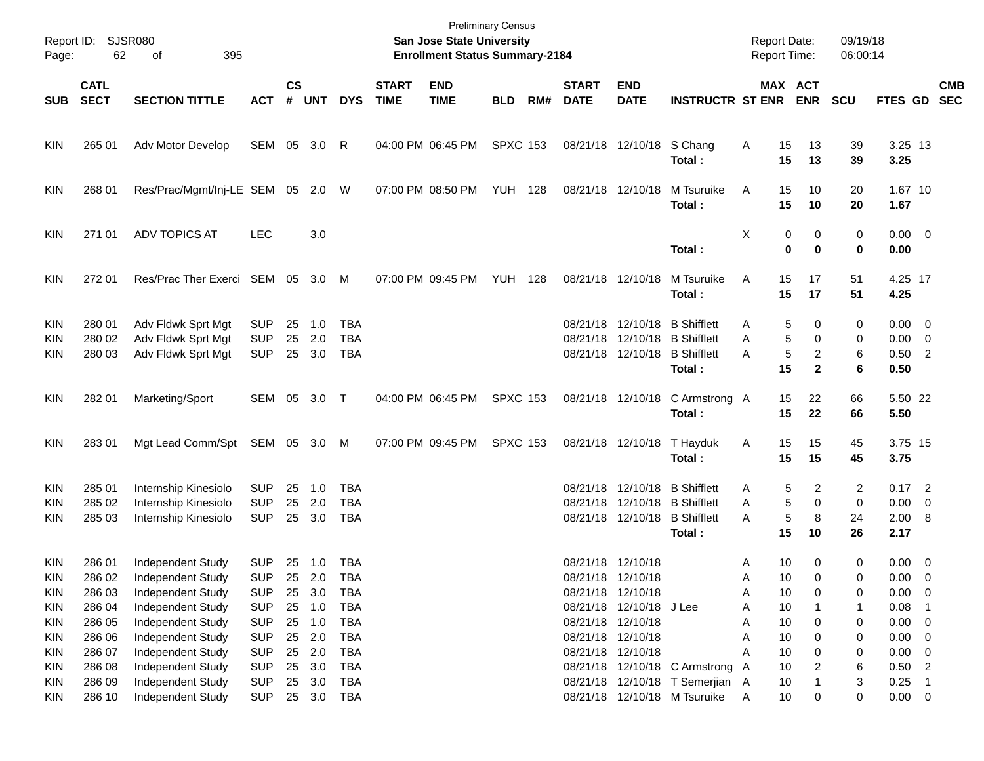| Page:                                  | Report ID: SJSR080<br>62                       | 395<br>of                                                                                             |                                                             |                    |                                              |                                                      |                             | <b>Preliminary Census</b><br><b>San Jose State University</b><br><b>Enrollment Status Summary-2184</b> |                 |     |                             |                                                                                                             |                                                                                     | <b>Report Date:</b><br><b>Report Time:</b>          |                                                                  | 09/19/18<br>06:00:14  |                                                           |                                                      |                          |
|----------------------------------------|------------------------------------------------|-------------------------------------------------------------------------------------------------------|-------------------------------------------------------------|--------------------|----------------------------------------------|------------------------------------------------------|-----------------------------|--------------------------------------------------------------------------------------------------------|-----------------|-----|-----------------------------|-------------------------------------------------------------------------------------------------------------|-------------------------------------------------------------------------------------|-----------------------------------------------------|------------------------------------------------------------------|-----------------------|-----------------------------------------------------------|------------------------------------------------------|--------------------------|
| <b>SUB</b>                             | <b>CATL</b><br><b>SECT</b>                     | <b>SECTION TITTLE</b>                                                                                 | <b>ACT</b>                                                  | $\mathsf{cs}$<br># | <b>UNT</b>                                   | <b>DYS</b>                                           | <b>START</b><br><b>TIME</b> | <b>END</b><br><b>TIME</b>                                                                              | <b>BLD</b>      | RM# | <b>START</b><br><b>DATE</b> | <b>END</b><br><b>DATE</b>                                                                                   | <b>INSTRUCTR ST ENR</b>                                                             |                                                     | MAX ACT<br><b>ENR</b>                                            | <b>SCU</b>            | <b>FTES GD</b>                                            |                                                      | <b>CMB</b><br><b>SEC</b> |
| <b>KIN</b>                             | 265 01                                         | <b>Adv Motor Develop</b>                                                                              | SEM 05 3.0 R                                                |                    |                                              |                                                      |                             | 04:00 PM 06:45 PM                                                                                      | <b>SPXC 153</b> |     |                             | 08/21/18 12/10/18 S Chang                                                                                   | Total:                                                                              | Α<br>15<br>15                                       | 13<br>13                                                         | 39<br>39              | 3.25 13<br>3.25                                           |                                                      |                          |
| <b>KIN</b>                             | 268 01                                         | Res/Prac/Mgmt/Inj-LE SEM 05 2.0 W                                                                     |                                                             |                    |                                              |                                                      |                             | 07:00 PM 08:50 PM                                                                                      | <b>YUH 128</b>  |     |                             | 08/21/18 12/10/18                                                                                           | M Tsuruike<br>Total:                                                                | A<br>15<br>15                                       | 10<br>10                                                         | 20<br>20              | 1.67 10<br>1.67                                           |                                                      |                          |
| <b>KIN</b>                             | 271 01                                         | <b>ADV TOPICS AT</b>                                                                                  | <b>LEC</b>                                                  |                    | 3.0                                          |                                                      |                             |                                                                                                        |                 |     |                             |                                                                                                             | Total:                                                                              | Χ                                                   | 0<br>0<br>0<br>$\bf{0}$                                          | 0<br>0                | $0.00 \t 0$<br>0.00                                       |                                                      |                          |
| <b>KIN</b>                             | 272 01                                         | Res/Prac Ther Exerci SEM 05 3.0 M                                                                     |                                                             |                    |                                              |                                                      |                             | 07:00 PM 09:45 PM                                                                                      | <b>YUH 128</b>  |     |                             | 08/21/18 12/10/18                                                                                           | M Tsuruike<br>Total:                                                                | A<br>15<br>15                                       | 17<br>17                                                         | 51<br>51              | 4.25 17<br>4.25                                           |                                                      |                          |
| <b>KIN</b><br>KIN<br><b>KIN</b>        | 280 01<br>280 02<br>280 03                     | Adv Fldwk Sprt Mgt<br>Adv Fldwk Sprt Mgt<br>Adv Fldwk Sprt Mgt                                        | <b>SUP</b><br><b>SUP</b><br><b>SUP</b>                      | 25<br>25           | 1.0<br>2.0<br>25 3.0                         | <b>TBA</b><br><b>TBA</b><br>TBA                      |                             |                                                                                                        |                 |     |                             | 08/21/18 12/10/18<br>08/21/18 12/10/18                                                                      | <b>B</b> Shifflett<br>08/21/18 12/10/18 B Shifflett<br><b>B</b> Shifflett<br>Total: | Α<br>Α<br>A<br>15                                   | 5<br>0<br>5<br>0<br>5<br>$\overline{\mathbf{c}}$<br>$\mathbf{2}$ | 0<br>0<br>6<br>6      | $0.00 \t 0$<br>$0.00 \t 0$<br>$0.50$ 2<br>0.50            |                                                      |                          |
| <b>KIN</b>                             | 282 01                                         | Marketing/Sport                                                                                       | SEM 05 3.0 T                                                |                    |                                              |                                                      |                             | 04:00 PM 06:45 PM                                                                                      | <b>SPXC 153</b> |     |                             | 08/21/18 12/10/18                                                                                           | C Armstrong A<br>Total:                                                             | 15<br>15                                            | 22<br>22                                                         | 66<br>66              | 5.50 22<br>5.50                                           |                                                      |                          |
| <b>KIN</b>                             | 28301                                          | Mgt Lead Comm/Spt                                                                                     | SEM 05 3.0 M                                                |                    |                                              |                                                      |                             | 07:00 PM 09:45 PM                                                                                      | <b>SPXC 153</b> |     |                             | 08/21/18 12/10/18                                                                                           | T Hayduk<br>Total:                                                                  | 15<br>Α<br>15                                       | 15<br>15                                                         | 45<br>45              | 3.75 15<br>3.75                                           |                                                      |                          |
| <b>KIN</b><br>KIN<br><b>KIN</b>        | 285 01<br>285 02<br>285 03                     | Internship Kinesiolo<br>Internship Kinesiolo<br>Internship Kinesiolo                                  | <b>SUP</b><br><b>SUP</b><br><b>SUP</b>                      | 25<br>25<br>25     | 1.0<br>2.0<br>3.0                            | TBA<br><b>TBA</b><br>TBA                             |                             |                                                                                                        |                 |     | 08/21/18                    | 08/21/18 12/10/18 B Shifflett                                                                               | 12/10/18 B Shifflett<br>08/21/18 12/10/18 B Shifflett<br>Total:                     | Α<br>Α<br>Α<br>15                                   | 5<br>2<br>5<br>0<br>5<br>8<br>10                                 | 2<br>0<br>24<br>26    | $0.17$ 2<br>$0.00 \t 0$<br>2.00 8<br>2.17                 |                                                      |                          |
| <b>KIN</b><br><b>KIN</b><br>KIN<br>KIN | 286 01<br>286 02<br>286 03<br>286 04<br>286 05 | Independent Study<br>Independent Study<br>Independent Study<br>Independent Study<br>Independent Study | SUP<br><b>SUP</b><br><b>SUP</b><br><b>SUP</b><br><b>SUP</b> | 25<br>25           | 25 1.0 TBA<br>2.0<br>3.0<br>25 1.0<br>25 1.0 | <b>TBA</b><br><b>TBA</b><br><b>TBA</b><br><b>TBA</b> |                             |                                                                                                        |                 |     |                             | 08/21/18 12/10/18<br>08/21/18 12/10/18<br>08/21/18 12/10/18<br>08/21/18 12/10/18 J Lee<br>08/21/18 12/10/18 |                                                                                     | 10<br>Α<br>10<br>A<br>10<br>А<br>10<br>Α<br>Α<br>10 | 0<br>0<br>0<br>0                                                 | 0<br>0<br>0<br>1<br>0 | $0.00 \t 0$<br>0.00<br>$0.00 \t 0$<br>0.08<br>$0.00 \t 0$ | $\overline{\mathbf{0}}$                              |                          |
| KIN<br>KIN<br>KIN<br>KIN<br>KIN        | 286 06<br>286 07<br>286 08<br>286 09           | Independent Study<br>Independent Study<br>Independent Study<br>Independent Study                      | <b>SUP</b><br><b>SUP</b><br><b>SUP</b><br><b>SUP</b>        | 25<br>25<br>25     | 25 2.0<br>2.0<br>3.0<br>3.0                  | <b>TBA</b><br><b>TBA</b><br>TBA<br><b>TBA</b>        |                             |                                                                                                        |                 |     |                             | 08/21/18 12/10/18<br>08/21/18 12/10/18                                                                      | 08/21/18 12/10/18 C Armstrong<br>08/21/18 12/10/18 T Semerjian A                    | Α<br>10<br>Α<br>10<br>10<br>A<br>10                 | 0<br>0<br>2<br>1                                                 | 0<br>0<br>6<br>3      | $0.00 \t 0$<br>0.00<br>$0.50$ 2<br>0.25                   | $\overline{\phantom{0}}$<br>$\overline{\phantom{0}}$ |                          |
| KIN                                    | 286 10                                         | Independent Study                                                                                     | <b>SUP</b>                                                  |                    |                                              | 25 3.0 TBA                                           |                             |                                                                                                        |                 |     |                             |                                                                                                             | 08/21/18 12/10/18 M Tsuruike                                                        | 10<br>Α                                             | 0                                                                | 0                     | $0.00 \t 0$                                               |                                                      |                          |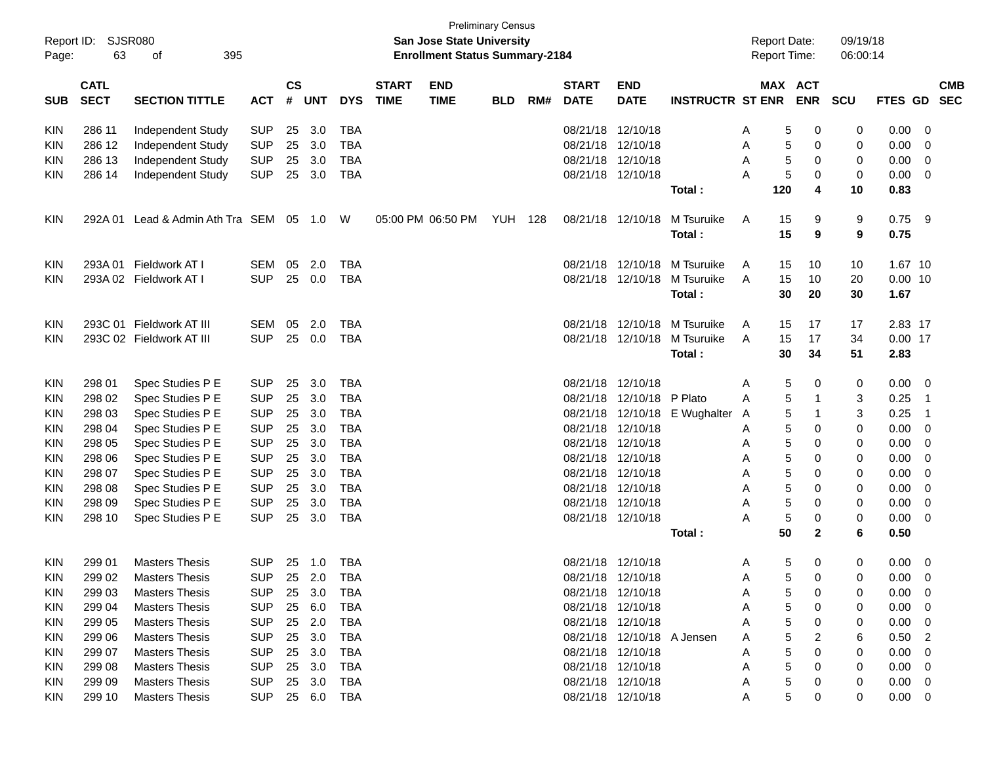| Page:      | <b>Preliminary Census</b><br>SJSR080<br>Report ID:<br><b>San Jose State University</b><br>63<br>395<br><b>Enrollment Status Summary-2184</b><br>оf |                                 |            |                    |            |            |                             |                           |                |     |                             | <b>Report Date:</b><br>Report Time: |                         |   | 09/19/18<br>06:00:14 |                              |     |           |                |                          |
|------------|----------------------------------------------------------------------------------------------------------------------------------------------------|---------------------------------|------------|--------------------|------------|------------|-----------------------------|---------------------------|----------------|-----|-----------------------------|-------------------------------------|-------------------------|---|----------------------|------------------------------|-----|-----------|----------------|--------------------------|
| <b>SUB</b> | <b>CATL</b><br><b>SECT</b>                                                                                                                         | <b>SECTION TITTLE</b>           | <b>ACT</b> | $\mathsf{cs}$<br># | <b>UNT</b> | <b>DYS</b> | <b>START</b><br><b>TIME</b> | <b>END</b><br><b>TIME</b> | <b>BLD</b>     | RM# | <b>START</b><br><b>DATE</b> | <b>END</b><br><b>DATE</b>           | <b>INSTRUCTR ST ENR</b> |   |                      | <b>MAX ACT</b><br><b>ENR</b> | SCU | FTES GD   |                | <b>CMB</b><br><b>SEC</b> |
| <b>KIN</b> | 286 11                                                                                                                                             | Independent Study               | <b>SUP</b> | 25                 | 3.0        | <b>TBA</b> |                             |                           |                |     | 08/21/18                    | 12/10/18                            |                         | A | 5                    | 0                            | 0   | 0.00      | 0              |                          |
| KIN        | 286 12                                                                                                                                             | Independent Study               | <b>SUP</b> | 25                 | 3.0        | <b>TBA</b> |                             |                           |                |     | 08/21/18                    | 12/10/18                            |                         | A | 5                    | 0                            | 0   | 0.00      | 0              |                          |
| KIN        | 286 13                                                                                                                                             | Independent Study               | <b>SUP</b> | 25                 | 3.0        | <b>TBA</b> |                             |                           |                |     | 08/21/18                    | 12/10/18                            |                         | A | 5                    | 0                            | 0   | 0.00      | 0              |                          |
| <b>KIN</b> | 286 14                                                                                                                                             | Independent Study               | <b>SUP</b> | 25                 | 3.0        | <b>TBA</b> |                             |                           |                |     |                             | 08/21/18 12/10/18                   |                         | А | 5                    | 0                            | 0   | 0.00      | 0              |                          |
|            |                                                                                                                                                    |                                 |            |                    |            |            |                             |                           |                |     |                             |                                     | Total:                  |   | 120                  | 4                            | 10  | 0.83      |                |                          |
| <b>KIN</b> | 292A 01                                                                                                                                            | Lead & Admin Ath Tra SEM 05 1.0 |            |                    |            | W          |                             | 05:00 PM 06:50 PM         | <b>YUH 128</b> |     |                             | 08/21/18 12/10/18                   | M Tsuruike              | A | 15                   | 9                            | 9   | 0.75      | -9             |                          |
|            |                                                                                                                                                    |                                 |            |                    |            |            |                             |                           |                |     |                             |                                     | Total:                  |   | 15                   | 9                            | 9   | 0.75      |                |                          |
| <b>KIN</b> | 293A 01                                                                                                                                            | Fieldwork AT I                  | SEM        | 05                 | 2.0        | <b>TBA</b> |                             |                           |                |     | 08/21/18                    | 12/10/18                            | M Tsuruike              | A | 15                   | 10                           | 10  | 1.67 10   |                |                          |
| KIN.       |                                                                                                                                                    | 293A 02 Fieldwork AT I          | <b>SUP</b> | 25                 | 0.0        | <b>TBA</b> |                             |                           |                |     |                             | 08/21/18 12/10/18                   | M Tsuruike              | A | 15                   | 10                           | 20  | $0.00$ 10 |                |                          |
|            |                                                                                                                                                    |                                 |            |                    |            |            |                             |                           |                |     |                             |                                     | Total:                  |   | 30                   | 20                           | 30  | 1.67      |                |                          |
| <b>KIN</b> |                                                                                                                                                    | 293C 01 Fieldwork AT III        | SEM        | 05                 | 2.0        | TBA        |                             |                           |                |     | 08/21/18                    | 12/10/18                            | M Tsuruike              | A | 15                   | 17                           | 17  | 2.83 17   |                |                          |
| KIN.       |                                                                                                                                                    | 293C 02 Fieldwork AT III        | <b>SUP</b> | 25                 | 0.0        | <b>TBA</b> |                             |                           |                |     | 08/21/18                    | 12/10/18                            | M Tsuruike              | A | 15                   | 17                           | 34  | $0.00$ 17 |                |                          |
|            |                                                                                                                                                    |                                 |            |                    |            |            |                             |                           |                |     |                             |                                     | Total:                  |   | 30                   | 34                           | 51  | 2.83      |                |                          |
| <b>KIN</b> | 298 01                                                                                                                                             | Spec Studies P E                | SUP        | 25                 | 3.0        | <b>TBA</b> |                             |                           |                |     | 08/21/18                    | 12/10/18                            |                         | A | 5                    | 0                            | 0   | 0.00      | 0              |                          |
| KIN        | 298 02                                                                                                                                             | Spec Studies P E                | <b>SUP</b> | 25                 | 3.0        | <b>TBA</b> |                             |                           |                |     | 08/21/18                    | 12/10/18                            | P Plato                 | A | 5                    | 1                            | 3   | 0.25      | -1             |                          |
| KIN        | 298 03                                                                                                                                             | Spec Studies P E                | <b>SUP</b> | 25                 | 3.0        | <b>TBA</b> |                             |                           |                |     | 08/21/18                    | 12/10/18                            | E Wughalter             | A | 5                    | 1                            | 3   | 0.25      | -1             |                          |
| KIN        | 298 04                                                                                                                                             | Spec Studies P E                | <b>SUP</b> | 25                 | 3.0        | <b>TBA</b> |                             |                           |                |     | 08/21/18                    | 12/10/18                            |                         | A | 5                    | 0                            | 0   | 0.00      | 0              |                          |
| KIN        | 298 05                                                                                                                                             | Spec Studies P E                | <b>SUP</b> | 25                 | 3.0        | <b>TBA</b> |                             |                           |                |     | 08/21/18                    | 12/10/18                            |                         | A | 5                    | 0                            | 0   | 0.00      | 0              |                          |
| KIN        | 298 06                                                                                                                                             | Spec Studies P E                | <b>SUP</b> | 25                 | 3.0        | <b>TBA</b> |                             |                           |                |     | 08/21/18                    | 12/10/18                            |                         | Α | 5                    | 0                            | 0   | 0.00      | 0              |                          |
| KIN        | 298 07                                                                                                                                             | Spec Studies P E                | <b>SUP</b> | 25                 | 3.0        | <b>TBA</b> |                             |                           |                |     | 08/21/18                    | 12/10/18                            |                         | Α | 5                    | 0                            | 0   | 0.00      | 0              |                          |
| KIN        | 298 08                                                                                                                                             | Spec Studies P E                | <b>SUP</b> | 25                 | 3.0        | <b>TBA</b> |                             |                           |                |     | 08/21/18                    | 12/10/18                            |                         | Α | 5                    | 0                            | 0   | 0.00      | 0              |                          |
| KIN        | 298 09                                                                                                                                             | Spec Studies P E                | <b>SUP</b> | 25                 | 3.0        | <b>TBA</b> |                             |                           |                |     | 08/21/18                    | 12/10/18                            |                         | Α | 5                    | 0                            | 0   | 0.00      | 0              |                          |
| <b>KIN</b> | 298 10                                                                                                                                             | Spec Studies P E                | <b>SUP</b> | 25                 | 3.0        | <b>TBA</b> |                             |                           |                |     | 08/21/18 12/10/18           |                                     |                         | А | 5                    | 0                            | 0   | 0.00      | 0              |                          |
|            |                                                                                                                                                    |                                 |            |                    |            |            |                             |                           |                |     |                             |                                     | Total :                 |   | 50                   | $\mathbf{2}$                 | 6   | 0.50      |                |                          |
| KIN.       | 299 01                                                                                                                                             | <b>Masters Thesis</b>           | <b>SUP</b> |                    | 25 1.0     | TBA        |                             |                           |                |     | 08/21/18 12/10/18           |                                     |                         | A | 5                    | 0                            | 0   | 0.00      | - 0            |                          |
| KIN        | 299 02                                                                                                                                             | <b>Masters Thesis</b>           | SUP        | 25                 | 2.0        | TBA        |                             |                           |                |     |                             | 08/21/18 12/10/18                   |                         | A | 5                    | 0                            | 0   | 0.00      | 0              |                          |
| <b>KIN</b> | 299 03                                                                                                                                             | <b>Masters Thesis</b>           | <b>SUP</b> | 25                 | 3.0        | <b>TBA</b> |                             |                           |                |     |                             | 08/21/18 12/10/18                   |                         |   | 5                    | 0                            | 0   | 0.00      | 0              |                          |
| <b>KIN</b> | 299 04                                                                                                                                             | <b>Masters Thesis</b>           | <b>SUP</b> | 25                 | 6.0        | <b>TBA</b> |                             |                           |                |     |                             | 08/21/18 12/10/18                   |                         |   | 5                    | 0                            | 0   | 0.00      | 0              |                          |
| <b>KIN</b> | 299 05                                                                                                                                             | <b>Masters Thesis</b>           | <b>SUP</b> | 25                 | 2.0        | <b>TBA</b> |                             |                           |                |     |                             | 08/21/18 12/10/18                   |                         |   | 5                    | 0                            | 0   | 0.00      | 0              |                          |
| <b>KIN</b> | 299 06                                                                                                                                             | <b>Masters Thesis</b>           | <b>SUP</b> | 25                 | 3.0        | <b>TBA</b> |                             |                           |                |     |                             | 08/21/18 12/10/18 A Jensen          |                         |   | 5                    | 2                            | 6   | 0.50      | $\overline{c}$ |                          |
| <b>KIN</b> | 299 07                                                                                                                                             | <b>Masters Thesis</b>           | <b>SUP</b> | 25                 | 3.0        | <b>TBA</b> |                             |                           |                |     |                             | 08/21/18 12/10/18                   |                         |   | 5                    | 0                            | 0   | 0.00      | 0              |                          |
| <b>KIN</b> | 299 08                                                                                                                                             | <b>Masters Thesis</b>           | <b>SUP</b> | 25                 | 3.0        | TBA        |                             |                           |                |     |                             | 08/21/18 12/10/18                   |                         | Α | 5                    | 0                            | 0   | 0.00      | 0              |                          |
| <b>KIN</b> | 299 09                                                                                                                                             | <b>Masters Thesis</b>           | <b>SUP</b> | 25                 | 3.0        | TBA        |                             |                           |                |     |                             | 08/21/18 12/10/18                   |                         |   | 5                    | 0                            | 0   | 0.00      | 0              |                          |
| <b>KIN</b> | 299 10                                                                                                                                             | <b>Masters Thesis</b>           | <b>SUP</b> |                    | 25 6.0     | <b>TBA</b> |                             |                           |                |     |                             | 08/21/18 12/10/18                   |                         | A | 5                    | 0                            | 0   | 0.00      | 0              |                          |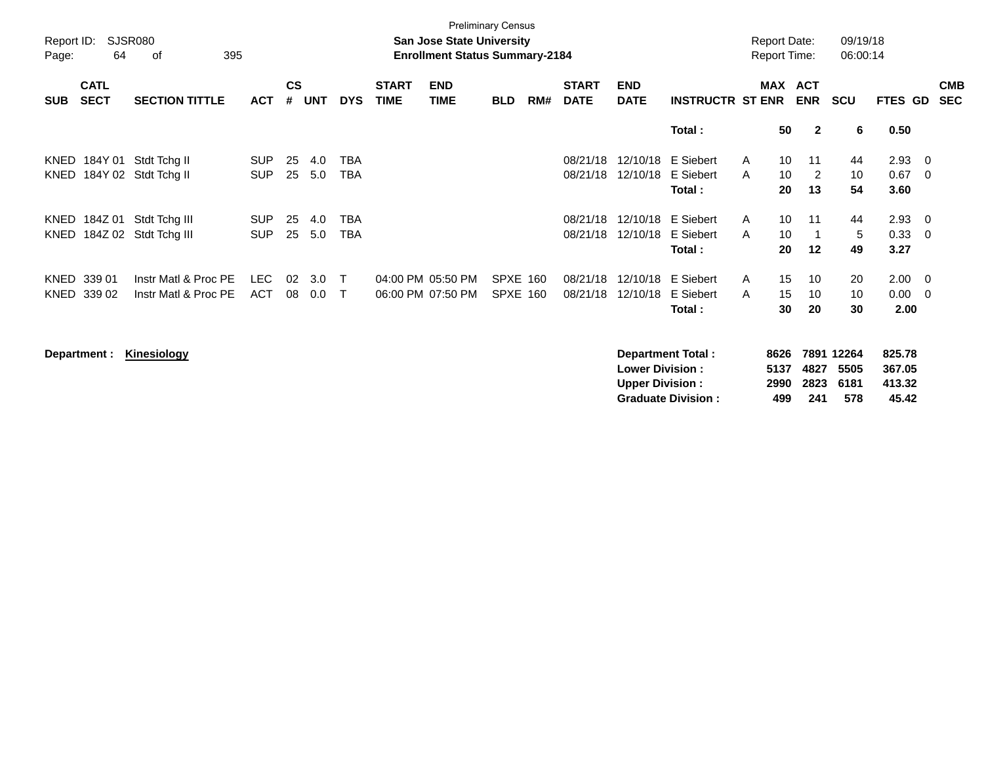| Report ID:<br>Page: | 64                         | SJSR080<br>of<br>395                              |                          |                |            |                              |                             | <b>San Jose State University</b><br><b>Enrollment Status Summary-2184</b> |                                    |     |                             |                           |                                   | <b>Report Date:</b><br><b>Report Time:</b> |                |                            | 09/19/18<br>06:00:14 |                                 |                                                     |                          |
|---------------------|----------------------------|---------------------------------------------------|--------------------------|----------------|------------|------------------------------|-----------------------------|---------------------------------------------------------------------------|------------------------------------|-----|-----------------------------|---------------------------|-----------------------------------|--------------------------------------------|----------------|----------------------------|----------------------|---------------------------------|-----------------------------------------------------|--------------------------|
| <b>SUB</b>          | <b>CATL</b><br><b>SECT</b> | <b>SECTION TITTLE</b>                             | <b>ACT</b>               | <b>CS</b><br># | UNT        | <b>DYS</b>                   | <b>START</b><br><b>TIME</b> | <b>END</b><br><b>TIME</b>                                                 | <b>BLD</b>                         | RM# | <b>START</b><br><b>DATE</b> | <b>END</b><br><b>DATE</b> | <b>INSTRUCTR ST ENR</b>           |                                            |                | MAX ACT<br><b>ENR</b>      | <b>SCU</b>           | <b>FTES GD</b>                  |                                                     | <b>CMB</b><br><b>SEC</b> |
|                     |                            |                                                   |                          |                |            |                              |                             |                                                                           |                                    |     |                             |                           | Total:                            |                                            | 50             | $\overline{2}$             | 6                    | 0.50                            |                                                     |                          |
| KNED                |                            | 184Y 01 Stdt Tchg II<br>KNED 184Y 02 Stdt Tchg II | <b>SUP</b><br><b>SUP</b> | 25<br>25       | 4.0<br>5.0 | TBA<br><b>TBA</b>            |                             |                                                                           |                                    |     | 08/21/18<br>08/21/18        | 12/10/18<br>12/10/18      | E Siebert<br>E Siebert<br>Total:  | $\mathsf{A}$<br>$\mathsf{A}$               | 10<br>10<br>20 | 11<br>$\overline{2}$<br>13 | 44<br>10<br>54       | 2.93<br>0.67<br>3.60            | $\overline{\phantom{0}}$<br>$\overline{\mathbf{0}}$ |                          |
| KNED                | KNED 184Z 01               | Stdt Tchg III<br>184Z 02 Stdt Tchg III            | <b>SUP</b><br><b>SUP</b> | 25<br>25       | 4.0<br>5.0 | TBA<br>TBA                   |                             |                                                                           |                                    |     | 08/21/18<br>08/21/18        | 12/10/18<br>12/10/18      | E Siebert<br>E Siebert<br>Total : | $\mathsf{A}$<br>A                          | 10<br>10<br>20 | 11<br>12                   | 44<br>5<br>49        | 2.93<br>0.33<br>3.27            | $\overline{\phantom{0}}$<br>$\overline{\mathbf{0}}$ |                          |
| KNED                | KNED 339 01<br>339 02      | Instr Matl & Proc PE<br>Instr Matl & Proc PE      | <b>LEC</b><br>ACT        | 02<br>08       | 3.0<br>0.0 | $\mathsf{T}$<br>$\mathsf{T}$ |                             | 04:00 PM 05:50 PM<br>06:00 PM 07:50 PM                                    | <b>SPXE 160</b><br><b>SPXE 160</b> |     | 08/21/18<br>08/21/18        | 12/10/18<br>12/10/18      | E Siebert<br>E Siebert<br>Total:  | A<br>A                                     | 15<br>15<br>30 | 10<br>10<br>20             | 20<br>10<br>30       | $2.00 \t 0$<br>$0.00\,$<br>2.00 | $\overline{\phantom{0}}$                            |                          |

**Department : Kinesiology Department Total : 8626 7891 12264 825.78 Lower Division : 5137 4827 5505 367.05 Upper Division : 2990 2823 6181 413.32 Graduate Division : 499 241 578 45.42**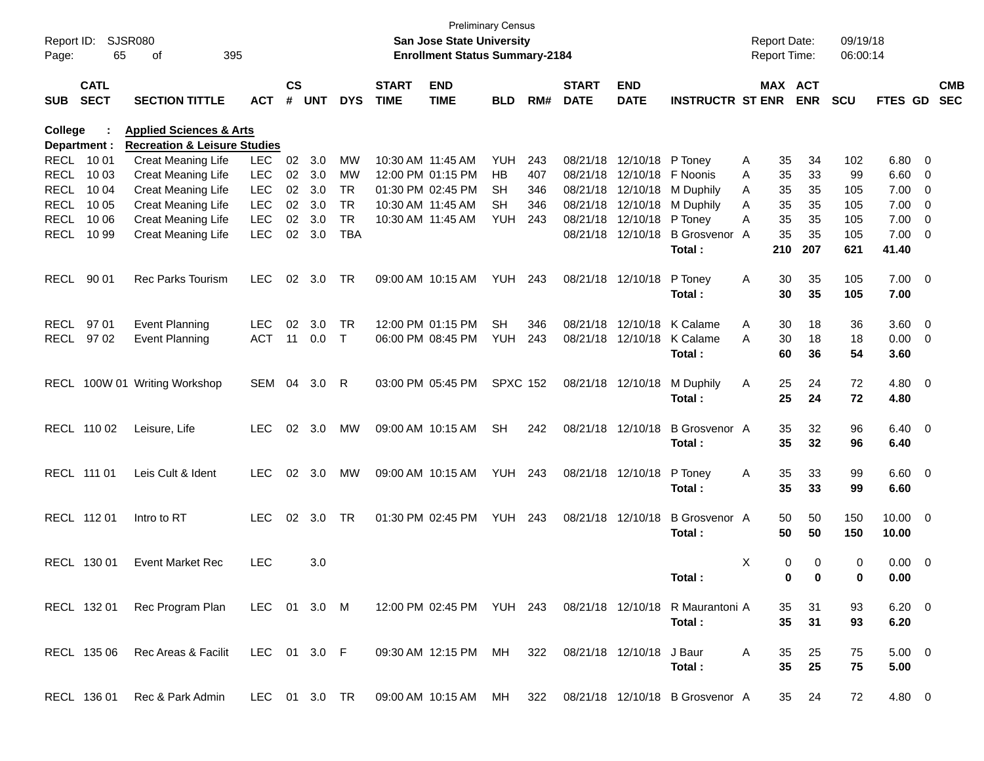| Report ID:<br>Page: | 65                         | <b>SJSR080</b><br>395<br>οf                                                              |            |                    |            |            |                             | San Jose State University<br><b>Enrollment Status Summary-2184</b> | <b>Preliminary Census</b> |     |                             |                            |                                                                                |              | <b>Report Date:</b><br><b>Report Time:</b> |            | 09/19/18<br>06:00:14 |                |                         |            |
|---------------------|----------------------------|------------------------------------------------------------------------------------------|------------|--------------------|------------|------------|-----------------------------|--------------------------------------------------------------------|---------------------------|-----|-----------------------------|----------------------------|--------------------------------------------------------------------------------|--------------|--------------------------------------------|------------|----------------------|----------------|-------------------------|------------|
| SUB                 | <b>CATL</b><br><b>SECT</b> | <b>SECTION TITTLE</b>                                                                    | <b>ACT</b> | $\mathsf{cs}$<br># | <b>UNT</b> | <b>DYS</b> | <b>START</b><br><b>TIME</b> | <b>END</b><br><b>TIME</b>                                          | <b>BLD</b>                | RM# | <b>START</b><br><b>DATE</b> | <b>END</b><br><b>DATE</b>  | <b>INSTRUCTR ST ENR</b>                                                        |              | MAX ACT                                    | <b>ENR</b> | <b>SCU</b>           | FTES GD SEC    |                         | <b>CMB</b> |
| College             |                            | <b>Applied Sciences &amp; Arts</b>                                                       |            |                    |            |            |                             |                                                                    |                           |     |                             |                            |                                                                                |              |                                            |            |                      |                |                         |            |
|                     | Department :               | <b>Recreation &amp; Leisure Studies</b>                                                  |            |                    |            |            |                             |                                                                    |                           |     |                             |                            |                                                                                |              |                                            |            |                      |                |                         |            |
|                     | RECL 10 01                 | Creat Meaning Life                                                                       | <b>LEC</b> | 02                 | 3.0        | MW         | 10:30 AM 11:45 AM           |                                                                    | YUH                       | 243 |                             | 08/21/18 12/10/18 P Toney  |                                                                                | A            | 35                                         | 34         | 102                  | 6.80           | - 0                     |            |
| RECL                | 10 03                      | Creat Meaning Life                                                                       | <b>LEC</b> |                    | 02 3.0     | MW         |                             | 12:00 PM 01:15 PM                                                  | HB                        | 407 |                             | 08/21/18 12/10/18 F Noonis |                                                                                | A            | 35                                         | 33         | 99                   | 6.60           | - 0                     |            |
| RECL                | 10 04                      | Creat Meaning Life                                                                       | <b>LEC</b> |                    | 02 3.0     | <b>TR</b>  |                             | 01:30 PM 02:45 PM                                                  | SН                        | 346 |                             | 08/21/18 12/10/18          | M Duphily                                                                      | A            | 35                                         | 35         | 105                  | 7.00           | $\overline{0}$          |            |
| RECL                | 10 05                      | Creat Meaning Life                                                                       | <b>LEC</b> | 02 <sub>o</sub>    | 3.0        | <b>TR</b>  | 10:30 AM 11:45 AM           |                                                                    | <b>SH</b>                 | 346 |                             | 08/21/18 12/10/18          | M Duphily                                                                      | A            | 35                                         | 35         | 105                  | 7.00           | $\overline{0}$          |            |
| RECL                | 10 06                      | Creat Meaning Life                                                                       | <b>LEC</b> | 02 <sub>o</sub>    | 3.0        | <b>TR</b>  |                             | 10:30 AM 11:45 AM                                                  | YUH                       | 243 |                             | 08/21/18 12/10/18          | P Toney                                                                        | A            | 35                                         | 35         | 105                  | 7.00           | $\overline{0}$          |            |
| RECL                | 10 99                      | Creat Meaning Life                                                                       | <b>LEC</b> | 02 <sub>o</sub>    | 3.0        | <b>TBA</b> |                             |                                                                    |                           |     |                             | 08/21/18 12/10/18          | <b>B</b> Grosvenor A                                                           |              | 35                                         | 35         | 105                  | 7.00           | $\overline{\mathbf{0}}$ |            |
|                     |                            |                                                                                          |            |                    |            |            |                             |                                                                    |                           |     |                             |                            | Total:                                                                         |              | 210                                        | 207        | 621                  | 41.40          |                         |            |
| RECL                | 90 01                      | Rec Parks Tourism                                                                        | <b>LEC</b> | 02                 | 3.0        | TR         |                             | 09:00 AM 10:15 AM                                                  | <b>YUH 243</b>            |     |                             | 08/21/18 12/10/18          | P Toney                                                                        | A            | 30                                         | 35         | 105                  | $7.00 \t 0$    |                         |            |
|                     |                            |                                                                                          |            |                    |            |            |                             |                                                                    |                           |     |                             |                            | Total:                                                                         |              | 30                                         | 35         | 105                  | 7.00           |                         |            |
| RECL                | 97 01                      | <b>Event Planning</b>                                                                    | <b>LEC</b> | 02                 | 3.0        | TR         |                             | 12:00 PM 01:15 PM                                                  | <b>SH</b>                 | 346 |                             |                            | 08/21/18 12/10/18 K Calame                                                     | A            | 30                                         | 18         | 36                   | 3.60           | $\overline{\mathbf{0}}$ |            |
|                     | RECL 97 02                 | <b>Event Planning</b>                                                                    | <b>ACT</b> | 11                 | 0.0        | $\top$     |                             | 06:00 PM 08:45 PM                                                  | YUH                       | 243 |                             | 08/21/18 12/10/18          | K Calame                                                                       | A            | 30                                         | 18         | 18                   | 0.00           | $\overline{\mathbf{0}}$ |            |
|                     |                            |                                                                                          |            |                    |            |            |                             |                                                                    |                           |     |                             |                            | Total:                                                                         |              | 60                                         | 36         | 54                   | 3.60           |                         |            |
|                     |                            | RECL 100W 01 Writing Workshop                                                            | SEM 04     |                    | 3.0        | -R         |                             | 03:00 PM 05:45 PM                                                  | <b>SPXC 152</b>           |     |                             | 08/21/18 12/10/18          | M Duphily                                                                      | Α            | 25                                         | 24         | 72                   | 4.80 0         |                         |            |
|                     |                            |                                                                                          |            |                    |            |            |                             |                                                                    |                           |     |                             |                            | Total:                                                                         |              | 25                                         | 24         | 72                   | 4.80           |                         |            |
|                     | RECL 110 02                | Leisure, Life                                                                            | <b>LEC</b> |                    | 02 3.0     | MW         |                             | 09:00 AM 10:15 AM                                                  | <b>SH</b>                 | 242 |                             | 08/21/18 12/10/18          | <b>B</b> Grosvenor A                                                           |              | 35                                         | 32         | 96                   | $6.40 \quad 0$ |                         |            |
|                     |                            |                                                                                          |            |                    |            |            |                             |                                                                    |                           |     |                             |                            | Total:                                                                         |              | 35                                         | 32         | 96                   | 6.40           |                         |            |
|                     | RECL 111 01                | Leis Cult & Ident                                                                        | <b>LEC</b> |                    | 02 3.0     | MW         |                             | 09:00 AM 10:15 AM                                                  | <b>YUH 243</b>            |     |                             | 08/21/18 12/10/18          | P Toney                                                                        | A            | 35                                         | 33         | 99                   | $6.60 \quad 0$ |                         |            |
|                     |                            |                                                                                          |            |                    |            |            |                             |                                                                    |                           |     |                             |                            | Total:                                                                         |              | 35                                         | 33         | 99                   | 6.60           |                         |            |
|                     | RECL 112 01                | Intro to RT                                                                              | <b>LEC</b> |                    | 02 3.0     | TR         |                             | 01:30 PM 02:45 PM                                                  | <b>YUH 243</b>            |     |                             | 08/21/18 12/10/18          | <b>B</b> Grosvenor A                                                           |              | 50                                         | 50         | 150                  | $10.00 \t 0$   |                         |            |
|                     |                            |                                                                                          |            |                    |            |            |                             |                                                                    |                           |     |                             |                            | Total:                                                                         |              | 50                                         | 50         | 150                  | 10.00          |                         |            |
|                     | RECL 130 01                | <b>Event Market Rec</b>                                                                  | <b>LEC</b> |                    | 3.0        |            |                             |                                                                    |                           |     |                             |                            |                                                                                | Χ            | 0                                          | 0          | 0                    | 0.00           | $\overline{\mathbf{0}}$ |            |
|                     |                            |                                                                                          |            |                    |            |            |                             |                                                                    |                           |     |                             |                            | Total:                                                                         |              | 0                                          | 0          | $\bf{0}$             | 0.00           |                         |            |
|                     | RECL 132 01                | Rec Program Plan LEC 01 3.0 M 12:00 PM 02:45 PM YUH 243 08/21/18 12/10/18 R Maurantoni A |            |                    |            |            |                             |                                                                    |                           |     |                             |                            |                                                                                |              | 35                                         | 31         | 93                   | $6.20 \quad 0$ |                         |            |
|                     |                            |                                                                                          |            |                    |            |            |                             |                                                                    |                           |     |                             |                            | Total:                                                                         |              | 35                                         | 31         | 93                   | 6.20           |                         |            |
|                     | RECL 135 06                | Rec Areas & Facilit LEC 01 3.0 F                                                         |            |                    |            |            |                             | 09:30 AM 12:15 PM MH 322 08/21/18 12/10/18 J Baur                  |                           |     |                             |                            |                                                                                | $\mathsf{A}$ | 35                                         | 25         | 75                   | $5.00 \t 0$    |                         |            |
|                     |                            |                                                                                          |            |                    |            |            |                             |                                                                    |                           |     |                             |                            | Total:                                                                         |              | 35                                         | 25         | 75                   | 5.00           |                         |            |
|                     | RECL 136 01                | Rec & Park Admin                                                                         |            |                    |            |            |                             |                                                                    |                           |     |                             |                            | LEC 01 3.0 TR  09:00 AM  10:15 AM  MH  322  08/21/18  12/10/18  B  Grosvenor A |              |                                            | 35 24      | 72                   | 4.80 0         |                         |            |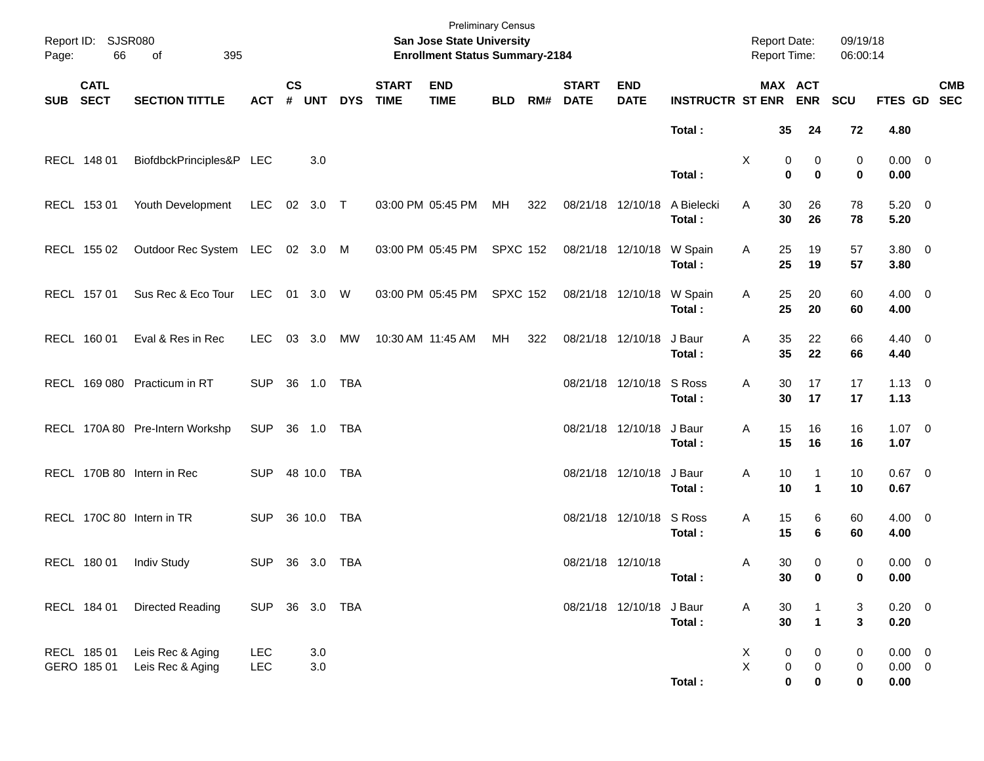| Page:      | Report ID: SJSR080<br>66   | of<br>395                                   |                              |                |             |            |                             | <b>Preliminary Census</b><br><b>San Jose State University</b><br><b>Enrollment Status Summary-2184</b> |                 |     |                             |                           |                             | Report Date:<br><b>Report Time:</b> |                             |                             | 09/19/18<br>06:00:14 |                                   |            |
|------------|----------------------------|---------------------------------------------|------------------------------|----------------|-------------|------------|-----------------------------|--------------------------------------------------------------------------------------------------------|-----------------|-----|-----------------------------|---------------------------|-----------------------------|-------------------------------------|-----------------------------|-----------------------------|----------------------|-----------------------------------|------------|
| <b>SUB</b> | <b>CATL</b><br><b>SECT</b> | <b>SECTION TITTLE</b>                       | <b>ACT</b>                   | <b>CS</b><br># | <b>UNT</b>  | <b>DYS</b> | <b>START</b><br><b>TIME</b> | <b>END</b><br><b>TIME</b>                                                                              | <b>BLD</b>      | RM# | <b>START</b><br><b>DATE</b> | <b>END</b><br><b>DATE</b> | <b>INSTRUCTR ST ENR</b>     | MAX ACT                             |                             | <b>ENR</b>                  | SCU                  | FTES GD SEC                       | <b>CMB</b> |
|            | RECL 148 01                | BiofdbckPrinciples&P LEC                    |                              |                | 3.0         |            |                             |                                                                                                        |                 |     |                             |                           | Total:                      | X                                   | 35<br>0                     | 24<br>0                     | 72<br>0              | 4.80<br>$0.00 \t 0$               |            |
|            | RECL 153 01                | Youth Development                           | LEC                          |                | 02 3.0 T    |            |                             | 03:00 PM 05:45 PM                                                                                      | MH              | 322 |                             | 08/21/18 12/10/18         | Total:<br>A Bielecki        | A                                   | $\mathbf 0$<br>30           | $\bf{0}$<br>26              | 0<br>78              | 0.00<br>$5.20 \ 0$                |            |
|            | RECL 155 02                | Outdoor Rec System LEC 02 3.0 M             |                              |                |             |            |                             | 03:00 PM 05:45 PM                                                                                      | <b>SPXC 152</b> |     |                             | 08/21/18 12/10/18         | Total:<br>W Spain<br>Total: | Α                                   | 30<br>25<br>25              | 26<br>19<br>19              | 78<br>57<br>57       | 5.20<br>$3.80\ 0$<br>3.80         |            |
|            | RECL 157 01                | Sus Rec & Eco Tour                          | LEC                          |                | 01 3.0 W    |            |                             | 03:00 PM 05:45 PM                                                                                      | <b>SPXC 152</b> |     |                             | 08/21/18 12/10/18         | W Spain<br>Total:           | Α                                   | 25<br>25                    | 20<br>20                    | 60<br>60             | $4.00 \ 0$<br>4.00                |            |
|            | RECL 160 01                | Eval & Res in Rec                           | LEC                          |                | 03 3.0      | MW         | 10:30 AM 11:45 AM           |                                                                                                        | МH              | 322 |                             | 08/21/18 12/10/18         | J Baur<br>Total:            | A                                   | 35<br>35                    | 22<br>22                    | 66<br>66             | $4.40 \ 0$<br>4.40                |            |
|            |                            | RECL 169 080 Practicum in RT                | SUP 36 1.0 TBA               |                |             |            |                             |                                                                                                        |                 |     |                             | 08/21/18 12/10/18 S Ross  | Total:                      | Α                                   | 30<br>30                    | 17<br>17                    | 17<br>17             | $1.13 \ 0$<br>1.13                |            |
|            |                            | RECL 170A 80 Pre-Intern Workshp             | SUP                          |                | 36 1.0 TBA  |            |                             |                                                                                                        |                 |     |                             | 08/21/18 12/10/18         | J Baur<br>Total:            | A                                   | 15<br>15                    | 16<br>16                    | 16<br>16             | $1.07 \t 0$<br>1.07               |            |
|            |                            | RECL 170B 80 Intern in Rec                  | SUP 48 10.0 TBA              |                |             |            |                             |                                                                                                        |                 |     |                             | 08/21/18 12/10/18         | J Baur<br>Total:            | Α                                   | 10<br>10                    | 1<br>$\mathbf 1$            | 10<br>10             | $0.67$ 0<br>0.67                  |            |
|            |                            | RECL 170C 80 Intern in TR                   | <b>SUP</b>                   |                | 36 10.0 TBA |            |                             |                                                                                                        |                 |     |                             | 08/21/18 12/10/18 S Ross  | Total:                      | A                                   | 15<br>15                    | 6<br>6                      | 60<br>60             | $4.00 \ 0$<br>4.00                |            |
|            | RECL 180 01                | <b>Indiv Study</b>                          | SUP 36 3.0 TBA               |                |             |            |                             |                                                                                                        |                 |     | 08/21/18 12/10/18           |                           | Total :                     | Α                                   | 30<br>30                    | $\mathbf 0$<br>$\bf{0}$     | 0<br>0               | $0.00 \t 0$<br>0.00               |            |
|            | RECL 184 01<br>RECL 185 01 | <b>Directed Reading</b><br>Leis Rec & Aging | SUP 36 3.0 TBA<br><b>LEC</b> |                | $3.0\,$     |            |                             |                                                                                                        |                 |     |                             | 08/21/18 12/10/18         | J Baur<br>Total:            | Α<br>X                              | $30\,$<br>30                | 1<br>$\mathbf{1}$           | 3<br>3<br>0          | $0.20 \ 0$<br>0.20<br>$0.00 \t 0$ |            |
|            | GERO 185 01                | Leis Rec & Aging                            | LEC                          |                | $3.0\,$     |            |                             |                                                                                                        |                 |     |                             |                           | Total:                      | $\mathsf X$                         | 0<br>$\pmb{0}$<br>$\pmb{0}$ | 0<br>$\pmb{0}$<br>$\pmb{0}$ | 0<br>0               | $0.00 \t 0$<br>0.00               |            |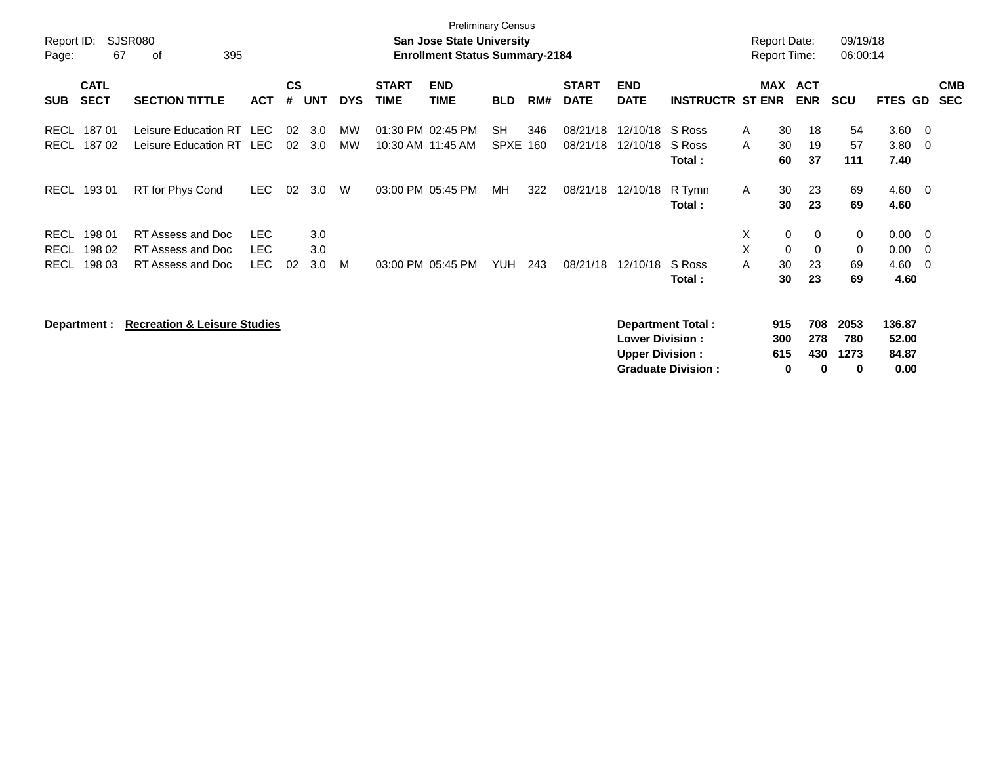|             |              |                                         |            |                        |            |            |                   | <b>Preliminary Census</b>             |                 |     |              |                        |                          |                     |                  |            |                |                          |            |
|-------------|--------------|-----------------------------------------|------------|------------------------|------------|------------|-------------------|---------------------------------------|-----------------|-----|--------------|------------------------|--------------------------|---------------------|------------------|------------|----------------|--------------------------|------------|
| Report ID:  |              | <b>SJSR080</b>                          |            |                        |            |            |                   | <b>San Jose State University</b>      |                 |     |              |                        |                          | <b>Report Date:</b> |                  | 09/19/18   |                |                          |            |
| Page:       | 67           | 395<br>οf                               |            |                        |            |            |                   | <b>Enrollment Status Summary-2184</b> |                 |     |              |                        |                          | <b>Report Time:</b> |                  | 06:00:14   |                |                          |            |
|             | <b>CATL</b>  |                                         |            | $\mathbf{c}\mathbf{s}$ |            |            | <b>START</b>      | <b>END</b>                            |                 |     | <b>START</b> | <b>END</b>             |                          | MAX                 | <b>ACT</b>       |            |                |                          | <b>CMB</b> |
| <b>SUB</b>  | <b>SECT</b>  | <b>SECTION TITTLE</b>                   | <b>ACT</b> | #                      | <b>UNT</b> | <b>DYS</b> | <b>TIME</b>       | <b>TIME</b>                           | <b>BLD</b>      | RM# | <b>DATE</b>  | <b>DATE</b>            | <b>INSTRUCTR ST ENR</b>  |                     | <b>ENR</b>       | <b>SCU</b> | <b>FTES GD</b> |                          | <b>SEC</b> |
| <b>RECL</b> | 18701        | Leisure Education RT LEC                |            | 02                     | 3.0        | MW         | 01:30 PM 02:45 PM |                                       | <b>SH</b>       | 346 | 08/21/18     | 12/10/18               | S Ross                   | 30<br>A             | 18               | 54         | 3.60           | - 0                      |            |
| <b>RECL</b> | 18702        | Leisure Education RT LEC                |            | 02                     | 3.0        | <b>MW</b>  | 10:30 AM 11:45 AM |                                       | <b>SPXE 160</b> |     | 08/21/18     | 12/10/18               | S Ross                   | A<br>30             | 19               | 57         | 3.80           | - 0                      |            |
|             |              |                                         |            |                        |            |            |                   |                                       |                 |     |              |                        | Total:                   | 60                  | 37               | 111        | 7.40           |                          |            |
| RECL        | 19301        | RT for Phys Cond                        | LEC.       | 02                     | 3.0        | W          |                   | 03:00 PM 05:45 PM                     | МH              | 322 | 08/21/18     | 12/10/18               | R Tymn                   | 30<br>A             | 23               | 69         | 4.60           | $\overline{\phantom{0}}$ |            |
|             |              |                                         |            |                        |            |            |                   |                                       |                 |     |              |                        | Total:                   |                     | 23<br>30         | 69         | 4.60           |                          |            |
| <b>RECL</b> | 198 01       | RT Assess and Doc                       | <b>LEC</b> |                        | 3.0        |            |                   |                                       |                 |     |              |                        |                          | X                   | 0<br>0           | 0          | 0.00           | - 0                      |            |
| <b>RECL</b> | 198 02       | RT Assess and Doc                       | <b>LEC</b> |                        | 3.0        |            |                   |                                       |                 |     |              |                        |                          | X                   | $\mathbf 0$<br>0 | 0          | 0.00           | - 0                      |            |
| <b>RECL</b> | 198 03       | RT Assess and Doc                       | <b>LEC</b> | 02                     | 3.0        | м          | 03:00 PM 05:45 PM |                                       | <b>YUH</b>      | 243 | 08/21/18     | 12/10/18               | S Ross                   | 30<br>A             | 23               | 69         | 4.60           | - 0                      |            |
|             |              |                                         |            |                        |            |            |                   |                                       |                 |     |              |                        | Total:                   | 30                  | 23               | 69         | 4.60           |                          |            |
|             | Department : | <b>Recreation &amp; Leisure Studies</b> |            |                        |            |            |                   |                                       |                 |     |              |                        | <b>Department Total:</b> | 915                 | 708              | 2053       | 136.87         |                          |            |
|             |              |                                         |            |                        |            |            |                   |                                       |                 |     |              | <b>Lower Division:</b> |                          | 300                 | 278              | 780        | 52.00          |                          |            |
|             |              |                                         |            |                        |            |            |                   |                                       |                 |     |              | <b>Upper Division:</b> |                          | 615                 | 430              | 1273       | 84.87          |                          |            |

**Graduate Division : 0 0 0 0.00**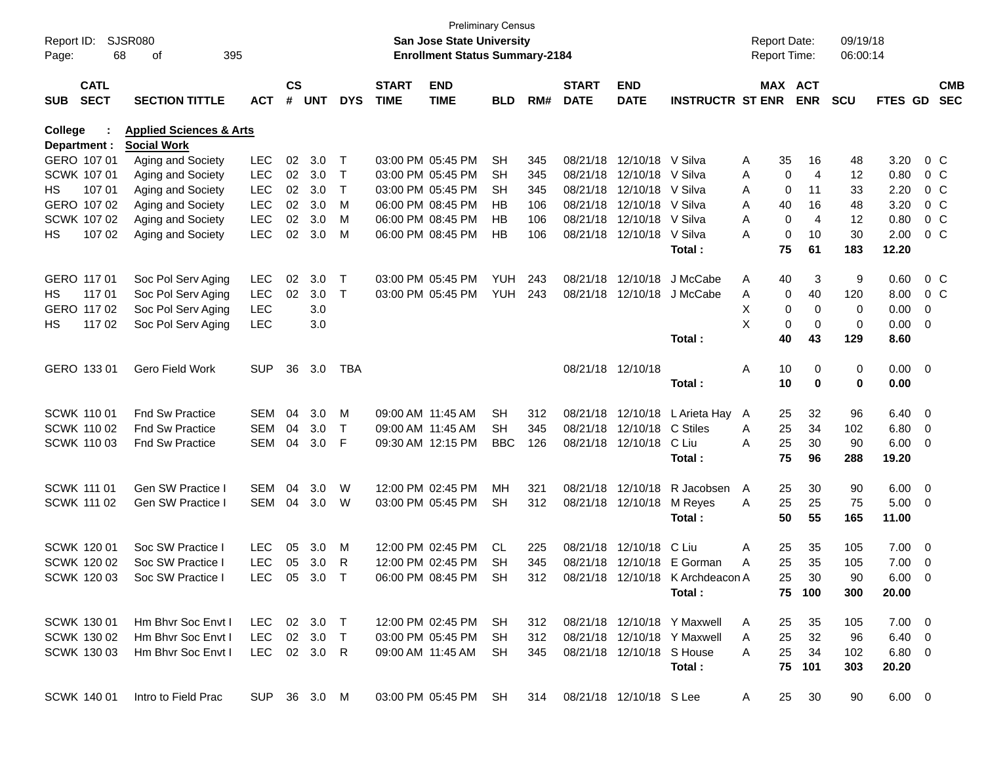| Report ID:<br>Page: | 68                         | SJSR080<br>395<br>οf               |              |                    |            |            |                             | <b>Preliminary Census</b><br><b>San Jose State University</b><br><b>Enrollment Status Summary-2184</b> |            |     |                             |                           |                                  |   |     | <b>Report Date:</b><br><b>Report Time:</b> | 09/19/18<br>06:00:14 |                |                          |                          |
|---------------------|----------------------------|------------------------------------|--------------|--------------------|------------|------------|-----------------------------|--------------------------------------------------------------------------------------------------------|------------|-----|-----------------------------|---------------------------|----------------------------------|---|-----|--------------------------------------------|----------------------|----------------|--------------------------|--------------------------|
| <b>SUB</b>          | <b>CATL</b><br><b>SECT</b> | <b>SECTION TITTLE</b>              | ACT          | $\mathsf{cs}$<br># | <b>UNT</b> | <b>DYS</b> | <b>START</b><br><b>TIME</b> | <b>END</b><br><b>TIME</b>                                                                              | <b>BLD</b> | RM# | <b>START</b><br><b>DATE</b> | <b>END</b><br><b>DATE</b> | <b>INSTRUCTR ST ENR</b>          |   |     | MAX ACT<br><b>ENR</b>                      | <b>SCU</b>           | <b>FTES GD</b> |                          | <b>CMB</b><br><b>SEC</b> |
| College             |                            | <b>Applied Sciences &amp; Arts</b> |              |                    |            |            |                             |                                                                                                        |            |     |                             |                           |                                  |   |     |                                            |                      |                |                          |                          |
|                     | Department :               | <b>Social Work</b>                 |              |                    |            |            |                             |                                                                                                        |            |     |                             |                           |                                  |   |     |                                            |                      |                |                          |                          |
|                     | GERO 107 01                | Aging and Society                  | LEC          | 02                 | 3.0        | Т          |                             | 03:00 PM 05:45 PM                                                                                      | <b>SH</b>  | 345 |                             | 08/21/18 12/10/18 V Silva |                                  | Α | 35  | 16                                         | 48                   | 3.20           |                          | $0\,$ C                  |
|                     | SCWK 107 01                | Aging and Society                  | LEC          | 02                 | 3.0        | T          |                             | 03:00 PM 05:45 PM                                                                                      | SН         | 345 |                             | 08/21/18 12/10/18 V Silva |                                  | Α | 0   | 4                                          | 12                   | 0.80           |                          | $0\,$ C                  |
| НS                  | 107 01                     | Aging and Society                  | <b>LEC</b>   | 02                 | 3.0        | Τ          |                             | 03:00 PM 05:45 PM                                                                                      | SН         | 345 |                             | 08/21/18 12/10/18         | V Silva                          | Α | 0   | 11                                         | 33                   | 2.20           |                          | $0\,$ C                  |
|                     | GERO 107 02                | Aging and Society                  | LEC          | 02                 | 3.0        | M          |                             | 06:00 PM 08:45 PM                                                                                      | НB         | 106 |                             | 08/21/18 12/10/18         | V Silva                          | Α | 40  | 16                                         | 48                   | 3.20           |                          | $0\,C$                   |
|                     | SCWK 107 02                | Aging and Society                  | LEC          | 02                 | 3.0        | м          |                             | 06:00 PM 08:45 PM                                                                                      | НB         | 106 |                             | 08/21/18 12/10/18 V Silva |                                  | Α | 0   | 4                                          | 12                   | 0.80           |                          | $0\,C$                   |
| HS                  | 107 02                     | Aging and Society                  | LEC          | 02                 | 3.0        | м          |                             | 06:00 PM 08:45 PM                                                                                      | НB         | 106 |                             | 08/21/18 12/10/18         | V Silva                          | Α | 0   | 10                                         | 30                   | 2.00           |                          | $0\,$ C                  |
|                     |                            |                                    |              |                    |            |            |                             |                                                                                                        |            |     |                             |                           | Total:                           |   | 75  | 61                                         | 183                  | 12.20          |                          |                          |
|                     | GERO 117 01                | Soc Pol Serv Aging                 | LEC          | 02                 | 3.0        | Т          |                             | 03:00 PM 05:45 PM                                                                                      | YUH        | 243 |                             | 08/21/18 12/10/18         | J McCabe                         | A | 40  | 3                                          | 9                    | 0.60           |                          | 0 C                      |
| HS                  | 117 01                     | Soc Pol Serv Aging                 | <b>LEC</b>   | 02                 | 3.0        | $\top$     |                             | 03:00 PM 05:45 PM                                                                                      | YUH        | 243 |                             | 08/21/18 12/10/18         | J McCabe                         | Α | 0   | 40                                         | 120                  | 8.00           |                          | 0 C                      |
|                     | GERO 117 02                | Soc Pol Serv Aging                 | LEC          |                    | 3.0        |            |                             |                                                                                                        |            |     |                             |                           |                                  | х | 0   | 0                                          | 0                    | 0.00           | 0                        |                          |
| HS.                 | 117 02                     | Soc Pol Serv Aging                 | <b>LEC</b>   |                    | 3.0        |            |                             |                                                                                                        |            |     |                             |                           |                                  | X | 0   | $\mathbf 0$                                | 0                    | 0.00           | - 0                      |                          |
|                     |                            |                                    |              |                    |            |            |                             |                                                                                                        |            |     |                             |                           | Total:                           |   | 40  | 43                                         | 129                  | 8.60           |                          |                          |
|                     | GERO 133 01                | <b>Gero Field Work</b>             | <b>SUP</b>   | 36                 | 3.0        | TBA        |                             |                                                                                                        |            |     |                             | 08/21/18 12/10/18         |                                  | Α | 10  | 0                                          | 0                    | $0.00 \t 0$    |                          |                          |
|                     |                            |                                    |              |                    |            |            |                             |                                                                                                        |            |     |                             |                           | Total:                           |   | 10  | 0                                          | 0                    | 0.00           |                          |                          |
|                     |                            |                                    |              |                    |            |            |                             |                                                                                                        |            |     |                             |                           |                                  |   |     |                                            |                      |                |                          |                          |
|                     | <b>SCWK 11001</b>          | <b>Fnd Sw Practice</b>             | SEM          | 04                 | 3.0        | м          | 09:00 AM 11:45 AM           |                                                                                                        | SН         | 312 |                             | 08/21/18 12/10/18         | L Arieta Hay                     | A | 25  | 32                                         | 96                   | $6.40\ 0$      |                          |                          |
|                     | <b>SCWK 110 02</b>         | <b>Fnd Sw Practice</b>             | SEM          | 04                 | 3.0        | T          | 09:00 AM 11:45 AM           |                                                                                                        | SН         | 345 |                             | 08/21/18 12/10/18         | C Stiles                         | Α | 25  | 34                                         | 102                  | 6.80           | $\overline{\mathbf{0}}$  |                          |
|                     | SCWK 110 03                | <b>Fnd Sw Practice</b>             | <b>SEM</b>   | 04                 | 3.0        | F          |                             | 09:30 AM 12:15 PM                                                                                      | <b>BBC</b> | 126 |                             | 08/21/18 12/10/18         | C Liu                            | Α | 25  | 30                                         | 90                   | 6.00           | $\overline{\phantom{0}}$ |                          |
|                     |                            |                                    |              |                    |            |            |                             |                                                                                                        |            |     |                             |                           | Total:                           |   | 75  | 96                                         | 288                  | 19.20          |                          |                          |
|                     | <b>SCWK 111 01</b>         | Gen SW Practice I                  | <b>SEM</b>   | 04                 | 3.0        | W          |                             | 12:00 PM 02:45 PM                                                                                      | MН         | 321 |                             | 08/21/18 12/10/18         | R Jacobsen                       | A | 25  | 30                                         | 90                   | 6.00           | $\overline{\phantom{0}}$ |                          |
|                     | SCWK 111 02                | Gen SW Practice I                  | SEM          | 04                 | 3.0        | W          |                             | 03:00 PM 05:45 PM                                                                                      | SН         | 312 |                             | 08/21/18 12/10/18         | M Reyes                          | A | 25  | 25                                         | 75                   | 5.00           | $\overline{\phantom{0}}$ |                          |
|                     |                            |                                    |              |                    |            |            |                             |                                                                                                        |            |     |                             |                           | Total:                           |   | 50  | 55                                         | 165                  | 11.00          |                          |                          |
|                     |                            |                                    |              |                    |            |            |                             |                                                                                                        |            |     |                             |                           |                                  |   |     |                                            |                      |                |                          |                          |
|                     | <b>SCWK 120 01</b>         | Soc SW Practice I                  | <b>LEC</b>   | 05                 | 3.0        | М          |                             | 12:00 PM 02:45 PM                                                                                      | CL         | 225 |                             | 08/21/18 12/10/18         | C Liu                            | Α | 25  | 35                                         | 105                  | 7.00           | $\overline{\phantom{0}}$ |                          |
|                     | SCWK 120 02                | Soc SW Practice I                  | <b>LEC</b>   | 05                 | 3.0        | R          |                             | 12:00 PM 02:45 PM                                                                                      | <b>SH</b>  | 345 |                             |                           | 08/21/18 12/10/18 E Gorman       | Α | 25  | 35                                         | 105                  | 7.00           | - 0                      |                          |
|                     | SCWK 120 03                | Soc SW Practice I                  | LEC          |                    | 05 3.0     |            |                             | 06:00 PM 08:45 PM                                                                                      | <b>SH</b>  | 312 |                             |                           | 08/21/18 12/10/18 K Archdeacon A |   | 25. | 30                                         | 90                   | $6.00 \quad 0$ |                          |                          |
|                     |                            |                                    |              |                    |            |            |                             |                                                                                                        |            |     |                             |                           | Total:                           |   |     | 75 100                                     | 300                  | 20.00          |                          |                          |
|                     | <b>SCWK 130 01</b>         | Hm Bhyr Soc Envt I                 | LEC          |                    | 02 3.0     | $\top$     |                             | 12:00 PM 02:45 PM                                                                                      | SH.        | 312 |                             |                           | 08/21/18 12/10/18 Y Maxwell      | A | 25  | 35                                         | 105                  | $7.00 \t 0$    |                          |                          |
|                     | SCWK 130 02                | Hm Bhvr Soc Envt I                 | <b>LEC</b>   |                    | 02 3.0     | $\top$     |                             | 03:00 PM 05:45 PM                                                                                      | SH.        | 312 |                             |                           | 08/21/18 12/10/18 Y Maxwell      | A | 25  | 32                                         | 96                   | $6.40\quad 0$  |                          |                          |
|                     | SCWK 130 03                | Hm Bhvr Soc Envt I                 | LEC 02 3.0 R |                    |            |            |                             | 09:00 AM 11:45 AM                                                                                      | SH.        | 345 |                             | 08/21/18 12/10/18 S House |                                  | A | 25  | 34                                         | 102                  | $6.80\ 0$      |                          |                          |
|                     |                            |                                    |              |                    |            |            |                             |                                                                                                        |            |     |                             |                           | Total:                           |   | 75  | 101                                        | 303                  | 20.20          |                          |                          |
|                     | SCWK 140 01                | Intro to Field Prac                | SUP 36 3.0 M |                    |            |            |                             | 03:00 PM 05:45 PM                                                                                      | SH         | 314 |                             | 08/21/18 12/10/18 S Lee   |                                  | A | 25  | 30                                         | 90                   | $6.00 \t 0$    |                          |                          |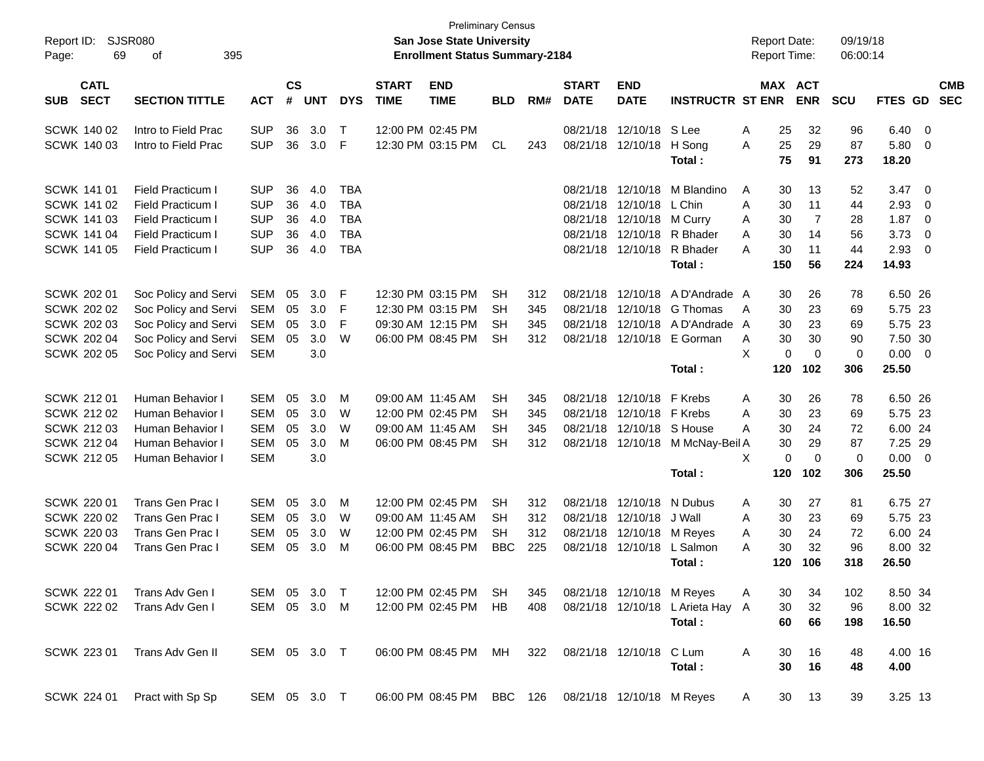| Report ID:<br>69<br>Page:                | SJSR080<br>395<br>οf     |              |                |            |              |                             | <b>San Jose State University</b><br><b>Enrollment Status Summary-2184</b> | <b>Preliminary Census</b> |     |                             |                           |                                  | <b>Report Date:</b><br><b>Report Time:</b> |                       | 09/19/18<br>06:00:14       |                |                         |                          |
|------------------------------------------|--------------------------|--------------|----------------|------------|--------------|-----------------------------|---------------------------------------------------------------------------|---------------------------|-----|-----------------------------|---------------------------|----------------------------------|--------------------------------------------|-----------------------|----------------------------|----------------|-------------------------|--------------------------|
| <b>CATL</b><br><b>SECT</b><br><b>SUB</b> | <b>SECTION TITTLE</b>    | <b>ACT</b>   | <b>CS</b><br># | <b>UNT</b> | <b>DYS</b>   | <b>START</b><br><b>TIME</b> | <b>END</b><br><b>TIME</b>                                                 | <b>BLD</b>                | RM# | <b>START</b><br><b>DATE</b> | <b>END</b><br><b>DATE</b> | <b>INSTRUCTR ST ENR</b>          |                                            | MAX ACT<br><b>ENR</b> | <b>SCU</b>                 | FTES GD        |                         | <b>CMB</b><br><b>SEC</b> |
| SCWK 140 02                              | Intro to Field Prac      | <b>SUP</b>   | 36             | 3.0        | $\mathsf{T}$ |                             | 12:00 PM 02:45 PM                                                         |                           |     |                             | 08/21/18 12/10/18 S Lee   |                                  | 25<br>Α                                    | 32                    | 96                         | $6.40 \quad 0$ |                         |                          |
| SCWK 140 03                              | Intro to Field Prac      | <b>SUP</b>   | 36             | 3.0        | F            |                             | 12:30 PM 03:15 PM                                                         | <b>CL</b>                 | 243 |                             | 08/21/18 12/10/18         | H Song<br>Total:                 | 25<br>A<br>75                              | 29<br>91              | 87<br>273                  | 5.80<br>18.20  | - 0                     |                          |
| <b>SCWK 141 01</b>                       | <b>Field Practicum I</b> | <b>SUP</b>   | 36             | 4.0        | <b>TBA</b>   |                             |                                                                           |                           |     | 08/21/18                    | 12/10/18                  | M Blandino                       | A<br>30                                    | 13                    | 52                         | $3.47 \quad 0$ |                         |                          |
| <b>SCWK 141 02</b>                       | <b>Field Practicum I</b> | <b>SUP</b>   | 36             | 4.0        | <b>TBA</b>   |                             |                                                                           |                           |     | 08/21/18                    | 12/10/18                  | L Chin                           | 30<br>A                                    | 11                    | 44                         | 2.93           | $\overline{\mathbf{0}}$ |                          |
| SCWK 141 03                              | <b>Field Practicum I</b> | <b>SUP</b>   | 36             | 4.0        | <b>TBA</b>   |                             |                                                                           |                           |     | 08/21/18                    | 12/10/18                  | M Curry                          | Α<br>30                                    |                       | $\overline{7}$<br>28       | 1.87           | $\overline{\mathbf{0}}$ |                          |
| <b>SCWK 141 04</b>                       | Field Practicum I        | <b>SUP</b>   | 36             | 4.0        | <b>TBA</b>   |                             |                                                                           |                           |     | 08/21/18                    |                           | 12/10/18 R Bhader                | Α<br>30                                    | 14                    | 56                         | 3.73           | $\overline{0}$          |                          |
| <b>SCWK 141 05</b>                       | Field Practicum I        | <b>SUP</b>   | 36             | 4.0        | <b>TBA</b>   |                             |                                                                           |                           |     |                             | 08/21/18 12/10/18         | R Bhader                         | A<br>30                                    | 11                    | 44                         | 2.93           | $\overline{\mathbf{0}}$ |                          |
|                                          |                          |              |                |            |              |                             |                                                                           |                           |     |                             |                           | Total:                           | 150                                        | 56                    | 224                        | 14.93          |                         |                          |
| <b>SCWK 202 01</b>                       | Soc Policy and Servi     | <b>SEM</b>   | 05             | 3.0        | F            |                             | 12:30 PM 03:15 PM                                                         | <b>SH</b>                 | 312 | 08/21/18                    | 12/10/18                  | A D'Andrade A                    | 30                                         | 26                    | 78                         | 6.50 26        |                         |                          |
| <b>SCWK 202 02</b>                       | Soc Policy and Servi     | SEM          | 05             | 3.0        | F            |                             | 12:30 PM 03:15 PM                                                         | SН                        | 345 | 08/21/18                    | 12/10/18                  | G Thomas                         | 30<br>A                                    | 23                    | 69                         | 5.75 23        |                         |                          |
| <b>SCWK 202 03</b>                       | Soc Policy and Servi     | SEM          | 05             | 3.0        | F            |                             | 09:30 AM 12:15 PM                                                         | <b>SH</b>                 | 345 | 08/21/18                    |                           | 12/10/18 A D'Andrade A           | 30                                         | 23                    | 69                         | 5.75 23        |                         |                          |
| <b>SCWK 202 04</b>                       | Soc Policy and Servi     | SEM          | 05             | 3.0        | W            |                             | 06:00 PM 08:45 PM                                                         | <b>SH</b>                 | 312 |                             | 08/21/18 12/10/18         | E Gorman                         | 30<br>A                                    | 30                    | 90                         | 7.50 30        |                         |                          |
| <b>SCWK 202 05</b>                       | Soc Policy and Servi     | SEM          |                | 3.0        |              |                             |                                                                           |                           |     |                             |                           |                                  | X                                          | 0                     | $\mathbf 0$<br>$\mathbf 0$ | $0.00 \t 0$    |                         |                          |
|                                          |                          |              |                |            |              |                             |                                                                           |                           |     |                             |                           | Total:                           | 120                                        | 102                   | 306                        | 25.50          |                         |                          |
| <b>SCWK 21201</b>                        | Human Behavior I         | <b>SEM</b>   | 05             | 3.0        | М            |                             | 09:00 AM 11:45 AM                                                         | <b>SH</b>                 | 345 | 08/21/18                    | 12/10/18 F Krebs          |                                  | 30<br>Α                                    | 26                    | 78                         | 6.50 26        |                         |                          |
| <b>SCWK 212 02</b>                       | Human Behavior I         | SEM          | 05             | 3.0        | W            |                             | 12:00 PM 02:45 PM                                                         | SН                        | 345 | 08/21/18                    | 12/10/18 F Krebs          |                                  | 30<br>A                                    | 23                    | 69                         | 5.75 23        |                         |                          |
| <b>SCWK 212 03</b>                       | Human Behavior I         | <b>SEM</b>   | 05             | 3.0        | W            |                             | 09:00 AM 11:45 AM                                                         | SН                        | 345 | 08/21/18                    |                           | 12/10/18 S House                 | 30<br>Α                                    | 24                    | 72                         | 6.00 24        |                         |                          |
| <b>SCWK 212 04</b>                       | Human Behavior I         | <b>SEM</b>   | 05             | 3.0        | М            |                             | 06:00 PM 08:45 PM                                                         | <b>SH</b>                 | 312 |                             | 08/21/18 12/10/18         | M McNay-Beil A                   | 30                                         | 29                    | 87                         | 7.25 29        |                         |                          |
| <b>SCWK 212 05</b>                       | Human Behavior I         | <b>SEM</b>   |                | 3.0        |              |                             |                                                                           |                           |     |                             |                           |                                  | X                                          | 0                     | $\mathbf 0$<br>0           | $0.00 \t 0$    |                         |                          |
|                                          |                          |              |                |            |              |                             |                                                                           |                           |     |                             |                           | Total:                           | 120                                        | 102                   | 306                        | 25.50          |                         |                          |
| <b>SCWK 220 01</b>                       | <b>Trans Gen Prac I</b>  | <b>SEM</b>   | 05             | 3.0        | М            |                             | 12:00 PM 02:45 PM                                                         | <b>SH</b>                 | 312 | 08/21/18                    | 12/10/18                  | N Dubus                          | 30<br>Α                                    | 27                    | 81                         | 6.75 27        |                         |                          |
| <b>SCWK 220 02</b>                       | Trans Gen Prac I         | SEM          | 05             | 3.0        | W            |                             | 09:00 AM 11:45 AM                                                         | SН                        | 312 | 08/21/18                    | 12/10/18                  | J Wall                           | A<br>30                                    | 23                    | 69                         | 5.75 23        |                         |                          |
| <b>SCWK 220 03</b>                       | Trans Gen Prac I         | <b>SEM</b>   | 05             | 3.0        | W            |                             | 12:00 PM 02:45 PM                                                         | SН                        | 312 | 08/21/18                    | 12/10/18                  | M Reyes                          | 30<br>A                                    | 24                    | 72                         | 6.00 24        |                         |                          |
| <b>SCWK 220 04</b>                       | Trans Gen Prac I         | <b>SEM</b>   | 05             | 3.0        | М            |                             | 06:00 PM 08:45 PM                                                         | <b>BBC</b>                | 225 |                             | 08/21/18 12/10/18         | L Salmon                         | 30<br>A                                    | 32                    | 96                         | 8.00 32        |                         |                          |
|                                          |                          |              |                |            |              |                             |                                                                           |                           |     |                             |                           | Total :                          | 120                                        | 106                   | 318                        | 26.50          |                         |                          |
| SCWK 222 01                              | Trans Adv Gen I          | SEM 05 3.0   |                |            | $\top$       |                             | 12:00 PM 02:45 PM                                                         | SH                        | 345 |                             | 08/21/18 12/10/18 M Reyes |                                  | 30<br>A                                    | 34                    | 102                        | 8.50 34        |                         |                          |
| SCWK 222 02                              | Trans Adv Gen I          | SEM 05 3.0 M |                |            |              |                             | 12:00 PM 02:45 PM                                                         | HB                        | 408 |                             |                           | 08/21/18 12/10/18 L Arieta Hay A | 30                                         | 32                    | 96                         | 8.00 32        |                         |                          |
|                                          |                          |              |                |            |              |                             |                                                                           |                           |     |                             |                           | Total:                           | 60                                         | 66                    | 198                        | 16.50          |                         |                          |
| SCWK 223 01                              | Trans Adv Gen II         | SEM 05 3.0 T |                |            |              |                             | 06:00 PM 08:45 PM                                                         | MH                        | 322 |                             | 08/21/18 12/10/18 C Lum   |                                  | Α<br>30                                    | 16                    | 48                         | 4.00 16        |                         |                          |
|                                          |                          |              |                |            |              |                             |                                                                           |                           |     |                             |                           | Total:                           | 30                                         | 16                    | 48                         | 4.00           |                         |                          |
| SCWK 224 01                              | Pract with Sp Sp         | SEM 05 3.0 T |                |            |              |                             | 06:00 PM 08:45 PM BBC 126 08/21/18 12/10/18 M Reyes                       |                           |     |                             |                           |                                  | A                                          | 30<br>13              | 39                         | 3.25 13        |                         |                          |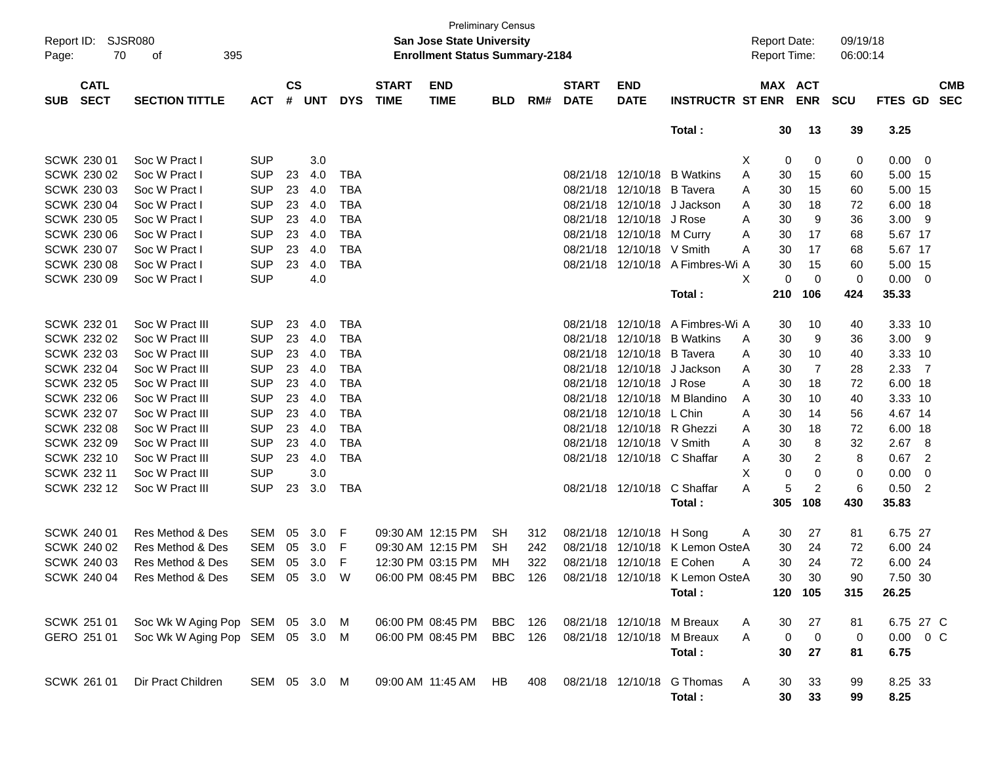| Page:              | Report ID: SJSR080<br>70   | 395<br>of                       |              |                    |            |            |                             | <b>San Jose State University</b><br><b>Enrollment Status Summary-2184</b> | <b>Preliminary Census</b> |     |                             |                             |                                  |   | <b>Report Date:</b><br><b>Report Time:</b> |                | 09/19/18<br>06:00:14 |                |                          |                          |
|--------------------|----------------------------|---------------------------------|--------------|--------------------|------------|------------|-----------------------------|---------------------------------------------------------------------------|---------------------------|-----|-----------------------------|-----------------------------|----------------------------------|---|--------------------------------------------|----------------|----------------------|----------------|--------------------------|--------------------------|
| <b>SUB</b>         | <b>CATL</b><br><b>SECT</b> | <b>SECTION TITTLE</b>           | <b>ACT</b>   | $\mathsf{cs}$<br># | UNT        | <b>DYS</b> | <b>START</b><br><b>TIME</b> | <b>END</b><br><b>TIME</b>                                                 | <b>BLD</b>                | RM# | <b>START</b><br><b>DATE</b> | <b>END</b><br><b>DATE</b>   | <b>INSTRUCTR ST ENR</b>          |   | MAX ACT                                    | <b>ENR</b>     | <b>SCU</b>           | <b>FTES GD</b> |                          | <b>CMB</b><br><b>SEC</b> |
|                    |                            |                                 |              |                    |            |            |                             |                                                                           |                           |     |                             |                             |                                  |   |                                            |                |                      |                |                          |                          |
|                    |                            |                                 |              |                    |            |            |                             |                                                                           |                           |     |                             |                             | Total:                           |   | 30                                         | 13             | 39                   | 3.25           |                          |                          |
| <b>SCWK 230 01</b> |                            | Soc W Pract I                   | <b>SUP</b>   |                    | 3.0        |            |                             |                                                                           |                           |     |                             |                             |                                  | X | 0                                          | 0              | 0                    | $0.00 \t 0$    |                          |                          |
| SCWK 230 02        |                            | Soc W Pract I                   | <b>SUP</b>   | 23                 | 4.0        | TBA        |                             |                                                                           |                           |     |                             |                             | 08/21/18 12/10/18 B Watkins      | A | 30                                         | 15             | 60                   | 5.00 15        |                          |                          |
| SCWK 230 03        |                            | Soc W Pract I                   | <b>SUP</b>   | 23                 | 4.0        | TBA        |                             |                                                                           |                           |     |                             | 08/21/18 12/10/18 B Tavera  |                                  | A | 30                                         | 15             | 60                   | 5.00 15        |                          |                          |
| SCWK 230 04        |                            | Soc W Pract I                   | <b>SUP</b>   | 23                 | 4.0        | TBA        |                             |                                                                           |                           |     | 08/21/18                    |                             | 12/10/18 J Jackson               | A | 30                                         | 18             | 72                   | 6.00 18        |                          |                          |
| SCWK 230 05        |                            | Soc W Pract I                   | <b>SUP</b>   | 23                 | 4.0        | TBA        |                             |                                                                           |                           |     |                             | 08/21/18 12/10/18 J Rose    |                                  | A | 30                                         | 9              | 36                   | 3.00           | - 9                      |                          |
| <b>SCWK 230 06</b> |                            | Soc W Pract I                   | <b>SUP</b>   | 23                 | 4.0        | TBA        |                             |                                                                           |                           |     |                             | 08/21/18 12/10/18 M Curry   |                                  | Α | 30                                         | 17             | 68                   | 5.67 17        |                          |                          |
| SCWK 230 07        |                            | Soc W Pract I                   | <b>SUP</b>   | 23                 | 4.0        | TBA        |                             |                                                                           |                           |     | 08/21/18                    | 12/10/18 V Smith            |                                  | Α | 30                                         | 17             | 68                   | 5.67 17        |                          |                          |
| <b>SCWK 230 08</b> |                            | Soc W Pract I                   | <b>SUP</b>   | 23                 | 4.0        | TBA        |                             |                                                                           |                           |     |                             |                             | 08/21/18 12/10/18 A Fimbres-Wi A |   | 30                                         | 15             | 60                   | 5.00 15        |                          |                          |
| SCWK 230 09        |                            | Soc W Pract I                   | <b>SUP</b>   |                    | 4.0        |            |                             |                                                                           |                           |     |                             |                             |                                  | X | 0                                          | 0              | 0                    | 0.00           | $\overline{\phantom{0}}$ |                          |
|                    |                            |                                 |              |                    |            |            |                             |                                                                           |                           |     |                             |                             | Total:                           |   | 210                                        | 106            | 424                  | 35.33          |                          |                          |
| <b>SCWK 232 01</b> |                            | Soc W Pract III                 | <b>SUP</b>   | 23                 | 4.0        | TBA        |                             |                                                                           |                           |     |                             |                             | 08/21/18 12/10/18 A Fimbres-Wi A |   | 30                                         | 10             | 40                   | 3.33 10        |                          |                          |
| <b>SCWK 232 02</b> |                            | Soc W Pract III                 | <b>SUP</b>   | 23                 | 4.0        | TBA        |                             |                                                                           |                           |     |                             | 08/21/18 12/10/18           | <b>B</b> Watkins                 | A | 30                                         | 9              | 36                   | $3.00$ 9       |                          |                          |
| SCWK 232 03        |                            | Soc W Pract III                 | <b>SUP</b>   | 23                 | 4.0        | TBA        |                             |                                                                           |                           |     |                             | 08/21/18 12/10/18           | B Tavera                         | Α | 30                                         | 10             | 40                   | 3.33 10        |                          |                          |
| <b>SCWK 232 04</b> |                            | Soc W Pract III                 | <b>SUP</b>   | 23                 | 4.0        | TBA        |                             |                                                                           |                           |     |                             |                             | 08/21/18 12/10/18 J Jackson      | A | 30                                         | 7              | 28                   | 2.33           | $\overline{7}$           |                          |
| <b>SCWK 232 05</b> |                            | Soc W Pract III                 | <b>SUP</b>   | 23                 | 4.0        | TBA        |                             |                                                                           |                           |     |                             | 08/21/18 12/10/18 J Rose    |                                  | A | 30                                         | 18             | 72                   | 6.00 18        |                          |                          |
| <b>SCWK 232 06</b> |                            | Soc W Pract III                 | <b>SUP</b>   | 23                 | 4.0        | TBA        |                             |                                                                           |                           |     |                             | 08/21/18 12/10/18           | M Blandino                       | A | 30                                         | 10             | 40                   | 3.33 10        |                          |                          |
| SCWK 232 07        |                            | Soc W Pract III                 | <b>SUP</b>   | 23                 | 4.0        | TBA        |                             |                                                                           |                           |     |                             | 08/21/18 12/10/18 L Chin    |                                  | Α | 30                                         | 14             | 56                   | 4.67 14        |                          |                          |
| <b>SCWK 232 08</b> |                            | Soc W Pract III                 | <b>SUP</b>   | 23                 | 4.0        | TBA        |                             |                                                                           |                           |     |                             | 08/21/18 12/10/18 R Ghezzi  |                                  | Α | 30                                         | 18             | 72                   | 6.00 18        |                          |                          |
| SCWK 232 09        |                            | Soc W Pract III                 | <b>SUP</b>   | 23                 | 4.0        | TBA        |                             |                                                                           |                           |     |                             | 08/21/18 12/10/18 V Smith   |                                  | Α | 30                                         | 8              | 32                   | 2.67           | - 8                      |                          |
| <b>SCWK 232 10</b> |                            | Soc W Pract III                 | <b>SUP</b>   | 23                 | 4.0        | TBA        |                             |                                                                           |                           |     |                             | 08/21/18 12/10/18 C Shaffar |                                  | A | 30                                         | 2              | 8                    | 0.67           | $\overline{2}$           |                          |
| <b>SCWK 232 11</b> |                            | Soc W Pract III                 | <b>SUP</b>   |                    | 3.0        |            |                             |                                                                           |                           |     |                             |                             |                                  | Х | 0                                          | 0              | 0                    | 0.00           | 0                        |                          |
| SCWK 232 12        |                            | Soc W Pract III                 | <b>SUP</b>   | 23                 | 3.0        | TBA        |                             |                                                                           |                           |     |                             | 08/21/18 12/10/18           | C Shaffar                        | Α | 5                                          | $\overline{2}$ | 6                    | 0.50           | $\overline{2}$           |                          |
|                    |                            |                                 |              |                    |            |            |                             |                                                                           |                           |     |                             |                             | Total :                          |   | 305                                        | 108            | 430                  | 35.83          |                          |                          |
| SCWK 240 01        |                            | Res Method & Des                | SEM          | 05                 | 3.0        | F          |                             | 09:30 AM 12:15 PM                                                         | SН                        | 312 |                             | 08/21/18 12/10/18           | H Song                           | Α | 30                                         | 27             | 81                   | 6.75 27        |                          |                          |
| SCWK 240 02        |                            | Res Method & Des                | SEM          | 05                 | 3.0        | F          |                             | 09:30 AM 12:15 PM                                                         | SН                        | 242 | 08/21/18                    | 12/10/18                    | K Lemon OsteA                    |   | 30                                         | 24             | 72                   | 6.00 24        |                          |                          |
| SCWK 240 03        |                            | Res Method & Des                | SEM          | 05                 | 3.0        | F          |                             | 12:30 PM 03:15 PM                                                         | MН                        | 322 |                             | 08/21/18 12/10/18 E Cohen   |                                  | A | 30                                         | 24             | 72                   | 6.00 24        |                          |                          |
| SCWK 240 04        |                            | Res Method & Des                |              |                    | SEM 05 3.0 | W          |                             | 06:00 PM 08:45 PM                                                         | BBC                       | 126 |                             |                             | 08/21/18 12/10/18 K Lemon OsteA  |   | 30                                         | 30             | 90                   | 7.50 30        |                          |                          |
|                    |                            |                                 |              |                    |            |            |                             |                                                                           |                           |     |                             |                             | Total:                           |   |                                            | 120 105        | 315                  | 26.25          |                          |                          |
| SCWK 251 01        |                            | Soc Wk W Aging Pop SEM 05 3.0 M |              |                    |            |            |                             | 06:00 PM 08:45 PM                                                         | BBC 126                   |     |                             |                             | 08/21/18 12/10/18 M Breaux       | A | 30                                         | 27             | 81                   | 6.75 27 C      |                          |                          |
| GERO 251 01        |                            | Soc Wk W Aging Pop SEM 05 3.0 M |              |                    |            |            |                             | 06:00 PM 08:45 PM                                                         | BBC 126                   |     | 08/21/18 12/10/18           |                             | M Breaux                         | A | 0                                          | $\mathbf 0$    | 0                    | $0.00 \t 0 C$  |                          |                          |
|                    |                            |                                 |              |                    |            |            |                             |                                                                           |                           |     |                             |                             | Total:                           |   | 30                                         | 27             | 81                   | 6.75           |                          |                          |
| SCWK 261 01        |                            | Dir Pract Children              | SEM 05 3.0 M |                    |            |            |                             | 09:00 AM 11:45 AM HB                                                      |                           | 408 |                             |                             | 08/21/18 12/10/18 G Thomas       | A | 30                                         | 33             | 99                   | 8.25 33        |                          |                          |
|                    |                            |                                 |              |                    |            |            |                             |                                                                           |                           |     |                             |                             | Total:                           |   | 30                                         | 33             | 99                   | 8.25           |                          |                          |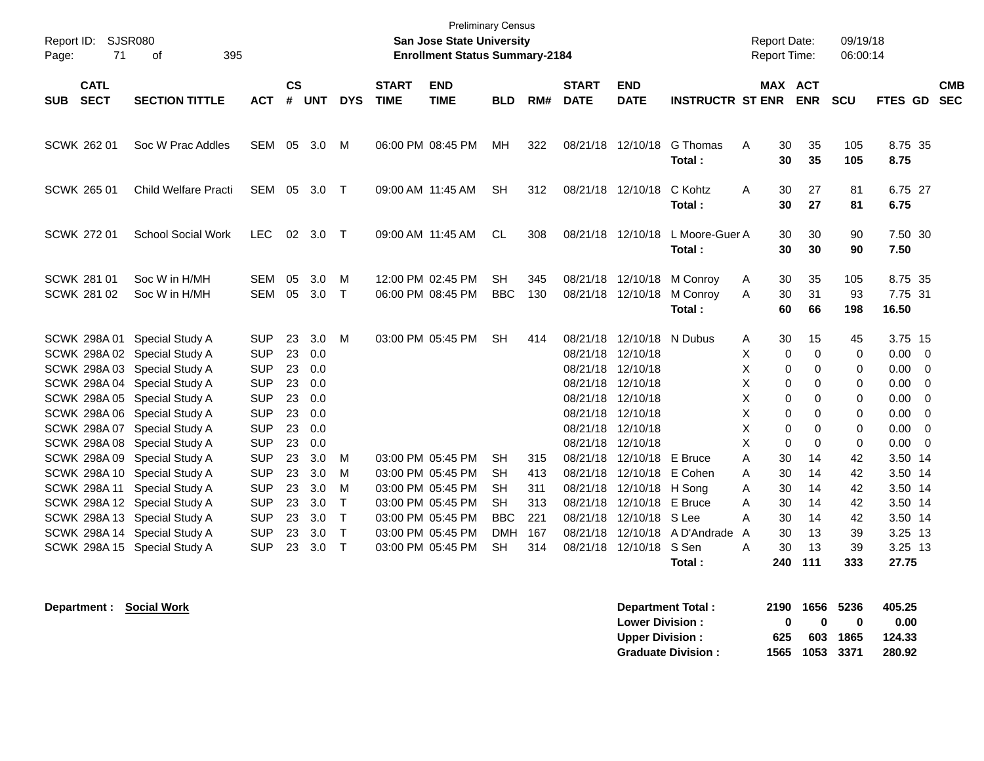| $\mathsf{cs}$<br><b>CATL</b><br><b>END</b><br><b>START</b><br><b>END</b><br><b>MAX ACT</b><br><b>START</b><br><b>SECT</b><br><b>SECTION TITTLE</b><br>#<br><b>DYS</b><br><b>TIME</b><br><b>TIME</b><br><b>BLD</b><br><b>DATE</b><br><b>DATE</b><br><b>INSTRUCTR ST ENR</b><br><b>ENR</b><br><b>SCU</b><br>FTES GD<br><b>SUB</b><br><b>ACT</b><br><b>UNT</b><br>RM#<br>8.75 35<br>SCWK 262 01<br>Soc W Prac Addles<br>SEM<br>05<br>3.0<br>06:00 PM 08:45 PM<br>322<br>08/21/18 12/10/18<br>G Thomas<br>30<br>35<br>105<br>M<br>MН<br>Α<br>8.75<br>30<br>35<br>105<br>Total:<br>6.75 27<br>SCWK 265 01<br>Child Welfare Practi<br><b>SEM</b><br>05<br>3.0<br>09:00 AM 11:45 AM<br><b>SH</b><br>312<br>08/21/18 12/10/18<br>C Kohtz<br>30<br>27<br>81<br>$\top$<br>A<br>6.75<br>Total:<br>30<br>27<br>81<br><b>SCWK 272 01</b><br><b>School Social Work</b><br><b>LEC</b><br>02 3.0<br>09:00 AM 11:45 AM<br>08/21/18 12/10/18<br>30<br>30<br>7.50 30<br>$\top$<br><b>CL</b><br>308<br>L Moore-Guer A<br>90<br>30<br>7.50<br>Total:<br>30<br>90<br>SCWK 281 01<br>Soc W in H/MH<br><b>SEM</b><br>05<br>3.0<br>12:00 PM 02:45 PM<br><b>SH</b><br>08/21/18 12/10/18 M Conroy<br>8.75 35<br>м<br>345<br>30<br>35<br>105<br>A<br>05<br>3.0<br>$\mathsf{T}$<br><b>BBC</b><br>31<br>7.75 31<br>SCWK 281 02<br>Soc W in H/MH<br><b>SEM</b><br>06:00 PM 08:45 PM<br>130<br>08/21/18 12/10/18<br>M Conroy<br>A<br>30<br>93<br>Total:<br>60<br>66<br>198<br>16.50<br>23<br>3.0<br>03:00 PM 05:45 PM<br>08/21/18 12/10/18 N Dubus<br><b>SCWK 298A01</b><br>Special Study A<br><b>SUP</b><br>M<br><b>SH</b><br>414<br>30<br>15<br>45<br>3.75 15<br>A<br><b>SUP</b><br>23<br>0.0<br>SCWK 298A 02 Special Study A<br>08/21/18 12/10/18<br>Χ<br>0<br>0<br>$0.00 \t 0$<br>0<br><b>SUP</b><br>23<br>08/21/18 12/10/18<br>$0.00 \t 0$<br>SCWK 298A 03 Special Study A<br>0.0<br>X<br>0<br>$\Omega$<br>0<br>SCWK 298A 04 Special Study A<br><b>SUP</b><br>23<br>08/21/18 12/10/18<br>0.00<br>0.0<br>Χ<br>0<br>0<br>0<br><b>SUP</b><br>23<br>08/21/18 12/10/18<br>SCWK 298A 05 Special Study A<br>0.0<br>х<br>0<br>0<br>0<br>0.00<br><b>SUP</b><br>SCWK 298A 06 Special Study A<br>23<br>0.0<br>08/21/18 12/10/18<br>X<br>$\Omega$<br>0.00<br>0<br>0<br>SCWK 298A 07 Special Study A<br><b>SUP</b><br>23<br>08/21/18 12/10/18<br>X<br>0.00<br>0.0<br>0<br>0<br>0<br>23<br>X<br>0.00<br>SCWK 298A 08 Special Study A<br><b>SUP</b><br>0.0<br>08/21/18 12/10/18<br>$\Omega$<br>$\Omega$<br>$\mathbf 0$<br>SCWK 298A 09 Special Study A<br><b>SUP</b><br>23<br>3.0<br>03:00 PM 05:45 PM<br>3.50 14<br><b>SH</b><br>315<br>08/21/18 12/10/18<br>E Bruce<br>A<br>30<br>14<br>42<br>м<br>SCWK 298A 10 Special Study A<br><b>SUP</b><br>23<br>3.0<br>03:00 PM 05:45 PM<br>08/21/18 12/10/18<br>E Cohen<br>3.50 14<br>M<br><b>SH</b><br>413<br>30<br>14<br>42<br>Α<br><b>SUP</b><br>3.50 14<br>SCWK 298A 11 Special Study A<br>23<br>3.0<br>M<br>03:00 PM 05:45 PM<br><b>SH</b><br>08/21/18 12/10/18 H Song<br>14<br>42<br>311<br>Α<br>30<br>SCWK 298A 12 Special Study A<br><b>SUP</b><br>23<br>$\mathsf{T}$<br>03:00 PM 05:45 PM<br>08/21/18 12/10/18<br>E Bruce<br>3.50 14<br>3.0<br><b>SH</b><br>313<br>A<br>30<br>14<br>42<br>SCWK 298A 13 Special Study A<br><b>SUP</b><br>23<br>3.0<br>Τ<br>03:00 PM 05:45 PM<br><b>BBC</b><br>221<br>08/21/18 12/10/18 S Lee<br>14<br>42<br>3.50 14<br>А<br>30<br>SCWK 298A 14 Special Study A<br><b>SUP</b><br>23<br>3.0<br>$\mathsf{T}$<br>03:00 PM 05:45 PM<br>08/21/18 12/10/18 A D'Andrade<br>3.25 13<br><b>DMH</b><br>167<br>30<br>13<br>39<br>A | Report ID:<br>71<br>Page: | <b>SJSR080</b><br>395<br>οf |  |  | <b>Preliminary Census</b><br>San Jose State University<br><b>Enrollment Status Summary-2184</b> |  |  | Report Date:<br>Report Time: | 09/19/18<br>06:00:14 |                                                                                                          |  |
|----------------------------------------------------------------------------------------------------------------------------------------------------------------------------------------------------------------------------------------------------------------------------------------------------------------------------------------------------------------------------------------------------------------------------------------------------------------------------------------------------------------------------------------------------------------------------------------------------------------------------------------------------------------------------------------------------------------------------------------------------------------------------------------------------------------------------------------------------------------------------------------------------------------------------------------------------------------------------------------------------------------------------------------------------------------------------------------------------------------------------------------------------------------------------------------------------------------------------------------------------------------------------------------------------------------------------------------------------------------------------------------------------------------------------------------------------------------------------------------------------------------------------------------------------------------------------------------------------------------------------------------------------------------------------------------------------------------------------------------------------------------------------------------------------------------------------------------------------------------------------------------------------------------------------------------------------------------------------------------------------------------------------------------------------------------------------------------------------------------------------------------------------------------------------------------------------------------------------------------------------------------------------------------------------------------------------------------------------------------------------------------------------------------------------------------------------------------------------------------------------------------------------------------------------------------------------------------------------------------------------------------------------------------------------------------------------------------------------------------------------------------------------------------------------------------------------------------------------------------------------------------------------------------------------------------------------------------------------------------------------------------------------------------------------------------------------------------------------------------------------------------------------------------------------------------------------------------------------------------------------------------------------------------------------------------------------------------------------------------------------------------------------------------------------------------------------------------------------------------------------------------------------------------------------------------|---------------------------|-----------------------------|--|--|-------------------------------------------------------------------------------------------------|--|--|------------------------------|----------------------|----------------------------------------------------------------------------------------------------------|--|
|                                                                                                                                                                                                                                                                                                                                                                                                                                                                                                                                                                                                                                                                                                                                                                                                                                                                                                                                                                                                                                                                                                                                                                                                                                                                                                                                                                                                                                                                                                                                                                                                                                                                                                                                                                                                                                                                                                                                                                                                                                                                                                                                                                                                                                                                                                                                                                                                                                                                                                                                                                                                                                                                                                                                                                                                                                                                                                                                                                                                                                                                                                                                                                                                                                                                                                                                                                                                                                                                                                                                                                |                           |                             |  |  |                                                                                                 |  |  |                              |                      | <b>CMB</b><br><b>SEC</b>                                                                                 |  |
|                                                                                                                                                                                                                                                                                                                                                                                                                                                                                                                                                                                                                                                                                                                                                                                                                                                                                                                                                                                                                                                                                                                                                                                                                                                                                                                                                                                                                                                                                                                                                                                                                                                                                                                                                                                                                                                                                                                                                                                                                                                                                                                                                                                                                                                                                                                                                                                                                                                                                                                                                                                                                                                                                                                                                                                                                                                                                                                                                                                                                                                                                                                                                                                                                                                                                                                                                                                                                                                                                                                                                                |                           |                             |  |  |                                                                                                 |  |  |                              |                      |                                                                                                          |  |
|                                                                                                                                                                                                                                                                                                                                                                                                                                                                                                                                                                                                                                                                                                                                                                                                                                                                                                                                                                                                                                                                                                                                                                                                                                                                                                                                                                                                                                                                                                                                                                                                                                                                                                                                                                                                                                                                                                                                                                                                                                                                                                                                                                                                                                                                                                                                                                                                                                                                                                                                                                                                                                                                                                                                                                                                                                                                                                                                                                                                                                                                                                                                                                                                                                                                                                                                                                                                                                                                                                                                                                |                           |                             |  |  |                                                                                                 |  |  |                              |                      |                                                                                                          |  |
|                                                                                                                                                                                                                                                                                                                                                                                                                                                                                                                                                                                                                                                                                                                                                                                                                                                                                                                                                                                                                                                                                                                                                                                                                                                                                                                                                                                                                                                                                                                                                                                                                                                                                                                                                                                                                                                                                                                                                                                                                                                                                                                                                                                                                                                                                                                                                                                                                                                                                                                                                                                                                                                                                                                                                                                                                                                                                                                                                                                                                                                                                                                                                                                                                                                                                                                                                                                                                                                                                                                                                                |                           |                             |  |  |                                                                                                 |  |  |                              |                      |                                                                                                          |  |
|                                                                                                                                                                                                                                                                                                                                                                                                                                                                                                                                                                                                                                                                                                                                                                                                                                                                                                                                                                                                                                                                                                                                                                                                                                                                                                                                                                                                                                                                                                                                                                                                                                                                                                                                                                                                                                                                                                                                                                                                                                                                                                                                                                                                                                                                                                                                                                                                                                                                                                                                                                                                                                                                                                                                                                                                                                                                                                                                                                                                                                                                                                                                                                                                                                                                                                                                                                                                                                                                                                                                                                |                           |                             |  |  |                                                                                                 |  |  |                              |                      |                                                                                                          |  |
|                                                                                                                                                                                                                                                                                                                                                                                                                                                                                                                                                                                                                                                                                                                                                                                                                                                                                                                                                                                                                                                                                                                                                                                                                                                                                                                                                                                                                                                                                                                                                                                                                                                                                                                                                                                                                                                                                                                                                                                                                                                                                                                                                                                                                                                                                                                                                                                                                                                                                                                                                                                                                                                                                                                                                                                                                                                                                                                                                                                                                                                                                                                                                                                                                                                                                                                                                                                                                                                                                                                                                                |                           |                             |  |  |                                                                                                 |  |  |                              |                      | $\overline{\phantom{0}}$<br>$\overline{0}$<br>- 0<br>$\overline{\mathbf{0}}$<br>$\overline{\phantom{0}}$ |  |
| SCWK 298A 15 Special Study A<br><b>SUP</b><br>23<br>3.0<br>$\mathsf{T}$<br>03:00 PM 05:45 PM<br><b>SH</b><br>314<br>08/21/18 12/10/18 S Sen<br>30<br>13<br>39<br>3.25 13<br>A<br>111<br>333<br>27.75<br>Total:<br>240                                                                                                                                                                                                                                                                                                                                                                                                                                                                                                                                                                                                                                                                                                                                                                                                                                                                                                                                                                                                                                                                                                                                                                                                                                                                                                                                                                                                                                                                                                                                                                                                                                                                                                                                                                                                                                                                                                                                                                                                                                                                                                                                                                                                                                                                                                                                                                                                                                                                                                                                                                                                                                                                                                                                                                                                                                                                                                                                                                                                                                                                                                                                                                                                                                                                                                                                          |                           |                             |  |  |                                                                                                 |  |  |                              |                      |                                                                                                          |  |

**Department : Social Work** 

| Department Total:         | 2190         |                | 1656 5236 | 405.25 |
|---------------------------|--------------|----------------|-----------|--------|
| <b>Lower Division:</b>    | $\mathbf{u}$ | n              | o         | 0.00   |
| <b>Upper Division:</b>    | 625          |                | 603 1865  | 124.33 |
| <b>Graduate Division:</b> |              | 1565 1053 3371 |           | 280.92 |